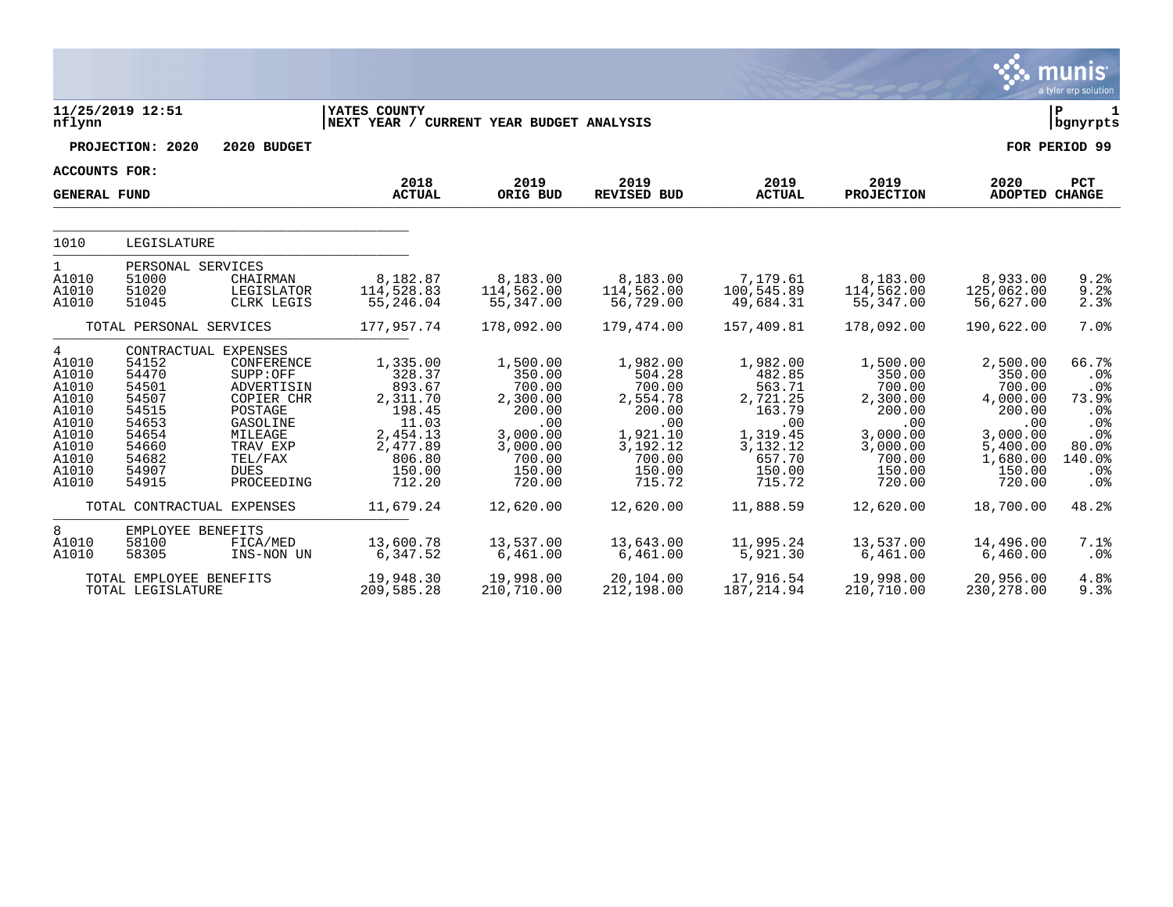|                                                                                                      |                                                                                                 |                                                                                                                                                                  |                                                                                                                   |                                                                                                                 |                                                                                                                 |                                                                                                                 |                                                                                                                 |                                                                                                                   | munis<br>a tyler erp solution                                                                          |
|------------------------------------------------------------------------------------------------------|-------------------------------------------------------------------------------------------------|------------------------------------------------------------------------------------------------------------------------------------------------------------------|-------------------------------------------------------------------------------------------------------------------|-----------------------------------------------------------------------------------------------------------------|-----------------------------------------------------------------------------------------------------------------|-----------------------------------------------------------------------------------------------------------------|-----------------------------------------------------------------------------------------------------------------|-------------------------------------------------------------------------------------------------------------------|--------------------------------------------------------------------------------------------------------|
| nflynn                                                                                               | 11/25/2019 12:51                                                                                |                                                                                                                                                                  | YATES COUNTY<br>NEXT YEAR /                                                                                       | CURRENT YEAR BUDGET ANALYSIS                                                                                    |                                                                                                                 |                                                                                                                 |                                                                                                                 |                                                                                                                   | l P<br>$\mathbf 1$<br>  bgnyrpts                                                                       |
|                                                                                                      | PROJECTION: 2020                                                                                | 2020 BUDGET                                                                                                                                                      |                                                                                                                   |                                                                                                                 |                                                                                                                 |                                                                                                                 |                                                                                                                 |                                                                                                                   | FOR PERIOD 99                                                                                          |
| <b>ACCOUNTS FOR:</b>                                                                                 |                                                                                                 |                                                                                                                                                                  |                                                                                                                   |                                                                                                                 |                                                                                                                 |                                                                                                                 |                                                                                                                 |                                                                                                                   |                                                                                                        |
| <b>GENERAL FUND</b>                                                                                  |                                                                                                 |                                                                                                                                                                  | 2018<br><b>ACTUAL</b>                                                                                             | 2019<br>ORIG BUD                                                                                                | 2019<br><b>REVISED BUD</b>                                                                                      | 2019<br><b>ACTUAL</b>                                                                                           | 2019<br><b>PROJECTION</b>                                                                                       | 2020<br>ADOPTED CHANGE                                                                                            | <b>PCT</b>                                                                                             |
| 1010                                                                                                 | LEGISLATURE                                                                                     |                                                                                                                                                                  |                                                                                                                   |                                                                                                                 |                                                                                                                 |                                                                                                                 |                                                                                                                 |                                                                                                                   |                                                                                                        |
| $\mathbf{1}$<br>A1010<br>A1010<br>A1010                                                              | PERSONAL SERVICES<br>51000<br>51020<br>51045                                                    | CHAIRMAN<br>LEGISLATOR<br>CLRK LEGIS                                                                                                                             | 8,182.87<br>114,528.83<br>55,246.04                                                                               | 8,183.00<br>114,562.00<br>55,347.00                                                                             | 8,183.00<br>114,562.00<br>56,729.00                                                                             | 7,179.61<br>100,545.89<br>49,684.31                                                                             | 8,183.00<br>114,562.00<br>55,347.00                                                                             | 8,933.00<br>125,062.00<br>56,627.00                                                                               | 9.2%<br>9.2%<br>2.3%                                                                                   |
|                                                                                                      | TOTAL PERSONAL SERVICES                                                                         |                                                                                                                                                                  | 177,957.74                                                                                                        | 178,092.00                                                                                                      | 179,474.00                                                                                                      | 157,409.81                                                                                                      | 178,092.00                                                                                                      | 190,622.00                                                                                                        | 7.0%                                                                                                   |
| 4<br>A1010<br>A1010<br>A1010<br>A1010<br>A1010<br>A1010<br>A1010<br>A1010<br>A1010<br>A1010<br>A1010 | 54152<br>54470<br>54501<br>54507<br>54515<br>54653<br>54654<br>54660<br>54682<br>54907<br>54915 | CONTRACTUAL EXPENSES<br>CONFERENCE<br>SUPP:OFF<br>ADVERTISIN<br>COPIER CHR<br>POSTAGE<br>GASOLINE<br>MILEAGE<br>TRAV EXP<br>TEL/FAX<br><b>DUES</b><br>PROCEEDING | 1,335.00<br>328.37<br>893.67<br>2,311.70<br>198.45<br>11.03<br>2,454.13<br>2,477.89<br>806.80<br>150.00<br>712.20 | 1,500.00<br>350.00<br>700.00<br>2,300.00<br>200.00<br>.00<br>3,000.00<br>3,000.00<br>700.00<br>150.00<br>720.00 | 1,982.00<br>504.28<br>700.00<br>2,554.78<br>200.00<br>.00<br>1,921.10<br>3,192.12<br>700.00<br>150.00<br>715.72 | 1,982.00<br>482.85<br>563.71<br>2,721.25<br>163.79<br>.00<br>1,319.45<br>3,132.12<br>657.70<br>150.00<br>715.72 | 1,500.00<br>350.00<br>700.00<br>2,300.00<br>200.00<br>.00<br>3,000.00<br>3,000.00<br>700.00<br>150.00<br>720.00 | 2,500.00<br>350.00<br>700.00<br>4,000.00<br>200.00<br>.00<br>3,000.00<br>5,400.00<br>1,680.00<br>150.00<br>720.00 | 66.7%<br>.0%<br>.0%<br>73.9%<br>$.0\%$<br>.0%<br>.0%<br>$80.0$ <sup>8</sup><br>140.0%<br>$.0\%$<br>.0% |
|                                                                                                      |                                                                                                 | TOTAL CONTRACTUAL EXPENSES                                                                                                                                       | 11,679.24                                                                                                         | 12,620.00                                                                                                       | 12,620.00                                                                                                       | 11,888.59                                                                                                       | 12,620.00                                                                                                       | 18,700.00                                                                                                         | 48.2%                                                                                                  |
| 8<br>A1010<br>A1010                                                                                  | EMPLOYEE BENEFITS<br>58100<br>58305                                                             | FICA/MED<br>INS-NON UN                                                                                                                                           | 13,600.78<br>6,347.52                                                                                             | 13,537.00<br>6,461.00                                                                                           | 13,643.00<br>6,461.00                                                                                           | 11,995.24<br>5,921.30                                                                                           | 13,537.00<br>6,461.00                                                                                           | 14,496.00<br>6,460.00                                                                                             | 7.1%<br>.0%                                                                                            |
|                                                                                                      | TOTAL EMPLOYEE BENEFITS<br>TOTAL LEGISLATURE                                                    |                                                                                                                                                                  | 19,948.30<br>209,585.28                                                                                           | 19,998.00<br>210,710.00                                                                                         | 20,104.00<br>212,198.00                                                                                         | 17,916.54<br>187,214.94                                                                                         | 19,998.00<br>210,710.00                                                                                         | 20,956.00<br>230,278.00                                                                                           | 4.8%<br>9.3%                                                                                           |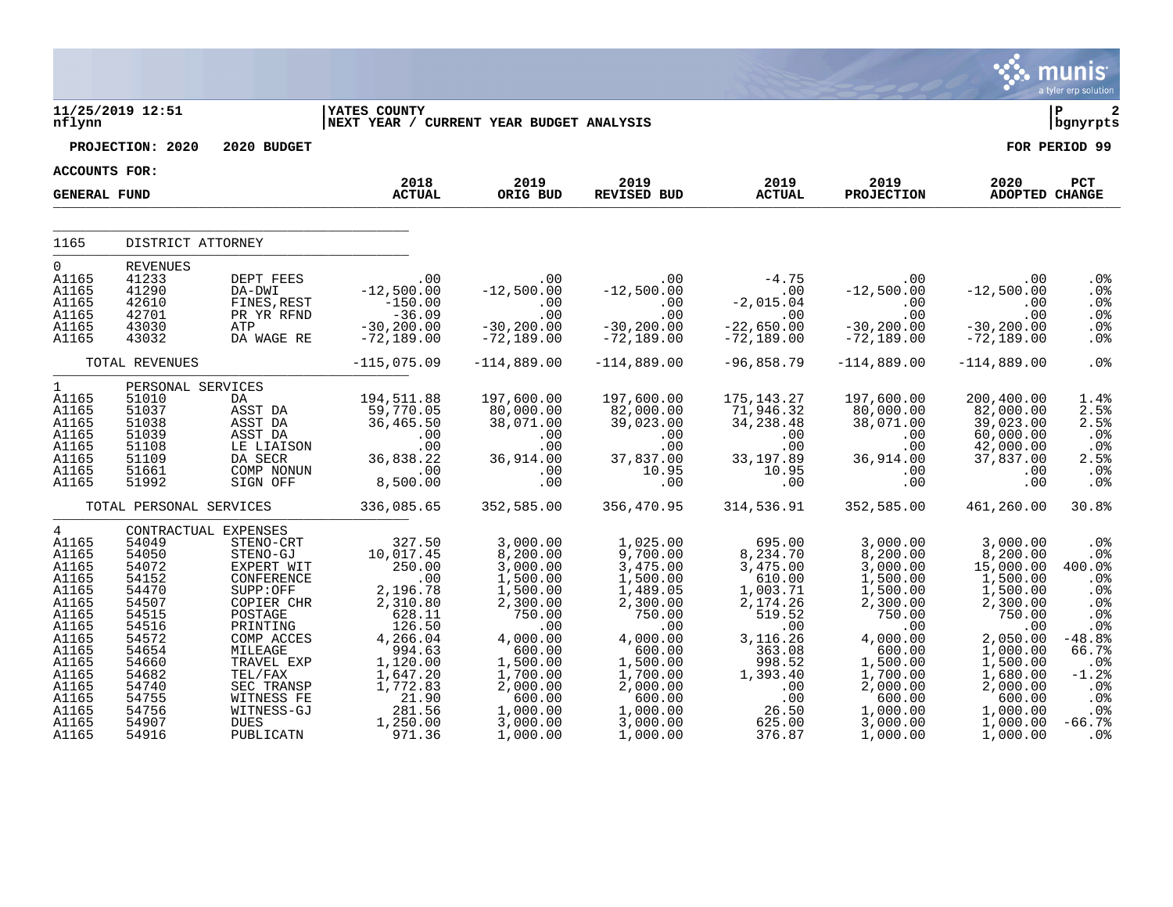|                                                                                                                                                                     |                                                                                                                                                       |                                                                                                                                                                              |                                                                                                                                                                                                                                                                                                                                                                                                                                                      |                                                                                                                                                                                                                  |                                                                                                                                                                                                                                                                             |                                                                                                                                                                                                              |                                                                                                                                                                                  |                                                                                                                                                                                                     | $\mathbb{C}$ munis<br>a tyler erp solution                                                                                                              |
|---------------------------------------------------------------------------------------------------------------------------------------------------------------------|-------------------------------------------------------------------------------------------------------------------------------------------------------|------------------------------------------------------------------------------------------------------------------------------------------------------------------------------|------------------------------------------------------------------------------------------------------------------------------------------------------------------------------------------------------------------------------------------------------------------------------------------------------------------------------------------------------------------------------------------------------------------------------------------------------|------------------------------------------------------------------------------------------------------------------------------------------------------------------------------------------------------------------|-----------------------------------------------------------------------------------------------------------------------------------------------------------------------------------------------------------------------------------------------------------------------------|--------------------------------------------------------------------------------------------------------------------------------------------------------------------------------------------------------------|----------------------------------------------------------------------------------------------------------------------------------------------------------------------------------|-----------------------------------------------------------------------------------------------------------------------------------------------------------------------------------------------------|---------------------------------------------------------------------------------------------------------------------------------------------------------|
| nflynn                                                                                                                                                              | 11/25/2019 12:51                                                                                                                                      |                                                                                                                                                                              | YATES COUNTY<br>NEXT YEAR / CURRENT YEAR BUDGET ANALYSIS                                                                                                                                                                                                                                                                                                                                                                                             |                                                                                                                                                                                                                  |                                                                                                                                                                                                                                                                             |                                                                                                                                                                                                              |                                                                                                                                                                                  |                                                                                                                                                                                                     | l P<br>2<br>bgnyrpts                                                                                                                                    |
|                                                                                                                                                                     | PROJECTION: 2020                                                                                                                                      | 2020 BUDGET                                                                                                                                                                  |                                                                                                                                                                                                                                                                                                                                                                                                                                                      |                                                                                                                                                                                                                  |                                                                                                                                                                                                                                                                             |                                                                                                                                                                                                              |                                                                                                                                                                                  |                                                                                                                                                                                                     | FOR PERIOD 99                                                                                                                                           |
| ACCOUNTS FOR:                                                                                                                                                       |                                                                                                                                                       |                                                                                                                                                                              |                                                                                                                                                                                                                                                                                                                                                                                                                                                      |                                                                                                                                                                                                                  |                                                                                                                                                                                                                                                                             |                                                                                                                                                                                                              |                                                                                                                                                                                  |                                                                                                                                                                                                     |                                                                                                                                                         |
| <b>GENERAL FUND</b>                                                                                                                                                 |                                                                                                                                                       |                                                                                                                                                                              | 2018<br><b>ACTUAL</b>                                                                                                                                                                                                                                                                                                                                                                                                                                | 2019<br>ORIG BUD                                                                                                                                                                                                 | 2019 2019<br>REVISED BUD ACTUAL                                                                                                                                                                                                                                             |                                                                                                                                                                                                              | 2019<br>PROJECTION                                                                                                                                                               | 2020<br>ADOPTED CHANGE                                                                                                                                                                              | PCT                                                                                                                                                     |
| 1165                                                                                                                                                                | DISTRICT ATTORNEY                                                                                                                                     |                                                                                                                                                                              |                                                                                                                                                                                                                                                                                                                                                                                                                                                      |                                                                                                                                                                                                                  |                                                                                                                                                                                                                                                                             |                                                                                                                                                                                                              |                                                                                                                                                                                  |                                                                                                                                                                                                     |                                                                                                                                                         |
|                                                                                                                                                                     |                                                                                                                                                       |                                                                                                                                                                              |                                                                                                                                                                                                                                                                                                                                                                                                                                                      |                                                                                                                                                                                                                  |                                                                                                                                                                                                                                                                             |                                                                                                                                                                                                              |                                                                                                                                                                                  |                                                                                                                                                                                                     |                                                                                                                                                         |
| $\overline{0}$<br>A1165<br>A1165<br>A1165<br>A1165<br>A1165<br>A1165                                                                                                | <b>REVENUES</b><br>41233<br>41290<br>42610<br>42701<br>43030<br>43032                                                                                 | DEPT FEES<br>DA-DWI<br>FINES, REST<br>PR YR RFND<br>ATP<br>DA WAGE RE                                                                                                        | $\overline{z}$ $\overline{z}$ $\overline{z}$ $\overline{z}$ $\overline{z}$ $\overline{z}$ $\overline{z}$ $\overline{z}$ $\overline{z}$ $\overline{z}$ $\overline{z}$ $\overline{z}$ $\overline{z}$ $\overline{z}$ $\overline{z}$ $\overline{z}$ $\overline{z}$ $\overline{z}$ $\overline{z}$ $\overline{z}$ $\overline{z}$ $\overline{z}$ $\overline{z}$ $\overline{z}$ $\overline{$<br>$-12,500.00$<br>$-150.00$ $-36.09$ $-30,200.00$ $-72,189.00$ | $-72,189.00$                                                                                                                                                                                                     | $-12,500.00$<br>$-12,500.00$<br>$-00$<br>$-30,200.00$<br>$-30,200.00$<br>$-30,200.00$<br>$-30,200.00$<br>$-30,200.00$<br>$-30,200.00$<br>$-30,200.00$<br>$-30,200.00$<br>$-30,200.00$<br>$-30,200.00$<br>$-30,200.00$<br>$-30,200.00$<br>$-72,189.00$                       | $-72,189.00$                                                                                                                                                                                                 | $00$ $-30,200.00$ $-72,189.00$                                                                                                                                                   | $-72,189.00$                                                                                                                                                                                        | .0%<br>.0%<br>.0%<br>.0%<br>.0%<br>.0%                                                                                                                  |
|                                                                                                                                                                     | TOTAL REVENUES                                                                                                                                        |                                                                                                                                                                              | $-115,075.09$                                                                                                                                                                                                                                                                                                                                                                                                                                        | $-114,889.00$                                                                                                                                                                                                    | $-114,889.00$                                                                                                                                                                                                                                                               | $-96,858.79$                                                                                                                                                                                                 | $-114,889.00$                                                                                                                                                                    | $-114,889.00$                                                                                                                                                                                       | .0%                                                                                                                                                     |
| 1<br>A1165<br>A1165<br>A1165<br>A1165<br>A1165<br>A1165<br>A1165<br>A1165                                                                                           | PERSONAL SERVICES<br>51010<br>51037<br>51038<br>51039<br>51108<br>51109<br>51661<br>51992                                                             | DA <b>DA</b><br>ASST DA<br>ASST DA<br>ASST DA<br>LE LIAISON<br>DA SECR                                                                                                       | 194,511.88<br>59,770.05<br>36,465.50<br>ASST DA 500, 1000<br>LE LIAISON 00<br>DA SECR 36, 838.22<br>COMP NONUN 00<br>SIGN OFF 8, 500.00                                                                                                                                                                                                                                                                                                              | 197,600.00<br>80,000.00<br>38,071.00<br>$00$ .<br>00.<br>36,914.00                                                                                                                                               | 197,600.00<br>$82,000.00$<br>39,023.00<br>$\begin{array}{r} .73337.00 \ 0.00 \ 37,837.00 \ 10.95 \ 0.0 \end{array}$                                                                                                                                                         | 175,143.27 197,600.00<br>71,946.32 80,000.00<br>34,238.48 38,071.00<br>$33,197.89$<br>30, 914.00<br>31, 197.89<br>36, 914.00<br>10.95<br>.00                                                                 | $\begin{array}{c} \cdot & 0 & 0 \\ \cdot & 0 & 0 \end{array}$                                                                                                                    | 200,400.00<br>82,000.00<br>39,023.00<br>60,000.00<br>42,000.00<br>37,837.00<br>.00<br>.00                                                                                                           | 1.4%<br>2.5%<br>2.5%<br>.0%<br>.0%<br>2.5%<br>.0%<br>.0%                                                                                                |
|                                                                                                                                                                     |                                                                                                                                                       |                                                                                                                                                                              | TOTAL PERSONAL SERVICES 336,085.65                                                                                                                                                                                                                                                                                                                                                                                                                   | 352,585.00                                                                                                                                                                                                       | 356,470.95                                                                                                                                                                                                                                                                  | 314,536.91                                                                                                                                                                                                   | 352,585.00                                                                                                                                                                       | 461,260.00                                                                                                                                                                                          | 30.8%                                                                                                                                                   |
| $4\degree$<br>A1165<br>A1165<br>A1165<br>A1165<br>A1165<br>A1165<br>A1165<br>A1165<br>A1165<br>A1165<br>A1165<br>A1165<br>A1165<br>A1165<br>A1165<br>A1165<br>A1165 | 54049<br>54050<br>54072<br>54152<br>54470<br>54507<br>54515<br>54516<br>54572<br>54654<br>54660<br>54682<br>54740<br>54755<br>54756<br>54907<br>54916 | CONTRACTUAL EXPENSES<br>STENO-CRT<br>STENO-GJ<br>EXPERT WIT<br>CONFERENCE<br>SUPP:OFF<br>COPIER CHR<br>POSTAGE<br>PRINTING<br>COMP ACCES<br>MILEAGE<br>TRAVEL EXP<br>TEL/FAX | 327.50<br>10,017.45<br>$10,017.45$<br>$250.00$<br>$2,196.78$<br>$2,310.80$<br>$628.11$<br>$126.50$<br>$4,266.04$<br>$4, \overline{266.04}$<br>994.63<br>1,120.00<br>1,647.20<br>SEC TRANSP 1,772.83<br>WITNESS FE 21.90<br>WITNESS -GJ 281.56<br>DUES 1,250.00<br>PUBLICATN 971.36                                                                                                                                                                   | $3,000.00$<br>8,200.00<br>3,000.00<br>1,500.00<br>1,500.00<br>2,300.00<br>00.00.,_<br>750.00<br>4,0 <sup>00.??</sup><br>600.00<br>1,500.00<br>1,700.00<br>2,000.00<br>600.00<br>1,000.00<br>3,000.00<br>1,000.00 | 1,025.00<br>9,700.00<br>3,475.00<br>1,500.00<br>1,489.05<br>2,300.00<br>$\begin{array}{r} -750.00\ 750.00\ 4,000.00 \end{array}$<br>600.00<br>1,500.00<br>1,700.00<br>2,000.00<br>$\begin{array}{r} 2,800.00\ 600.00\ 1,000.00\ 3,000.00\ 1,000.00 \end{array}$<br>1,000.00 | $695.00$<br>8, 234.70<br>3.47<br>610.00<br>1,003.71<br>2,174.26<br>$519.52$<br>.00<br>3, 116.26<br>363.08<br>$\begin{array}{r} 398.52 \\ 998.52 \\ 1,393.40 \\ .00 \\ 26.50 \\ 625.00 \\ 376.87 \end{array}$ | 3,000.00<br>8,200.00<br>3,000.00<br>1,500.00<br>1,500.00<br>2,300.00<br>$4,000.00$<br>600.00<br>1,500.00<br>1,700.00<br>2,000.00<br>$600.00$<br>1,000.00<br>3,000.00<br>1,000.00 | 3,000.00<br>8,200.00<br>- ^^^.00<br>1,500.00<br>1,500.00<br>2,300.00<br>$750.00$<br>00.00<br>2,050.00<br>1,000.00<br>1,500.00<br>1,680.00<br>2,000.00<br>600.00<br>1,000.00<br>1,000.00<br>1,000.00 | .0%<br>.0%<br>400.0%<br>.0%<br>.0%<br>.0%<br>.0%<br>$.0\%$<br>$-48.8$<br>66.7%<br>.0%<br>$-1.2%$<br>.0 <sup>°</sup><br>.0%<br>.0%<br>$-66.7%$<br>$.0\%$ |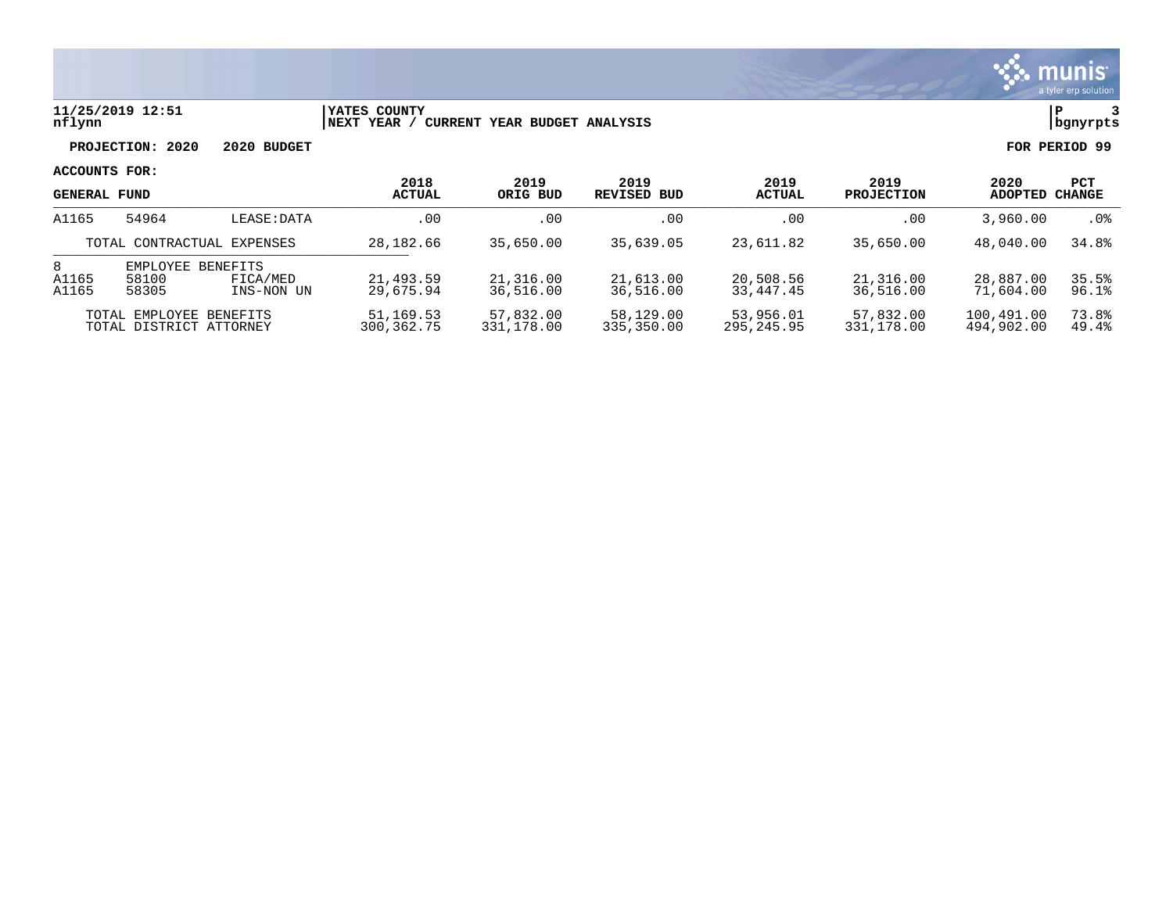

### **11/25/2019 12:51 |YATES COUNTY |P 3 nflynn |NEXT YEAR / CURRENT YEAR BUDGET ANALYSIS |bgnyrpts**

**PROJECTION: 2020 2020 BUDGET FOR PERIOD 99**

| <b>GENERAL FUND</b>        |                                                    |                                    | 2018<br><b>ACTUAL</b>   | 2019<br>ORIG BUD        | 2019<br>REVISED BUD     | 2019<br><b>ACTUAL</b>   | 2019<br><b>PROJECTION</b> | 2020<br><b>ADOPTED</b>   | PCT<br><b>CHANGE</b> |
|----------------------------|----------------------------------------------------|------------------------------------|-------------------------|-------------------------|-------------------------|-------------------------|---------------------------|--------------------------|----------------------|
| A1165                      | 54964                                              | LEASE: DATA                        | .00                     | . 00                    | .00                     | .00                     | .00                       | 3,960,00                 | .0%                  |
| TOTAL CONTRACTUAL EXPENSES |                                                    | 28,182.66                          | 35,650.00               | 35,639.05               | 23,611.82               | 35,650.00               | 48,040.00                 | 34.8%                    |                      |
| 8<br>A1165<br>A1165        | EMPLOYEE<br>58100<br>58305                         | BENEFITS<br>FICA/MED<br>INS-NON UN | 21,493.59<br>29,675.94  | 21,316.00<br>36,516.00  | 21,613.00<br>36,516.00  | 20,508.56<br>33,447.45  | 21,316.00<br>36,516.00    | 28,887.00<br>71,604.00   | 35.5%<br>96.1%       |
|                            | TOTAL EMPLOYEE BENEFITS<br>TOTAL DISTRICT ATTORNEY |                                    | 51,169.53<br>300,362.75 | 57,832.00<br>331,178.00 | 58,129.00<br>335,350.00 | 53,956.01<br>295,245.95 | 57,832.00<br>331,178.00   | 100,491.00<br>494,902.00 | 73.8%<br>49.4%       |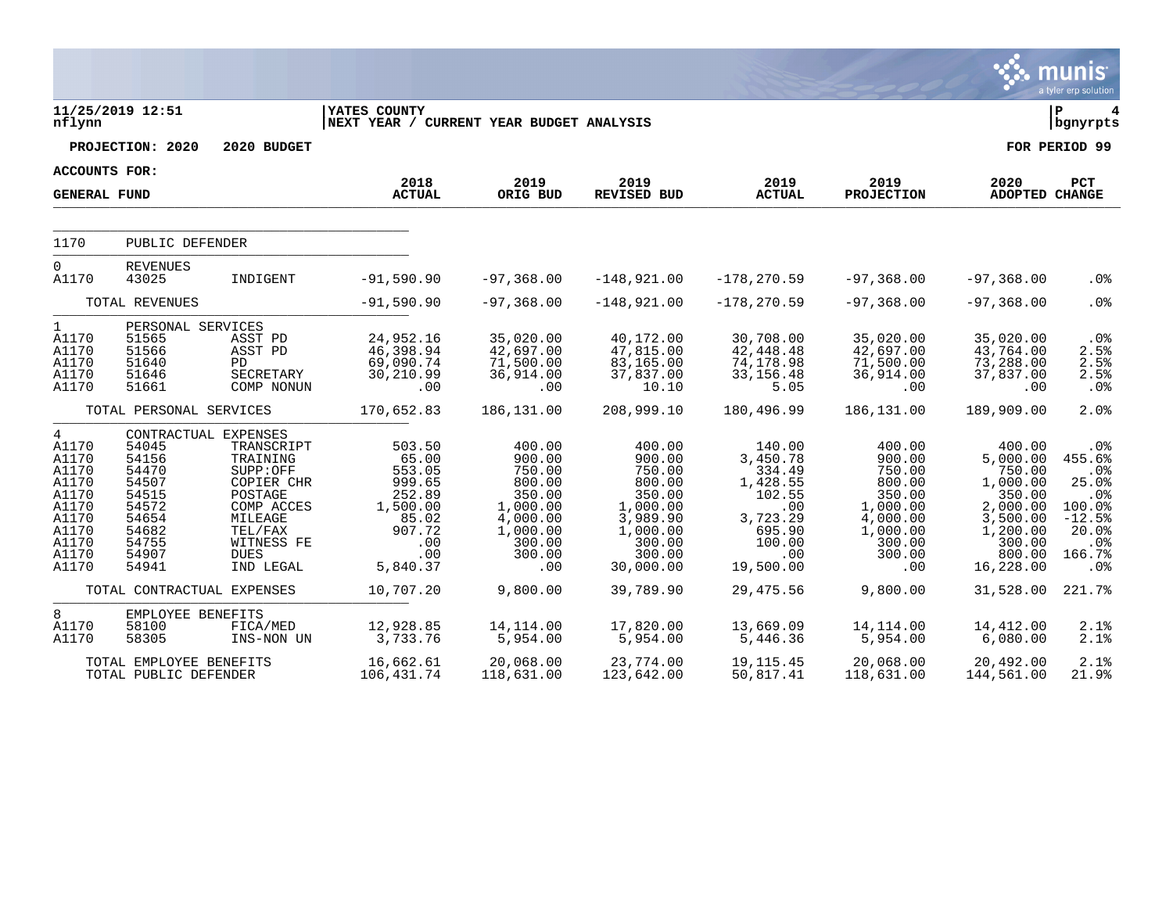|                                                                                                      |                                                                                                                         |                                                                                                                                           |                                                                                                        |                                                                                                               |                                                                                                                     |                                                                                                               |                                                                                                               |                                                                                                                         | munis<br>a tyler erp solution                                                               |
|------------------------------------------------------------------------------------------------------|-------------------------------------------------------------------------------------------------------------------------|-------------------------------------------------------------------------------------------------------------------------------------------|--------------------------------------------------------------------------------------------------------|---------------------------------------------------------------------------------------------------------------|---------------------------------------------------------------------------------------------------------------------|---------------------------------------------------------------------------------------------------------------|---------------------------------------------------------------------------------------------------------------|-------------------------------------------------------------------------------------------------------------------------|---------------------------------------------------------------------------------------------|
| nflynn                                                                                               | 11/25/2019 12:51                                                                                                        |                                                                                                                                           | YATES COUNTY<br>NEXT YEAR / CURRENT YEAR BUDGET ANALYSIS                                               |                                                                                                               |                                                                                                                     |                                                                                                               |                                                                                                               |                                                                                                                         | lР<br>  bgnyrpts                                                                            |
|                                                                                                      | PROJECTION: 2020                                                                                                        | 2020 BUDGET                                                                                                                               |                                                                                                        |                                                                                                               |                                                                                                                     |                                                                                                               |                                                                                                               |                                                                                                                         | FOR PERIOD 99                                                                               |
| <b>ACCOUNTS FOR:</b>                                                                                 |                                                                                                                         |                                                                                                                                           |                                                                                                        |                                                                                                               |                                                                                                                     |                                                                                                               |                                                                                                               |                                                                                                                         |                                                                                             |
| <b>GENERAL FUND</b>                                                                                  |                                                                                                                         |                                                                                                                                           | 2018<br><b>ACTUAL</b>                                                                                  | 2019<br>ORIG BUD                                                                                              | 2019<br>REVISED BUD                                                                                                 | 2019<br><b>ACTUAL</b>                                                                                         | 2019<br><b>PROJECTION</b>                                                                                     | 2020<br>ADOPTED CHANGE                                                                                                  | PCT                                                                                         |
| 1170                                                                                                 | PUBLIC DEFENDER                                                                                                         |                                                                                                                                           |                                                                                                        |                                                                                                               |                                                                                                                     |                                                                                                               |                                                                                                               |                                                                                                                         |                                                                                             |
| $\mathsf{O}$<br>A1170                                                                                | <b>REVENUES</b><br>43025                                                                                                | INDIGENT                                                                                                                                  | $-91,590.90$                                                                                           | $-97, 368.00$                                                                                                 | $-148,921.00$                                                                                                       | $-178, 270.59$                                                                                                | $-97,368.00$                                                                                                  | $-97, 368.00$                                                                                                           | .0 <sub>8</sub>                                                                             |
|                                                                                                      | TOTAL REVENUES                                                                                                          |                                                                                                                                           | $-91,590.90$                                                                                           | $-97, 368.00$                                                                                                 | $-148,921.00$                                                                                                       | $-178, 270.59$                                                                                                | $-97, 368.00$                                                                                                 | $-97, 368.00$                                                                                                           | .0%                                                                                         |
| $\mathbf{1}$<br>A1170<br>A1170<br>A1170<br>A1170<br>A1170                                            | PERSONAL SERVICES<br>51565<br>51566<br>51640<br>51646<br>51661                                                          | ASST PD<br>ASST PD<br><b>PD</b><br>SECRETARY<br>COMP NONUN                                                                                | 24,952.16<br>46,398.94<br>69,090.74<br>30,210.99<br>.00                                                | 35,020.00<br>42,697.00<br>71,500.00<br>36,914.00<br>.00                                                       | 40,172.00<br>47,815.00<br>83,165.00<br>37,837.00<br>10.10                                                           | 30,708.00<br>42,448.48<br>74,178.98<br>33, 156. 48<br>5.05                                                    | 35,020.00<br>42,697.00<br>71,500.00<br>36,914.00<br>.00                                                       | 35,020.00<br>43,764.00<br>73,288.00<br>37,837.00<br>.00                                                                 | .0%<br>2.5%<br>2.5%<br>2.5%<br>.0%                                                          |
|                                                                                                      | TOTAL PERSONAL SERVICES                                                                                                 |                                                                                                                                           | 170,652.83                                                                                             | 186, 131.00                                                                                                   | 208,999.10                                                                                                          | 180,496.99                                                                                                    | 186,131.00                                                                                                    | 189,909.00                                                                                                              | 2.0%                                                                                        |
| 4<br>A1170<br>A1170<br>A1170<br>A1170<br>A1170<br>A1170<br>A1170<br>A1170<br>A1170<br>A1170<br>A1170 | CONTRACTUAL EXPENSES<br>54045<br>54156<br>54470<br>54507<br>54515<br>54572<br>54654<br>54682<br>54755<br>54907<br>54941 | TRANSCRIPT<br>TRAINING<br>SUPP:OFF<br>COPIER CHR<br>POSTAGE<br>COMP ACCES<br>MILEAGE<br>TEL/FAX<br>WITNESS FE<br><b>DUES</b><br>IND LEGAL | 503.50<br>65.00<br>553.05<br>999.65<br>252.89<br>1,500.00<br>85.02<br>907.72<br>.00<br>.00<br>5,840.37 | 400.00<br>900.00<br>750.00<br>800.00<br>350.00<br>1,000.00<br>4,000.00<br>1,000.00<br>300.00<br>300.00<br>.00 | 400.00<br>900.00<br>750.00<br>800.00<br>350.00<br>1,000.00<br>3,989.90<br>1,000.00<br>300.00<br>300.00<br>30,000.00 | 140.00<br>3,450.78<br>334.49<br>1,428.55<br>102.55<br>.00<br>3,723.29<br>695.90<br>100.00<br>.00<br>19,500.00 | 400.00<br>900.00<br>750.00<br>800.00<br>350.00<br>1,000.00<br>4,000.00<br>1,000.00<br>300.00<br>300.00<br>.00 | 400.00<br>5,000.00<br>750.00<br>1,000.00<br>350.00<br>2,000.00<br>3,500.00<br>1,200.00<br>300.00<br>800.00<br>16,228.00 | .0%<br>455.6%<br>.0%<br>25.0%<br>.0%<br>100.0%<br>$-12.5%$<br>20.0%<br>.0%<br>166.7%<br>.0% |
|                                                                                                      | TOTAL CONTRACTUAL EXPENSES                                                                                              |                                                                                                                                           | 10,707.20                                                                                              | 9,800.00                                                                                                      | 39,789.90                                                                                                           | 29,475.56                                                                                                     | 9,800.00                                                                                                      | 31,528.00                                                                                                               | 221.7%                                                                                      |
| 8<br>A1170<br>A1170                                                                                  | EMPLOYEE BENEFITS<br>58100<br>58305                                                                                     | FICA/MED<br>INS-NON UN                                                                                                                    | 12,928.85<br>3,733.76                                                                                  | 14, 114.00<br>5,954.00                                                                                        | 17,820.00<br>5,954.00                                                                                               | 13,669.09<br>5,446.36                                                                                         | 14, 114.00<br>5,954.00                                                                                        | 14,412.00<br>6,080.00                                                                                                   | 2.1%<br>2.1%                                                                                |
|                                                                                                      | TOTAL EMPLOYEE BENEFITS<br>TOTAL PUBLIC DEFENDER                                                                        |                                                                                                                                           | 16,662.61<br>106, 431.74                                                                               | 20,068.00<br>118,631.00                                                                                       | 23,774.00<br>123,642.00                                                                                             | 19, 115. 45<br>50,817.41                                                                                      | 20,068.00<br>118,631.00                                                                                       | 20,492.00<br>144,561.00                                                                                                 | 2.1%<br>21.9%                                                                               |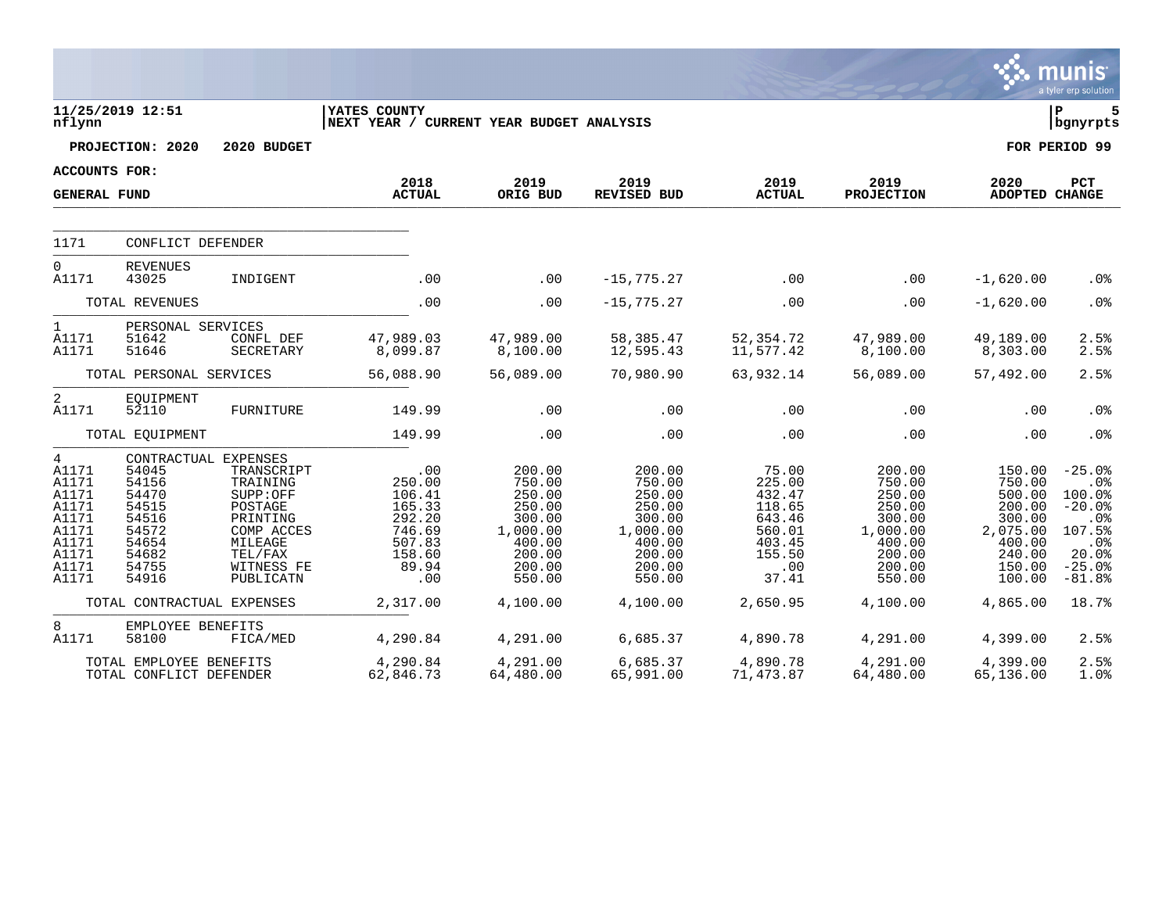|                                                                                                          |                                                                                                                |                                                                                                                          |                                                                                           |                                                                                                    |                                                                                                    |                                                                                             |                                                                                                    |                                                                                                    | munis<br>a tyler erp solution                                                                              |
|----------------------------------------------------------------------------------------------------------|----------------------------------------------------------------------------------------------------------------|--------------------------------------------------------------------------------------------------------------------------|-------------------------------------------------------------------------------------------|----------------------------------------------------------------------------------------------------|----------------------------------------------------------------------------------------------------|---------------------------------------------------------------------------------------------|----------------------------------------------------------------------------------------------------|----------------------------------------------------------------------------------------------------|------------------------------------------------------------------------------------------------------------|
| nflynn                                                                                                   | 11/25/2019 12:51                                                                                               |                                                                                                                          | YATES COUNTY<br>NEXT YEAR / CURRENT YEAR BUDGET ANALYSIS                                  |                                                                                                    |                                                                                                    |                                                                                             |                                                                                                    |                                                                                                    | lР<br>5<br>  bgnyrpts                                                                                      |
|                                                                                                          | PROJECTION: 2020                                                                                               | 2020 BUDGET                                                                                                              |                                                                                           |                                                                                                    |                                                                                                    |                                                                                             |                                                                                                    |                                                                                                    | FOR PERIOD 99                                                                                              |
| <b>ACCOUNTS FOR:</b>                                                                                     |                                                                                                                |                                                                                                                          | 2018                                                                                      |                                                                                                    |                                                                                                    |                                                                                             |                                                                                                    |                                                                                                    |                                                                                                            |
| <b>GENERAL FUND</b>                                                                                      |                                                                                                                |                                                                                                                          | <b>ACTUAL</b>                                                                             | 2019<br>ORIG BUD                                                                                   | 2019<br><b>REVISED BUD</b>                                                                         | 2019<br><b>ACTUAL</b>                                                                       | 2019<br><b>PROJECTION</b>                                                                          | 2020<br>ADOPTED CHANGE                                                                             | PCT                                                                                                        |
| 1171                                                                                                     | CONFLICT DEFENDER                                                                                              |                                                                                                                          |                                                                                           |                                                                                                    |                                                                                                    |                                                                                             |                                                                                                    |                                                                                                    |                                                                                                            |
| $\overline{0}$<br>A1171                                                                                  | <b>REVENUES</b><br>43025                                                                                       | INDIGENT                                                                                                                 | .00                                                                                       | .00                                                                                                | $-15, 775.27$                                                                                      | .00                                                                                         | .00                                                                                                | $-1,620.00$                                                                                        | .0%                                                                                                        |
|                                                                                                          | TOTAL REVENUES                                                                                                 |                                                                                                                          | .00                                                                                       | .00                                                                                                | $-15, 775.27$                                                                                      | .00                                                                                         | .00                                                                                                | $-1,620.00$                                                                                        | .0%                                                                                                        |
| $\mathbf{1}$<br>A1171<br>A1171                                                                           | PERSONAL SERVICES<br>51642<br>51646                                                                            | CONFL DEF<br>SECRETARY                                                                                                   | 47,989.03<br>8,099.87                                                                     | 47,989.00<br>8,100.00                                                                              | 58,385.47<br>12,595.43                                                                             | 52,354.72<br>11,577.42                                                                      | 47,989.00<br>8,100.00                                                                              | 49,189.00<br>8,303.00                                                                              | 2.5%<br>2.5%                                                                                               |
|                                                                                                          | TOTAL PERSONAL SERVICES                                                                                        |                                                                                                                          | 56,088.90                                                                                 | 56,089.00                                                                                          | 70,980.90                                                                                          | 63,932.14                                                                                   | 56,089.00                                                                                          | 57,492.00                                                                                          | 2.5%                                                                                                       |
| 2<br>A1171                                                                                               | EOUIPMENT<br>52110                                                                                             | FURNITURE                                                                                                                | 149.99                                                                                    | .00                                                                                                | .00                                                                                                | .00                                                                                         | .00                                                                                                | .00                                                                                                | .0%                                                                                                        |
|                                                                                                          | TOTAL EQUIPMENT                                                                                                |                                                                                                                          | 149.99                                                                                    | .00                                                                                                | .00                                                                                                | .00                                                                                         | .00                                                                                                | .00                                                                                                | .0%                                                                                                        |
| $\overline{4}$<br>A1171<br>A1171<br>A1171<br>A1171<br>A1171<br>A1171<br>A1171<br>A1171<br>A1171<br>A1171 | CONTRACTUAL EXPENSES<br>54045<br>54156<br>54470<br>54515<br>54516<br>54572<br>54654<br>54682<br>54755<br>54916 | TRANSCRIPT<br>TRAINING<br>SUPP:OFF<br>POSTAGE<br>PRINTING<br>COMP ACCES<br>MILEAGE<br>TEL/FAX<br>WITNESS FE<br>PUBLICATN | .00<br>250.00<br>106.41<br>165.33<br>292.20<br>746.69<br>507.83<br>158.60<br>89.94<br>.00 | 200.00<br>750.00<br>250.00<br>250.00<br>300.00<br>1,000.00<br>400.00<br>200.00<br>200.00<br>550.00 | 200.00<br>750.00<br>250.00<br>250.00<br>300.00<br>1,000.00<br>400.00<br>200.00<br>200.00<br>550.00 | 75.00<br>225.00<br>432.47<br>118.65<br>643.46<br>560.01<br>403.45<br>155.50<br>.00<br>37.41 | 200.00<br>750.00<br>250.00<br>250.00<br>300.00<br>1,000.00<br>400.00<br>200.00<br>200.00<br>550.00 | 150.00<br>750.00<br>500.00<br>200.00<br>300.00<br>2,075.00<br>400.00<br>240.00<br>150.00<br>100.00 | $-25.0%$<br>.0%<br>100.0%<br>$-20.0%$<br>.0 <sub>8</sub><br>107.5%<br>.0%<br>20.0%<br>$-25.0%$<br>$-81.8%$ |
|                                                                                                          | TOTAL CONTRACTUAL EXPENSES                                                                                     |                                                                                                                          | 2,317.00                                                                                  | 4,100.00                                                                                           | 4,100.00                                                                                           | 2,650.95                                                                                    | 4,100.00                                                                                           | 4,865.00                                                                                           | 18.7%                                                                                                      |
| 8<br>A1171                                                                                               | EMPLOYEE BENEFITS<br>58100                                                                                     | FICA/MED                                                                                                                 | 4,290.84                                                                                  | 4,291.00                                                                                           | 6,685.37                                                                                           | 4,890.78                                                                                    | 4,291.00                                                                                           | 4,399.00                                                                                           | 2.5%                                                                                                       |
|                                                                                                          | TOTAL EMPLOYEE BENEFITS<br>TOTAL CONFLICT DEFENDER                                                             |                                                                                                                          | 4,290.84<br>62,846.73                                                                     | 4,291.00<br>64,480.00                                                                              | 6,685.37<br>65,991.00                                                                              | 4,890.78<br>71,473.87                                                                       | 4,291.00<br>64,480.00                                                                              | 4,399.00<br>65,136.00                                                                              | 2.5%<br>1.0%                                                                                               |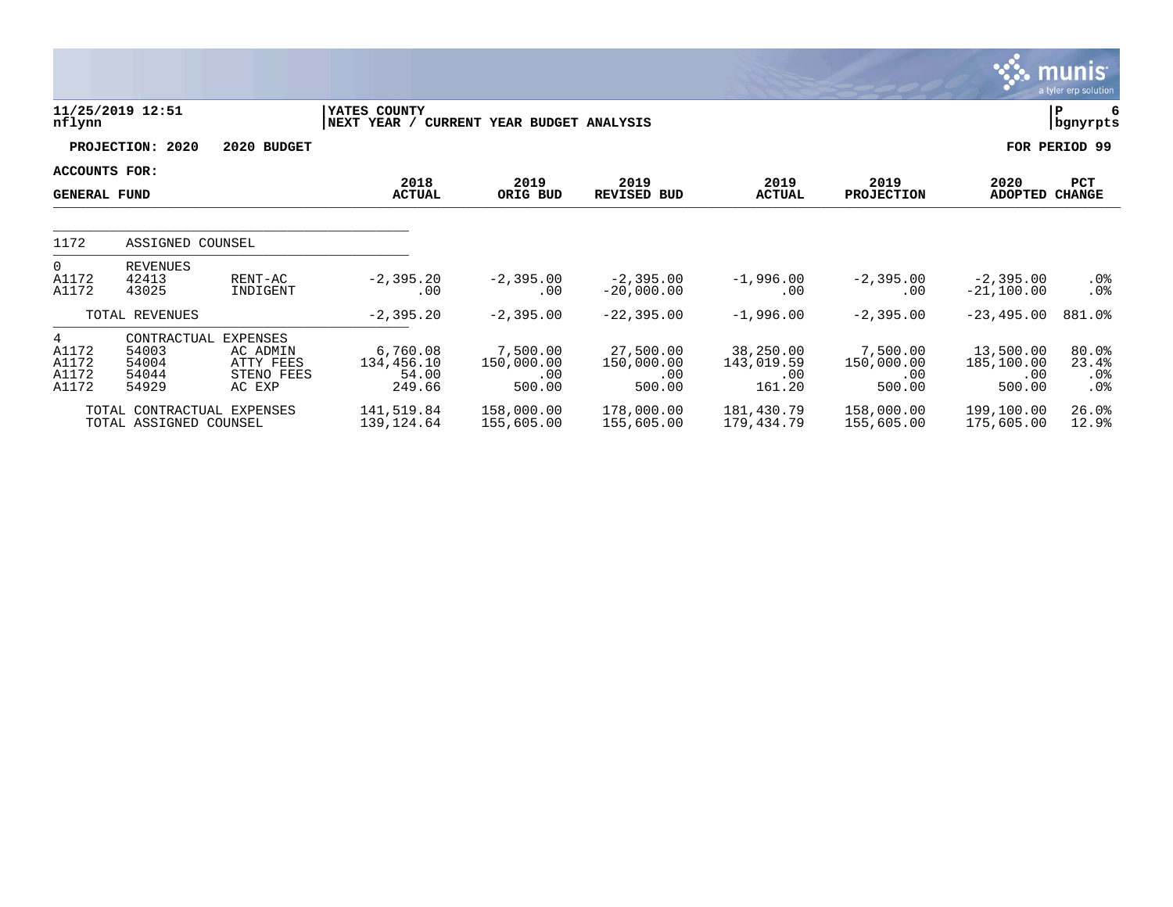|                                                     |                                                          |                                               |                                                          |                                         |                                               |                                          |                                         |                                          | <b>munis</b><br>a tyler erp solution        |
|-----------------------------------------------------|----------------------------------------------------------|-----------------------------------------------|----------------------------------------------------------|-----------------------------------------|-----------------------------------------------|------------------------------------------|-----------------------------------------|------------------------------------------|---------------------------------------------|
| nflynn                                              | 11/25/2019 12:51                                         |                                               | YATES COUNTY<br>NEXT YEAR / CURRENT YEAR BUDGET ANALYSIS |                                         |                                               |                                          |                                         |                                          | P<br>6<br>bgnyrpts                          |
|                                                     | PROJECTION: 2020                                         | 2020 BUDGET                                   |                                                          |                                         |                                               |                                          |                                         |                                          | FOR PERIOD 99                               |
| ACCOUNTS FOR:<br><b>GENERAL FUND</b>                |                                                          |                                               | 2018<br><b>ACTUAL</b>                                    | 2019<br>ORIG BUD                        | 2019<br><b>REVISED BUD</b>                    | 2019<br><b>ACTUAL</b>                    | 2019<br><b>PROJECTION</b>               | 2020<br><b>ADOPTED</b>                   | PCT<br><b>CHANGE</b>                        |
| 1172                                                | ASSIGNED COUNSEL                                         |                                               |                                                          |                                         |                                               |                                          |                                         |                                          |                                             |
| $\Omega$<br>A1172<br>A1172                          | <b>REVENUES</b><br>42413<br>43025                        | RENT-AC<br>INDIGENT                           | $-2, 395.20$<br>.00                                      | $-2,395.00$<br>.00                      | $-2,395.00$<br>$-20,000.00$                   | $-1,996.00$<br>.00                       | $-2, 395.00$<br>.00                     | $-2,395.00$<br>$-21,100.00$              | $.0\%$<br>$.0\%$                            |
|                                                     | TOTAL REVENUES                                           |                                               | $-2, 395.20$                                             | $-2,395.00$                             | $-22, 395.00$                                 | $-1,996.00$                              | $-2, 395.00$                            | $-23, 495.00$                            | 881.0%                                      |
| $4\overline{ }$<br>A1172<br>A1172<br>A1172<br>A1172 | CONTRACTUAL EXPENSES<br>54003<br>54004<br>54044<br>54929 | AC ADMIN<br>ATTY FEES<br>STENO FEES<br>AC EXP | 6,760.08<br>134,456.10<br>54.00<br>249.66                | 7,500.00<br>150,000.00<br>.00<br>500.00 | 27,500.00<br>150,000.00<br>$.00 \,$<br>500.00 | 38,250.00<br>143,019.59<br>.00<br>161.20 | 7,500.00<br>150,000.00<br>.00<br>500.00 | 13,500.00<br>185,100.00<br>.00<br>500.00 | $80.0$ $^{\circ}$<br>23.4%<br>$.0\%$<br>.0% |
|                                                     | TOTAL CONTRACTUAL EXPENSES<br>TOTAL ASSIGNED COUNSEL     |                                               | 141,519.84<br>139,124.64                                 | 158,000.00<br>155,605.00                | 178,000.00<br>155,605.00                      | 181,430.79<br>179,434.79                 | 158,000.00<br>155,605.00                | 199,100.00<br>175,605.00                 | 26.0%<br>12.9%                              |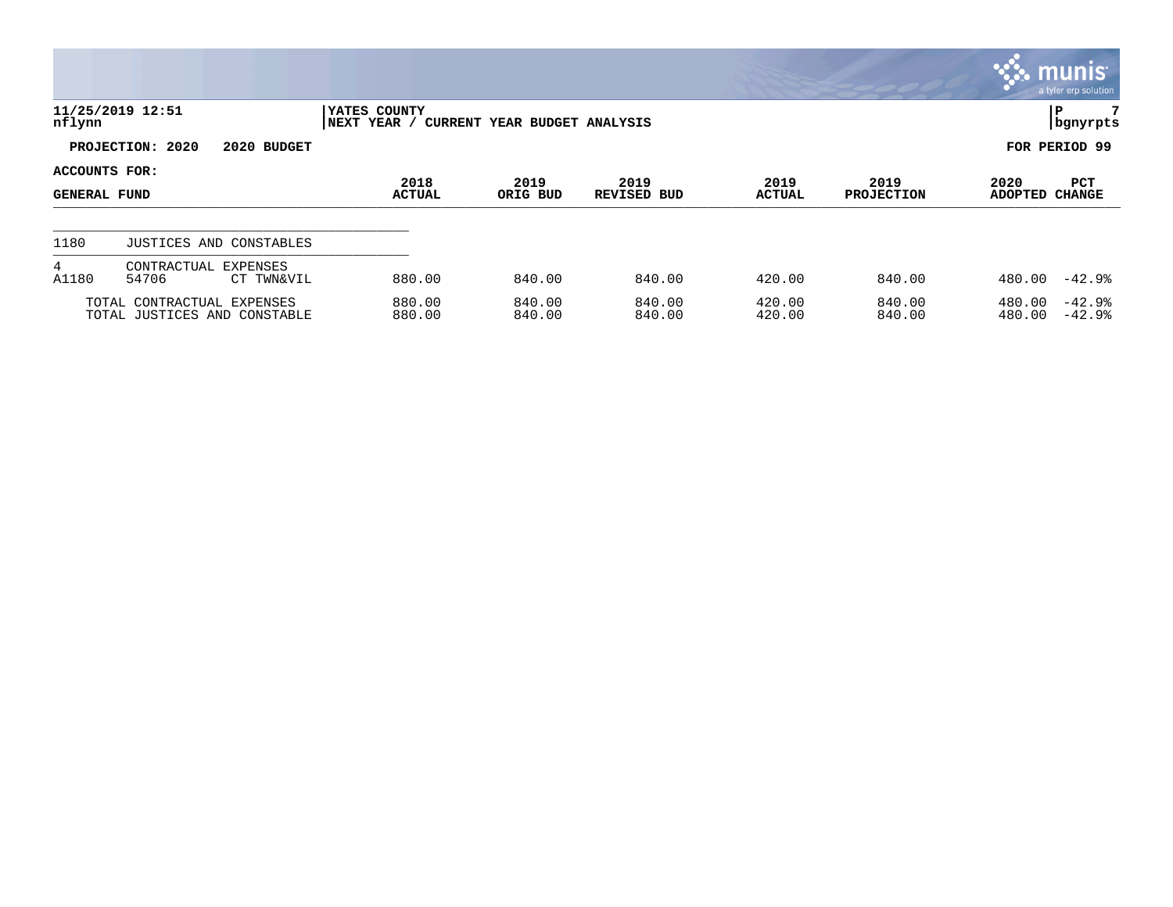|                               |                                                            |                             |                              |                            |                       |                           |                        | $\mathbb{C}$ munis<br>a tyler erp solution |
|-------------------------------|------------------------------------------------------------|-----------------------------|------------------------------|----------------------------|-----------------------|---------------------------|------------------------|--------------------------------------------|
| nflynn                        | 11/25/2019 12:51                                           | YATES COUNTY<br>NEXT YEAR / | CURRENT YEAR BUDGET ANALYSIS |                            |                       |                           |                        | 7<br>P<br>  bgnyrpts                       |
|                               | PROJECTION: 2020<br>2020 BUDGET                            |                             |                              |                            |                       |                           |                        | FOR PERIOD 99                              |
| ACCOUNTS FOR:<br>GENERAL FUND |                                                            | 2018<br><b>ACTUAL</b>       | 2019<br>ORIG BUD             | 2019<br><b>REVISED BUD</b> | 2019<br><b>ACTUAL</b> | 2019<br><b>PROJECTION</b> | 2020<br><b>ADOPTED</b> | <b>PCT</b><br><b>CHANGE</b>                |
| 1180                          | JUSTICES AND CONSTABLES                                    |                             |                              |                            |                       |                           |                        |                                            |
| $4^{\circ}$<br>A1180          | CONTRACTUAL EXPENSES<br>54706<br>CT TWN&VIL                | 880.00                      | 840.00                       | 840.00                     | 420.00                | 840.00                    | 480.00                 | $-42.9%$                                   |
|                               | TOTAL CONTRACTUAL EXPENSES<br>TOTAL JUSTICES AND CONSTABLE | 880.00<br>880.00            | 840.00<br>840.00             | 840.00<br>840.00           | 420.00<br>420.00      | 840.00<br>840.00          | 480.00<br>480.00       | $-42.9%$<br>$-42.9%$                       |

**SOF**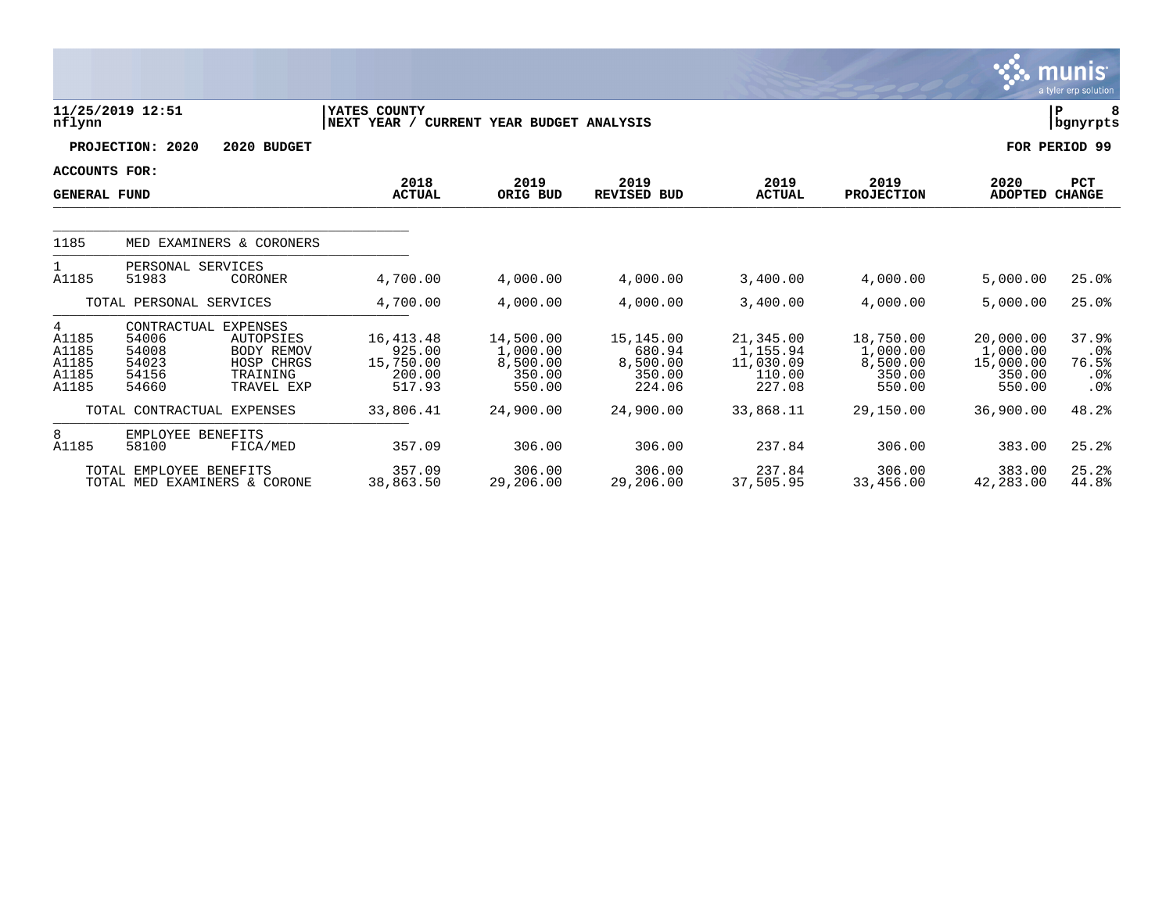|                                                |                                                                                       |                                                                 |                                                          |                                                       |                                                     |                                                        |                                                       |                                                        | munis<br>a tyler erp solution                      |
|------------------------------------------------|---------------------------------------------------------------------------------------|-----------------------------------------------------------------|----------------------------------------------------------|-------------------------------------------------------|-----------------------------------------------------|--------------------------------------------------------|-------------------------------------------------------|--------------------------------------------------------|----------------------------------------------------|
| nflynn                                         | 11/25/2019 12:51                                                                      |                                                                 | YATES COUNTY<br>NEXT YEAR / CURRENT YEAR BUDGET ANALYSIS |                                                       |                                                     |                                                        |                                                       |                                                        | lР<br>  bgnyrpts                                   |
|                                                | PROJECTION: 2020                                                                      | 2020 BUDGET                                                     |                                                          |                                                       |                                                     |                                                        |                                                       |                                                        | FOR PERIOD 99                                      |
| ACCOUNTS FOR:<br><b>GENERAL FUND</b>           |                                                                                       |                                                                 | 2018<br><b>ACTUAL</b>                                    | 2019<br>ORIG BUD                                      | 2019<br><b>REVISED BUD</b>                          | 2019<br><b>ACTUAL</b>                                  | 2019<br><b>PROJECTION</b>                             | 2020<br><b>ADOPTED</b>                                 | PCT<br><b>CHANGE</b>                               |
| 1185                                           |                                                                                       | MED EXAMINERS & CORONERS                                        |                                                          |                                                       |                                                     |                                                        |                                                       |                                                        |                                                    |
| 1<br>A1185                                     | PERSONAL SERVICES<br>51983                                                            | CORONER                                                         | 4,700.00                                                 | 4,000.00                                              | 4,000.00                                            | 3,400.00                                               | 4,000.00                                              | 5,000.00                                               | 25.0%                                              |
|                                                | TOTAL PERSONAL SERVICES                                                               |                                                                 | 4,700.00                                                 | 4,000.00                                              | 4,000.00                                            | 3,400.00                                               | 4,000.00                                              | 5,000.00                                               | 25.0%                                              |
| 4<br>A1185<br>A1185<br>A1185<br>A1185<br>A1185 | CONTRACTUAL EXPENSES<br>54006<br>54008<br>54023<br>54156<br>54660                     | AUTOPSIES<br>BODY REMOV<br>HOSP CHRGS<br>TRAINING<br>TRAVEL EXP | 16, 413. 48<br>925.00<br>15,750.00<br>200.00<br>517.93   | 14,500.00<br>1,000.00<br>8,500.00<br>350.00<br>550.00 | 15,145.00<br>680.94<br>8,500.00<br>350.00<br>224.06 | 21,345.00<br>1,155.94<br>11,030.09<br>110.00<br>227.08 | 18,750.00<br>1,000.00<br>8,500.00<br>350.00<br>550.00 | 20,000.00<br>1,000.00<br>15,000.00<br>350.00<br>550.00 | 37.9%<br>$.0\%$<br>76.5%<br>.0%<br>.0 <sub>8</sub> |
|                                                | TOTAL CONTRACTUAL EXPENSES                                                            |                                                                 | 33,806.41                                                | 24,900.00                                             | 24,900.00                                           | 33,868.11                                              | 29,150.00                                             | 36,900.00                                              | 48.2%                                              |
| 8<br>A1185                                     | EMPLOYEE BENEFITS<br>58100<br>TOTAL EMPLOYEE BENEFITS<br>TOTAL MED EXAMINERS & CORONE | FICA/MED                                                        | 357.09<br>357.09<br>38,863.50                            | 306.00<br>306.00<br>29,206.00                         | 306.00<br>306.00<br>29,206.00                       | 237.84<br>237.84<br>37,505.95                          | 306.00<br>306.00<br>33,456.00                         | 383.00<br>383.00<br>42,283.00                          | 25.2%<br>25.2%<br>44.8%                            |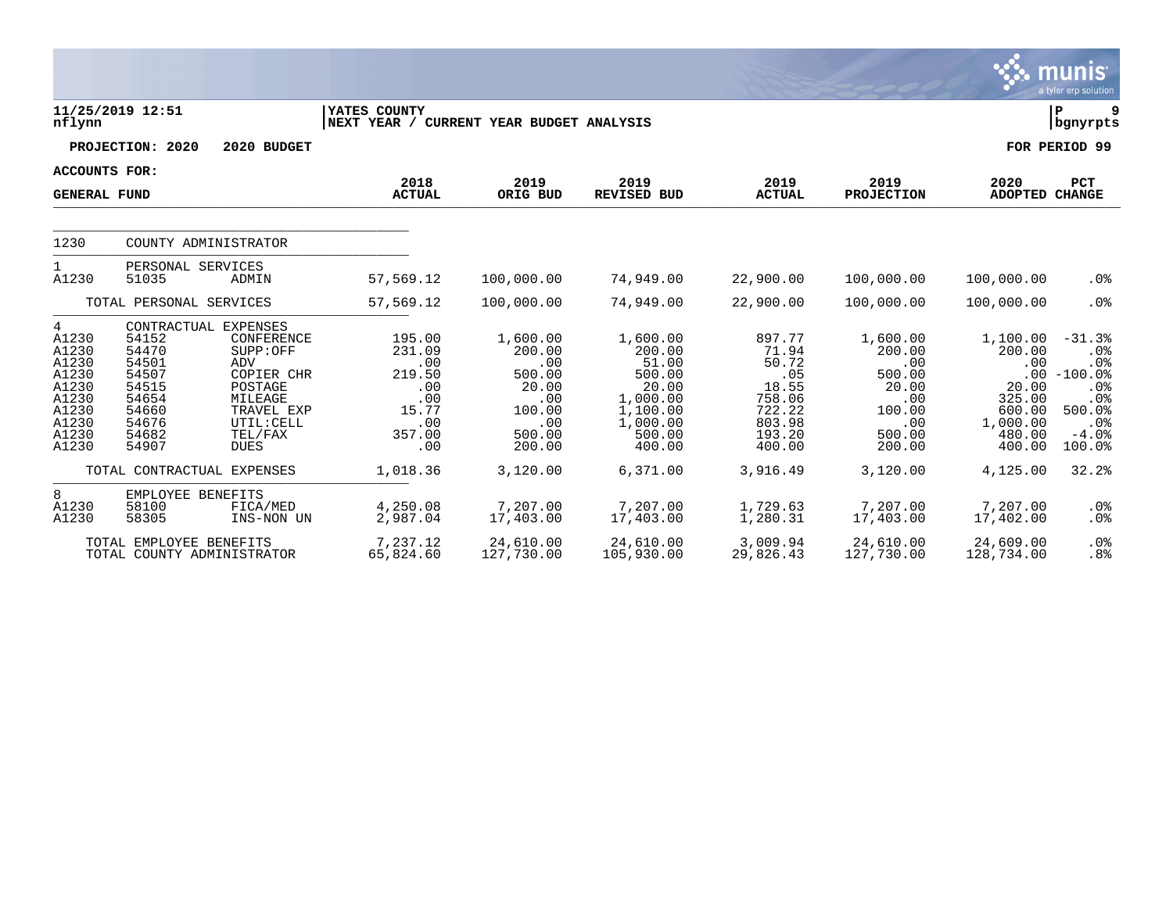|                                                                                             |                                                                                                                      |                                                                                                                                                 |                                                                                              |                                                                                                      |                                                                                                                    |                                                                                                        |                                                                                                      |                                                                                                           | munıs <sup>.</sup><br>a tyler erp solution                                                              |
|---------------------------------------------------------------------------------------------|----------------------------------------------------------------------------------------------------------------------|-------------------------------------------------------------------------------------------------------------------------------------------------|----------------------------------------------------------------------------------------------|------------------------------------------------------------------------------------------------------|--------------------------------------------------------------------------------------------------------------------|--------------------------------------------------------------------------------------------------------|------------------------------------------------------------------------------------------------------|-----------------------------------------------------------------------------------------------------------|---------------------------------------------------------------------------------------------------------|
| nflynn                                                                                      | 11/25/2019 12:51                                                                                                     |                                                                                                                                                 | YATES COUNTY<br>NEXT YEAR / CURRENT YEAR BUDGET ANALYSIS                                     |                                                                                                      |                                                                                                                    |                                                                                                        |                                                                                                      |                                                                                                           | l P<br>  bgnyrpts                                                                                       |
|                                                                                             | PROJECTION: 2020                                                                                                     | 2020 BUDGET                                                                                                                                     |                                                                                              |                                                                                                      |                                                                                                                    |                                                                                                        |                                                                                                      |                                                                                                           | FOR PERIOD 99                                                                                           |
| <b>ACCOUNTS FOR:</b>                                                                        |                                                                                                                      |                                                                                                                                                 |                                                                                              |                                                                                                      |                                                                                                                    |                                                                                                        |                                                                                                      |                                                                                                           |                                                                                                         |
| <b>GENERAL FUND</b>                                                                         |                                                                                                                      |                                                                                                                                                 | 2018<br><b>ACTUAL</b>                                                                        | 2019<br>ORIG BUD                                                                                     | 2019<br><b>REVISED BUD</b>                                                                                         | 2019<br><b>ACTUAL</b>                                                                                  | 2019<br><b>PROJECTION</b>                                                                            | 2020<br>ADOPTED CHANGE                                                                                    | PCT                                                                                                     |
| 1230                                                                                        |                                                                                                                      | COUNTY ADMINISTRATOR                                                                                                                            |                                                                                              |                                                                                                      |                                                                                                                    |                                                                                                        |                                                                                                      |                                                                                                           |                                                                                                         |
| $\mathbf{1}$<br>A1230                                                                       | PERSONAL SERVICES<br>51035                                                                                           | ADMIN                                                                                                                                           | 57,569.12                                                                                    | 100,000.00                                                                                           | 74,949.00                                                                                                          | 22,900.00                                                                                              | 100,000.00                                                                                           | 100,000.00                                                                                                | .0%                                                                                                     |
|                                                                                             | TOTAL PERSONAL SERVICES                                                                                              |                                                                                                                                                 | 57,569.12                                                                                    | 100,000.00                                                                                           | 74,949.00                                                                                                          | 22,900.00                                                                                              | 100,000.00                                                                                           | 100,000.00                                                                                                | .0%                                                                                                     |
| 4<br>A1230<br>A1230<br>A1230<br>A1230<br>A1230<br>A1230<br>A1230<br>A1230<br>A1230<br>A1230 | 54152<br>54470<br>54501<br>54507<br>54515<br>54654<br>54660<br>54676<br>54682<br>54907<br>TOTAL CONTRACTUAL EXPENSES | CONTRACTUAL EXPENSES<br>CONFERENCE<br>SUPP:OFF<br>ADV<br>COPIER CHR<br>POSTAGE<br>MILEAGE<br>TRAVEL EXP<br>UTIL: CELL<br>TEL/FAX<br><b>DUES</b> | 195.00<br>231.09<br>.00<br>219.50<br>.00<br>.00<br>15.77<br>.00<br>357.00<br>.00<br>1,018.36 | 1,600.00<br>200.00<br>.00<br>500.00<br>20.00<br>.00<br>100.00<br>.00<br>500.00<br>200.00<br>3,120.00 | 1,600.00<br>200.00<br>51.00<br>500.00<br>20.00<br>1,000.00<br>1,100.00<br>1,000.00<br>500.00<br>400.00<br>6,371.00 | 897.77<br>71.94<br>50.72<br>.05<br>18.55<br>758.06<br>722.22<br>803.98<br>193.20<br>400.00<br>3,916.49 | 1,600.00<br>200.00<br>.00<br>500.00<br>20.00<br>.00<br>100.00<br>.00<br>500.00<br>200.00<br>3,120.00 | 1,100.00<br>200.00<br>.00<br>.00<br>20.00<br>325.00<br>600.00<br>1,000.00<br>480.00<br>400.00<br>4,125.00 | $-31.3%$<br>$.0\%$<br>.0%<br>$-100.0$ %<br>.0%<br>.0%<br>500.0%<br>$.0\%$<br>$-4.0%$<br>100.0%<br>32.2% |
| 8<br>A1230<br>A1230                                                                         | EMPLOYEE BENEFITS<br>58100<br>58305<br>TOTAL EMPLOYEE BENEFITS                                                       | FICA/MED<br>INS-NON UN                                                                                                                          | 4,250.08<br>2,987.04                                                                         | 7,207.00<br>17,403.00                                                                                | 7,207.00<br>17,403.00                                                                                              | 1,729.63<br>1,280.31<br>3,009.94                                                                       | 7,207.00<br>17,403.00                                                                                | 7,207.00<br>17,402.00                                                                                     | $.0\%$<br>$.0\%$                                                                                        |
|                                                                                             | TOTAL COUNTY ADMINISTRATOR                                                                                           |                                                                                                                                                 | 7,237.12<br>65,824.60                                                                        | 24,610.00<br>127,730.00                                                                              | 24,610.00<br>105,930.00                                                                                            | 29,826.43                                                                                              | 24,610.00<br>127,730.00                                                                              | 24,609.00<br>128,734.00                                                                                   | $.0\%$<br>.8%                                                                                           |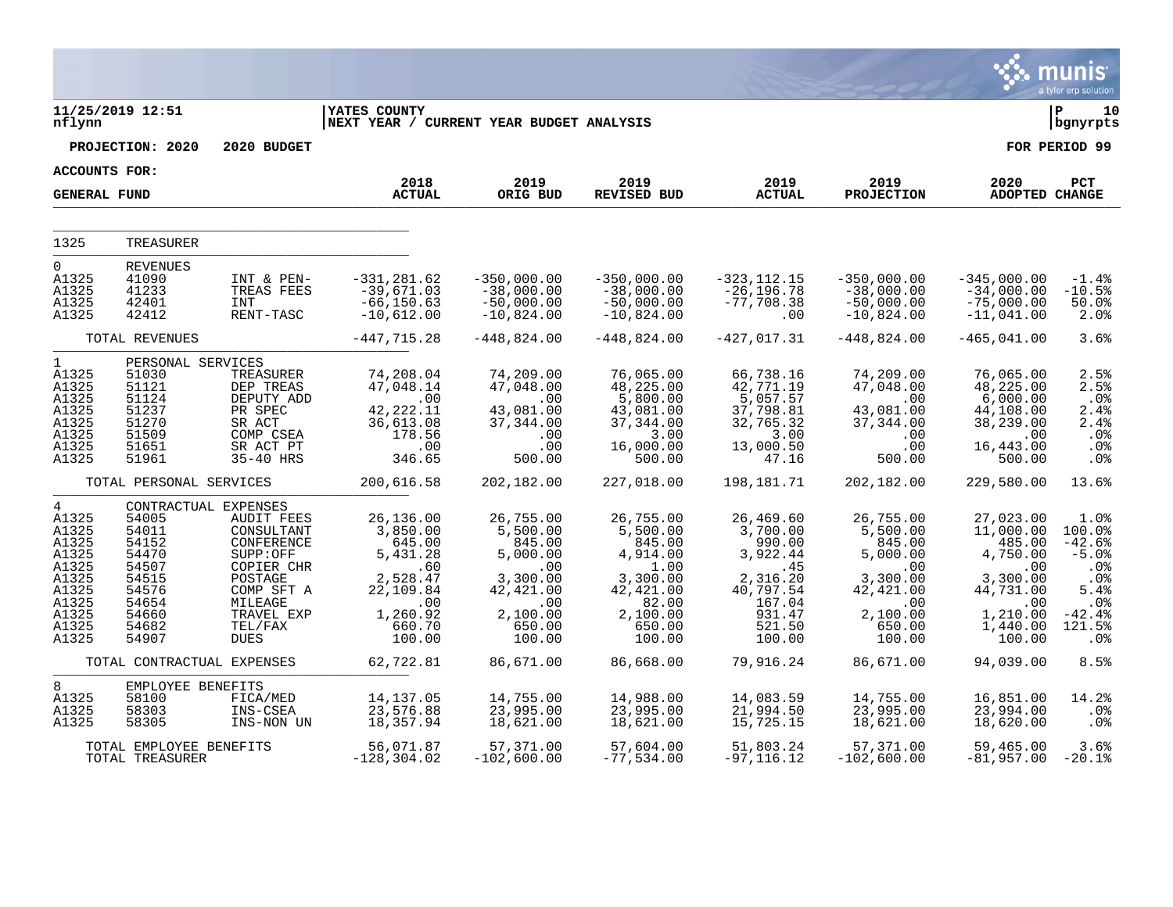|                                                                                                          |                                                                                                                |                                                                                                                                      |                                                                                                          |                                                                                                          |                                                                                                             |                                                                                                           |                                                                                                          |                                                                                                             | nis<br>mu<br>a tyler erp solution                                                                    |
|----------------------------------------------------------------------------------------------------------|----------------------------------------------------------------------------------------------------------------|--------------------------------------------------------------------------------------------------------------------------------------|----------------------------------------------------------------------------------------------------------|----------------------------------------------------------------------------------------------------------|-------------------------------------------------------------------------------------------------------------|-----------------------------------------------------------------------------------------------------------|----------------------------------------------------------------------------------------------------------|-------------------------------------------------------------------------------------------------------------|------------------------------------------------------------------------------------------------------|
| nflynn                                                                                                   | 11/25/2019 12:51                                                                                               |                                                                                                                                      | YATES COUNTY<br>NEXT YEAR / CURRENT YEAR BUDGET ANALYSIS                                                 |                                                                                                          |                                                                                                             |                                                                                                           |                                                                                                          |                                                                                                             | 10<br>P<br>bgnyrpts                                                                                  |
|                                                                                                          | PROJECTION: 2020                                                                                               | 2020 BUDGET                                                                                                                          |                                                                                                          |                                                                                                          |                                                                                                             |                                                                                                           |                                                                                                          |                                                                                                             | FOR PERIOD 99                                                                                        |
| ACCOUNTS FOR:                                                                                            |                                                                                                                |                                                                                                                                      |                                                                                                          |                                                                                                          |                                                                                                             |                                                                                                           |                                                                                                          |                                                                                                             |                                                                                                      |
| <b>GENERAL FUND</b>                                                                                      |                                                                                                                |                                                                                                                                      | 2018<br><b>ACTUAL</b>                                                                                    | 2019<br>ORIG BUD                                                                                         | 2019<br><b>REVISED BUD</b>                                                                                  | 2019<br><b>ACTUAL</b>                                                                                     | 2019<br><b>PROJECTION</b>                                                                                | 2020<br>ADOPTED CHANGE                                                                                      | PCT                                                                                                  |
| 1325                                                                                                     | TREASURER                                                                                                      |                                                                                                                                      |                                                                                                          |                                                                                                          |                                                                                                             |                                                                                                           |                                                                                                          |                                                                                                             |                                                                                                      |
| 0                                                                                                        | <b>REVENUES</b>                                                                                                |                                                                                                                                      |                                                                                                          |                                                                                                          |                                                                                                             |                                                                                                           |                                                                                                          |                                                                                                             |                                                                                                      |
| A1325<br>A1325<br>A1325<br>A1325                                                                         | 41090<br>41233<br>42401<br>42412                                                                               | INT & PEN-<br>TREAS FEES<br><b>INT</b><br>RENT-TASC                                                                                  | $-331, 281.62$<br>$-39,671.03$<br>$-66, 150.63$<br>$-10,612.00$                                          | $-350,000.00$<br>$-38,000.00$<br>$-50,000.00$<br>$-10,824.00$                                            | $-350,000.00$<br>$-38,000.00$<br>$-50,000.00$<br>$-10,824.00$                                               | $-323, 112.15$<br>$-26, 196.78$<br>$-77,708.38$<br>.00                                                    | $-350,000.00$<br>$-38,000.00$<br>$-50,000.00$<br>$-10,824.00$                                            | $-345,000.00$<br>$-34,000.00$<br>$-75,000.00$<br>$-11,041.00$                                               | $-1.4%$<br>$-10.5%$<br>50.0%<br>2.0%                                                                 |
|                                                                                                          | TOTAL REVENUES                                                                                                 |                                                                                                                                      | $-447, 715.28$                                                                                           | $-448,824.00$                                                                                            | $-448,824.00$                                                                                               | $-427,017.31$                                                                                             | $-448,824.00$                                                                                            | $-465,041.00$                                                                                               | 3.6%                                                                                                 |
| $\mathbf{1}$<br>A1325<br>A1325<br>A1325<br>A1325<br>A1325<br>A1325<br>A1325<br>A1325                     | PERSONAL SERVICES<br>51030<br>51121<br>51124<br>51237<br>51270<br>51509<br>51651<br>51961                      | TREASURER<br>DEP TREAS<br>DEPUTY ADD<br>PR SPEC<br>SR ACT<br>COMP CSEA<br>SR ACT PT<br>35-40 HRS                                     | 74,208.04<br>47,048.14<br>.00<br>42, 222. 11<br>36,613.08<br>178.56<br>.00<br>346.65                     | 74,209.00<br>47,048.00<br>.00<br>43,081.00<br>37,344.00<br>.00<br>.00<br>500.00                          | 76,065.00<br>48,225.00<br>5,800.00<br>43,081.00<br>37, 344.00<br>3.00<br>16,000.00<br>500.00                | 66,738.16<br>42,771.19<br>5,057.57<br>37,798.81<br>32,765.32<br>3.00<br>13,000.50<br>47.16                | 74,209.00<br>47,048.00<br>.00<br>43,081.00<br>37, 344.00<br>.00<br>.00<br>500.00                         | 76,065.00<br>48,225.00<br>6,000.00<br>44,108.00<br>38,239.00<br>.00<br>16,443.00<br>500.00                  | 2.5%<br>2.5%<br>.0%<br>2.4%<br>2.4%<br>.0%<br>.0%<br>.0%                                             |
|                                                                                                          | TOTAL PERSONAL SERVICES                                                                                        |                                                                                                                                      | 200,616.58                                                                                               | 202,182.00                                                                                               | 227,018.00                                                                                                  | 198,181.71                                                                                                | 202,182.00                                                                                               | 229,580.00                                                                                                  | 13.6%                                                                                                |
| $\overline{4}$<br>A1325<br>A1325<br>A1325<br>A1325<br>A1325<br>A1325<br>A1325<br>A1325<br>A1325<br>A1325 | CONTRACTUAL EXPENSES<br>54005<br>54011<br>54152<br>54470<br>54507<br>54515<br>54576<br>54654<br>54660<br>54682 | <b>AUDIT FEES</b><br>CONSULTANT<br>CONFERENCE<br>SUPP:OFF<br>COPIER CHR<br>POSTAGE<br>COMP SFT A<br>MILEAGE<br>TRAVEL EXP<br>TEL/FAX | 26,136.00<br>3,850.00<br>645.00<br>5,431.28<br>.60<br>2,528.47<br>22,109.84<br>.00<br>1,260.92<br>660.70 | 26,755.00<br>5,500.00<br>845.00<br>5,000.00<br>.00<br>3,300.00<br>42,421.00<br>.00<br>2,100.00<br>650.00 | 26,755.00<br>5,500.00<br>845.00<br>4,914.00<br>1.00<br>3,300.00<br>42,421.00<br>82.00<br>2,100.00<br>650.00 | 26,469.60<br>3,700.00<br>990.00<br>3,922.44<br>.45<br>2,316.20<br>40,797.54<br>167.04<br>931.47<br>521.50 | 26,755.00<br>5,500.00<br>845.00<br>5,000.00<br>.00<br>3,300.00<br>42,421.00<br>.00<br>2,100.00<br>650.00 | 27,023.00<br>11,000.00<br>485.00<br>4,750.00<br>.00<br>3,300.00<br>44,731.00<br>.00<br>1,210.00<br>1,440.00 | 1.0%<br>100.0%<br>$-42.6%$<br>$-5.0%$<br>.0 <sub>8</sub><br>.0%<br>5.4%<br>.0%<br>$-42.4%$<br>121.5% |
| A1325                                                                                                    | 54907                                                                                                          | <b>DUES</b>                                                                                                                          | 100.00                                                                                                   | 100.00                                                                                                   | 100.00                                                                                                      | 100.00                                                                                                    | 100.00                                                                                                   | 100.00                                                                                                      | .0 <sub>8</sub>                                                                                      |
|                                                                                                          | TOTAL CONTRACTUAL EXPENSES                                                                                     |                                                                                                                                      | 62,722.81                                                                                                | 86,671.00                                                                                                | 86,668.00                                                                                                   | 79,916.24                                                                                                 | 86,671.00                                                                                                | 94,039.00                                                                                                   | 8.5%                                                                                                 |
| 8<br>A1325<br>A1325<br>A1325                                                                             | EMPLOYEE BENEFITS<br>58100<br>58303<br>58305                                                                   | FICA/MED<br>INS-CSEA<br>INS-NON UN                                                                                                   | 14,137.05<br>23,576.88<br>18,357.94                                                                      | 14,755.00<br>23,995.00<br>18,621.00                                                                      | 14,988.00<br>23,995.00<br>18,621.00                                                                         | 14,083.59<br>21,994.50<br>15,725.15                                                                       | 14,755.00<br>23,995.00<br>18,621.00                                                                      | 16,851.00<br>23,994.00<br>18,620.00                                                                         | 14.2%<br>.0%<br>.0%                                                                                  |
|                                                                                                          | TOTAL EMPLOYEE BENEFITS<br>TOTAL TREASURER                                                                     |                                                                                                                                      | 56,071.87<br>$-128, 304.02$                                                                              | 57,371.00<br>-102,600.00                                                                                 | 57,604.00<br>-77,534.00                                                                                     | 51,803.24<br>$-97, 116.12$                                                                                | 57,371.00<br>$-102,600.00$                                                                               | 59,465.00<br>$-81,957.00$                                                                                   | 3.6%<br>$-20.1%$                                                                                     |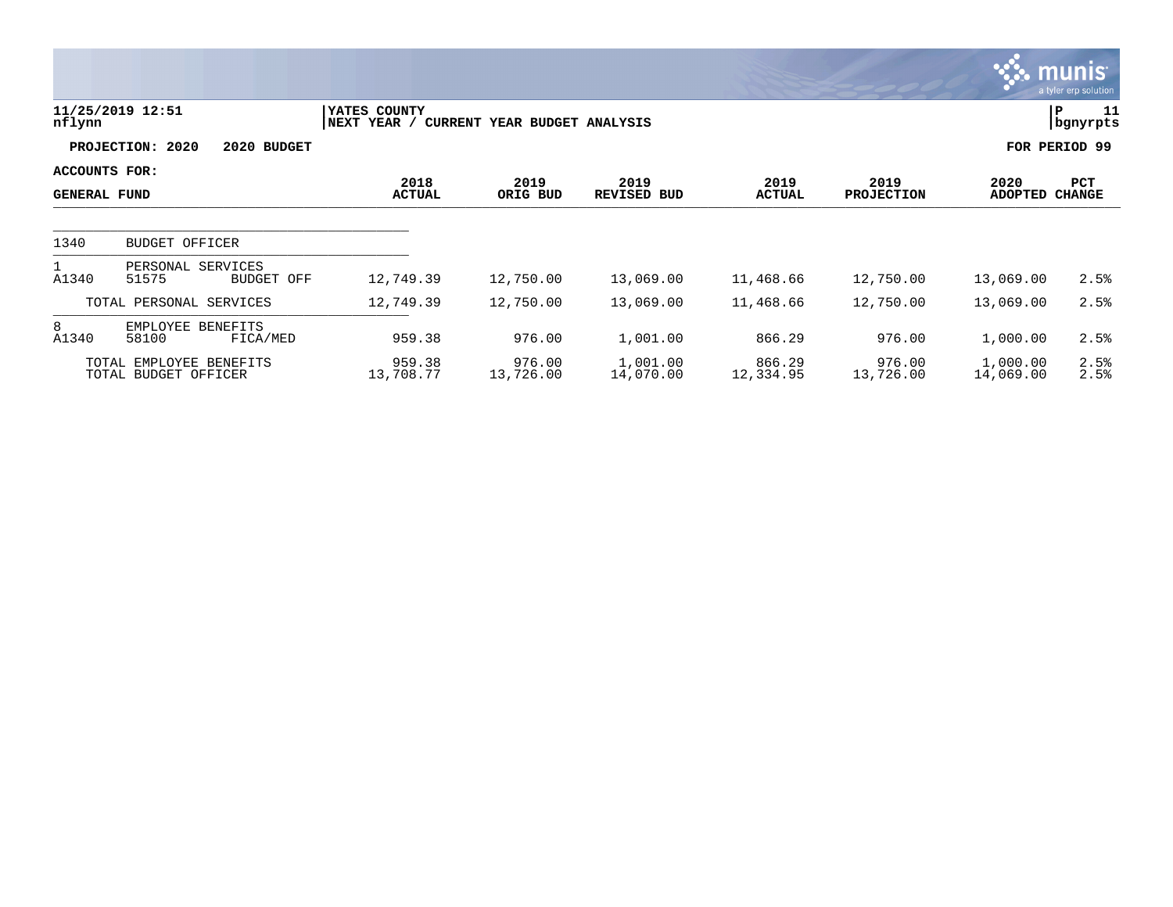|                                      |                                                 |                             |                              |                       |                       |                           |                       | <b>munis</b><br>a tyler erp solution |
|--------------------------------------|-------------------------------------------------|-----------------------------|------------------------------|-----------------------|-----------------------|---------------------------|-----------------------|--------------------------------------|
| nflynn                               | 11/25/2019 12:51                                | YATES COUNTY<br>NEXT YEAR / | CURRENT YEAR BUDGET ANALYSIS |                       |                       |                           | P                     | 11<br>bgnyrpts                       |
|                                      | PROJECTION: 2020<br>2020 BUDGET                 |                             |                              |                       |                       |                           |                       | FOR PERIOD 99                        |
| ACCOUNTS FOR:<br><b>GENERAL FUND</b> |                                                 | 2018<br><b>ACTUAL</b>       | 2019<br>ORIG BUD             | 2019<br>REVISED BUD   | 2019<br><b>ACTUAL</b> | 2019<br><b>PROJECTION</b> | 2020<br>ADOPTED       | PCT<br><b>CHANGE</b>                 |
| 1340                                 | <b>BUDGET OFFICER</b>                           |                             |                              |                       |                       |                           |                       |                                      |
|                                      |                                                 |                             |                              |                       |                       |                           |                       |                                      |
| A1340                                | PERSONAL SERVICES<br>51575<br>BUDGET OFF        | 12,749.39                   | 12,750.00                    | 13,069.00             | 11,468.66             | 12,750.00                 | 13,069.00             | 2.5%                                 |
|                                      | TOTAL PERSONAL SERVICES                         | 12,749.39                   | 12,750.00                    | 13,069.00             | 11,468.66             | 12,750.00                 | 13,069.00             | 2.5%                                 |
| 8<br>A1340                           | EMPLOYEE BENEFITS<br>58100<br>FICA/MED          | 959.38                      | 976.00                       | 1,001.00              | 866.29                | 976.00                    | 1,000.00              | 2.5%                                 |
|                                      | TOTAL EMPLOYEE BENEFITS<br>TOTAL BUDGET OFFICER | 959.38<br>13,708.77         | 976.00<br>13,726.00          | 1,001.00<br>14,070.00 | 866.29<br>12,334.95   | 976.00<br>13,726.00       | 1,000.00<br>14,069.00 | 2.5%<br>2.5%                         |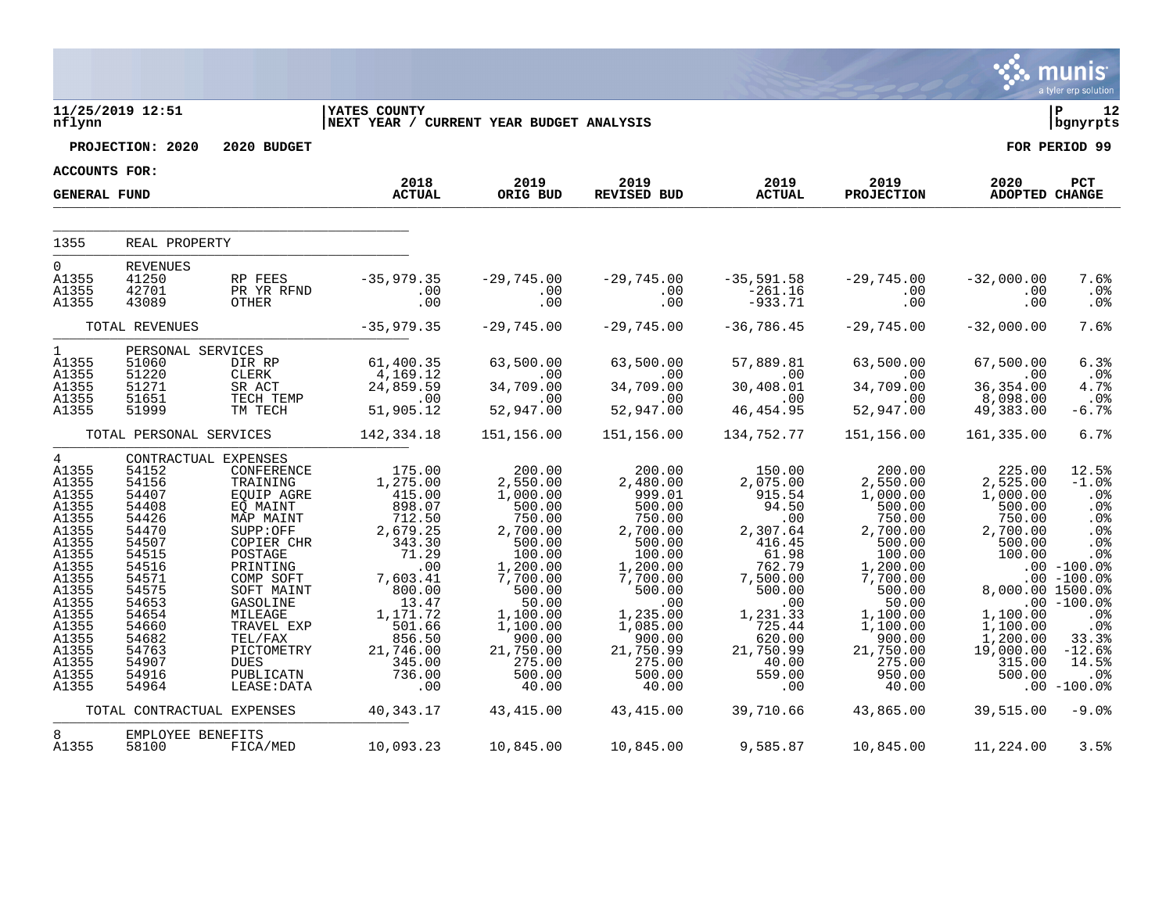|                                                                                                                                                                                           |                                                                                                                                                                                                 |                                                                                                                                                                                                                                                    |                                                                                                                                                                                               |                                                                                                                                                                                                           |                                                                                                                                                                                                       |                                                                                                                                                                                           |                                                                                                                                                                                                           |                                                                                                                                                                             | munis<br>a tyler erp solution                                                                                                                                                                                 |
|-------------------------------------------------------------------------------------------------------------------------------------------------------------------------------------------|-------------------------------------------------------------------------------------------------------------------------------------------------------------------------------------------------|----------------------------------------------------------------------------------------------------------------------------------------------------------------------------------------------------------------------------------------------------|-----------------------------------------------------------------------------------------------------------------------------------------------------------------------------------------------|-----------------------------------------------------------------------------------------------------------------------------------------------------------------------------------------------------------|-------------------------------------------------------------------------------------------------------------------------------------------------------------------------------------------------------|-------------------------------------------------------------------------------------------------------------------------------------------------------------------------------------------|-----------------------------------------------------------------------------------------------------------------------------------------------------------------------------------------------------------|-----------------------------------------------------------------------------------------------------------------------------------------------------------------------------|---------------------------------------------------------------------------------------------------------------------------------------------------------------------------------------------------------------|
| nflynn                                                                                                                                                                                    | 11/25/2019 12:51                                                                                                                                                                                |                                                                                                                                                                                                                                                    | <b>IYATES COUNTY</b><br>NEXT YEAR / CURRENT YEAR BUDGET ANALYSIS                                                                                                                              |                                                                                                                                                                                                           |                                                                                                                                                                                                       |                                                                                                                                                                                           |                                                                                                                                                                                                           |                                                                                                                                                                             | ∣ P<br>12<br>  bgnyrpts                                                                                                                                                                                       |
|                                                                                                                                                                                           | PROJECTION: 2020                                                                                                                                                                                | 2020 BUDGET                                                                                                                                                                                                                                        |                                                                                                                                                                                               |                                                                                                                                                                                                           |                                                                                                                                                                                                       |                                                                                                                                                                                           |                                                                                                                                                                                                           |                                                                                                                                                                             | FOR PERIOD 99                                                                                                                                                                                                 |
| ACCOUNTS FOR:                                                                                                                                                                             |                                                                                                                                                                                                 |                                                                                                                                                                                                                                                    |                                                                                                                                                                                               |                                                                                                                                                                                                           |                                                                                                                                                                                                       |                                                                                                                                                                                           |                                                                                                                                                                                                           |                                                                                                                                                                             |                                                                                                                                                                                                               |
| <b>GENERAL FUND</b>                                                                                                                                                                       |                                                                                                                                                                                                 |                                                                                                                                                                                                                                                    | 2018<br><b>ACTUAL</b>                                                                                                                                                                         | 2019<br>ORIG BUD                                                                                                                                                                                          | 2019<br>REVISED BUD                                                                                                                                                                                   | 2019<br><b>ACTUAL</b>                                                                                                                                                                     | 2019<br><b>PROJECTION</b>                                                                                                                                                                                 | 2020<br><b>ADOPTED CHANGE</b>                                                                                                                                               | PCT                                                                                                                                                                                                           |
| 1355                                                                                                                                                                                      | REAL PROPERTY                                                                                                                                                                                   |                                                                                                                                                                                                                                                    |                                                                                                                                                                                               |                                                                                                                                                                                                           |                                                                                                                                                                                                       |                                                                                                                                                                                           |                                                                                                                                                                                                           |                                                                                                                                                                             |                                                                                                                                                                                                               |
| $\overline{0}$<br>A1355<br>A1355<br>A1355                                                                                                                                                 | <b>REVENUES</b><br>41250<br>42701<br>43089                                                                                                                                                      | RP FEES<br>PR YR RFND<br>OTHER                                                                                                                                                                                                                     | $-35,979.35$<br>.00<br>.00                                                                                                                                                                    | $-29,745.00$<br>.00<br>$.00$                                                                                                                                                                              | $-29,745.00$<br>.00<br>$.00$                                                                                                                                                                          | $-35,591.58$<br>-261.16<br>$-933.71$                                                                                                                                                      | $-29,745.00$<br>.00<br>.00                                                                                                                                                                                | $-32,000.00$<br>.00<br>.00                                                                                                                                                  | 7.6%<br>.0%<br>.0%                                                                                                                                                                                            |
|                                                                                                                                                                                           | TOTAL REVENUES                                                                                                                                                                                  |                                                                                                                                                                                                                                                    | $-35,979.35$                                                                                                                                                                                  | $-29,745.00$                                                                                                                                                                                              | $-29,745.00$                                                                                                                                                                                          | $-36,786.45$                                                                                                                                                                              | $-29,745.00$                                                                                                                                                                                              | $-32,000.00$                                                                                                                                                                | 7.6%                                                                                                                                                                                                          |
| $1 \quad$<br>A1355<br>A1355<br>A1355<br>A1355<br>A1355                                                                                                                                    | PERSONAL SERVICES<br>51060<br>51220<br>51271<br>51651<br>51999                                                                                                                                  | DIR RP<br>CLERK<br>SR ACT<br>TECH TEMP<br>TM TECH                                                                                                                                                                                                  | 61,400.35<br>4,169.12<br>24,859.59<br>$\overline{\phantom{0}}$ . 00<br>51,905.12                                                                                                              | 63,500.00<br>$\sim 00$<br>34,709.00<br>.00<br>52,947.00                                                                                                                                                   | 63,500.00<br>$\sim$ $ \sim$ 00<br>34,709.00<br>$\overline{\phantom{0}}$ .00<br>52,947.00                                                                                                              | 57,889.81<br>$\sim$ 00<br>30,408.01<br>.00<br>46, 454.95                                                                                                                                  | 63,500.00<br>$\overline{00}$<br>34,709.00<br>.00<br>52,947.00                                                                                                                                             | 67,500.00<br>.00<br>36, 354.00<br>8,098.00<br>49,383.00                                                                                                                     | 6.3%<br>.0%<br>4.7%<br>.0%<br>$-6.7%$                                                                                                                                                                         |
|                                                                                                                                                                                           | TOTAL PERSONAL SERVICES                                                                                                                                                                         |                                                                                                                                                                                                                                                    | 142,334.18                                                                                                                                                                                    | 151,156.00                                                                                                                                                                                                | 151,156.00                                                                                                                                                                                            | 134,752.77                                                                                                                                                                                | 151,156.00                                                                                                                                                                                                | 161,335.00                                                                                                                                                                  | 6.7%                                                                                                                                                                                                          |
| $\overline{4}$<br>A1355<br>A1355<br>A1355<br>A1355<br>A1355<br>A1355<br>A1355<br>A1355<br>A1355<br>A1355<br>A1355<br>A1355<br>A1355<br>A1355<br>A1355<br>A1355<br>A1355<br>A1355<br>A1355 | CONTRACTUAL EXPENSES<br>54152<br>54156<br>54407<br>54408<br>54426<br>54470<br>54507<br>54515<br>54516<br>54571<br>54575<br>54653<br>54654<br>54660<br>54682<br>54763<br>54907<br>54916<br>54964 | CONFERENCE<br>TRAINING<br>EQUIP AGRE<br>EQ MAINT<br>MAP MAINT<br>SUPP:OFF<br>COPIER CHR<br>POSTAGE<br>PRINTING<br>COMP SOFT<br>SOFT MAINT<br>GASOLINE<br>MILEAGE<br>TRAVEL EXP<br>TEL/FAX<br>PICTOMETRY<br><b>DUES</b><br>PUBLICATN<br>LEASE: DATA | 175.00<br>1,275.00<br>415.00<br>898.07<br>712.50<br>2,679.25<br>343.30<br>71.29<br>.00<br>7,603.41<br>800.00<br>13.47<br>1,171.72<br>501.66<br>856.50<br>21,746.00<br>345.00<br>736.00<br>.00 | 200.00<br>2,550.00<br>1,000.00<br>500.00<br>750.00<br>2,700.00<br>500.00<br>100.00<br>1,200.00<br>7,700.00<br>500.00<br>50.00<br>1,100.00<br>1,100.00<br>900.00<br>21,750.00<br>275.00<br>500.00<br>40.00 | 200.00<br>2,480.00<br>999.01<br>500.00<br>750.00<br>2,700.00<br>500.00<br>100.00<br>1,200.00<br>7,700.00<br>500.00<br>.00<br>1,235.00<br>1,085.00<br>900.00<br>21,750.99<br>275.00<br>500.00<br>40.00 | 150.00<br>2,075.00<br>915.54<br>94.50<br>.00<br>2,307.64<br>416.45<br>61.98<br>762.79<br>7,500.00<br>500.00<br>.00<br>1,231.33<br>725.44<br>620.00<br>21,750.99<br>40.00<br>559.00<br>.00 | 200.00<br>2,550.00<br>1,000.00<br>500.00<br>750.00<br>2,700.00<br>500.00<br>100.00<br>1,200.00<br>7,700.00<br>500.00<br>50.00<br>1,100.00<br>1,100.00<br>900.00<br>21,750.00<br>275.00<br>950.00<br>40.00 | 225.00<br>2,525.00<br>1,000.00<br>500.00<br>750.00<br>2,700.00<br>500.00<br>100.00<br>8,000.00 1500.0%<br>1,100.00<br>1,100.00<br>1,200.00<br>19,000.00<br>315.00<br>500.00 | 12.5%<br>$-1.0%$<br>.0%<br>.0%<br>.0 <sub>8</sub><br>.0%<br>.0 <sup>8</sup><br>.0%<br>$.00 - 100.0$<br>$.00 - 100.0%$<br>$.00 - 100.0%$<br>.0%<br>.0%<br>33.3%<br>$-12.6%$<br>14.5%<br>.0%<br>$.00$ $-100.0%$ |
|                                                                                                                                                                                           | TOTAL CONTRACTUAL EXPENSES                                                                                                                                                                      |                                                                                                                                                                                                                                                    | 40, 343. 17                                                                                                                                                                                   | 43,415.00                                                                                                                                                                                                 | 43,415.00                                                                                                                                                                                             | 39,710.66                                                                                                                                                                                 | 43,865.00                                                                                                                                                                                                 | 39,515.00                                                                                                                                                                   | $-9.0%$                                                                                                                                                                                                       |
| 8<br>A1355                                                                                                                                                                                | EMPLOYEE BENEFITS<br>58100                                                                                                                                                                      | FICA/MED                                                                                                                                                                                                                                           | 10,093.23                                                                                                                                                                                     | 10,845.00                                                                                                                                                                                                 | 10,845.00                                                                                                                                                                                             | 9,585.87                                                                                                                                                                                  | 10,845.00                                                                                                                                                                                                 | 11,224.00                                                                                                                                                                   | 3.5%                                                                                                                                                                                                          |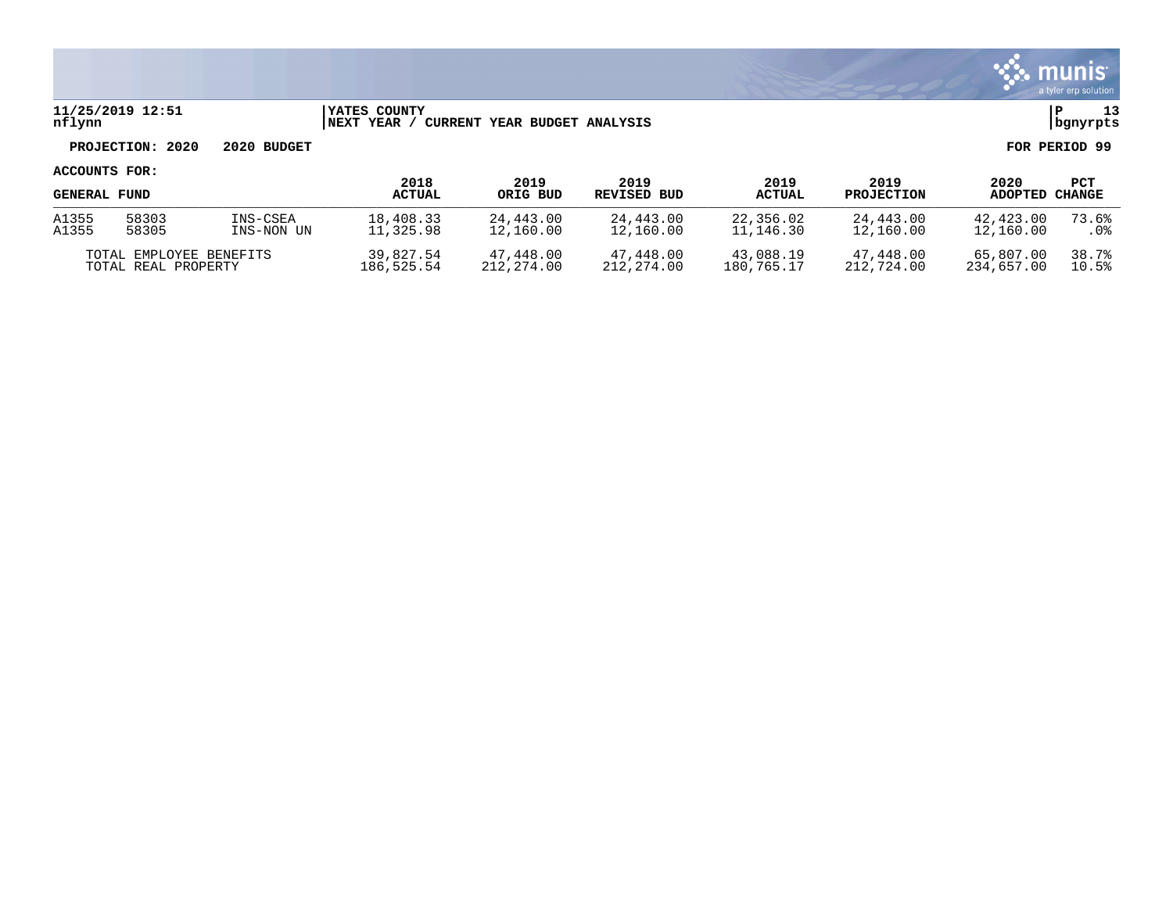

### **11/25/2019 12:51 |YATES COUNTY |P 13 nflynn |NEXT YEAR / CURRENT YEAR BUDGET ANALYSIS |bgnyrpts**

# **PROJECTION: 2020 2020 BUDGET FOR PERIOD 99**

| <b>GENERAL FUND</b>     |       |            | 2018<br><b>ACTUAL</b> | 2019<br>ORIG BUD | 2019<br>REVISED BUD | 2019<br><b>ACTUAL</b> | 2019<br><b>PROJECTION</b> | 2020<br>ADOPTED | PCT<br><b>CHANGE</b> |
|-------------------------|-------|------------|-----------------------|------------------|---------------------|-----------------------|---------------------------|-----------------|----------------------|
| A1355                   | 58303 | INS-CSEA   | 18,408.33             | 24,443.00        | 24,443.00           | 22,356.02             | 24,443.00                 | 42,423.00       | 73.6%                |
| A1355                   | 58305 | INS-NON UN | 11,325.98             | 12,160.00        | 12,160.00           | 11,146.30             | 12,160.00                 | 12,160.00       | . 0%                 |
| TOTAL EMPLOYEE BENEFITS |       | 39,827.54  | 47,448.00             | 47,448.00        | 43,088.19           | 47,448.00             | 65,807.00                 | 38.7%           |                      |
| TOTAL REAL PROPERTY     |       | 186,525.54 | 212,274.00            | 212,274.00       | 180.765.17          | 212,724.00            | 234,657.00                | 10.5%           |                      |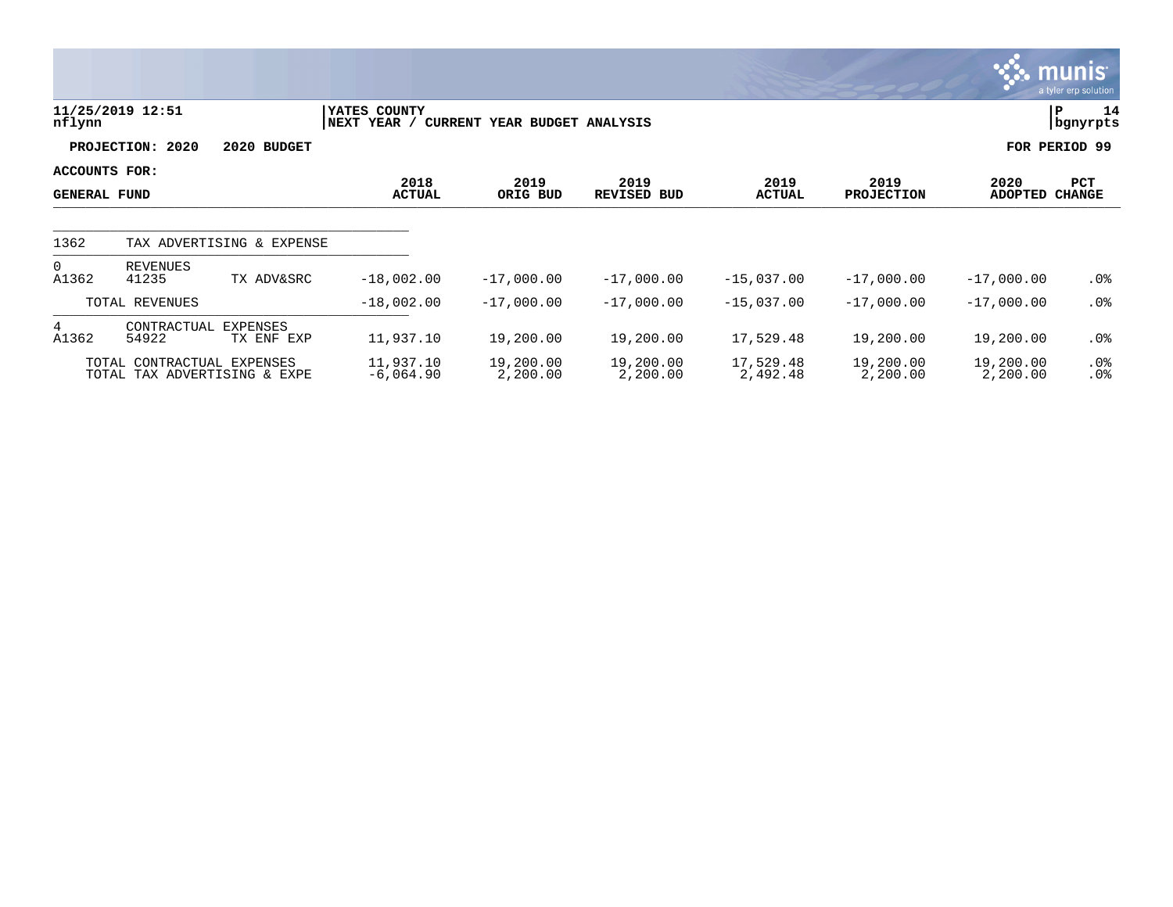|                                      |                            |                              |                             |                              |                       |                       |                           |                       | munis <sup>1</sup><br>a tyler erp solution |
|--------------------------------------|----------------------------|------------------------------|-----------------------------|------------------------------|-----------------------|-----------------------|---------------------------|-----------------------|--------------------------------------------|
| nflynn                               | 11/25/2019 12:51           |                              | YATES COUNTY<br>NEXT YEAR / | CURRENT YEAR BUDGET ANALYSIS |                       |                       |                           | PΡ                    | 14<br>bgnyrpts                             |
|                                      | <b>PROJECTION:</b><br>2020 | 2020 BUDGET                  |                             |                              |                       |                       |                           |                       | FOR PERIOD 99                              |
| ACCOUNTS FOR:<br><b>GENERAL FUND</b> |                            |                              | 2018<br><b>ACTUAL</b>       | 2019<br>ORIG BUD             | 2019<br>REVISED BUD   | 2019<br><b>ACTUAL</b> | 2019<br><b>PROJECTION</b> | 2020<br>ADOPTED       | PCT<br><b>CHANGE</b>                       |
| 1362                                 |                            | TAX ADVERTISING & EXPENSE    |                             |                              |                       |                       |                           |                       |                                            |
| $\Omega$<br>A1362                    | <b>REVENUES</b><br>41235   | TX ADV&SRC                   | $-18,002.00$                | $-17,000.00$                 | $-17,000.00$          | $-15,037.00$          | $-17,000.00$              | $-17,000.00$          | $.0\%$                                     |
|                                      | TOTAL REVENUES             |                              | $-18,002.00$                | $-17,000.00$                 | $-17,000.00$          | $-15,037.00$          | $-17,000.00$              | $-17,000.00$          | $.0\%$                                     |
| 4<br>A1362                           | CONTRACTUAL<br>54922       | EXPENSES<br>TX ENF EXP       | 11,937.10                   | 19,200.00                    | 19,200.00             | 17,529.48             | 19,200.00                 | 19,200.00             | $.0\%$                                     |
|                                      | TOTAL CONTRACTUAL EXPENSES | TOTAL TAX ADVERTISING & EXPE | 11,937.10<br>$-6,064.90$    | 19,200.00<br>2,200.00        | 19,200.00<br>2,200.00 | 17,529.48<br>2,492.48 | 19,200.00<br>2,200.00     | 19,200.00<br>2,200.00 | $.0\%$<br>$.0\%$                           |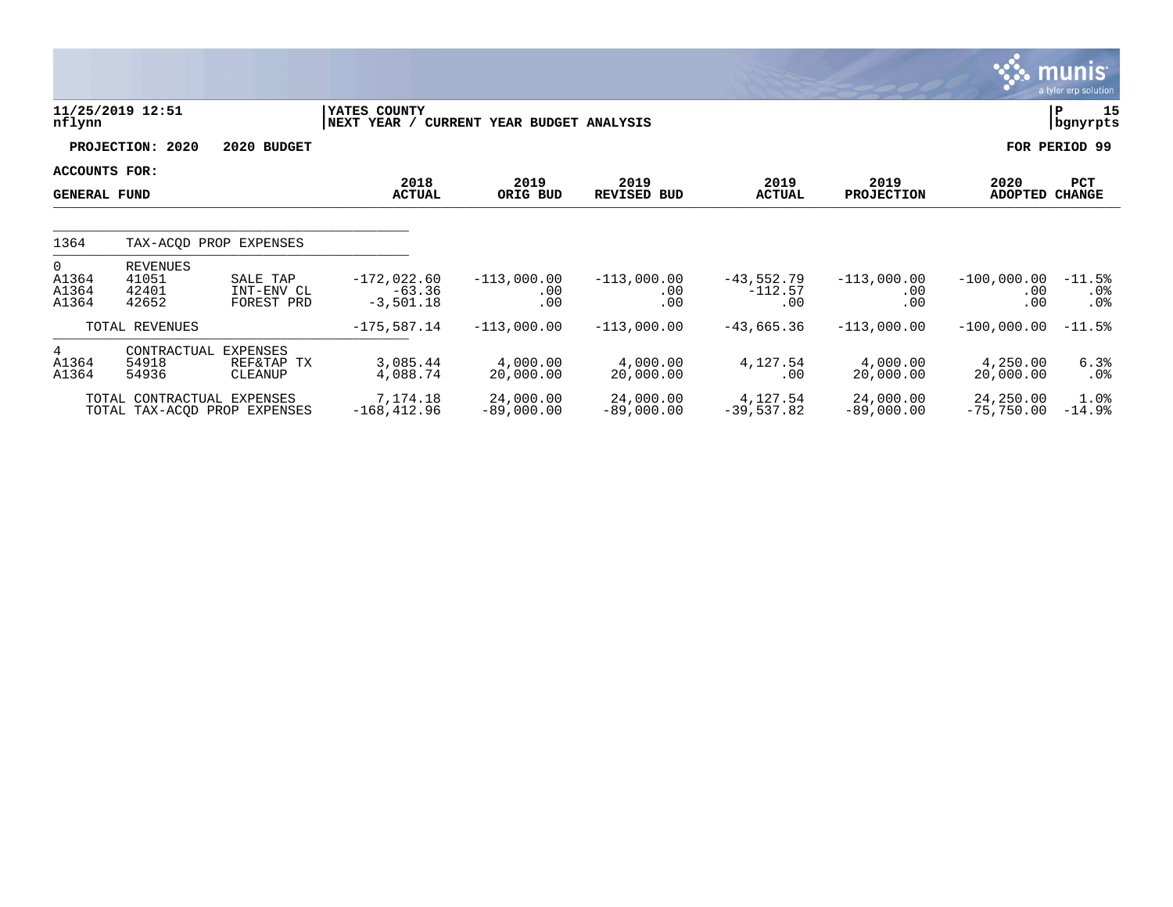|                                             |                                            |                                          |                                                                 |                             |                              |                                  |                             |                                  | munis<br>a tyler erp solution         |
|---------------------------------------------|--------------------------------------------|------------------------------------------|-----------------------------------------------------------------|-----------------------------|------------------------------|----------------------------------|-----------------------------|----------------------------------|---------------------------------------|
| nflynn                                      | 11/25/2019 12:51                           |                                          | <b>YATES COUNTY</b><br>NEXT YEAR / CURRENT YEAR BUDGET ANALYSIS |                             |                              |                                  |                             |                                  | 15<br>P<br>  bgnyrpts                 |
|                                             | PROJECTION: 2020                           | 2020 BUDGET                              |                                                                 |                             |                              |                                  |                             |                                  | FOR PERIOD 99                         |
| <b>ACCOUNTS FOR:</b><br><b>GENERAL FUND</b> |                                            |                                          | 2018<br><b>ACTUAL</b>                                           | 2019<br>ORIG BUD            | 2019<br><b>REVISED BUD</b>   | 2019<br><b>ACTUAL</b>            | 2019<br><b>PROJECTION</b>   | 2020<br><b>ADOPTED CHANGE</b>    | PCT                                   |
| 1364                                        |                                            | TAX-ACOD PROP EXPENSES                   |                                                                 |                             |                              |                                  |                             |                                  |                                       |
| $\Omega$<br>A1364<br>A1364<br>A1364         | <b>REVENUES</b><br>41051<br>42401<br>42652 | SALE TAP<br>INT-ENV CL<br>FOREST PRD     | $-172,022.60$<br>$-63.36$<br>$-3,501.18$                        | $-113,000.00$<br>.00<br>.00 | $-113,000.00$<br>.00.<br>.00 | $-43,552.79$<br>$-112.57$<br>.00 | $-113,000.00$<br>.00<br>.00 | $-100,000.00$<br>$.00 \,$<br>.00 | $-11.5%$<br>$.0\%$<br>.0 <sub>8</sub> |
|                                             | TOTAL REVENUES                             |                                          | $-175,587.14$                                                   | $-113,000.00$               | $-113,000.00$                | $-43,665.36$                     | $-113,000.00$               | $-100,000.00$                    | $-11.5%$                              |
| $4\overline{ }$<br>A1364<br>A1364           | CONTRACTUAL<br>54918<br>54936              | <b>EXPENSES</b><br>REF&TAP TX<br>CLEANUP | 3,085.44<br>4,088.74                                            | 4,000.00<br>20,000.00       | 4,000.00<br>20,000.00        | 4,127.54<br>$.00 \,$             | 4,000.00<br>20,000.00       | 4,250.00<br>20,000.00            | 6.3%<br>$.0\%$                        |
|                                             | TOTAL CONTRACTUAL EXPENSES                 | TOTAL TAX-ACOD PROP EXPENSES             | 7,174.18<br>$-168, 412.96$                                      | 24,000.00<br>$-89,000.00$   | 24,000.00<br>$-89,000.00$    | 4,127.54<br>$-39,537.82$         | 24,000.00<br>$-89,000.00$   | 24,250.00<br>$-75,750.00$        | 1.0%<br>$-14.9%$                      |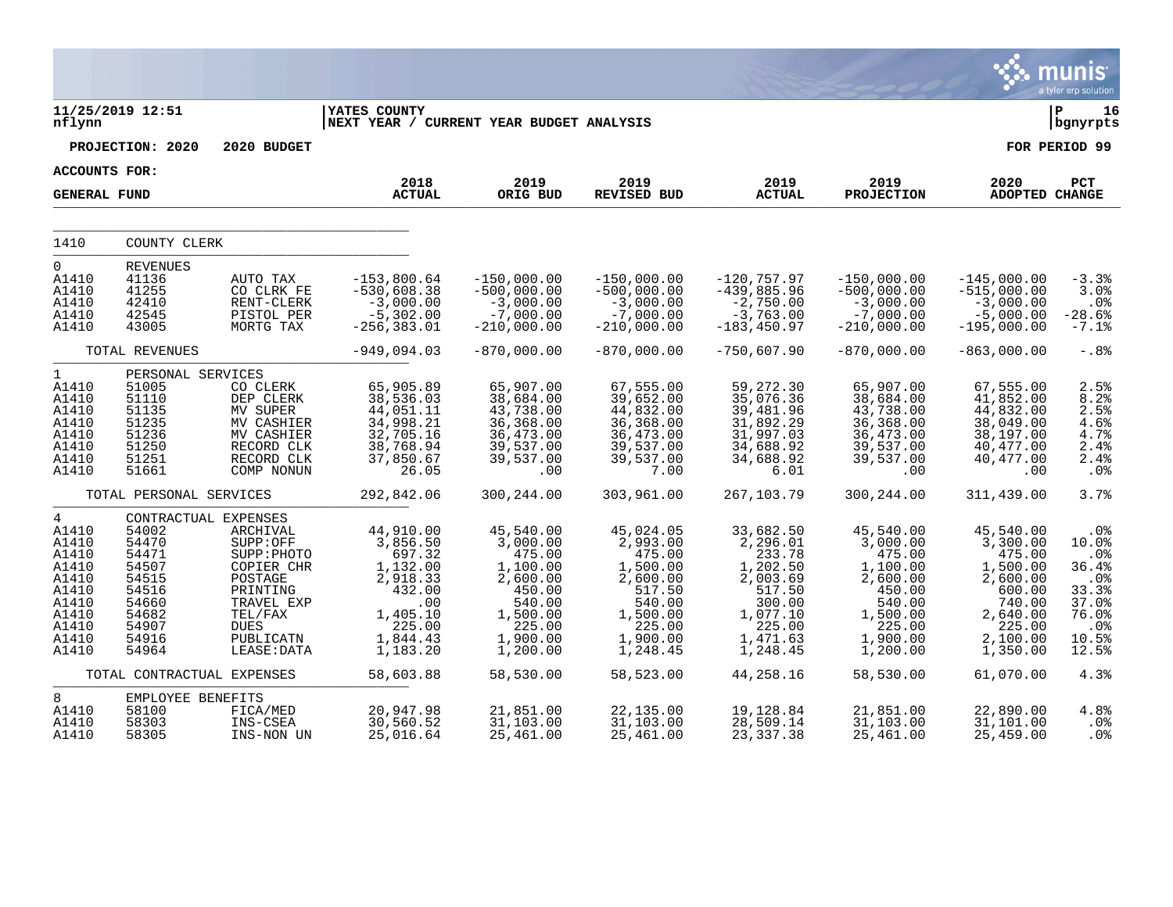|                                                                                                                    |                                                                                                                                                       |                                                                                                                                              |                                                                                                                                     |                                                                                                                                        |                                                                                                                                        |                                                                                                                                        |                                                                                                                                        |                                                                                                                                        | a tyler erp solution                                                                               |
|--------------------------------------------------------------------------------------------------------------------|-------------------------------------------------------------------------------------------------------------------------------------------------------|----------------------------------------------------------------------------------------------------------------------------------------------|-------------------------------------------------------------------------------------------------------------------------------------|----------------------------------------------------------------------------------------------------------------------------------------|----------------------------------------------------------------------------------------------------------------------------------------|----------------------------------------------------------------------------------------------------------------------------------------|----------------------------------------------------------------------------------------------------------------------------------------|----------------------------------------------------------------------------------------------------------------------------------------|----------------------------------------------------------------------------------------------------|
| nflynn                                                                                                             | 11/25/2019 12:51                                                                                                                                      |                                                                                                                                              | <b>YATES COUNTY</b><br>NEXT YEAR / CURRENT YEAR BUDGET ANALYSIS                                                                     |                                                                                                                                        |                                                                                                                                        |                                                                                                                                        |                                                                                                                                        |                                                                                                                                        | 16<br>∣ P<br>bgnyrpts                                                                              |
|                                                                                                                    | PROJECTION: 2020                                                                                                                                      | 2020 BUDGET                                                                                                                                  |                                                                                                                                     |                                                                                                                                        |                                                                                                                                        |                                                                                                                                        |                                                                                                                                        |                                                                                                                                        | FOR PERIOD 99                                                                                      |
| <b>ACCOUNTS FOR:</b>                                                                                               |                                                                                                                                                       |                                                                                                                                              |                                                                                                                                     |                                                                                                                                        |                                                                                                                                        |                                                                                                                                        |                                                                                                                                        |                                                                                                                                        |                                                                                                    |
| <b>GENERAL FUND</b>                                                                                                |                                                                                                                                                       |                                                                                                                                              | 2018<br><b>ACTUAL</b>                                                                                                               | 2019<br>ORIG BUD                                                                                                                       | 2019<br><b>REVISED BUD</b>                                                                                                             | 2019<br><b>ACTUAL</b>                                                                                                                  | 2019<br><b>PROJECTION</b>                                                                                                              | 2020<br><b>ADOPTED CHANGE</b>                                                                                                          | PCT                                                                                                |
| 1410                                                                                                               | COUNTY CLERK                                                                                                                                          |                                                                                                                                              |                                                                                                                                     |                                                                                                                                        |                                                                                                                                        |                                                                                                                                        |                                                                                                                                        |                                                                                                                                        |                                                                                                    |
| $\mathbf 0$<br>A1410<br>A1410<br>A1410<br>A1410<br>A1410                                                           | <b>REVENUES</b><br>41136<br>41255<br>42410<br>42545<br>43005                                                                                          | AUTO TAX<br>CO CLRK FE<br>RENT-CLERK<br>PISTOL PER<br>MORTG TAX                                                                              | $-153,800.64$<br>$-530,608.38$<br>$-3,000.00$<br>$-5,302.00$<br>$-256, 383.01$                                                      | $-150,000.00$<br>$-500,000.00$<br>$-3,000.00$<br>$-7,000.00$<br>$-210,000.00$                                                          | $-150,000.00$<br>$-500,000.00$<br>$-3,000.00$<br>$-7,000.00$<br>$-210,000.00$                                                          | $-120, 757.97$<br>$-439,885.96$<br>$-2,750.00$<br>$-3,763.00$<br>$-183, 450.97$                                                        | $-150,000.00$<br>$-500,000.00$<br>$-3,000.00$<br>$-7,000.00$<br>$-210,000.00$                                                          | $-145,000.00$<br>$-515,000.00$<br>$-3,000.00$<br>$-5,000.00$<br>$-195,000.00$                                                          | $-3.3%$<br>3.0%<br>.0%<br>$-28.6%$<br>$-7.1$ $8$                                                   |
|                                                                                                                    | TOTAL REVENUES                                                                                                                                        |                                                                                                                                              | $-949,094.03$                                                                                                                       | $-870,000.00$                                                                                                                          | $-870,000.00$                                                                                                                          | $-750,607.90$                                                                                                                          | $-870.000.00$                                                                                                                          | $-863,000.00$                                                                                                                          | $-.88$                                                                                             |
| $\mathbf{1}$<br>A1410<br>A1410<br>A1410<br>A1410<br>A1410<br>A1410<br>A1410<br>A1410                               | PERSONAL SERVICES<br>51005<br>51110<br>51135<br>51235<br>51236<br>51250<br>51251<br>51661                                                             | CO CLERK<br>DEP CLERK<br>MV SUPER<br>MV CASHIER<br>MV CASHIER<br>RECORD CLK<br>RECORD CLK<br>COMP NONUN                                      | 65,905.89<br>38,536.03<br>44,051.11<br>34,998.21<br>32,705.16<br>38,768.94<br>37,850.67<br>26.05                                    | 65,907.00<br>38,684.00<br>43,738.00<br>36,368.00<br>36,473.00<br>39,537.00<br>39,537.00<br>.00                                         | 67,555.00<br>39,652.00<br>44,832.00<br>36, 368.00<br>36, 473.00<br>39,537.00<br>39,537.00<br>7.00                                      | 59,272.30<br>35,076.36<br>39,481.96<br>31,892.29<br>31,997.03<br>34,688.92<br>34,688.92<br>6.01                                        | 65,907.00<br>38,684.00<br>43,738.00<br>36, 368.00<br>36, 473.00<br>39,537.00<br>39,537.00<br>.00                                       | 67,555.00<br>41,852.00<br>44,832.00<br>38,049.00<br>38,197.00<br>40,477.00<br>40,477.00<br>.00                                         | 2.5%<br>8.2%<br>2.5%<br>4.6%<br>4.7%<br>2.4%<br>2.4%<br>.0%                                        |
|                                                                                                                    | TOTAL PERSONAL SERVICES                                                                                                                               |                                                                                                                                              | 292,842.06                                                                                                                          | 300,244.00                                                                                                                             | 303,961.00                                                                                                                             | 267, 103. 79                                                                                                                           | 300,244.00                                                                                                                             | 311,439.00                                                                                                                             | 3.7%                                                                                               |
| $4\overline{ }$<br>A1410<br>A1410<br>A1410<br>A1410<br>A1410<br>A1410<br>A1410<br>A1410<br>A1410<br>A1410<br>A1410 | CONTRACTUAL EXPENSES<br>54002<br>54470<br>54471<br>54507<br>54515<br>54516<br>54660<br>54682<br>54907<br>54916<br>54964<br>TOTAL CONTRACTUAL EXPENSES | ARCHIVAL<br>SUPP:OFF<br>SUPP: PHOTO<br>COPIER CHR<br>POSTAGE<br>PRINTING<br>TRAVEL EXP<br>TEL/FAX<br><b>DUES</b><br>PUBLICATN<br>LEASE: DATA | 44,910.00<br>3,856.50<br>697.32<br>1,132.00<br>2,918.33<br>432.00<br>.00<br>1,405.10<br>225.00<br>1,844.43<br>1,183.20<br>58,603.88 | 45,540.00<br>3,000.00<br>475.00<br>1,100.00<br>2,600.00<br>450.00<br>540.00<br>1,500.00<br>225.00<br>1,900.00<br>1,200.00<br>58,530.00 | 45,024.05<br>2,993.00<br>475.00<br>1,500.00<br>2,600.00<br>517.50<br>540.00<br>1,500.00<br>225.00<br>1,900.00<br>1,248.45<br>58,523.00 | 33,682.50<br>2,296.01<br>233.78<br>1,202.50<br>2,003.69<br>517.50<br>300.00<br>1,077.10<br>225.00<br>1,471.63<br>1,248.45<br>44,258.16 | 45,540.00<br>3,000.00<br>475.00<br>1,100.00<br>2,600.00<br>450.00<br>540.00<br>1,500.00<br>225.00<br>1,900.00<br>1,200.00<br>58,530.00 | 45,540.00<br>3,300.00<br>475.00<br>1,500.00<br>2,600.00<br>600.00<br>740.00<br>2,640.00<br>225.00<br>2,100.00<br>1,350.00<br>61,070.00 | .0%<br>10.0%<br>.0%<br>36.4%<br>.0%<br>33.3%<br>37.0%<br>76.0%<br>$.0\%$<br>10.5%<br>12.5%<br>4.3% |
| 8<br>A1410<br>A1410<br>A1410                                                                                       | EMPLOYEE BENEFITS<br>58100<br>58303<br>58305                                                                                                          | FICA/MED<br>INS-CSEA<br>INS-NON UN                                                                                                           | 20,947.98<br>30,560.52<br>25,016.64                                                                                                 | 21,851.00<br>31,103.00<br>25,461.00                                                                                                    | 22,135.00<br>31,103.00<br>25,461.00                                                                                                    | 19,128.84<br>28,509.14<br>23,337.38                                                                                                    | 21,851.00<br>31,103.00<br>25,461.00                                                                                                    | 22,890.00<br>31,101.00<br>25,459.00                                                                                                    | 4.8%<br>.0%<br>$.0\%$                                                                              |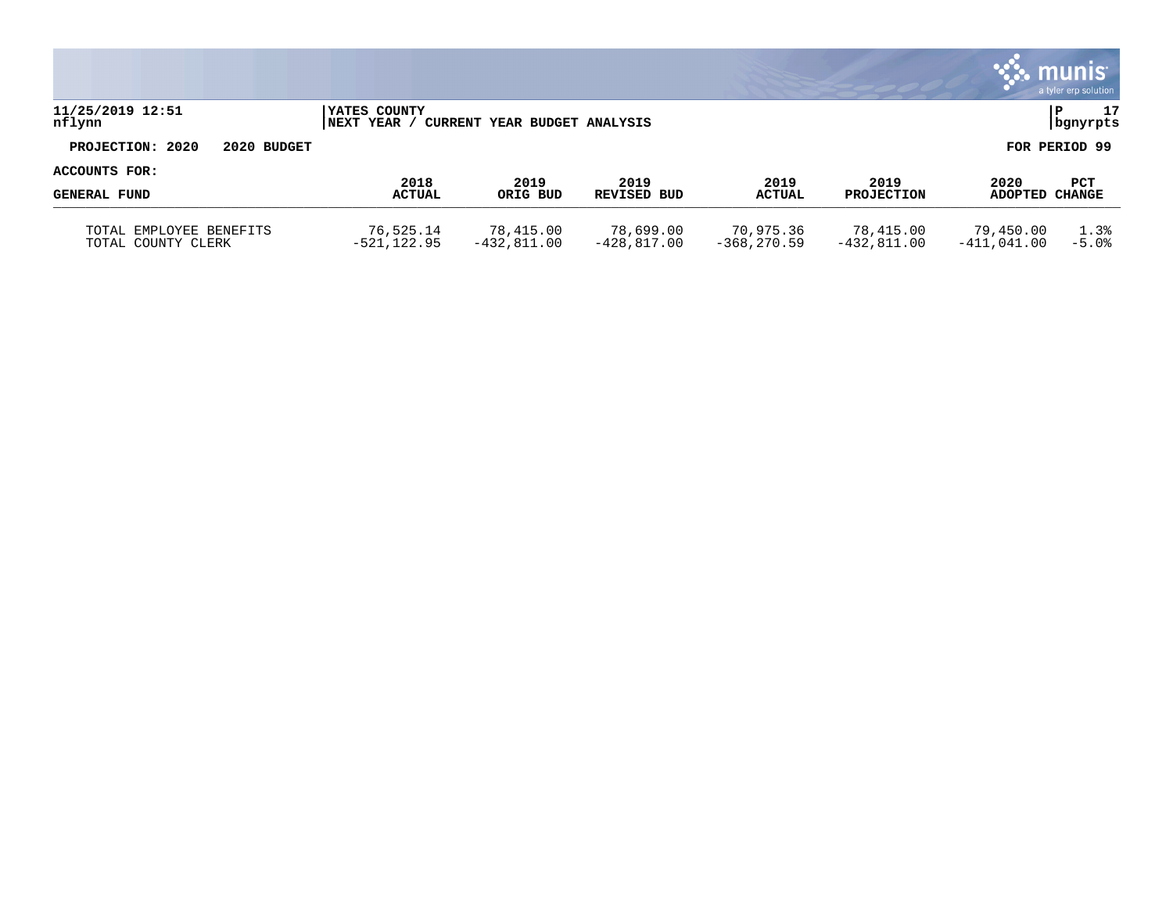|                                               |                                    |                              |                            |                             |                            |                            | $\mathbf{\ddot{.}}\mathbf{.}$ munis<br>a tyler erp solution |
|-----------------------------------------------|------------------------------------|------------------------------|----------------------------|-----------------------------|----------------------------|----------------------------|-------------------------------------------------------------|
| 11/25/2019 12:51<br>nflynn                    | <b>IYATES COUNTY</b><br>INEXT YEAR | CURRENT YEAR BUDGET ANALYSIS |                            |                             |                            |                            | 17<br>ΙP<br>bgnyrpts                                        |
| PROJECTION: 2020<br>2020 BUDGET               |                                    |                              |                            |                             |                            |                            | FOR PERIOD 99                                               |
| ACCOUNTS FOR:                                 | 2018                               | 2019                         | 2019                       | 2019                        | 2019                       |                            |                                                             |
| <b>GENERAL FUND</b>                           | <b>ACTUAL</b>                      | ORIG BUD                     | REVISED BUD                | <b>ACTUAL</b>               | <b>PROJECTION</b>          | 2020<br>ADOPTED CHANGE     | <b>PCT</b>                                                  |
| TOTAL EMPLOYEE BENEFITS<br>TOTAL COUNTY CLERK | 76,525.14<br>$-521, 122.95$        | 78,415.00<br>$-432,811.00$   | 78,699.00<br>$-428.817.00$ | 70,975.36<br>$-368, 270.59$ | 78,415.00<br>$-432,811.00$ | 79,450.00<br>$-411,041.00$ | 1.3%<br>$-5.0%$                                             |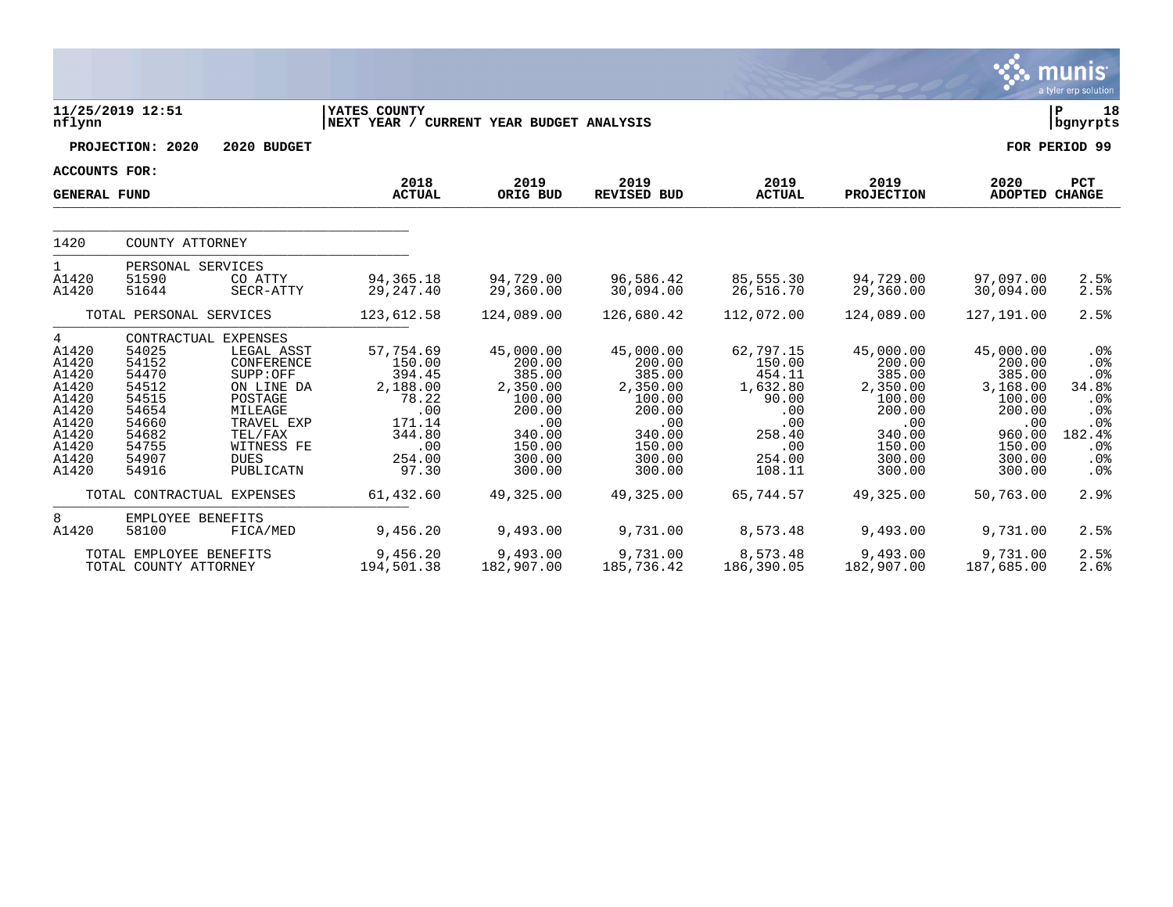|                                                                                                      |                                                                                                 |                                                                                                                                                                     |                                                                                                         |                                                                                                              |                                                                                                              |                                                                                                       |                                                                                                              |                                                                                                              | <b>munis</b><br>a tyler erp solution                                                                   |
|------------------------------------------------------------------------------------------------------|-------------------------------------------------------------------------------------------------|---------------------------------------------------------------------------------------------------------------------------------------------------------------------|---------------------------------------------------------------------------------------------------------|--------------------------------------------------------------------------------------------------------------|--------------------------------------------------------------------------------------------------------------|-------------------------------------------------------------------------------------------------------|--------------------------------------------------------------------------------------------------------------|--------------------------------------------------------------------------------------------------------------|--------------------------------------------------------------------------------------------------------|
| nflynn                                                                                               | 11/25/2019 12:51                                                                                |                                                                                                                                                                     | YATES COUNTY<br>NEXT YEAR / CURRENT YEAR BUDGET ANALYSIS                                                |                                                                                                              |                                                                                                              |                                                                                                       |                                                                                                              |                                                                                                              | lР<br>18<br>  bgnyrpts                                                                                 |
|                                                                                                      | PROJECTION: 2020                                                                                | 2020 BUDGET                                                                                                                                                         |                                                                                                         |                                                                                                              |                                                                                                              |                                                                                                       |                                                                                                              |                                                                                                              | FOR PERIOD 99                                                                                          |
| <b>ACCOUNTS FOR:</b>                                                                                 |                                                                                                 |                                                                                                                                                                     |                                                                                                         |                                                                                                              |                                                                                                              |                                                                                                       |                                                                                                              |                                                                                                              |                                                                                                        |
| <b>GENERAL FUND</b>                                                                                  |                                                                                                 |                                                                                                                                                                     | 2018<br><b>ACTUAL</b>                                                                                   | 2019<br>ORIG BUD                                                                                             | 2019<br>REVISED BUD                                                                                          | 2019<br><b>ACTUAL</b>                                                                                 | 2019<br><b>PROJECTION</b>                                                                                    | 2020<br><b>ADOPTED CHANGE</b>                                                                                | PCT                                                                                                    |
| 1420                                                                                                 | COUNTY ATTORNEY                                                                                 |                                                                                                                                                                     |                                                                                                         |                                                                                                              |                                                                                                              |                                                                                                       |                                                                                                              |                                                                                                              |                                                                                                        |
| 1<br>A1420<br>A1420                                                                                  | PERSONAL SERVICES<br>51590<br>51644                                                             | CO ATTY<br>SECR-ATTY                                                                                                                                                | 94, 365. 18<br>29, 247.40                                                                               | 94,729.00<br>29,360.00                                                                                       | 96,586.42<br>30,094.00                                                                                       | 85,555.30<br>26,516.70                                                                                | 94,729.00<br>29,360.00                                                                                       | 97,097.00<br>30,094.00                                                                                       | 2.5%<br>2.5%                                                                                           |
|                                                                                                      | TOTAL PERSONAL SERVICES                                                                         |                                                                                                                                                                     | 123,612.58                                                                                              | 124,089.00                                                                                                   | 126,680.42                                                                                                   | 112,072.00                                                                                            | 124,089.00                                                                                                   | 127,191.00                                                                                                   | 2.5%                                                                                                   |
| 4<br>A1420<br>A1420<br>A1420<br>A1420<br>A1420<br>A1420<br>A1420<br>A1420<br>A1420<br>A1420<br>A1420 | 54025<br>54152<br>54470<br>54512<br>54515<br>54654<br>54660<br>54682<br>54755<br>54907<br>54916 | CONTRACTUAL EXPENSES<br>LEGAL ASST<br>CONFERENCE<br>SUPP:OFF<br>ON LINE DA<br>POSTAGE<br>MILEAGE<br>TRAVEL EXP<br>TEL/FAX<br>WITNESS FE<br><b>DUES</b><br>PUBLICATN | 57,754.69<br>150.00<br>394.45<br>2,188.00<br>78.22<br>.00<br>171.14<br>344.80<br>.00<br>254.00<br>97.30 | 45,000.00<br>200.00<br>385.00<br>2,350.00<br>100.00<br>200.00<br>.00<br>340.00<br>150.00<br>300.00<br>300.00 | 45,000.00<br>200.00<br>385.00<br>2,350.00<br>100.00<br>200.00<br>.00<br>340.00<br>150.00<br>300.00<br>300.00 | 62,797.15<br>150.00<br>454.11<br>1,632.80<br>90.00<br>.00<br>.00<br>258.40<br>.00<br>254.00<br>108.11 | 45,000.00<br>200.00<br>385.00<br>2,350.00<br>100.00<br>200.00<br>.00<br>340.00<br>150.00<br>300.00<br>300.00 | 45,000.00<br>200.00<br>385.00<br>3,168.00<br>100.00<br>200.00<br>.00<br>960.00<br>150.00<br>300.00<br>300.00 | .0 <sub>8</sub><br>.0%<br>.0%<br>34.8%<br>.0%<br>.0 <sub>8</sub><br>.0%<br>182.4%<br>.0%<br>.0%<br>.0% |
|                                                                                                      |                                                                                                 | TOTAL CONTRACTUAL EXPENSES                                                                                                                                          | 61,432.60                                                                                               | 49,325.00                                                                                                    | 49,325.00                                                                                                    | 65,744.57                                                                                             | 49,325.00                                                                                                    | 50,763.00                                                                                                    | 2.9%                                                                                                   |
| 8<br>A1420                                                                                           | EMPLOYEE BENEFITS<br>58100                                                                      | FICA/MED                                                                                                                                                            | 9,456.20                                                                                                | 9,493.00                                                                                                     | 9,731.00                                                                                                     | 8,573.48                                                                                              | 9,493.00                                                                                                     | 9,731.00                                                                                                     | 2.5%                                                                                                   |
|                                                                                                      | TOTAL EMPLOYEE BENEFITS<br>TOTAL COUNTY ATTORNEY                                                |                                                                                                                                                                     | 9,456.20<br>194,501.38                                                                                  | 9,493.00<br>182,907.00                                                                                       | 9,731.00<br>185,736.42                                                                                       | 8,573.48<br>186,390.05                                                                                | 9,493.00<br>182,907.00                                                                                       | 9,731.00<br>187,685.00                                                                                       | 2.5%<br>2.6%                                                                                           |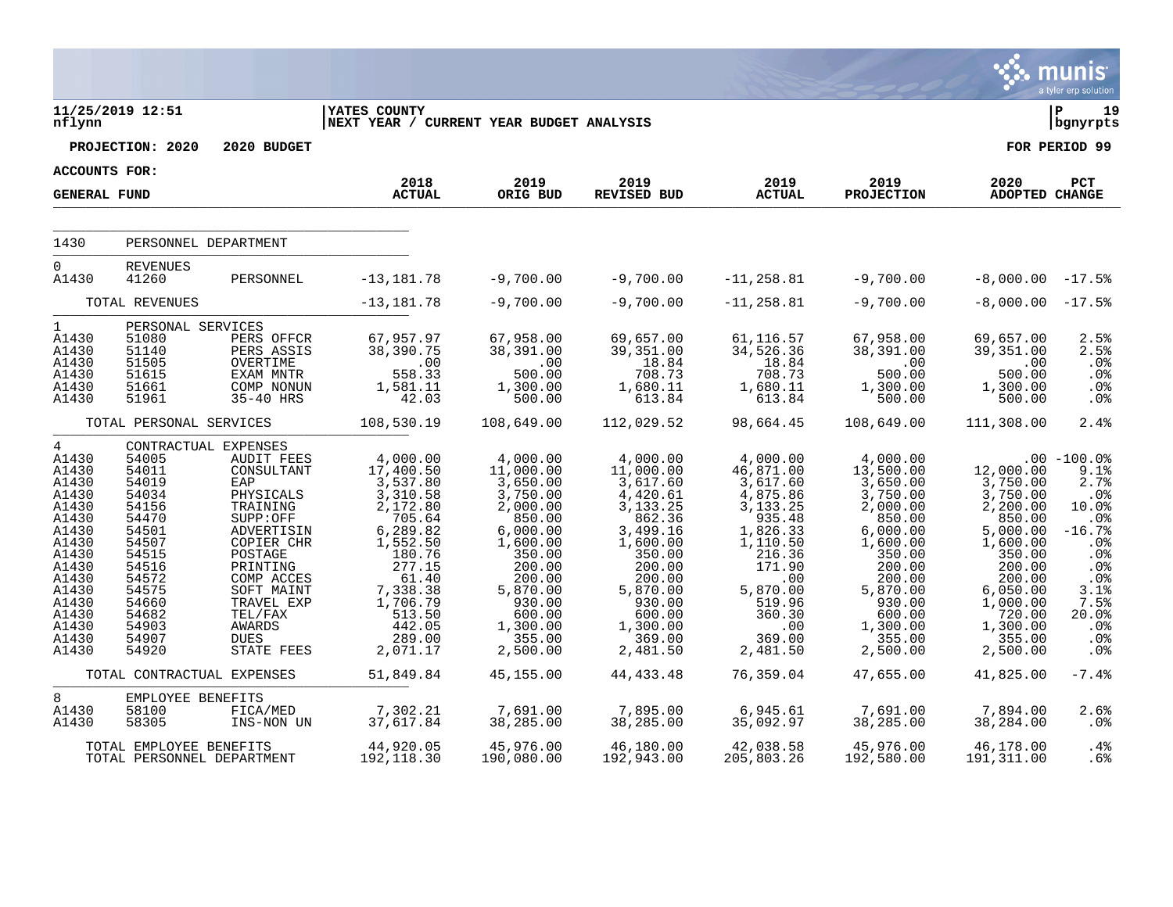|                                                                                                                                                                         |                                                                                                                                                                               |                                                                                                                                                                                                                                   |                                                                                                                                                                                            |                                                                                                                                                                                             |                                                                                                                                                                                             |                                                                                                                                                                                     |                                                                                                                                                                                             |                                                                                                                                                                                             | munis <sup>®</sup><br>a tyler erp solution                                                                                                                      |
|-------------------------------------------------------------------------------------------------------------------------------------------------------------------------|-------------------------------------------------------------------------------------------------------------------------------------------------------------------------------|-----------------------------------------------------------------------------------------------------------------------------------------------------------------------------------------------------------------------------------|--------------------------------------------------------------------------------------------------------------------------------------------------------------------------------------------|---------------------------------------------------------------------------------------------------------------------------------------------------------------------------------------------|---------------------------------------------------------------------------------------------------------------------------------------------------------------------------------------------|-------------------------------------------------------------------------------------------------------------------------------------------------------------------------------------|---------------------------------------------------------------------------------------------------------------------------------------------------------------------------------------------|---------------------------------------------------------------------------------------------------------------------------------------------------------------------------------------------|-----------------------------------------------------------------------------------------------------------------------------------------------------------------|
| nflynn                                                                                                                                                                  | 11/25/2019 12:51                                                                                                                                                              |                                                                                                                                                                                                                                   | <b>YATES COUNTY</b><br>NEXT YEAR / CURRENT YEAR BUDGET ANALYSIS                                                                                                                            |                                                                                                                                                                                             |                                                                                                                                                                                             |                                                                                                                                                                                     |                                                                                                                                                                                             |                                                                                                                                                                                             | l P<br>19<br>  bgnyrpts                                                                                                                                         |
|                                                                                                                                                                         | PROJECTION: 2020                                                                                                                                                              | 2020 BUDGET                                                                                                                                                                                                                       |                                                                                                                                                                                            |                                                                                                                                                                                             |                                                                                                                                                                                             |                                                                                                                                                                                     |                                                                                                                                                                                             |                                                                                                                                                                                             | FOR PERIOD 99                                                                                                                                                   |
| ACCOUNTS FOR:                                                                                                                                                           |                                                                                                                                                                               |                                                                                                                                                                                                                                   |                                                                                                                                                                                            |                                                                                                                                                                                             |                                                                                                                                                                                             |                                                                                                                                                                                     |                                                                                                                                                                                             |                                                                                                                                                                                             |                                                                                                                                                                 |
| <b>GENERAL FUND</b>                                                                                                                                                     |                                                                                                                                                                               |                                                                                                                                                                                                                                   | 2018<br><b>ACTUAL</b>                                                                                                                                                                      | 2019<br>ORIG BUD                                                                                                                                                                            | 2019<br>REVISED BUD                                                                                                                                                                         | 2019<br><b>ACTUAL</b>                                                                                                                                                               | 2019<br>PROJECTION                                                                                                                                                                          | 2020<br>ADOPTED CHANGE                                                                                                                                                                      | <b>PCT</b>                                                                                                                                                      |
| 1430                                                                                                                                                                    | PERSONNEL DEPARTMENT                                                                                                                                                          |                                                                                                                                                                                                                                   |                                                                                                                                                                                            |                                                                                                                                                                                             |                                                                                                                                                                                             |                                                                                                                                                                                     |                                                                                                                                                                                             |                                                                                                                                                                                             |                                                                                                                                                                 |
| $\Omega$<br>A1430                                                                                                                                                       | <b>REVENUES</b><br>41260                                                                                                                                                      | PERSONNEL                                                                                                                                                                                                                         | $-13, 181.78$                                                                                                                                                                              | $-9,700.00$                                                                                                                                                                                 | $-9,700.00$                                                                                                                                                                                 | $-11,258.81$                                                                                                                                                                        | $-9,700.00$                                                                                                                                                                                 | $-8,000.00 - 17.5$                                                                                                                                                                          |                                                                                                                                                                 |
|                                                                                                                                                                         | TOTAL REVENUES                                                                                                                                                                |                                                                                                                                                                                                                                   | $-13, 181.78$                                                                                                                                                                              | $-9,700.00$                                                                                                                                                                                 | $-9,700.00$                                                                                                                                                                                 | $-11, 258.81$                                                                                                                                                                       | $-9,700.00$                                                                                                                                                                                 | $-8,000.00 - 17.5$                                                                                                                                                                          |                                                                                                                                                                 |
| $\mathbf{1}$<br>A1430<br>A1430<br>A1430<br>A1430<br>A1430<br>A1430                                                                                                      | PERSONAL SERVICES<br>51080<br>51140<br>51505<br>51615<br>51661<br>51961                                                                                                       | PERS OFFCR<br>PERS ASSIS<br>OVERTIME<br>EXAM MNTR<br>COMP NONUN<br>35-40 HRS                                                                                                                                                      | 67,957.97<br>38,390.75<br>558.00<br>558.33<br>1,581.11<br>42.03                                                                                                                            | 67,958.00<br>38,391.00<br>.00<br>500.00<br>1,300.00<br>500.00                                                                                                                               | 69,657.00<br>39, 351.00<br>18.84<br>708.73<br>1,680.11<br>613.84                                                                                                                            | 61,116.57<br>34,526.36<br>18.84<br>708.73<br>1,680.11<br>613.84                                                                                                                     | 67,958.00<br>38,391.00<br>.00<br>500.00<br>1,300.00<br>500.00                                                                                                                               | 69,657.00<br>39,351.00<br>.00<br>500.00<br>1,300.00<br>500.00                                                                                                                               | 2.5%<br>2.5%<br>.0%<br>.0%<br>.0%<br>.0%                                                                                                                        |
|                                                                                                                                                                         | TOTAL PERSONAL SERVICES                                                                                                                                                       |                                                                                                                                                                                                                                   | 108,530.19                                                                                                                                                                                 | 108,649.00                                                                                                                                                                                  | 112,029.52                                                                                                                                                                                  | 98,664.45                                                                                                                                                                           | 108,649.00                                                                                                                                                                                  | 111,308.00                                                                                                                                                                                  | 2.4%                                                                                                                                                            |
| $\overline{4}$<br>A1430<br>A1430<br>A1430<br>A1430<br>A1430<br>A1430<br>A1430<br>A1430<br>A1430<br>A1430<br>A1430<br>A1430<br>A1430<br>A1430<br>A1430<br>A1430<br>A1430 | CONTRACTUAL EXPENSES<br>54005<br>54011<br>54019<br>54034<br>54156<br>54470<br>54501<br>54507<br>54515<br>54516<br>54572<br>54575<br>54660<br>54682<br>54903<br>54907<br>54920 | <b>AUDIT FEES</b><br>CONSULTANT<br>EAP<br>PHYSICALS<br>TRAINING<br>SUPP:OFF<br>ADVERTISIN<br>COPIER CHR<br>POSTAGE<br>PRINTING<br>COMP ACCES<br>SOFT MAINT<br>TRAVEL EXP<br>TEL/FAX<br><b>AWARDS</b><br><b>DUES</b><br>STATE FEES | 4,000.00<br>17,400.50<br>3,537.80<br>3,310.58<br>2,172.80<br>705.64<br>6,289.82<br>1,552.50<br>180.76<br>277.15<br>61.40<br>7,338.38<br>1,706.79<br>513.50<br>442.05<br>289.00<br>2,071.17 | 4,000.00<br>11,000.00<br>3,650.00<br>3,750.00<br>2,000.00<br>850.00<br>6,000.00<br>1,600.00<br>350.00<br>200.00<br>200.00<br>5,870.00<br>930.00<br>600.00<br>1,300.00<br>355.00<br>2,500.00 | 4,000.00<br>11,000.00<br>3,617.60<br>4,420.61<br>3,133.25<br>862.36<br>3,499.16<br>1,600.00<br>350.00<br>200.00<br>200.00<br>5,870.00<br>930.00<br>600.00<br>1,300.00<br>369.00<br>2,481.50 | 4,000.00<br>46,871.00<br>3,617.60<br>4,875.86<br>3,133.25<br>935.48<br>1,826.33<br>1,110.50<br>216.36<br>171.90<br>.00<br>5,870.00<br>519.96<br>360.30<br>.00<br>369.00<br>2,481.50 | 4,000.00<br>13,500.00<br>3,650.00<br>3,750.00<br>2,000.00<br>850.00<br>6,000.00<br>1,600.00<br>350.00<br>200.00<br>200.00<br>5,870.00<br>930.00<br>600.00<br>1,300.00<br>355.00<br>2,500.00 | 12,000.00<br>3,750.00<br>$\frac{3}{750.00}$<br>2,200.00<br>850.00<br>5,000.00<br>1,600.00<br>350.00<br>200.00<br>200.00<br>6,050.00<br>1,000.00<br>720.00<br>1,300.00<br>355.00<br>2,500.00 | $.00 - 100.0$<br>9.1%<br>2.7%<br>.0%<br>10.0%<br>.0 <sub>8</sub><br>$-16.7%$<br>.0%<br>.0%<br>.0%<br>$.0\%$<br>3.1%<br>7.5%<br>20.0%<br>$.0\%$<br>$.0\%$<br>.0% |
|                                                                                                                                                                         | TOTAL CONTRACTUAL EXPENSES                                                                                                                                                    |                                                                                                                                                                                                                                   | 51,849.84                                                                                                                                                                                  | 45,155.00                                                                                                                                                                                   | 44, 433. 48                                                                                                                                                                                 | 76,359.04                                                                                                                                                                           | 47,655.00                                                                                                                                                                                   | 41,825.00                                                                                                                                                                                   | $-7.4%$                                                                                                                                                         |
| 8<br>A1430<br>A1430                                                                                                                                                     | EMPLOYEE BENEFITS<br>58100<br>58305                                                                                                                                           | FICA/MED<br>INS-NON UN                                                                                                                                                                                                            | 7,302.21<br>37,617.84                                                                                                                                                                      | 7,691.00<br>38,285.00                                                                                                                                                                       | 7,895.00<br>38, 285.00                                                                                                                                                                      | 6,945.61<br>35,092.97                                                                                                                                                               | 7,691.00<br>38, 285.00                                                                                                                                                                      | 7,894.00<br>38,284.00                                                                                                                                                                       | 2.6%<br>$.0\%$                                                                                                                                                  |
|                                                                                                                                                                         | TOTAL EMPLOYEE BENEFITS<br>TOTAL PERSONNEL DEPARTMENT                                                                                                                         |                                                                                                                                                                                                                                   | 44,920.05<br>192,118.30                                                                                                                                                                    | 45,976.00<br>190,080.00                                                                                                                                                                     | 46,180.00<br>192,943.00                                                                                                                                                                     | 42,038.58<br>205,803.26                                                                                                                                                             | 45,976.00<br>192,580.00                                                                                                                                                                     | 46,178.00<br>191,311.00                                                                                                                                                                     | .4%<br>.6%                                                                                                                                                      |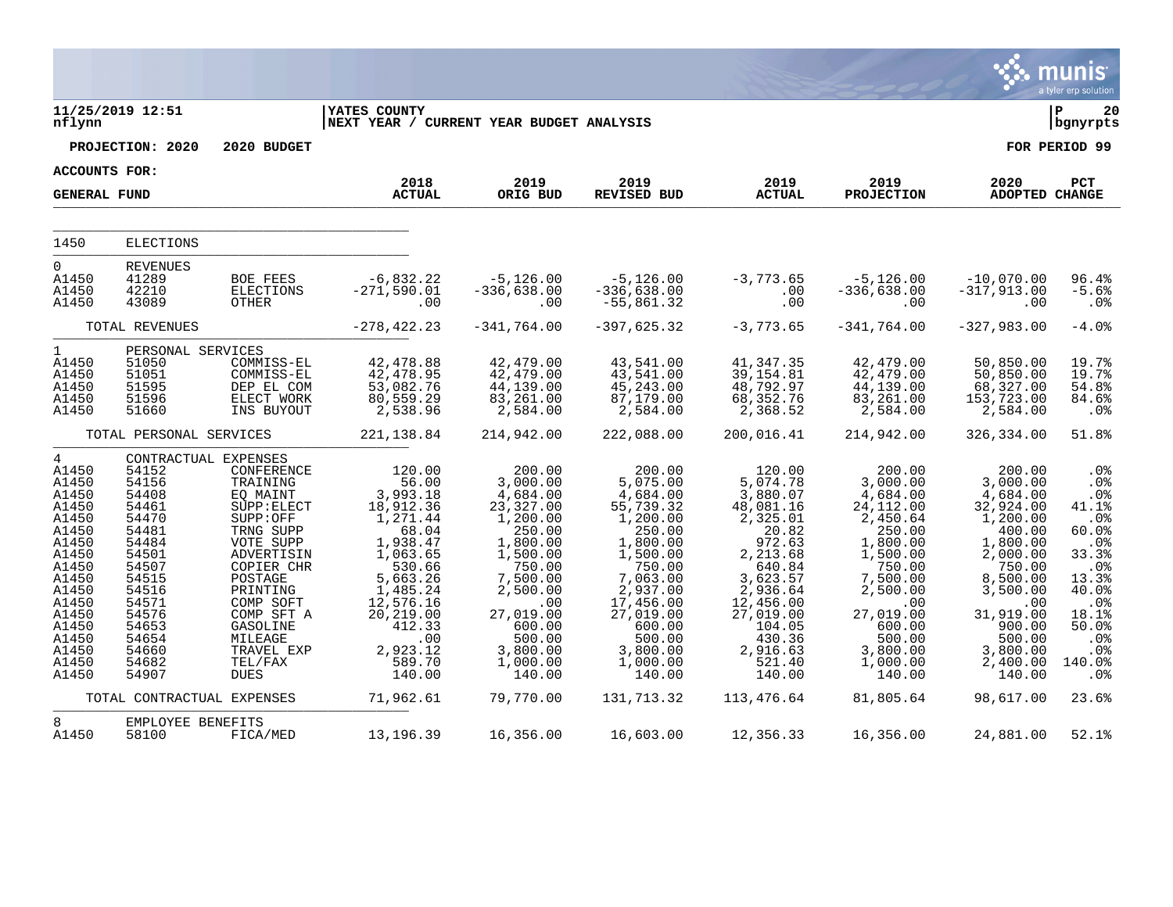|                                                                                                                                                                                  |                                                                                                                                                                                        |                                                                                                                                                                                                                                      |                                                                                                                                                                                                    |                                                                                                                                                                                                        |                                                                                                                                                                                                             |                                                                                                                                                                                                        |                                                                                                                                                                                                        |                                                                                                                                                                                                       | munis<br>a tyler erp solution                                                                                                                                       |
|----------------------------------------------------------------------------------------------------------------------------------------------------------------------------------|----------------------------------------------------------------------------------------------------------------------------------------------------------------------------------------|--------------------------------------------------------------------------------------------------------------------------------------------------------------------------------------------------------------------------------------|----------------------------------------------------------------------------------------------------------------------------------------------------------------------------------------------------|--------------------------------------------------------------------------------------------------------------------------------------------------------------------------------------------------------|-------------------------------------------------------------------------------------------------------------------------------------------------------------------------------------------------------------|--------------------------------------------------------------------------------------------------------------------------------------------------------------------------------------------------------|--------------------------------------------------------------------------------------------------------------------------------------------------------------------------------------------------------|-------------------------------------------------------------------------------------------------------------------------------------------------------------------------------------------------------|---------------------------------------------------------------------------------------------------------------------------------------------------------------------|
| nflynn                                                                                                                                                                           | 11/25/2019 12:51                                                                                                                                                                       |                                                                                                                                                                                                                                      | <b>YATES COUNTY</b><br>NEXT YEAR / CURRENT YEAR BUDGET ANALYSIS                                                                                                                                    |                                                                                                                                                                                                        |                                                                                                                                                                                                             |                                                                                                                                                                                                        |                                                                                                                                                                                                        |                                                                                                                                                                                                       | Þ<br>20<br>bgnyrpts                                                                                                                                                 |
|                                                                                                                                                                                  | PROJECTION: 2020                                                                                                                                                                       | 2020 BUDGET                                                                                                                                                                                                                          |                                                                                                                                                                                                    |                                                                                                                                                                                                        |                                                                                                                                                                                                             |                                                                                                                                                                                                        |                                                                                                                                                                                                        |                                                                                                                                                                                                       | FOR PERIOD 99                                                                                                                                                       |
| <b>ACCOUNTS FOR:</b>                                                                                                                                                             |                                                                                                                                                                                        |                                                                                                                                                                                                                                      | 2018                                                                                                                                                                                               | 2019                                                                                                                                                                                                   | 2019                                                                                                                                                                                                        | 2019                                                                                                                                                                                                   | 2019                                                                                                                                                                                                   | 2020                                                                                                                                                                                                  | PCT                                                                                                                                                                 |
| <b>GENERAL FUND</b>                                                                                                                                                              |                                                                                                                                                                                        |                                                                                                                                                                                                                                      | <b>ACTUAL</b>                                                                                                                                                                                      | ORIG BUD                                                                                                                                                                                               | <b>REVISED BUD</b>                                                                                                                                                                                          | <b>ACTUAL</b>                                                                                                                                                                                          | <b>PROJECTION</b>                                                                                                                                                                                      | ADOPTED CHANGE                                                                                                                                                                                        |                                                                                                                                                                     |
| 1450                                                                                                                                                                             | <b>ELECTIONS</b>                                                                                                                                                                       |                                                                                                                                                                                                                                      |                                                                                                                                                                                                    |                                                                                                                                                                                                        |                                                                                                                                                                                                             |                                                                                                                                                                                                        |                                                                                                                                                                                                        |                                                                                                                                                                                                       |                                                                                                                                                                     |
|                                                                                                                                                                                  |                                                                                                                                                                                        |                                                                                                                                                                                                                                      |                                                                                                                                                                                                    |                                                                                                                                                                                                        |                                                                                                                                                                                                             |                                                                                                                                                                                                        |                                                                                                                                                                                                        |                                                                                                                                                                                                       |                                                                                                                                                                     |
| $\overline{0}$<br>A1450<br>A1450<br>A1450                                                                                                                                        | <b>REVENUES</b><br>41289<br>42210<br>43089                                                                                                                                             | <b>BOE FEES</b><br>ELECTIONS<br>OTHER                                                                                                                                                                                                | $-6,832.22$<br>$-271,590.01$<br>.00                                                                                                                                                                | $-5,126.00$<br>$-336,638.00$<br>.00                                                                                                                                                                    | $-5,126.00$<br>$-336,638.00$<br>$-55,861.32$                                                                                                                                                                | $-3,773.65$<br>.00<br>.00                                                                                                                                                                              | $-5,126.00$<br>$-336,638.00$<br>.00                                                                                                                                                                    | $-10,070.00$<br>$-317,913.00$<br>.00                                                                                                                                                                  | 96.4%<br>$-5.6%$<br>.0 <sub>8</sub>                                                                                                                                 |
|                                                                                                                                                                                  | TOTAL REVENUES                                                                                                                                                                         |                                                                                                                                                                                                                                      | $-278, 422.23$                                                                                                                                                                                     | $-341,764.00$                                                                                                                                                                                          | $-397,625.32$                                                                                                                                                                                               | $-3,773.65$                                                                                                                                                                                            | $-341,764.00$                                                                                                                                                                                          | $-327,983.00$                                                                                                                                                                                         | $-4.0%$                                                                                                                                                             |
| $\mathbf{1}$<br>A1450<br>A1450<br>A1450<br>A1450<br>A1450                                                                                                                        | PERSONAL SERVICES<br>51050<br>51051<br>51595<br>51596<br>51660                                                                                                                         | COMMISS-EL<br>COMMISS-EL<br>DEP EL COM<br>ELECT WORK<br>INS BUYOUT                                                                                                                                                                   | 42,478.88<br>42, 478.95<br>53,082.76<br>80,559.29<br>2,538.96                                                                                                                                      | 42,479.00<br>42,479.00<br>44,139.00<br>83,261.00<br>2,584.00                                                                                                                                           | 43,541.00<br>43,541.00<br>45, 243.00<br>87,179.00<br>2,584.00                                                                                                                                               | 41,347.35<br>39,154.81<br>48,792.97<br>68, 352. 76<br>2,368.52                                                                                                                                         | 42,479.00<br>42, 479.00<br>44, 139.00<br>83,261.00<br>2,584.00                                                                                                                                         | 50,850.00<br>50,850.00<br>68,327.00<br>153,723.00<br>2,584.00                                                                                                                                         | 19.7%<br>19.7%<br>54.8%<br>84.6%<br>.0%                                                                                                                             |
|                                                                                                                                                                                  | TOTAL PERSONAL SERVICES                                                                                                                                                                |                                                                                                                                                                                                                                      | 221, 138.84                                                                                                                                                                                        | 214,942.00                                                                                                                                                                                             | 222,088.00                                                                                                                                                                                                  | 200,016.41                                                                                                                                                                                             | 214,942.00                                                                                                                                                                                             | 326,334.00                                                                                                                                                                                            | 51.8%                                                                                                                                                               |
| $\overline{4}$<br>A1450<br>A1450<br>A1450<br>A1450<br>A1450<br>A1450<br>A1450<br>A1450<br>A1450<br>A1450<br>A1450<br>A1450<br>A1450<br>A1450<br>A1450<br>A1450<br>A1450<br>A1450 | CONTRACTUAL EXPENSES<br>54152<br>54156<br>54408<br>54461<br>54470<br>54481<br>54484<br>54501<br>54507<br>54515<br>54516<br>54571<br>54576<br>54653<br>54654<br>54660<br>54682<br>54907 | CONFERENCE<br>TRAINING<br>EQ MAINT<br>SUPP: ELECT<br>SUPP:OFF<br>TRNG SUPP<br>VOTE SUPP<br>ADVERTISIN<br>COPIER CHR<br>POSTAGE<br>PRINTING<br>COMP SOFT<br>COMP SFT A<br>GASOLINE<br>MILEAGE<br>TRAVEL EXP<br>TEL/FAX<br><b>DUES</b> | 120.00<br>56.00<br>3,993.18<br>18,912.36<br>1,271.44<br>68.04<br>1,938.47<br>1,063.65<br>530.66<br>5,663.26<br>1,485.24<br>12,576.16<br>20,219.00<br>412.33<br>.00<br>2,923.12<br>589.70<br>140.00 | 200.00<br>3,000.00<br>4,684.00<br>23, 327.00<br>1,200.00<br>250.00<br>1,800.00<br>1,500.00<br>750.00<br>7,500.00<br>2,500.00<br>.00<br>27,019.00<br>600.00<br>500.00<br>3,800.00<br>1,000.00<br>140.00 | 200.00<br>5,075.00<br>4,684.00<br>55,739.32<br>1,200.00<br>250.00<br>1,800.00<br>1,500.00<br>750.00<br>7,063.00<br>2,937.00<br>17,456.00<br>27,019.00<br>600.00<br>500.00<br>3,800.00<br>1,000.00<br>140.00 | 120.00<br>5,074.78<br>3,880.07<br>48,081.16<br>2,325.01<br>20.82<br>972.63<br>2,213.68<br>640.84<br>3,623.57<br>2,936.64<br>12,456.00<br>27,019.00<br>104.05<br>430.36<br>2,916.63<br>521.40<br>140.00 | 200.00<br>3,000.00<br>4,684.00<br>24, 112.00<br>2,450.64<br>250.00<br>1,800.00<br>1,500.00<br>750.00<br>7,500.00<br>2,500.00<br>.00<br>27,019.00<br>600.00<br>500.00<br>3,800.00<br>1,000.00<br>140.00 | 200.00<br>3,000.00<br>4,684.00<br>32,924.00<br>1,200.00<br>400.00<br>1,800.00<br>2,000.00<br>750.00<br>8,500.00<br>3,500.00<br>.00<br>31,919.00<br>900.00<br>500.00<br>3,800.00<br>2,400.00<br>140.00 | .0%<br>.0%<br>.0%<br>41.1%<br>.0%<br>60.0%<br>.0%<br>33.3%<br>.0%<br>13.3%<br>40.0%<br>.0%<br>18.1%<br>50.0%<br>.0 <sub>8</sub><br>.0%<br>140.0%<br>.0 <sub>8</sub> |
|                                                                                                                                                                                  | TOTAL CONTRACTUAL EXPENSES                                                                                                                                                             |                                                                                                                                                                                                                                      | 71,962.61                                                                                                                                                                                          | 79,770.00                                                                                                                                                                                              | 131,713.32                                                                                                                                                                                                  | 113,476.64                                                                                                                                                                                             | 81,805.64                                                                                                                                                                                              | 98,617.00                                                                                                                                                                                             | 23.6%                                                                                                                                                               |
| 8<br>A1450                                                                                                                                                                       | EMPLOYEE BENEFITS<br>58100                                                                                                                                                             | FICA/MED                                                                                                                                                                                                                             | 13,196.39                                                                                                                                                                                          | 16,356.00                                                                                                                                                                                              | 16,603.00                                                                                                                                                                                                   | 12,356.33                                                                                                                                                                                              | 16,356.00                                                                                                                                                                                              | 24,881.00                                                                                                                                                                                             | 52.1%                                                                                                                                                               |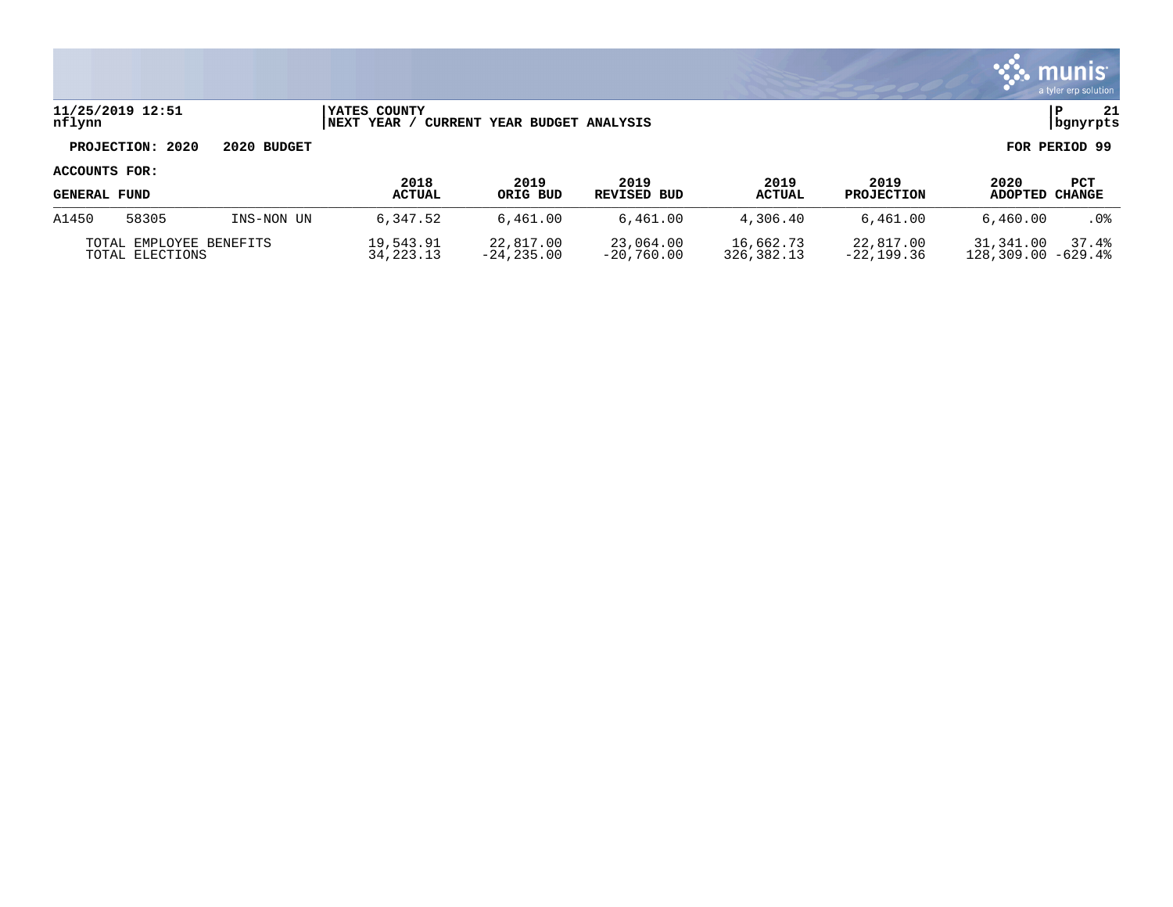

### **11/25/2019 12:51 |YATES COUNTY |P 21 nflynn |NEXT YEAR / CURRENT YEAR BUDGET ANALYSIS |bgnyrpts**

# **PROJECTION: 2020 2020 BUDGET FOR PERIOD 99**

| <b>GENERAL FUND</b>                        |       |            | 2018<br><b>ACTUAL</b>    | 2019<br>ORIG BUD          | 2019<br>REVISED BUD       | 2019<br>ACTUAL          | 2019<br><b>PROJECTION</b> | 2020<br>ADOPTED CHANGE             | PCT   |
|--------------------------------------------|-------|------------|--------------------------|---------------------------|---------------------------|-------------------------|---------------------------|------------------------------------|-------|
| A1450                                      | 58305 | INS-NON UN | 6,347.52                 | 6,461.00                  | 6,461.00                  | 4,306.40                | 6,461.00                  | 6.460.00                           | . 0%  |
| TOTAL EMPLOYEE BENEFITS<br>TOTAL ELECTIONS |       |            | 19,543.91<br>34, 223, 13 | 22,817.00<br>$-24.235.00$ | 23,064.00<br>$-20.760.00$ | 16,662.73<br>326,382.13 | 22,817.00<br>-22,199.36   | 31,341.00<br>$128,309.00 - 629.48$ | 37.4% |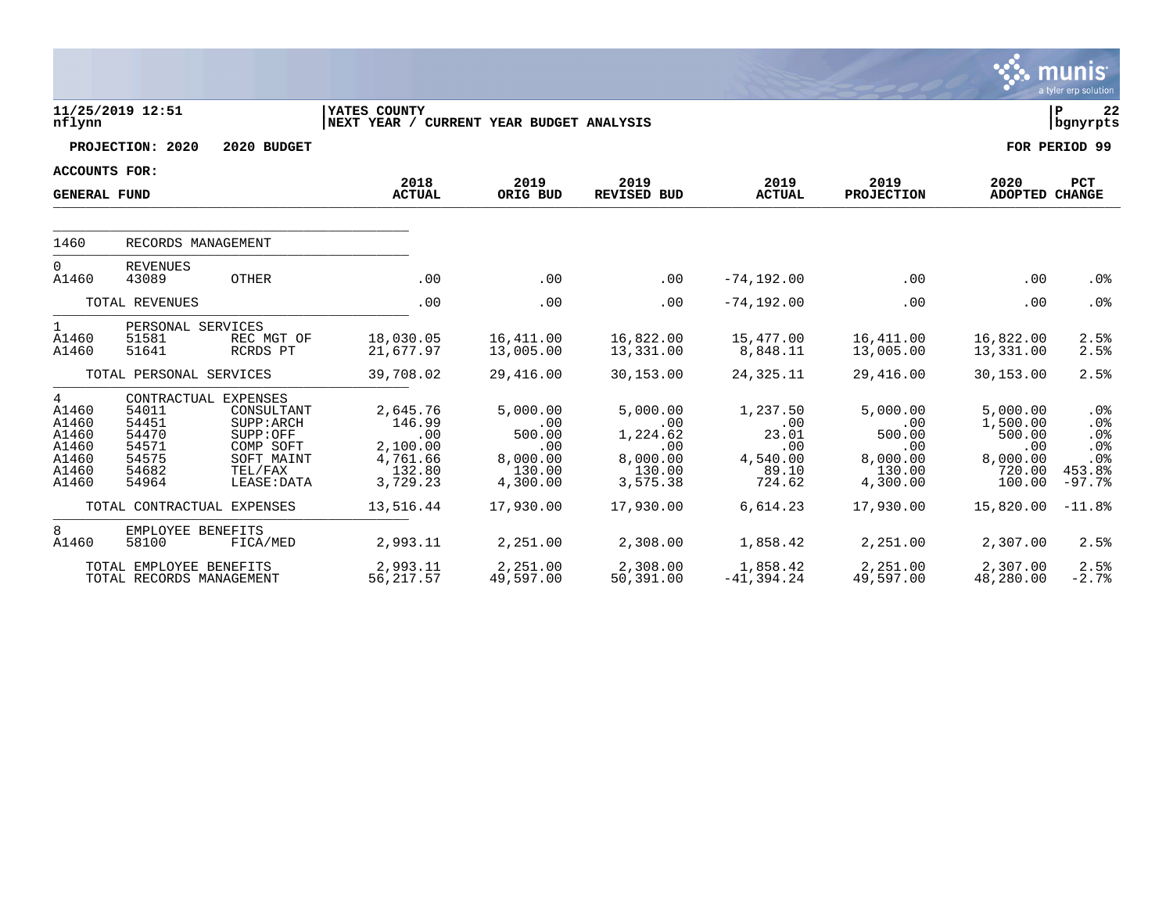|                                                                  |                                                             |                                                                                                                   |                                                                         |                                                                    |                                                                      |                                                                |                                                                    |                                                                       | munis <sup>.</sup><br>a tyler erp solution            |
|------------------------------------------------------------------|-------------------------------------------------------------|-------------------------------------------------------------------------------------------------------------------|-------------------------------------------------------------------------|--------------------------------------------------------------------|----------------------------------------------------------------------|----------------------------------------------------------------|--------------------------------------------------------------------|-----------------------------------------------------------------------|-------------------------------------------------------|
| nflynn                                                           | 11/25/2019 12:51                                            |                                                                                                                   | YATES COUNTY<br>NEXT YEAR / CURRENT YEAR BUDGET ANALYSIS                |                                                                    |                                                                      |                                                                |                                                                    |                                                                       | ΙP<br>22<br>  bgnyrpts                                |
|                                                                  | PROJECTION: 2020                                            | 2020 BUDGET                                                                                                       |                                                                         |                                                                    |                                                                      |                                                                |                                                                    |                                                                       | FOR PERIOD 99                                         |
| <b>ACCOUNTS FOR:</b>                                             |                                                             |                                                                                                                   |                                                                         |                                                                    |                                                                      |                                                                |                                                                    |                                                                       |                                                       |
| <b>GENERAL FUND</b>                                              |                                                             |                                                                                                                   | 2018<br><b>ACTUAL</b>                                                   | 2019<br>ORIG BUD                                                   | 2019<br>REVISED BUD                                                  | 2019<br><b>ACTUAL</b>                                          | 2019<br><b>PROJECTION</b>                                          | 2020<br>ADOPTED CHANGE                                                | <b>PCT</b>                                            |
| 1460                                                             | RECORDS MANAGEMENT                                          |                                                                                                                   |                                                                         |                                                                    |                                                                      |                                                                |                                                                    |                                                                       |                                                       |
| $\Omega$<br>A1460                                                | <b>REVENUES</b><br>43089                                    | OTHER                                                                                                             | .00                                                                     | .00                                                                | .00                                                                  | $-74, 192.00$                                                  | .00                                                                | .00                                                                   | .0%                                                   |
|                                                                  | TOTAL REVENUES                                              |                                                                                                                   | .00                                                                     | .00                                                                | .00                                                                  | $-74, 192.00$                                                  | .00                                                                | .00                                                                   | .0%                                                   |
| $\mathbf{1}$<br>A1460<br>A1460                                   | PERSONAL SERVICES<br>51581<br>51641                         | REC MGT OF<br>RCRDS PT                                                                                            | 18,030.05<br>21,677.97                                                  | 16,411.00<br>13,005.00                                             | 16,822.00<br>13,331.00                                               | 15,477.00<br>8,848.11                                          | 16,411.00<br>13,005.00                                             | 16,822.00<br>13,331.00                                                | 2.5%<br>2.5%                                          |
|                                                                  | TOTAL PERSONAL SERVICES                                     |                                                                                                                   | 39,708.02                                                               | 29,416.00                                                          | 30,153.00                                                            | 24,325.11                                                      | 29,416.00                                                          | 30,153.00                                                             | 2.5%                                                  |
| 4<br>A1460<br>A1460<br>A1460<br>A1460<br>A1460<br>A1460<br>A1460 | 54011<br>54451<br>54470<br>54571<br>54575<br>54682<br>54964 | CONTRACTUAL EXPENSES<br>CONSULTANT<br>SUPP: ARCH<br>SUPP:OFF<br>COMP SOFT<br>SOFT MAINT<br>TEL/FAX<br>LEASE: DATA | 2,645.76<br>146.99<br>.00<br>2,100.00<br>4,761.66<br>132.80<br>3,729.23 | 5,000.00<br>.00<br>500.00<br>.00<br>8,000.00<br>130.00<br>4,300.00 | 5,000.00<br>.00<br>1,224.62<br>.00<br>8,000.00<br>130.00<br>3,575.38 | 1,237.50<br>.00<br>23.01<br>.00<br>4,540.00<br>89.10<br>724.62 | 5,000.00<br>.00<br>500.00<br>.00<br>8,000.00<br>130.00<br>4,300.00 | 5,000.00<br>1,500.00<br>500.00<br>.00<br>8,000.00<br>720.00<br>100.00 | .0%<br>.0%<br>.0%<br>.0%<br>.0%<br>453.8%<br>$-97.7%$ |
|                                                                  | TOTAL CONTRACTUAL EXPENSES                                  |                                                                                                                   | 13,516.44                                                               | 17,930.00                                                          | 17,930.00                                                            | 6,614.23                                                       | 17,930.00                                                          | 15,820.00                                                             | $-11.8%$                                              |
| 8<br>A1460                                                       | EMPLOYEE BENEFITS<br>58100                                  | FICA/MED                                                                                                          | 2,993.11                                                                | 2,251.00                                                           | 2,308.00                                                             | 1,858.42                                                       | 2,251.00                                                           | 2,307.00                                                              | 2.5%                                                  |
|                                                                  | TOTAL EMPLOYEE BENEFITS<br>TOTAL RECORDS MANAGEMENT         |                                                                                                                   | 2,993.11<br>56, 217.57                                                  | 2,251.00<br>49,597.00                                              | 2,308.00<br>50,391.00                                                | 1,858.42<br>$-41,394.24$                                       | 2,251.00<br>49,597.00                                              | 2,307.00<br>48,280.00                                                 | 2.5%<br>$-2.7%$                                       |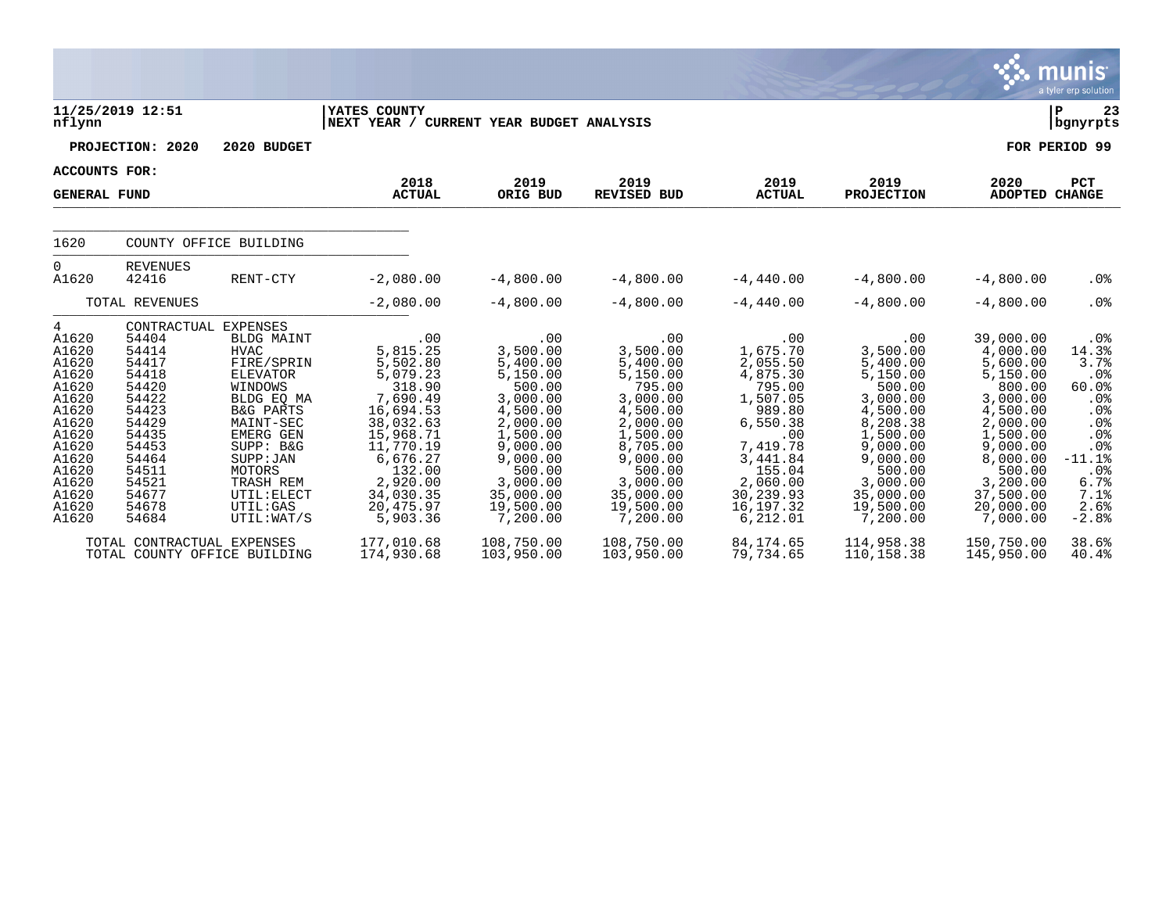|                                                                                                                                                   |                                                                                                                                                                      |                                                                                                                                                                                                                                          |                                                                                                                                                                                           |                                                                                                                                                                                       |                                                                                                                                                                                       |                                                                                                                                                                                  |                                                                                                                                                                                       |                                                                                                                                                                                             | <b>munis</b><br>a tyler erp solution                                                                                                        |
|---------------------------------------------------------------------------------------------------------------------------------------------------|----------------------------------------------------------------------------------------------------------------------------------------------------------------------|------------------------------------------------------------------------------------------------------------------------------------------------------------------------------------------------------------------------------------------|-------------------------------------------------------------------------------------------------------------------------------------------------------------------------------------------|---------------------------------------------------------------------------------------------------------------------------------------------------------------------------------------|---------------------------------------------------------------------------------------------------------------------------------------------------------------------------------------|----------------------------------------------------------------------------------------------------------------------------------------------------------------------------------|---------------------------------------------------------------------------------------------------------------------------------------------------------------------------------------|---------------------------------------------------------------------------------------------------------------------------------------------------------------------------------------------|---------------------------------------------------------------------------------------------------------------------------------------------|
| nflynn                                                                                                                                            | 11/25/2019 12:51                                                                                                                                                     |                                                                                                                                                                                                                                          | YATES COUNTY<br>NEXT YEAR / CURRENT YEAR BUDGET ANALYSIS                                                                                                                                  |                                                                                                                                                                                       |                                                                                                                                                                                       |                                                                                                                                                                                  |                                                                                                                                                                                       |                                                                                                                                                                                             | ΙP<br>23<br>  bgnyrpts                                                                                                                      |
|                                                                                                                                                   | PROJECTION: 2020                                                                                                                                                     | 2020 BUDGET                                                                                                                                                                                                                              |                                                                                                                                                                                           |                                                                                                                                                                                       |                                                                                                                                                                                       |                                                                                                                                                                                  |                                                                                                                                                                                       |                                                                                                                                                                                             | FOR PERIOD 99                                                                                                                               |
| <b>ACCOUNTS FOR:</b>                                                                                                                              |                                                                                                                                                                      |                                                                                                                                                                                                                                          |                                                                                                                                                                                           |                                                                                                                                                                                       |                                                                                                                                                                                       |                                                                                                                                                                                  |                                                                                                                                                                                       |                                                                                                                                                                                             |                                                                                                                                             |
| <b>GENERAL FUND</b>                                                                                                                               |                                                                                                                                                                      |                                                                                                                                                                                                                                          | 2018<br><b>ACTUAL</b>                                                                                                                                                                     | 2019<br>ORIG BUD                                                                                                                                                                      | 2019<br><b>REVISED BUD</b>                                                                                                                                                            | 2019<br><b>ACTUAL</b>                                                                                                                                                            | 2019<br><b>PROJECTION</b>                                                                                                                                                             | 2020<br>ADOPTED CHANGE                                                                                                                                                                      | <b>PCT</b>                                                                                                                                  |
| 1620                                                                                                                                              |                                                                                                                                                                      | COUNTY OFFICE BUILDING                                                                                                                                                                                                                   |                                                                                                                                                                                           |                                                                                                                                                                                       |                                                                                                                                                                                       |                                                                                                                                                                                  |                                                                                                                                                                                       |                                                                                                                                                                                             |                                                                                                                                             |
| $\overline{0}$<br>A1620                                                                                                                           | <b>REVENUES</b><br>42416                                                                                                                                             | RENT-CTY                                                                                                                                                                                                                                 | $-2,080.00$                                                                                                                                                                               | $-4,800.00$                                                                                                                                                                           | $-4,800.00$                                                                                                                                                                           | $-4,440.00$                                                                                                                                                                      | $-4,800.00$                                                                                                                                                                           | $-4,800.00$                                                                                                                                                                                 | $.0\%$                                                                                                                                      |
|                                                                                                                                                   | TOTAL REVENUES                                                                                                                                                       |                                                                                                                                                                                                                                          | $-2,080.00$                                                                                                                                                                               | $-4,800.00$                                                                                                                                                                           | $-4,800.00$                                                                                                                                                                           | $-4,440.00$                                                                                                                                                                      | $-4,800.00$                                                                                                                                                                           | $-4,800.00$                                                                                                                                                                                 | .0%                                                                                                                                         |
| 4<br>A1620<br>A1620<br>A1620<br>A1620<br>A1620<br>A1620<br>A1620<br>A1620<br>A1620<br>A1620<br>A1620<br>A1620<br>A1620<br>A1620<br>A1620<br>A1620 | CONTRACTUAL EXPENSES<br>54404<br>54414<br>54417<br>54418<br>54420<br>54422<br>54423<br>54429<br>54435<br>54453<br>54464<br>54511<br>54521<br>54677<br>54678<br>54684 | <b>BLDG MAINT</b><br><b>HVAC</b><br>FIRE/SPRIN<br><b>ELEVATOR</b><br>WINDOWS<br>BLDG EQ MA<br><b>B&amp;G PARTS</b><br>MAINT-SEC<br>EMERG GEN<br>SUPP: B&G<br>SUPP : JAN<br>MOTORS<br>TRASH REM<br>UTIL: ELECT<br>UTIL:GAS<br>UTIL: WAT/S | .00<br>5,815.25<br>5,502.80<br>5,079.23<br>318.90<br>7,690.49<br>16,694.53<br>38,032.63<br>15,968.71<br>11,770.19<br>6,676.27<br>132.00<br>2,920.00<br>34,030.35<br>20,475.97<br>5,903.36 | .00<br>3,500.00<br>5,400.00<br>5,150.00<br>500.00<br>3,000.00<br>4,500.00<br>2,000.00<br>1,500.00<br>9,000.00<br>9,000.00<br>500.00<br>3,000.00<br>35,000.00<br>19,500.00<br>7,200.00 | .00<br>3,500.00<br>5,400.00<br>5,150.00<br>795.00<br>3,000.00<br>4,500.00<br>2,000.00<br>1,500.00<br>8,705.00<br>9,000.00<br>500.00<br>3,000.00<br>35,000.00<br>19,500.00<br>7,200.00 | .00<br>1,675.70<br>2,055.50<br>4,875.30<br>795.00<br>1,507.05<br>989.80<br>6,550.38<br>.00<br>7,419.78<br>3,441.84<br>155.04<br>2,060.00<br>30,239.93<br>16, 197. 32<br>6,212.01 | .00<br>3,500.00<br>5,400.00<br>5,150.00<br>500.00<br>3,000.00<br>4,500.00<br>8,208.38<br>1,500.00<br>9,000.00<br>9,000.00<br>500.00<br>3,000.00<br>35,000.00<br>19,500.00<br>7,200.00 | 39,000.00<br>4,000.00<br>5,600.00<br>5,150.00<br>800.00<br>3,000.00<br>4,500.00<br>2,000.00<br>1,500.00<br>9,000.00<br>8,000.00<br>500.00<br>3,200.00<br>37,500.00<br>20,000.00<br>7,000.00 | . 0 %<br>14.3%<br>3.7%<br>.0%<br>60.0%<br>.0%<br>.0%<br>.0%<br>.0%<br>.0%<br>$-11.1%$<br>.0 <sub>8</sub><br>6.7%<br>7.1%<br>2.6%<br>$-2.8%$ |
|                                                                                                                                                   | TOTAL CONTRACTUAL EXPENSES                                                                                                                                           | TOTAL COUNTY OFFICE BUILDING                                                                                                                                                                                                             | 177,010.68<br>174,930.68                                                                                                                                                                  | 108,750.00<br>103,950.00                                                                                                                                                              | 108,750.00<br>103,950.00                                                                                                                                                              | 84, 174.65<br>79,734.65                                                                                                                                                          | 114,958.38<br>110, 158.38                                                                                                                                                             | 150,750.00<br>145,950.00                                                                                                                                                                    | 38.6%<br>40.4%                                                                                                                              |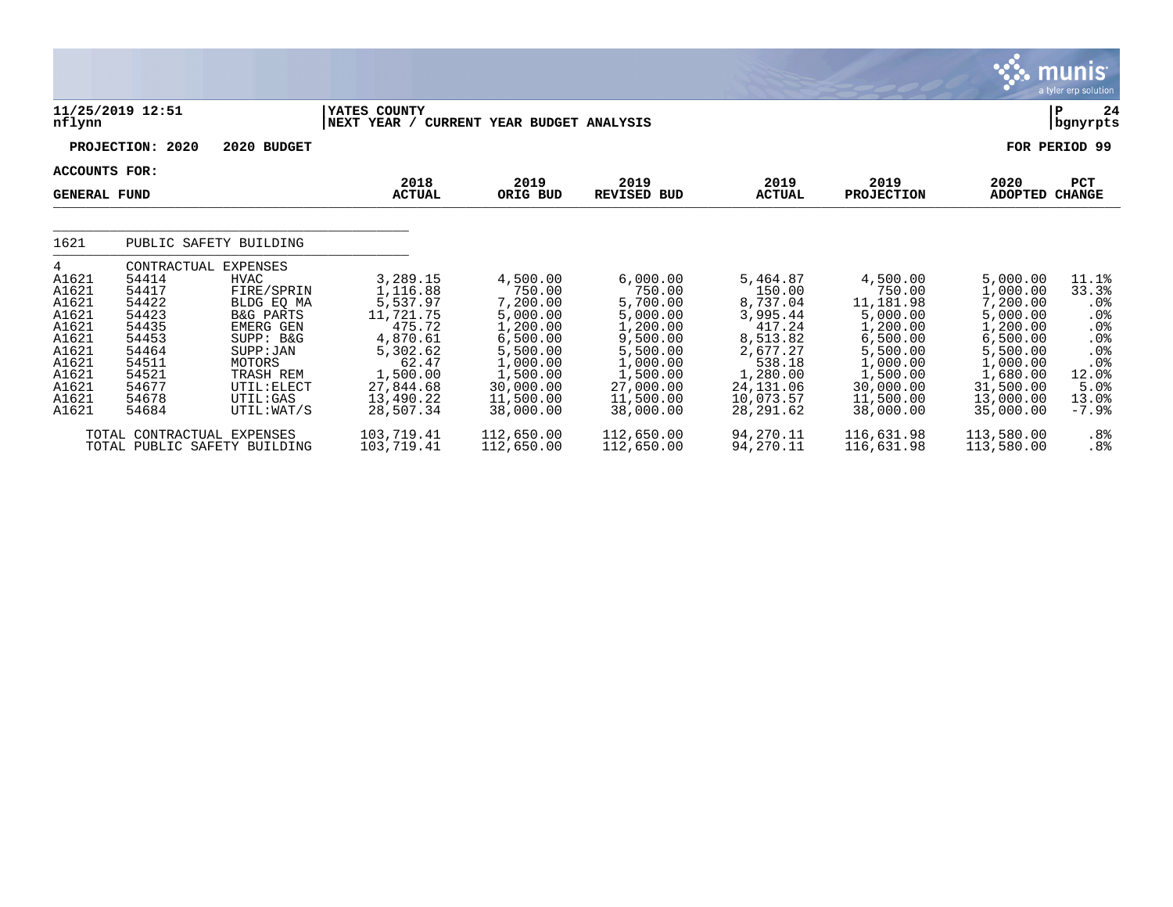|                     |                              |                          |                             |                              |                       |                       |                       |                       | $\sim$ - пічніз<br>a tyler erp solution |
|---------------------|------------------------------|--------------------------|-----------------------------|------------------------------|-----------------------|-----------------------|-----------------------|-----------------------|-----------------------------------------|
| nflynn              | 11/25/2019 12:51             |                          | YATES COUNTY<br>NEXT YEAR / | CURRENT YEAR BUDGET ANALYSIS |                       |                       |                       |                       | ΙP<br>24<br>  bgnyrpts                  |
|                     | PROJECTION: 2020             | 2020 BUDGET              |                             |                              |                       |                       |                       |                       | FOR PERIOD 99                           |
| ACCOUNTS FOR:       |                              |                          | 2018                        | 2019                         | 2019                  | 2019                  | 2019                  | 2020                  | PCT                                     |
| <b>GENERAL FUND</b> |                              |                          | <b>ACTUAL</b>               | ORIG BUD                     | <b>REVISED BUD</b>    | <b>ACTUAL</b>         | <b>PROJECTION</b>     | <b>ADOPTED</b>        | <b>CHANGE</b>                           |
| 1621                | PUBLIC SAFETY BUILDING       |                          |                             |                              |                       |                       |                       |                       |                                         |
| 4                   | CONTRACTUAL                  | <b>EXPENSES</b>          |                             |                              |                       |                       |                       |                       |                                         |
| A1621               | 54414                        | <b>HVAC</b>              | 3,289.15                    | 4,500.00                     | 6,000.00              | 5,464.87              | 4,500.00<br>750.00    | 5,000.00              | 11.1%                                   |
| A1621<br>A1621      | 54417<br>54422               | FIRE/SPRIN<br>BLDG EQ MA | 1,116.88<br>5,537.97        | 750.00<br>7,200.00           | 750.00<br>5,700.00    | 150.00<br>8,737.04    | 11,181.98             | 1,000.00<br>7,200.00  | 33.3%<br>.0%                            |
| A1621               | 54423                        | <b>B&amp;G PARTS</b>     | 11,721.75                   | 5,000.00                     | 5,000.00              | 3,995.44              | 5,000.00              | 5,000.00              | $.0\%$                                  |
| A1621               | 54435                        | EMERG GEN                | 475.72                      | 1,200.00                     | 1,200.00              | 417.24                | 1,200.00              | 1,200.00              | .0%                                     |
| A1621               | 54453                        | SUPP: B&G                | 4,870.61                    | 6,500.00                     | 9,500.00              | 8,513.82              | 6,500.00              | 6,500.00              | .0%                                     |
| A1621               | 54464                        | SUPP: JAN                | 5,302.62                    | 5,500.00                     | 5,500.00              | 2,677.27              | 5,500.00              | 5,500.00              | .0%                                     |
| A1621               | 54511                        | MOTORS                   | 62.47                       | 1,000.00                     | 1,000.00              | 538.18                | 1,000.00              | 1,000.00              | $.0\%$                                  |
| A1621<br>A1621      | 54521<br>54677               | TRASH REM<br>UTIL: ELECT | 1,500.00<br>27,844.68       | 1,500.00<br>30,000.00        | 1,500.00<br>27,000.00 | 1,280.00<br>24,131.06 | 1,500.00<br>30,000.00 | 1,680.00<br>31,500.00 | 12.0%<br>5.0%                           |
| A1621               | 54678                        | UTIL:GAS                 | 13,490.22                   | 11,500.00                    | 11,500.00             | 10,073.57             | 11,500.00             | 13,000.00             | 13.0%                                   |
| A1621               | 54684                        | UTIL: WAT/S              | 28,507.34                   | 38,000.00                    | 38,000.00             | 28, 291.62            | 38,000.00             | 35,000.00             | $-7.9%$                                 |
|                     | TOTAL CONTRACTUAL EXPENSES   |                          | 103,719.41                  | 112,650.00                   | 112,650.00            | 94,270.11             | 116,631.98            | 113,580.00            | .8%                                     |
|                     | TOTAL PUBLIC SAFETY BUILDING |                          | 103,719.41                  | 112,650.00                   | 112,650.00            | 94,270.11             | 116,631.98            | 113,580.00            | .8%                                     |

 $\sim$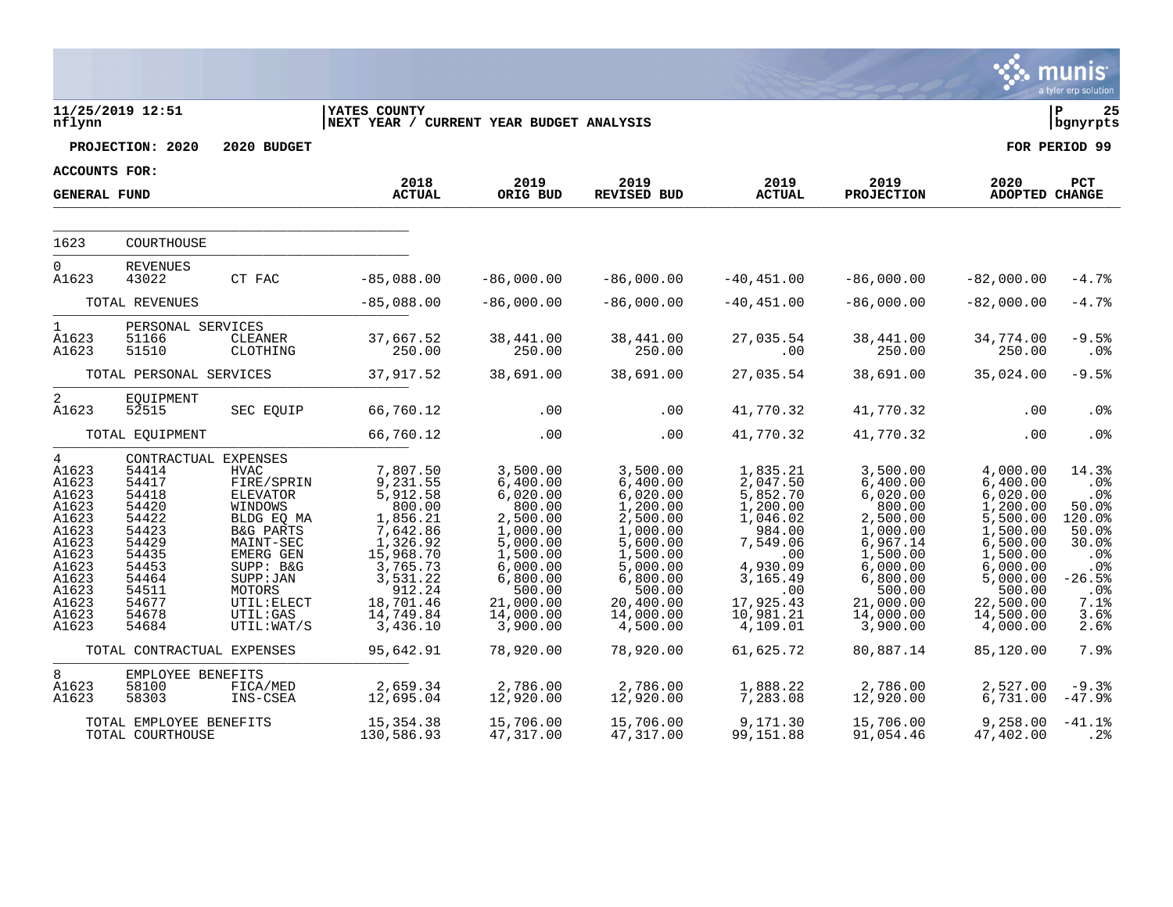|                                                                                                                                 |                                                                                                                                                    |                                                                                                                                                                                     |                                                                                                                                                                     |                                                                                                                                                                    |                                                                                                                                                                      |                                                                                                                                                            |                                                                                                                                                                    |                                                                                                                                                                      | munis<br>a tyler erp solution                                                                                           |
|---------------------------------------------------------------------------------------------------------------------------------|----------------------------------------------------------------------------------------------------------------------------------------------------|-------------------------------------------------------------------------------------------------------------------------------------------------------------------------------------|---------------------------------------------------------------------------------------------------------------------------------------------------------------------|--------------------------------------------------------------------------------------------------------------------------------------------------------------------|----------------------------------------------------------------------------------------------------------------------------------------------------------------------|------------------------------------------------------------------------------------------------------------------------------------------------------------|--------------------------------------------------------------------------------------------------------------------------------------------------------------------|----------------------------------------------------------------------------------------------------------------------------------------------------------------------|-------------------------------------------------------------------------------------------------------------------------|
| nflynn                                                                                                                          | 11/25/2019 12:51                                                                                                                                   |                                                                                                                                                                                     | <b>IYATES COUNTY</b><br>NEXT YEAR / CURRENT YEAR BUDGET ANALYSIS                                                                                                    |                                                                                                                                                                    |                                                                                                                                                                      |                                                                                                                                                            |                                                                                                                                                                    |                                                                                                                                                                      | ΙP<br>25<br>  bgnyrpts                                                                                                  |
|                                                                                                                                 | PROJECTION: 2020                                                                                                                                   | 2020 BUDGET                                                                                                                                                                         |                                                                                                                                                                     |                                                                                                                                                                    |                                                                                                                                                                      |                                                                                                                                                            |                                                                                                                                                                    |                                                                                                                                                                      | FOR PERIOD 99                                                                                                           |
| ACCOUNTS FOR:                                                                                                                   |                                                                                                                                                    |                                                                                                                                                                                     |                                                                                                                                                                     |                                                                                                                                                                    |                                                                                                                                                                      |                                                                                                                                                            |                                                                                                                                                                    |                                                                                                                                                                      |                                                                                                                         |
| <b>GENERAL FUND</b>                                                                                                             |                                                                                                                                                    |                                                                                                                                                                                     | 2018<br><b>ACTUAL</b>                                                                                                                                               | 2019<br>ORIG BUD                                                                                                                                                   | 2019<br>REVISED BUD                                                                                                                                                  | 2019<br><b>ACTUAL</b>                                                                                                                                      | 2019<br><b>PROJECTION</b>                                                                                                                                          | 2020<br><b>ADOPTED CHANGE</b>                                                                                                                                        | PCT                                                                                                                     |
| 1623                                                                                                                            | COURTHOUSE                                                                                                                                         |                                                                                                                                                                                     |                                                                                                                                                                     |                                                                                                                                                                    |                                                                                                                                                                      |                                                                                                                                                            |                                                                                                                                                                    |                                                                                                                                                                      |                                                                                                                         |
| $\overline{0}$                                                                                                                  |                                                                                                                                                    |                                                                                                                                                                                     |                                                                                                                                                                     |                                                                                                                                                                    |                                                                                                                                                                      |                                                                                                                                                            |                                                                                                                                                                    |                                                                                                                                                                      |                                                                                                                         |
| A1623                                                                                                                           | <b>REVENUES</b><br>43022                                                                                                                           | CT FAC                                                                                                                                                                              | $-85,088.00$                                                                                                                                                        | $-86,000.00$                                                                                                                                                       | $-86,000.00$                                                                                                                                                         | $-40,451.00$                                                                                                                                               | $-86,000.00$                                                                                                                                                       | $-82,000.00$                                                                                                                                                         | $-4.7%$                                                                                                                 |
|                                                                                                                                 | TOTAL REVENUES                                                                                                                                     |                                                                                                                                                                                     | $-85,088.00$                                                                                                                                                        | $-86,000.00$                                                                                                                                                       | $-86,000.00$                                                                                                                                                         | $-40, 451.00$                                                                                                                                              | $-86,000.00$                                                                                                                                                       | $-82,000.00$                                                                                                                                                         | $-4.7%$                                                                                                                 |
| $\mathbf{1}$<br>A1623<br>A1623                                                                                                  | PERSONAL SERVICES<br>51166<br>51510                                                                                                                | CLEANER<br>CLOTHING                                                                                                                                                                 | 37,667.52<br>250.00                                                                                                                                                 | 38,441.00<br>250.00                                                                                                                                                | 38,441.00<br>250.00                                                                                                                                                  | 27,035.54<br>.00                                                                                                                                           | 38,441.00<br>250.00                                                                                                                                                | 34,774.00<br>250.00                                                                                                                                                  | $-9.5%$<br>$.0\%$                                                                                                       |
|                                                                                                                                 | TOTAL PERSONAL SERVICES                                                                                                                            |                                                                                                                                                                                     | 37,917.52                                                                                                                                                           | 38,691.00                                                                                                                                                          | 38,691.00                                                                                                                                                            | 27,035.54                                                                                                                                                  | 38,691.00                                                                                                                                                          | 35,024.00                                                                                                                                                            | $-9.5%$                                                                                                                 |
| $\overline{a}$<br>A1623                                                                                                         | EQUIPMENT<br>52515                                                                                                                                 | SEC EQUIP                                                                                                                                                                           | 66,760.12                                                                                                                                                           | .00                                                                                                                                                                | .00                                                                                                                                                                  | 41,770.32                                                                                                                                                  | 41,770.32                                                                                                                                                          | .00                                                                                                                                                                  | .0 <sub>8</sub>                                                                                                         |
|                                                                                                                                 | TOTAL EQUIPMENT                                                                                                                                    |                                                                                                                                                                                     | 66,760.12                                                                                                                                                           | .00                                                                                                                                                                | .00                                                                                                                                                                  | 41,770.32                                                                                                                                                  | 41,770.32                                                                                                                                                          | .00                                                                                                                                                                  | .0%                                                                                                                     |
| 4<br>A1623<br>A1623<br>A1623<br>A1623<br>A1623<br>A1623<br>A1623<br>A1623<br>A1623<br>A1623<br>A1623<br>A1623<br>A1623<br>A1623 | CONTRACTUAL EXPENSES<br>54414<br>54417<br>54418<br>54420<br>54422<br>54423<br>54429<br>54435<br>54453<br>54464<br>54511<br>54677<br>54678<br>54684 | HVAC<br>FIRE/SPRIN<br><b>ELEVATOR</b><br>WINDOWS<br>BLDG EQ MA<br>B&G PARTS<br>MAINT-SEC<br>EMERG GEN<br>SUPP: B&G<br>SUPP : JAN<br>MOTORS<br>UTIL: ELECT<br>UTIL:GAS<br>UTIL:WAT/S | 7,807.50<br>9,231.55<br>5,912.58<br>800.00<br>1,856.21<br>7,642.86<br>1,326.92<br>15,968.70<br>3,765.73<br>3,531.22<br>912.24<br>18,701.46<br>14,749.84<br>3,436.10 | 3,500.00<br>6,400.00<br>6,020.00<br>800.00<br>2,500.00<br>1,000.00<br>5,000.00<br>1,500.00<br>6,000.00<br>6,800.00<br>500.00<br>21,000.00<br>14,000.00<br>3,900.00 | 3,500.00<br>6,400.00<br>6,020.00<br>1,200.00<br>2,500.00<br>1,000.00<br>5,600.00<br>1,500.00<br>5,000.00<br>6,800.00<br>500.00<br>20,400.00<br>14,000.00<br>4,500.00 | 1,835.21<br>2,047.50<br>5,852.70<br>1,200.00<br>1,046.02<br>984.00<br>7,549.06<br>.00<br>4,930.09<br>3,165.49<br>.00<br>17,925.43<br>10,981.21<br>4,109.01 | 3,500.00<br>6,400.00<br>6,020.00<br>800.00<br>2,500.00<br>1,000.00<br>6,967.14<br>1,500.00<br>6,000.00<br>6,800.00<br>500.00<br>21,000.00<br>14,000.00<br>3,900.00 | 4,000.00<br>6,400.00<br>6,020.00<br>1,200.00<br>5,500.00<br>1,500.00<br>6,500.00<br>1,500.00<br>6,000.00<br>5,000.00<br>500.00<br>22,500.00<br>14,500.00<br>4,000.00 | 14.3%<br>.0%<br>$.0\%$<br>50.0%<br>120.0%<br>50.0%<br>30.0%<br>.0%<br>.0%<br>$-26.5%$<br>$.0\%$<br>7.1%<br>3.6%<br>2.6% |
|                                                                                                                                 | TOTAL CONTRACTUAL EXPENSES                                                                                                                         |                                                                                                                                                                                     | 95,642.91                                                                                                                                                           | 78,920.00                                                                                                                                                          | 78,920.00                                                                                                                                                            | 61,625.72                                                                                                                                                  | 80,887.14                                                                                                                                                          | 85,120.00                                                                                                                                                            | 7.9%                                                                                                                    |
| 8<br>A1623<br>A1623                                                                                                             | EMPLOYEE BENEFITS<br>58100<br>58303                                                                                                                | FICA/MED<br>INS-CSEA                                                                                                                                                                | 2,659.34<br>12,695.04                                                                                                                                               | 2,786.00<br>12,920.00                                                                                                                                              | 2,786.00<br>12,920.00                                                                                                                                                | 1,888.22<br>7,283.08                                                                                                                                       | 2,786.00<br>12,920.00                                                                                                                                              | 2,527.00<br>6,731.00                                                                                                                                                 | $-9.3%$<br>$-47.9%$                                                                                                     |
|                                                                                                                                 | TOTAL EMPLOYEE BENEFITS<br>TOTAL COURTHOUSE                                                                                                        |                                                                                                                                                                                     | 15,354.38<br>130,586.93                                                                                                                                             | 15,706.00<br>47,317.00                                                                                                                                             | 15,706.00<br>47,317.00                                                                                                                                               | 9,171.30<br>99,151.88                                                                                                                                      | 15,706.00<br>91,054.46                                                                                                                                             | 9,258.00<br>47,402.00                                                                                                                                                | $-41.1%$<br>.2%                                                                                                         |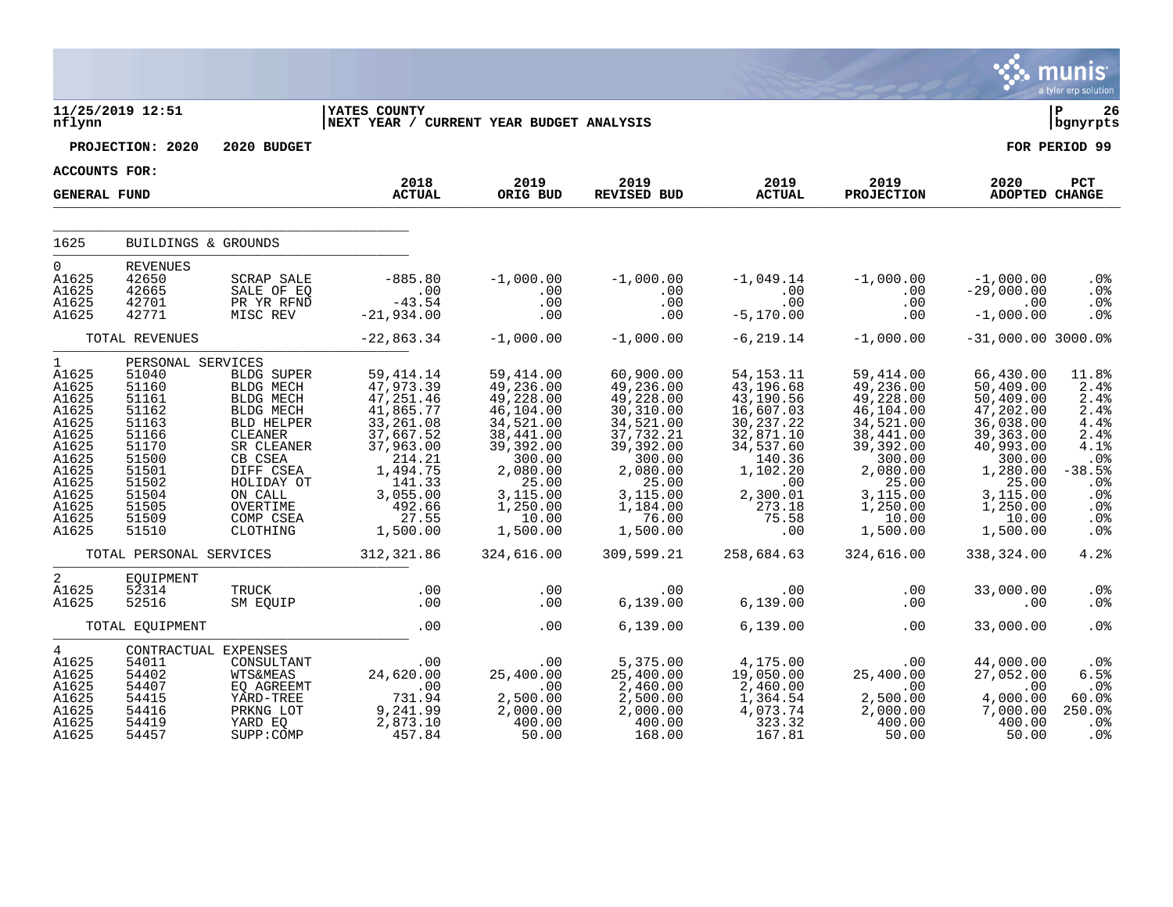|                                                                                                                                         |                                                                                                                                                 |                                                                                                                                                                                |                                                                                                                                                                                 |                                                                                                                                                                          |                                                                                                                                                                       |                                                                                                                                                                  |                                                                                                                                                                                             |                                                                                                                                                                     | <b>munis</b><br>a tyler erp solution                                                                                       |
|-----------------------------------------------------------------------------------------------------------------------------------------|-------------------------------------------------------------------------------------------------------------------------------------------------|--------------------------------------------------------------------------------------------------------------------------------------------------------------------------------|---------------------------------------------------------------------------------------------------------------------------------------------------------------------------------|--------------------------------------------------------------------------------------------------------------------------------------------------------------------------|-----------------------------------------------------------------------------------------------------------------------------------------------------------------------|------------------------------------------------------------------------------------------------------------------------------------------------------------------|---------------------------------------------------------------------------------------------------------------------------------------------------------------------------------------------|---------------------------------------------------------------------------------------------------------------------------------------------------------------------|----------------------------------------------------------------------------------------------------------------------------|
| nflynn                                                                                                                                  | 11/25/2019 12:51                                                                                                                                |                                                                                                                                                                                | <b>IYATES COUNTY</b><br>NEXT YEAR / CURRENT YEAR BUDGET ANALYSIS                                                                                                                |                                                                                                                                                                          |                                                                                                                                                                       |                                                                                                                                                                  |                                                                                                                                                                                             |                                                                                                                                                                     | ∣ P<br>26<br>  bgnyrpts                                                                                                    |
|                                                                                                                                         | PROJECTION: 2020                                                                                                                                | 2020 BUDGET                                                                                                                                                                    |                                                                                                                                                                                 |                                                                                                                                                                          |                                                                                                                                                                       |                                                                                                                                                                  |                                                                                                                                                                                             |                                                                                                                                                                     | FOR PERIOD 99                                                                                                              |
| ACCOUNTS FOR:                                                                                                                           |                                                                                                                                                 |                                                                                                                                                                                | 2018                                                                                                                                                                            | 2019                                                                                                                                                                     | 2019                                                                                                                                                                  | 2019                                                                                                                                                             | 2019                                                                                                                                                                                        | 2020                                                                                                                                                                |                                                                                                                            |
| <b>GENERAL FUND</b>                                                                                                                     |                                                                                                                                                 |                                                                                                                                                                                | <b>ACTUAL</b>                                                                                                                                                                   | ORIG BUD                                                                                                                                                                 | REVISED BUD                                                                                                                                                           | <b>ACTUAL</b>                                                                                                                                                    | <b>PROJECTION</b>                                                                                                                                                                           | ADOPTED CHANGE                                                                                                                                                      | PCT                                                                                                                        |
| 1625                                                                                                                                    | BUILDINGS & GROUNDS                                                                                                                             |                                                                                                                                                                                |                                                                                                                                                                                 |                                                                                                                                                                          |                                                                                                                                                                       |                                                                                                                                                                  |                                                                                                                                                                                             |                                                                                                                                                                     |                                                                                                                            |
| $\Omega$<br>A1625<br>A1625<br>A1625<br>A1625                                                                                            | <b>REVENUES</b><br>42650<br>42665<br>42701<br>42771                                                                                             | SCRAP SALE<br>SALE OF EQ<br>PR YR RFND<br>MISC REV                                                                                                                             | $-885.80$<br>$-43.54$<br>$-21,934.00$                                                                                                                                           | $-1,000.00$<br>$\begin{array}{c} . & 0 & 0 \\ . & 0 & 0 \end{array}$<br>.00<br>.00                                                                                       | $-1,000.00$<br>$\begin{matrix} 0 & 0 \\ 0 & 0 \end{matrix}$<br>.00<br>.00                                                                                             | .00<br>.00<br>$-5, 170.00$                                                                                                                                       | $-1,049.14$ $-1,000.00$<br>$\begin{array}{c} . & 0 & 0 \\ . & 0 & 0 \end{array}$<br>.00                                                                                                     | $-1$ ,000.00<br>$-29,000.00$<br>.00<br>$-1,000.00$                                                                                                                  | $.0\%$<br>.0 <sub>8</sub><br>.0%<br>.0%                                                                                    |
|                                                                                                                                         | TOTAL REVENUES                                                                                                                                  |                                                                                                                                                                                | $-22,863.34$                                                                                                                                                                    | $-1,000.00$                                                                                                                                                              | $-1,000.00$                                                                                                                                                           | $-6, 219.14$                                                                                                                                                     | $-1,000.00$                                                                                                                                                                                 | $-31,000.00$ 3000.0%                                                                                                                                                |                                                                                                                            |
| $1 \quad$<br>A1625<br>A1625<br>A1625<br>A1625<br>A1625<br>A1625<br>A1625<br>A1625<br>A1625<br>A1625<br>A1625<br>A1625<br>A1625<br>A1625 | PERSONAL SERVICES<br>51040<br>51160<br>51161<br>51162<br>51163<br>51166<br>51170<br>51500<br>51501<br>51502<br>51504<br>51505<br>51509<br>51510 | BLDG SUPER<br>BLDG MECH<br>BLDG MECH<br>BLDG MECH<br>BLD HELPER<br>CLEANER<br>SR CLEANER<br>CB CSEA<br>DIFF CSEA<br>HOLIDAY OT<br>ON CALL<br>OVERTIME<br>COMP CSEA<br>CLOTHING | 59,414.14<br>47,973.39<br>$47, 251.46$<br>$41, 865.77$<br>$33, 261.08$<br>37,667.52<br>37,963.00<br>$214.21$<br>1,494.75<br>141.33<br>3,055.00<br>$492.66$<br>27.55<br>1,500.00 | 59,414.00<br>49,236.00<br>49,228.00<br>46, 104.00<br>34,521.00<br>38,441.00<br>39,392.00<br>300.00<br>2,080.00<br>25.00<br>$3,115.00$<br>$1,250.00$<br>10.00<br>1,500.00 | 60,900.00<br>49,236.00<br>49,228.00<br>30, 310.00<br>34, 521.00<br>37,732.21<br>39,392.00<br>300.00<br>2,080.00<br>25.00<br>3,115.00<br>1,184.00<br>76.00<br>1,500.00 | 54, 153. 11<br>43, 196. 68<br>43, 190. 56<br>16,607.03<br>30,237.22<br>32,871.10<br>34,537.60<br>140.36<br>1,102.20<br>.00<br>2,300.01<br>273.18<br>75.58<br>.00 | 59,414.00<br>49,236.00<br>$49, 228.00$<br>$46, 104.00$<br>$34, 521.00$<br>38,441.00<br>39, 392.00<br>2, 292.00<br>300.00<br>2, 080.00<br>25.00<br>3,115.00<br>1,250.00<br>10.00<br>1,500.00 | 66,430.00<br>50,409.00<br>50,409.00<br>47,202.00<br>36,038.00<br>39,363.00<br>40,993.00<br>300.00<br>1,280.00<br>25.00<br>3,115.00<br>1,250.00<br>10.00<br>1,500.00 | 11.8%<br>2.4%<br>2.4%<br>2.4%<br>4.4%<br>2.4%<br>4.1%<br>.0%<br>$-38.5%$<br>.0%<br>.0%<br>$.0\%$<br>.0%<br>.0 <sup>8</sup> |
|                                                                                                                                         |                                                                                                                                                 |                                                                                                                                                                                | TOTAL PERSONAL SERVICES 312,321.86                                                                                                                                              | 324,616.00                                                                                                                                                               | 309,599.21                                                                                                                                                            | 258,684.63                                                                                                                                                       | 324,616.00                                                                                                                                                                                  | 338,324.00                                                                                                                                                          | 4.2%                                                                                                                       |
| $\overline{a}$<br>A1625<br>A1625                                                                                                        | EQUIPMENT<br>52314<br>52516                                                                                                                     | TRUCK<br>SM EOUIP                                                                                                                                                              | .00<br>.00                                                                                                                                                                      | .00<br>.00                                                                                                                                                               | .00<br>6,139.00                                                                                                                                                       | .00<br>6, 139.00                                                                                                                                                 | .00<br>.00                                                                                                                                                                                  | 33,000.00<br>.00                                                                                                                                                    | .0%<br>.0 <sub>8</sub>                                                                                                     |
|                                                                                                                                         | TOTAL EQUIPMENT                                                                                                                                 |                                                                                                                                                                                | .00                                                                                                                                                                             | .00                                                                                                                                                                      | 6,139.00                                                                                                                                                              | 6,139.00                                                                                                                                                         | .00                                                                                                                                                                                         | 33,000.00                                                                                                                                                           | .0 <sup>8</sup>                                                                                                            |
| $\overline{4}$<br>A1625<br>A1625<br>A1625<br>A1625<br>A1625<br>A1625<br>A1625                                                           | CONTRACTUAL EXPENSES<br>54011<br>54402<br>54407<br>54415<br>54416<br>54419<br>54457                                                             | CONSULTANT<br><b>WTS&amp;MEAS</b><br>EQ AGREEMT<br>YARD-TREE<br>PRKNG LOT<br>YARD EQ<br>SUPP: COMP                                                                             | 00.<br>24,620.00<br>$731.94$<br>9, 241.99<br>2,873.10<br>457.84                                                                                                                 | $00$ .<br>25,400.00<br>.00<br>2,500.00<br>2,000.00<br>400.00<br>50.00                                                                                                    | 5,375.00<br>25,400.00<br>2,460.00<br>$2,500.00$<br>$2,000.00$<br>$400.00$<br>168.00                                                                                   | 4,175.00<br>19,050.00<br>2,460.00<br>1,364.54<br>4,073.74<br>323.32<br>167.81                                                                                    | .00<br>25,400.00<br>.00<br>2,500.00<br>2,000.00<br>400.00<br>50.00                                                                                                                          | 44,000.00<br>27,052.00<br>.00<br>$\frac{4,000.00}{7,000.00}$<br>400.00<br>50.00                                                                                     | $.0\%$<br>6.5%<br>.0%<br>60.0%<br>250.0%<br>$.0\%$<br>.0 <sub>8</sub>                                                      |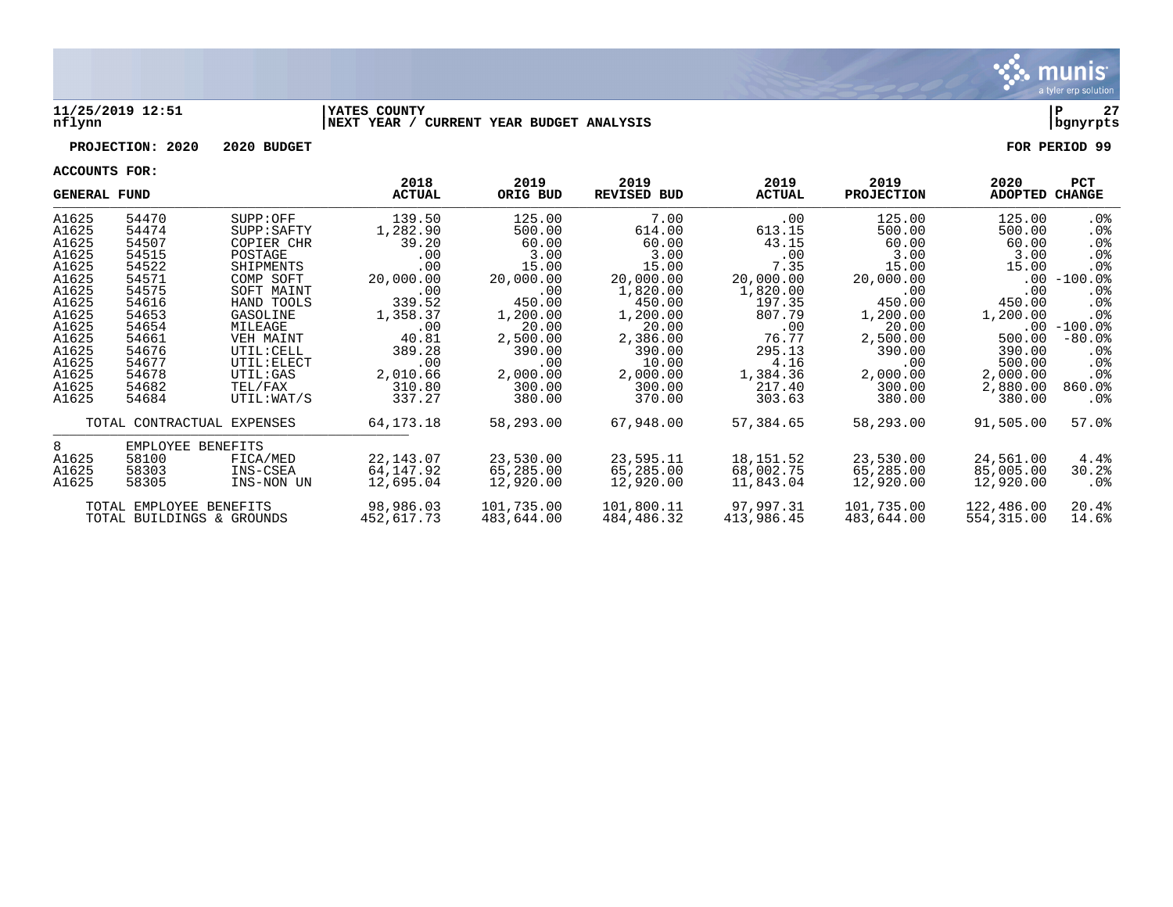

#### **11/25/2019 12:51 |YATES COUNTY |P 27 nflynn |NEXT YEAR / CURRENT YEAR BUDGET ANALYSIS |bgnyrpts**

## **PROJECTION: 2020 2020 BUDGET FOR PERIOD 99**

| <b>GENERAL FUND</b> |                            |                 | 2018<br>ACTUAL | 2019<br>ORIG BUD | 2019<br><b>REVISED BUD</b> | 2019<br><b>ACTUAL</b> | 2019<br><b>PROJECTION</b> | 2020<br>ADOPTED CHANGE | <b>PCT</b>      |
|---------------------|----------------------------|-----------------|----------------|------------------|----------------------------|-----------------------|---------------------------|------------------------|-----------------|
| A1625               | 54470                      | SUPP:OFF        | 139.50         | 125.00           | 7.00                       | $.00 \,$              | 125.00                    | 125.00                 | $.0\%$          |
| A1625               | 54474                      | SUPP: SAFTY     | 1,282.90       | 500.00           | 614.00                     | 613.15                | 500.00                    | 500.00                 | .0%             |
| A1625               | 54507                      | COPIER CHR      | 39.20          | 60.00            | 60.00                      | 43.15                 | 60.00                     | 60.00                  | $.0\%$          |
| A1625               | 54515                      | POSTAGE         | .00            | 3.00             | 3.00                       | .00                   | 3.00                      | 3.00                   | .0 <sub>8</sub> |
| A1625               | 54522                      | SHIPMENTS       | .00            | 15.00            | 15.00                      | 7.35                  | 15.00                     | 15.00                  | . 0%            |
| A1625               | 54571                      | COMP SOFT       | 20,000.00      | 20,000.00        | 20,000.00                  | 20,000.00             | 20,000.00                 | $.00\,$                | $-100.0\%$      |
| A1625               | 54575                      | SOFT MAINT      | .00            | .00              | 1,820.00                   | 1,820.00              | $.00 \,$                  | .00                    | $.0\%$          |
| A1625               | 54616                      | HAND TOOLS      | 339.52         | 450.00           | 450.00                     | 197.35                | 450.00                    | 450.00                 | $.0\%$          |
| A1625               | 54653                      | GASOLINE        | 1,358.37       | 1,200.00         | 1,200.00                   | 807.79                | 1,200.00                  | 1,200.00               | .0%             |
| A1625               | 54654                      | MILEAGE         | $.00 \,$       | 20.00            | 20.00                      | .00                   | 20.00                     |                        | $.00 - 100.0$ % |
| A1625               | 54661                      | VEH MAINT       | 40.81          | 2,500.00         | 2,386.00                   | 76.77                 | 2,500.00                  | 500.00                 | $-80.0%$        |
| A1625               | 54676                      | UTIL: CELL      | 389.28         | 390.00           | 390.00                     | 295.13                | 390.00                    | 390.00                 | $.0\%$          |
| A1625               | 54677                      | UTIL: ELECT     | $.00 \,$       | .00              | 10.00                      | 4.16                  | .00                       | 500.00                 | . 0 %           |
| A1625               | 54678                      | <b>UTIL:GAS</b> | 2,010.66       | 2,000.00         | 2,000.00                   | 1,384.36              | 2,000.00                  | 2,000.00               | .0 <sub>8</sub> |
| A1625               | 54682                      | TEL/FAX         | 310.80         | 300.00           | 300.00                     | 217.40                | 300.00                    | 2,880.00               | $860.0$ %       |
| A1625               | 54684                      | UTIL:WAT/S      | 337.27         | 380.00           | 370.00                     | 303.63                | 380.00                    | 380.00                 | $.0\%$          |
|                     | TOTAL CONTRACTUAL EXPENSES |                 | 64,173.18      | 58,293.00        | 67,948.00                  | 57,384.65             | 58,293.00                 | 91,505.00              | 57.0%           |
| 8                   | EMPLOYEE BENEFITS          |                 |                |                  |                            |                       |                           |                        |                 |
| A1625               | 58100                      | FICA/MED        | 22,143.07      | 23,530.00        | 23,595.11                  | 18,151.52             | 23,530.00                 | 24,561.00              | 4.4%            |
| A1625               | 58303                      | INS-CSEA        | 64,147.92      | 65,285.00        | 65,285.00                  | 68,002.75             | 65,285.00                 | 85,005.00              | 30.2%           |
| A1625               | 58305                      | INS-NON UN      | 12,695.04      | 12,920.00        | 12,920.00                  | 11,843.04             | 12,920.00                 | 12,920.00              | .0%             |
|                     | TOTAL EMPLOYEE BENEFITS    |                 | 98,986.03      | 101,735.00       | 101,800.11                 | 97,997.31             | 101,735.00                | 122,486.00             | 20.4%           |
|                     | TOTAL BUILDINGS & GROUNDS  |                 | 452,617.73     | 483,644.00       | 484,486.32                 | 413,986.45            | 483,644.00                | 554,315.00             | 14.6%           |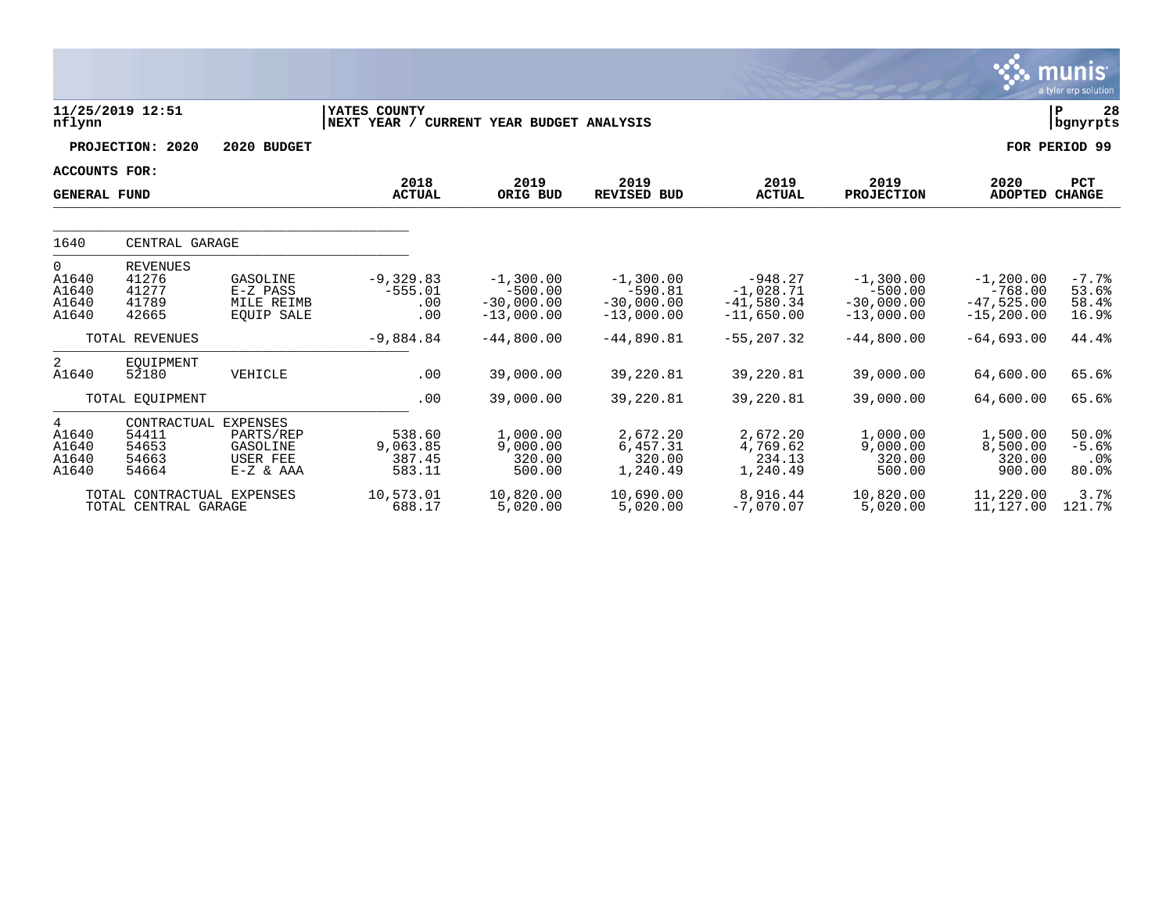|                                       |                                                          |                                                           |                                        |                                                          |                                                          |                                                          |                                                          |                                                            | munis<br>a tyler erp solution                              |
|---------------------------------------|----------------------------------------------------------|-----------------------------------------------------------|----------------------------------------|----------------------------------------------------------|----------------------------------------------------------|----------------------------------------------------------|----------------------------------------------------------|------------------------------------------------------------|------------------------------------------------------------|
| nflynn                                | 11/25/2019 12:51                                         |                                                           | YATES COUNTY<br>NEXT YEAR /            | CURRENT YEAR BUDGET ANALYSIS                             |                                                          |                                                          |                                                          |                                                            | 28<br>ΙP<br>bgnyrpts                                       |
|                                       | PROJECTION: 2020                                         | 2020 BUDGET                                               |                                        |                                                          |                                                          |                                                          |                                                          |                                                            | FOR PERIOD 99                                              |
| ACCOUNTS FOR:<br><b>GENERAL FUND</b>  |                                                          |                                                           | 2018<br><b>ACTUAL</b>                  | 2019<br>ORIG BUD                                         | 2019<br><b>REVISED BUD</b>                               | 2019<br><b>ACTUAL</b>                                    | 2019<br><b>PROJECTION</b>                                | 2020<br><b>ADOPTED</b>                                     | PCT<br><b>CHANGE</b>                                       |
| 1640                                  | CENTRAL GARAGE                                           |                                                           |                                        |                                                          |                                                          |                                                          |                                                          |                                                            |                                                            |
| 0<br>A1640<br>A1640<br>A1640<br>A1640 | <b>REVENUES</b><br>41276<br>41277<br>41789<br>42665      | GASOLINE<br>$E-Z$ PASS<br>MILE REIMB<br><b>EOUIP SALE</b> | $-9,329.83$<br>$-555.01$<br>.00<br>.00 | $-1,300.00$<br>$-500.00$<br>$-30,000.00$<br>$-13,000.00$ | $-1,300.00$<br>$-590.81$<br>$-30,000.00$<br>$-13,000.00$ | $-948.27$<br>$-1,028.71$<br>$-41,580.34$<br>$-11,650.00$ | $-1,300.00$<br>$-500.00$<br>$-30,000.00$<br>$-13,000.00$ | $-1, 200.00$<br>$-768.00$<br>$-47,525.00$<br>$-15, 200.00$ | $-7.7%$<br>53.6%<br>58.4%<br>16.9%                         |
|                                       | TOTAL REVENUES                                           |                                                           | $-9,884.84$                            | $-44,800.00$                                             | $-44,890.81$                                             | $-55, 207.32$                                            | $-44,800.00$                                             | $-64,693.00$                                               | 44.4%                                                      |
| 2<br>A1640                            | EOUIPMENT<br>52180                                       | VEHICLE                                                   | .00                                    | 39,000.00                                                | 39,220.81                                                | 39,220.81                                                | 39,000.00                                                | 64,600.00                                                  | 65.6%                                                      |
|                                       | TOTAL EOUIPMENT                                          |                                                           | .00                                    | 39,000.00                                                | 39,220.81                                                | 39,220.81                                                | 39,000.00                                                | 64,600.00                                                  | 65.6%                                                      |
| 4<br>A1640<br>A1640<br>A1640<br>A1640 | CONTRACTUAL EXPENSES<br>54411<br>54653<br>54663<br>54664 | PARTS/REP<br>GASOLINE<br>USER FEE<br>$E-Z & AAA$          | 538.60<br>9,063.85<br>387.45<br>583.11 | 1,000.00<br>9,000.00<br>320.00<br>500.00                 | 2,672.20<br>6,457.31<br>320.00<br>1,240.49               | 2,672.20<br>4,769.62<br>234.13<br>1,240.49               | 1,000.00<br>9,000.00<br>320.00<br>500.00                 | 1,500.00<br>8,500.00<br>320.00<br>900.00                   | 50.0%<br>$-5.6%$<br>.0 <sub>8</sub><br>$80.0$ <sup>8</sup> |
|                                       | TOTAL CONTRACTUAL EXPENSES<br>TOTAL CENTRAL GARAGE       |                                                           | 10,573.01<br>688.17                    | 10,820.00<br>5,020.00                                    | 10,690.00<br>5,020.00                                    | 8,916.44<br>$-7,070.07$                                  | 10,820.00<br>5,020.00                                    | 11,220.00<br>11,127.00                                     | 3.7%<br>121.7%                                             |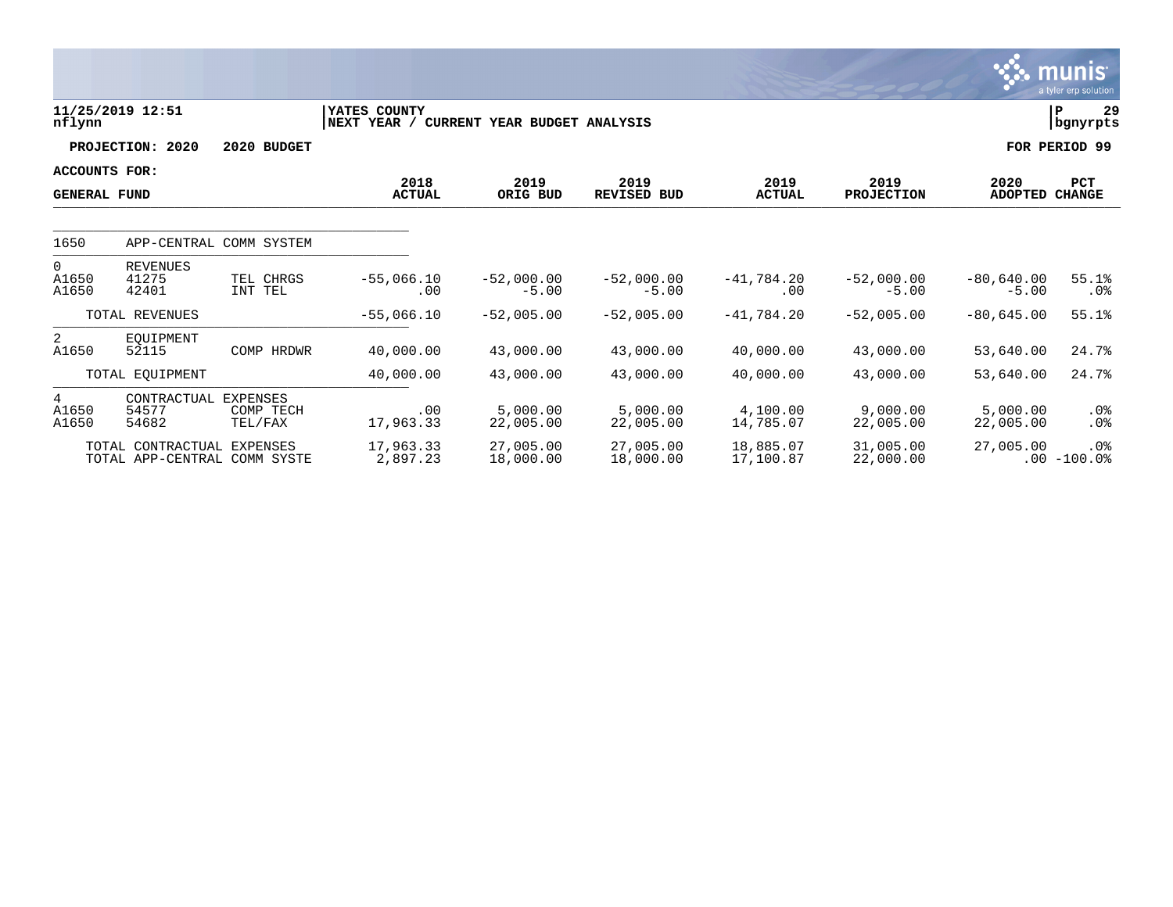|                                      |                                                            |                                         |                             |                              |                            |                        |                           |                         | munis<br>a tyler erp solution |
|--------------------------------------|------------------------------------------------------------|-----------------------------------------|-----------------------------|------------------------------|----------------------------|------------------------|---------------------------|-------------------------|-------------------------------|
| nflynn                               | 11/25/2019 12:51                                           |                                         | YATES COUNTY<br>NEXT YEAR / | CURRENT YEAR BUDGET ANALYSIS |                            |                        |                           |                         | 29<br>P<br>  bgnyrpts         |
|                                      | PROJECTION: 2020                                           | 2020 BUDGET                             |                             |                              |                            |                        |                           |                         | FOR PERIOD 99                 |
| ACCOUNTS FOR:<br><b>GENERAL FUND</b> |                                                            |                                         | 2018<br><b>ACTUAL</b>       | 2019<br>ORIG BUD             | 2019<br><b>REVISED BUD</b> | 2019<br><b>ACTUAL</b>  | 2019<br><b>PROJECTION</b> | 2020<br>ADOPTED CHANGE  | <b>PCT</b>                    |
| 1650                                 | APP-CENTRAL COMM SYSTEM                                    |                                         |                             |                              |                            |                        |                           |                         |                               |
| $\mathbf{0}$<br>A1650<br>A1650       | <b>REVENUES</b><br>41275<br>42401                          | TEL CHRGS<br>INT TEL                    | $-55,066.10$<br>.00         | $-52,000.00$<br>$-5.00$      | $-52,000.00$<br>$-5.00$    | $-41,784.20$<br>.00    | $-52,000.00$<br>$-5.00$   | $-80,640.00$<br>$-5.00$ | 55.1%<br>$.0\%$               |
|                                      | TOTAL REVENUES                                             |                                         | $-55,066.10$                | $-52,005.00$                 | $-52,005.00$               | $-41,784.20$           | $-52,005.00$              | $-80,645.00$            | 55.1%                         |
| 2<br>A1650                           | EOUIPMENT<br>52115                                         | COMP HRDWR                              | 40,000.00                   | 43,000.00                    | 43,000.00                  | 40,000.00              | 43,000.00                 | 53,640.00               | 24.7%                         |
|                                      | TOTAL EQUIPMENT                                            |                                         | 40,000.00                   | 43,000.00                    | 43,000.00                  | 40,000.00              | 43,000.00                 | 53,640.00               | 24.7%                         |
| 4<br>A1650<br>A1650                  | CONTRACTUAL<br>54577<br>54682                              | <b>EXPENSES</b><br>COMP TECH<br>TEL/FAX | .00<br>17,963.33            | 5.000.00<br>22,005.00        | 5,000.00<br>22,005.00      | 4,100.00<br>14,785.07  | 9,000.00<br>22,005.00     | 5,000.00<br>22,005.00   | $.0\%$<br>$.0\%$              |
|                                      | TOTAL CONTRACTUAL EXPENSES<br>TOTAL APP-CENTRAL COMM SYSTE |                                         | 17,963.33<br>2,897.23       | 27,005.00<br>18,000.00       | 27,005.00<br>18,000.00     | 18,885.07<br>17,100.87 | 31,005.00<br>22,000.00    | 27,005.00               | $.0\%$<br>$.00 - 100.0$       |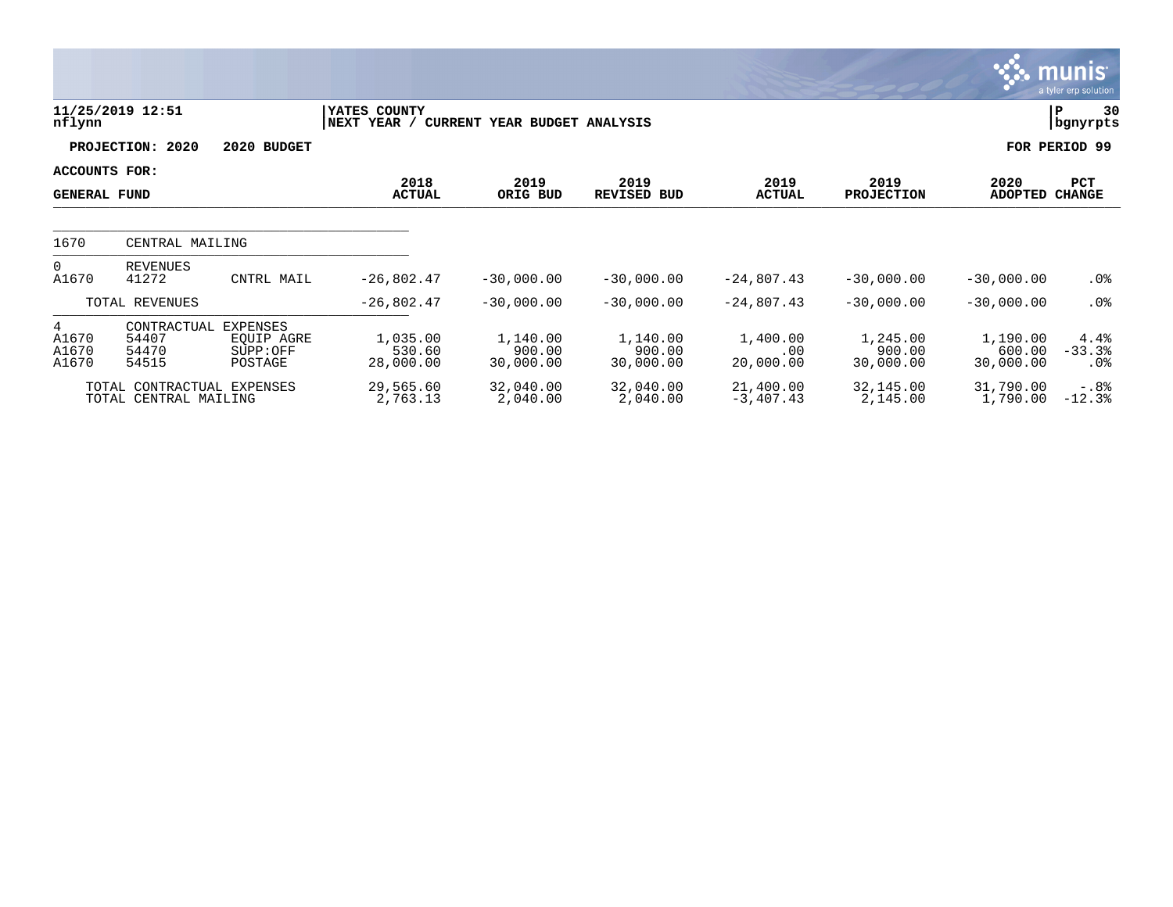|                                      |                                                     |                                                      |                                 |                                 |                                 |                              |                                 |                                 | munis <sup>.</sup><br>a tyler erp solution |
|--------------------------------------|-----------------------------------------------------|------------------------------------------------------|---------------------------------|---------------------------------|---------------------------------|------------------------------|---------------------------------|---------------------------------|--------------------------------------------|
| nflynn                               | 11/25/2019 12:51                                    |                                                      | YATES COUNTY<br>NEXT YEAR /     | CURRENT YEAR BUDGET ANALYSIS    |                                 |                              |                                 |                                 | 30<br>P<br>  bgnyrpts                      |
|                                      | PROJECTION: 2020                                    | 2020 BUDGET                                          |                                 |                                 |                                 |                              |                                 |                                 | FOR PERIOD 99                              |
| ACCOUNTS FOR:<br><b>GENERAL FUND</b> |                                                     |                                                      | 2018<br><b>ACTUAL</b>           | 2019<br>ORIG BUD                | 2019<br>REVISED BUD             | 2019<br><b>ACTUAL</b>        | 2019<br><b>PROJECTION</b>       | 2020<br><b>ADOPTED</b>          | PCT<br><b>CHANGE</b>                       |
| 1670                                 | CENTRAL MAILING                                     |                                                      |                                 |                                 |                                 |                              |                                 |                                 |                                            |
| $\overline{0}$<br>A1670              | <b>REVENUES</b><br>41272                            | CNTRL MAIL                                           | $-26,802.47$                    | $-30,000.00$                    | $-30,000.00$                    | $-24,807.43$                 | $-30,000.00$                    | $-30,000.00$                    | $.0\%$                                     |
|                                      | TOTAL REVENUES                                      |                                                      | $-26,802.47$                    | $-30,000.00$                    | $-30,000.00$                    | $-24,807.43$                 | $-30,000.00$                    | $-30,000.00$                    | $.0\%$                                     |
| 4<br>A1670<br>A1670<br>A1670         | CONTRACTUAL<br>54407<br>54470<br>54515              | <b>EXPENSES</b><br>EQUIP AGRE<br>SUPP:OFF<br>POSTAGE | 1,035.00<br>530.60<br>28,000.00 | 1,140.00<br>900.00<br>30,000.00 | 1,140.00<br>900.00<br>30,000.00 | 1,400.00<br>.00<br>20,000.00 | 1,245.00<br>900.00<br>30,000.00 | 1,190.00<br>600.00<br>30,000.00 | 4.4%<br>$-33.3$<br>$.0\%$                  |
|                                      | TOTAL CONTRACTUAL EXPENSES<br>TOTAL CENTRAL MAILING |                                                      | 29,565.60<br>2,763.13           | 32,040.00<br>2,040.00           | 32,040.00<br>2,040.00           | 21,400.00<br>$-3,407.43$     | 32,145.00<br>2,145.00           | 31,790.00<br>1,790.00           | $-.88$<br>$-12.3%$                         |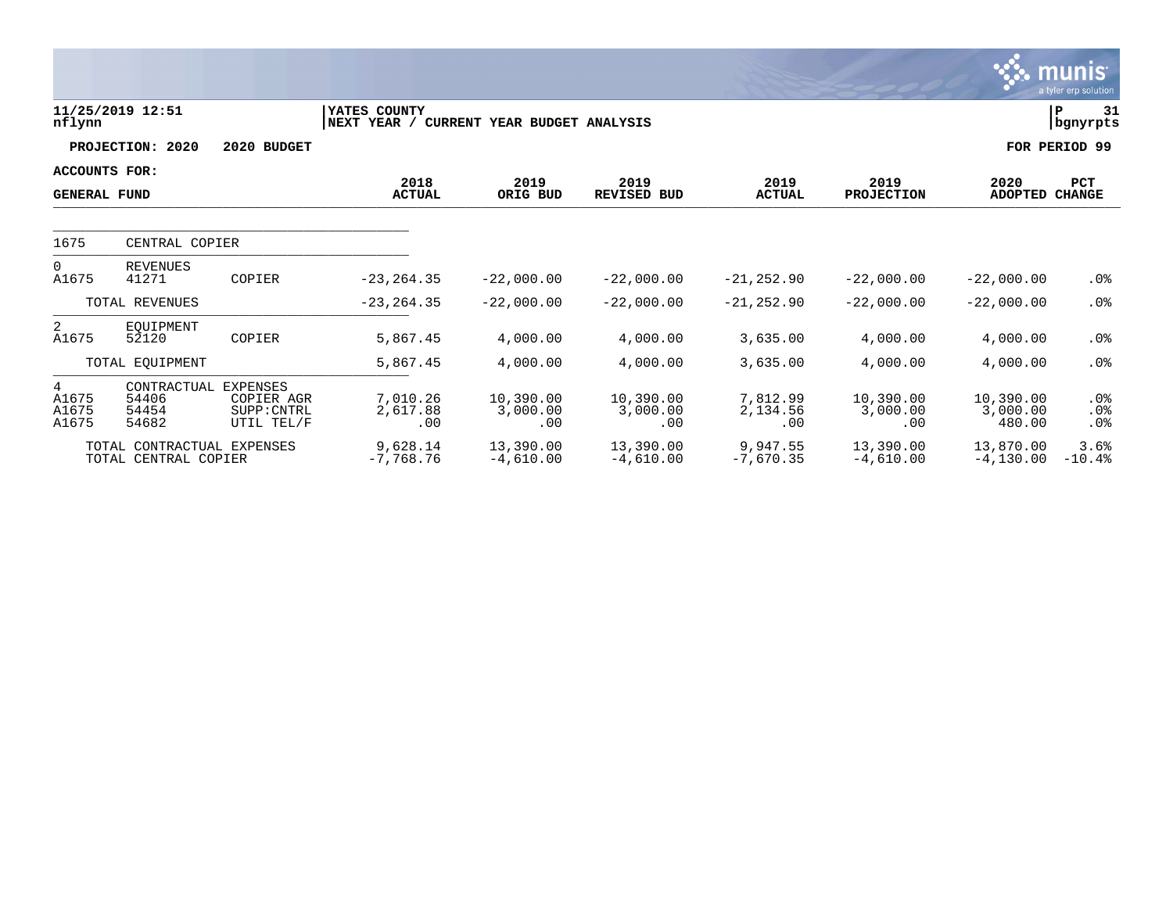|                              |                                                    |                                                            |                             |                              |                              |                             |                              |                                 | a tyler erp solution          |
|------------------------------|----------------------------------------------------|------------------------------------------------------------|-----------------------------|------------------------------|------------------------------|-----------------------------|------------------------------|---------------------------------|-------------------------------|
| nflynn                       | 11/25/2019 12:51                                   |                                                            | YATES COUNTY<br>NEXT YEAR / | CURRENT YEAR BUDGET ANALYSIS |                              |                             |                              |                                 | $\mathbf P$<br>31<br>bgnyrpts |
|                              | PROJECTION: 2020                                   | 2020 BUDGET                                                |                             |                              |                              |                             |                              |                                 | FOR PERIOD 99                 |
| <b>ACCOUNTS FOR:</b>         |                                                    |                                                            |                             |                              |                              |                             |                              |                                 |                               |
| <b>GENERAL FUND</b>          |                                                    |                                                            | 2018<br><b>ACTUAL</b>       | 2019<br>ORIG BUD             | 2019<br><b>REVISED BUD</b>   | 2019<br><b>ACTUAL</b>       | 2019<br><b>PROJECTION</b>    | 2020<br><b>ADOPTED</b>          | <b>PCT</b><br><b>CHANGE</b>   |
| 1675                         | CENTRAL COPIER                                     |                                                            |                             |                              |                              |                             |                              |                                 |                               |
| $\Omega$<br>A1675            | <b>REVENUES</b><br>41271                           | COPIER                                                     | $-23, 264.35$               | $-22,000.00$                 | $-22,000.00$                 | $-21, 252.90$               | $-22,000.00$                 | $-22,000.00$                    | $.0\%$                        |
|                              | TOTAL REVENUES                                     |                                                            | $-23, 264.35$               | $-22,000.00$                 | $-22,000.00$                 | $-21, 252.90$               | $-22,000.00$                 | $-22,000.00$                    | .0%                           |
| $\overline{a}$<br>A1675      | EOUIPMENT<br>52120                                 | COPIER                                                     | 5,867.45                    | 4,000.00                     | 4,000.00                     | 3,635.00                    | 4,000.00                     | 4,000.00                        | $.0\%$                        |
|                              | TOTAL EQUIPMENT                                    |                                                            | 5,867.45                    | 4,000.00                     | 4,000.00                     | 3,635.00                    | 4,000.00                     | 4,000.00                        | $.0\%$                        |
| 4<br>A1675<br>A1675<br>A1675 | CONTRACTUAL<br>54406<br>54454<br>54682             | <b>EXPENSES</b><br>COPIER AGR<br>SUPP: CNTRL<br>UTIL TEL/F | 7,010.26<br>2,617.88<br>.00 | 10,390.00<br>3,000.00<br>.00 | 10,390.00<br>3,000.00<br>.00 | 7,812.99<br>2,134.56<br>.00 | 10,390.00<br>3,000.00<br>.00 | 10,390.00<br>3,000.00<br>480.00 | .0%<br>.0%<br>.0%             |
|                              | TOTAL CONTRACTUAL EXPENSES<br>TOTAL CENTRAL COPIER |                                                            | 9,628.14<br>$-7,768.76$     | 13,390.00<br>$-4,610.00$     | 13,390.00<br>$-4,610.00$     | 9,947.55<br>$-7,670.35$     | 13,390.00<br>$-4,610.00$     | 13,870.00<br>$-4, 130.00$       | 3.6%<br>$-10.4%$              |

 $\therefore$  munis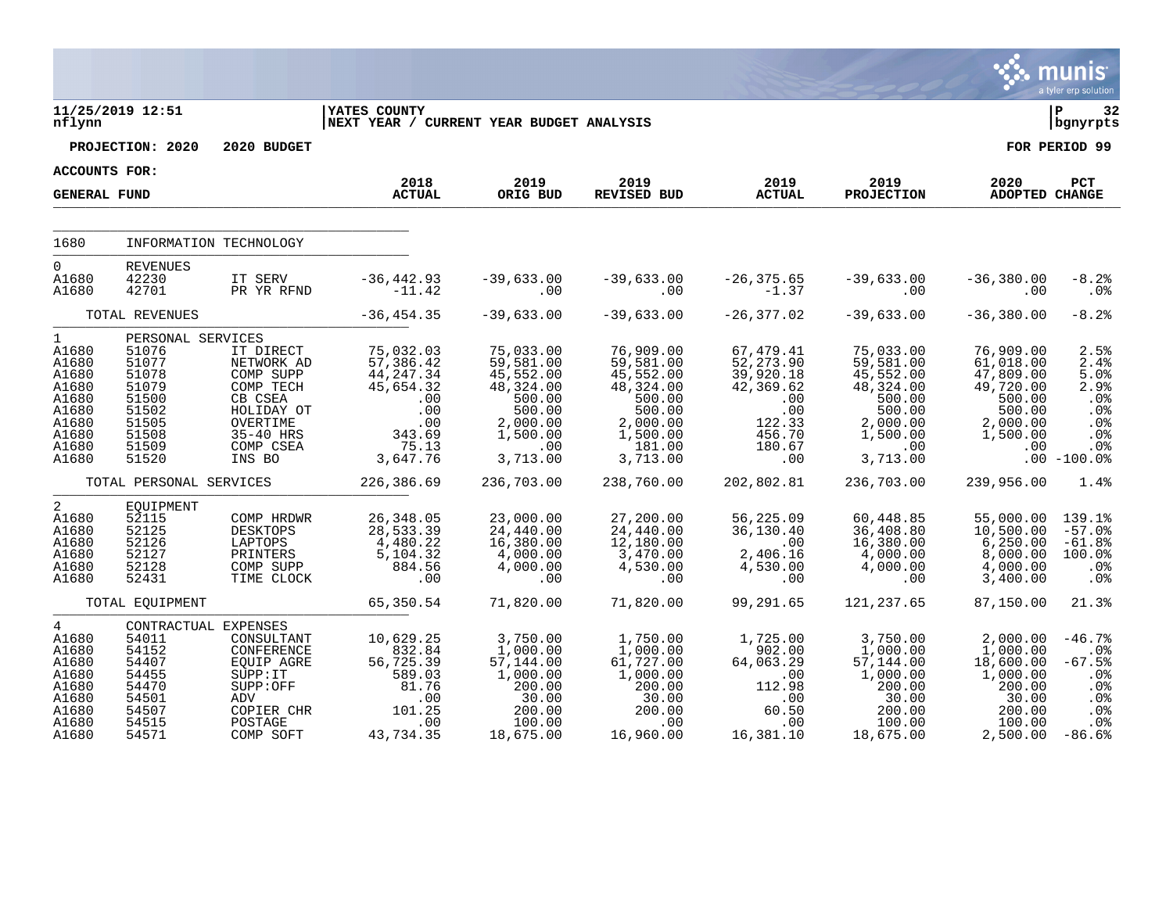|                                                                                                        |                                                                                                              |                                                                                                                                                      |                                                                                                       |                                                                                                                 |                                                                                                                     |                                                                                                      |                                                                                                                   |                                                                                                     | <b>munis</b><br>a tyler erp solution                                             |
|--------------------------------------------------------------------------------------------------------|--------------------------------------------------------------------------------------------------------------|------------------------------------------------------------------------------------------------------------------------------------------------------|-------------------------------------------------------------------------------------------------------|-----------------------------------------------------------------------------------------------------------------|---------------------------------------------------------------------------------------------------------------------|------------------------------------------------------------------------------------------------------|-------------------------------------------------------------------------------------------------------------------|-----------------------------------------------------------------------------------------------------|----------------------------------------------------------------------------------|
| nflynn                                                                                                 | 11/25/2019 12:51                                                                                             |                                                                                                                                                      | <b>IYATES COUNTY</b><br>NEXT YEAR / CURRENT YEAR BUDGET ANALYSIS                                      |                                                                                                                 |                                                                                                                     |                                                                                                      |                                                                                                                   |                                                                                                     | ∣ P<br>32<br>bgnyrpts                                                            |
|                                                                                                        | PROJECTION: 2020                                                                                             | 2020 BUDGET                                                                                                                                          |                                                                                                       |                                                                                                                 |                                                                                                                     |                                                                                                      |                                                                                                                   |                                                                                                     | FOR PERIOD 99                                                                    |
| ACCOUNTS FOR:<br><b>GENERAL FUND</b>                                                                   |                                                                                                              |                                                                                                                                                      | 2018<br><b>ACTUAL</b>                                                                                 | 2019<br>ORIG BUD                                                                                                | 2019<br>REVISED BUD                                                                                                 | 2019<br><b>ACTUAL</b>                                                                                | 2019<br><b>PROJECTION</b>                                                                                         | 2020<br>ADOPTED CHANGE                                                                              | PCT                                                                              |
| 1680                                                                                                   | INFORMATION TECHNOLOGY                                                                                       |                                                                                                                                                      |                                                                                                       |                                                                                                                 |                                                                                                                     |                                                                                                      |                                                                                                                   |                                                                                                     |                                                                                  |
| $\Omega$<br>A1680<br>A1680                                                                             | REVENUES<br>42230<br>42701                                                                                   | IT SERV<br>PR YR RFND                                                                                                                                | $-36, 442.93$<br>$-11.42$                                                                             | $-39,633.00$<br>.00                                                                                             | $-39,633.00$<br>.00                                                                                                 | $-26, 375.65$<br>$-1.37$                                                                             | $-39,633.00$<br>$.00 \ \rm$                                                                                       | $-36,380.00$<br>.00                                                                                 | $-8.2%$<br>.0 <sub>8</sub>                                                       |
|                                                                                                        | TOTAL REVENUES                                                                                               |                                                                                                                                                      | $-36, 454.35$                                                                                         | $-39,633.00$                                                                                                    | $-39,633.00$                                                                                                        | $-26, 377.02$                                                                                        | $-39,633.00$                                                                                                      | $-36, 380.00$                                                                                       | $-8.2%$                                                                          |
| $\mathbf{1}$<br>A1680<br>A1680<br>A1680<br>A1680<br>A1680<br>A1680<br>A1680<br>A1680<br>A1680<br>A1680 | PERSONAL SERVICES<br>51076<br>51077<br>51078<br>51079<br>51500<br>51502<br>51505<br>51508<br>51509<br>51520  | IT DIRECT<br>NETWORK AD<br>COMP SUPP<br>COMP TECH<br>CB CSEA<br>HOLIDAY OT<br>OVERTIME<br>35-40 HRS<br>COMP CSEA<br>INS BO                           | 75,032.03<br>57,386.42<br>44, 247.34<br>45,654.32<br>.00<br>.00<br>.00<br>343.69<br>75.13<br>3,647.76 | 75,033.00<br>59,581.00<br>45,552.00<br>48,324.00<br>500.00<br>500.00<br>2,000.00<br>1,500.00<br>.00<br>3,713.00 | 76,909.00<br>59,581.00<br>45,552.00<br>48, 324.00<br>500.00<br>500.00<br>2,000.00<br>1,500.00<br>181.00<br>3,713.00 | 67,479.41<br>52, 273.90<br>39,920.18<br>42,369.62<br>.00<br>.00<br>122.33<br>456.70<br>180.67<br>.00 | 75,033.00<br>59,581.00<br>45, 552.00<br>48, 324.00<br>500.00<br>500.00<br>2,000.00<br>1,500.00<br>.00<br>3,713.00 | 76,909.00<br>61,018.00<br>47,809.00<br>49,720.00<br>500.00<br>500.00<br>2,000.00<br>1,500.00<br>.00 | 2.5%<br>2.4%<br>5.0%<br>2.9%<br>.0%<br>.0%<br>.0%<br>.0%<br>.0%<br>$.00 - 100.0$ |
|                                                                                                        | TOTAL PERSONAL SERVICES                                                                                      |                                                                                                                                                      | 226,386.69                                                                                            | 236,703.00                                                                                                      | 238,760.00                                                                                                          | 202,802.81                                                                                           | 236,703.00                                                                                                        | 239,956.00                                                                                          | 1.4%                                                                             |
| 2<br>A1680<br>A1680<br>A1680<br>A1680<br>A1680<br>A1680                                                | EQUIPMENT<br>52115<br>52125<br>52126<br>52127<br>52128<br>52431                                              | COMP HRDWR<br>DESKTOPS<br>LAPTOPS<br>PRINTERS<br>COMP SUPP<br>TIME CLOCK                                                                             | 26, 348.05<br>28,533.39<br>4,480.22<br>5,104.32<br>884.56<br>$\overline{\phantom{0}}$ .00             | 23,000.00<br>24,440.00<br>16,380.00<br>4,000.00<br>4,000.00<br>.00                                              | 27,200.00<br>24,440.00<br>12,180.00<br>3,470.00<br>4,530.00<br>.00                                                  | 56,225.09<br>36, 130.40<br>.00<br>2,406.16<br>4,530.00<br>.00                                        | 60,448.85<br>36,408.80<br>16,380.00<br>4,000.00<br>4,000.00<br>.00                                                | 55,000.00<br>10,500.00<br>6, 250.00<br>8,000.00<br>4,000.00<br>3,400.00                             | 139.1%<br>$-57.0%$<br>$-61.8%$<br>100.0%<br>.0%<br>.0%                           |
|                                                                                                        | TOTAL EQUIPMENT                                                                                              |                                                                                                                                                      | 65,350.54                                                                                             | 71,820.00                                                                                                       | 71,820.00                                                                                                           | 99,291.65                                                                                            | 121, 237.65                                                                                                       | 87,150.00                                                                                           | 21.3%                                                                            |
| 4<br>A1680<br>A1680<br>A1680<br>A1680<br>A1680<br>A1680<br>A1680<br>A1680<br>A1680                     | CONTRACTUAL EXPENSES<br>54011<br>54152<br>54407<br>54455<br>54470<br>54501<br>ADV<br>54507<br>54515<br>54571 | $\begin{minipage}{.4\linewidth} CONSULTANT \end{minipage}$<br>CONFERENCE<br>EQUIP AGRE<br>SUPP: IT<br>SUPP:OFF<br>COPIER CHR<br>POSTAGE<br>COMP SOFT | 10,629.25<br>832.84<br>56,725.39<br>589.03<br>81.76<br>.00<br>101.25<br>.00<br>43,734.35              | 3,750.00<br>1,000.00<br>57,144.00<br>1,000.00<br>200.00<br>30.00<br>200.00<br>100.00<br>18,675.00               | 1,750.00<br>1,000.00<br>61,727.00<br>1,000.00<br>200.00<br>30.00<br>200.00<br>.00<br>16,960.00                      | 1,725.00<br>902.00<br>64,063.29<br>.00<br>112.98<br>.00<br>60.50<br>.00<br>16,381.10                 | 3,750.00<br>1,000.00<br>57,144.00<br>1,000.00<br>200.00<br>30.00<br>200.00<br>100.00<br>18,675.00                 | 2,000.00<br>1,000.00<br>18,600.00<br>1,000.00<br>200.00<br>30.00<br>200.00<br>100.00<br>2,500.00    | $-46.7%$<br>.0%<br>$-67.5%$<br>.0%<br>.0%<br>.0%<br>.0%<br>.0%<br>$-86.6%$       |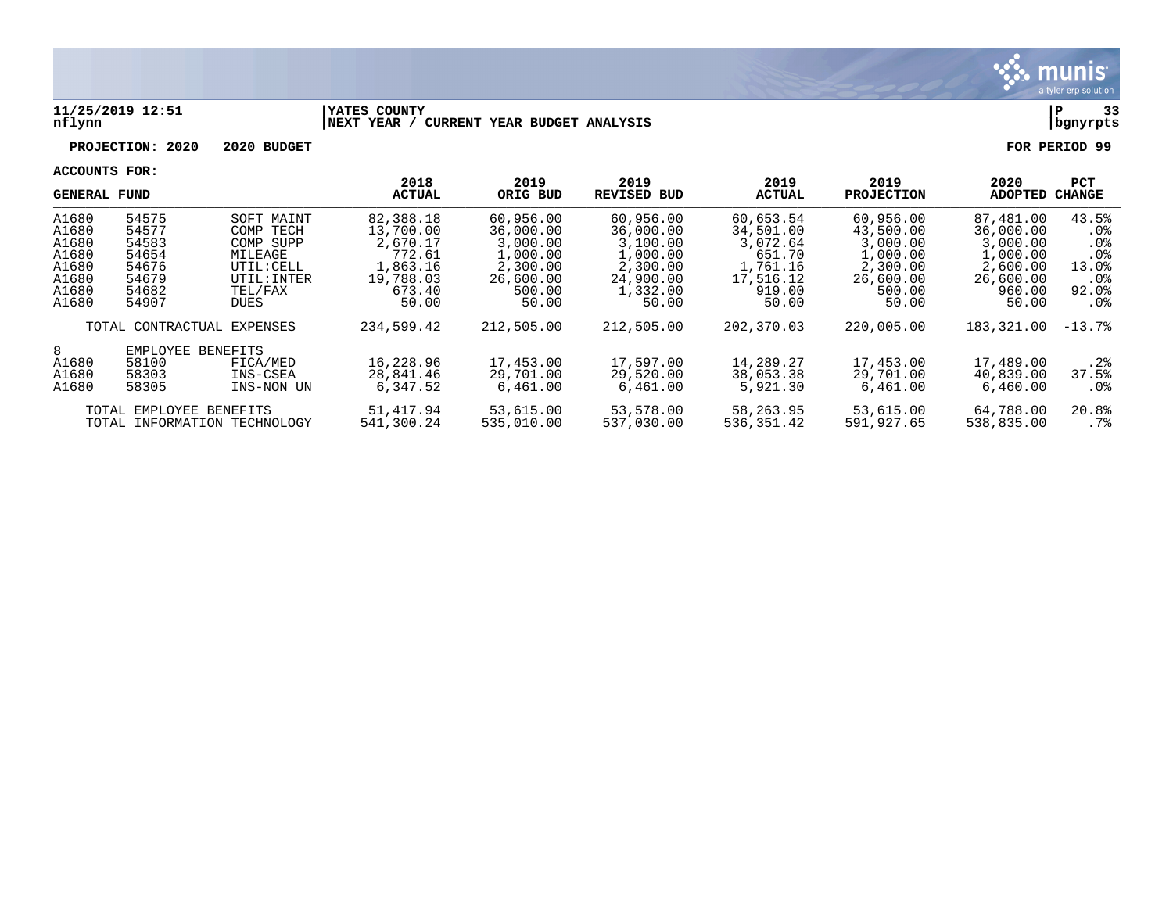

#### **11/25/2019 12:51 |YATES COUNTY |P 33 nflynn |NEXT YEAR / CURRENT YEAR BUDGET ANALYSIS |bgnyrpts**

**PROJECTION: 2020 2020 BUDGET FOR PERIOD 99**

|       | GENERAL FUND            |                              | 2018<br><b>ACTUAL</b> | 2019<br>ORIG BUD | 2019<br><b>REVISED BUD</b> | 2019<br><b>ACTUAL</b> | 2019<br><b>PROJECTION</b> | 2020<br><b>ADOPTED</b> | <b>PCT</b><br><b>CHANGE</b> |
|-------|-------------------------|------------------------------|-----------------------|------------------|----------------------------|-----------------------|---------------------------|------------------------|-----------------------------|
| A1680 | 54575                   | SOFT MAINT                   | 82,388.18             | 60,956.00        | 60,956.00                  | 60,653.54             | 60,956.00                 | 87,481.00              | 43.5%                       |
| A1680 | 54577                   | COMP TECH                    | 13,700.00             | 36,000.00        | 36,000.00                  | 34,501.00             | 43,500.00                 | 36,000.00              | . 0%                        |
| A1680 | 54583                   | COMP SUPP                    | 2,670.17              | 3,000.00         | 3,100.00                   | 3,072.64              | 3,000.00                  | 3,000.00               | . 0 %                       |
| A1680 | 54654                   | MILEAGE                      | 772.61                | 1,000.00         | 1,000.00                   | 651.70                | 1,000.00                  | 1,000.00               | .0 <sub>8</sub>             |
| A1680 | 54676                   | UTIL: CELL                   | 1,863.16              | 2,300.00         | 2,300.00                   | 1,761.16              | 2,300.00                  | 2,600.00               | 13.0%                       |
| A1680 | 54679                   | UTIL: INTER                  | 19,788.03             | 26,600.00        | 24,900.00                  | 17,516.12             | 26,600.00                 | 26,600.00              | . 0 %                       |
| A1680 | 54682                   | TEL/FAX                      | 673.40                | 500.00           | 1,332.00                   | 919.00                | 500.00                    | 960.00                 | 92.0%                       |
| A1680 | 54907                   | <b>DUES</b>                  | 50.00                 | 50.00            | 50.00                      | 50.00                 | 50.00                     | 50.00                  | $.0\%$                      |
|       |                         | TOTAL CONTRACTUAL EXPENSES   | 234,599.42            | 212,505.00       | 212,505.00                 | 202,370.03            | 220,005.00                | 183,321.00             | $-13.7%$                    |
| 8     | EMPLOYEE                | BENEFITS                     |                       |                  |                            |                       |                           |                        |                             |
| A1680 | 58100                   | FICA/MED                     | 16,228.96             | 17,453.00        | 17,597.00                  | 14,289.27             | 17,453.00                 | 17,489.00              | .2%                         |
| A1680 | 58303                   | INS-CSEA                     | 28,841.46             | 29,701.00        | 29,520.00                  | 38,053.38             | 29,701.00                 | 40,839.00              | 37.5%                       |
| A1680 | 58305                   | INS-NON UN                   | 6,347.52              | 6,461.00         | 6,461.00                   | 5,921.30              | 6,461.00                  | 6,460.00               | $.0\%$                      |
|       | TOTAL EMPLOYEE BENEFITS |                              | 51,417.94             | 53,615.00        | 53,578.00                  | 58,263.95             | 53,615.00                 | 64,788.00              | 20.8%                       |
|       |                         | TOTAL INFORMATION TECHNOLOGY | 541,300.24            | 535,010.00       | 537,030.00                 | 536,351.42            | 591,927.65                | 538,835.00             | .7%                         |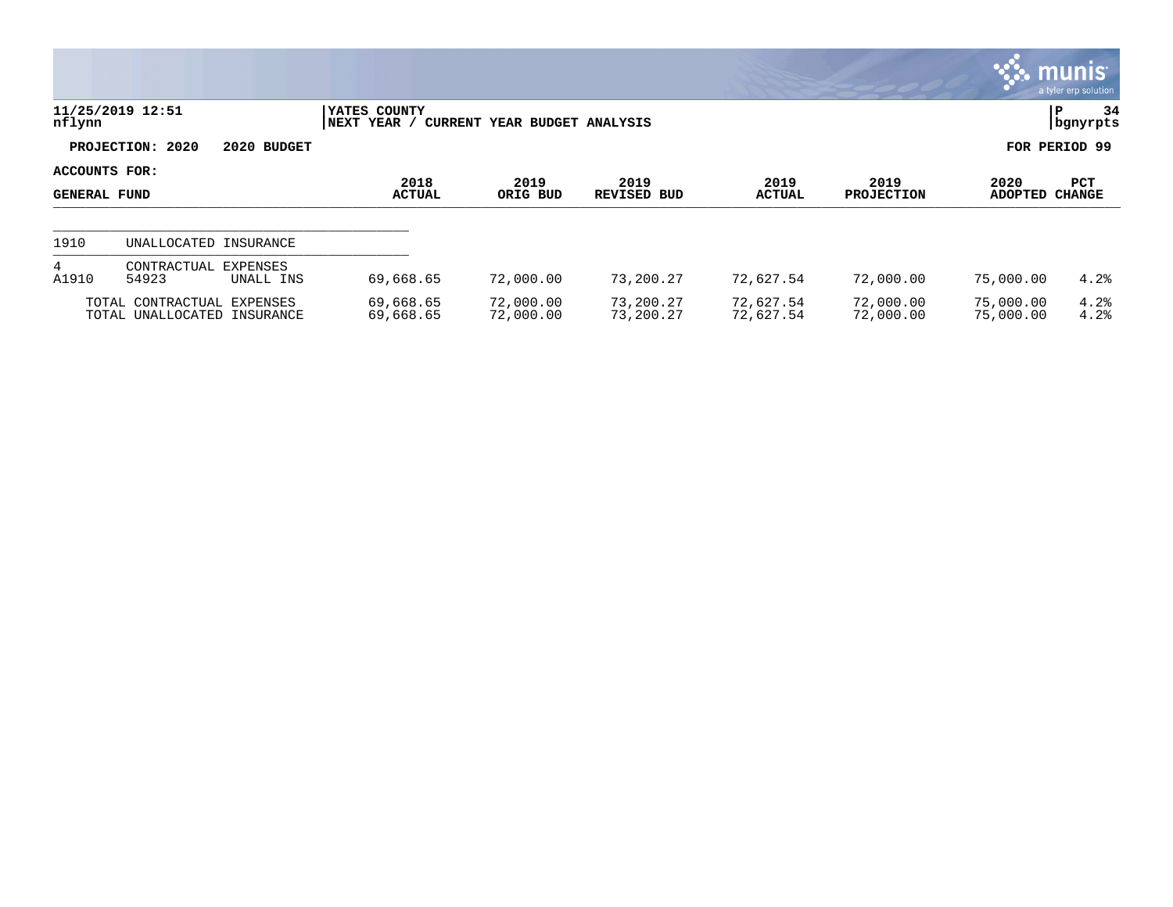|                               |                                                           |                       |                             |                              |                        |                        |                           |                        | $\mathbb{C}$ munis $\mathbb{C}$<br>a tyler erp solution |
|-------------------------------|-----------------------------------------------------------|-----------------------|-----------------------------|------------------------------|------------------------|------------------------|---------------------------|------------------------|---------------------------------------------------------|
| nflynn                        | 11/25/2019 12:51                                          |                       | YATES COUNTY<br>NEXT YEAR / | CURRENT YEAR BUDGET ANALYSIS |                        |                        |                           |                        | 34<br>P<br>  bgnyrpts                                   |
|                               | PROJECTION: 2020                                          | 2020 BUDGET           |                             |                              |                        |                        |                           |                        | FOR PERIOD 99                                           |
| ACCOUNTS FOR:<br>GENERAL FUND |                                                           |                       | 2018<br><b>ACTUAL</b>       | 2019<br>ORIG BUD             | 2019<br>REVISED BUD    | 2019<br><b>ACTUAL</b>  | 2019<br><b>PROJECTION</b> | 2020<br><b>ADOPTED</b> | PCT<br><b>CHANGE</b>                                    |
| 1910                          | UNALLOCATED INSURANCE                                     |                       |                             |                              |                        |                        |                           |                        |                                                         |
| $4^{\circ}$<br>A1910          | CONTRACTUAL<br>54923                                      | EXPENSES<br>UNALL INS | 69,668.65                   | 72,000.00                    | 73,200.27              | 72,627.54              | 72,000.00                 | 75,000.00              | 4.2%                                                    |
|                               | TOTAL CONTRACTUAL EXPENSES<br>TOTAL UNALLOCATED INSURANCE |                       | 69,668.65<br>69,668.65      | 72,000.00<br>72,000.00       | 73,200.27<br>73,200.27 | 72,627.54<br>72,627.54 | 72,000.00<br>72,000.00    | 75,000.00<br>75,000.00 | 4.2%<br>4.2%                                            |

 $\bullet$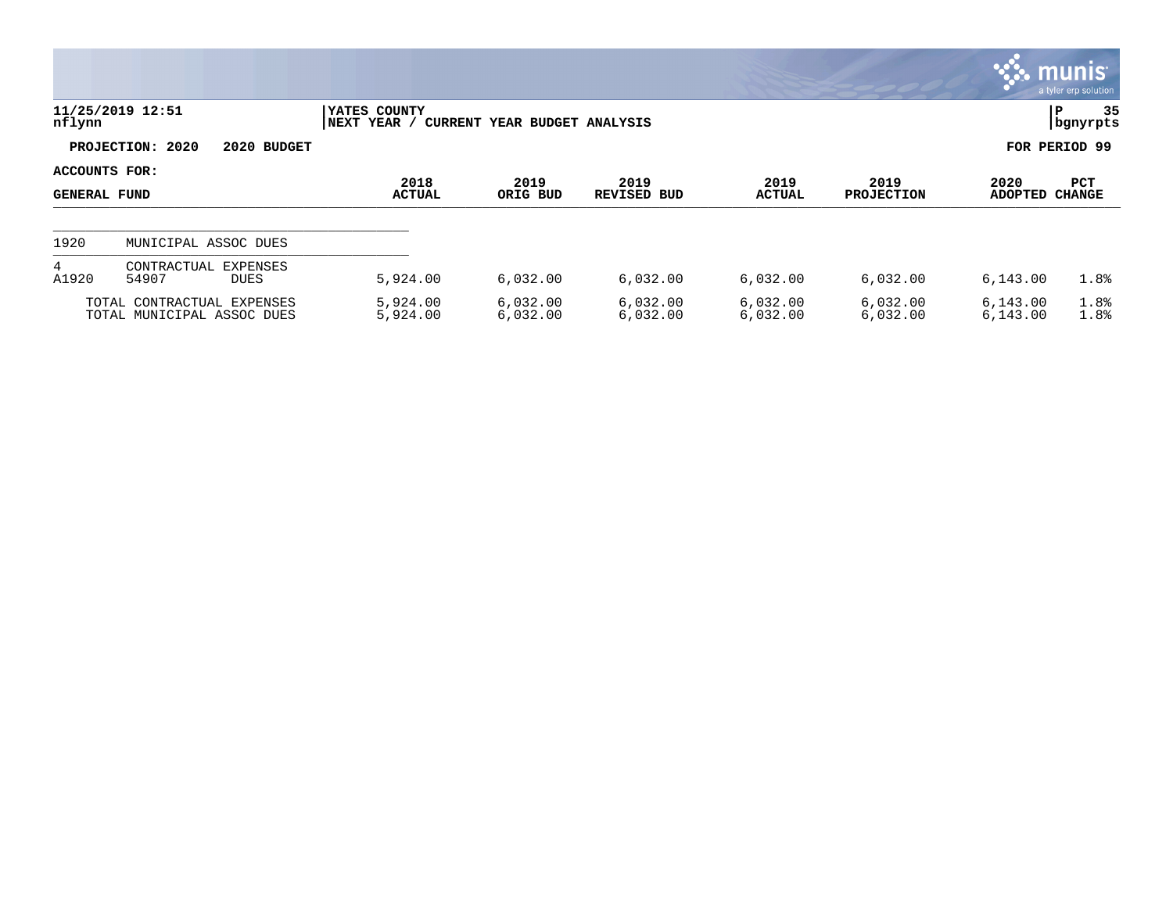|                                      |                                                          |                             |                              |                      |                       |                           | $\mathbf{\ddot{\cdot}}\mathbf{\ddot{\cdot}}\mathbf{m}$ unis $\mathbf{\ddot{\cdot}}$ | a tyler erp solution |
|--------------------------------------|----------------------------------------------------------|-----------------------------|------------------------------|----------------------|-----------------------|---------------------------|-------------------------------------------------------------------------------------|----------------------|
| nflynn                               | 11/25/2019 12:51                                         | YATES COUNTY<br>NEXT YEAR / | CURRENT YEAR BUDGET ANALYSIS |                      |                       |                           |                                                                                     | 35<br>ΙP<br>bgnyrpts |
|                                      | PROJECTION: 2020<br>2020 BUDGET                          |                             |                              |                      |                       |                           |                                                                                     | FOR PERIOD 99        |
| ACCOUNTS FOR:<br><b>GENERAL FUND</b> |                                                          | 2018<br><b>ACTUAL</b>       | 2019<br>ORIG BUD             | 2019<br>REVISED BUD  | 2019<br><b>ACTUAL</b> | 2019<br><b>PROJECTION</b> | 2020<br>ADOPTED                                                                     | PCT<br>CHANGE        |
| 1920                                 | MUNICIPAL ASSOC DUES                                     |                             |                              |                      |                       |                           |                                                                                     |                      |
| 4<br>A1920                           | EXPENSES<br>CONTRACTUAL<br>54907<br><b>DUES</b>          | 5,924.00                    | 6,032.00                     | 6,032.00             | 6,032.00              | 6,032.00                  | 6,143.00                                                                            | 1.8%                 |
|                                      | TOTAL CONTRACTUAL EXPENSES<br>TOTAL MUNICIPAL ASSOC DUES | 5,924.00<br>5,924.00        | 6,032.00<br>6,032.00         | 6,032.00<br>6,032.00 | 6,032.00<br>6,032.00  | 6,032.00<br>6,032.00      | 6,143.00<br>6,143.00                                                                | 1.8%<br>1.8%         |

 $\mathcal{L}$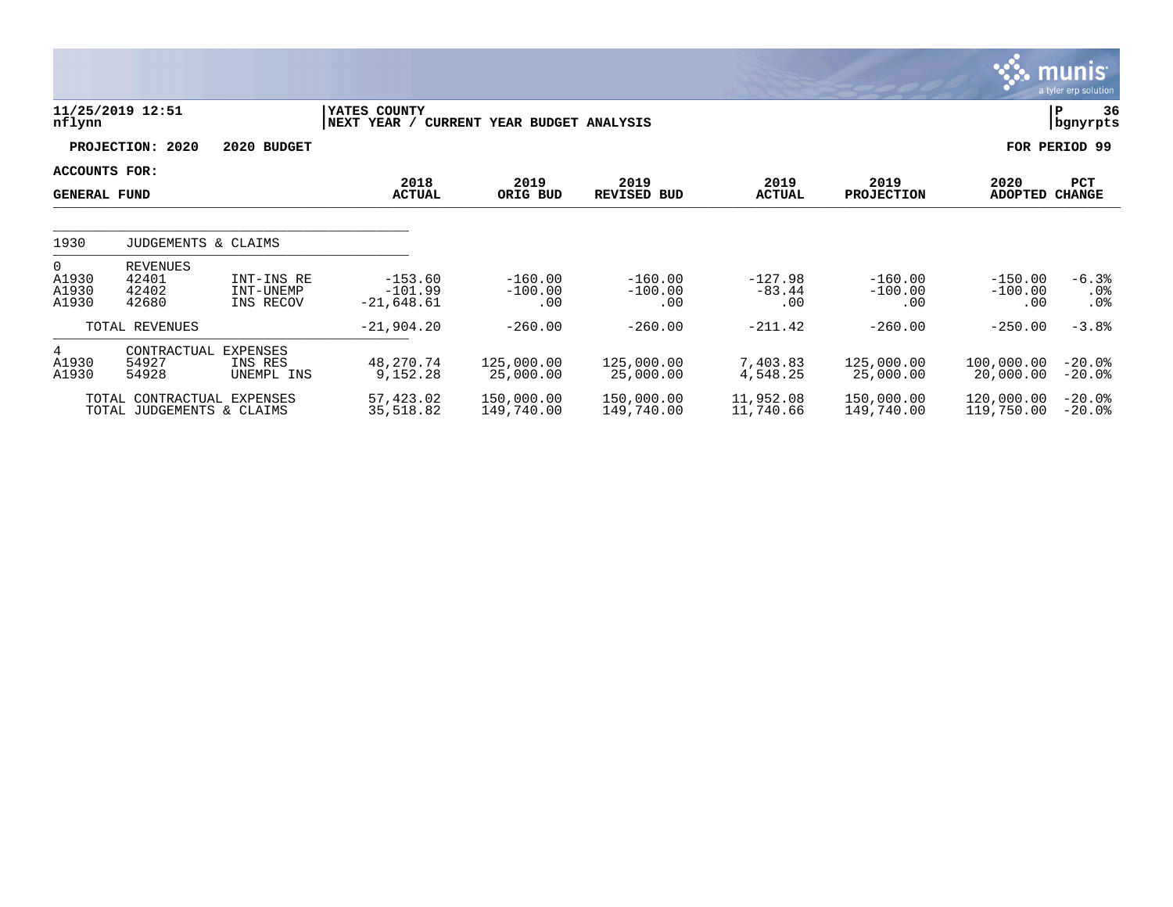|                                           |                                                         |                                      |                                        |                               |                               |                              |                               |                               | munis <sup>®</sup><br>a tyler erp solution |
|-------------------------------------------|---------------------------------------------------------|--------------------------------------|----------------------------------------|-------------------------------|-------------------------------|------------------------------|-------------------------------|-------------------------------|--------------------------------------------|
| nflynn                                    | 11/25/2019 12:51                                        |                                      | YATES COUNTY<br>NEXT YEAR /            | CURRENT YEAR BUDGET ANALYSIS  |                               |                              |                               |                               | 36<br>ΙP<br>bgnyrpts                       |
|                                           | PROJECTION: 2020                                        | 2020 BUDGET                          |                                        |                               |                               |                              |                               |                               | FOR PERIOD 99                              |
| ACCOUNTS FOR:<br><b>GENERAL FUND</b>      |                                                         |                                      | 2018<br><b>ACTUAL</b>                  | 2019<br>ORIG BUD              | 2019<br><b>REVISED BUD</b>    | 2019<br><b>ACTUAL</b>        | 2019<br><b>PROJECTION</b>     | 2020<br>ADOPTED CHANGE        | PCT                                        |
| 1930                                      | JUDGEMENTS & CLAIMS                                     |                                      |                                        |                               |                               |                              |                               |                               |                                            |
| $\overline{0}$<br>A1930<br>A1930<br>A1930 | <b>REVENUES</b><br>42401<br>42402<br>42680              | INT-INS RE<br>INT-UNEMP<br>INS RECOV | $-153.60$<br>$-101.99$<br>$-21,648.61$ | $-160.00$<br>$-100.00$<br>.00 | $-160.00$<br>$-100.00$<br>.00 | $-127.98$<br>$-83.44$<br>.00 | $-160.00$<br>$-100.00$<br>.00 | $-150.00$<br>$-100.00$<br>.00 | $-6.3%$<br>$.0\%$<br>$.0\%$                |
|                                           | TOTAL REVENUES                                          |                                      | $-21,904.20$                           | $-260.00$                     | $-260.00$                     | $-211.42$                    | $-260.00$                     | $-250.00$                     | $-3.8%$                                    |
| $4\overline{ }$<br>A1930<br>A1930         | CONTRACTUAL<br>54927<br>54928                           | EXPENSES<br>INS RES<br>UNEMPL INS    | 48,270.74<br>9,152.28                  | 125,000.00<br>25,000.00       | 125,000.00<br>25,000.00       | 7,403.83<br>4,548.25         | 125,000.00<br>25,000.00       | 100,000.00<br>20,000.00       | $-20.0%$<br>$-20.0$ °                      |
|                                           | TOTAL CONTRACTUAL EXPENSES<br>TOTAL JUDGEMENTS & CLAIMS |                                      | 57,423.02<br>35,518.82                 | 150,000.00<br>149,740.00      | 150,000.00<br>149,740.00      | 11,952.08<br>11,740.66       | 150,000.00<br>149,740.00      | 120,000.00<br>119,750.00      | $-20.0%$<br>$-20.0$ °                      |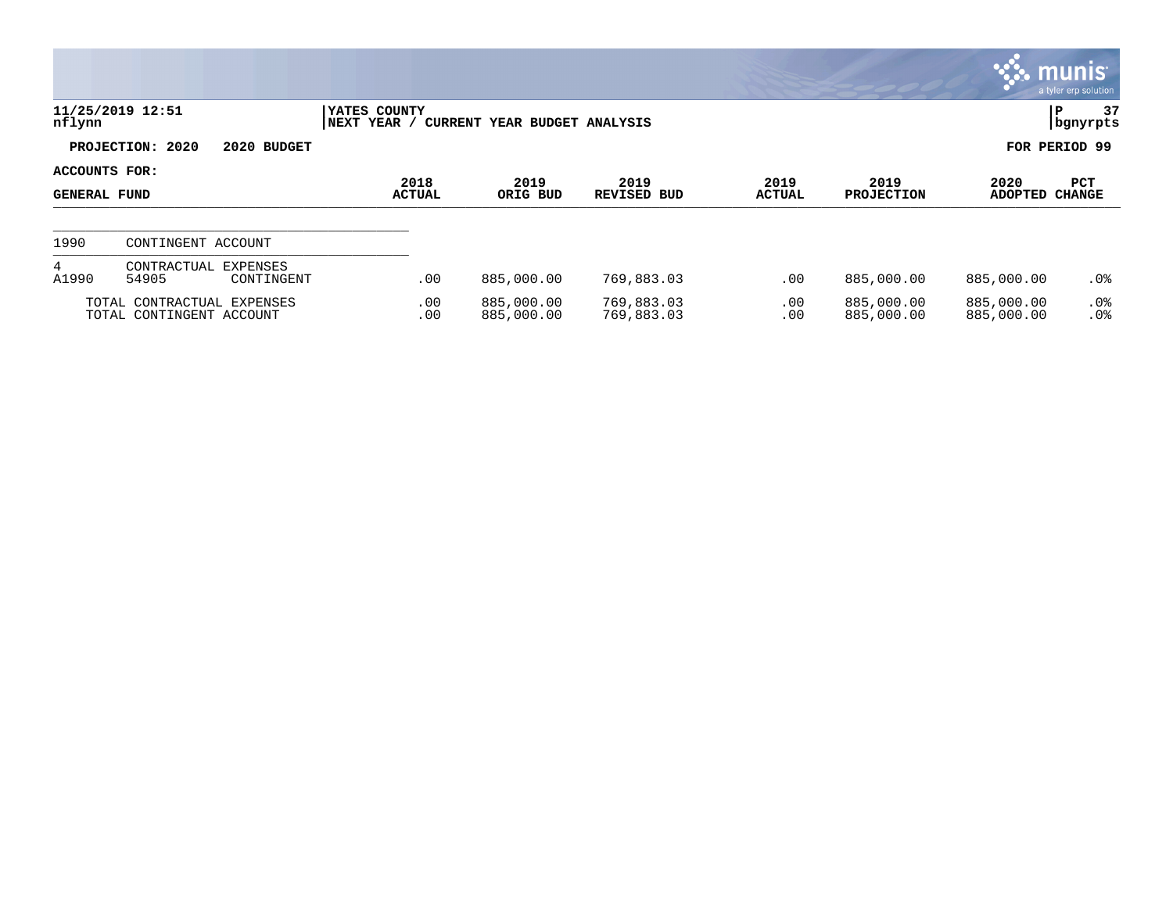|                               |                                                        |                             |                              |                            |                       |                           |                          | $\mathbb{C}$ munis<br>a tyler erp solution |
|-------------------------------|--------------------------------------------------------|-----------------------------|------------------------------|----------------------------|-----------------------|---------------------------|--------------------------|--------------------------------------------|
| nflynn                        | 11/25/2019 12:51                                       | YATES COUNTY<br>NEXT YEAR / | CURRENT YEAR BUDGET ANALYSIS |                            |                       |                           |                          | 37<br>P<br>  bgnyrpts                      |
|                               | PROJECTION: 2020<br>2020 BUDGET                        |                             |                              |                            |                       |                           |                          | FOR PERIOD 99                              |
| ACCOUNTS FOR:<br>GENERAL FUND |                                                        | 2018<br><b>ACTUAL</b>       | 2019<br>ORIG BUD             | 2019<br><b>REVISED BUD</b> | 2019<br><b>ACTUAL</b> | 2019<br><b>PROJECTION</b> | 2020<br><b>ADOPTED</b>   | PCT<br><b>CHANGE</b>                       |
| 1990                          | CONTINGENT ACCOUNT                                     |                             |                              |                            |                       |                           |                          |                                            |
| 4<br>A1990                    | CONTRACTUAL<br>EXPENSES<br>54905<br>CONTINGENT         | .00                         | 885,000.00                   | 769,883.03                 | .00                   | 885,000.00                | 885,000.00               | $.0\%$                                     |
|                               | TOTAL CONTRACTUAL EXPENSES<br>TOTAL CONTINGENT ACCOUNT | .00<br>.00                  | 885,000.00<br>885,000.00     | 769,883.03<br>769,883.03   | .00<br>.00            | 885,000.00<br>885,000.00  | 885,000.00<br>885,000.00 | $.0\%$<br>.0%                              |

 $\mathcal{L}$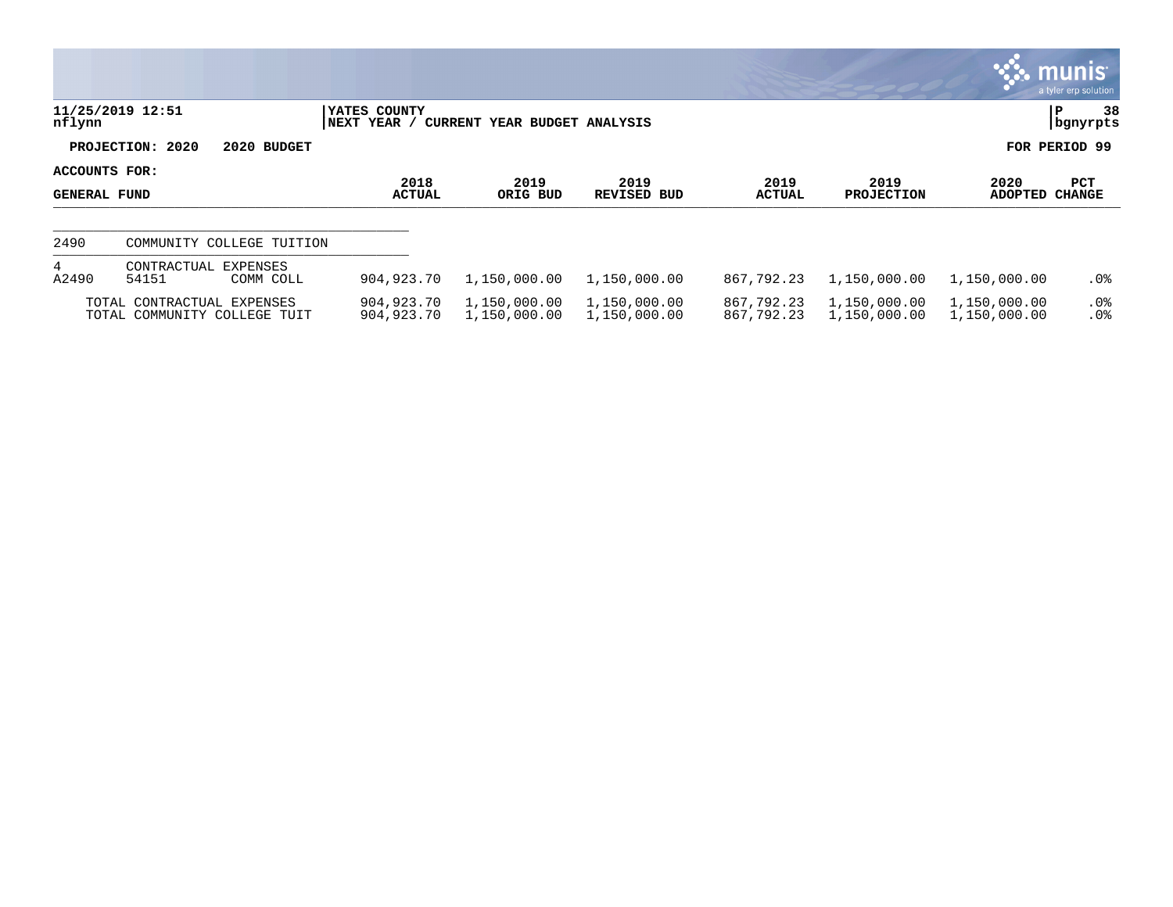|                                      |                                                            |                              |                                     |                              |                          |                              |                              | <b>Communist</b><br>a tyler erp solution |
|--------------------------------------|------------------------------------------------------------|------------------------------|-------------------------------------|------------------------------|--------------------------|------------------------------|------------------------------|------------------------------------------|
| nflynn                               | 11/25/2019 12:51                                           | YATES COUNTY<br> NEXT YEAR / | <b>CURRENT YEAR BUDGET ANALYSIS</b> |                              |                          |                              |                              | 38<br>P<br>  bgnyrpts                    |
|                                      | PROJECTION: 2020<br>2020 BUDGET                            |                              |                                     |                              |                          |                              |                              | FOR PERIOD 99                            |
| <b>ACCOUNTS FOR:</b><br>GENERAL FUND |                                                            | 2018<br><b>ACTUAL</b>        | 2019<br>ORIG BUD                    | 2019<br>REVISED BUD          | 2019<br><b>ACTUAL</b>    | 2019<br><b>PROJECTION</b>    | 2020<br><b>ADOPTED</b>       | <b>PCT</b><br><b>CHANGE</b>              |
| 2490                                 | COMMUNITY COLLEGE TUITION                                  |                              |                                     |                              |                          |                              |                              |                                          |
| 4<br>A2490                           | CONTRACTUAL EXPENSES<br>54151<br>COMM COLL                 | 904,923.70                   | 1,150,000.00                        | 1,150,000.00                 | 867,792.23               | 1,150,000.00                 | 1,150,000.00                 | $.0\%$                                   |
|                                      | TOTAL CONTRACTUAL EXPENSES<br>TOTAL COMMUNITY COLLEGE TUIT | 904,923.70<br>904,923.70     | 1,150,000.00<br>1,150,000.00        | 1,150,000.00<br>1,150,000.00 | 867,792.23<br>867,792.23 | 1,150,000.00<br>1,150,000.00 | 1,150,000.00<br>1,150,000.00 | $.0\%$<br>.0%                            |

 $\bullet$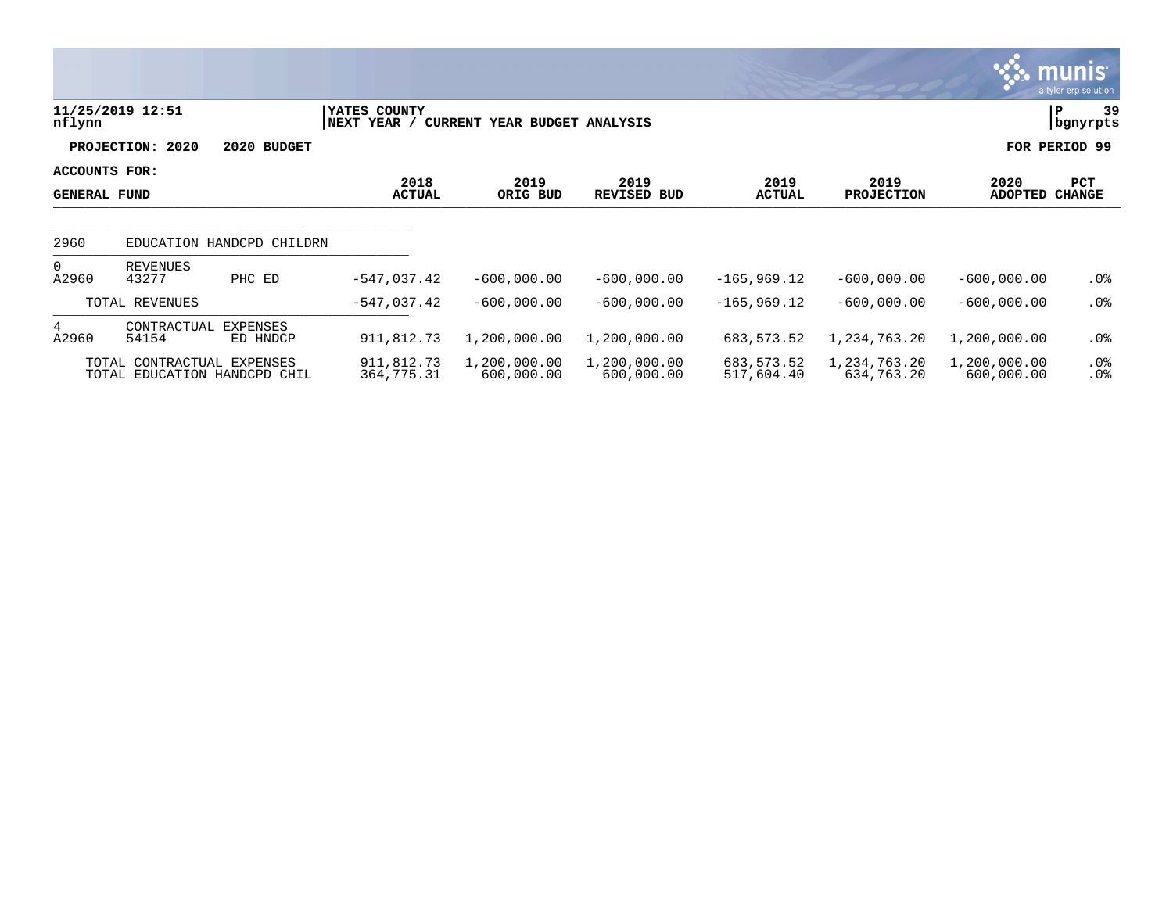|                                      |                                                            |                           |                             |                              |                            |                          |                            |                            | <b>munis</b><br>a tyler erp solution |
|--------------------------------------|------------------------------------------------------------|---------------------------|-----------------------------|------------------------------|----------------------------|--------------------------|----------------------------|----------------------------|--------------------------------------|
| nflynn                               | 11/25/2019 12:51                                           |                           | YATES COUNTY<br>NEXT YEAR / | CURRENT YEAR BUDGET ANALYSIS |                            |                          |                            |                            | 39<br>P<br>bgnyrpts                  |
|                                      | PROJECTION: 2020                                           | 2020 BUDGET               |                             |                              |                            |                          |                            |                            | FOR PERIOD 99                        |
| ACCOUNTS FOR:<br><b>GENERAL FUND</b> |                                                            |                           | 2018<br><b>ACTUAL</b>       | 2019<br>ORIG BUD             | 2019<br><b>REVISED BUD</b> | 2019<br><b>ACTUAL</b>    | 2019<br><b>PROJECTION</b>  | 2020<br><b>ADOPTED</b>     | PCT<br><b>CHANGE</b>                 |
| 2960                                 |                                                            | EDUCATION HANDCPD CHILDRN |                             |                              |                            |                          |                            |                            |                                      |
| $\overline{0}$<br>A2960              | REVENUES<br>43277                                          | PHC ED                    | $-547,037.42$               | $-600,000.00$                | $-600,000.00$              | $-165,969.12$            | $-600,000.00$              | $-600,000.00$              | .0%                                  |
|                                      | TOTAL REVENUES                                             |                           | $-547,037.42$               | $-600,000.00$                | $-600,000.00$              | $-165,969.12$            | $-600,000.00$              | $-600,000.00$              | $.0\%$                               |
| 4<br>A2960                           | CONTRACTUAL<br>54154                                       | EXPENSES<br>ED HNDCP      | 911,812.73                  | 1,200,000.00                 | 1,200,000.00               | 683, 573. 52             | 1,234,763.20               | 1,200,000.00               | $.0\%$                               |
|                                      | TOTAL CONTRACTUAL EXPENSES<br>TOTAL EDUCATION HANDCPD CHIL |                           | 911,812.73<br>364,775.31    | 1,200,000.00<br>600,000.00   | 1,200,000.00<br>600,000.00 | 683,573.52<br>517,604.40 | 1,234,763.20<br>634,763.20 | 1,200,000.00<br>600,000.00 | $.0\%$<br>. 0%                       |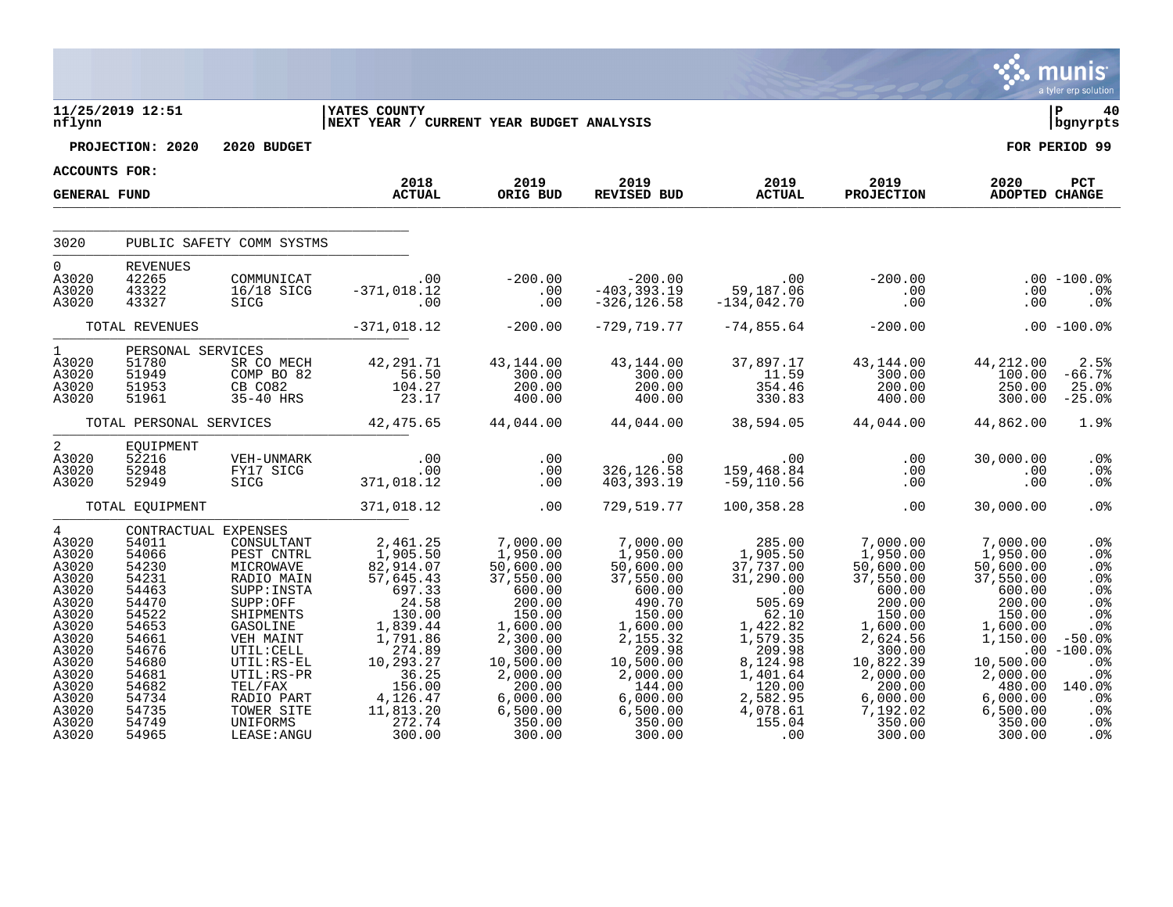|                                                                                                                                                                         |                                                                                                                                                       |                                                                                                                                                                                                                                                             |                                                                                                                                                                                                                                       |                                                                                                                                                                                                         |                                                                                                                                                                                                              |                                                                                                                                                                                    |                                                                                                                          |                                                                                                                                                                                     | munis <sup>®</sup><br>a tyler erp solution                                                                                                        |
|-------------------------------------------------------------------------------------------------------------------------------------------------------------------------|-------------------------------------------------------------------------------------------------------------------------------------------------------|-------------------------------------------------------------------------------------------------------------------------------------------------------------------------------------------------------------------------------------------------------------|---------------------------------------------------------------------------------------------------------------------------------------------------------------------------------------------------------------------------------------|---------------------------------------------------------------------------------------------------------------------------------------------------------------------------------------------------------|--------------------------------------------------------------------------------------------------------------------------------------------------------------------------------------------------------------|------------------------------------------------------------------------------------------------------------------------------------------------------------------------------------|--------------------------------------------------------------------------------------------------------------------------|-------------------------------------------------------------------------------------------------------------------------------------------------------------------------------------|---------------------------------------------------------------------------------------------------------------------------------------------------|
| nflynn                                                                                                                                                                  | 11/25/2019 12:51                                                                                                                                      |                                                                                                                                                                                                                                                             | <b>YATES COUNTY</b><br>NEXT YEAR / CURRENT YEAR BUDGET ANALYSIS                                                                                                                                                                       |                                                                                                                                                                                                         |                                                                                                                                                                                                              |                                                                                                                                                                                    |                                                                                                                          |                                                                                                                                                                                     | l P<br>40<br>bgnyrpts                                                                                                                             |
|                                                                                                                                                                         | PROJECTION: 2020                                                                                                                                      | 2020 BUDGET                                                                                                                                                                                                                                                 |                                                                                                                                                                                                                                       |                                                                                                                                                                                                         |                                                                                                                                                                                                              |                                                                                                                                                                                    |                                                                                                                          |                                                                                                                                                                                     | FOR PERIOD 99                                                                                                                                     |
| ACCOUNTS FOR:                                                                                                                                                           |                                                                                                                                                       |                                                                                                                                                                                                                                                             |                                                                                                                                                                                                                                       |                                                                                                                                                                                                         |                                                                                                                                                                                                              |                                                                                                                                                                                    |                                                                                                                          |                                                                                                                                                                                     |                                                                                                                                                   |
| <b>GENERAL FUND</b>                                                                                                                                                     |                                                                                                                                                       |                                                                                                                                                                                                                                                             | 2018<br><b>ACTUAL</b>                                                                                                                                                                                                                 | 2019<br>ORIG BUD                                                                                                                                                                                        | 2019<br>REVISED BUD                                                                                                                                                                                          | 2019<br><b>ACTUAL</b>                                                                                                                                                              | 2019 702<br><b>PROJECTION</b>                                                                                            | 2020<br><b>ADOPTED CHANGE</b>                                                                                                                                                       | PCT                                                                                                                                               |
| 3020                                                                                                                                                                    |                                                                                                                                                       | PUBLIC SAFETY COMM SYSTMS                                                                                                                                                                                                                                   |                                                                                                                                                                                                                                       |                                                                                                                                                                                                         |                                                                                                                                                                                                              |                                                                                                                                                                                    |                                                                                                                          |                                                                                                                                                                                     |                                                                                                                                                   |
| $\Omega$<br>A3020<br>A3020<br>A3020                                                                                                                                     | <b>REVENUES</b><br>42265<br>43322<br>43327                                                                                                            |                                                                                                                                                                                                                                                             | 00. 00<br>16/18 SICG -371,018.12<br>10. 00. 51CG                                                                                                                                                                                      |                                                                                                                                                                                                         |                                                                                                                                                                                                              |                                                                                                                                                                                    |                                                                                                                          | .00<br>.00                                                                                                                                                                          | $.00 - 100.0$<br>$.0\%$<br>.0%                                                                                                                    |
|                                                                                                                                                                         |                                                                                                                                                       |                                                                                                                                                                                                                                                             | TOTAL REVENUES -371,018.12                                                                                                                                                                                                            | $-200.00$                                                                                                                                                                                               | $-729,719.77$                                                                                                                                                                                                | $-74,855.64$                                                                                                                                                                       | $-200.00$                                                                                                                |                                                                                                                                                                                     | $.00 - 100.08$                                                                                                                                    |
| $1 \quad \blacksquare$<br>A3020<br>A3020<br>A3020<br>A3020                                                                                                              | PERSONAL SERVICES<br>51780<br>51949<br>51953<br>51961                                                                                                 |                                                                                                                                                                                                                                                             | SERVICES<br>SR CO MECH<br>COMP BO 82<br>CB CO82<br>35-40 HRS<br>23.17                                                                                                                                                                 | $\begin{array}{r} 43\,, 144\,.\, 00 \\ 300\,.\, 00 \\ 200\,.\, 00 \\ 400\,.\, 00 \end{array}$                                                                                                           | $\begin{array}{r} 43\,, 144\, . \, 00 \\ 300\, . \, 00 \\ 200\, . \, 00 \\ 400\, . \, 00 \end{array}$                                                                                                        | 37,897.17<br>11.59<br>354.4c                                                                                                                                                       | $43,144.00$<br>$300.00$<br>$200.00$<br>$400.00$                                                                          | 44,212.00<br>100.00<br>250.00<br>300.00                                                                                                                                             | 2.5%<br>$-66.7%$<br>25.0%<br>$-25.0%$                                                                                                             |
|                                                                                                                                                                         |                                                                                                                                                       |                                                                                                                                                                                                                                                             | TOTAL PERSONAL SERVICES 42,475.65 44,044.00 44,044.00 38,594.05 44,044.00                                                                                                                                                             |                                                                                                                                                                                                         |                                                                                                                                                                                                              |                                                                                                                                                                                    |                                                                                                                          | 44,862.00                                                                                                                                                                           | 1.9%                                                                                                                                              |
| $\overline{a}$<br>A3020<br>A3020<br>A3020                                                                                                                               | EQUIPMENT<br>52216<br>52948<br>52949                                                                                                                  |                                                                                                                                                                                                                                                             | 00 . 00<br>FY17 SICG . 00 . 00<br>SICG . 371,018.12 . 00                                                                                                                                                                              |                                                                                                                                                                                                         | 00.<br>326,126.58<br>403, 393.19                                                                                                                                                                             | 00 .00<br>159,468.84 .00<br>59,110.56 .00                                                                                                                                          |                                                                                                                          | 30,000.00<br>.00<br>.00                                                                                                                                                             | .0%<br>.0%<br>.0%                                                                                                                                 |
|                                                                                                                                                                         | TOTAL EQUIPMENT                                                                                                                                       |                                                                                                                                                                                                                                                             | 371,018.12                                                                                                                                                                                                                            | $\sim$ 00                                                                                                                                                                                               | 729,519.77                                                                                                                                                                                                   | 100,358.28                                                                                                                                                                         | .00                                                                                                                      | 30,000.00                                                                                                                                                                           | .0 <sup>8</sup>                                                                                                                                   |
| $\overline{4}$<br>A3020<br>A3020<br>A3020<br>A3020<br>A3020<br>A3020<br>A3020<br>A3020<br>A3020<br>A3020<br>A3020<br>A3020<br>A3020<br>A3020<br>A3020<br>A3020<br>A3020 | 54011<br>54066<br>54230<br>54231<br>54463<br>54470<br>54522<br>54653<br>54661<br>54676<br>54680<br>54681<br>54682<br>54734<br>54735<br>54749<br>54965 | CONTRACTUAL EXPENSES<br>CONSULTANT<br>PEST CNTRL<br>MICROWAVE<br>RADIO MAIN<br>SUPP: INSTA<br>SUPP:OFF<br>SHIPMENTS<br>GASOLINE<br>VEH MAINT<br>UTIL:CELL<br>$UTIL:RS-EL$<br>$UTIL:RS-PR$<br>TEL/FAX<br>RADIO PART<br>TOWER SITE<br>UNIFORMS<br>LEASE: ANGU | 2,461.25<br>1,905.50<br>82,914.07<br>$57,645.43$<br>$57,645.43$<br>$24.58$<br>24.58<br>$24.58$<br>$130.00$<br>$1,839.44$<br>$1,791.86$<br>$274.89$<br>10,293.27<br>$36.25$<br>$156.00$<br>$4,126.47$<br>11,813.20<br>272.74<br>300.00 | 7,000.00<br>1,950.00<br>50,600.00<br>37,550.00<br>600.00<br>200.00<br>150.00<br>1,600.00<br>$2,300.00$<br>300.00<br>$10,500.00$<br>2,000.00<br>200.00<br>$6,000.00$<br>$6,500.00$<br>$350.00$<br>300.00 | 7,000.00<br>1,950.00<br>50,600.00<br>37,550.00<br>$37,550.00$<br>600.00<br>490.70<br>150.00<br>1,600.00<br>2,155.32<br>209.98<br>10,500.00<br>2,000.00<br>144.00<br>6,000.00<br>6,500.00<br>350.00<br>300.00 | 285.00<br>1,905.50<br>37,737.00<br>31,290.00<br>505.69<br>62.10<br>1,422.82<br>1,579.35<br>209.98<br>8,124.98<br>1,401.64<br>120.00<br>2,582.95<br>4,078.61<br>155.04<br>$\sim$ 00 | 7,000.00<br>1,950.00<br>50,600.00<br>37,550.00<br>600.00<br>200.00<br>150.00<br>1,600.00<br>2,624.56<br>300.00<br>300.00 | 7,000.00<br>1,950.00<br>50,600.00<br>37,550.00<br>600.00<br>200.00<br>150.00<br>1,600.00<br>1,150.00<br>10,500.00<br>2,000.00<br>480.00<br>6,000.00<br>6,500.00<br>350.00<br>300.00 | .0%<br>.0%<br>.0 <sub>8</sub><br>.0%<br>.0%<br>.0%<br>.0%<br>.0%<br>$-50.0%$<br>$.00 - 100.0$<br>.0%<br>.0%<br>140.0%<br>.0%<br>.0%<br>.0%<br>.0% |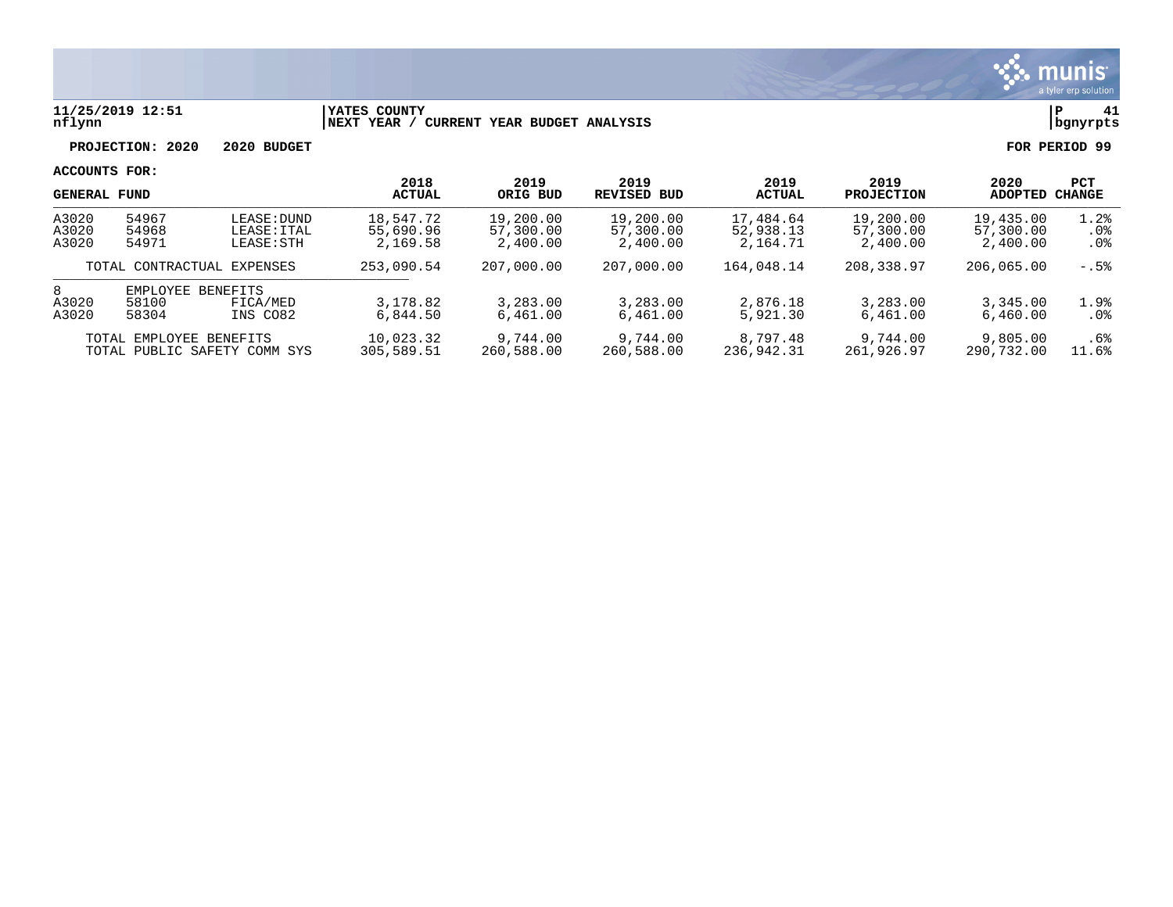

### **11/25/2019 12:51 |YATES COUNTY |P 41 nflynn |NEXT YEAR / CURRENT YEAR BUDGET ANALYSIS |bgnyrpts**

**PROJECTION: 2020 2020 BUDGET FOR PERIOD 99**

| <b>GENERAL FUND</b>     |                                   | 2018<br><b>ACTUAL</b>                    | 2019<br>ORIG BUD                   | 2019<br>REVISED BUD                | 2019<br><b>ACTUAL</b>              | 2019<br><b>PROJECTION</b>          | 2020<br>ADOPTED                    | <b>PCT</b><br>CHANGE               |                       |
|-------------------------|-----------------------------------|------------------------------------------|------------------------------------|------------------------------------|------------------------------------|------------------------------------|------------------------------------|------------------------------------|-----------------------|
| A3020<br>A3020<br>A3020 | 54967<br>54968<br>54971           | LEASE: DUND<br>LEASE: ITAL<br>LEASE: STH | 18,547.72<br>55,690.96<br>2,169.58 | 19,200.00<br>57,300.00<br>2,400.00 | 19,200.00<br>57,300.00<br>2,400.00 | 17,484.64<br>52,938.13<br>2,164.71 | 19,200.00<br>57,300.00<br>2,400.00 | 19,435.00<br>57,300.00<br>2,400.00 | 1.2%<br>.0%<br>$.0\%$ |
|                         |                                   | TOTAL CONTRACTUAL EXPENSES               | 253,090.54                         | 207,000.00                         | 207,000.00                         | 164,048.14                         | 208,338.97                         | 206,065.00                         | $-.5%$                |
| 8<br>A3020<br>A3020     | <b>EMPLOYEE</b><br>58100<br>58304 | <b>BENEFITS</b><br>FICA/MED<br>INS CO82  | 3,178.82<br>6.844.50               | 3,283.00<br>6,461.00               | 3,283.00<br>6,461.00               | 2,876.18<br>5,921.30               | 3,283.00<br>6,461.00               | 3,345.00<br>6.460.00               | 1.9%<br>$.0\%$        |
|                         | TOTAL EMPLOYEE BENEFITS           | TOTAL PUBLIC SAFETY COMM SYS             | 10,023.32<br>305,589.51            | 9,744.00<br>260,588.00             | 9,744.00<br>260,588.00             | 8,797.48<br>236,942.31             | 9,744.00<br>261,926.97             | 9,805.00<br>290.732.00             | .6%<br>11.6%          |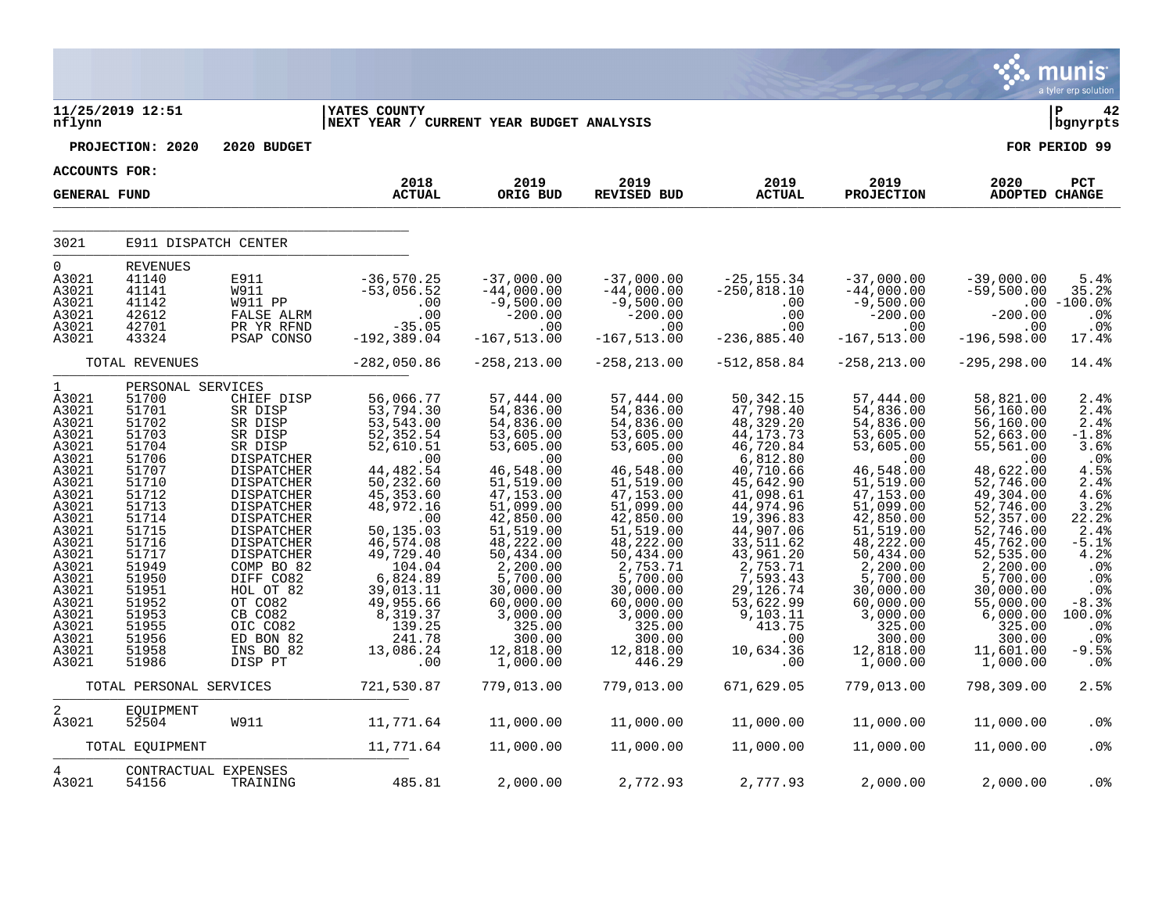|                                                                                                                                                                                                                             |                                                                                                                                                                                                                                  |                                                                                                                                                                                                                                                                                                            |                                                                                                                                                                                                                                                                                                        |                                                                                                                                                                                                                                                                                          |                                                                                                                                                                                                                                                                                         |                                                                                                                                                                                                                                                                                          |                                                                                                                                                                                                                                                                                            |                                                                                                                                                                                                                                                                                                           | munis<br>a tyler erp solution                                                                                                                                                                   |
|-----------------------------------------------------------------------------------------------------------------------------------------------------------------------------------------------------------------------------|----------------------------------------------------------------------------------------------------------------------------------------------------------------------------------------------------------------------------------|------------------------------------------------------------------------------------------------------------------------------------------------------------------------------------------------------------------------------------------------------------------------------------------------------------|--------------------------------------------------------------------------------------------------------------------------------------------------------------------------------------------------------------------------------------------------------------------------------------------------------|------------------------------------------------------------------------------------------------------------------------------------------------------------------------------------------------------------------------------------------------------------------------------------------|-----------------------------------------------------------------------------------------------------------------------------------------------------------------------------------------------------------------------------------------------------------------------------------------|------------------------------------------------------------------------------------------------------------------------------------------------------------------------------------------------------------------------------------------------------------------------------------------|--------------------------------------------------------------------------------------------------------------------------------------------------------------------------------------------------------------------------------------------------------------------------------------------|-----------------------------------------------------------------------------------------------------------------------------------------------------------------------------------------------------------------------------------------------------------------------------------------------------------|-------------------------------------------------------------------------------------------------------------------------------------------------------------------------------------------------|
| nflynn                                                                                                                                                                                                                      | 11/25/2019 12:51                                                                                                                                                                                                                 |                                                                                                                                                                                                                                                                                                            | <b>YATES COUNTY</b><br>NEXT YEAR / CURRENT YEAR BUDGET ANALYSIS                                                                                                                                                                                                                                        |                                                                                                                                                                                                                                                                                          |                                                                                                                                                                                                                                                                                         |                                                                                                                                                                                                                                                                                          |                                                                                                                                                                                                                                                                                            |                                                                                                                                                                                                                                                                                                           | $\mathbf{P}$<br>42<br>bgnyrpts                                                                                                                                                                  |
|                                                                                                                                                                                                                             | PROJECTION: 2020                                                                                                                                                                                                                 | 2020 BUDGET                                                                                                                                                                                                                                                                                                |                                                                                                                                                                                                                                                                                                        |                                                                                                                                                                                                                                                                                          |                                                                                                                                                                                                                                                                                         |                                                                                                                                                                                                                                                                                          |                                                                                                                                                                                                                                                                                            |                                                                                                                                                                                                                                                                                                           | FOR PERIOD 99                                                                                                                                                                                   |
| <b>ACCOUNTS FOR:</b>                                                                                                                                                                                                        |                                                                                                                                                                                                                                  |                                                                                                                                                                                                                                                                                                            |                                                                                                                                                                                                                                                                                                        |                                                                                                                                                                                                                                                                                          |                                                                                                                                                                                                                                                                                         |                                                                                                                                                                                                                                                                                          |                                                                                                                                                                                                                                                                                            |                                                                                                                                                                                                                                                                                                           |                                                                                                                                                                                                 |
| <b>GENERAL FUND</b>                                                                                                                                                                                                         |                                                                                                                                                                                                                                  |                                                                                                                                                                                                                                                                                                            | 2018<br><b>ACTUAL</b>                                                                                                                                                                                                                                                                                  | 2019<br>ORIG BUD                                                                                                                                                                                                                                                                         | 2019<br>REVISED BUD                                                                                                                                                                                                                                                                     | 2019<br><b>ACTUAL</b>                                                                                                                                                                                                                                                                    | 2019<br><b>PROJECTION</b>                                                                                                                                                                                                                                                                  | 2020<br><b>ADOPTED CHANGE</b>                                                                                                                                                                                                                                                                             | PCT                                                                                                                                                                                             |
| 3021                                                                                                                                                                                                                        | E911 DISPATCH CENTER                                                                                                                                                                                                             |                                                                                                                                                                                                                                                                                                            |                                                                                                                                                                                                                                                                                                        |                                                                                                                                                                                                                                                                                          |                                                                                                                                                                                                                                                                                         |                                                                                                                                                                                                                                                                                          |                                                                                                                                                                                                                                                                                            |                                                                                                                                                                                                                                                                                                           |                                                                                                                                                                                                 |
| $\overline{0}$<br>A3021<br>A3021<br>A3021<br>A3021<br>A3021<br>A3021                                                                                                                                                        | <b>REVENUES</b><br>41140<br>41141<br>41142<br>42612<br>42701<br>43324                                                                                                                                                            | E911<br>W911<br>W911 PP<br>FALSE ALRM<br>PR YR RFND<br>PSAP CONSO                                                                                                                                                                                                                                          | -36,570.25<br>-53,056.52<br>$00$<br>00.<br>-35.05<br>$-192, 389.04$                                                                                                                                                                                                                                    | $-37,000.00$<br>$-44,000.00$<br>$-9,500.00$<br>$-200.00$<br>$\sim$ .00<br>$-167, 513.00$                                                                                                                                                                                                 | $-37,000.00$<br>$-44,000.00$<br>$-9,500.00$<br>$-200.00$<br>$\sim$ 00<br>$-167, 513.00$                                                                                                                                                                                                 | -25,155.34<br>-250,818.10<br>.00<br>.00<br>.00<br>$-236, 885.40$                                                                                                                                                                                                                         | $-37,000.00$<br>$-44,000.00$<br>$-9,500.00$<br>$-200.00$<br>.00<br>$-167, 513.00$                                                                                                                                                                                                          | $-39,000.00$<br>$-59,500.00$<br>$-200.00$<br>.00<br>$-196,598.00$                                                                                                                                                                                                                                         | 5.4%<br>35.2%<br>$.00 - 100.0$<br>.0%<br>.0%<br>17.4%                                                                                                                                           |
|                                                                                                                                                                                                                             | TOTAL REVENUES                                                                                                                                                                                                                   |                                                                                                                                                                                                                                                                                                            | $-282,050.86$                                                                                                                                                                                                                                                                                          | $-258, 213.00$                                                                                                                                                                                                                                                                           | $-258, 213.00$                                                                                                                                                                                                                                                                          | $-512,858.84$                                                                                                                                                                                                                                                                            | $-258, 213.00$                                                                                                                                                                                                                                                                             | $-295, 298.00$                                                                                                                                                                                                                                                                                            | 14.4%                                                                                                                                                                                           |
| $\mathbf{1}$<br>A3021<br>A3021<br>A3021<br>A3021<br>A3021<br>A3021<br>A3021<br>A3021<br>A3021<br>A3021<br>A3021<br>A3021<br>A3021<br>A3021<br>A3021<br>A3021<br>A3021<br>A3021<br>A3021<br>A3021<br>A3021<br>A3021<br>A3021 | PERSONAL SERVICES<br>51700<br>51701<br>51702<br>51703<br>51704<br>51706<br>51707<br>51710<br>51712<br>51713<br>51714<br>51715<br>51716<br>51717<br>51949<br>51950<br>51951<br>51952<br>51953<br>51955<br>51956<br>51958<br>51986 | CHIEF DISP<br>SR DISP<br>SR DISP<br>SR DISP<br>SR DISP<br>DISPATCHER<br>DISPATCHER<br>DISPATCHER<br>DISPATCHER<br>DISPATCHER<br>DISPATCHER<br>DISPATCHER<br><b>DISPATCHER</b><br>DISPATCHER<br>COMP BO 82<br>DIFF CO82<br>HOL OT 82<br>OT CO82<br>CB CO82<br>OIC CO82<br>ED BON 82<br>INS BO 82<br>DISP PT | 56,066.77<br>53,794.30<br>53, 543.00<br>$52, 352.54$<br>$52, 610.51$<br>.00<br>44, 482.54<br>50, 232.60<br>45, 353.60<br>48,972.16<br>$\overline{00}$<br>50,135.03<br>46,574.08<br>49,729.40<br>104.04<br>$6,824.89$<br>39,013.11<br>49,955.66<br>$8,319.37$<br>$139.25$<br>241.78<br>13,086.24<br>.00 | 57,444.00<br>54,836.00<br>54,836.00<br>53,605.00<br>53,605.00<br>.00<br>46,548.00<br>51,519.00<br>47,153.00<br>51,099.00<br>42,850.00<br>51,519.00<br>48,222.00<br>50, 434.00<br>2,200.00<br>5,700.00<br>30,000.00<br>60,000.00<br>3,000.00<br>325.00<br>300.00<br>12,818.00<br>1,000.00 | 57,444.00<br>54,836.00<br>54,836.00<br>53,605.00<br>53,605.00<br>.00<br>46,548.00<br>51, 519.00<br>47, 153.00<br>51,099.00<br>42,850.00<br>51,519.00<br>48,222.00<br>50,434.00<br>2,753.71<br>5,700.00<br>30,000.00<br>60,000.00<br>3,000.00<br>325.00<br>300.00<br>12,818.00<br>446.29 | 50, 342. 15<br>47,798.40<br>48,329.20<br>44, 173. 73<br>46,720.84<br>6,812.80<br>40,710.66<br>45,642.90<br>41,098.61<br>44,974.96<br>19,396.83<br>44,907.06<br>33,511.62<br>43,961.20<br>2,753.71<br>7,593.43<br>29,126.74<br>53,622.99<br>9,103.11<br>413.75<br>.00<br>10,634.36<br>.00 | 57,444.00<br>54,836.00<br>54,836.00<br>53,605.00<br>53,605.00<br>.00<br>46,548.00<br>51, 519.00<br>47,153.00<br>51,099.00<br>42,850.00<br>51, 519.00<br>48,222.00<br>50, 434.00<br>2,200.00<br>5,700.00<br>30,000.00<br>60,000.00<br>3,000.00<br>325.00<br>300.00<br>12,818.00<br>1,000.00 | 58,821.00<br>56, 160.00<br>56,160.00<br>52,663.00<br>55, 561.00<br>.00<br>48,622.00<br>52,746.00<br>49,304.00<br>52,746.00<br>$\frac{52}{12}$ , 357.00<br>52, 746.00<br>45,762.00<br>52,535.00<br>2,200.00<br>5,700.00<br>30,000.00<br>55,000.00<br>6,000.00<br>325.00<br>300.00<br>11,601.00<br>1,000.00 | 2.4%<br>2.4%<br>2.4%<br>$-1.8%$<br>3.6%<br>$.0\%$<br>4.5%<br>2.4%<br>4.6%<br>3.2%<br>22.2%<br>2.4%<br>$-5.1%$<br>4.2%<br>.0%<br>.0%<br>.0%<br>$-8.3%$<br>100.0%<br>.0%<br>.0%<br>$-9.5%$<br>.0% |
|                                                                                                                                                                                                                             | TOTAL PERSONAL SERVICES                                                                                                                                                                                                          |                                                                                                                                                                                                                                                                                                            | 721,530.87                                                                                                                                                                                                                                                                                             | 779,013.00                                                                                                                                                                                                                                                                               | 779,013.00                                                                                                                                                                                                                                                                              | 671,629.05                                                                                                                                                                                                                                                                               | 779,013.00                                                                                                                                                                                                                                                                                 | 798,309.00                                                                                                                                                                                                                                                                                                | 2.5%                                                                                                                                                                                            |
| $\overline{a}$<br>A3021                                                                                                                                                                                                     | EQUIPMENT<br>52504                                                                                                                                                                                                               | W911                                                                                                                                                                                                                                                                                                       | 11,771.64                                                                                                                                                                                                                                                                                              | 11,000.00                                                                                                                                                                                                                                                                                | 11,000.00                                                                                                                                                                                                                                                                               | 11,000.00                                                                                                                                                                                                                                                                                | 11,000.00                                                                                                                                                                                                                                                                                  | 11,000.00                                                                                                                                                                                                                                                                                                 | .0%                                                                                                                                                                                             |
|                                                                                                                                                                                                                             | TOTAL EQUIPMENT                                                                                                                                                                                                                  |                                                                                                                                                                                                                                                                                                            | 11,771.64                                                                                                                                                                                                                                                                                              | 11,000.00                                                                                                                                                                                                                                                                                | 11,000.00                                                                                                                                                                                                                                                                               | 11,000.00                                                                                                                                                                                                                                                                                | 11,000.00                                                                                                                                                                                                                                                                                  | 11,000.00                                                                                                                                                                                                                                                                                                 | .0%                                                                                                                                                                                             |
| 4<br>A3021                                                                                                                                                                                                                  | CONTRACTUAL EXPENSES<br>54156                                                                                                                                                                                                    | TRAINING                                                                                                                                                                                                                                                                                                   | 485.81                                                                                                                                                                                                                                                                                                 | 2,000.00                                                                                                                                                                                                                                                                                 | 2,772.93                                                                                                                                                                                                                                                                                | 2,777.93                                                                                                                                                                                                                                                                                 | 2,000.00                                                                                                                                                                                                                                                                                   | 2,000.00                                                                                                                                                                                                                                                                                                  | . 0%                                                                                                                                                                                            |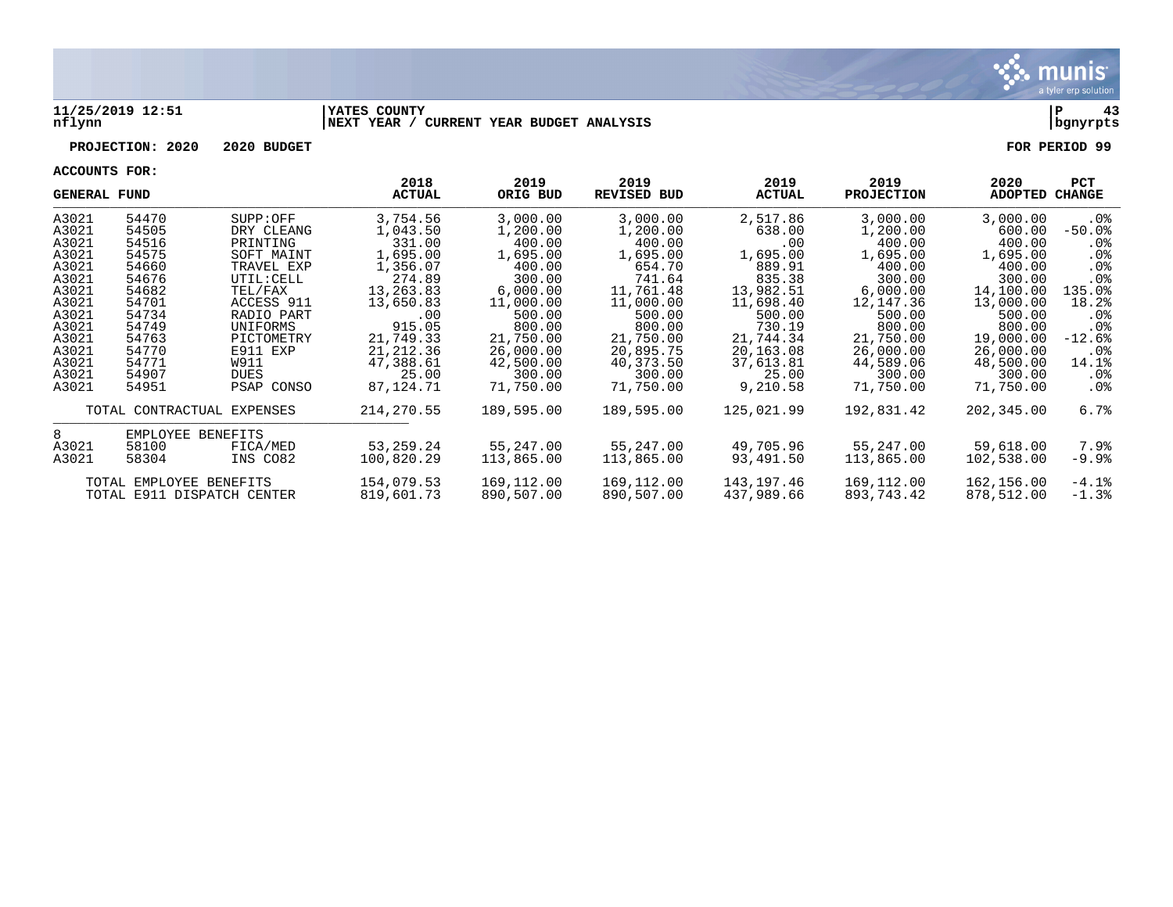

#### **11/25/2019 12:51 |YATES COUNTY |P 43 nflynn |NEXT YEAR / CURRENT YEAR BUDGET ANALYSIS |bgnyrpts**

# **PROJECTION: 2020 2020 BUDGET FOR PERIOD 99**

| <b>GENERAL FUND</b> |                            |                        | 2018<br>ACTUAL     | 2019<br>ORIG BUD   | 2019<br><b>REVISED BUD</b> | 2019<br><b>ACTUAL</b> | 2019<br><b>PROJECTION</b> | 2020<br>ADOPTED  | <b>PCT</b><br>CHANGE |
|---------------------|----------------------------|------------------------|--------------------|--------------------|----------------------------|-----------------------|---------------------------|------------------|----------------------|
| A3021               | 54470                      | SUPP:OFF               | 3,754.56           | 3,000.00           | 3,000.00                   | 2,517.86              | 3,000.00                  | 3,000.00         | .0%                  |
| A3021               | 54505<br>54516             | DRY CLEANG<br>PRINTING | 1,043.50<br>331.00 | 1,200.00<br>400.00 | 1,200.00<br>400.00         | 638.00                | 1,200.00<br>400.00        | 600.00<br>400.00 | $-50.0$ °            |
| A3021<br>A3021      | 54575                      | SOFT MAINT             | 1,695.00           | 1,695.00           | 1,695.00                   | .00<br>1,695.00       | 1,695.00                  | 1,695.00         | $.0\%$               |
| A3021               | 54660                      | TRAVEL EXP             | 1,356.07           | 400.00             | 654.70                     | 889.91                | 400.00                    | 400.00           | $.0\%$<br>$.0\%$     |
| A3021               | 54676                      | UTIL: CELL             | 274.89             | 300.00             | 741.64                     | 835.38                | 300.00                    | 300.00           | $.0\%$               |
| A3021               | 54682                      | TEL/FAX                | 13,263.83          | 6,000.00           | 11,761.48                  | 13,982.51             | 6,000.00                  | 14,100.00        | 135.0%               |
| A3021               | 54701                      | ACCESS 911             | 13,650.83          | 11,000.00          | 11,000.00                  | 11,698.40             | 12,147.36                 | 13,000.00        | 18.2%                |
| A3021               | 54734                      | RADIO PART             | .00                | 500.00             | 500.00                     | 500.00                | 500.00                    | 500.00           | $.0\%$               |
| A3021               | 54749                      | UNIFORMS               | 915.05             | 800.00             | 800.00                     | 730.19                | 800.00                    | 800.00           | . 0 %                |
| A3021               | 54763                      | PICTOMETRY             | 21,749.33          | 21,750.00          | 21,750.00                  | 21,744.34             | 21,750.00                 | 19,000.00        | $-12.6%$             |
| A3021               | 54770                      | E911 EXP               | 21, 212.36         | 26,000.00          | 20,895.75                  | 20,163.08             | 26,000.00                 | 26,000.00        | $.0\%$               |
| A3021               | 54771                      | W911                   | 47,388.61          | 42,500.00          | 40,373.50                  | 37,613.81             | 44,589.06                 | 48,500.00        | 14.1%                |
| A3021               | 54907                      | <b>DUES</b>            | 25.00              | 300.00             | 300.00                     | 25.00                 | 300.00                    | 300.00           | .0%                  |
| A3021               | 54951                      | PSAP CONSO             | 87,124.71          | 71,750.00          | 71,750.00                  | 9,210.58              | 71,750.00                 | 71,750.00        | .0%                  |
|                     | TOTAL CONTRACTUAL EXPENSES |                        | 214, 270.55        | 189,595.00         | 189,595.00                 | 125,021.99            | 192,831.42                | 202,345.00       | 6.7%                 |
| 8                   | EMPLOYEE BENEFITS          |                        |                    |                    |                            |                       |                           |                  |                      |
| A3021               | 58100                      | FICA/MED               | 53,259.24          | 55,247.00          | 55,247.00                  | 49,705.96             | 55,247.00                 | 59,618.00        | 7.9%                 |
| A3021               | 58304                      | INS CO82               | 100,820.29         | 113,865.00         | 113,865.00                 | 93,491.50             | 113,865.00                | 102,538.00       | -9.9%                |
|                     | TOTAL EMPLOYEE BENEFITS    |                        | 154,079.53         | 169,112.00         | 169,112.00                 | 143,197.46            | 169,112.00                | 162,156.00       | $-4.1%$              |
|                     | TOTAL E911 DISPATCH CENTER |                        | 819,601.73         | 890,507.00         | 890,507.00                 | 437,989.66            | 893,743.42                | 878,512.00       | $-1.3%$              |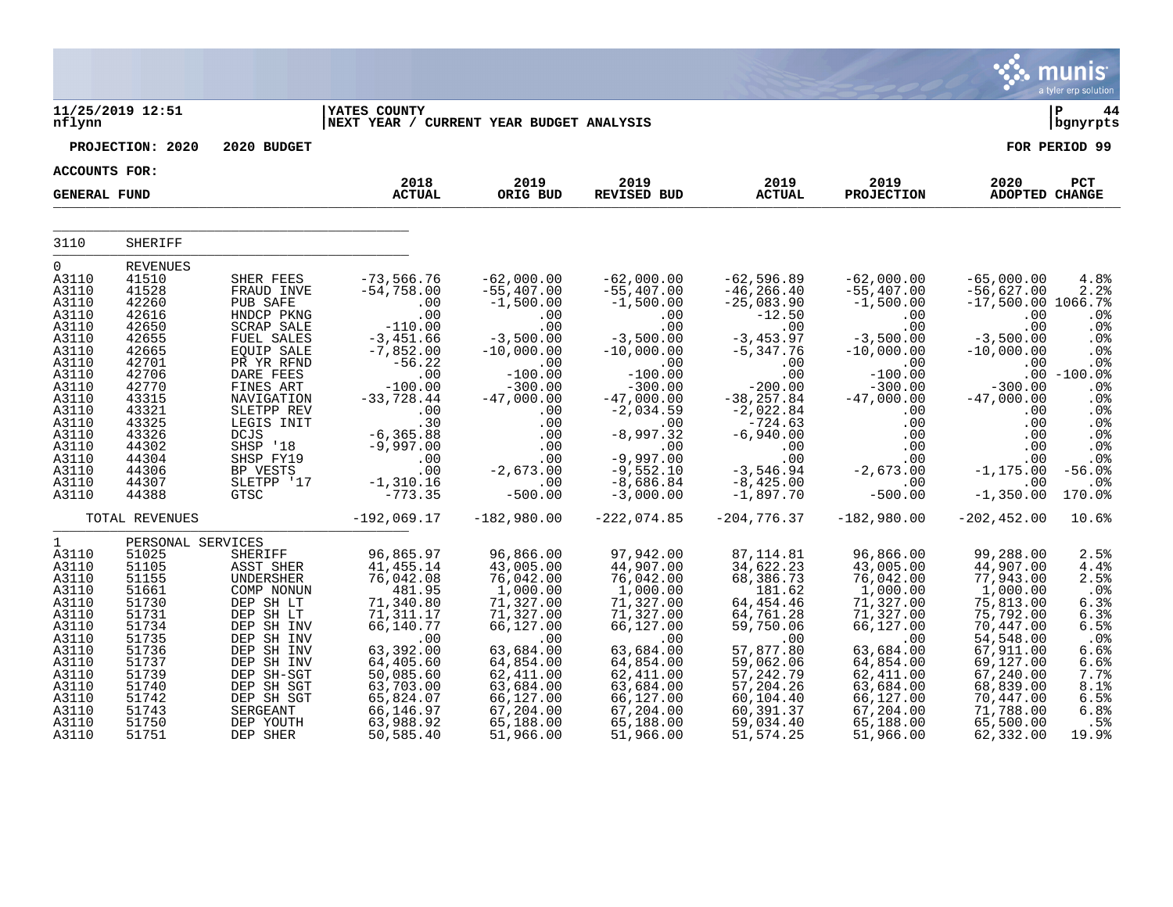|                                                                                                                                                                                     |                                                                                                                                                                                     |                                                                                                                                                                                                                                                                              |                                                                                                                                                                                                                               |                                                                                                                                                                                                                  |                                                                                                                                                                                                                                                   |                                                                                                                                                                                                                                                   |                                                                                                                                                                                                                                                |                                                                                                                                                                                                                | munis <sup>®</sup><br>a tyler erp solution                                                                                                                                |
|-------------------------------------------------------------------------------------------------------------------------------------------------------------------------------------|-------------------------------------------------------------------------------------------------------------------------------------------------------------------------------------|------------------------------------------------------------------------------------------------------------------------------------------------------------------------------------------------------------------------------------------------------------------------------|-------------------------------------------------------------------------------------------------------------------------------------------------------------------------------------------------------------------------------|------------------------------------------------------------------------------------------------------------------------------------------------------------------------------------------------------------------|---------------------------------------------------------------------------------------------------------------------------------------------------------------------------------------------------------------------------------------------------|---------------------------------------------------------------------------------------------------------------------------------------------------------------------------------------------------------------------------------------------------|------------------------------------------------------------------------------------------------------------------------------------------------------------------------------------------------------------------------------------------------|----------------------------------------------------------------------------------------------------------------------------------------------------------------------------------------------------------------|---------------------------------------------------------------------------------------------------------------------------------------------------------------------------|
| nflynn                                                                                                                                                                              | 11/25/2019 12:51                                                                                                                                                                    |                                                                                                                                                                                                                                                                              | <b>YATES COUNTY</b><br>NEXT YEAR / CURRENT YEAR BUDGET ANALYSIS                                                                                                                                                               |                                                                                                                                                                                                                  |                                                                                                                                                                                                                                                   |                                                                                                                                                                                                                                                   |                                                                                                                                                                                                                                                |                                                                                                                                                                                                                | ΙP<br>44<br>  bgnyrpts                                                                                                                                                    |
|                                                                                                                                                                                     | PROJECTION: 2020                                                                                                                                                                    | 2020 BUDGET                                                                                                                                                                                                                                                                  |                                                                                                                                                                                                                               |                                                                                                                                                                                                                  |                                                                                                                                                                                                                                                   |                                                                                                                                                                                                                                                   |                                                                                                                                                                                                                                                |                                                                                                                                                                                                                | FOR PERIOD 99                                                                                                                                                             |
| ACCOUNTS FOR:                                                                                                                                                                       |                                                                                                                                                                                     |                                                                                                                                                                                                                                                                              |                                                                                                                                                                                                                               |                                                                                                                                                                                                                  |                                                                                                                                                                                                                                                   |                                                                                                                                                                                                                                                   |                                                                                                                                                                                                                                                |                                                                                                                                                                                                                |                                                                                                                                                                           |
| <b>GENERAL FUND</b>                                                                                                                                                                 |                                                                                                                                                                                     |                                                                                                                                                                                                                                                                              | 2018<br><b>ACTUAL</b>                                                                                                                                                                                                         | 2019<br>ORIG BUD                                                                                                                                                                                                 | 2019<br><b>REVISED BUD</b>                                                                                                                                                                                                                        | 2019<br><b>ACTUAL</b>                                                                                                                                                                                                                             | 2019<br><b>PROJECTION</b>                                                                                                                                                                                                                      | 2020<br>ADOPTED CHANGE                                                                                                                                                                                         | PCT                                                                                                                                                                       |
| 3110                                                                                                                                                                                | SHERIFF                                                                                                                                                                             |                                                                                                                                                                                                                                                                              |                                                                                                                                                                                                                               |                                                                                                                                                                                                                  |                                                                                                                                                                                                                                                   |                                                                                                                                                                                                                                                   |                                                                                                                                                                                                                                                |                                                                                                                                                                                                                |                                                                                                                                                                           |
| $\Omega$<br>A3110<br>A3110<br>A3110<br>A3110<br>A3110<br>A3110<br>A3110<br>A3110<br>A3110<br>A3110<br>A3110<br>A3110<br>A3110<br>A3110<br>A3110<br>A3110<br>A3110<br>A3110<br>A3110 | REVENUES<br>41510<br>41528<br>42260<br>42616<br>42650<br>42655<br>42665<br>42701<br>42706<br>42770<br>43315<br>43321<br>43325<br>43326<br>44302<br>44304<br>44306<br>44307<br>44388 | SHER FEES<br>FRAUD INVE<br>PUB SAFE<br>HNDCP PKNG<br><b>SCRAP SALE</b><br>FUEL SALES<br><b>EQUIP SALE</b><br>PR YR RFND<br>DARE FEES<br>FINES ART<br>NAVIGATION<br>SLETPP REV<br>LEGIS INIT<br><b>DCJS</b><br>SHSP '18<br>SHSP FY19<br>BP VESTS<br>SLETPP '17<br><b>GTSC</b> | $-73,566.76$<br>$-54,758.00$<br>.00<br>.00<br>$-110.00$<br>$-3,451.66$<br>$-7,852.00$<br>$-56.22$<br>.00<br>$-100.00$<br>$-33,728.44$<br>.00<br>.30<br>$-6, 365.88$<br>$-9,997.00$<br>.00<br>.00<br>$-1, 310.16$<br>$-773.35$ | $-62,000.00$<br>$-55, 407.00$<br>$-1,500.00$<br>.00<br>.00<br>$-3,500.00$<br>$-10,000.00$<br>.00<br>$-100.00$<br>$-300.00$<br>$-47,000.00$<br>.00<br>.00<br>.00<br>.00<br>.00<br>$-2,673.00$<br>.00<br>$-500.00$ | $-62,000.00$<br>$-55,407.00$<br>$-1,500.00$<br>.00<br>.00<br>$-3,500.00$<br>$-10,000.00$<br>.00<br>$-100.00$<br>$-300.00$<br>$-47,000.00$<br>$-2,034.59$<br>.00<br>$-8,997.32$<br>.00<br>$-9,997.00$<br>$-9,552.10$<br>$-8,686.84$<br>$-3,000.00$ | $-62,596.89$<br>$-46, 266.40$<br>$-25,083.90$<br>$-12.50$<br>.00<br>$-3, 453.97$<br>$-5,347.76$<br>.00<br>.00<br>$-200.00$<br>$-38, 257.84$<br>$-2,022.84$<br>$-724.63$<br>$-6,940.00$<br>.00<br>.00<br>$-3,546.94$<br>$-8,425.00$<br>$-1,897.70$ | $-62,000.00$<br>$-55,407.00$<br>$-1,500.00$<br>.00<br>$.00 \ \rm$<br>$-3,500.00$<br>$-10,000.00$<br>$.00 \ \rm$<br>$-100.00$<br>$-300.00$<br>$-47,000.00$<br>$.00 \,$<br>.00<br>.00<br>$.00 \,$<br>$.00 \,$<br>$-2,673.00$<br>.00<br>$-500.00$ | $-65,000.00$<br>$-56,627.00$<br>$-17,500.00$ 1066.7%<br>.00<br>.00<br>$-3,500.00$<br>$-10,000.00$<br>.00<br>$-300.00$<br>$-47,000.00$<br>.00<br>.00<br>.00<br>.00<br>.00<br>$-1, 175.00$<br>.00<br>$-1,350.00$ | 4.8%<br>2.2%<br>.0%<br>.0%<br>.0%<br>.0%<br>.0%<br>$.00 - 100.0$<br>.0 <sub>8</sub><br>.0%<br>$.0\%$<br>.0%<br>.0%<br>.0%<br>.0%<br>$-56.0%$<br>.0 <sub>8</sub><br>170.0% |
|                                                                                                                                                                                     | TOTAL REVENUES                                                                                                                                                                      |                                                                                                                                                                                                                                                                              | $-192,069.17$                                                                                                                                                                                                                 | $-182,980.00$                                                                                                                                                                                                    | $-222,074.85$                                                                                                                                                                                                                                     | $-204,776.37$                                                                                                                                                                                                                                     | $-182,980.00$                                                                                                                                                                                                                                  | $-202, 452.00$                                                                                                                                                                                                 | 10.6%                                                                                                                                                                     |
| $\mathbf{1}$<br>A3110<br>A3110<br>A3110<br>A3110<br>A3110<br>A3110<br>A3110<br>A3110<br>A3110<br>A3110<br>A3110<br>A3110<br>A3110<br>A3110<br>A3110<br>A3110                        | PERSONAL SERVICES<br>51025<br>51105<br>51155<br>51661<br>51730<br>51731<br>51734<br>51735<br>51736<br>51737<br>51739<br>51740<br>51742<br>51743<br>51750<br>51751                   | SHERIFF<br>ASST SHER<br>UNDERSHER<br>COMP NONUN<br>DEP SH LT<br>DEP SH LT<br>DEP SH INV<br>DEP SH INV<br>DEP SH INV<br>DEP SH INV<br>DEP SH-SGT<br>DEP SH SGT<br>DEP SH SGT<br>SERGEANT<br>DEP YOUTH<br>DEP SHER                                                             | 96,865.97<br>41, 455. 14<br>76,042.08<br>481.95<br>71,340.80<br>71, 311.17<br>66,140.77<br>.00<br>63,392.00<br>64, 405.60<br>50,085.60<br>63,703.00<br>65,824.07<br>66,146.97<br>63,988.92<br>50,585.40                       | 96,866.00<br>43,005.00<br>76,042.00<br>1,000.00<br>71,327.00<br>71,327.00<br>66,127.00<br>.00<br>63,684.00<br>64,854.00<br>62,411.00<br>63,684.00<br>66,127.00<br>67,204.00<br>65,188.00<br>51,966.00            | 97,942.00<br>44,907.00<br>76,042.00<br>1,000.00<br>71,327.00<br>71,327.00<br>66,127.00<br>.00<br>63,684.00<br>64,854.00<br>62, 411.00<br>63,684.00<br>66,127.00<br>67,204.00<br>65,188.00<br>51,966.00                                            | 87,114.81<br>34,622.23<br>68,386.73<br>181.62<br>64,454.46<br>64,761.28<br>59,750.06<br>.00<br>57,877.80<br>59,062.06<br>57,242.79<br>57,204.26<br>60,104.40<br>60,391.37<br>59,034.40<br>51,574.25                                               | 96,866.00<br>43,005.00<br>76,042.00<br>1,000.00<br>71,327.00<br>71,327.00<br>66,127.00<br>.00<br>63,684.00<br>64,854.00<br>62,411.00<br>63,684.00<br>66,127.00<br>67, 204.00<br>65,188.00<br>51,966.00                                         | 99,288.00<br>44,907.00<br>77,943.00<br>1,000.00<br>75,813.00<br>75,792.00<br>70,447.00<br>54,548.00<br>67,911.00<br>69,127.00<br>67,240.00<br>68,839.00<br>70,447.00<br>71,788.00<br>65,500.00<br>62,332.00    | 2.5%<br>4.4%<br>2.5%<br>$.0\%$<br>6.3%<br>6.3%<br>6.5%<br>.0%<br>6.6%<br>6.6%<br>7.7%<br>8.1%<br>6.5%<br>6.8%<br>.5%<br>19.9%                                             |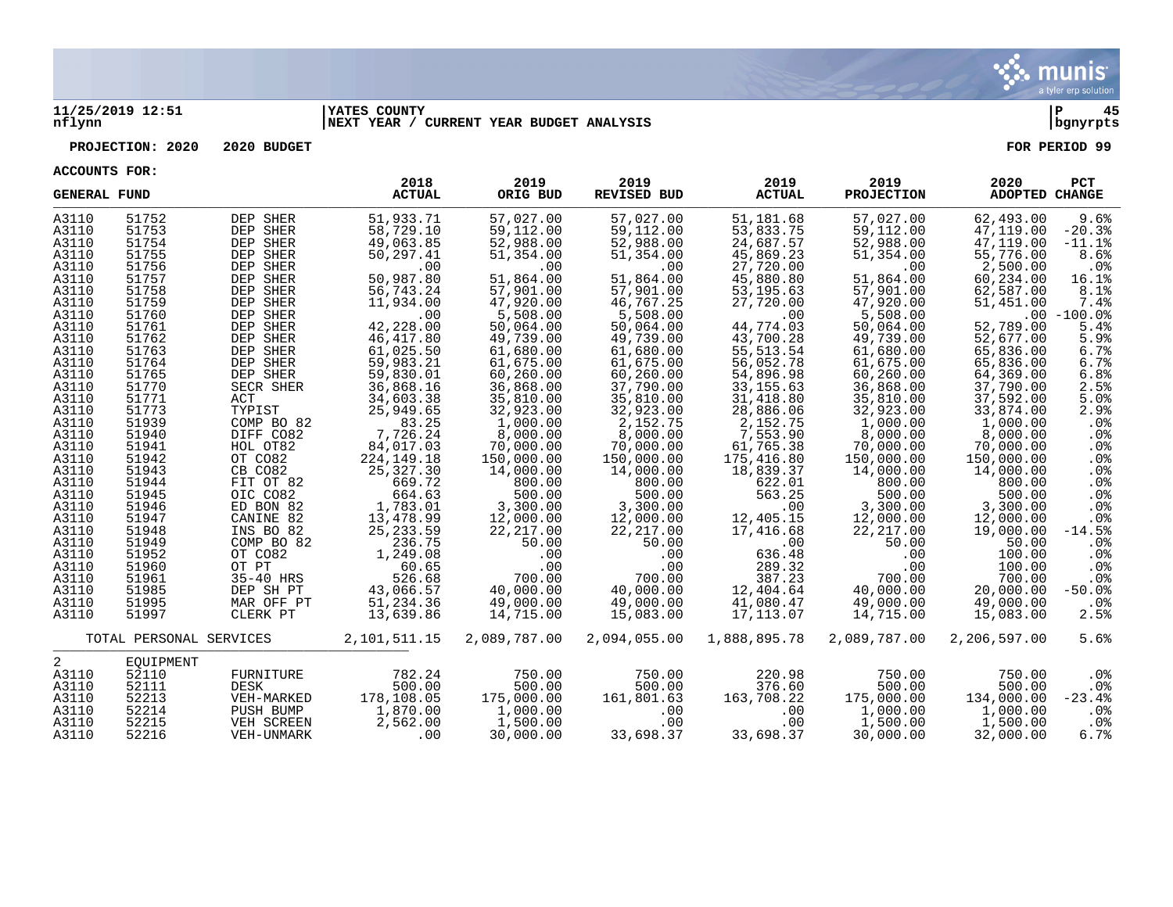

#### **11/25/2019 12:51 |YATES COUNTY |P 45 nflynn |NEXT YEAR / CURRENT YEAR BUDGET ANALYSIS |bgnyrpts**

**PROJECTION: 2020 2020 BUDGET FOR PERIOD 99**

| <b>GENERAL FUND</b>                                                                                                                                                                                                                                                        |                                                                                                                                                                                                                                                                            |                                                                                                                                                                                                                                                                                                                                                                   | 2018<br><b>ACTUAL</b>                                                                                                                                                                                                                                                                                                                                                  | 2019<br>ORIG BUD                                                                                                                                                                                                                                                                                                                                                    | 2019<br><b>REVISED BUD</b>                                                                                                                                                                                                                                                                                                                                           | 2019<br><b>ACTUAL</b>                                                                                                                                                                                                                                                                                                                                                  | 2019<br><b>PROJECTION</b>                                                                                                                                                                                                                                                                                                                                            | 2020<br><b>ADOPTED CHANGE</b>                                                                                                                                                                                                                                                                                                                                      | <b>PCT</b>                                                                                                                                                                                                                                                                                     |
|----------------------------------------------------------------------------------------------------------------------------------------------------------------------------------------------------------------------------------------------------------------------------|----------------------------------------------------------------------------------------------------------------------------------------------------------------------------------------------------------------------------------------------------------------------------|-------------------------------------------------------------------------------------------------------------------------------------------------------------------------------------------------------------------------------------------------------------------------------------------------------------------------------------------------------------------|------------------------------------------------------------------------------------------------------------------------------------------------------------------------------------------------------------------------------------------------------------------------------------------------------------------------------------------------------------------------|---------------------------------------------------------------------------------------------------------------------------------------------------------------------------------------------------------------------------------------------------------------------------------------------------------------------------------------------------------------------|----------------------------------------------------------------------------------------------------------------------------------------------------------------------------------------------------------------------------------------------------------------------------------------------------------------------------------------------------------------------|------------------------------------------------------------------------------------------------------------------------------------------------------------------------------------------------------------------------------------------------------------------------------------------------------------------------------------------------------------------------|----------------------------------------------------------------------------------------------------------------------------------------------------------------------------------------------------------------------------------------------------------------------------------------------------------------------------------------------------------------------|--------------------------------------------------------------------------------------------------------------------------------------------------------------------------------------------------------------------------------------------------------------------------------------------------------------------------------------------------------------------|------------------------------------------------------------------------------------------------------------------------------------------------------------------------------------------------------------------------------------------------------------------------------------------------|
| A3110<br>A3110<br>A3110<br>A3110<br>A3110<br>A3110<br>A3110<br>A3110<br>A3110<br>A3110<br>A3110<br>A3110<br>A3110<br>A3110<br>A3110<br>A3110<br>A3110<br>A3110<br>A3110<br>A3110<br>A3110<br>A3110<br>A3110<br>A3110<br>A3110<br>A3110<br>A3110<br>A3110<br>A3110<br>A3110 | 51752<br>51753<br>51754<br>51755<br>51756<br>51757<br>51758<br>51759<br>51760<br>51761<br>51762<br>51763<br>51764<br>51765<br>51770<br>51771<br>51773<br>51939<br>51940<br>51941<br>51942<br>51943<br>51944<br>51945<br>51946<br>51947<br>51948<br>51949<br>51952<br>51960 | DEP SHER<br>DEP SHER<br>DEP SHER<br>DEP SHER<br>DEP SHER<br>DEP SHER<br>DEP SHER<br>DEP SHER<br>DEP SHER<br>DEP SHER<br>DEP SHER<br>DEP SHER<br>DEP SHER<br>DEP SHER<br>SECR SHER<br>ACT<br>TYPIST<br>COMP BO 82<br>DIFF CO82<br>HOL OT82<br>OT CO82<br>CB CO82<br>FIT OT 82<br>OIC CO82<br>ED BON 82<br>CANINE 82<br>INS BO 82<br>COMP BO 82<br>OT CO82<br>OT PT | 51,933.71<br>58,729.10<br>49,063.85<br>50,297.41<br>.00<br>50,987.80<br>56,743.24<br>11,934.00<br>.00<br>42,228.00<br>46,417.80<br>61,025.50<br>59,983.21<br>59,830.01<br>36,868.16<br>34,603.38<br>25,949.65<br>83.25<br>7,726.24<br>84,017.03<br>224, 149. 18<br>25,327.30<br>669.72<br>664.63<br>1,783.01<br>13,478.99<br>25, 233.59<br>236.75<br>1,249.08<br>60.65 | 57,027.00<br>59,112.00<br>52,988.00<br>51,354.00<br>.00<br>51,864.00<br>57,901.00<br>47,920.00<br>5,508.00<br>50,064.00<br>49,739.00<br>61,680.00<br>61,675.00<br>60,260.00<br>36,868.00<br>35,810.00<br>32,923.00<br>1,000.00<br>8,000.00<br>70,000.00<br>150,000.00<br>14,000.00<br>800.00<br>500.00<br>3,300.00<br>12,000.00<br>22,217.00<br>50.00<br>.00<br>.00 | 57,027.00<br>59,112.00<br>52,988.00<br>51,354.00<br>.00<br>51,864.00<br>57,901.00<br>46,767.25<br>5,508.00<br>50,064.00<br>49,739.00<br>61,680.00<br>61,675.00<br>60,260.00<br>37,790.00<br>35,810.00<br>32,923.00<br>2,152.75<br>8,000.00<br>70,000.00<br>150,000.00<br>14,000.00<br>800.00<br>500.00<br>3,300.00<br>12,000.00<br>22, 217.00<br>50.00<br>.00<br>.00 | 51,181.68<br>53,833.75<br>24,687.57<br>45,869.23<br>27,720.00<br>45,880.80<br>53,195.63<br>27,720.00<br>.00<br>44,774.03<br>43,700.28<br>55, 513. 54<br>56,052.78<br>54,896.98<br>33, 155.63<br>31,418.80<br>28,886.06<br>2,152.75<br>7,553.90<br>61,765.38<br>175,416.80<br>18,839.37<br>622.01<br>563.25<br>.00<br>12,405.15<br>17,416.68<br>.00<br>636.48<br>289.32 | 57,027.00<br>59,112.00<br>52,988.00<br>51,354.00<br>.00<br>51,864.00<br>57,901.00<br>47,920.00<br>5,508.00<br>50,064.00<br>49,739.00<br>61,680.00<br>61,675.00<br>60,260.00<br>36,868.00<br>35,810.00<br>32,923.00<br>1,000.00<br>8,000.00<br>70,000.00<br>150,000.00<br>14,000.00<br>800.00<br>500.00<br>3,300.00<br>12,000.00<br>22, 217.00<br>50.00<br>.00<br>.00 | 62,493.00<br>47,119.00<br>47,119.00<br>55,776.00<br>2,500.00<br>60,234.00<br>62,587.00<br>51,451.00<br>52,789.00<br>52,677.00<br>65,836.00<br>65,836.00<br>64,369.00<br>37,790.00<br>37,592.00<br>33,874.00<br>1,000.00<br>8,000.00<br>70,000.00<br>150,000.00<br>14,000.00<br>800.00<br>500.00<br>3,300.00<br>12,000.00<br>19,000.00<br>50.00<br>100.00<br>100.00 | 9.6%<br>$-20.3%$<br>$-11.1$ %<br>8.6%<br>$.0\%$<br>16.1%<br>8.1%<br>7.4%<br>$.00 - 100.0%$<br>5.4%<br>5.9%<br>6.7%<br>6.7%<br>6.8%<br>2.5%<br>5.0%<br>2.9%<br>$.0\%$<br>$.0\%$<br>$.0\%$<br>$.0\%$<br>$.0\%$<br>.0%<br>.0%<br>$.0\%$<br>$.0\%$<br>$-14.5%$<br>.0 <sub>8</sub><br>.0%<br>$.0\%$ |
| A3110<br>A3110<br>A3110<br>A3110                                                                                                                                                                                                                                           | 51961<br>51985<br>51995<br>51997                                                                                                                                                                                                                                           | 35-40 HRS<br>DEP SH PT<br>MAR OFF PT<br>CLERK PT                                                                                                                                                                                                                                                                                                                  | 526.68<br>43,066.57<br>51,234.36<br>13,639.86                                                                                                                                                                                                                                                                                                                          | 700.00<br>40,000.00<br>49,000.00<br>14,715.00                                                                                                                                                                                                                                                                                                                       | 700.00<br>40,000.00<br>49,000.00<br>15,083.00                                                                                                                                                                                                                                                                                                                        | 387.23<br>12,404.64<br>41,080.47<br>17, 113.07                                                                                                                                                                                                                                                                                                                         | 700.00<br>40,000.00<br>49,000.00<br>14,715.00                                                                                                                                                                                                                                                                                                                        | 700.00<br>20,000.00<br>49,000.00<br>15,083.00                                                                                                                                                                                                                                                                                                                      | .0%<br>$-50.0$ %<br>$.0\%$<br>2.5%                                                                                                                                                                                                                                                             |
|                                                                                                                                                                                                                                                                            | TOTAL PERSONAL SERVICES                                                                                                                                                                                                                                                    |                                                                                                                                                                                                                                                                                                                                                                   | 2,101,511.15                                                                                                                                                                                                                                                                                                                                                           | 2,089,787.00                                                                                                                                                                                                                                                                                                                                                        | 2,094,055.00                                                                                                                                                                                                                                                                                                                                                         | 1,888,895.78                                                                                                                                                                                                                                                                                                                                                           | 2,089,787.00                                                                                                                                                                                                                                                                                                                                                         | 2,206,597.00                                                                                                                                                                                                                                                                                                                                                       | 5.6%                                                                                                                                                                                                                                                                                           |
| 2<br>A3110<br>A3110<br>A3110<br>A3110<br>A3110<br>A3110                                                                                                                                                                                                                    | EOUIPMENT<br>52110<br>52111<br>52213<br>52214<br>52215<br>52216                                                                                                                                                                                                            | FURNITURE<br>DESK<br>VEH-MARKED<br>PUSH BUMP<br>VEH SCREEN<br>VEH-UNMARK                                                                                                                                                                                                                                                                                          | 782.24<br>500.00<br>178,108.05<br>1,870.00<br>2,562.00<br>.00                                                                                                                                                                                                                                                                                                          | 750.00<br>500.00<br>175,000.00<br>1,000.00<br>1,500.00<br>30,000.00                                                                                                                                                                                                                                                                                                 | 750.00<br>500.00<br>161,801.63<br>.00<br>.00<br>33,698.37                                                                                                                                                                                                                                                                                                            | 220.98<br>376.60<br>163,708.22<br>.00<br>.00<br>33,698.37                                                                                                                                                                                                                                                                                                              | 750.00<br>500.00<br>175,000.00<br>1,000.00<br>1,500.00<br>30,000.00                                                                                                                                                                                                                                                                                                  | 750.00<br>500.00<br>134,000.00<br>1,000.00<br>1,500.00<br>32,000.00                                                                                                                                                                                                                                                                                                | $.0\%$<br>$.0\%$<br>$-23.4%$<br>$.0\%$<br>$.0\%$<br>6.7%                                                                                                                                                                                                                                       |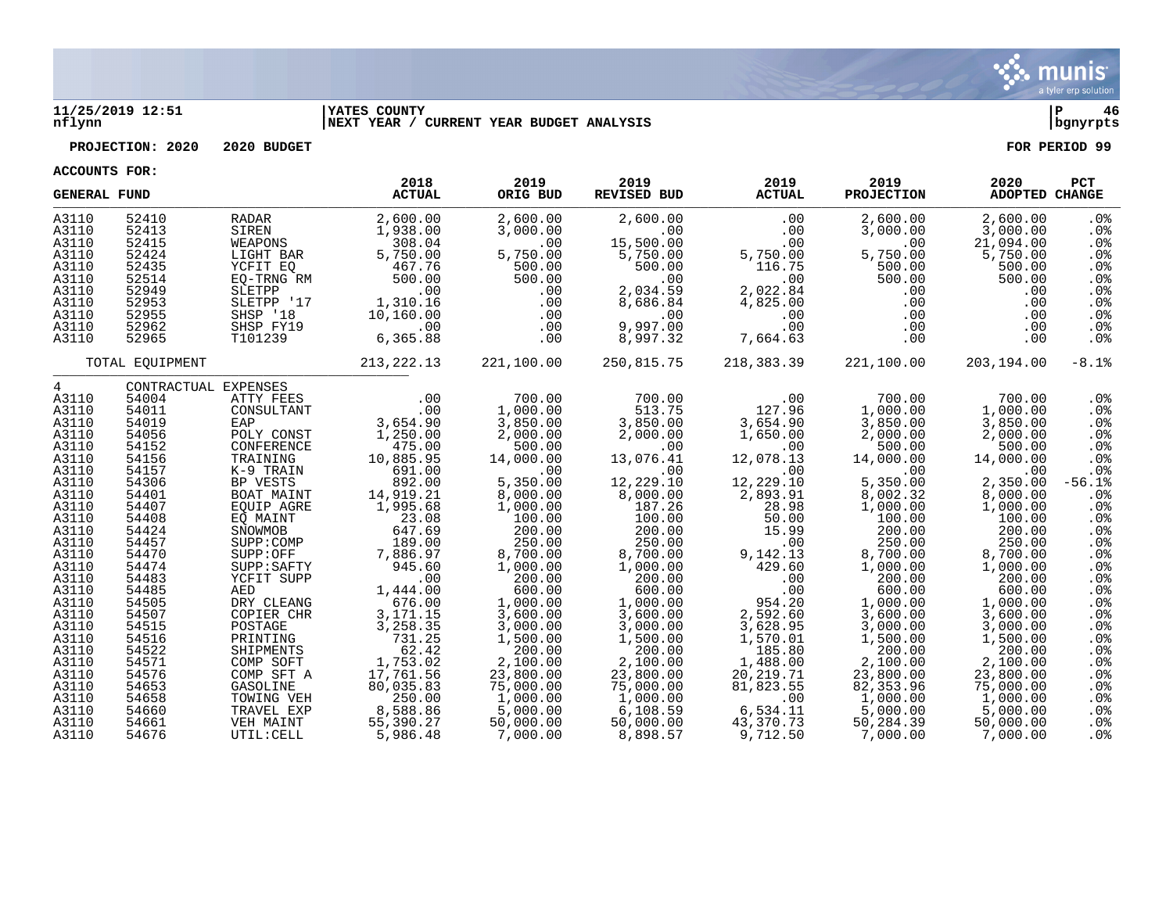

#### **11/25/2019 12:51 |YATES COUNTY |P 46 nflynn |NEXT YEAR / CURRENT YEAR BUDGET ANALYSIS |bgnyrpts**

**PROJECTION: 2020 2020 BUDGET FOR PERIOD 99**

| <b>GENERAL FUND</b> |                 |                          | 2018<br><b>ACTUAL</b>                        | 2019<br>ORIG BUD     | 2019<br><b>REVISED BUD</b> | 2019<br><b>ACTUAL</b> | 2019<br><b>PROJECTION</b> | 2020<br><b>ADOPTED CHANGE</b> | PCT                       |
|---------------------|-----------------|--------------------------|----------------------------------------------|----------------------|----------------------------|-----------------------|---------------------------|-------------------------------|---------------------------|
| A3110               | 52410           | RADAR                    | 2,600.00                                     | 2,600.00             | 2,600.00                   | .00                   | 2,600.00                  | 2,600.00                      | $.0\%$                    |
| A3110               | 52413           | SIREN                    | 1,938.00                                     | 3,000.00             | .00                        | .00                   | 3,000.00                  | 3,000.00                      | .0%                       |
| A3110               | 52415           | WEAPONS                  | 308.04                                       | .00                  | 15,500.00                  | .00                   | .00                       | 21,094.00                     | .0%                       |
| A3110               | 52424           | LIGHT BAR                | 5,750.00                                     | 5,750.00             | 5,750.00                   | 5,750.00              | 5,750.00                  | 5,750.00                      | .0%                       |
| A3110               | 52435           | YCFIT EO                 | 467.76                                       | 500.00               | 500.00                     | 116.75                | 500.00                    | 500.00                        | .0 <sub>8</sub>           |
| A3110<br>A3110      | 52514<br>52949  | EO-TRNG RM<br>SLETPP     | 500.00<br>.00                                | 500.00<br>.00        | .00<br>2,034.59            | .00                   | 500.00<br>.00             | 500.00<br>.00                 | .0 <sub>8</sub><br>$.0\%$ |
| A3110               | 52953           | SLETPP '17               | 1,310.16                                     | .00                  | 8,686.84                   | 2,022.84<br>4,825.00  | .00                       | .00                           | .0 <sub>8</sub>           |
| A3110               | 52955           | SHSP '18                 | 10,160.00                                    | .00                  | $\overline{00}$            | .00                   | .00                       | .00                           | .0%                       |
| A3110               | 52962           | SHSP FY19                | .00                                          | .00                  | 9,997.00                   | .00                   | .00                       | .00                           | .0 <sub>8</sub>           |
| A3110               | 52965           | T101239                  | 6,365.88                                     | .00                  | 8,997.32                   | 7,664.63              | .00                       | .00                           | $.0\%$                    |
|                     |                 |                          |                                              |                      |                            |                       |                           |                               |                           |
|                     | TOTAL EOUIPMENT |                          | 213,222.13                                   | 221,100.00           | 250,815.75                 | 218,383.39            | 221,100.00                | 203,194.00                    | $-8.1$ $8$                |
| $4\degree$          |                 | CONTRACTUAL EXPENSES     |                                              |                      |                            |                       |                           |                               |                           |
| A3110               | 54004           | ATTY FEES                | $\begin{array}{c} 0.00 \\ -0.00 \end{array}$ | 700.00               | 700.00                     | .00                   | 700.00                    | 700.00                        | $.0\%$                    |
| A3110<br>A3110      | 54011<br>54019  | CONSULTANT<br>EAP        | .00<br>3,654.90                              | 1,000.00             | 513.75<br>3,850.00         | 127.96                | 1,000.00<br>3,850.00      | 1,000.00<br>3,850.00          | .0%<br>.0%                |
| A3110               | 54056           | POLY CONST               | 1,250.00                                     | 3,850.00<br>2,000.00 | 2,000.00                   | 3,654.90<br>1,650.00  | 2,000.00                  | 2,000.00                      | .0%                       |
| A3110               | 54152           | CONFERENCE               | 475.00                                       | 500.00               | .00                        | .00                   | 500.00                    | 500.00                        | .0 <sub>8</sub>           |
| A3110               | 54156           | TRAINING                 | 10,885.95                                    | 14,000.00            | 13,076.41                  | 12,078.13             | 14,000.00                 | 14,000.00                     | $.0\%$                    |
| A3110               | 54157           | K-9 TRAIN                | 691.00                                       | .00                  | .00                        | .00                   | .00                       | .00                           | .0 <sub>8</sub>           |
| A3110               | 54306           | BP VESTS                 | 892.00                                       | 5,350.00             | 12,229.10                  | 12,229.10             | 5,350.00                  | 2,350.00                      | $-56.1%$                  |
| A3110               | 54401           | BOAT MAINT               | 14,919.21                                    | 8,000.00             | 8,000.00                   | 2,893.91              | 8,002.32                  | 8,000.00                      | .0%                       |
| A3110               | 54407           | EOUIP AGRE               | 1,995.68                                     | 1,000.00             | 187.26                     | 28.98                 | 1,000.00                  | 1,000.00                      | .0%                       |
| A3110               | 54408           | EO MAINT                 | 23.08                                        | 100.00               | 100.00                     | 50.00                 | 100.00                    | 100.00                        | .0%                       |
| A3110               | 54424           | SNOWMOB                  | 647.69                                       | 200.00               | 200.00                     | 15.99                 | 200.00                    | 200.00                        | . 0 %                     |
| A3110               | 54457           | SUPP:COMP                | 189.00                                       | 250.00               | 250.00                     | .00                   | 250.00                    | 250.00                        | .0%                       |
| A3110<br>A3110      | 54470<br>54474  | SUPP:OFF<br>SUPP:SAFTY   | 7,886.97<br>945.60                           | 8,700.00<br>1,000.00 | 8,700.00<br>1,000.00       | 9,142.13<br>429.60    | 8,700.00<br>1,000.00      | 8,700.00<br>1,000.00          | .0%<br>$.0\%$             |
| A3110               | 54483           | YCFIT SUPP               | .00                                          | 200.00               | 200.00                     | .00                   | 200.00                    | 200.00                        | .0%                       |
| A3110               | 54485           | AED                      | 1,444.00                                     | 600.00               | 600.00                     | .00                   | 600.00                    | 600.00                        | .0 <sub>8</sub>           |
| A3110               | 54505           | DRY CLEANG               | 676.00                                       | 1,000.00             | 1,000.00                   | 954.20                | 1,000.00                  | 1,000.00                      | .0%                       |
| A3110               | 54507           | COPIER CHR               | 3,171.15                                     | 3,600.00             | 3,600.00                   | 2,592.60              | 3,600.00                  | 3,600.00                      | .0 <sub>8</sub>           |
| A3110               | 54515           | POSTAGE                  | 3,258.35                                     | 3,000.00             | 3,000.00                   | 3,628.95              | 3,000.00                  | 3,000.00                      | $.0\%$                    |
| A3110               | 54516           | PRINTING                 | 731.25                                       | 1,500.00             | 1,500.00                   | 1,570.01              | 1,500.00                  | 1,500.00                      | $.0\%$                    |
| A3110               | 54522           | SHIPMENTS                | 62.42                                        | 200.00               | 200.00                     | 185.80                | 200.00                    | 200.00                        | .0 <sub>8</sub>           |
| A3110               | 54571           | COMP SOFT                | 1,753.02                                     | 2,100.00             | 2,100.00                   | 1,488.00              | 2,100.00                  | 2,100.00                      | .0%                       |
| A3110               | 54576           | COMP SFT A               | 17,761.56                                    | 23,800.00            | 23,800.00                  | 20,219.71             | 23,800.00                 | 23,800.00                     | .0%                       |
| A3110               | 54653           | GASOLINE                 | 80,035.83                                    | 75,000.00            | 75,000.00                  | 81,823.55             | 82, 353.96                | 75,000.00                     | .0%                       |
| A3110<br>A3110      | 54658<br>54660  | TOWING VEH<br>TRAVEL EXP | 250.00<br>8,588.86                           | 1,000.00<br>5,000.00 | 1,000.00<br>6, 108.59      | .00<br>6,534.11       | 1,000.00<br>5,000.00      | 1,000.00<br>5,000.00          | .0%<br>.0%                |
| A3110               | 54661           | VEH MAINT                | 55,390.27                                    | 50,000.00            | 50,000.00                  | 43,370.73             | 50,284.39                 | 50,000.00                     | .0%                       |
| A3110               | 54676           | UTIL: CELL               | 5,986.48                                     | 7,000.00             | 8,898.57                   | 9,712.50              | 7,000.00                  | 7,000.00                      | .0%                       |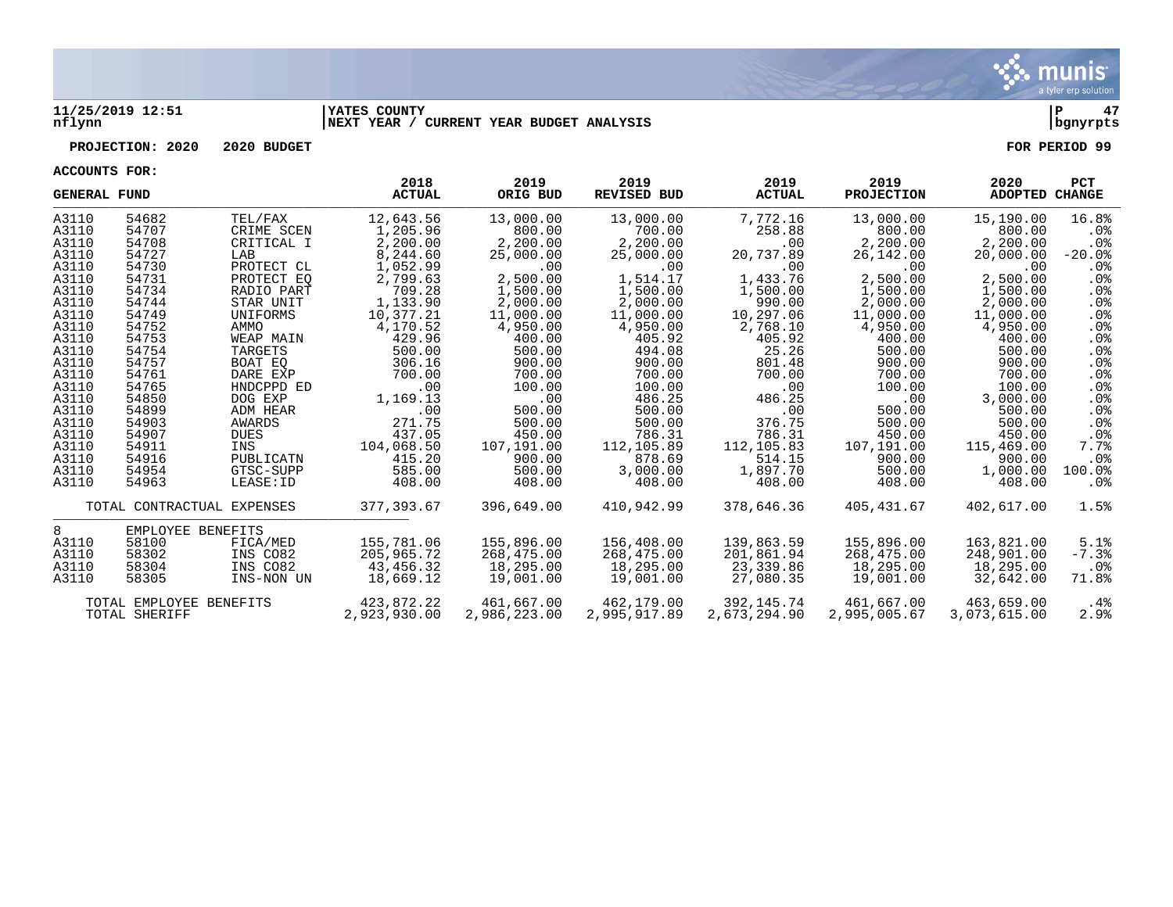

#### **11/25/2019 12:51 |YATES COUNTY |P 47 nflynn |NEXT YEAR / CURRENT YEAR BUDGET ANALYSIS |bgnyrpts**

**PROJECTION: 2020 2020 BUDGET FOR PERIOD 99**

| <b>GENERAL FUND</b> |                            |            | 2018<br><b>ACTUAL</b> | 2019<br>ORIG BUD | 2019<br><b>REVISED BUD</b> | 2019<br><b>ACTUAL</b> | 2019<br><b>PROJECTION</b> | 2020<br>ADOPTED CHANGE | <b>PCT</b>      |
|---------------------|----------------------------|------------|-----------------------|------------------|----------------------------|-----------------------|---------------------------|------------------------|-----------------|
| A3110               | 54682                      | TEL/FAX    | 12,643.56             | 13,000.00        | 13,000.00                  | 7,772.16              | 13,000.00                 | 15,190.00              | 16.8%           |
| A3110               | 54707                      | CRIME SCEN | 1,205.96              | 800.00           | 700.00                     | 258.88                | 800.00                    | 800.00                 | $.0\%$          |
| A3110               | 54708                      | CRITICAL I | 2,200.00              | 2,200.00         | 2,200.00                   | .00                   | 2,200.00                  | 2,200.00               | $.0\%$          |
| A3110               | 54727                      | LAB        | 8,244.60              | 25,000.00        | 25,000.00                  | 20,737.89             | 26,142.00                 | 20,000.00              | $-20.0%$        |
| A3110               | 54730                      | PROTECT CL | 1,052.99              | .00              | .00                        | .00                   | $.00 \ \rm$               | .00                    | $.0\%$          |
| A3110               | 54731                      | PROTECT EO | 2,799.63              | 2,500.00         | 1,514.17                   | 1,433.76              | 2,500.00                  | 2,500.00               | $.0\%$          |
| A3110               | 54734                      | RADIO PART | 709.28                | 1,500.00         | 1,500.00                   | 1,500.00              | 1,500.00                  | 1,500.00               | $.0\%$          |
| A3110               | 54744                      | STAR UNIT  | 1,133.90              | 2,000.00         | 2,000.00                   | 990.00                | 2,000.00                  | 2,000.00               | $.0\%$          |
| A3110               | 54749                      | UNIFORMS   | 10,377.21             | 11,000.00        | 11,000.00                  | 10,297.06             | 11,000.00                 | 11,000.00              | .0%             |
| A3110               | 54752                      | AMMO       | 4,170.52              | 4,950.00         | 4,950.00                   | 2,768.10              | 4,950.00                  | 4,950.00               | $.0\%$          |
| A3110               | 54753                      | WEAP MAIN  | 429.96                | 400.00           | 405.92                     | 405.92                | 400.00                    | 400.00                 | $.0\%$          |
| A3110               | 54754                      | TARGETS    | 500.00                | 500.00           | 494.08                     | 25.26                 | 500.00                    | 500.00                 | .0%             |
| A3110               | 54757                      | BOAT EO    | 306.16                | 900.00           | 900.00                     | 801.48                | 900.00                    | 900.00                 | .0%             |
| A3110               | 54761                      | DARE EXP   | 700.00                | 700.00           | 700.00                     | 700.00                | 700.00                    | 700.00                 | .0 <sub>8</sub> |
| A3110               | 54765                      | HNDCPPD ED | .00                   | 100.00           | 100.00                     | .00                   | 100.00                    | 100.00                 | $.0\%$          |
| A3110               | 54850                      | DOG EXP    | 1,169.13              | .00              | 486.25                     | 486.25                | $.00 \ \rm$               | 3,000.00               | $.0\%$          |
| A3110               | 54899                      | ADM HEAR   | .00                   | 500.00           | 500.00                     | .00                   | 500.00                    | 500.00                 | $.0\%$          |
| A3110               | 54903                      | AWARDS     | 271.75                | 500.00           | 500.00                     | 376.75                | 500.00                    | 500.00                 | .0%             |
| A3110               | 54907                      | DUES       | 437.05                | 450.00           | 786.31                     | 786.31                | 450.00                    | 450.00                 | .0%             |
| A3110               | 54911                      | INS        | 104,068.50            | 107,191.00       | 112,105.89                 | 112,105.83            | 107,191.00                | 115,469.00             | 7.7%            |
| A3110               | 54916                      | PUBLICATN  | 415.20                | 900.00           | 878.69                     | 514.15                | 900.00                    | 900.00                 | $.0\%$          |
| A3110               | 54954                      | GTSC-SUPP  | 585.00                | 500.00           | 3,000.00                   | 1,897.70              | 500.00                    | 1,000.00               | 100.0%          |
| A3110               | 54963                      | LEASE: ID  | 408.00                | 408.00           | 408.00                     | 408.00                | 408.00                    | 408.00                 | .0%             |
|                     | TOTAL CONTRACTUAL EXPENSES |            | 377,393.67            | 396,649.00       | 410,942.99                 | 378,646.36            | 405,431.67                | 402,617.00             | 1.5%            |
| 8                   | EMPLOYEE BENEFITS          |            |                       |                  |                            |                       |                           |                        |                 |
| A3110               | 58100                      | FICA/MED   | 155,781.06            | 155,896.00       | 156,408.00                 | 139,863.59            | 155,896.00                | 163,821.00             | 5.1%            |
| A3110               | 58302                      | INS CO82   | 205,965.72            | 268,475.00       | 268,475.00                 | 201,861.94            | 268,475.00                | 248,901.00             | $-7.3%$         |
| A3110               | 58304                      | INS CO82   | 43,456.32             | 18,295.00        | 18,295.00                  | 23,339.86             | 18,295.00                 | 18,295.00              | $.0\%$          |
| A3110               | 58305                      | INS-NON UN | 18,669.12             | 19,001.00        | 19,001.00                  | 27,080.35             | 19,001.00                 | 32,642.00              | 71.8%           |
|                     | TOTAL EMPLOYEE BENEFITS    |            | 423,872.22            | 461,667.00       | 462,179.00                 | 392.145.74            | 461,667.00                | 463,659.00             | $.4\%$          |
|                     | TOTAL SHERIFF              |            | 2.923.930.00          | 2,986,223,00     | 2,995,917.89               | 2,673,294.90          | 2,995,005.67              | 3,073,615.00           | 2.9%            |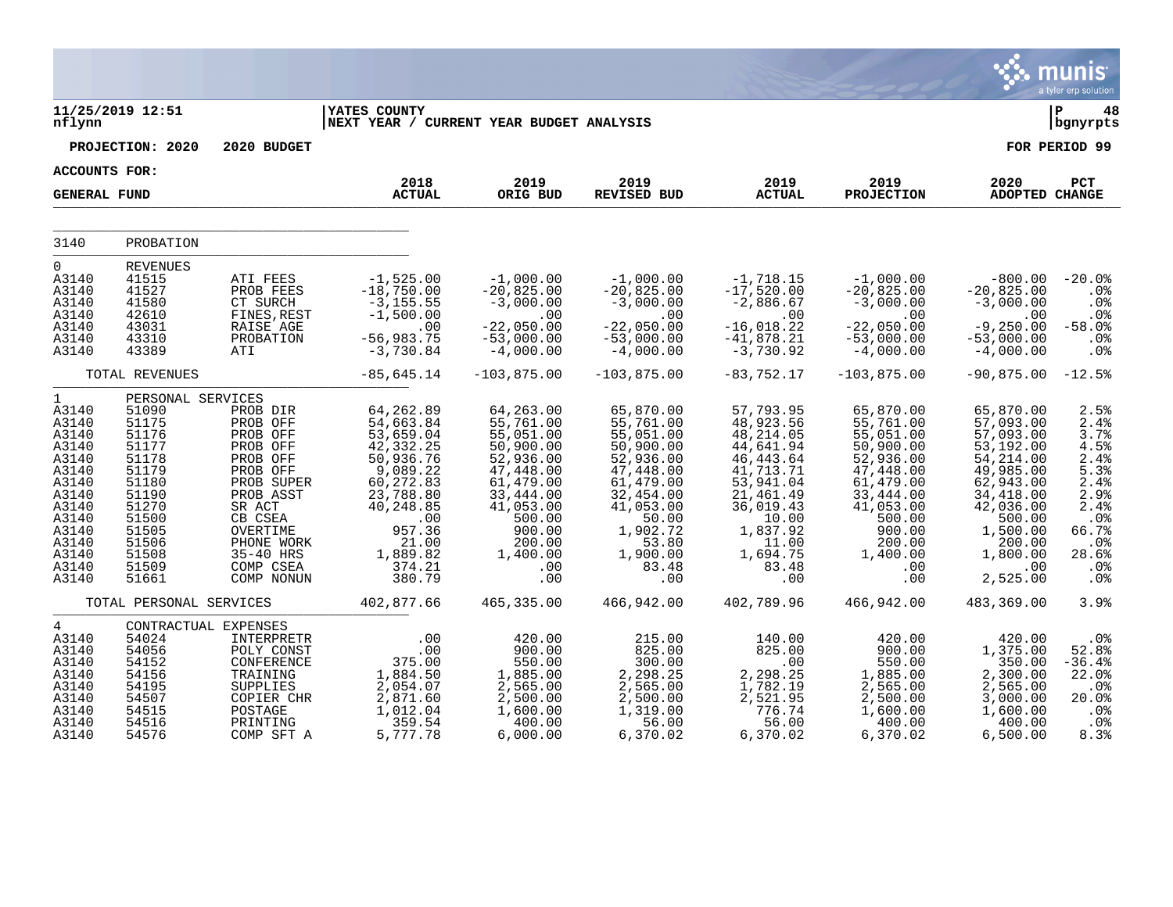|                                                                                                                                                     |                                                                                                                                                          |                                                                                                                                                                                        |                                                                                                                                                                             |                                                                                                                                                                           |                                                                                                                                                                             |                                                                                                                                                                               |                                                                                                                                                                                      |                                                                                                                                                                                   | a tyler erp solution                                                                                               |
|-----------------------------------------------------------------------------------------------------------------------------------------------------|----------------------------------------------------------------------------------------------------------------------------------------------------------|----------------------------------------------------------------------------------------------------------------------------------------------------------------------------------------|-----------------------------------------------------------------------------------------------------------------------------------------------------------------------------|---------------------------------------------------------------------------------------------------------------------------------------------------------------------------|-----------------------------------------------------------------------------------------------------------------------------------------------------------------------------|-------------------------------------------------------------------------------------------------------------------------------------------------------------------------------|--------------------------------------------------------------------------------------------------------------------------------------------------------------------------------------|-----------------------------------------------------------------------------------------------------------------------------------------------------------------------------------|--------------------------------------------------------------------------------------------------------------------|
| nflynn                                                                                                                                              | 11/25/2019 12:51                                                                                                                                         |                                                                                                                                                                                        | <b>YATES COUNTY</b><br>NEXT YEAR / CURRENT YEAR BUDGET ANALYSIS                                                                                                             |                                                                                                                                                                           |                                                                                                                                                                             |                                                                                                                                                                               |                                                                                                                                                                                      |                                                                                                                                                                                   | Þ<br>48<br>bgnyrpts                                                                                                |
|                                                                                                                                                     | PROJECTION: 2020                                                                                                                                         | 2020 BUDGET                                                                                                                                                                            |                                                                                                                                                                             |                                                                                                                                                                           |                                                                                                                                                                             |                                                                                                                                                                               |                                                                                                                                                                                      |                                                                                                                                                                                   | FOR PERIOD 99                                                                                                      |
| <b>ACCOUNTS FOR:</b>                                                                                                                                |                                                                                                                                                          |                                                                                                                                                                                        |                                                                                                                                                                             |                                                                                                                                                                           |                                                                                                                                                                             |                                                                                                                                                                               |                                                                                                                                                                                      |                                                                                                                                                                                   |                                                                                                                    |
| <b>GENERAL FUND</b>                                                                                                                                 |                                                                                                                                                          |                                                                                                                                                                                        | 2018<br><b>ACTUAL</b>                                                                                                                                                       | 2019<br>ORIG BUD                                                                                                                                                          | 2019<br><b>REVISED BUD</b>                                                                                                                                                  | 2019<br><b>ACTUAL</b>                                                                                                                                                         | 2019<br><b>PROJECTION</b>                                                                                                                                                            | 2020<br><b>ADOPTED CHANGE</b>                                                                                                                                                     | PCT                                                                                                                |
| 3140                                                                                                                                                | PROBATION                                                                                                                                                |                                                                                                                                                                                        |                                                                                                                                                                             |                                                                                                                                                                           |                                                                                                                                                                             |                                                                                                                                                                               |                                                                                                                                                                                      |                                                                                                                                                                                   |                                                                                                                    |
| $\mathbf 0$<br>A3140<br>A3140<br>A3140<br>A3140<br>A3140<br>A3140<br>A3140                                                                          | <b>REVENUES</b><br>41515<br>41527<br>41580<br>42610<br>43031<br>43310<br>43389                                                                           | ATI FEES<br>PROB FEES<br>CT SURCH<br>FINES, REST<br>RAISE AGE<br>PROBATION<br>ATI                                                                                                      | $-1,525.00$<br>$-18,750.00$<br>$-3, 155.55$<br>$-1,500.00$<br>.00<br>$-56,983.75$<br>$-3,730.84$                                                                            | $-1,000.00$<br>$-20,825.00$<br>$-3,000.00$<br>.00<br>$-22,050.00$<br>$-53,000.00$<br>$-4,000.00$                                                                          | $-1,000.00$<br>$-20,825.00$<br>$-3,000.00$<br>.00<br>$-22,050.00$<br>$-53,000.00$<br>$-4,000.00$                                                                            | $-1,718.15$<br>$-17,520.00$<br>$-2,886.67$<br>.00<br>$-16,018.22$<br>$-41,878.21$<br>$-3,730.92$                                                                              | $-1,000.00$<br>$-20,825.00$<br>$-3,000.00$<br>.00<br>$-22,050.00$<br>$-53,000.00$<br>$-4,000.00$                                                                                     | $-800.00$<br>$-20,825.00$<br>$-3,000.00$<br>.00<br>$-9, 250.00$<br>$-53,000.00$<br>$-4,000.00$                                                                                    | $-20.0%$<br>.0%<br>$.0\%$<br>.0 <sub>8</sub><br>$-58.0%$<br>.0%<br>.0%                                             |
|                                                                                                                                                     | TOTAL REVENUES                                                                                                                                           |                                                                                                                                                                                        | $-85,645.14$                                                                                                                                                                | $-103,875.00$                                                                                                                                                             | $-103,875.00$                                                                                                                                                               | $-83, 752.17$                                                                                                                                                                 | $-103,875.00$                                                                                                                                                                        | $-90,875.00$                                                                                                                                                                      | $-12.5%$                                                                                                           |
| $\mathbf{1}$<br>A3140<br>A3140<br>A3140<br>A3140<br>A3140<br>A3140<br>A3140<br>A3140<br>A3140<br>A3140<br>A3140<br>A3140<br>A3140<br>A3140<br>A3140 | PERSONAL SERVICES<br>51090<br>51175<br>51176<br>51177<br>51178<br>51179<br>51180<br>51190<br>51270<br>51500<br>51505<br>51506<br>51508<br>51509<br>51661 | PROB DIR<br>PROB OFF<br>PROB OFF<br>PROB OFF<br>PROB OFF<br>PROB OFF<br>PROB SUPER<br>PROB ASST<br>SR ACT<br>CB CSEA<br>OVERTIME<br>PHONE WORK<br>35-40 HRS<br>COMP CSEA<br>COMP NONUN | 64,262.89<br>54,663.84<br>53,659.04<br>42, 332.25<br>50,936.76<br>9,089.22<br>60,272.83<br>23,788.80<br>40,248.85<br>.00<br>957.36<br>21.00<br>1,889.82<br>374.21<br>380.79 | 64,263.00<br>55,761.00<br>55,051.00<br>50,900.00<br>52,936.00<br>47,448.00<br>61,479.00<br>33,444.00<br>41,053.00<br>500.00<br>900.00<br>200.00<br>1,400.00<br>.00<br>.00 | 65,870.00<br>55,761.00<br>55,051.00<br>50,900.00<br>52,936.00<br>47,448.00<br>61,479.00<br>32,454.00<br>41,053.00<br>50.00<br>1,902.72<br>53.80<br>1,900.00<br>83.48<br>.00 | 57,793.95<br>48,923.56<br>48, 214.05<br>44,641.94<br>46, 443.64<br>41,713.71<br>53,941.04<br>21,461.49<br>36,019.43<br>10.00<br>1,837.92<br>11.00<br>1,694.75<br>83.48<br>.00 | 65,870.00<br>55,761.00<br>55,051.00<br>50,900.00<br>52,936.00<br>47,448.00<br>61,479.00<br>33, 444.00<br>41,053.00<br>500.00<br>900.00<br>200.00<br>1,400.00<br>$.00 \,$<br>$.00 \,$ | 65,870.00<br>57,093.00<br>57,093.00<br>53,192.00<br>54, 214.00<br>49,985.00<br>62,943.00<br>34,418.00<br>42,036.00<br>500.00<br>1,500.00<br>200.00<br>1,800.00<br>.00<br>2,525.00 | 2.5%<br>2.4%<br>3.7%<br>4.5%<br>2.4%<br>5.3%<br>2.4%<br>2.9%<br>2.4%<br>.0%<br>66.7%<br>.0%<br>28.6%<br>.0%<br>.0% |
|                                                                                                                                                     | TOTAL PERSONAL SERVICES                                                                                                                                  |                                                                                                                                                                                        | 402,877.66                                                                                                                                                                  | 465,335.00                                                                                                                                                                | 466,942.00                                                                                                                                                                  | 402,789.96                                                                                                                                                                    | 466,942.00                                                                                                                                                                           | 483,369.00                                                                                                                                                                        | 3.9%                                                                                                               |
| $\overline{4}$<br>A3140<br>A3140<br>A3140<br>A3140<br>A3140<br>A3140<br>A3140<br>A3140<br>A3140                                                     | CONTRACTUAL EXPENSES<br>54024<br>54056<br>54152<br>54156<br>54195<br>54507<br>54515<br>54516<br>54576                                                    | INTERPRETR<br>POLY CONST<br>CONFERENCE<br>TRAINING<br>SUPPLIES<br>COPIER CHR<br>POSTAGE<br>PRINTING<br>COMP SFT A                                                                      | .00<br>.00<br>375.00<br>1,884.50<br>2,054.07<br>2,871.60<br>1,012.04<br>359.54<br>5,777.78                                                                                  | 420.00<br>900.00<br>550.00<br>1,885.00<br>2,565.00<br>2,500.00<br>1,600.00<br>400.00<br>6,000.00                                                                          | 215.00<br>825.00<br>300.00<br>2,298.25<br>2,565.00<br>2,500.00<br>1,319.00<br>56.00<br>6,370.02                                                                             | 140.00<br>825.00<br>.00<br>2,298.25<br>$1,782.19$<br>2,521.95<br>776.74<br>56.00<br>6,370.02                                                                                  | 420.00<br>900.00<br>550.00<br>1,885.00<br>2,565.00<br>2,500.00<br>1,600.00<br>400.00<br>6,370.02                                                                                     | 420.00<br>1,375.00<br>350.00<br>2,300.00<br>2,565.00<br>3,000.00<br>1,600.00<br>400.00<br>6,500.00                                                                                | .0%<br>52.8%<br>$-36.4%$<br>22.0%<br>.0 <sub>8</sub><br>20.0%<br>.0 <sub>8</sub><br>.0%<br>8.3%                    |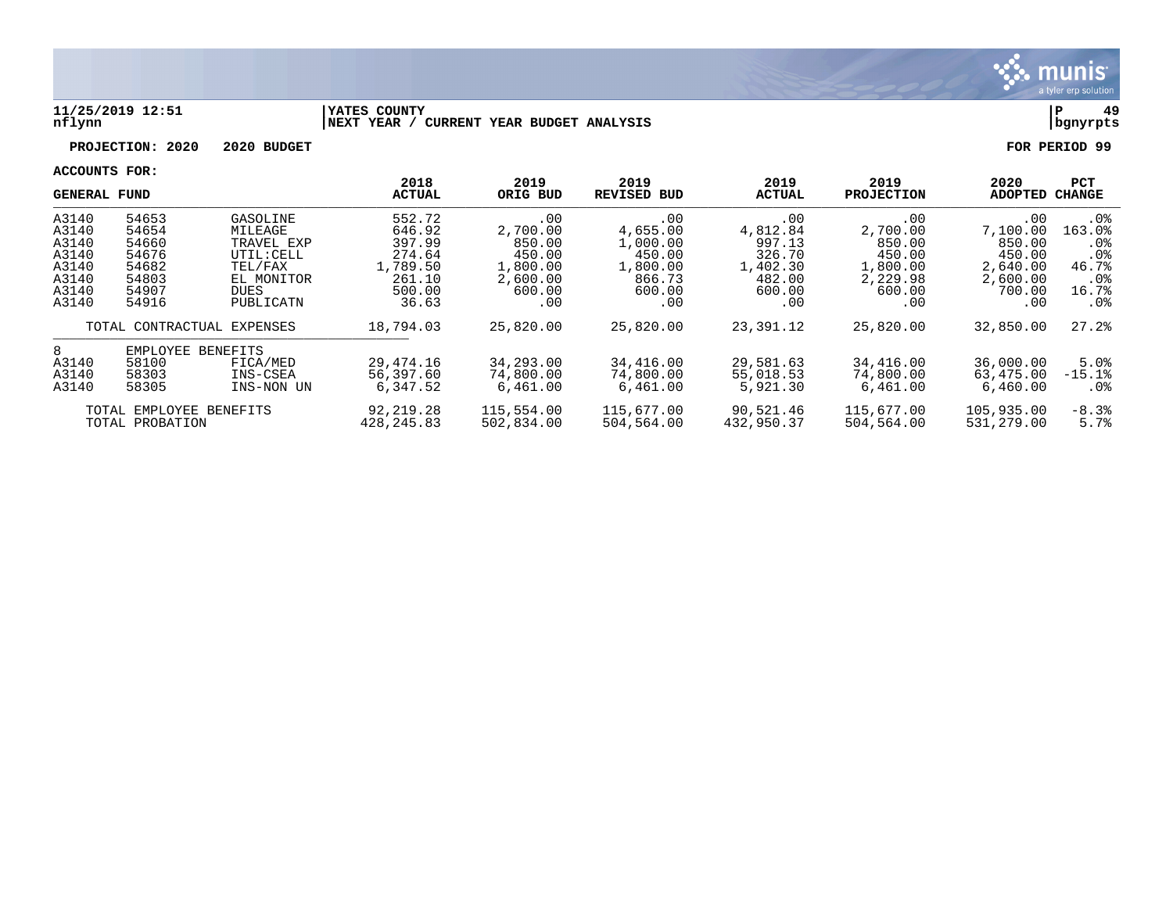

#### **11/25/2019 12:51 |YATES COUNTY |P 49 nflynn |NEXT YEAR / CURRENT YEAR BUDGET ANALYSIS |bgnyrpts**

**PROJECTION: 2020 2020 BUDGET FOR PERIOD 99**

|       | GENERAL FUND            |                            | 2018<br><b>ACTUAL</b> | 2019<br>ORIG BUD | 2019<br><b>REVISED BUD</b> | 2019<br><b>ACTUAL</b> | 2019<br><b>PROJECTION</b> | 2020<br>ADOPTED | PCT<br>CHANGE   |
|-------|-------------------------|----------------------------|-----------------------|------------------|----------------------------|-----------------------|---------------------------|-----------------|-----------------|
| A3140 | 54653                   | GASOLINE                   | 552.72                | .00              | .00                        | .00                   | .00                       | .00             | $.0\%$          |
| A3140 | 54654                   | MILEAGE                    | 646.92                | 2,700.00         | 4,655.00                   | 4,812.84              | 2,700.00                  | 7,100.00        | 163.0%          |
| A3140 | 54660                   | TRAVEL EXP                 | 397.99                | 850.00           | 1,000.00                   | 997.13                | 850.00                    | 850.00          | .0%             |
| A3140 | 54676                   | UTIL: CELL                 | 274.64                | 450.00           | 450.00                     | 326.70                | 450.00                    | 450.00          | .0 <sup>8</sup> |
| A3140 | 54682                   | TEL/FAX                    | 1,789.50              | 1,800.00         | 1,800.00                   | 1,402.30              | 1,800.00                  | 2,640.00        | 46.7%           |
| A3140 | 54803                   | EL MONITOR                 | 261.10                | 2,600.00         | 866.73                     | 482.00                | 2,229.98                  | 2,600.00        | .0 <sub>8</sub> |
| A3140 | 54907                   | <b>DUES</b>                | 500.00                | 600.00           | 600.00                     | 600.00                | 600.00                    | 700.00          | 16.7%           |
| A3140 | 54916                   | PUBLICATN                  | 36.63                 | .00              | .00                        | .00                   | .00                       | .00             | $.0\%$          |
|       |                         | TOTAL CONTRACTUAL EXPENSES | 18,794.03             | 25,820.00        | 25,820.00                  | 23,391.12             | 25,820.00                 | 32,850.00       | 27.2%           |
| 8     | EMPLOYEE BENEFITS       |                            |                       |                  |                            |                       |                           |                 |                 |
| A3140 | 58100                   | FICA/MED                   | 29,474.16             | 34,293.00        | 34,416.00                  | 29,581.63             | 34,416.00                 | 36,000.00       | 5.0%            |
| A3140 | 58303                   | INS-CSEA                   | 56,397.60             | 74,800.00        | 74,800.00                  | 55,018.53             | 74,800.00                 | 63,475.00       | $-15.1%$        |
| A3140 | 58305                   | INS-NON UN                 | 6,347.52              | 6,461.00         | 6,461.00                   | 5,921.30              | 6,461.00                  | 6,460.00        | . 0%            |
|       | TOTAL EMPLOYEE BENEFITS |                            | 92,219.28             | 115,554.00       | 115,677.00                 | 90,521.46             | 115,677.00                | 105,935.00      | $-8.3%$         |
|       | TOTAL PROBATION         |                            | 428, 245.83           | 502,834.00       | 504,564.00                 | 432,950.37            | 504,564.00                | 531,279.00      | 5.7%            |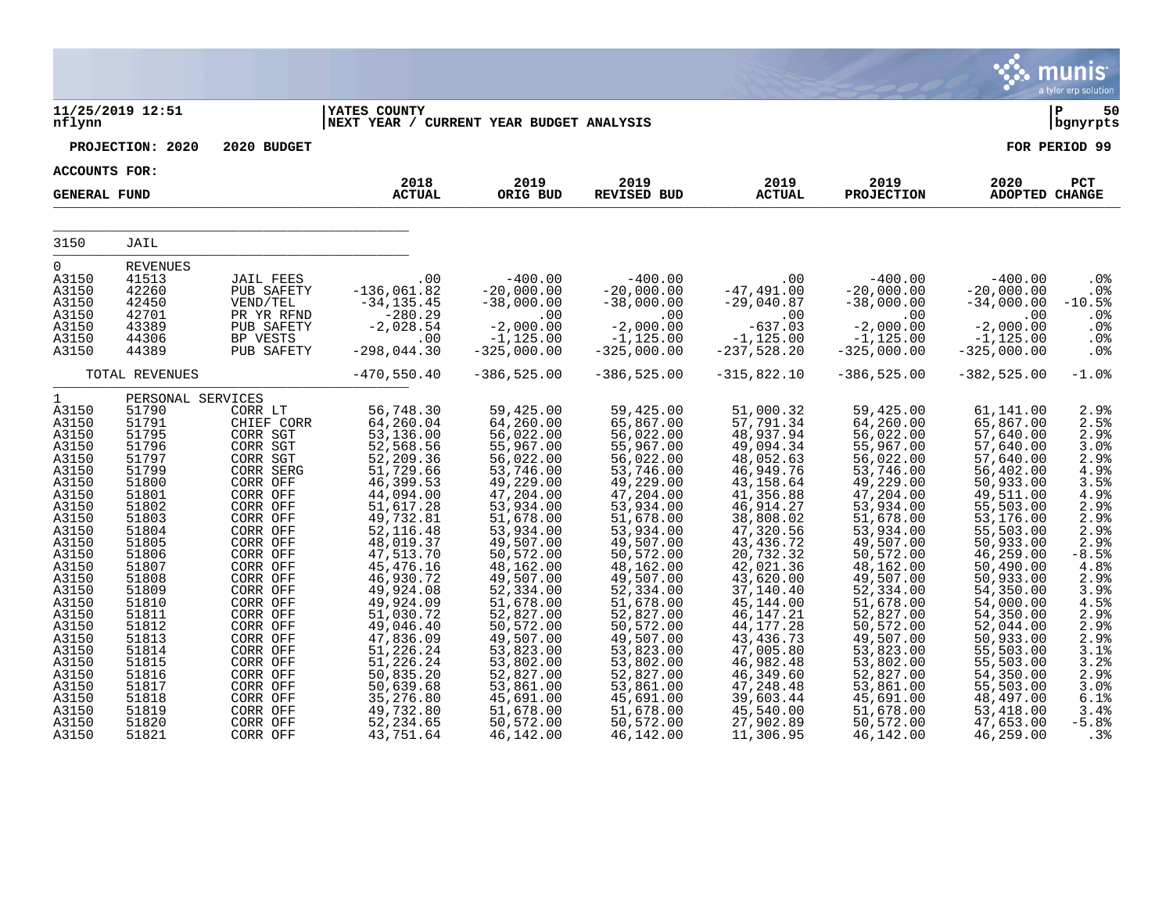|                                                                                                                                                                                                         |                                                                                                                                                                                                                         |                                                                                                                                                                                                                                                                        |                                                                                                                                                                                                                                                                                              |                                                                                                                                                                                                                                                                                            |                                                                                                                                                                                                                                                                                            |                                                                                                                                                                                                                                                                                                |                                                                                                                                                                                                                                                                                               |                                                                                                                                                                                                                                                                                            | munis<br>a tyler erp solution                                                                                                                                                           |
|---------------------------------------------------------------------------------------------------------------------------------------------------------------------------------------------------------|-------------------------------------------------------------------------------------------------------------------------------------------------------------------------------------------------------------------------|------------------------------------------------------------------------------------------------------------------------------------------------------------------------------------------------------------------------------------------------------------------------|----------------------------------------------------------------------------------------------------------------------------------------------------------------------------------------------------------------------------------------------------------------------------------------------|--------------------------------------------------------------------------------------------------------------------------------------------------------------------------------------------------------------------------------------------------------------------------------------------|--------------------------------------------------------------------------------------------------------------------------------------------------------------------------------------------------------------------------------------------------------------------------------------------|------------------------------------------------------------------------------------------------------------------------------------------------------------------------------------------------------------------------------------------------------------------------------------------------|-----------------------------------------------------------------------------------------------------------------------------------------------------------------------------------------------------------------------------------------------------------------------------------------------|--------------------------------------------------------------------------------------------------------------------------------------------------------------------------------------------------------------------------------------------------------------------------------------------|-----------------------------------------------------------------------------------------------------------------------------------------------------------------------------------------|
| nflynn                                                                                                                                                                                                  | 11/25/2019 12:51                                                                                                                                                                                                        |                                                                                                                                                                                                                                                                        | <b>IYATES COUNTY</b><br>NEXT YEAR / CURRENT YEAR BUDGET ANALYSIS                                                                                                                                                                                                                             |                                                                                                                                                                                                                                                                                            |                                                                                                                                                                                                                                                                                            |                                                                                                                                                                                                                                                                                                |                                                                                                                                                                                                                                                                                               |                                                                                                                                                                                                                                                                                            | ∣P<br>50<br>  bgnyrpts                                                                                                                                                                  |
|                                                                                                                                                                                                         | PROJECTION: 2020                                                                                                                                                                                                        | 2020 BUDGET                                                                                                                                                                                                                                                            |                                                                                                                                                                                                                                                                                              |                                                                                                                                                                                                                                                                                            |                                                                                                                                                                                                                                                                                            |                                                                                                                                                                                                                                                                                                |                                                                                                                                                                                                                                                                                               |                                                                                                                                                                                                                                                                                            | FOR PERIOD 99                                                                                                                                                                           |
| ACCOUNTS FOR:                                                                                                                                                                                           |                                                                                                                                                                                                                         |                                                                                                                                                                                                                                                                        |                                                                                                                                                                                                                                                                                              |                                                                                                                                                                                                                                                                                            |                                                                                                                                                                                                                                                                                            |                                                                                                                                                                                                                                                                                                |                                                                                                                                                                                                                                                                                               |                                                                                                                                                                                                                                                                                            |                                                                                                                                                                                         |
| <b>GENERAL FUND</b>                                                                                                                                                                                     |                                                                                                                                                                                                                         |                                                                                                                                                                                                                                                                        | 2018<br><b>ACTUAL</b>                                                                                                                                                                                                                                                                        | 2019<br>ORIG BUD                                                                                                                                                                                                                                                                           | 2019<br>REVISED BUD                                                                                                                                                                                                                                                                        | 2019<br><b>ACTUAL</b>                                                                                                                                                                                                                                                                          | 2019<br><b>PROJECTION</b>                                                                                                                                                                                                                                                                     | 2020<br><b>ADOPTED CHANGE</b>                                                                                                                                                                                                                                                              | PCT                                                                                                                                                                                     |
| 3150                                                                                                                                                                                                    | JAIL                                                                                                                                                                                                                    |                                                                                                                                                                                                                                                                        |                                                                                                                                                                                                                                                                                              |                                                                                                                                                                                                                                                                                            |                                                                                                                                                                                                                                                                                            |                                                                                                                                                                                                                                                                                                |                                                                                                                                                                                                                                                                                               |                                                                                                                                                                                                                                                                                            |                                                                                                                                                                                         |
| $\overline{0}$<br>A3150<br>A3150<br>A3150<br>A3150<br>A3150<br>A3150<br>A3150                                                                                                                           | <b>REVENUES</b><br>41513<br>42260<br>42450<br>42701<br>43389<br>44306<br>44389                                                                                                                                          | JAIL FEES<br>PUB SAFETY<br>VEND/TEL<br>PR YR RFND<br>PUB SAFETY<br>BP VESTS<br>PUB SAFETY                                                                                                                                                                              | .00<br>$-136,061.82$<br>$-34, 135.45$<br>$-280.29$<br>$-2,028.54$<br>.00<br>$-298,044.30$                                                                                                                                                                                                    | $-400.00$<br>$-20,000.00$<br>$-38,000.00$<br>.00<br>$-2,000.00$<br>$-1, 125.00$<br>$-325,000.00$                                                                                                                                                                                           | $-400.00$<br>$-20,000.00$<br>$-38,000.00$<br>.00<br>$-2,000.00$<br>$-1, 125.00$<br>$-325,000.00$                                                                                                                                                                                           | .00<br>$-47,491.00$<br>$-29,040.87$<br>.00<br>$-637.03$<br>$-1,125.00$<br>-237,528.20                                                                                                                                                                                                          | $-400.00$<br>$-20,000.00$<br>$-38,000.00$<br>.00<br>$-2,000.00$<br>$-1, 125.00$<br>$-325,000.00$                                                                                                                                                                                              | $-400.00$<br>$-20,000.00$<br>$-34,000.00$<br>.00<br>$-2,000.00$<br>$-1, 125.00$<br>$-325,000.00$                                                                                                                                                                                           | .0%<br>.0%<br>$-10.5%$<br>.0%<br>.0%<br>.0%<br>.0%                                                                                                                                      |
|                                                                                                                                                                                                         | TOTAL REVENUES                                                                                                                                                                                                          |                                                                                                                                                                                                                                                                        | $-470,550.40$                                                                                                                                                                                                                                                                                | $-386, 525.00$                                                                                                                                                                                                                                                                             | $-386, 525.00$                                                                                                                                                                                                                                                                             | $-315,822.10$                                                                                                                                                                                                                                                                                  | $-386, 525.00$                                                                                                                                                                                                                                                                                | $-382, 525.00$                                                                                                                                                                                                                                                                             | $-1.0$ %                                                                                                                                                                                |
| 1<br>A3150<br>A3150<br>A3150<br>A3150<br>A3150<br>A3150<br>A3150<br>A3150<br>A3150<br>A3150<br>A3150<br>A3150<br>A3150<br>A3150<br>A3150<br>A3150<br>A3150<br>A3150<br>A3150<br>A3150<br>A3150<br>A3150 | PERSONAL SERVICES<br>51790<br>51791<br>51795<br>51796<br>51797<br>51799<br>51800<br>51801<br>51802<br>51803<br>51804<br>51805<br>51806<br>51807<br>51808<br>51809<br>51810<br>51811<br>51812<br>51813<br>51814<br>51815 | CORR LT<br>CHIEF CORR<br>CORR SGT<br>CORR SGT<br>CORR SGT<br>CORR SERG<br>CORR OFF<br>CORR OFF<br>CORR OFF<br>CORR OFF<br>CORR OFF<br>CORR OFF<br>CORR OFF<br>CORR OFF<br>CORR OFF<br>CORR OFF<br>CORR OFF<br>CORR OFF<br>CORR OFF<br>CORR OFF<br>CORR OFF<br>CORR OFF | 56,748.30<br>64,260.04<br>53,136.00<br>52,568.56<br>52, 209.36<br>51,729.66<br>46,399.53<br>44,094.00<br>51,617.28<br>49,732.81<br>52,116.48<br>48,019.37<br>47,513.70<br>45, 476.16<br>46,930.72<br>49,924.08<br>49,924.09<br>51,030.72<br>49,046.40<br>47,836.09<br>51,226.24<br>51,226.24 | 59,425.00<br>64,260.00<br>56,022.00<br>55,967.00<br>56,022.00<br>53,746.00<br>49,229.00<br>47,204.00<br>53,934.00<br>51,678.00<br>53,934.00<br>49,507.00<br>50,572.00<br>48,162.00<br>49,507.00<br>52,334.00<br>51,678.00<br>52,827.00<br>50,572.00<br>49,507.00<br>53,823.00<br>53,802.00 | 59,425.00<br>65,867.00<br>56,022.00<br>55,967.00<br>56,022.00<br>53,746.00<br>49,229.00<br>47,204.00<br>53,934.00<br>51,678.00<br>53,934.00<br>49,507.00<br>50,572.00<br>48,162.00<br>49,507.00<br>52,334.00<br>51,678.00<br>52,827.00<br>50,572.00<br>49,507.00<br>53,823.00<br>53,802.00 | 51,000.32<br>57,791.34<br>48,937.94<br>49,094.34<br>48,052.63<br>46,949.76<br>43,158.64<br>41,356.88<br>46,914.27<br>38,808.02<br>47,320.56<br>43, 436.72<br>20,732.32<br>42,021.36<br>43,620.00<br>37,140.40<br>45,144.00<br>46,147.21<br>44, 177. 28<br>43, 436.73<br>47,005.80<br>46,982.48 | 59,425.00<br>64,260.00<br>56,022.00<br>55,967.00<br>56,022.00<br>53,746.00<br>49,229.00<br>47,204.00<br>53,934.00<br>51,678.00<br>53,934.00<br>49,507.00<br>50,572.00<br>48,162.00<br>$49,507.00$<br>52,334.00<br>51,678.00<br>52,827.00<br>50, 572.00<br>49,507.00<br>53,823.00<br>53,802.00 | 61,141.00<br>65,867.00<br>57,640.00<br>57,640.00<br>57,640.00<br>56,402.00<br>50,933.00<br>49,511.00<br>55,503.00<br>53,176.00<br>55,503.00<br>50,933.00<br>46,259.00<br>50,490.00<br>50,933.00<br>54,350.00<br>54,000.00<br>54,350.00<br>52,044.00<br>50,933.00<br>55,503.00<br>55,503.00 | 2.9%<br>2.5%<br>2.9%<br>3.0%<br>2.9%<br>4.9%<br>3.5%<br>$4.9%$<br>$2.9%$<br>2.9%<br>2.9%<br>2.9%<br>$-8.5%$<br>4.8%<br>2.9%<br>3.9%<br>4.5%<br>$2.9%$<br>$2.9%$<br>2.9%<br>3.1%<br>3.2% |
| A3150<br>A3150<br>A3150<br>A3150<br>A3150<br>A3150                                                                                                                                                      | 51816<br>51817<br>51818<br>51819<br>51820<br>51821                                                                                                                                                                      | CORR OFF<br>CORR OFF<br>CORR OFF<br>CORR OFF<br>CORR OFF<br>CORR OFF                                                                                                                                                                                                   | 50,835.20<br>50,639.68<br>35,276.80<br>49,732.80<br>52, 234.65<br>43,751.64                                                                                                                                                                                                                  | 52,827.00<br>53,861.00<br>45,691.00<br>51,678.00<br>50,572.00<br>46,142.00                                                                                                                                                                                                                 | 52,827.00<br>53,861.00<br>45,691.00<br>51,678.00<br>50,572.00<br>46,142.00                                                                                                                                                                                                                 | 46,349.60<br>47,248.48<br>39,603.44<br>45,540.00<br>27,902.89<br>11,306.95                                                                                                                                                                                                                     | 52,827.00<br>53,861.00<br>45,691.00<br>51,678.00<br>50,572.00<br>46,142.00                                                                                                                                                                                                                    | 54,350.00<br>55,503.00<br>48,497.00<br>53,418.00<br>47,653.00<br>46,259.00                                                                                                                                                                                                                 | $2.9%$<br>$3.0%$<br>6.1%<br>3.4%<br>$-5.8%$<br>.3%                                                                                                                                      |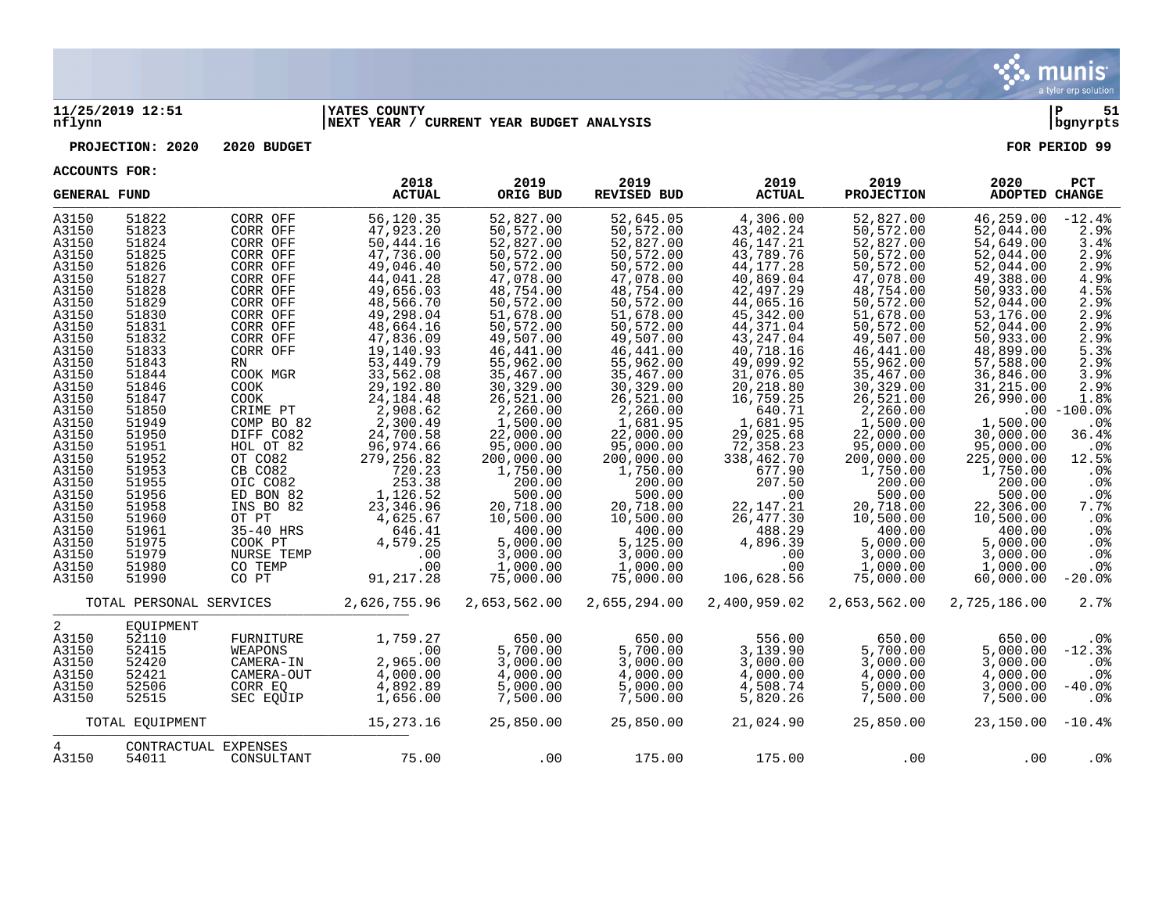

#### **11/25/2019 12:51 |YATES COUNTY |P 51 nflynn |NEXT YEAR / CURRENT YEAR BUDGET ANALYSIS |bgnyrpts**

**PROJECTION: 2020 2020 BUDGET FOR PERIOD 99**

| <b>GENERAL FUND</b> |                         |                      | 2018<br><b>ACTUAL</b> | 2019<br>ORIG BUD | 2019<br>REVISED BUD | 2019<br><b>ACTUAL</b> | 2019<br><b>PROJECTION</b> | 2020<br><b>ADOPTED CHANGE</b> | PCT             |
|---------------------|-------------------------|----------------------|-----------------------|------------------|---------------------|-----------------------|---------------------------|-------------------------------|-----------------|
| A3150               | 51822                   | CORR OFF             | 56,120.35             | 52,827.00        | 52,645.05           | 4,306.00              | 52,827.00                 | 46,259.00                     | $-12.4%$        |
| A3150               | 51823                   | CORR OFF             | 47,923.20             | 50, 572.00       | 50,572.00           | 43,402.24             | 50,572.00                 | 52,044.00                     | 2.9%            |
| A3150               | 51824                   | CORR OFF             | 50,444.16             | 52,827.00        | 52,827.00           | 46, 147. 21           | 52,827.00                 | 54,649.00                     | 3.4%            |
| A3150               | 51825                   | CORR OFF             | 47,736.00             | 50,572.00        | 50,572.00           | 43,789.76             | 50,572.00                 | 52,044.00                     | 2.9%            |
| A3150               | 51826                   | CORR OFF             | 49,046.40             | 50,572.00        | 50,572.00           | 44, 177. 28           | 50,572.00                 | 52,044.00                     | 2.9%            |
| A3150               | 51827                   | CORR OFF             | 44,041.28             | 47,078.00        | 47,078.00           | 40,869.04             | 47,078.00                 | 49,388.00                     | 4.9%            |
| A3150               | 51828                   | CORR OFF             | 49,656.03             | 48,754.00        | 48,754.00           | 42,497.29             | 48,754.00                 | 50,933.00                     | 4.5%            |
| A3150               | 51829                   | CORR OFF             | 48,566.70             | 50,572.00        | 50,572.00           | 44,065.16             | 50,572.00                 | 52,044.00                     | 2.9%            |
| A3150               | 51830                   | CORR OFF             | 49,298.04             | 51,678.00        | 51,678.00           | 45, 342.00            | 51,678.00                 | 53,176.00                     | 2.9%            |
| A3150               | 51831                   | CORR OFF             | 48,664.16             | 50,572.00        | 50,572.00           | 44,371.04             | 50,572.00                 | 52,044.00                     | 2.9%            |
| A3150               | 51832                   | CORR OFF             | 47,836.09             | 49,507.00        | 49,507.00           | 43, 247.04            | 49,507.00                 | 50,933.00                     | 2.9%            |
| A3150               | 51833                   | CORR OFF             | 19,140.93             | 46,441.00        | 46,441.00           | 40,718.16             | 46, 441.00                | 48,899.00                     | 5.3%            |
| A3150               | 51843                   | RN                   | 53, 449. 79           | 55,962.00        | 55,962.00           | 49,099.92             | 55,962.00                 | 57,588.00                     | 2.9%            |
| A3150               | 51844                   | COOK MGR             | 33,562.08             | 35,467.00        | 35,467.00           | 31,076.05             | 35,467.00                 | 36,846.00                     | 3.9%            |
| A3150               | 51846                   | <b>COOK</b>          | 29,192.80             | 30,329.00        | 30,329.00           | 20,218.80             | 30,329.00                 | 31,215.00                     | 2.9%            |
| A3150               | 51847                   | <b>COOK</b>          | 24, 184. 48           | 26,521.00        | 26,521.00           | 16,759.25             | 26,521.00                 | 26,990.00                     | 1.8%            |
| A3150               | 51850                   | CRIME PT             | 2,908.62              | 2,260.00         | 2,260.00            | 640.71                | 2,260.00                  |                               | $.00 - 100.0$   |
| A3150               | 51949                   | COMP BO 82           | 2,300.49              | 1,500.00         | 1,681.95            | 1,681.95              | 1,500.00                  | 1,500.00                      | .0%             |
| A3150               | 51950                   | DIFF CO82            | 24,700.58             | 22,000.00        | 22,000.00           | 29,025.68             | 22,000.00                 | 30,000.00                     | 36.4%           |
| A3150               | 51951                   | HOL OT 82            | 96,974.66             | 95,000.00        | 95,000.00           | 72,358.23             | 95,000.00                 | 95,000.00                     | .0%             |
| A3150               | 51952                   | OT CO82              | 279, 256.82           | 200,000.00       | 200,000.00          | 338,462.70            | 200,000.00                | 225,000.00                    | 12.5%           |
| A3150               | 51953                   | CB CO82              | 720.23                | 1,750.00         | 1,750.00            | 677.90                | 1,750.00                  | 1,750.00                      | .0%             |
| A3150               | 51955                   | OIC CO82             | 253.38                | 200.00           | 200.00              | 207.50                | 200.00                    | 200.00                        | .0%             |
| A3150               | 51956                   | ED BON 82            | 1,126.52              | 500.00           | 500.00              | .00                   | 500.00                    | 500.00                        | $.0\%$          |
| A3150               | 51958                   | INS BO 82            | 23,346.96             | 20,718.00        | 20,718.00           | 22, 147. 21           | 20,718.00                 | 22,306.00                     | 7.7%            |
| A3150               | 51960                   | OT PT                | 4,625.67              | 10,500.00        | 10,500.00           | 26,477.30             | 10,500.00                 | 10,500.00                     | .0%             |
| A3150               | 51961                   | 35-40 HRS            | 646.41                | 400.00           | 400.00              | 488.29                | 400.00                    | 400.00                        | .0%             |
| A3150               | 51975                   | COOK PT              | 4,579.25              | 5,000.00         | 5,125.00            | 4,896.39              | 5,000.00                  | 5,000.00                      | .0%             |
| A3150               | 51979                   | NURSE TEMP           | .00                   | 3,000.00         | 3,000.00            | .00                   | 3,000.00                  | 3,000.00                      | .0%             |
| A3150               | 51980                   | CO TEMP              | .00                   | 1,000.00         | 1,000.00            | .00                   | 1,000.00                  | 1,000.00                      | $.0\%$          |
| A3150               | 51990                   | CO PT                | 91, 217.28            | 75,000.00        | 75,000.00           | 106,628.56            | 75,000.00                 | 60,000.00                     | $-20.0%$        |
|                     | TOTAL PERSONAL SERVICES |                      | 2,626,755.96          | 2,653,562.00     | 2,655,294.00        | 2,400,959.02          | 2,653,562.00              | 2,725,186.00                  | 2.7%            |
| 2                   | EOUIPMENT               |                      |                       |                  |                     |                       |                           |                               |                 |
| A3150               | 52110                   | FURNITURE            | 1,759.27              | 650.00           | 650.00              | 556.00                | 650.00                    | 650.00                        | .0 <sub>8</sub> |
| A3150               | 52415                   | WEAPONS              | .00                   | 5,700.00         | 5,700.00            | 3,139.90              | 5,700.00                  | 5,000.00                      | $-12.3%$        |
| A3150               | 52420                   | CAMERA-IN            | 2,965.00              | 3,000.00         | 3,000.00            | 3,000.00              | 3,000.00                  | 3,000.00                      | .0%             |
| A3150               | 52421                   | CAMERA-OUT           | 4,000.00              | 4,000.00         | 4,000.00            | 4,000.00              | 4,000.00                  | 4,000.00                      | $.0\%$          |
| A3150               | 52506                   | CORR EO              | 4,892.89              | 5,000.00         | 5,000.00            | 4,508.74              | 5,000.00                  | 3,000.00                      | $-40.0%$        |
| A3150               | 52515                   | SEC EOUIP            | 1,656.00              | 7,500.00         | 7,500.00            | 5,820.26              | 7,500.00                  | 7,500.00                      | .0%             |
|                     | TOTAL EQUIPMENT         |                      | 15,273.16             | 25,850.00        | 25,850.00           | 21,024.90             | 25,850.00                 | $23,150.00 -10.48$            |                 |
| 4                   |                         | CONTRACTUAL EXPENSES |                       |                  |                     |                       |                           |                               |                 |
| A3150               | 54011                   | CONSULTANT           | 75.00                 | .00              | 175.00              | 175.00                | .00                       | .00                           | $.0\%$          |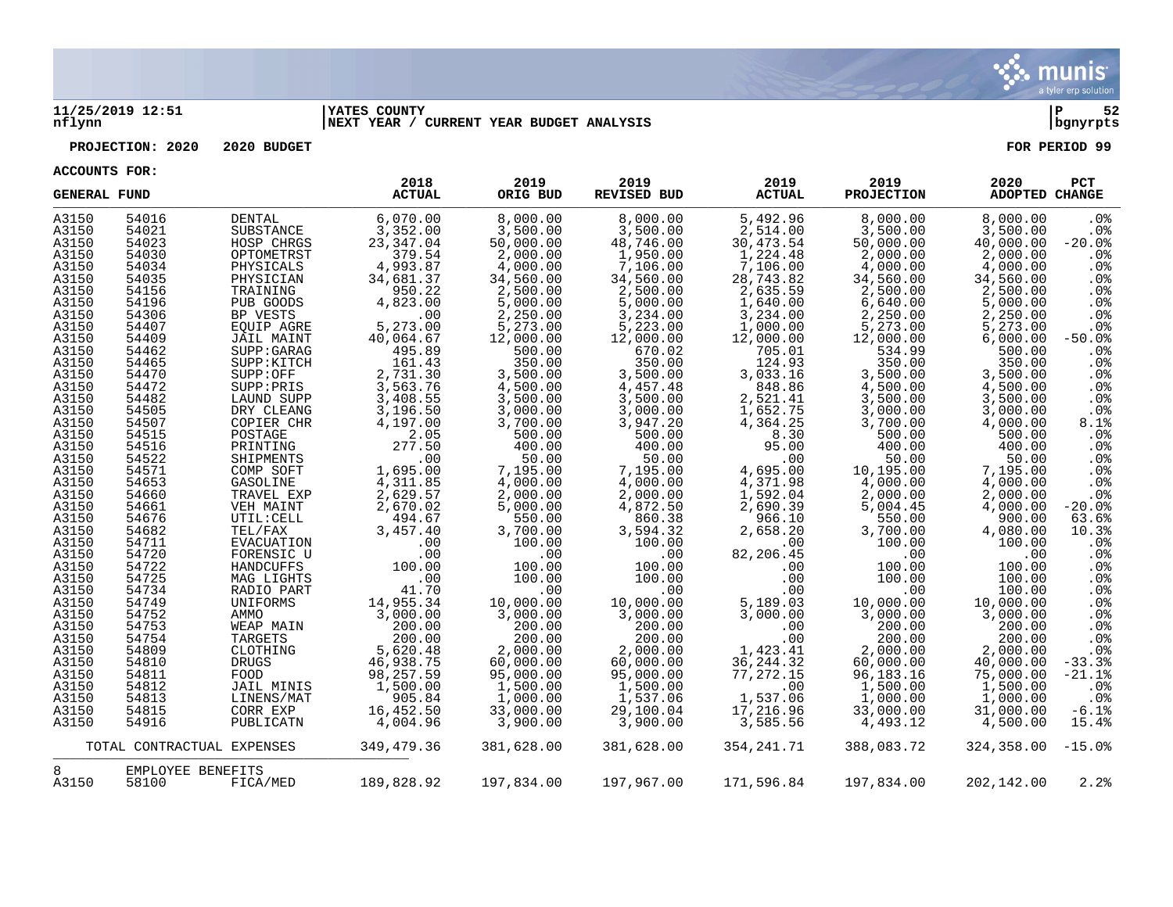

#### **11/25/2019 12:51 |YATES COUNTY |P 52 nflynn |NEXT YEAR / CURRENT YEAR BUDGET ANALYSIS |bgnyrpts**

# **PROJECTION: 2020 2020 BUDGET FOR PERIOD 99**

| <b>GENERAL FUND</b> |                   |                            | 2018<br><b>ACTUAL</b> | 2019<br>ORIG BUD | 2019<br><b>REVISED BUD</b> | 2019<br><b>ACTUAL</b>               | 2019<br><b>PROJECTION</b> | 2020<br>ADOPTED CHANGE | PCT             |
|---------------------|-------------------|----------------------------|-----------------------|------------------|----------------------------|-------------------------------------|---------------------------|------------------------|-----------------|
| A3150               | 54016             | <b>DENTAL</b>              | 6,070.00              | 8,000.00         | 8,000.00                   | 5,492.96                            | 8,000.00                  | 8,000.00               | .0%             |
| A3150               | 54021             | SUBSTANCE                  | 3,352.00              | 3,500.00         | 3,500.00                   | 2,514.00                            | 3,500.00                  | 3,500.00               | .0%             |
| A3150               | 54023             | HOSP CHRGS                 | 23, 347.04            | 50,000.00        | 48,746.00                  | 30,473.54                           | 50,000.00                 | 40,000.00              | $-20.0%$        |
| A3150               | 54030             | OPTOMETRST                 | 379.54                | 2,000.00         | 1,950.00                   | 1,224.48                            | 2,000.00                  | 2,000.00               | .0%             |
| A3150               | 54034             | PHYSICALS                  | 4,993.87              | 4,000.00         | 7,106.00                   | 7,106.00                            | 4,000.00                  | 4,000.00               | .0%             |
| A3150               | 54035             | PHYSICIAN                  | 34,681.37             | 34,560.00        | 34,560.00                  | 28,743.82                           | 34,560.00                 | 34,560.00              | .0%             |
| A3150               | 54156             | TRAINING                   | 950.22                | 2,500.00         | 2,500.00                   | 2,635.59                            | 2,500.00                  | 2,500.00               | .0%             |
| A3150               | 54196             | PUB GOODS                  | 4,823.00              | 5,000.00         | 5,000.00                   | 1,640.00                            | 6,640.00                  | 5,000.00               | .0%             |
| A3150               | 54306             | BP VESTS                   | .00                   | 2,250.00         | 3,234.00                   | 3,234.00                            | 2,250.00                  | 2,250.00               | .0%             |
| A3150               | 54407             | EQUIP AGRE                 | 5,273.00              | 5,273.00         | 5,223.00                   | 1,000.00                            | 5,273.00                  | 5,273.00               | .0%             |
| A3150               | 54409             | JAIL MAINT                 | 40,064.67             | 12,000.00        | 12,000.00                  | 12,000.00                           | 12,000.00                 | 6,000.00               | $-50.0%$        |
| A3150               | 54462             | SUPP: GARAG                | 495.89                | 500.00           | 670.02                     | 705.01                              | 534.99                    | 500.00                 | $.0\%$          |
| A3150               | 54465             | SUPP: KITCH                | 161.43                | 350.00           | 350.00                     | 124.93                              | 350.00                    | 350.00                 | .0%             |
| A3150               | 54470             | SUPP:OFF                   | 2,731.30              | 3,500.00         | 3,500.00                   | 3,033.16                            | 3,500.00                  | 3,500.00               | .0%             |
| A3150               | 54472             | SUPP:PRIS                  | 3,563.76              | 4,500.00         | 4,457.48                   | 848.86                              | 4,500.00                  | 4,500.00               | .0%             |
| A3150               | 54482             | LAUND SUPP                 | 3,408.55              | 3,500.00         | 3,500.00                   | 2,521.41                            | 3,500.00                  | 3,500.00               | .0%             |
| A3150               | 54505             | DRY CLEANG                 | 3,196.50              | 3,000.00         | 3,000.00                   | 1,652.75                            | 3,000.00                  | 3,000.00               | .0 <sub>8</sub> |
| A3150               | 54507             | COPIER CHR                 | 4,197.00              | 3,700.00         | 3,947.20                   | 4,364.25                            | 3,700.00                  | 4,000.00               | 8.1%            |
| A3150               | 54515             | POSTAGE                    | 2.05                  | 500.00           | 500.00                     | 8.30                                | 500.00                    | 500.00                 | .0%             |
| A3150               | 54516             | PRINTING                   | 277.50                | 400.00           | 400.00                     | 95.00                               | 400.00                    | 400.00                 | .0%             |
| A3150               | 54522             | SHIPMENTS                  | .00                   | 50.00            | 50.00                      | .00                                 | 50.00                     | 50.00                  | .0%             |
| A3150               | 54571             | COMP SOFT                  | 1,695.00              | 7,195.00         | 7,195.00                   | 4,695.00                            | 10,195.00                 | 7,195.00               | .0%             |
| A3150               | 54653             | GASOLINE                   | 4,311.85              | 4,000.00         | 4,000.00                   | 4, 371.98<br>1, 592.04<br>2, 690.39 | 4,000.00                  | 4,000.00               | .0%             |
| A3150               | 54660             | TRAVEL EXP                 | 2,629.57              | 2,000.00         | 2,000.00                   |                                     | 2,000.00                  | 2,000.00               | .0%             |
| A3150               | 54661             | VEH MAINT                  | 2,670.02              | 5,000.00         | 4,872.50                   |                                     | 5,004.45                  | 4,000.00               | $-20.0%$        |
| A3150               | 54676             | UTIL: CELL                 | 494.67                | 550.00           | 860.38                     | 966.10                              | 550.00                    | 900.00                 | 63.6%           |
| A3150               | 54682             | TEL/FAX                    | 3,457.40              | 3,700.00         | 3,594.32                   | 2,658.20                            | 3,700.00                  | 4,080.00               | 10.3%           |
| A3150               | 54711             | EVACUATION                 | .00                   | 100.00           | 100.00                     | .00                                 | 100.00                    | 100.00                 | .0%             |
| A3150               | 54720             | FORENSIC U                 | .00                   | .00              | .00                        | 82,206.45                           | .00                       | .00                    | .0%             |
| A3150               | 54722             | HANDCUFFS                  | 100.00                | 100.00           | 100.00                     | .00                                 | 100.00                    | 100.00                 | .0 <sub>8</sub> |
| A3150               | 54725             | MAG LIGHTS                 | .00                   | 100.00           | 100.00                     | .00                                 | 100.00                    | 100.00                 | .0%             |
| A3150               | 54734             | RADIO PART                 | 41.70                 | .00              | .00                        | .00                                 | $.00 \ \rm$               | 100.00                 | .0%             |
| A3150               | 54749             | UNIFORMS                   | 14,955.34             | 10,000.00        | 10,000.00                  | 5,189.03                            | 10,000.00                 | 10,000.00              | .0%             |
| A3150               | 54752             | AMMO                       | 3,000.00              | 3,000.00         | 3,000.00                   | 3,000.00                            | 3,000.00                  | 3,000.00               | .0%             |
| A3150               | 54753             | WEAP MAIN                  | 200.00                | 200.00           | 200.00                     | .00                                 | 200.00                    | 200.00                 | .0%             |
| A3150               | 54754             | TARGETS                    | 200.00                | 200.00           | 200.00                     | .00                                 | 200.00                    | 200.00                 | .0%             |
| A3150               | 54809             | CLOTHING                   | 5,620.48              | 2,000.00         | 2,000.00                   | 1,423.41                            | 2,000.00                  | 2,000.00               | .0%             |
| A3150               | 54810             | <b>DRUGS</b>               | 46,938.75             | 60,000.00        | 60,000.00                  | 36, 244.32                          | 60,000.00                 | 40,000.00              | $-33.3%$        |
| A3150               | 54811             | FOOD                       | 98, 257.59            | 95,000.00        | 95,000.00                  | 77,272.15                           | 96, 183.16                | 75,000.00              | $-21.1%$        |
| A3150               | 54812             | JAIL MINIS                 | 1,500.00              | 1,500.00         | 1,500.00                   | .00                                 | 1,500.00                  | 1,500.00               | .0 <sup>8</sup> |
| A3150               | 54813             | LINENS/MAT                 | 905.84                | 1,000.00         | 1,537.06                   | 1,537.06                            | 1,000.00                  | 1,000.00               | $.0\%$          |
| A3150               | 54815             | CORR EXP                   | 16,452.50             | 33,000.00        | 29,100.04                  | 17,216.96                           | 33,000.00                 | 31,000.00              | $-6.1%$         |
| A3150               | 54916             | PUBLICATN                  | 4,004.96              | 3,900.00         | 3,900.00                   | 3,585.56                            | 4,493.12                  | 4,500.00               | 15.4%           |
|                     |                   | TOTAL CONTRACTUAL EXPENSES | 349,479.36            | 381,628.00       | 381,628.00                 | 354, 241.71                         | 388,083.72                | 324,358.00             | $-15.0%$        |
| 8                   | EMPLOYEE BENEFITS |                            |                       |                  |                            |                                     |                           |                        |                 |
| A3150               | 58100             | FICA/MED                   | 189,828.92            | 197,834.00       | 197,967.00                 | 171,596.84                          | 197,834.00                | 202,142.00             | 2.2%            |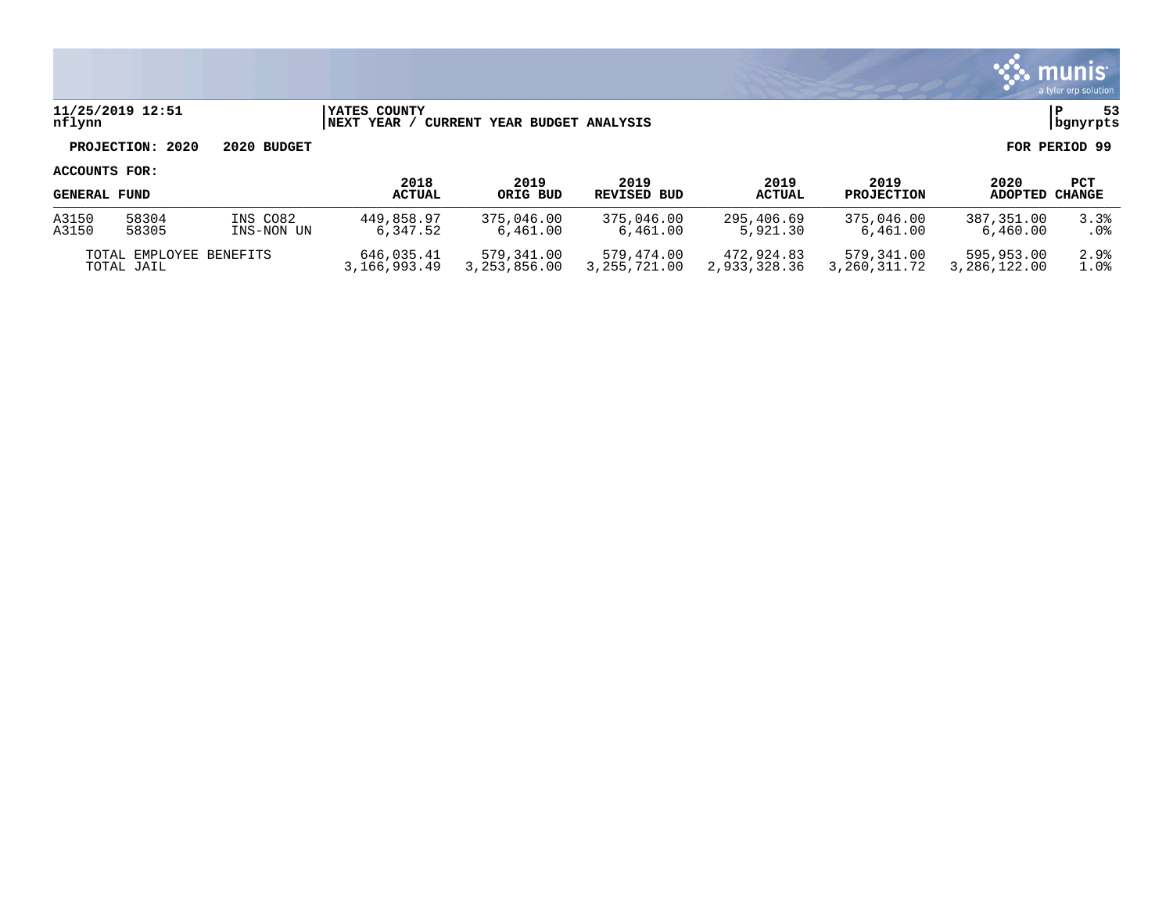

## **11/25/2019 12:51 |YATES COUNTY |P 53 nflynn |NEXT YEAR / CURRENT YEAR BUDGET ANALYSIS |bgnyrpts**

**PROJECTION: 2020 2020 BUDGET FOR PERIOD 99**

| <b>GENERAL FUND</b>     |       |              | 2018<br><b>ACTUAL</b> | 2019<br>ORIG BUD | 2019<br>REVISED BUD | 2019<br><b>ACTUAL</b> | 2019<br><b>PROJECTION</b> | 2020<br>ADOPTED | PCT<br>CHANGE |
|-------------------------|-------|--------------|-----------------------|------------------|---------------------|-----------------------|---------------------------|-----------------|---------------|
| A3150                   | 58304 | INS CO82     | 449,858.97            | 375,046.00       | 375,046.00          | 295,406.69            | 375,046,00                | 387,351.00      | 3.3%          |
| A3150                   | 58305 | INS-NON UN   | 6,347.52              | 6,461.00         | 6,461.00            | 5,921.30              | 6,461.00                  | 6,460.00        | . 0%          |
| TOTAL EMPLOYEE BENEFITS |       | 646,035.41   | 579,341.00            | 579.474.00       | 472.924.83          | 579,341.00            | 595,953.00                | 2.9%            |               |
| TOTAL JAIL              |       | 3,166,993.49 | 3,253,856.00          | 3,255,721.00     | 2,933,328.36        | 3,260,311.72          | 3,286,122.00              | 1.0%            |               |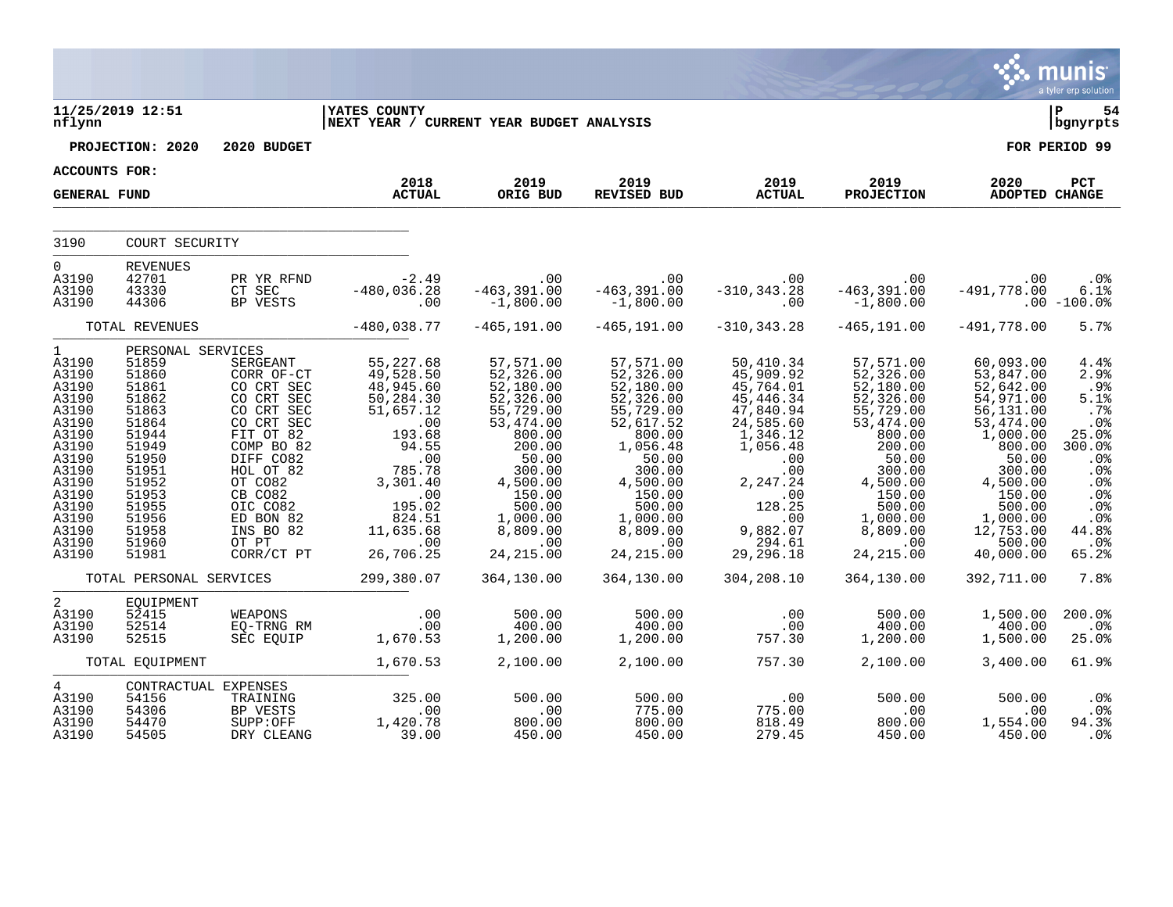|                                                                                                                                                                                 |                                                                                                                                                                            |                                                                                                                                                                                                |                                                                                                                                                                                                                                                          |                                                                                                                                                                                                                              |                                                                                                                                                                                                            |                                                                                                                                                                                                                                                               |                                                                                                                                                                                                                                          |                                                                                                                                                                                                     | munis<br>a tyler erp solution                                                                                                      |
|---------------------------------------------------------------------------------------------------------------------------------------------------------------------------------|----------------------------------------------------------------------------------------------------------------------------------------------------------------------------|------------------------------------------------------------------------------------------------------------------------------------------------------------------------------------------------|----------------------------------------------------------------------------------------------------------------------------------------------------------------------------------------------------------------------------------------------------------|------------------------------------------------------------------------------------------------------------------------------------------------------------------------------------------------------------------------------|------------------------------------------------------------------------------------------------------------------------------------------------------------------------------------------------------------|---------------------------------------------------------------------------------------------------------------------------------------------------------------------------------------------------------------------------------------------------------------|------------------------------------------------------------------------------------------------------------------------------------------------------------------------------------------------------------------------------------------|-----------------------------------------------------------------------------------------------------------------------------------------------------------------------------------------------------|------------------------------------------------------------------------------------------------------------------------------------|
| nflynn                                                                                                                                                                          | 11/25/2019 12:51                                                                                                                                                           |                                                                                                                                                                                                | <b>YATES COUNTY</b><br>NEXT YEAR / CURRENT YEAR BUDGET ANALYSIS                                                                                                                                                                                          |                                                                                                                                                                                                                              |                                                                                                                                                                                                            |                                                                                                                                                                                                                                                               |                                                                                                                                                                                                                                          |                                                                                                                                                                                                     | l P<br>54<br>  bgnyrpts                                                                                                            |
|                                                                                                                                                                                 | PROJECTION: 2020                                                                                                                                                           | 2020 BUDGET                                                                                                                                                                                    |                                                                                                                                                                                                                                                          |                                                                                                                                                                                                                              |                                                                                                                                                                                                            |                                                                                                                                                                                                                                                               |                                                                                                                                                                                                                                          |                                                                                                                                                                                                     | FOR PERIOD 99                                                                                                                      |
| ACCOUNTS FOR:                                                                                                                                                                   |                                                                                                                                                                            |                                                                                                                                                                                                |                                                                                                                                                                                                                                                          |                                                                                                                                                                                                                              |                                                                                                                                                                                                            |                                                                                                                                                                                                                                                               |                                                                                                                                                                                                                                          |                                                                                                                                                                                                     |                                                                                                                                    |
| <b>GENERAL FUND</b>                                                                                                                                                             |                                                                                                                                                                            |                                                                                                                                                                                                | 2018<br><b>ACTUAL</b>                                                                                                                                                                                                                                    | 2019<br>ORIG BUD                                                                                                                                                                                                             | 2019<br>REVISED BUD                                                                                                                                                                                        | 2019<br><b>ACTUAL</b>                                                                                                                                                                                                                                         | 2019<br><b>PROJECTION</b>                                                                                                                                                                                                                | 2020<br>ADOPTED CHANGE                                                                                                                                                                              | PCT                                                                                                                                |
| 3190                                                                                                                                                                            | COURT SECURITY                                                                                                                                                             |                                                                                                                                                                                                |                                                                                                                                                                                                                                                          |                                                                                                                                                                                                                              |                                                                                                                                                                                                            |                                                                                                                                                                                                                                                               |                                                                                                                                                                                                                                          |                                                                                                                                                                                                     |                                                                                                                                    |
| $\overline{0}$<br>A3190<br>A3190<br>A3190                                                                                                                                       | <b>REVENUES</b><br>42701<br>43330<br>44306                                                                                                                                 |                                                                                                                                                                                                | PR YR RFND -2.49<br>CT SEC -480,036.28<br>BP VESTS .00                                                                                                                                                                                                   | $-463, 391.00$<br>$-1,800.00$                                                                                                                                                                                                | $-463, 391, 00$ $-463, 391, 00$<br>$-463, 391.00$<br>$-1,800.00$                                                                                                                                           | $.00$<br>-310,343.28 -463,391.00<br>.00                                                                                                                                                                                                                       | $-1,800.00$ .00 $-100.0$ <sup>*</sup>                                                                                                                                                                                                    | .00<br>$-491,778.00$                                                                                                                                                                                | .0%<br>6.1%                                                                                                                        |
|                                                                                                                                                                                 | TOTAL REVENUES                                                                                                                                                             |                                                                                                                                                                                                | $-480,038.77$                                                                                                                                                                                                                                            | $-465, 191.00$                                                                                                                                                                                                               | $-465, 191.00$                                                                                                                                                                                             | $-310, 343.28$                                                                                                                                                                                                                                                | $-465, 191.00$                                                                                                                                                                                                                           | $-491,778.00$                                                                                                                                                                                       | 5.7%                                                                                                                               |
| $1 \quad \blacksquare$<br>A3190<br>A3190<br>A3190<br>A3190<br>A3190<br>A3190<br>A3190<br>A3190<br>A3190<br>A3190<br>A3190<br>A3190<br>A3190<br>A3190<br>A3190<br>A3190<br>A3190 | PERSONAL SERVICES<br>51859<br>51860<br>51861<br>51862<br>51863<br>51864<br>51944<br>51949<br>51950<br>51951<br>51952<br>51953<br>51955<br>51956<br>51958<br>51960<br>51981 | SERGEANT<br>CORR OF-CT<br>CO CRT SEC<br>CO CRT SEC<br>CO CRT SEC<br>CO CRT SEC<br>FIT OT 82<br>COMP BO 82<br>DIFF CO82<br>HOL OT 82<br>OT CO82<br>CB CO82<br>OIC CO82<br>OIC CO82<br>ED BON 82 | 55, 227.68<br>49,528.50<br>48,945.60<br>50,284.30<br>51,657.12<br>$1,637.12$<br>$193.68$<br>$94.55$<br>$94.55$<br>.00<br>3,301.40<br>.00<br>.00<br>.021.93.021<br>824.51<br>ED BON 82 824.51<br>INS BO 82 11,635.68<br>OT PT .00<br>CORR/CT PT 26,706.25 | 57,571.00<br>$\frac{52}{180}$ , 326.00<br>52,326.00<br>55,729.00<br>53,474.00<br>$\begin{array}{c} 800.0 \\ 200.00 \\ 50.00 \\ 300.0^{\circ} \end{array}$<br>150.00<br>500.00<br>$1,000.00$<br>8,809.00<br>.00<br>24, 215.00 | 57, 571.00<br>52, 326.00<br>52,180.00<br>52, 326.00<br>55,729.00<br>52,617.52<br>800.00<br>1,056.48<br>$\frac{50.00}{300.00}$<br>300.00<br>4,500.00<br>150.00<br>1,000.00<br>8,809.00<br>.00<br>24, 215.00 | 50,410.34<br>45,909.92<br>45,764.01<br>45,446.34<br>47,840.94<br>24,585.60<br>1,346.12<br>1,056.48<br>$\frac{00}{2}$<br>.00<br>2,247.24<br>$\begin{array}{c} \begin{array}{c} 0.00 \\ 1.28 \end{array} \end{array}$<br>.00<br>9,882.07<br>294.61<br>29,296.18 | 57,571.00<br>$\frac{52}{180}$ , 326.00<br>52, 326.00<br>55,729.00<br>53,474.00<br>800.00<br>200.00<br>$\begin{array}{r} 200.00\ -50.00\ 50.00\ 4\ 500.00\ 4\ 500.00\ 50.00\ 1\ 500.00\ 8\ 809.00\ \end{array}$<br>$.00 \,$<br>24, 215.00 | 60,093.00<br>53,847.00<br>52,642.00<br>54,971.00<br>56,131.00<br>53,474.00<br>1,000.00<br>800.00<br>50.00<br>300.00<br>4,500.00<br>150.00<br>500.00<br>1,000.00<br>12,753.00<br>500.00<br>40,000.00 | 4.4%<br>2.9%<br>.9%<br>5.1%<br>.7%<br>.0%<br>25.0%<br>300.0%<br>.0%<br>.0%<br>.0%<br>.0%<br>.0%<br>.0%<br>44.8%<br>$.0\%$<br>65.2% |
|                                                                                                                                                                                 | TOTAL PERSONAL SERVICES                                                                                                                                                    |                                                                                                                                                                                                | 299,380.07                                                                                                                                                                                                                                               | 364,130.00                                                                                                                                                                                                                   | 364,130.00                                                                                                                                                                                                 | 304,208.10                                                                                                                                                                                                                                                    | 364,130.00                                                                                                                                                                                                                               | 392,711.00                                                                                                                                                                                          | 7.8%                                                                                                                               |
| $\overline{2}$<br>A3190<br>A3190<br>A3190                                                                                                                                       | EQUIPMENT<br>52415<br>52514<br>52515                                                                                                                                       |                                                                                                                                                                                                | WEAPONS .00<br>EQ-TRNG RM .00<br>SEC EQUIP 1,670.53                                                                                                                                                                                                      | $500.00$<br>$400.00$<br>1,200.00                                                                                                                                                                                             | 500.00<br>400.00<br>1,200.00                                                                                                                                                                               | .00<br>00 .<br>00 .<br>757 .30                                                                                                                                                                                                                                | $500.00$<br>$400.00$<br>1,200.00                                                                                                                                                                                                         | 1,500.00<br>400.00<br>1,500.00                                                                                                                                                                      | 200.0%<br>$.0\%$<br>25.0%                                                                                                          |
|                                                                                                                                                                                 | TOTAL EQUIPMENT                                                                                                                                                            |                                                                                                                                                                                                | 1,670.53                                                                                                                                                                                                                                                 | 2,100.00                                                                                                                                                                                                                     | 2,100.00                                                                                                                                                                                                   | 757.30                                                                                                                                                                                                                                                        | 2,100.00                                                                                                                                                                                                                                 | 3,400.00                                                                                                                                                                                            | 61.9%                                                                                                                              |
| $4\overline{ }$<br>A3190<br>A3190<br>A3190<br>A3190                                                                                                                             | CONTRACTUAL EXPENSES<br>54156<br>54306<br>54470<br>54505                                                                                                                   | TRAINING<br>BP VESTS<br>SUPP:OFF<br>DRY CLEANG                                                                                                                                                 | $325.00$<br>.00<br>1,420.78<br>39.00                                                                                                                                                                                                                     | 500.00<br>00 .<br>800.00<br>450.00                                                                                                                                                                                           | 500.00<br>775.00<br>800.00<br>450.00                                                                                                                                                                       | 775.00<br>818.49<br>279.45                                                                                                                                                                                                                                    | 500.00<br>.00<br>800.00<br>450.00                                                                                                                                                                                                        | 500.00<br>.00<br>1,554.00<br>450.00                                                                                                                                                                 | .0%<br>$.0\%$<br>94.3%<br>.0%                                                                                                      |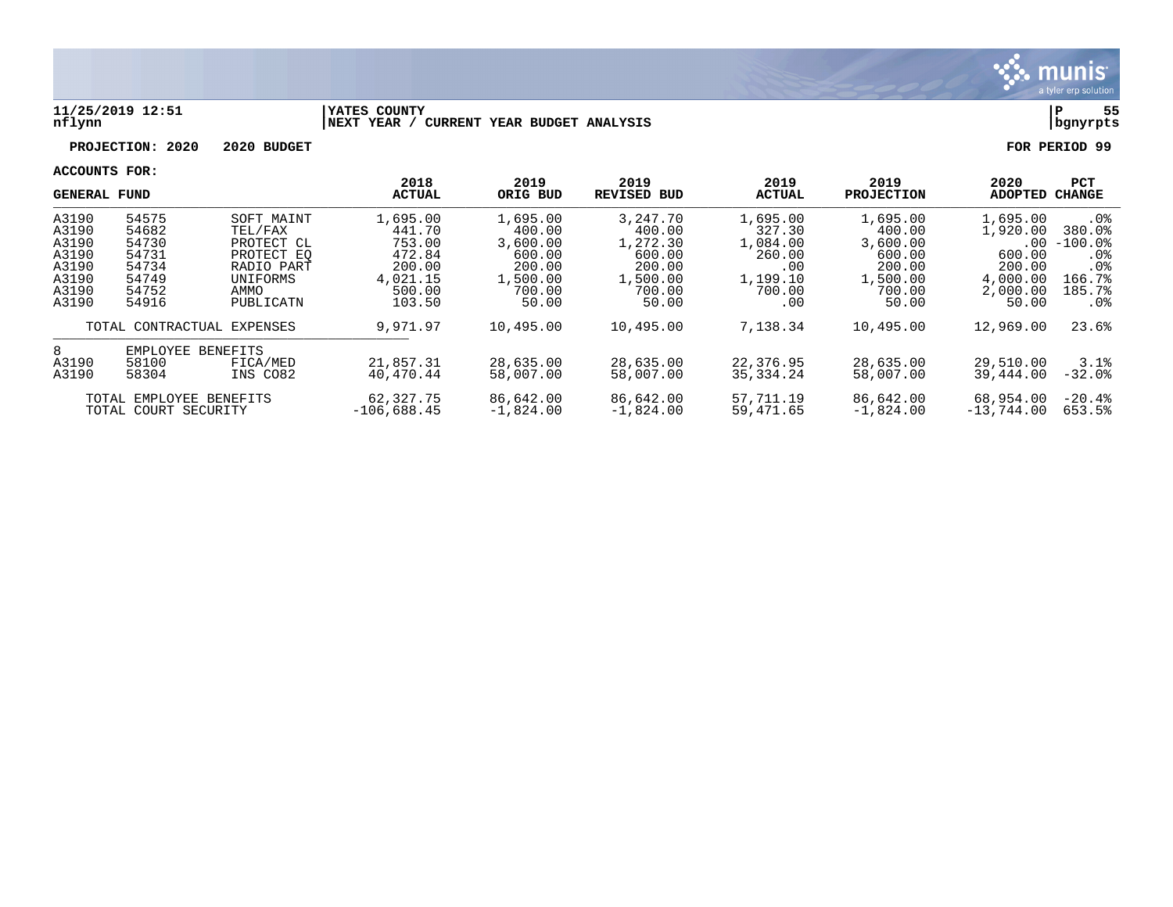

#### **11/25/2019 12:51 |YATES COUNTY |P 55 nflynn |NEXT YEAR / CURRENT YEAR BUDGET ANALYSIS |bgnyrpts**

**PROJECTION: 2020 2020 BUDGET FOR PERIOD 99**

|                                                          | <b>GENERAL FUND</b> |                            | 2018<br><b>ACTUAL</b>    | 2019<br>ORIG BUD         | 2019<br><b>REVISED BUD</b> | 2019<br><b>ACTUAL</b>    | 2019<br><b>PROJECTION</b> | 2020<br><b>ADOPTED</b> | <b>PCT</b><br>CHANGE |
|----------------------------------------------------------|---------------------|----------------------------|--------------------------|--------------------------|----------------------------|--------------------------|---------------------------|------------------------|----------------------|
| A3190                                                    | 54575               | SOFT MAINT                 | 1,695.00                 | 1,695.00                 | 3, 247, 70                 | 1,695.00                 | 1,695.00                  | 1,695.00               | $.0\%$               |
| A3190<br>A3190                                           | 54682<br>54730      | TEL/FAX<br>PROTECT CL      | 441.70<br>753.00         | 400.00<br>3,600.00       | 400.00<br>1,272.30         | 327.30<br>1,084.00       | 400.00<br>3,600.00        | 1,920.00<br>$.00 \,$   | 380.0%<br>$-100.0%$  |
| A3190<br>A3190                                           | 54731<br>54734      | PROTECT EO<br>RADIO PART   | 472.84<br>200.00         | 600.00<br>200.00         | 600.00<br>200.00           | 260.00<br>.00            | 600.00<br>200.00          | 600.00<br>200.00       | . 0%<br>. 0%         |
| A3190<br>A3190                                           | 54749<br>54752      | UNIFORMS<br>AMMO           | 4,021.15<br>500.00       | 1,500.00<br>700.00       | 1,500.00<br>700.00         | 1,199.10<br>700.00       | 1,500.00<br>700.00        | 4,000.00<br>2,000.00   | 166.7%<br>185.7%     |
| A3190                                                    | 54916               | PUBLICATN                  | 103.50                   | 50.00                    | 50.00                      | .00                      | 50.00                     | 50.00                  | $.0\%$               |
|                                                          | TOTAL CONTRACTUAL   | EXPENSES                   | 9,971.97                 | 10,495.00                | 10,495.00                  | 7,138.34                 | 10,495.00                 | 12,969.00              | 23.6%                |
| 8                                                        | EMPLOYEE            | BENEFITS                   |                          |                          |                            |                          |                           |                        |                      |
| A3190<br>58100<br>FICA/MED<br>A3190<br>58304<br>INS CO82 |                     | 21,857.31<br>40,470.44     | 28,635.00<br>58,007.00   | 28,635.00<br>58,007.00   | 22,376.95<br>35, 334, 24   | 28,635.00<br>58,007.00   | 29,510.00<br>39,444.00    | 3.1%<br>$-32.0$ .      |                      |
| TOTAL EMPLOYEE BENEFITS<br>TOTAL COURT SECURITY          |                     | 62,327.75<br>$-106,688.45$ | 86,642.00<br>$-1,824.00$ | 86,642.00<br>$-1.824.00$ | 57,711.19<br>59,471.65     | 86,642.00<br>$-1,824.00$ | 68,954.00<br>$-13,744.00$ | $-20.4%$<br>653.5%     |                      |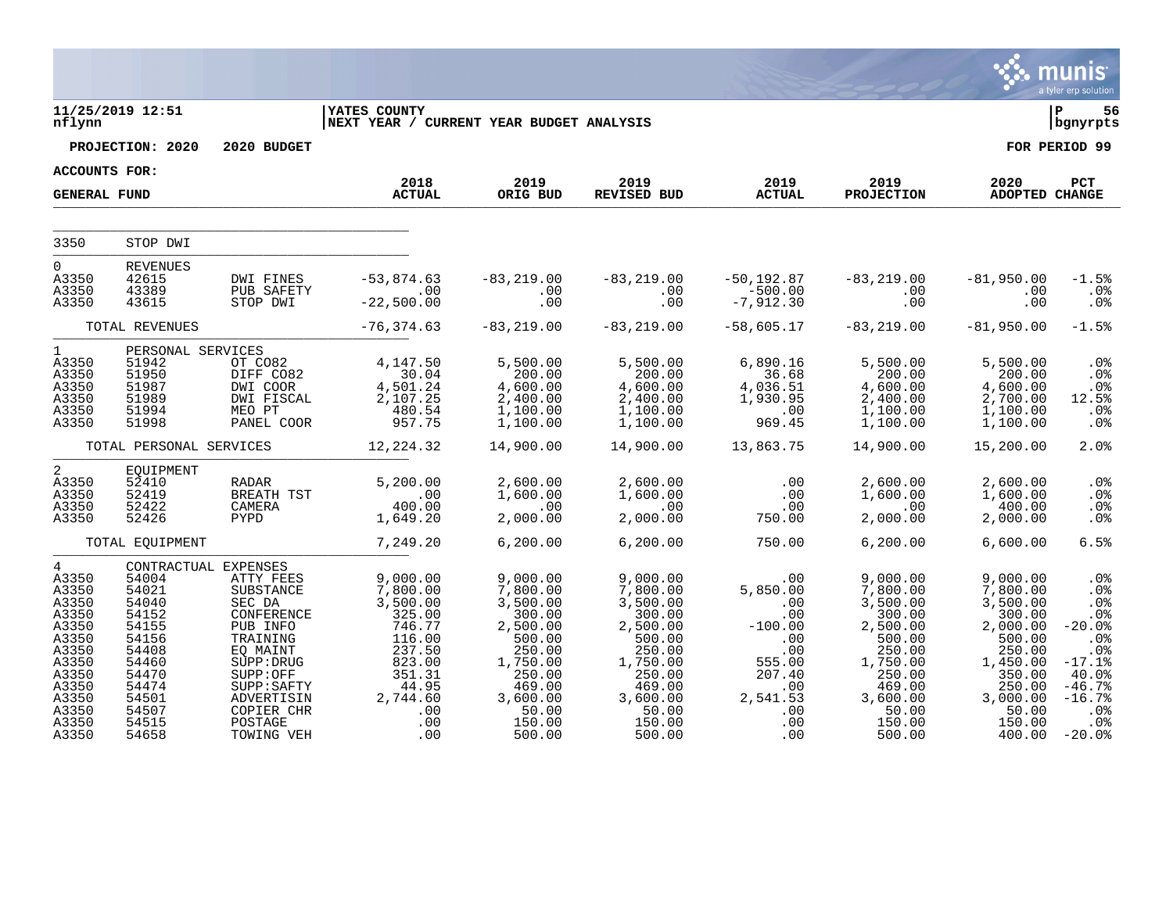|                                                                                                                                          |                                                                                                                                                    |                                                                                                                                                                                  |                                                                                                                                        |                                                                                                                                                     |                                                                                                                                                     |                                                                                                                            |                                                                                                                                                     |                                                                                                                                                     | <b>munis</b><br>a tyler erp solution                                                                                                  |
|------------------------------------------------------------------------------------------------------------------------------------------|----------------------------------------------------------------------------------------------------------------------------------------------------|----------------------------------------------------------------------------------------------------------------------------------------------------------------------------------|----------------------------------------------------------------------------------------------------------------------------------------|-----------------------------------------------------------------------------------------------------------------------------------------------------|-----------------------------------------------------------------------------------------------------------------------------------------------------|----------------------------------------------------------------------------------------------------------------------------|-----------------------------------------------------------------------------------------------------------------------------------------------------|-----------------------------------------------------------------------------------------------------------------------------------------------------|---------------------------------------------------------------------------------------------------------------------------------------|
| nflynn                                                                                                                                   | 11/25/2019 12:51                                                                                                                                   |                                                                                                                                                                                  | <b>YATES COUNTY</b><br> NEXT YEAR / CURRENT YEAR BUDGET ANALYSIS                                                                       |                                                                                                                                                     |                                                                                                                                                     |                                                                                                                            |                                                                                                                                                     |                                                                                                                                                     | ΙP<br>56<br>bgnyrpts                                                                                                                  |
|                                                                                                                                          | PROJECTION: 2020                                                                                                                                   | 2020 BUDGET                                                                                                                                                                      |                                                                                                                                        |                                                                                                                                                     |                                                                                                                                                     |                                                                                                                            |                                                                                                                                                     |                                                                                                                                                     | FOR PERIOD 99                                                                                                                         |
| <b>ACCOUNTS FOR:</b>                                                                                                                     |                                                                                                                                                    |                                                                                                                                                                                  |                                                                                                                                        |                                                                                                                                                     |                                                                                                                                                     |                                                                                                                            |                                                                                                                                                     |                                                                                                                                                     |                                                                                                                                       |
| <b>GENERAL FUND</b>                                                                                                                      |                                                                                                                                                    |                                                                                                                                                                                  | 2018<br><b>ACTUAL</b>                                                                                                                  | 2019<br>ORIG BUD                                                                                                                                    | 2019<br>REVISED BUD                                                                                                                                 | 2019<br><b>ACTUAL</b>                                                                                                      | 2019<br><b>PROJECTION</b>                                                                                                                           | 2020<br><b>ADOPTED CHANGE</b>                                                                                                                       | PCT                                                                                                                                   |
| 3350                                                                                                                                     | STOP DWI                                                                                                                                           |                                                                                                                                                                                  |                                                                                                                                        |                                                                                                                                                     |                                                                                                                                                     |                                                                                                                            |                                                                                                                                                     |                                                                                                                                                     |                                                                                                                                       |
| $\Omega$<br>A3350<br>A3350<br>A3350                                                                                                      | <b>REVENUES</b><br>42615<br>43389<br>43615                                                                                                         | DWI FINES<br>PUB SAFETY<br>STOP DWI                                                                                                                                              | $-53,874.63$<br>$\overline{00}$<br>$-22,500.00$                                                                                        | $-83, 219.00$<br>.00<br>.00                                                                                                                         | $-83, 219.00$<br>.00<br>.00                                                                                                                         | $-50, 192.87$<br>$-500.00$<br>$-7,912.30$                                                                                  | $-83, 219.00$<br>.00<br>.00                                                                                                                         | $-81,950.00$<br>.00<br>.00                                                                                                                          | $-1.5%$<br>.0%<br>.0%                                                                                                                 |
|                                                                                                                                          | TOTAL REVENUES                                                                                                                                     |                                                                                                                                                                                  | $-76, 374.63$                                                                                                                          | $-83, 219.00$                                                                                                                                       | $-83, 219.00$                                                                                                                                       | $-58,605.17$                                                                                                               | $-83, 219.00$                                                                                                                                       | $-81,950.00$                                                                                                                                        | $-1.5%$                                                                                                                               |
| $\mathbf{1}$<br>A3350<br>A3350<br>A3350<br>A3350<br>A3350<br>A3350                                                                       | PERSONAL SERVICES<br>51942<br>51950<br>51987<br>51989<br>51994<br>51998                                                                            | OT CO82<br>DIFF CO82<br>DWI COOR<br>DWI FISCAL<br>MEO PT<br>PANEL COOR                                                                                                           | 4,147.50<br>30.04<br>4,501.24<br>2,107.25<br>480.54<br>957.75                                                                          | 5,500.00<br>200.00<br>4,600.00<br>2,400.00<br>1,100.00<br>1,100.00                                                                                  | 5,500.00<br>200.00<br>4,600.00<br>2,400.00<br>1,100.00<br>1,100.00                                                                                  | 6,890.16<br>36.68<br>4,036.51<br>1,930.95<br>$\sim$ 00<br>969.45                                                           | 5,500.00<br>200.00<br>4,600.00<br>2,400.00<br>1,100.00<br>1,100.00                                                                                  | 5,500.00<br>200.00<br>4,600.00<br>2,700.00<br>1,100.00<br>1,100.00                                                                                  | .0 <sub>8</sub><br>.0 <sub>8</sub><br>.0%<br>12.5%<br>.0 <sup>8</sup><br>.0%                                                          |
|                                                                                                                                          | TOTAL PERSONAL SERVICES                                                                                                                            |                                                                                                                                                                                  | 12, 224.32                                                                                                                             | 14,900.00                                                                                                                                           | 14,900.00                                                                                                                                           | 13,863.75                                                                                                                  | 14,900.00                                                                                                                                           | 15,200.00                                                                                                                                           | 2.0%                                                                                                                                  |
| 2<br>A3350<br>A3350<br>A3350<br>A3350                                                                                                    | EQUIPMENT<br>52410<br>52419<br>52422<br>52426                                                                                                      | RADAR<br>BREATH TST<br>CAMERA<br>PYPD                                                                                                                                            | 5,200.00<br>$.00$<br>400.00<br>1,649.20                                                                                                | 2,600.00<br>1,600.00<br>.00<br>2,000.00                                                                                                             | 2,600.00<br>1,600.00<br>.00<br>2,000.00                                                                                                             | .00<br>.00<br>.00<br>750.00                                                                                                | 2,600.00<br>1,600.00<br>.00<br>2,000.00                                                                                                             | 2,600.00<br>1,600.00<br>400.00<br>2,000.00                                                                                                          | .0%<br>.0 <sub>8</sub><br>.0%<br>.0%                                                                                                  |
|                                                                                                                                          | TOTAL EQUIPMENT                                                                                                                                    |                                                                                                                                                                                  | 7,249.20                                                                                                                               | 6, 200.00                                                                                                                                           | 6, 200.00                                                                                                                                           | 750.00                                                                                                                     | 6, 200.00                                                                                                                                           | 6,600.00                                                                                                                                            | 6.5%                                                                                                                                  |
| $4\degree$<br>A3350<br>A3350<br>A3350<br>A3350<br>A3350<br>A3350<br>A3350<br>A3350<br>A3350<br>A3350<br>A3350<br>A3350<br>A3350<br>A3350 | CONTRACTUAL EXPENSES<br>54004<br>54021<br>54040<br>54152<br>54155<br>54156<br>54408<br>54460<br>54470<br>54474<br>54501<br>54507<br>54515<br>54658 | ATTY FEES<br>SUBSTANCE<br>SEC DA<br>CONFERENCE<br>PUB INFO<br>TRAINING<br>EQ MAINT<br>SUPP: DRUG<br>SUPP:OFF<br>SUPP: SAFTY<br>ADVERTISIN<br>COPIER CHR<br>POSTAGE<br>TOWING VEH | 9,000.00<br>7,800.00<br>3,500.00<br>325.00<br>746.77<br>116.00<br>237.50<br>823.00<br>351.31<br>44.95<br>2,744.60<br>.00<br>.00<br>.00 | 9,000.00<br>7,800.00<br>3,500.00<br>300.00<br>2,500.00<br>500.00<br>250.00<br>1,750.00<br>250.00<br>469.00<br>3,600.00<br>50.00<br>150.00<br>500.00 | 9,000.00<br>7,800.00<br>3,500.00<br>300.00<br>2,500.00<br>500.00<br>250.00<br>1,750.00<br>250.00<br>469.00<br>3,600.00<br>50.00<br>150.00<br>500.00 | .00<br>5,850.00<br>$\sim$ 00<br>.00<br>$-100.00$<br>.00<br>.00<br>555.00<br>207.40<br>.00<br>2,541.53<br>.00<br>.00<br>.00 | 9,000.00<br>7,800.00<br>3,500.00<br>300.00<br>2,500.00<br>500.00<br>250.00<br>1,750.00<br>250.00<br>469.00<br>3,600.00<br>50.00<br>150.00<br>500.00 | 9,000.00<br>7,800.00<br>3,500.00<br>300.00<br>2,000.00<br>500.00<br>250.00<br>1,450.00<br>350.00<br>250.00<br>3,000.00<br>50.00<br>150.00<br>400.00 | .0%<br>.0 <sub>8</sub><br>.0%<br>.0%<br>$-20.0%$<br>.0%<br>.0%<br>$-17.1%$<br>40.0%<br>$-46.7%$<br>$-16.7%$<br>.0%<br>.0%<br>$-20.0%$ |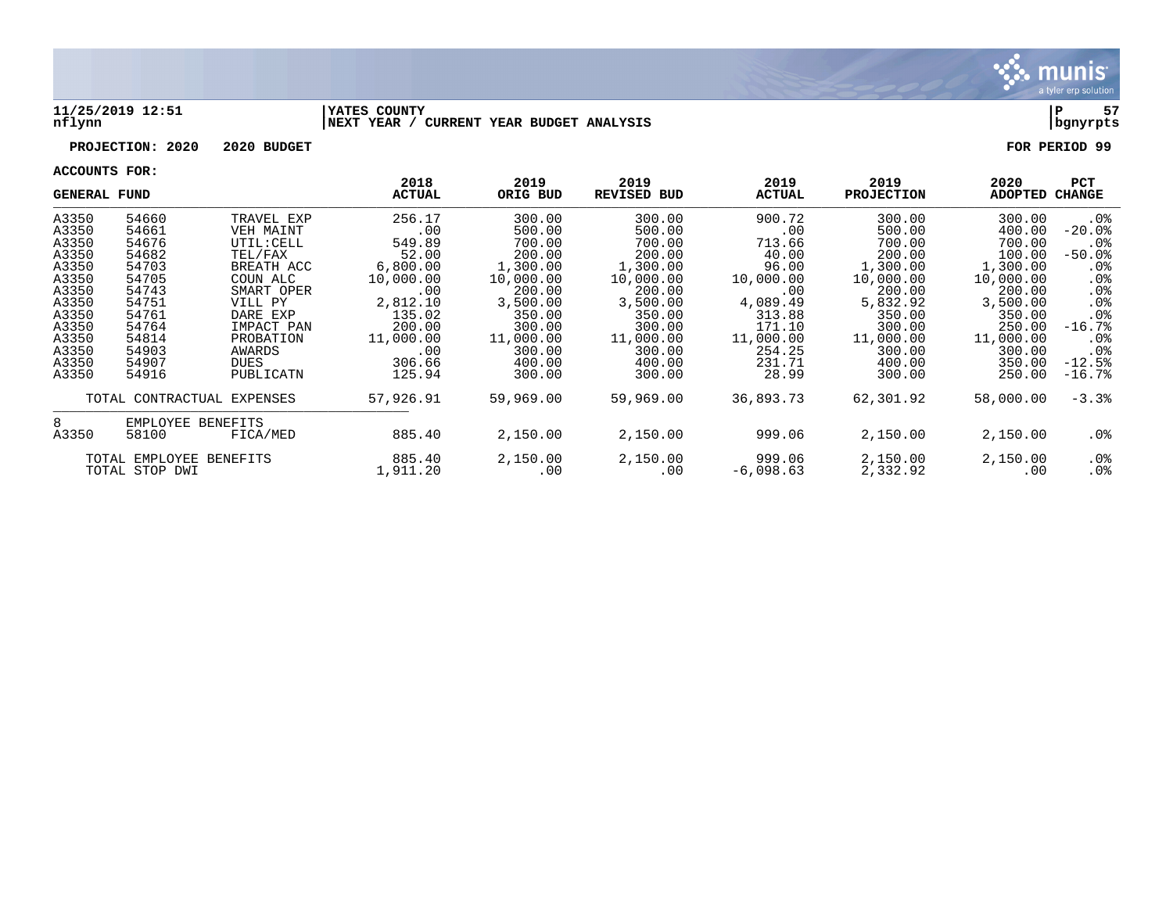

#### **11/25/2019 12:51 |YATES COUNTY |P 57 nflynn |NEXT YEAR / CURRENT YEAR BUDGET ANALYSIS |bgnyrpts**

# **PROJECTION: 2020 2020 BUDGET FOR PERIOD 99**

| <b>GENERAL FUND</b> |                            |            | 2018<br><b>ACTUAL</b> | 2019<br>ORIG BUD | 2019<br><b>REVISED BUD</b> | 2019<br><b>ACTUAL</b> | 2019<br><b>PROJECTION</b> | 2020<br><b>ADOPTED</b> | <b>PCT</b><br>CHANGE |
|---------------------|----------------------------|------------|-----------------------|------------------|----------------------------|-----------------------|---------------------------|------------------------|----------------------|
| A3350               | 54660                      | TRAVEL EXP | 256.17                | 300.00           | 300.00                     | 900.72                | 300.00                    | 300.00                 | $.0\%$               |
| A3350               | 54661                      | VEH MAINT  | .00                   | 500.00           | 500.00                     | .00                   | 500.00                    | 400.00                 | $-20.0$ °            |
| A3350               | 54676                      | UTIL: CELL | 549.89                | 700.00           | 700.00                     | 713.66                | 700.00                    | 700.00                 | $.0\%$               |
| A3350               | 54682                      | TEL/FAX    | 52.00                 | 200.00           | 200.00                     | 40.00                 | 200.00                    | 100.00                 | $-50.0$ $8$          |
| A3350               | 54703                      | BREATH ACC | 6,800.00              | 1,300.00         | 1,300.00                   | 96.00                 | 1,300.00                  | 1,300.00               | $.0\%$               |
| A3350               | 54705                      | COUN ALC   | 10,000.00             | 10,000.00        | 10,000.00                  | 10,000.00             | 10,000.00                 | 10,000.00              | $.0\%$               |
| A3350               | 54743                      | SMART OPER | .00                   | 200.00           | 200.00                     | .00                   | 200.00                    | 200.00                 | $.0\%$               |
| A3350               | 54751                      | VILL PY    | 2,812.10              | 3,500.00         | 3,500.00                   | 4,089.49              | 5,832.92                  | 3,500.00               | .0 <sub>8</sub>      |
| A3350               | 54761                      | DARE EXP   | 135.02                | 350.00           | 350.00                     | 313.88                | 350.00                    | 350.00                 | .0 <sub>8</sub>      |
| A3350               | 54764                      | IMPACT PAN | 200.00                | 300.00           | 300.00                     | 171.10                | 300.00                    | 250.00                 | $-16.7%$             |
| A3350               | 54814                      | PROBATION  | 11,000.00             | 11,000.00        | 11,000.00                  | 11,000.00             | 11,000.00                 | 11,000.00              | $.0\%$               |
| A3350               | 54903                      | AWARDS     | .00                   | 300.00           | 300.00                     | 254.25                | 300.00                    | 300.00                 | .0 <sub>8</sub>      |
| A3350               | 54907                      | DUES       | 306.66                | 400.00           | 400.00                     | 231.71                | 400.00                    | 350.00                 | $-12.5%$             |
| A3350               | 54916                      | PUBLICATN  | 125.94                | 300.00           | 300.00                     | 28.99                 | 300.00                    | 250.00                 | $-16.7%$             |
|                     | TOTAL CONTRACTUAL EXPENSES |            | 57,926.91             | 59,969.00        | 59,969.00                  | 36,893.73             | 62,301.92                 | 58,000.00              | $-3.3%$              |
| 8                   | EMPLOYEE BENEFITS          |            |                       |                  |                            |                       |                           |                        |                      |
| A3350               | 58100                      | FICA/MED   | 885.40                | 2,150.00         | 2,150.00                   | 999.06                | 2,150.00                  | 2,150.00               | .0%                  |
|                     | TOTAL EMPLOYEE BENEFITS    |            | 885.40                | 2,150.00         | 2,150.00                   | 999.06                | 2,150.00                  | 2,150.00               | $.0\%$               |
|                     | TOTAL STOP DWI             |            | 1,911.20              | .00              | .00                        | $-6,098.63$           | 2,332.92                  | .00                    | $.0\%$               |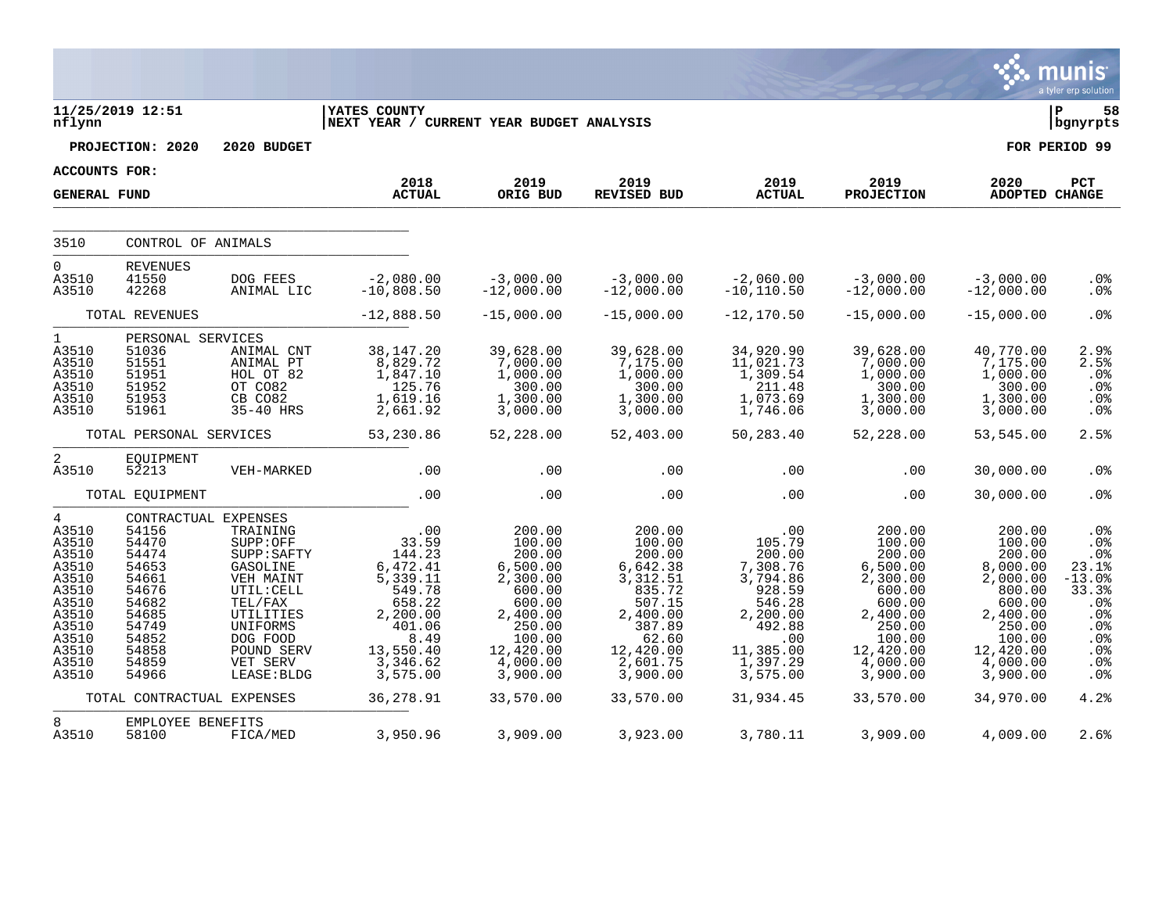|                                                                                                                                     |                                                                                                                                           |                                                                                                                                                                     |                                                                                                                                       |                                                                                                                                             |                                                                                                                                             |                                                                                                                                       |                                                                                                                                             |                                                                                                                                             | <b>munis</b><br>a tyler erp solution                                                                                     |
|-------------------------------------------------------------------------------------------------------------------------------------|-------------------------------------------------------------------------------------------------------------------------------------------|---------------------------------------------------------------------------------------------------------------------------------------------------------------------|---------------------------------------------------------------------------------------------------------------------------------------|---------------------------------------------------------------------------------------------------------------------------------------------|---------------------------------------------------------------------------------------------------------------------------------------------|---------------------------------------------------------------------------------------------------------------------------------------|---------------------------------------------------------------------------------------------------------------------------------------------|---------------------------------------------------------------------------------------------------------------------------------------------|--------------------------------------------------------------------------------------------------------------------------|
| nflynn                                                                                                                              | 11/25/2019 12:51                                                                                                                          |                                                                                                                                                                     | <b>YATES COUNTY</b><br>NEXT YEAR / CURRENT YEAR BUDGET ANALYSIS                                                                       |                                                                                                                                             |                                                                                                                                             |                                                                                                                                       |                                                                                                                                             |                                                                                                                                             | ΙP<br>58<br>  bgnyrpts                                                                                                   |
|                                                                                                                                     | PROJECTION: 2020                                                                                                                          | 2020 BUDGET                                                                                                                                                         |                                                                                                                                       |                                                                                                                                             |                                                                                                                                             |                                                                                                                                       |                                                                                                                                             |                                                                                                                                             | FOR PERIOD 99                                                                                                            |
| ACCOUNTS FOR:                                                                                                                       |                                                                                                                                           |                                                                                                                                                                     | 2018                                                                                                                                  | 2019                                                                                                                                        | 2019                                                                                                                                        | 2019                                                                                                                                  | 2019                                                                                                                                        | 2020                                                                                                                                        | PCT                                                                                                                      |
| <b>GENERAL FUND</b>                                                                                                                 |                                                                                                                                           |                                                                                                                                                                     | <b>ACTUAL</b>                                                                                                                         | ORIG BUD                                                                                                                                    | <b>REVISED BUD</b>                                                                                                                          | <b>ACTUAL</b>                                                                                                                         | <b>PROJECTION</b>                                                                                                                           | ADOPTED CHANGE                                                                                                                              |                                                                                                                          |
| 3510                                                                                                                                | CONTROL OF ANIMALS                                                                                                                        |                                                                                                                                                                     |                                                                                                                                       |                                                                                                                                             |                                                                                                                                             |                                                                                                                                       |                                                                                                                                             |                                                                                                                                             |                                                                                                                          |
| $\Omega$<br>A3510<br>A3510                                                                                                          | <b>REVENUES</b><br>41550<br>42268                                                                                                         | DOG FEES<br>ANIMAL LIC                                                                                                                                              | $-2,080.00$<br>$-10,808.50$                                                                                                           | $-3,000.00$<br>$-12,000.00$                                                                                                                 | $-3,000.00$<br>$-12,000.00$                                                                                                                 | $-2,060.00$<br>$-10, 110.50$                                                                                                          | $-3,000.00$<br>$-12,000.00$                                                                                                                 | $-3,000.00$<br>$-12,000.00$                                                                                                                 | $.0\%$<br>.0 <sub>8</sub>                                                                                                |
|                                                                                                                                     | TOTAL REVENUES                                                                                                                            |                                                                                                                                                                     | $-12,888.50$                                                                                                                          | $-15,000.00$                                                                                                                                | $-15,000.00$                                                                                                                                | $-12, 170.50$                                                                                                                         | $-15,000.00$                                                                                                                                | $-15,000.00$                                                                                                                                | .0%                                                                                                                      |
| $\mathbf{1}$<br>A3510<br>A3510<br>A3510<br>A3510<br>A3510<br>A3510                                                                  | PERSONAL SERVICES<br>51036<br>51551<br>51951<br>51952<br>51953<br>51961                                                                   | ANIMAL CNT<br>ANIMAL PT<br>HOL OT 82<br>OT CO82<br>CB CO82<br>35-40 HRS                                                                                             | 38,147.20<br>8,829.72<br>1,847.10<br>125.76<br>1,619.16<br>2,661.92                                                                   | 39,628.00<br>7,000.00<br>1,000.00<br>300.00<br>1,300.00<br>3,000.00                                                                         | 39,628.00<br>7,175.00<br>1,000.00<br>300.00<br>1,300.00<br>3,000.00                                                                         | 34,920.90<br>11,021.73<br>1,309.54<br>211.48<br>1,073.69<br>1,746.06                                                                  | 39,628.00<br>7,000.00<br>1,000.00<br>300.00<br>1,300.00<br>3,000.00                                                                         | 40,770.00<br>7,175.00<br>1,000.00<br>300.00<br>1,300.00<br>3,000.00                                                                         | 2.9%<br>2.5%<br>.0%<br>.0%<br>.0%<br>.0 <sub>8</sub>                                                                     |
|                                                                                                                                     | TOTAL PERSONAL SERVICES                                                                                                                   |                                                                                                                                                                     | 53,230.86                                                                                                                             | 52,228.00                                                                                                                                   | 52,403.00                                                                                                                                   | 50,283.40                                                                                                                             | 52,228.00                                                                                                                                   | 53,545.00                                                                                                                                   | 2.5%                                                                                                                     |
| $\overline{a}$<br>A3510                                                                                                             | EQUIPMENT<br>52213                                                                                                                        | VEH-MARKED                                                                                                                                                          | .00                                                                                                                                   | .00                                                                                                                                         | .00                                                                                                                                         | .00                                                                                                                                   | .00                                                                                                                                         | 30,000.00                                                                                                                                   | .0%                                                                                                                      |
|                                                                                                                                     | TOTAL EQUIPMENT                                                                                                                           |                                                                                                                                                                     | .00                                                                                                                                   | .00                                                                                                                                         | .00                                                                                                                                         | .00                                                                                                                                   | .00                                                                                                                                         | 30,000.00                                                                                                                                   | .0%                                                                                                                      |
| $\overline{4}$<br>A3510<br>A3510<br>A3510<br>A3510<br>A3510<br>A3510<br>A3510<br>A3510<br>A3510<br>A3510<br>A3510<br>A3510<br>A3510 | CONTRACTUAL EXPENSES<br>54156<br>54470<br>54474<br>54653<br>54661<br>54676<br>54682<br>54685<br>54749<br>54852<br>54858<br>54859<br>54966 | TRAINING<br>SUPP:OFF<br>SUPP: SAFTY<br>GASOLINE<br>VEH MAINT<br>UTIL: CELL<br>TEL/FAX<br>UTILITIES<br>UNIFORMS<br>DOG FOOD<br>POUND SERV<br>VET SERV<br>LEASE: BLDG | .00<br>33.59<br>144.23<br>6,472.41<br>5,339.11<br>549.78<br>658.22<br>2,200.00<br>401.06<br>8.49<br>13,550.40<br>3,346.62<br>3,575.00 | 200.00<br>100.00<br>200.00<br>6,500.00<br>2,300.00<br>600.00<br>600.00<br>2,400.00<br>250.00<br>100.00<br>12,420.00<br>4,000.00<br>3,900.00 | 200.00<br>100.00<br>200.00<br>6,642.38<br>3, 312.51<br>835.72<br>507.15<br>2,400.00<br>387.89<br>62.60<br>12,420.00<br>2,601.75<br>3,900.00 | .00<br>105.79<br>200.00<br>7,308.76<br>3,794.86<br>928.59<br>546.28<br>2,200.00<br>492.88<br>.00<br>11,385.00<br>1,397.29<br>3,575.00 | 200.00<br>100.00<br>200.00<br>6,500.00<br>2,300.00<br>600.00<br>600.00<br>2,400.00<br>250.00<br>100.00<br>12,420.00<br>4,000.00<br>3,900.00 | 200.00<br>100.00<br>200.00<br>8,000.00<br>2,000.00<br>800.00<br>600.00<br>2,400.00<br>250.00<br>100.00<br>12,420.00<br>4,000.00<br>3,900.00 | .0%<br>.0%<br>.0%<br>23.1%<br>$-13.0%$<br>33.3%<br>.0%<br>.0 <sub>8</sub><br>.0%<br>.0%<br>.0%<br>.0%<br>.0 <sub>8</sub> |
|                                                                                                                                     | TOTAL CONTRACTUAL EXPENSES                                                                                                                |                                                                                                                                                                     | 36,278.91                                                                                                                             | 33,570.00                                                                                                                                   | 33,570.00                                                                                                                                   | 31,934.45                                                                                                                             | 33,570.00                                                                                                                                   | 34,970.00                                                                                                                                   | 4.2%                                                                                                                     |
| 8<br>A3510                                                                                                                          | EMPLOYEE BENEFITS<br>58100                                                                                                                | FICA/MED                                                                                                                                                            | 3,950.96                                                                                                                              | 3,909.00                                                                                                                                    | 3,923.00                                                                                                                                    | 3,780.11                                                                                                                              | 3,909.00                                                                                                                                    | 4,009.00                                                                                                                                    | 2.6%                                                                                                                     |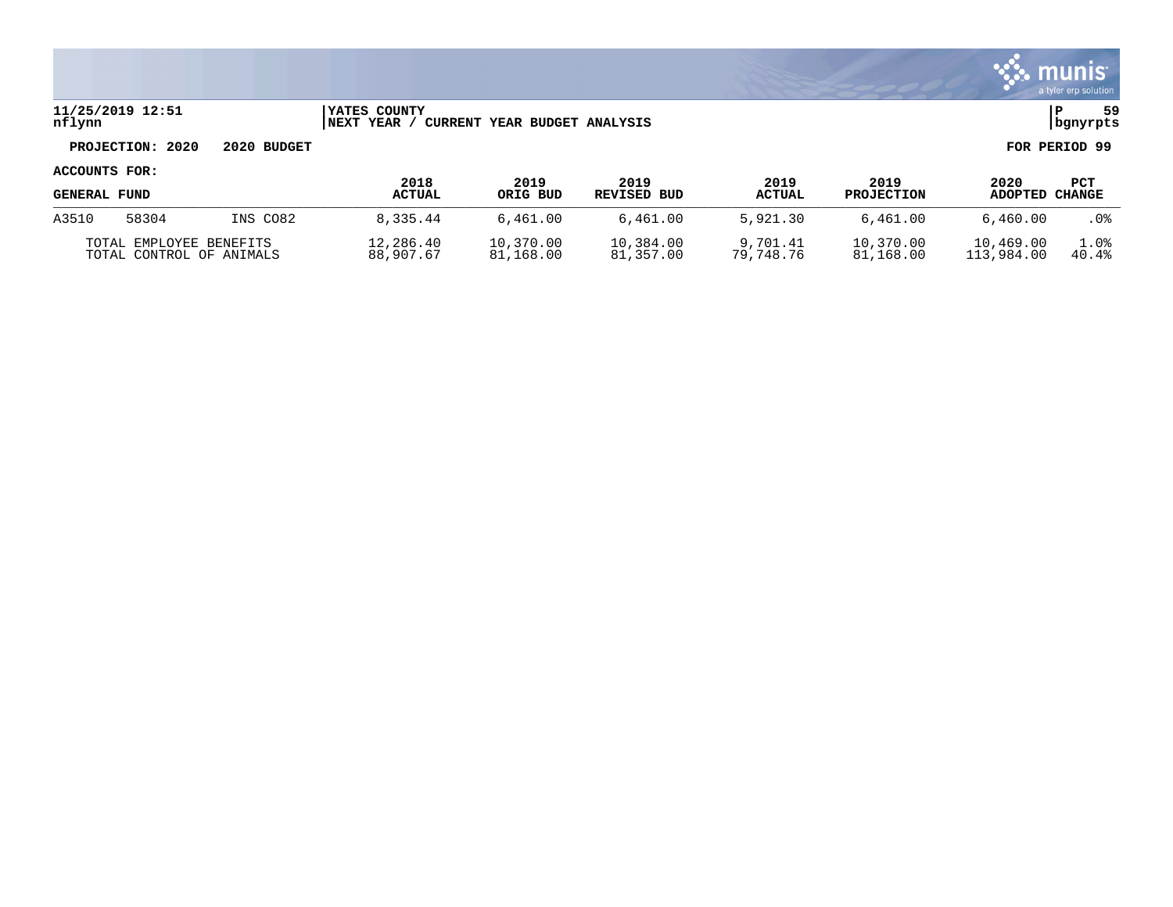

## **11/25/2019 12:51 |YATES COUNTY |P 59 nflynn |NEXT YEAR / CURRENT YEAR BUDGET ANALYSIS |bgnyrpts**

# **PROJECTION: 2020 2020 BUDGET FOR PERIOD 99**

| <b>GENERAL FUND</b>                                 |       |          | 2018<br><b>ACTUAL</b>  | 2019<br>ORIG BUD       | 2019<br>REVISED BUD    | 2019<br><b>ACTUAL</b> | 2019<br><b>PROJECTION</b> | 2020<br>ADOPTED         | PCT<br>CHANGE |
|-----------------------------------------------------|-------|----------|------------------------|------------------------|------------------------|-----------------------|---------------------------|-------------------------|---------------|
| A3510                                               | 58304 | INS CO82 | 8,335.44               | 6,461.00               | 6,461.00               | 5,921.30              | 6,461.00                  | 6,460.00                | . 0%          |
| TOTAL EMPLOYEE BENEFITS<br>TOTAL CONTROL OF ANIMALS |       |          | 12,286.40<br>88,907.67 | 10,370.00<br>81,168.00 | 10,384.00<br>81,357.00 | 9,701.41<br>79,748.76 | 10,370.00<br>81,168.00    | 10,469.00<br>113,984.00 | 1.0%<br>40.4% |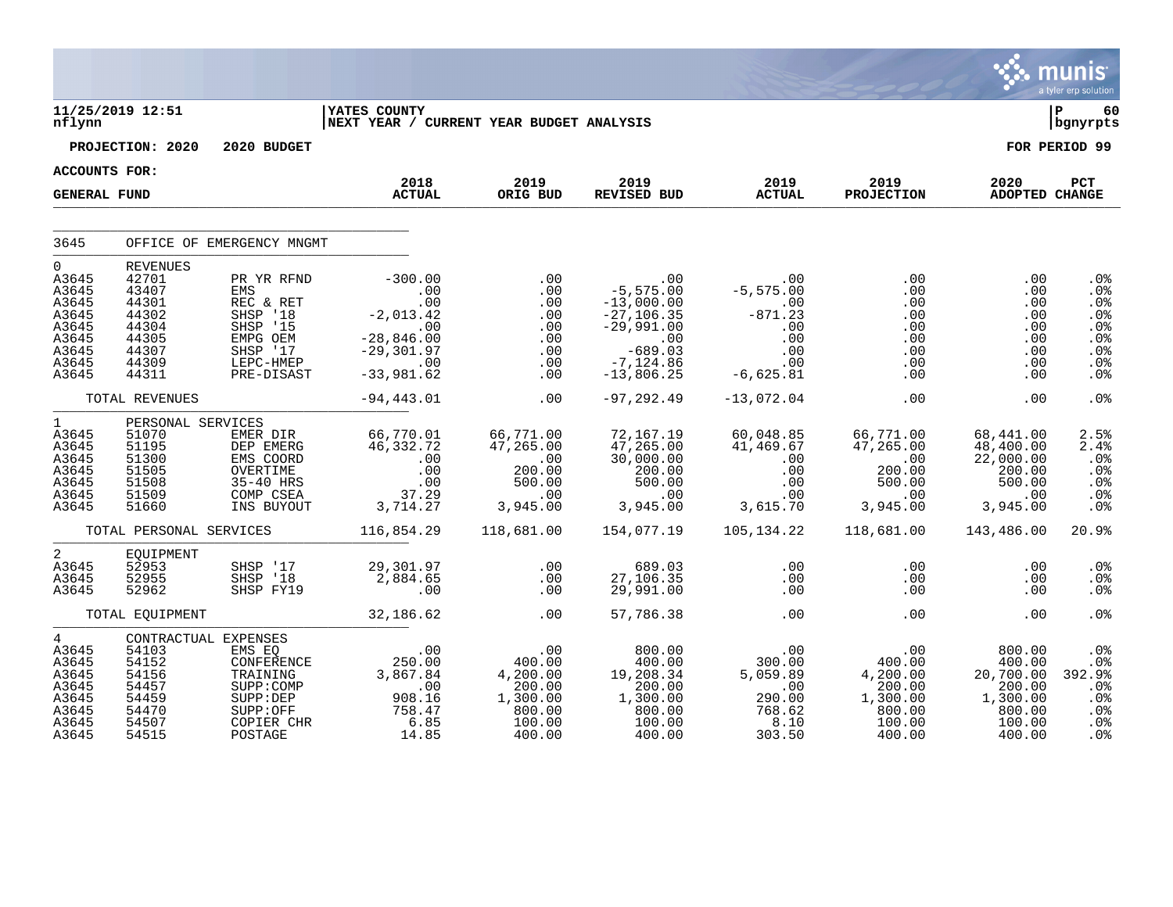|                                                                                              |                                                                                                  |                                                                                                           |                                                                                                                                                     |                                                                                                   |                                                                                                                        |                                                                                                     |                                                                               |                                                                                   | munis<br>a tyler erp solution                                                       |
|----------------------------------------------------------------------------------------------|--------------------------------------------------------------------------------------------------|-----------------------------------------------------------------------------------------------------------|-----------------------------------------------------------------------------------------------------------------------------------------------------|---------------------------------------------------------------------------------------------------|------------------------------------------------------------------------------------------------------------------------|-----------------------------------------------------------------------------------------------------|-------------------------------------------------------------------------------|-----------------------------------------------------------------------------------|-------------------------------------------------------------------------------------|
| nflynn                                                                                       | 11/25/2019 12:51                                                                                 |                                                                                                           | <b>YATES COUNTY</b><br>NEXT YEAR / CURRENT YEAR BUDGET ANALYSIS                                                                                     |                                                                                                   |                                                                                                                        |                                                                                                     |                                                                               |                                                                                   | ∣ P<br>60<br>  bgnyrpts                                                             |
|                                                                                              | PROJECTION: 2020                                                                                 | 2020 BUDGET                                                                                               |                                                                                                                                                     |                                                                                                   |                                                                                                                        |                                                                                                     |                                                                               |                                                                                   | FOR PERIOD 99                                                                       |
| <b>ACCOUNTS FOR:</b>                                                                         |                                                                                                  |                                                                                                           |                                                                                                                                                     |                                                                                                   |                                                                                                                        |                                                                                                     |                                                                               |                                                                                   |                                                                                     |
| <b>GENERAL FUND</b>                                                                          |                                                                                                  |                                                                                                           | 2018<br><b>ACTUAL</b>                                                                                                                               | 2019<br>ORIG BUD                                                                                  | 2019<br><b>REVISED BUD</b>                                                                                             | 2019<br><b>ACTUAL</b>                                                                               | 2019<br><b>PROJECTION</b>                                                     | 2020<br>ADOPTED CHANGE                                                            | PCT                                                                                 |
| 3645                                                                                         |                                                                                                  | OFFICE OF EMERGENCY MNGMT                                                                                 |                                                                                                                                                     |                                                                                                   |                                                                                                                        |                                                                                                     |                                                                               |                                                                                   |                                                                                     |
| $\mathbf 0$<br>A3645<br>A3645<br>A3645<br>A3645<br>A3645<br>A3645<br>A3645<br>A3645<br>A3645 | <b>REVENUES</b><br>42701<br>43407<br>44301<br>44302<br>44304<br>44305<br>44307<br>44309<br>44311 | PR YR RFND<br>EMS<br>REC & RET<br>SHSP '18<br>SHSP '15<br>EMPG OEM<br>SHSP '17<br>LEPC-HMEP<br>PRE-DISAST | $-300.00$<br>$\begin{array}{c} . & 0 \\ . & 0 \end{array}$<br>$-2,013.42$<br>$\overline{00}$<br>$-28,846.00$<br>$-29,301.97$<br>.00<br>$-33,981.62$ | .00<br>.00<br>.00<br>.00<br>.00<br>.00<br>.00<br>.00<br>.00                                       | .00<br>$-5,575.00$<br>$-13,000.00$<br>$-27,106.35$<br>$-29,991.00$<br>.00<br>$-689.03$<br>$-7, 124.86$<br>$-13,806.25$ | $.00 \,$<br>$-5, 575.00$<br>$\overline{00}$<br>$-871.23$<br>.00<br>.00<br>.00<br>.00<br>$-6,625.81$ | .00<br>.00<br>.00<br>.00<br>.00<br>.00<br>.00<br>.00<br>.00                   | .00<br>.00<br>.00<br>.00<br>.00<br>.00<br>.00<br>.00<br>.00                       | .0 <sub>8</sub><br>.0%<br>.0%<br>.0%<br>.0%<br>.0%<br>.0%<br>.0 <sub>8</sub><br>.0% |
|                                                                                              | TOTAL REVENUES                                                                                   |                                                                                                           | $-94, 443.01$                                                                                                                                       | .00                                                                                               | $-97, 292.49$                                                                                                          | $-13,072.04$                                                                                        | .00                                                                           | .00                                                                               | .0 <sub>8</sub>                                                                     |
| $\mathbf{1}$<br>A3645<br>A3645<br>A3645<br>A3645<br>A3645<br>A3645<br>A3645                  | PERSONAL SERVICES<br>51070<br>51195<br>51300<br>51505<br>51508<br>51509<br>51660                 | EMER DIR<br>DEP EMERG<br>EMS COORD<br>OVERTIME<br>35-40 HRS<br>COMP CSEA<br>INS BUYOUT                    | 66,770.01<br>46,332.72<br>.00<br>$.0\overline{0}$<br>.00<br>37.29<br>3,714.27                                                                       | 66,771.00<br>47,265.00<br>$\begin{array}{c} 00 \ 200.00 \end{array}$<br>500.00<br>.00<br>3,945.00 | 72,167.19<br>47, 265.00<br>30,000.00<br>200.00<br>500.00<br>$\ddotsc 00$<br>3,945.00                                   | 60,048.85<br>41,469.67<br>.00<br>.00<br>.00<br>.00<br>3,615.70                                      | 66,771.00<br>47, 265.00<br>.00<br>200.00<br>500.00<br>.00<br>3,945.00         | 68,441.00<br>48,400.00<br>22,000.00<br>200.00<br>500.00<br>.00<br>3,945.00        | 2.5%<br>2.4%<br>.0%<br>.0%<br>.0%<br>.0%<br>.0%                                     |
|                                                                                              | TOTAL PERSONAL SERVICES                                                                          |                                                                                                           | 116,854.29                                                                                                                                          | 118,681.00                                                                                        | 154,077.19                                                                                                             | 105,134.22                                                                                          | 118,681.00                                                                    | 143,486.00                                                                        | 20.9%                                                                               |
| $\overline{a}$<br>A3645<br>A3645<br>A3645                                                    | EOUIPMENT<br>52953<br>52955<br>52962                                                             | SHSP '17<br>SHSP '18<br>SHSP FY19                                                                         | 29,301.97<br>2,884.65<br>.00                                                                                                                        | .00<br>.00<br>.00                                                                                 | 689.03<br>27,106.35<br>29,991.00                                                                                       | $.00 \,$<br>.00<br>.00                                                                              | .00<br>.00<br>.00                                                             | .00<br>.00<br>.00                                                                 | .0 <sub>8</sub><br>.0%<br>.0%                                                       |
|                                                                                              | TOTAL EQUIPMENT                                                                                  |                                                                                                           | 32, 186.62                                                                                                                                          | .00                                                                                               | 57,786.38                                                                                                              | .00                                                                                                 | .00                                                                           | .00                                                                               | .0%                                                                                 |
| $4\overline{ }$<br>A3645<br>A3645<br>A3645<br>A3645<br>A3645<br>A3645<br>A3645<br>A3645      | CONTRACTUAL EXPENSES<br>54103<br>54152<br>54156<br>54457<br>54459<br>54470<br>54507<br>54515     | EMS EQ<br>CONFERENCE<br>TRAINING<br>SUPP: COMP<br>SUPP:DEP<br>SUPP:OFF<br>COPIER CHR<br>POSTAGE           | .00<br>250.00<br>3,867.84<br>.00<br>908.16<br>758.47<br>6.85<br>14.85                                                                               | .00<br>400.00<br>4,200.00<br>200.00<br>1,300.00<br>800.00<br>100.00<br>400.00                     | 800.00<br>400.00<br>19,208.34<br>200.00<br>1,300.00<br>800.00<br>100.00<br>400.00                                      | .00<br>300.00<br>5,059.89<br>.00<br>290.00<br>768.62<br>8.10<br>303.50                              | .00<br>400.00<br>4,200.00<br>200.00<br>1,300.00<br>800.00<br>100.00<br>400.00 | 800.00<br>400.00<br>20,700.00<br>200.00<br>1,300.00<br>800.00<br>100.00<br>400.00 | .0%<br>.0%<br>392.9%<br>.0%<br>.0%<br>.0 <sub>8</sub><br>.0%<br>.0 <sub>8</sub>     |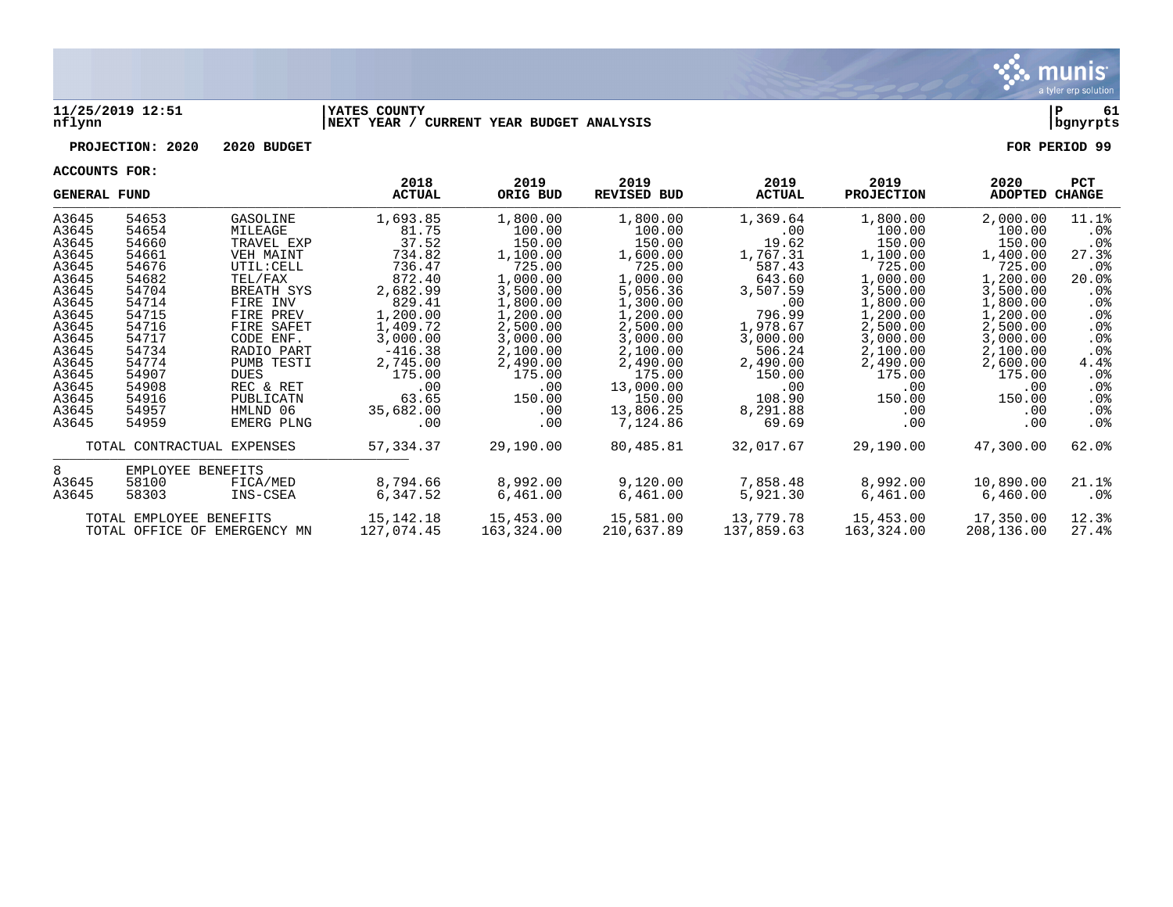

#### **11/25/2019 12:51 |YATES COUNTY |P 61 nflynn |NEXT YEAR / CURRENT YEAR BUDGET ANALYSIS |bgnyrpts**

# **PROJECTION: 2020 2020 BUDGET FOR PERIOD 99**

| <b>GENERAL FUND</b> |                         |                              | 2018<br><b>ACTUAL</b> | 2019<br>ORIG BUD | 2019<br><b>REVISED BUD</b> | 2019<br><b>ACTUAL</b> | 2019<br><b>PROJECTION</b> | 2020<br>ADOPTED | <b>PCT</b><br>CHANGE |
|---------------------|-------------------------|------------------------------|-----------------------|------------------|----------------------------|-----------------------|---------------------------|-----------------|----------------------|
| A3645               | 54653                   | GASOLINE                     | 1,693.85              | 1,800.00         | 1,800.00                   | 1,369.64              | 1,800.00                  | 2,000.00        | 11.1%                |
| A3645               | 54654                   | MILEAGE                      | 81.75                 | 100.00           | 100.00                     | .00                   | 100.00                    | 100.00          | $.0\%$               |
| A3645               | 54660                   | TRAVEL EXP                   | 37.52                 | 150.00           | 150.00                     | 19.62                 | 150.00                    | 150.00          | $.0\%$               |
| A3645               | 54661                   | <b>VEH MAINT</b>             | 734.82                | 1,100.00         | 1,600.00                   | 1,767.31              | 1,100.00                  | 1,400.00        | 27.3%                |
| A3645               | 54676                   | UTIL: CELL                   | 736.47                | 725.00           | 725.00                     | 587.43                | 725.00                    | 725.00          | . 0 %                |
| A3645               | 54682                   | TEL/FAX                      | 872.40                | 1,000.00         | 1,000.00                   | 643.60                | 1,000.00                  | 1,200.00        | 20.0%                |
| A3645               | 54704                   | BREATH SYS                   | 2,682.99              | 3,500.00         | 5,056.36                   | 3,507.59              | 3,500.00                  | 3,500.00        | . 0%                 |
| A3645               | 54714                   | FIRE INV                     | 829.41                | 1,800.00         | 1,300.00                   | .00                   | 1,800.00                  | 1,800.00        | $.0\%$               |
| A3645               | 54715                   | FIRE PREV                    | 1,200.00              | 1,200.00         | 1,200.00                   | 796.99                | 1,200.00                  | 1,200.00        | $.0\%$               |
| A3645               | 54716                   | FIRE SAFET                   | 1,409.72              | 2,500.00         | 2,500.00                   | 1,978.67              | 2,500.00                  | 2,500.00        | $.0\%$               |
| A3645               | 54717                   | CODE ENF.                    | 3,000.00              | 3,000.00         | 3,000.00                   | 3,000.00              | 3,000.00                  | 3,000.00        | .0 <sub>8</sub>      |
| A3645               | 54734                   | RADIO PART                   | $-416.38$             | 2,100.00         | 2,100.00                   | 506.24                | 2,100.00                  | 2,100.00        | .0 <sub>8</sub>      |
| A3645               | 54774                   | PUMB TESTI                   | 2,745.00              | 2,490.00         | 2,490.00                   | 2,490.00              | 2,490.00                  | 2,600.00        | 4.4%                 |
| A3645               | 54907                   | <b>DUES</b>                  | 175.00                | 175.00           | 175.00                     | 150.00                | 175.00                    | 175.00          | $.0\%$               |
| A3645               | 54908                   | REC & RET                    | .00                   | .00              | 13,000.00                  | .00                   | .00                       | .00             | .0%                  |
| A3645               | 54916                   | PUBLICATN                    | 63.65                 | 150.00           | 150.00                     | 108.90                | 150.00                    | 150.00          | $.0\%$               |
| A3645               | 54957                   | HMLND 06                     | 35,682.00             | .00              | 13,806.25                  | 8,291.88              | .00                       | .00             | .0%                  |
| A3645               | 54959                   | EMERG PLNG                   | $.00 \,$              | .00              | 7,124.86                   | 69.69                 | .00                       | .00             | . 0%                 |
|                     |                         | TOTAL CONTRACTUAL EXPENSES   | 57,334.37             | 29,190.00        | 80,485.81                  | 32,017.67             | 29,190.00                 | 47,300.00       | 62.0%                |
| 8                   | EMPLOYEE BENEFITS       |                              |                       |                  |                            |                       |                           |                 |                      |
| A3645               | 58100                   | FICA/MED                     | 8,794.66              | 8,992.00         | 9,120.00                   | 7,858.48              | 8,992.00                  | 10,890.00       | 21.1%                |
| A3645               | 58303                   | INS-CSEA                     | 6,347.52              | 6,461.00         | 6,461.00                   | 5,921.30              | 6,461.00                  | 6,460.00        | .0%                  |
|                     | TOTAL EMPLOYEE BENEFITS |                              | 15, 142. 18           | 15,453.00        | 15,581.00                  | 13,779.78             | 15,453.00                 | 17,350.00       | 12.3%                |
|                     |                         | TOTAL OFFICE OF EMERGENCY MN | 127,074.45            | 163,324.00       | 210,637.89                 | 137,859.63            | 163,324.00                | 208,136.00      | 27.4%                |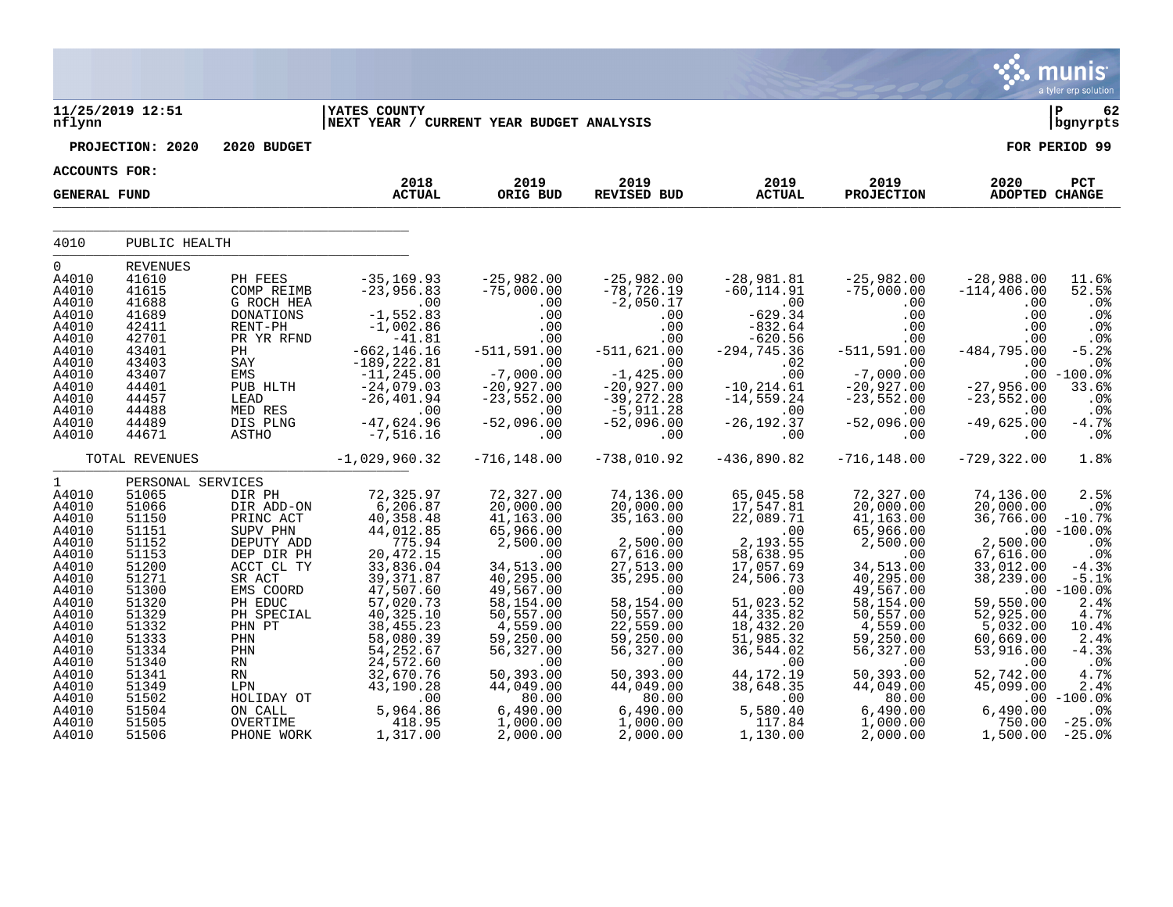|                                  |                                            |                                               |                                                                   |                                                      |                                                     |                                                   |                                                      |                                                 | munis<br>a tyler erp solution                        |
|----------------------------------|--------------------------------------------|-----------------------------------------------|-------------------------------------------------------------------|------------------------------------------------------|-----------------------------------------------------|---------------------------------------------------|------------------------------------------------------|-------------------------------------------------|------------------------------------------------------|
| nflynn                           | 11/25/2019 12:51                           |                                               | <b>IYATES COUNTY</b><br>NEXT YEAR / CURRENT YEAR BUDGET ANALYSIS  |                                                      |                                                     |                                                   |                                                      |                                                 | ∣ P<br>62<br>bgnyrpts                                |
|                                  | PROJECTION: 2020                           | 2020 BUDGET                                   |                                                                   |                                                      |                                                     |                                                   |                                                      |                                                 | FOR PERIOD 99                                        |
| <b>ACCOUNTS FOR:</b>             |                                            |                                               |                                                                   |                                                      |                                                     |                                                   |                                                      |                                                 |                                                      |
| <b>GENERAL FUND</b>              |                                            |                                               | 2018<br><b>ACTUAL</b>                                             | 2019<br>ORIG BUD                                     | 2019<br>REVISED BUD                                 | 2019<br><b>ACTUAL</b>                             | 2019<br><b>PROJECTION</b>                            | 2020<br>ADOPTED CHANGE                          | PCT                                                  |
| 4010                             | PUBLIC HEALTH                              |                                               |                                                                   |                                                      |                                                     |                                                   |                                                      |                                                 |                                                      |
| 0                                |                                            |                                               |                                                                   |                                                      |                                                     |                                                   |                                                      |                                                 |                                                      |
| A4010<br>A4010<br>A4010          | <b>REVENUES</b><br>41610<br>41615<br>41688 | PH FEES<br>COMP REIMB<br>G ROCH HEA           | $-35, 169.93$<br>$-23,956.83$<br>.00                              | $-25,982.00$<br>$-75,000.00$<br>.00                  | $-25,982.00$<br>$-78, 726.19$<br>$-2,050.17$        | $-28,981.81$<br>$-60, 114.91$<br>.00              | -25,982.00<br>-75,000.00<br>.00                      | $-28,988.00$<br>$-114, 406.00$<br>$.00$         | 11.6%<br>52.5%<br>.0%                                |
| A4010<br>A4010<br>A4010          | 41689<br>42411<br>42701                    | <b>DONATIONS</b><br>RENT-PH<br>PR YR RFND     | $-1,552.83$<br>$-1,002.86$<br>$-41.81$                            | .00<br>.00<br>.00                                    | .00<br>.00<br>.00                                   | $-629.34$<br>$-832.64$<br>$-620.56$               | .00<br>.00<br>.00                                    | .00<br>.00<br>.00                               | .0%<br>.0%<br>.0%                                    |
| A4010<br>A4010<br>A4010<br>A4010 | 43401<br>43403<br>43407<br>44401           | РH<br>SAY<br><b>EMS</b><br>PUB HLTH           | $-662, 146.16$<br>$-189, 222.81$<br>$-11, 245.00$<br>$-24,079.03$ | $-511, 591.00$<br>.00<br>$-7,000.00$<br>$-20,927.00$ | $-511,621.00$<br>.00<br>$-1,425.00$<br>$-20,927.00$ | $-294, 745.36$<br>.02<br>.00<br>$-10, 214.61$     | $-511, 591.00$<br>.00<br>$-7,000.00$<br>$-20,927.00$ | $-484, 795.00$<br>.00<br>$-27,956.00$           | $-5.2%$<br>.0%<br>$.00 - 100.0$<br>33.6%             |
| A4010<br>A4010<br>A4010          | 44457<br>44488<br>44489                    | LEAD<br>MED RES<br>DIS PLNG                   | $-26, 401.94$<br>.00<br>$-47,624.96$                              | $-23,552.00$<br>.00<br>$-52,096.00$                  | $-39,272.28$<br>$-5,911.28$<br>$-52,096.00$         | $-14, 559.24$<br>.00<br>$-26, 192.37$             | $-23,552.00$<br>.00<br>$-52,096.00$                  | $-23,552.00$<br>.00<br>$-49,625.00$             | .0%<br>.0%<br>$-4.7%$                                |
| A4010                            | 44671                                      | ASTHO                                         | $-7,516.16$                                                       | .00                                                  | .00                                                 | .00                                               | .00                                                  | .00                                             | .0%                                                  |
|                                  | TOTAL REVENUES                             |                                               | $-1,029,960.32$                                                   | $-716, 148.00$                                       | $-738,010.92$                                       | $-436,890.82$                                     | $-716, 148.00$                                       | $-729, 322.00$                                  | 1.8%                                                 |
| $\mathbf{1}$                     | PERSONAL SERVICES                          |                                               |                                                                   |                                                      |                                                     |                                                   |                                                      |                                                 |                                                      |
| A4010<br>A4010<br>A4010<br>A4010 | 51065<br>51066<br>51150<br>51151           | DIR PH<br>DIR ADD-ON<br>PRINC ACT<br>SUPV PHN | 72,325.97<br>6,206.87<br>40, 358.48<br>44,012.85                  | 72,327.00<br>20,000.00<br>41,163.00<br>65,966.00     | 74,136.00<br>20,000.00<br>35,163.00<br>.00          | 65,045.58<br>17,547.81<br>22,089.71<br>.00        | 72,327.00<br>20,000.00<br>41, 163.00<br>65,966.00    | 74,136.00<br>20,000.00<br>36,766.00             | 2.5%<br>.0 <sub>8</sub><br>$-10.7%$<br>$.00 - 100.0$ |
| A4010<br>A4010<br>A4010          | 51152<br>51153<br>51200                    | DEPUTY ADD<br>DEP DIR PH<br>ACCT CL TY        | 775.94<br>20, 472.15<br>33,836.04                                 | 2,500.00<br>.00<br>34,513.00                         | 2,500.00<br>67,616.00<br>27,513.00                  | 2,193.55<br>58,638.95<br>17,057.69                | 2,500.00<br>.00<br>34,513.00                         | 2,500.00<br>67,616.00<br>33,012.00              | .0%<br>.0%<br>$-4.3%$                                |
| A4010<br>A4010<br>A4010          | 51271<br>51300<br>51320                    | SR ACT<br>EMS COORD<br>PH EDUC                | 39, 371.87<br>47,507.60<br>57,020.73                              | 40,295.00<br>49,567.00<br>58,154.00                  | 35,295.00<br>.00<br>58,154.00                       | 24,506.73<br>.00<br>51,023.52                     | 40,295.00<br>49,567.00<br>58,154.00                  | 38,239.00<br>.00<br>59,550.00                   | $-5.1%$<br>$-100.0%$<br>2.4%                         |
| A4010<br>A4010<br>A4010<br>A4010 | 51329<br>51332<br>51333<br>51334           | PH SPECIAL<br>PHN PT<br>PHN<br>PHN            | 40,325.10<br>38, 455. 23<br>58,080.39<br>54, 252.67               | 50,557.00<br>4,559.00<br>59,250.00<br>56,327.00      | 50,557.00<br>22,559.00<br>59,250.00<br>56,327.00    | 44, 335.82<br>18,432.20<br>51,985.32<br>36,544.02 | 50,557.00<br>4,559.00<br>59,250.00<br>56,327.00      | 52,925.00<br>5,032.00<br>60,669.00<br>53,916.00 | 4.7%<br>10.4%<br>2.4%<br>$-4.3%$                     |
| A4010<br>A4010<br>A4010<br>A4010 | 51340<br>51341<br>51349<br>51502           | RN<br>RN<br>LPN<br>HOLIDAY OT                 | 24,572.60<br>32,670.76<br>43,190.28<br>.00                        | .00<br>50,393.00<br>44,049.00<br>80.00               | .00<br>50,393.00<br>44,049.00<br>80.00              | .00<br>44, 172. 19<br>38,648.35<br>.00            | .00<br>50,393.00<br>44,049.00<br>80.00               | .00<br>52,742.00<br>45,099.00                   | .0%<br>4.7%<br>2.4%<br>$.00 - 100.0%$                |
| A4010<br>A4010<br>A4010          | 51504<br>51505<br>51506                    | ON CALL<br>OVERTIME<br>PHONE WORK             | 5,964.86<br>418.95<br>1,317.00                                    | 6,490.00<br>1,000.00<br>2,000.00                     | 6,490.00<br>1,000.00<br>2,000.00                    | 5,580.40<br>117.84<br>1,130.00                    | 6,490.00<br>1,000.00<br>2,000.00                     | 6,490.00<br>750.00<br>1,500.00                  | .0%<br>$-25.0%$<br>$-25.0%$                          |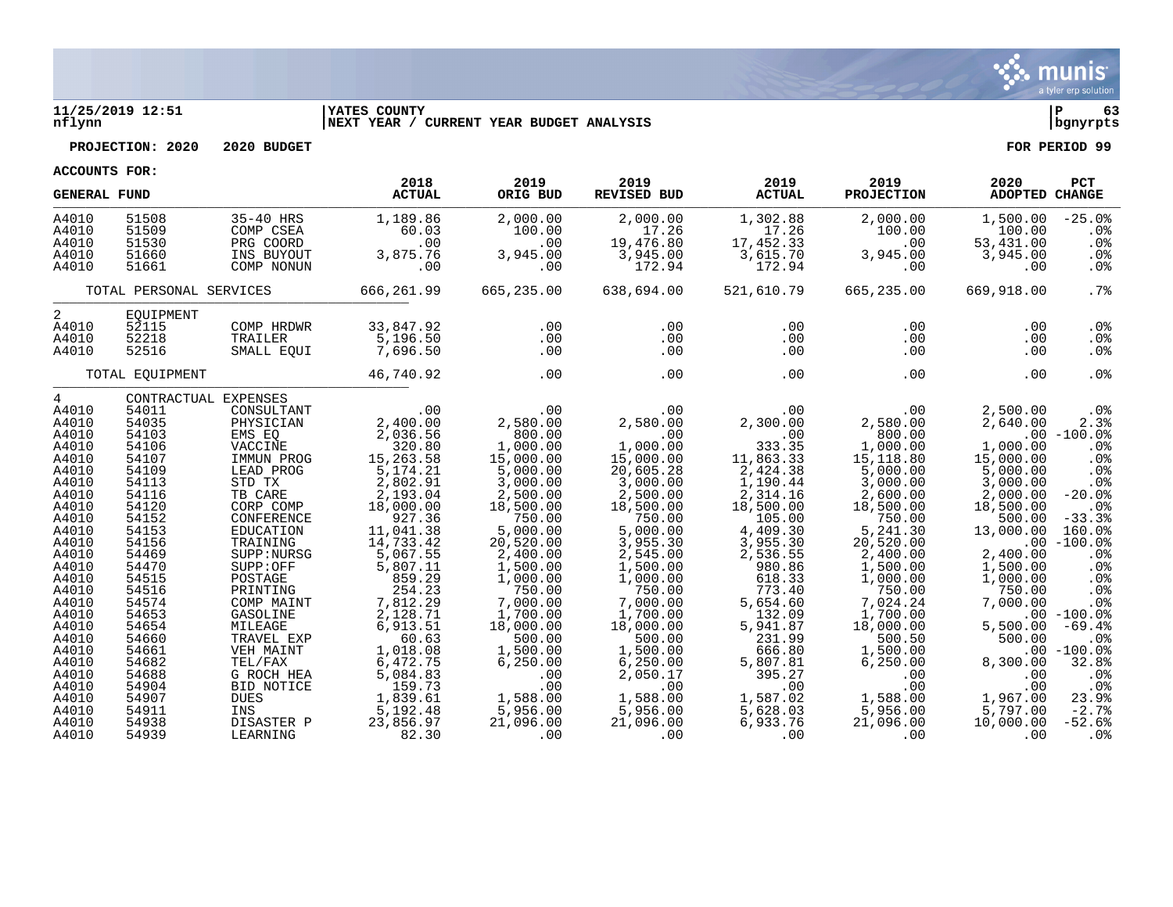

#### **11/25/2019 12:51 |YATES COUNTY |P 63 nflynn |NEXT YEAR / CURRENT YEAR BUDGET ANALYSIS |bgnyrpts**

**PROJECTION: 2020 2020 BUDGET FOR PERIOD 99**

| <b>GENERAL FUND</b>                                                                                                                                                               |                                                                                                                                                                |                                                                                                                                                                                                                                                     | 2018<br><b>ACTUAL</b>                                                                                                                                                                                         | 2019<br>ORIG BUD                                                                                                                                                                                             | 2019<br>REVISED BUD                                                                                                                                                                                                    | 2019<br><b>ACTUAL</b>                                                                                                                                                                            | 2019<br><b>PROJECTION</b>                                                                                                                                                                                    | 2020<br>ADOPTED CHANGE                                                                                                                                                          | PCT                                                                                                                                                                         |
|-----------------------------------------------------------------------------------------------------------------------------------------------------------------------------------|----------------------------------------------------------------------------------------------------------------------------------------------------------------|-----------------------------------------------------------------------------------------------------------------------------------------------------------------------------------------------------------------------------------------------------|---------------------------------------------------------------------------------------------------------------------------------------------------------------------------------------------------------------|--------------------------------------------------------------------------------------------------------------------------------------------------------------------------------------------------------------|------------------------------------------------------------------------------------------------------------------------------------------------------------------------------------------------------------------------|--------------------------------------------------------------------------------------------------------------------------------------------------------------------------------------------------|--------------------------------------------------------------------------------------------------------------------------------------------------------------------------------------------------------------|---------------------------------------------------------------------------------------------------------------------------------------------------------------------------------|-----------------------------------------------------------------------------------------------------------------------------------------------------------------------------|
| A4010<br>A4010<br>A4010<br>A4010<br>A4010                                                                                                                                         | 51508<br>51509<br>51530<br>51660<br>51661                                                                                                                      | 35-40 HRS<br>COMP CSEA<br>PRG COORD<br>INS BUYOUT<br>COMP NONUN                                                                                                                                                                                     | 1,189.86<br>60.03<br>.00<br>3,875.76<br>.00                                                                                                                                                                   | 2,000.00<br>100.00<br>.00<br>3,945.00<br>.00                                                                                                                                                                 | 2,000.00<br>17.26<br>19,476.80<br>3,945.00<br>172.94                                                                                                                                                                   | 1,302.88<br>17.26<br>17,452.33<br>3,615.70<br>172.94                                                                                                                                             | 2,000.00<br>100.00<br>.00<br>3,945.00<br>.00                                                                                                                                                                 | 1,500.00<br>100.00<br>53,431.00<br>3,945.00<br>.00                                                                                                                              | $-25.0%$<br>.0 <sub>8</sub><br>.0%<br>$.0\%$<br>.0%                                                                                                                         |
|                                                                                                                                                                                   | TOTAL PERSONAL SERVICES                                                                                                                                        |                                                                                                                                                                                                                                                     | 666,261.99                                                                                                                                                                                                    | 665,235.00                                                                                                                                                                                                   | 638,694.00                                                                                                                                                                                                             | 521,610.79                                                                                                                                                                                       | 665,235.00                                                                                                                                                                                                   | 669,918.00                                                                                                                                                                      | .7%                                                                                                                                                                         |
| 2<br>A4010<br>A4010<br>A4010                                                                                                                                                      | EQUIPMENT<br>52115<br>52218<br>52516                                                                                                                           | COMP HRDWR<br>TRAILER<br>SMALL EQUI                                                                                                                                                                                                                 | 33,847.92<br>5,196.50<br>7,696.50                                                                                                                                                                             | .00<br>.00<br>.00                                                                                                                                                                                            | .00<br>.00<br>.00                                                                                                                                                                                                      | .00<br>.00<br>.00                                                                                                                                                                                | .00<br>$.00 \,$<br>$.00 \,$                                                                                                                                                                                  | .00<br>.00<br>$.00 \,$                                                                                                                                                          | .0 <sub>8</sub><br>$.0\%$<br>$.0\%$                                                                                                                                         |
|                                                                                                                                                                                   | TOTAL EQUIPMENT                                                                                                                                                |                                                                                                                                                                                                                                                     | 46,740.92                                                                                                                                                                                                     | .00                                                                                                                                                                                                          | .00                                                                                                                                                                                                                    | .00                                                                                                                                                                                              | .00                                                                                                                                                                                                          | .00                                                                                                                                                                             | .0 <sup>8</sup>                                                                                                                                                             |
| $4\overline{ }$<br>A4010<br>A4010<br>A4010<br>A4010<br>A4010<br>A4010<br>A4010<br>A4010<br>A4010<br>A4010<br>A4010<br>A4010<br>A4010<br>A4010<br>A4010<br>A4010<br>A4010<br>A4010 | 54011<br>54035<br>54103<br>54106<br>54107<br>54109<br>54113<br>54116<br>54120<br>54152<br>54153<br>54156<br>54469<br>54470<br>54515<br>54516<br>54574<br>54653 | CONTRACTUAL EXPENSES<br>CONSULTANT<br>PHYSICIAN<br>EMS EQ<br>VACCINE<br>IMMUN PROG<br>LEAD PROG<br>STD TX<br>TB CARE<br>CORP COMP<br>CONFERENCE<br>EDUCATION<br>TRAINING<br>SUPP:NURSG<br>SUPP:OFF<br>POSTAGE<br>PRINTING<br>COMP MAINT<br>GASOLINE | .00<br>2,400.00<br>2,036.56<br>320.80<br>15,263.58<br>5, 174. 21<br>2,802.91<br>2,193.04<br>18,000.00<br>927.36<br>11,041.38<br>14,733.42<br>5,067.55<br>5,807.11<br>859.29<br>254.23<br>7,812.29<br>2,128.71 | .00<br>2,580.00<br>800.00<br>1,000.00<br>15,000.00<br>5,000.00<br>3,000.00<br>2,500.00<br>18,500.00<br>750.00<br>5,000.00<br>20,520.00<br>2,400.00<br>1,500.00<br>1,000.00<br>750.00<br>7,000.00<br>1,700.00 | .00<br>2,580.00<br>$\overline{100}$<br>1,000.00<br>15,000.00<br>20,605.28<br>3,000.00<br>2,500.00<br>18,500.00<br>750.00<br>5,000.00<br>3,955.30<br>2,545.00<br>1,500.00<br>1,000.00<br>750.00<br>7,000.00<br>1,700.00 | .00<br>2,300.00<br>.00<br>333.35<br>11,863.33<br>2,424.38<br>1,190.44<br>2,314.16<br>18,500.00<br>105.00<br>4,409.30<br>3,955.30<br>2,536.55<br>980.86<br>618.33<br>773.40<br>5,654.60<br>132.09 | .00<br>2,580.00<br>800.00<br>1,000.00<br>15,118.80<br>5,000.00<br>3,000.00<br>2,600.00<br>18,500.00<br>750.00<br>5,241.30<br>20,520.00<br>2,400.00<br>1,500.00<br>1,000.00<br>750.00<br>7,024.24<br>1,700.00 | 2,500.00<br>2,640.00<br>1,000.00<br>15,000.00<br>5,000.00<br>3,000.00<br>2.000.00<br>18,500.00<br>500.00<br>13,000.00<br>2,400.00<br>1,500.00<br>1,000.00<br>750.00<br>7,000.00 | $.0\%$<br>2.3%<br>$.00 - 100.0%$<br>.0%<br>.0%<br>.0%<br>.0%<br>$-20.0%$<br>.0%<br>$-33.3%$<br>160.0%<br>$.00 - 100.0%$<br>.0%<br>.0%<br>.0%<br>.0%<br>.0%<br>$.00 - 100.0$ |
| A4010<br>A4010<br>A4010<br>A4010<br>A4010<br>A4010<br>A4010<br>A4010<br>A4010<br>A4010                                                                                            | 54654<br>54660<br>54661<br>54682<br>54688<br>54904<br>54907<br>54911<br>54938<br>54939                                                                         | MILEAGE<br>TRAVEL EXP<br>VEH MAINT<br>TEL/FAX<br>G ROCH HEA<br>BID NOTICE<br><b>DUES</b><br>INS<br>DISASTER P<br>LEARNING                                                                                                                           | 6,913.51<br>60.63<br>1,018.08<br>6,472.75<br>5,084.83<br>159.73<br>1,839.61<br>5,192.48<br>23,856.97<br>82.30                                                                                                 | 18,000.00<br>500.00<br>1,500.00<br>6, 250.00<br>.00<br>.00<br>$1, 500$<br>5,956.00<br>21,096.00<br>.00                                                                                                       | 18,000.00<br>500.00<br>1,500.00<br>6, 250.00<br>2,050.17<br>.00<br>1,588.00<br>5,956.00<br>21,096.00<br>$\sim$ 00                                                                                                      | 5,941.87<br>231.99<br>666.80<br>5,807.81<br>395.27<br>.00<br>1,587.02<br>5,628.03<br>6,933.76<br>00 <sub>1</sub>                                                                                 | 18,000.00<br>500.50<br>1,500.00<br>6, 250.00<br>.00<br>.00<br>1,588.00<br>5,956.00<br>21,096.00<br>.00                                                                                                       | 5,500.00<br>500.00<br>8,300.00<br>.00<br>.00<br>1,967.00<br>5,797.00<br>10,000.00<br>.00                                                                                        | $-69.4%$<br>.0 <sub>8</sub><br>$.00 - 100.0$<br>32.8%<br>.0%<br>$.0\%$<br>23.9%<br>$-2.7%$<br>$-52.6%$<br>0 <sup>8</sup>                                                    |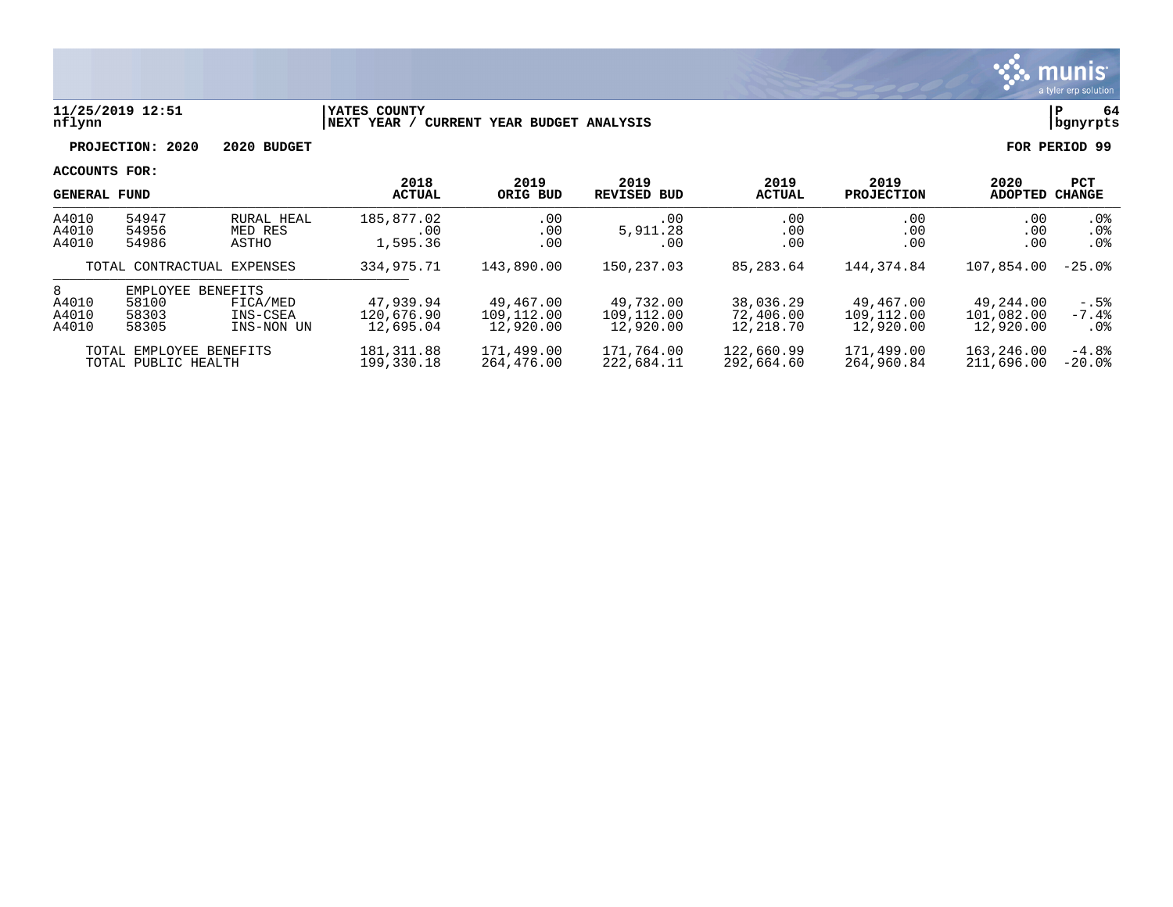

## **11/25/2019 12:51 |YATES COUNTY |P 64 nflynn |NEXT YEAR / CURRENT YEAR BUDGET ANALYSIS |bgnyrpts**

**PROJECTION: 2020 2020 BUDGET FOR PERIOD 99**

|                         | <b>GENERAL FUND</b>                            |                                    | 2018<br><b>ACTUAL</b>                | 2019<br>ORIG BUD                     | 2019<br><b>REVISED BUD</b>           | 2019<br><b>ACTUAL</b>               | 2019<br><b>PROJECTION</b>            | 2020<br><b>ADOPTED</b>               | <b>PCT</b><br><b>CHANGE</b>      |
|-------------------------|------------------------------------------------|------------------------------------|--------------------------------------|--------------------------------------|--------------------------------------|-------------------------------------|--------------------------------------|--------------------------------------|----------------------------------|
| A4010<br>A4010<br>A4010 | 54947<br>54956<br>54986                        | RURAL HEAL<br>MED RES<br>ASTHO     | 185,877.02<br>.00<br>1,595.36        | .00<br>.00<br>.00                    | .00<br>5,911.28<br>.00               | .00<br>.00<br>.00                   | .00<br>.00<br>.00                    | .00<br>.00<br>.00                    | $.0\%$<br>.0%<br>.0 <sub>8</sub> |
|                         | TOTAL CONTRACTUAL EXPENSES                     |                                    | 334,975.71                           | 143,890.00                           | 150,237.03                           | 85,283.64                           | 144,374.84                           | 107,854.00                           | $-25.0%$                         |
| 8                       | EMPLOYEE                                       | <b>BENEFITS</b>                    |                                      |                                      |                                      |                                     |                                      |                                      |                                  |
| A4010<br>A4010<br>A4010 | 58100<br>58303<br>58305                        | FICA/MED<br>INS-CSEA<br>INS-NON UN | 47,939.94<br>120,676.90<br>12,695.04 | 49,467.00<br>109,112.00<br>12,920.00 | 49,732.00<br>109,112.00<br>12,920.00 | 38,036.29<br>72,406.00<br>12,218.70 | 49,467.00<br>109,112.00<br>12,920.00 | 49,244.00<br>101,082.00<br>12,920.00 | $-.5%$<br>$-7.4%$<br>$.0\%$      |
|                         | TOTAL EMPLOYEE BENEFITS<br>TOTAL PUBLIC HEALTH |                                    | 181, 311.88<br>199,330.18            | 171,499.00<br>264,476.00             | 171,764.00<br>222,684.11             | 122,660.99<br>292,664.60            | 171,499.00<br>264,960.84             | 163,246.00<br>211,696.00             | $-4.8%$<br>$-20.0$ °             |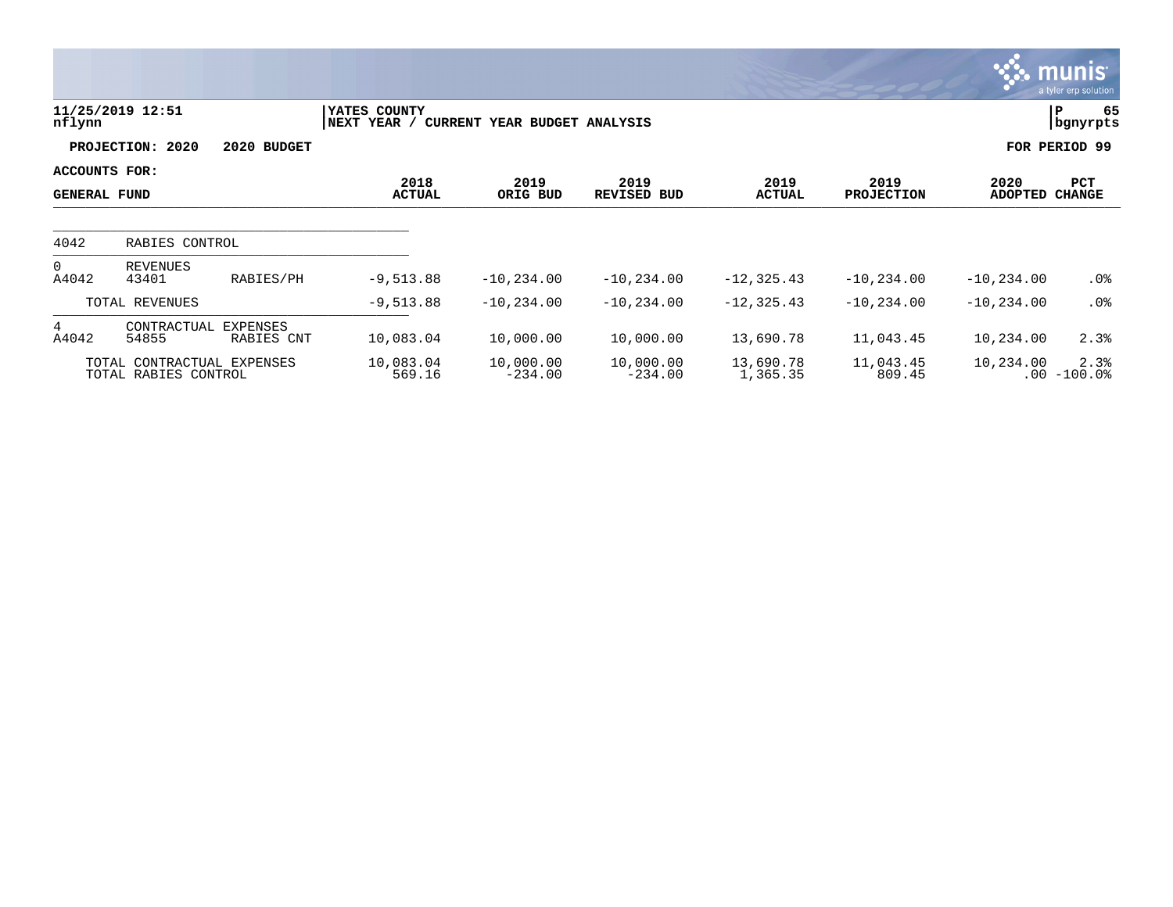|                                      |                                                    |                        |                              |                              |                            |                       |                           |                        | <b>munis</b><br>a tyler erp solution |
|--------------------------------------|----------------------------------------------------|------------------------|------------------------------|------------------------------|----------------------------|-----------------------|---------------------------|------------------------|--------------------------------------|
| nflynn                               | 11/25/2019 12:51                                   |                        | YATES COUNTY<br> NEXT YEAR / | CURRENT YEAR BUDGET ANALYSIS |                            |                       |                           |                        | P<br>65<br>  bgnyrpts                |
|                                      | PROJECTION: 2020                                   | 2020 BUDGET            |                              |                              |                            |                       |                           |                        | FOR PERIOD 99                        |
| ACCOUNTS FOR:<br><b>GENERAL FUND</b> |                                                    |                        | 2018<br><b>ACTUAL</b>        | 2019<br>ORIG BUD             | 2019<br><b>REVISED BUD</b> | 2019<br><b>ACTUAL</b> | 2019<br><b>PROJECTION</b> | 2020<br><b>ADOPTED</b> | PCT<br><b>CHANGE</b>                 |
| 4042                                 | RABIES CONTROL                                     |                        |                              |                              |                            |                       |                           |                        |                                      |
| $\overline{0}$<br>A4042              | REVENUES<br>43401                                  | RABIES/PH              | $-9,513.88$                  | $-10, 234.00$                | $-10, 234.00$              | $-12, 325.43$         | $-10, 234.00$             | $-10, 234.00$          | .0%                                  |
|                                      | TOTAL REVENUES                                     |                        | $-9,513.88$                  | $-10, 234.00$                | $-10,234.00$               | $-12, 325.43$         | $-10, 234.00$             | $-10, 234.00$          | .0%                                  |
| 4<br>A4042                           | CONTRACTUAL<br>54855                               | EXPENSES<br>RABIES CNT | 10,083.04                    | 10,000.00                    | 10,000.00                  | 13,690.78             | 11,043.45                 | 10,234.00              | 2.3%                                 |
|                                      | TOTAL CONTRACTUAL EXPENSES<br>TOTAL RABIES CONTROL |                        | 10,083.04<br>569.16          | 10,000.00<br>$-234.00$       | 10,000.00<br>$-234.00$     | 13,690.78<br>1,365.35 | 11,043.45<br>809.45       | 10,234.00              | 2.3%<br>$.00 - 100.0$                |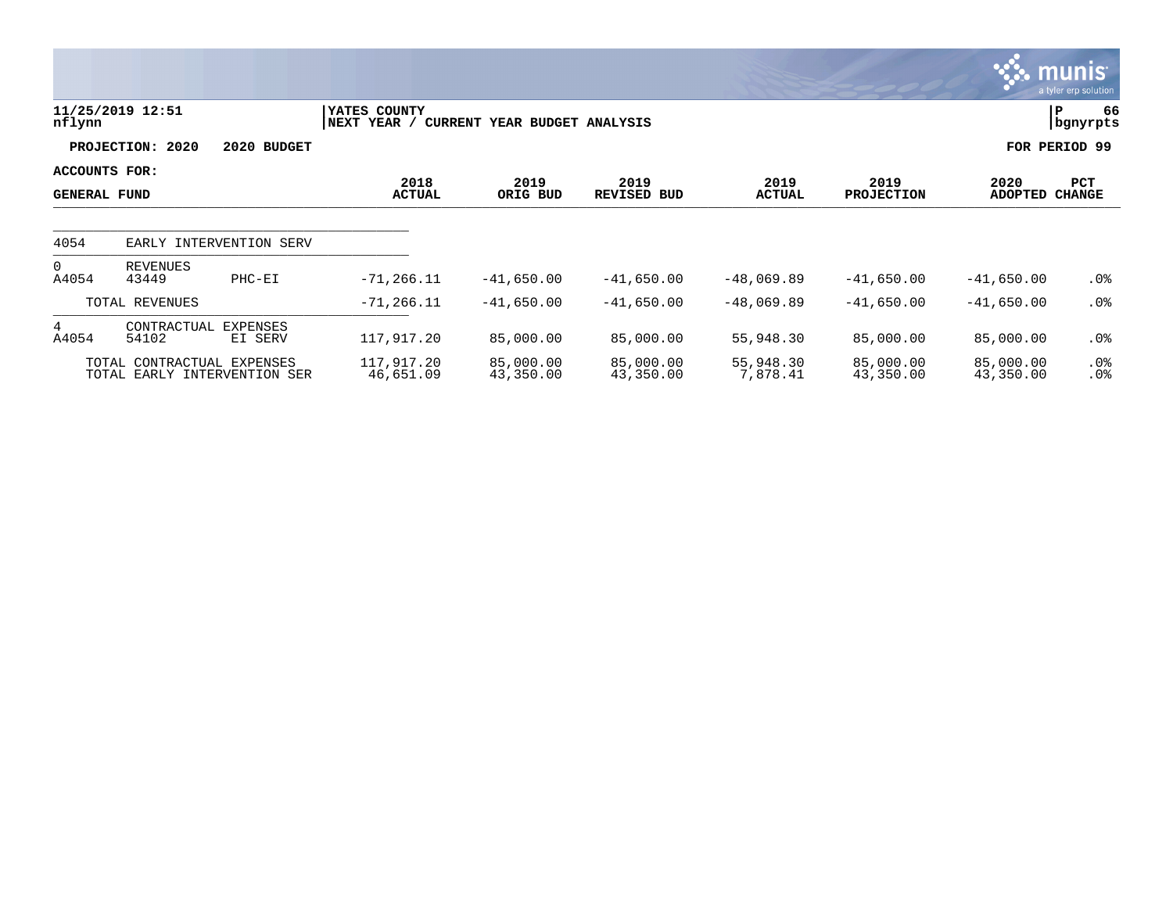|                                      |                                                            |                            |                             |                              |                        |                       |                           |                        | <b>munis</b><br>a tyler erp solution |
|--------------------------------------|------------------------------------------------------------|----------------------------|-----------------------------|------------------------------|------------------------|-----------------------|---------------------------|------------------------|--------------------------------------|
| nflynn                               | 11/25/2019 12:51                                           |                            | YATES COUNTY<br>NEXT YEAR / | CURRENT YEAR BUDGET ANALYSIS |                        |                       |                           |                        | 66<br>P<br>bgnyrpts                  |
|                                      | PROJECTION: 2020                                           | 2020 BUDGET                |                             |                              |                        |                       |                           |                        | FOR PERIOD 99                        |
| ACCOUNTS FOR:<br><b>GENERAL FUND</b> |                                                            |                            | 2018<br><b>ACTUAL</b>       | 2019<br>ORIG BUD             | 2019<br>REVISED BUD    | 2019<br><b>ACTUAL</b> | 2019<br><b>PROJECTION</b> | 2020<br><b>ADOPTED</b> | PCT<br><b>CHANGE</b>                 |
| 4054                                 |                                                            | EARLY INTERVENTION SERV    |                             |                              |                        |                       |                           |                        |                                      |
| $\Omega$<br>A4054                    | REVENUES<br>43449                                          | $PHC-EI$                   | $-71, 266.11$               | $-41,650.00$                 | $-41,650.00$           | $-48,069.89$          | $-41,650.00$              | $-41,650.00$           | $.0\%$                               |
|                                      | TOTAL REVENUES                                             |                            | $-71, 266.11$               | $-41,650.00$                 | $-41,650.00$           | $-48,069.89$          | $-41,650.00$              | $-41,650.00$           | $.0\%$                               |
| 4<br>A4054                           | CONTRACTUAL<br>54102                                       | <b>EXPENSES</b><br>EI SERV | 117,917.20                  | 85,000.00                    | 85,000.00              | 55,948.30             | 85,000.00                 | 85,000.00              | $.0\%$                               |
|                                      | TOTAL CONTRACTUAL EXPENSES<br>TOTAL EARLY INTERVENTION SER |                            | 117,917.20<br>46,651.09     | 85,000.00<br>43,350.00       | 85,000.00<br>43,350.00 | 55,948.30<br>7,878.41 | 85,000.00<br>43,350.00    | 85,000.00<br>43,350.00 | $.0\%$<br>$.0\%$                     |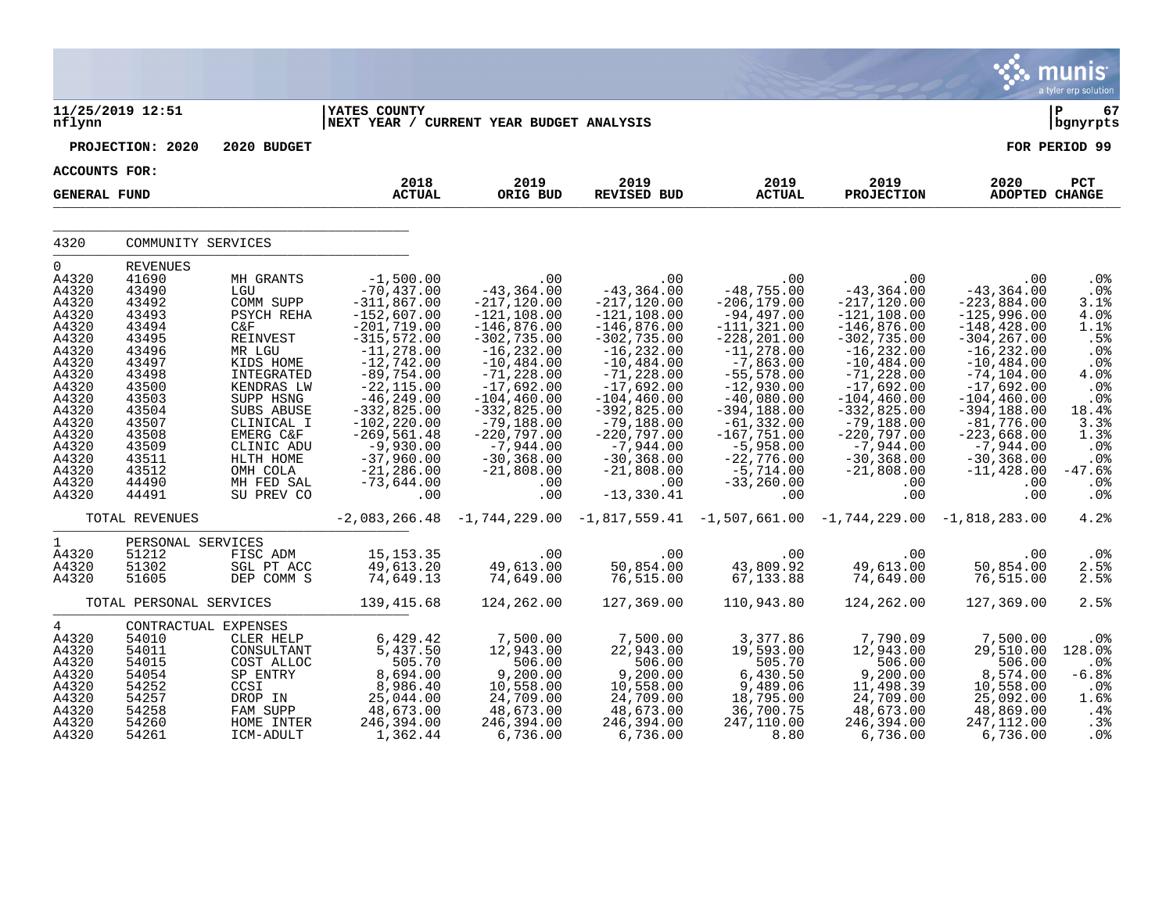|                                                                                                                                                                                           |                                                                                                                                                                                            |                                                                                                                                                                                                                                            |                                                                                                                                                                                                                                                                                                                  |                                                                                                                                                                                                                                                                                               |                                                                                                                                                                                                                                                                                                        |                                                                                                                                                                                                                                                                                                      |                                                                                                                                                                                                                                                                                                      |                                                                                                                                                                                                                                                                                                   | <b>W. munis</b><br>a tyler erp solution                                                                                                                      |
|-------------------------------------------------------------------------------------------------------------------------------------------------------------------------------------------|--------------------------------------------------------------------------------------------------------------------------------------------------------------------------------------------|--------------------------------------------------------------------------------------------------------------------------------------------------------------------------------------------------------------------------------------------|------------------------------------------------------------------------------------------------------------------------------------------------------------------------------------------------------------------------------------------------------------------------------------------------------------------|-----------------------------------------------------------------------------------------------------------------------------------------------------------------------------------------------------------------------------------------------------------------------------------------------|--------------------------------------------------------------------------------------------------------------------------------------------------------------------------------------------------------------------------------------------------------------------------------------------------------|------------------------------------------------------------------------------------------------------------------------------------------------------------------------------------------------------------------------------------------------------------------------------------------------------|------------------------------------------------------------------------------------------------------------------------------------------------------------------------------------------------------------------------------------------------------------------------------------------------------|---------------------------------------------------------------------------------------------------------------------------------------------------------------------------------------------------------------------------------------------------------------------------------------------------|--------------------------------------------------------------------------------------------------------------------------------------------------------------|
| nflynn                                                                                                                                                                                    | 11/25/2019 12:51                                                                                                                                                                           |                                                                                                                                                                                                                                            | <b>IYATES COUNTY</b><br>NEXT YEAR / CURRENT YEAR BUDGET ANALYSIS                                                                                                                                                                                                                                                 |                                                                                                                                                                                                                                                                                               |                                                                                                                                                                                                                                                                                                        |                                                                                                                                                                                                                                                                                                      |                                                                                                                                                                                                                                                                                                      |                                                                                                                                                                                                                                                                                                   | l P<br>67<br>  bgnyrpts                                                                                                                                      |
|                                                                                                                                                                                           | PROJECTION: 2020                                                                                                                                                                           | 2020 BUDGET                                                                                                                                                                                                                                |                                                                                                                                                                                                                                                                                                                  |                                                                                                                                                                                                                                                                                               |                                                                                                                                                                                                                                                                                                        |                                                                                                                                                                                                                                                                                                      |                                                                                                                                                                                                                                                                                                      |                                                                                                                                                                                                                                                                                                   | FOR PERIOD 99                                                                                                                                                |
|                                                                                                                                                                                           | ACCOUNTS FOR:                                                                                                                                                                              |                                                                                                                                                                                                                                            |                                                                                                                                                                                                                                                                                                                  |                                                                                                                                                                                                                                                                                               |                                                                                                                                                                                                                                                                                                        |                                                                                                                                                                                                                                                                                                      |                                                                                                                                                                                                                                                                                                      |                                                                                                                                                                                                                                                                                                   |                                                                                                                                                              |
| <b>GENERAL FUND</b>                                                                                                                                                                       |                                                                                                                                                                                            |                                                                                                                                                                                                                                            | 2018<br><b>ACTUAL</b>                                                                                                                                                                                                                                                                                            | 2019<br>ORIG BUD                                                                                                                                                                                                                                                                              | 2019<br><b>REVISED BUD</b>                                                                                                                                                                                                                                                                             | 2019<br><b>ACTUAL</b>                                                                                                                                                                                                                                                                                | 2019<br><b>PROJECTION</b>                                                                                                                                                                                                                                                                            | 2020<br><b>ADOPTED CHANGE</b>                                                                                                                                                                                                                                                                     | PCT                                                                                                                                                          |
| 4320                                                                                                                                                                                      | COMMUNITY SERVICES                                                                                                                                                                         |                                                                                                                                                                                                                                            |                                                                                                                                                                                                                                                                                                                  |                                                                                                                                                                                                                                                                                               |                                                                                                                                                                                                                                                                                                        |                                                                                                                                                                                                                                                                                                      |                                                                                                                                                                                                                                                                                                      |                                                                                                                                                                                                                                                                                                   |                                                                                                                                                              |
| $\overline{0}$<br>A4320<br>A4320<br>A4320<br>A4320<br>A4320<br>A4320<br>A4320<br>A4320<br>A4320<br>A4320<br>A4320<br>A4320<br>A4320<br>A4320<br>A4320<br>A4320<br>A4320<br>A4320<br>A4320 | <b>REVENUES</b><br>41690<br>43490<br>43492<br>43493<br>43494<br>43495<br>43496<br>43497<br>43498<br>43500<br>43503<br>43504<br>43507<br>43508<br>43509<br>43511<br>43512<br>44490<br>44491 | MH GRANTS<br>LGU<br>COMM SUPP<br>PSYCH REHA<br>C&F<br>REINVEST<br>MR LGU<br>KIDS HOME<br>INTEGRATED<br>KENDRAS LW<br>SUPP HSNG<br>SUBS ABUSE<br>CLINICAL I<br>EMERG C&F<br>CLINIC ADU<br>HLTH HOME<br>OMH COLA<br>MH FED SAL<br>SU PREV CO | $-1,500.00$<br>$-70, 437.00$<br>$-311,867.00$<br>$-152,607.00$<br>$-201, 719.00$<br>$-315,572.00$<br>$-11, 278.00$<br>$-12,742.00$<br>$-89,754.00$<br>$-22, 115.00$<br>$-46, 249.00$<br>$-332,825.00$<br>$-102, 220.00$<br>$-269, 561.48$<br>$-9,930.00$<br>$-37,960.00$<br>$-21, 286.00$<br>$-73,644.00$<br>.00 | .00<br>$-43, 364.00$<br>$-217, 120.00$<br>$-121, 108.00$<br>$-146,876.00$<br>$-302,735.00$<br>$-16, 232.00$<br>$-10, 484.00$<br>$-71, 228.00$<br>$-17,692.00$<br>$-104, 460.00$<br>$-332,825.00$<br>$-79,188.00$<br>$-220,797.00$<br>-7,944.00<br>$-30, 368.00$<br>$-21,808.00$<br>.00<br>.00 | .00<br>$-43,364.00$<br>$-217, 120.00$<br>$-121, 108.00$<br>$-146,876.00$<br>$-302,735.00$<br>$-16, 232.00$<br>$-10, 484.00$<br>$-71, 228.00$<br>$-17,692.00$<br>$-104, 460.00$<br>$-392,825.00$<br>$-79,188.00$<br>$-220,797.00$<br>-7,944.00<br>$-30, 368.00$<br>$-21,808.00$<br>.00<br>$-13, 330.41$ | .00<br>$-48,755.00$<br>$-206, 179.00$<br>$-94,497.00$<br>$-111, 321.00$<br>$-228, 201.00$<br>$-11, 278.00$<br>$-7,863.00$<br>$-55, 578.00$<br>$-12,930.00$<br>$-40,080.00$<br>$-394, 188.00$<br>$-61, 332.00$<br>$-167,751.00$<br>$-5,958.00$<br>$-22,776.00$<br>$-5,714.00$<br>$-33, 260.00$<br>.00 | .00<br>$-43,364.00$<br>$-217, 120.00$<br>$-121, 108.00$<br>$-146,876.00$<br>$-302, 735.00$<br>$-16, 232.00$<br>$-10, 484.00$<br>$-71, 228.00$<br>$-17,692.00$<br>$-104, 460.00$<br>$-332,825.00$<br>$-79,188.00$<br>$-220,797.00$<br>$-7,944.00$<br>$-30, 368.00$<br>$-21,808.00$<br>$.00 \,$<br>.00 | .00<br>$-43, 364.00$<br>$-223,884.00$<br>$-125,996.00$<br>$-148, 428.00$<br>$-304, 267, 00$<br>$-16, 232.00$<br>$-10, 484.00$<br>$-74, 104.00$<br>$-17,692.00$<br>$-104, 460.00$<br>$-394, 188.00$<br>$-81,776.00$<br>$-223,668.00$<br>$-7,944.00$<br>$-30, 368.00$<br>$-11,428.00$<br>.00<br>.00 | .0%<br>.0%<br>3.1%<br>4.0%<br>1.1%<br>.5%<br>.0%<br>.0%<br>4.0%<br>.0%<br>.0%<br>18.4%<br>3.3%<br>1.3%<br>.0 <sub>8</sub><br>.0%<br>$-47.6%$<br>. 0 %<br>.0% |
|                                                                                                                                                                                           | TOTAL REVENUES                                                                                                                                                                             |                                                                                                                                                                                                                                            |                                                                                                                                                                                                                                                                                                                  |                                                                                                                                                                                                                                                                                               | $-2,083,266.48$ $-1,744,229.00$ $-1,817,559.41$ $-1,507,661.00$ $-1,744,229.00$ $-1,818,283.00$                                                                                                                                                                                                        |                                                                                                                                                                                                                                                                                                      |                                                                                                                                                                                                                                                                                                      |                                                                                                                                                                                                                                                                                                   | 4.2%                                                                                                                                                         |
| $\mathbf{1}$<br>A4320<br>A4320<br>A4320                                                                                                                                                   | PERSONAL SERVICES<br>51212<br>51302<br>51605                                                                                                                                               | FISC ADM<br>SGL PT ACC<br>DEP COMM S                                                                                                                                                                                                       | 15, 153. 35<br>49,613.20<br>74,649.13                                                                                                                                                                                                                                                                            | .00<br>49,613.00<br>74,649.00                                                                                                                                                                                                                                                                 | .00<br>50,854.00<br>76,515.00                                                                                                                                                                                                                                                                          | .00<br>43,809.92<br>67,133.88                                                                                                                                                                                                                                                                        | .00<br>49,613.00<br>74,649.00                                                                                                                                                                                                                                                                        | .00<br>50,854.00<br>76,515.00                                                                                                                                                                                                                                                                     | .0%<br>2.5%<br>2.5%                                                                                                                                          |
|                                                                                                                                                                                           | TOTAL PERSONAL SERVICES                                                                                                                                                                    |                                                                                                                                                                                                                                            | 139, 415.68                                                                                                                                                                                                                                                                                                      | 124,262.00                                                                                                                                                                                                                                                                                    | 127,369.00                                                                                                                                                                                                                                                                                             | 110,943.80                                                                                                                                                                                                                                                                                           | 124,262.00                                                                                                                                                                                                                                                                                           | 127,369.00                                                                                                                                                                                                                                                                                        | 2.5%                                                                                                                                                         |
| $4\overline{ }$<br>A4320<br>A4320<br>A4320<br>A4320<br>A4320<br>A4320<br>A4320<br>A4320<br>A4320                                                                                          | CONTRACTUAL EXPENSES<br>54010<br>54011<br>54015<br>54054<br>54252<br>54257<br>54258<br>54260<br>54261                                                                                      | CLER HELP<br>CONSULTANT<br>COST ALLOC<br>SP ENTRY<br>CCSI<br>DROP IN<br>FAM SUPP<br>HOME INTER<br>ICM-ADULT                                                                                                                                | 6,429.42<br>5,437.50<br>505.70<br>8,694.00<br>8,986.40<br>25,044.00<br>48,673.00<br>246,394.00<br>1,362.44                                                                                                                                                                                                       | 7,500.00<br>12,943.00<br>506.00<br>9,200.00<br>10,558.00<br>24,709.00<br>48,673.00<br>246,394.00<br>6,736.00                                                                                                                                                                                  | 7,500.00<br>22,943.00<br>506.00<br>9,200.00<br>10,558.00<br>24,709.00<br>48,673.00<br>246,394.00<br>6,736.00                                                                                                                                                                                           | 3,377.86<br>19,593.00<br>505.70<br>6,430.50<br>9,489.06<br>18,795.00<br>36,700.75<br>247,110.00<br>8.80                                                                                                                                                                                              | 7,790.09<br>12,943.00<br>506.00<br>9,200.00<br>11,498.39<br>24,709.00<br>48,673.00<br>246,394.00<br>6,736.00                                                                                                                                                                                         | 7,500.00<br>29,510.00<br>506.00<br>8,574.00<br>10,558.00<br>25,092.00<br>48,869.00<br>247,112.00<br>6,736.00                                                                                                                                                                                      | .0%<br>128.0%<br>. 0 %<br>$-6.8%$<br>$.0\%$<br>1.6%<br>$.4\%$<br>.3%<br>.0%                                                                                  |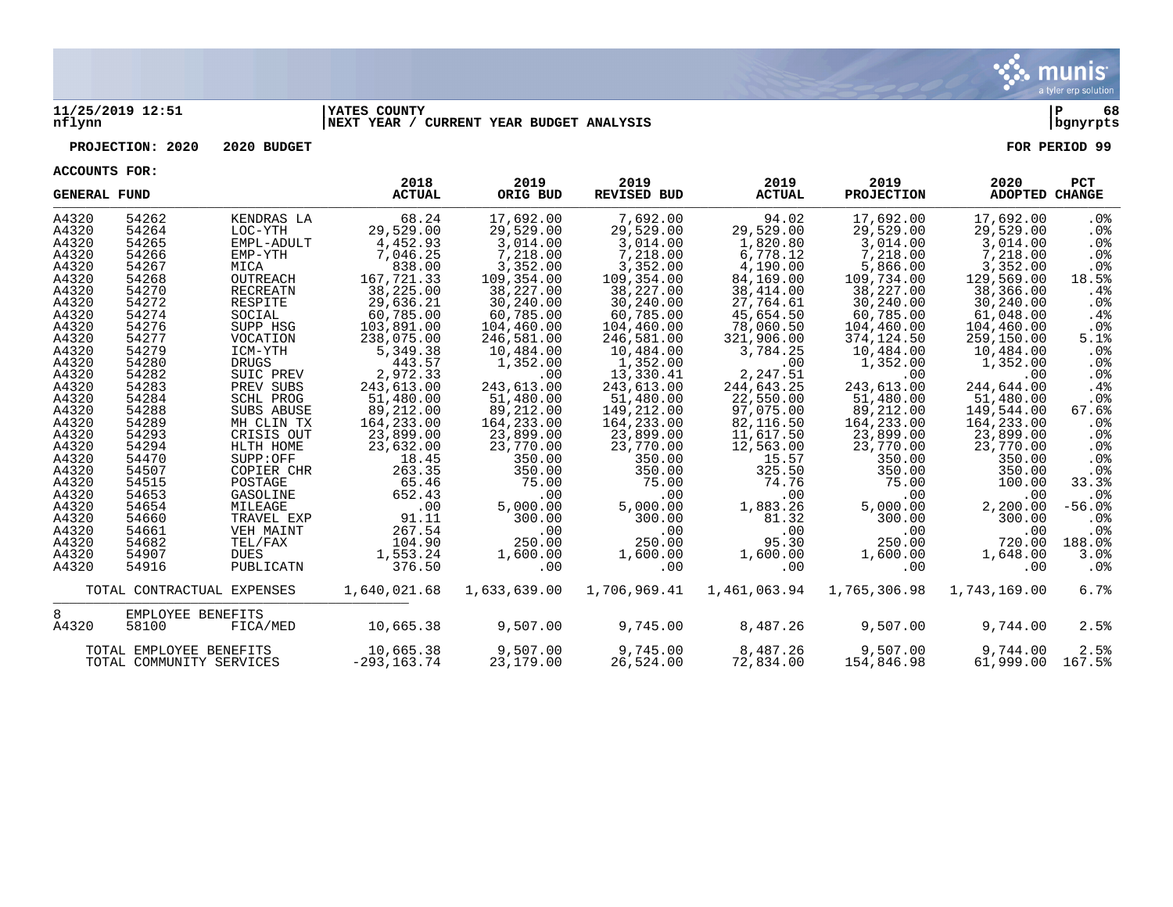

#### **11/25/2019 12:51 |YATES COUNTY |P 68 nflynn |NEXT YEAR / CURRENT YEAR BUDGET ANALYSIS |bgnyrpts**

**PROJECTION: 2020 2020 BUDGET FOR PERIOD 99**

| <b>GENERAL FUND</b> |                          |                            | 2018<br><b>ACTUAL</b> | 2019<br>ORIG BUD | 2019<br><b>REVISED BUD</b> | 2019<br><b>ACTUAL</b> | 2019<br><b>PROJECTION</b> | 2020<br>ADOPTED CHANGE | <b>PCT</b>      |
|---------------------|--------------------------|----------------------------|-----------------------|------------------|----------------------------|-----------------------|---------------------------|------------------------|-----------------|
| A4320               | 54262                    | KENDRAS LA                 | 68.24                 | 17,692.00        | 7,692.00                   | 94.02                 | 17,692.00                 | 17,692.00              | . 0 %           |
| A4320               | 54264                    | LOC-YTH                    | 29,529.00             | 29,529.00        | 29,529.00                  | 29,529.00             | 29,529.00                 | 29,529.00              | $.0\%$          |
| A4320               | 54265                    | EMPL-ADULT                 | 4,452.93              | 3,014.00         | 3,014.00                   | 1,820.80              | 3,014.00                  | 3,014.00               | $.0\%$          |
| A4320               | 54266                    | EMP-YTH                    | 7,046.25              | 7,218.00         | 7,218.00                   | 6,778.12              | 7,218.00                  | 7,218.00               | .0 <sub>8</sub> |
| A4320               | 54267                    | MICA                       | 838.00                | 3,352.00         | 3,352.00                   | 4,190.00              | 5,866.00                  | 3,352.00               | .0%             |
| A4320               | 54268                    | OUTREACH                   | 167,721.33            | 109,354.00       | 109,354.00                 | 84,169.00             | 109,734.00                | 129,569.00             | 18.5%           |
| A4320               | 54270                    | RECREATN                   | 38,225.00             | 38,227.00        | 38,227.00                  | 38,414.00             | 38,227.00                 | 38,366.00              | .4%             |
| A4320               | 54272                    | RESPITE                    | 29,636.21             | 30,240.00        | 30,240.00                  | 27,764.61             | 30,240.00                 | 30,240.00              | $.0\%$          |
| A4320               | 54274                    | SOCIAL                     | 60,785.00             | 60,785.00        | 60,785.00                  | 45,654.50             | 60,785.00                 | 61,048.00              | .4%             |
| A4320               | 54276                    | SUPP HSG                   | 103,891.00            | 104,460.00       | 104,460.00                 | 78,060.50             | 104,460.00                | 104,460.00             | $.0\%$          |
| A4320               | 54277                    | VOCATION                   | 238,075.00            | 246,581.00       | 246,581.00                 | 321,906.00            | 374,124.50                | 259,150.00             | 5.1%            |
| A4320               | 54279                    | ICM-YTH                    | 5,349.38              | 10,484.00        | 10,484.00                  | 3,784.25              | 10,484.00                 | 10,484.00              | $.0\%$          |
| A4320               | 54280                    | <b>DRUGS</b>               | 443.57                | 1,352.00         | 1,352.00                   | .00                   | 1,352.00                  | 1,352.00               | .0%             |
| A4320               | 54282                    | SUIC PREV                  | 2,972.33              | .00              | 13,330.41                  | 2,247.51              | .00                       | .00                    | $.0\%$          |
| A4320               | 54283                    | PREV SUBS                  | 243,613.00            | 243,613.00       | 243,613.00                 | 244,643.25            | 243,613.00                | 244,644.00             | .4%             |
| A4320               | 54284                    | SCHL PROG                  | 51,480.00             | 51,480.00        | 51,480.00                  | 22,550.00             | 51,480.00                 | 51,480.00              | $.0\%$          |
| A4320               | 54288                    | SUBS ABUSE                 | 89,212.00             | 89,212.00        | 149,212.00                 | 97,075.00             | 89,212.00                 | 149,544.00             | 67.6%           |
| A4320               | 54289                    | MH CLIN TX                 | 164,233.00            | 164,233.00       | 164,233.00                 | 82,116.50             | 164,233.00                | 164,233.00             | $.0\%$          |
| A4320               | 54293                    | CRISIS OUT                 | 23,899.00             | 23,899.00        | 23,899.00                  | 11,617.50             | 23,899.00                 | 23,899.00              | .0%             |
| A4320               | 54294                    | HLTH HOME                  | 23,632.00             | 23,770.00        | 23,770.00                  | 12,563.00             | 23,770.00                 | 23,770.00              | .0 <sub>8</sub> |
| A4320               | 54470                    | SUPP:OFF                   | 18.45                 | 350.00           | 350.00                     | 15.57                 | 350.00                    | 350.00                 | $.0\%$          |
| A4320               | 54507                    | COPIER CHR                 | 263.35                | 350.00           | 350.00                     | 325.50                | 350.00                    | 350.00                 | $.0\%$          |
| A4320               | 54515                    | POSTAGE                    | 65.46                 | 75.00            | 75.00                      | 74.76                 | 75.00                     | 100.00                 | 33.3%           |
| A4320               | 54653                    | GASOLINE                   | 652.43                | .00              | .00                        | .00                   | $.00 \,$                  | .00                    | . 0 %           |
| A4320               | 54654                    | MILEAGE                    | .00                   | 5,000.00         | 5,000.00                   | 1,883.26              | 5,000.00                  | 2,200.00               | $-56.0%$        |
| A4320               | 54660                    | TRAVEL EXP                 | 91.11                 | 300.00           | 300.00                     | 81.32                 | 300.00                    | 300.00                 | .0 <sub>8</sub> |
| A4320               | 54661                    | VEH MAINT                  | 267.54                | .00              | .00                        | .00                   | .00                       | .00                    | $.0\%$          |
| A4320               | 54682                    | TEL/FAX                    | 104.90                | 250.00           | 250.00                     | 95.30                 | 250.00                    | 720.00                 | 188.0%          |
| A4320<br>A4320      | 54907<br>54916           | <b>DUES</b><br>PUBLICATN   | 1,553.24<br>376.50    | 1,600.00<br>.00  | 1,600.00<br>.00            | 1,600.00<br>.00       | 1,600.00<br>$.00 \,$      | 1,648.00<br>.00        | 3.0%<br>$.0\%$  |
|                     |                          |                            |                       |                  |                            |                       |                           |                        |                 |
|                     |                          | TOTAL CONTRACTUAL EXPENSES | 1,640,021.68          | 1,633,639.00     | 1,706,969.41               | 1,461,063.94          | 1,765,306.98              | 1,743,169.00           | 6.7%            |
| 8                   | EMPLOYEE BENEFITS        |                            |                       |                  |                            |                       |                           |                        |                 |
| A4320               | 58100                    | FICA/MED                   | 10,665.38             | 9,507.00         | 9,745.00                   | 8,487.26              | 9,507.00                  | 9,744.00               | 2.5%            |
|                     |                          |                            |                       |                  |                            |                       |                           |                        |                 |
|                     | TOTAL EMPLOYEE BENEFITS  |                            | 10,665.38             | 9,507.00         | 9,745.00                   | 8,487.26              | 9,507.00                  | 9,744.00               | 2.5%            |
|                     | TOTAL COMMUNITY SERVICES |                            | $-293, 163.74$        | 23,179.00        | 26,524.00                  | 72,834.00             | 154,846.98                | 61,999.00              | 167.5%          |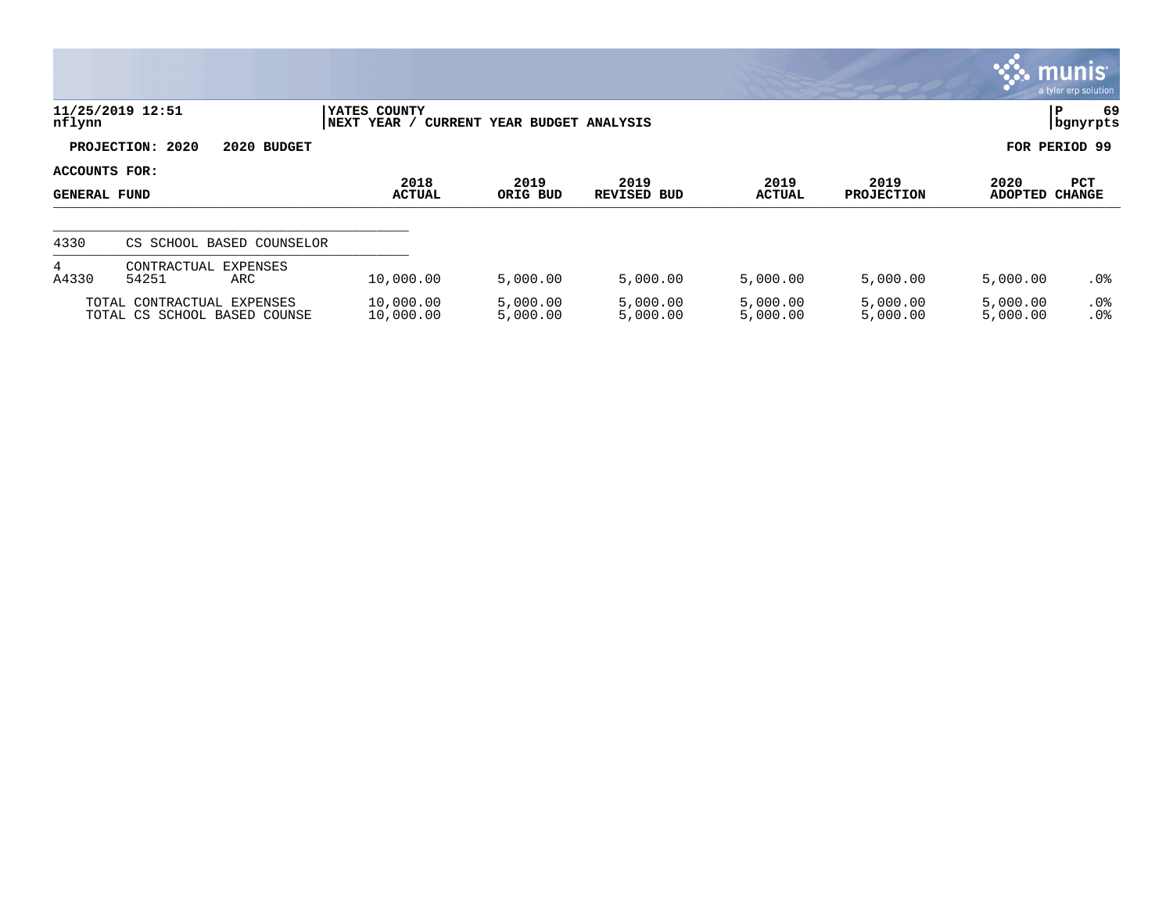|                                      |                                                            |                             |                              |                      |                       |                           | $\mathbf{33.}$ munis $\mathbf{8.}$ | a tyler erp solution |
|--------------------------------------|------------------------------------------------------------|-----------------------------|------------------------------|----------------------|-----------------------|---------------------------|------------------------------------|----------------------|
| nflynn                               | 11/25/2019 12:51                                           | YATES COUNTY<br>NEXT YEAR / | CURRENT YEAR BUDGET ANALYSIS |                      |                       |                           | P                                  | 69<br>  bgnyrpts     |
|                                      | PROJECTION: 2020<br>2020 BUDGET                            |                             |                              |                      |                       |                           | FOR PERIOD 99                      |                      |
| ACCOUNTS FOR:<br><b>GENERAL FUND</b> |                                                            | 2018<br><b>ACTUAL</b>       | 2019<br>ORIG BUD             | 2019<br>REVISED BUD  | 2019<br><b>ACTUAL</b> | 2019<br><b>PROJECTION</b> | 2020<br><b>ADOPTED</b>             | PCT<br>CHANGE        |
| 4330                                 | CS SCHOOL BASED COUNSELOR                                  |                             |                              |                      |                       |                           |                                    |                      |
| 4<br>A4330                           | <b>EXPENSES</b><br>CONTRACTUAL<br>54251<br>ARC             | 10,000.00                   | 5,000.00                     | 5,000.00             | 5,000.00              | 5,000.00                  | 5,000.00                           | .0%                  |
|                                      | TOTAL CONTRACTUAL EXPENSES<br>TOTAL CS SCHOOL BASED COUNSE | 10,000.00<br>10,000.00      | 5,000.00<br>5,000.00         | 5,000.00<br>5,000.00 | 5,000.00<br>5,000.00  | 5,000.00<br>5,000.00      | 5,000.00<br>5,000.00               | $.0\%$<br>.0%        |

 $\mathcal{L}$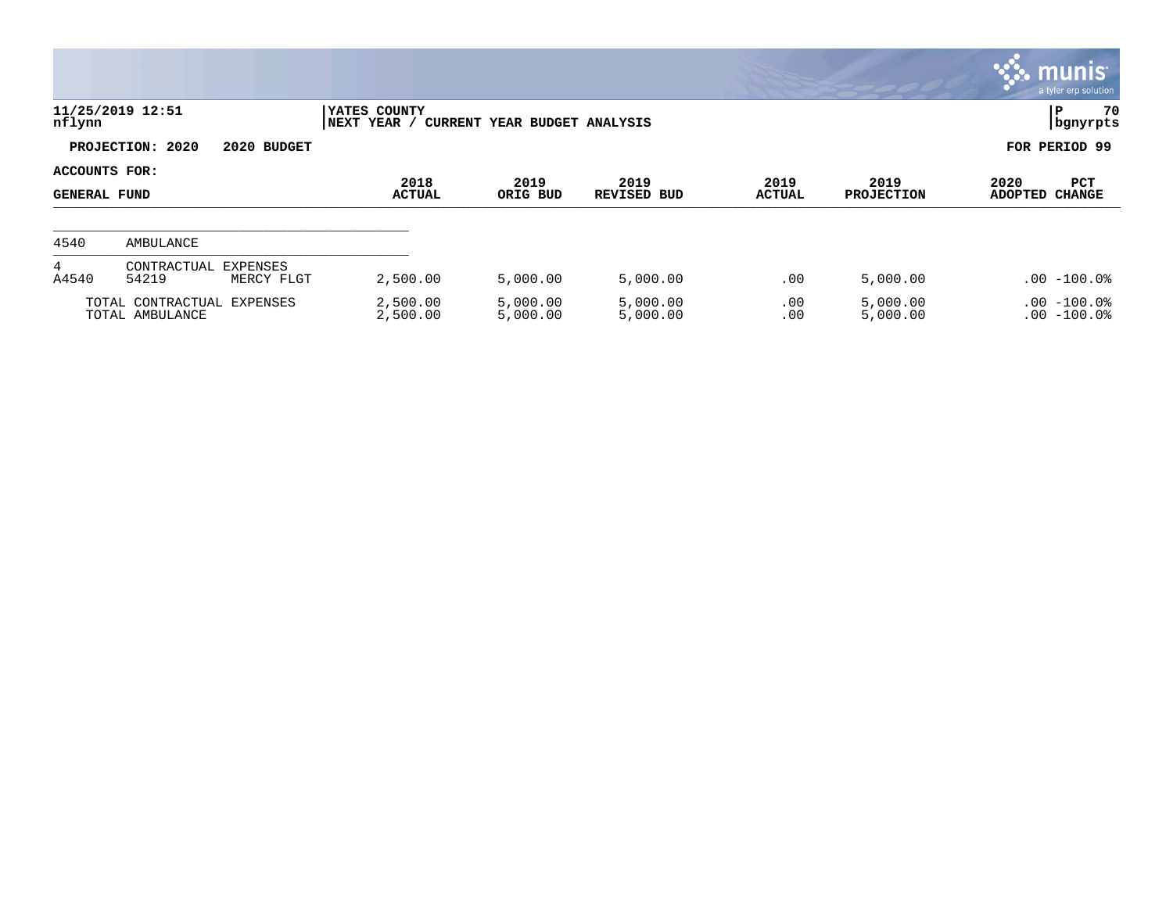|                                      |                                                  |                              |                              |                            |                       |                           |                        | munis<br>a tyler erp solution   |
|--------------------------------------|--------------------------------------------------|------------------------------|------------------------------|----------------------------|-----------------------|---------------------------|------------------------|---------------------------------|
| nflynn                               | 11/25/2019 12:51                                 | YATES COUNTY<br> NEXT YEAR / | CURRENT YEAR BUDGET ANALYSIS |                            |                       |                           |                        | 70<br>P<br>  bgnyrpts           |
|                                      | PROJECTION: 2020<br>2020 BUDGET                  |                              |                              |                            |                       |                           |                        | FOR PERIOD 99                   |
| ACCOUNTS FOR:<br><b>GENERAL FUND</b> |                                                  | 2018<br><b>ACTUAL</b>        | 2019<br>ORIG BUD             | 2019<br><b>REVISED BUD</b> | 2019<br><b>ACTUAL</b> | 2019<br><b>PROJECTION</b> | 2020<br><b>ADOPTED</b> | <b>PCT</b><br><b>CHANGE</b>     |
| 4540                                 | AMBULANCE                                        |                              |                              |                            |                       |                           |                        |                                 |
| 4<br>A4540                           | CONTRACTUAL<br>EXPENSES<br>54219<br>MERCY FLGT   | 2,500.00                     | 5,000.00                     | 5,000.00                   | .00                   | 5,000.00                  |                        | $.00 - 100.0$                   |
|                                      | TOTAL CONTRACTUAL<br>EXPENSES<br>TOTAL AMBULANCE | 2,500.00<br>2,500.00         | 5,000.00<br>5,000.00         | 5,000.00<br>5,000.00       | .00<br>.00            | 5,000.00<br>5,000.00      |                        | $.00 - 100.0%$<br>$.00 - 100.0$ |

 $\bullet$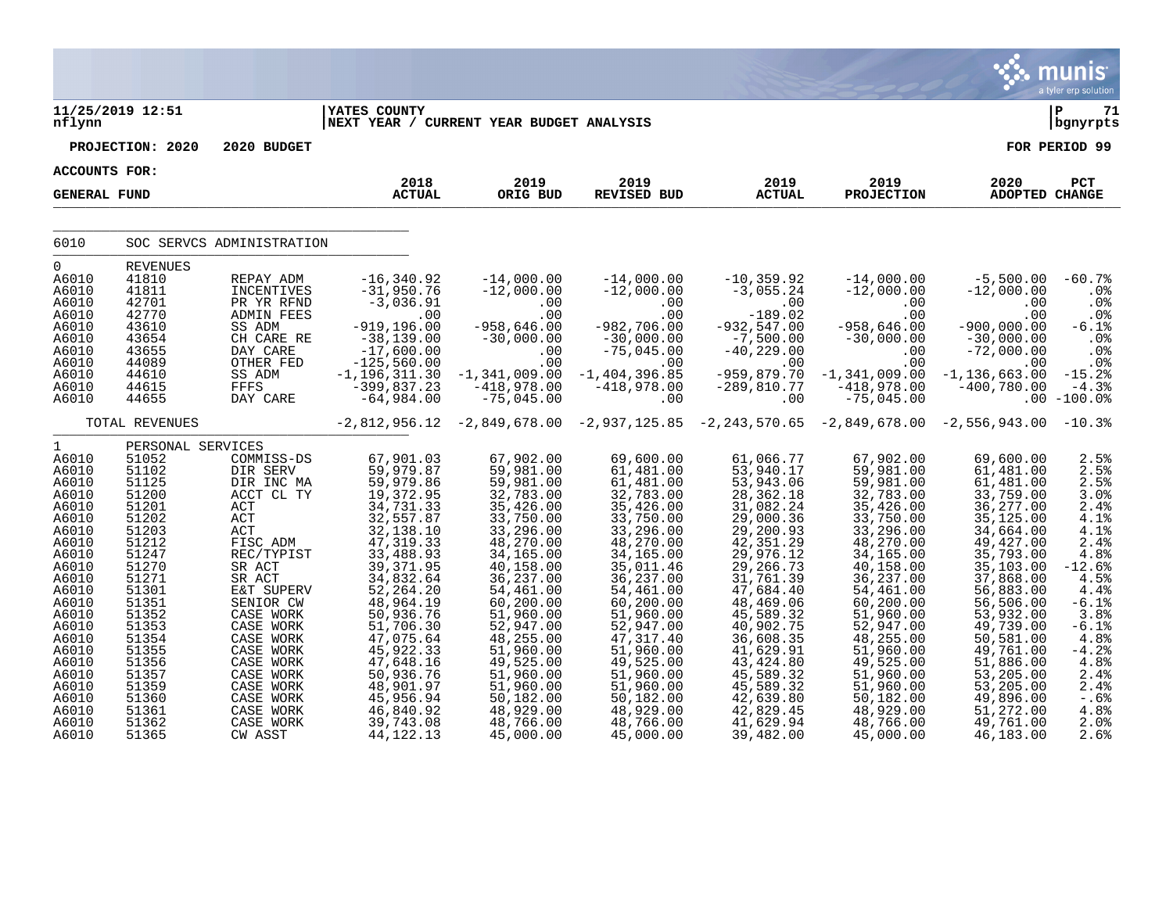|                                                                                                                                                                                                                                      |                                                                                                                                                                                                                                           |                                                                                                                                                                                                                                                                                                          |                                                                                                                                                                                                                                                                                                                           |                                                                                                                                                                                                                                                                                                                      |                                                                                                                                                                                                                                                                                                                        |                                                                                                                                                                                                                                                                                                                       |                                                                                                                                                                                                                                                                                                                      |                                                                                                                                                                                                                                                                                                                        | munis<br>a tyler erp solution                                                                                                                                                                                |
|--------------------------------------------------------------------------------------------------------------------------------------------------------------------------------------------------------------------------------------|-------------------------------------------------------------------------------------------------------------------------------------------------------------------------------------------------------------------------------------------|----------------------------------------------------------------------------------------------------------------------------------------------------------------------------------------------------------------------------------------------------------------------------------------------------------|---------------------------------------------------------------------------------------------------------------------------------------------------------------------------------------------------------------------------------------------------------------------------------------------------------------------------|----------------------------------------------------------------------------------------------------------------------------------------------------------------------------------------------------------------------------------------------------------------------------------------------------------------------|------------------------------------------------------------------------------------------------------------------------------------------------------------------------------------------------------------------------------------------------------------------------------------------------------------------------|-----------------------------------------------------------------------------------------------------------------------------------------------------------------------------------------------------------------------------------------------------------------------------------------------------------------------|----------------------------------------------------------------------------------------------------------------------------------------------------------------------------------------------------------------------------------------------------------------------------------------------------------------------|------------------------------------------------------------------------------------------------------------------------------------------------------------------------------------------------------------------------------------------------------------------------------------------------------------------------|--------------------------------------------------------------------------------------------------------------------------------------------------------------------------------------------------------------|
| nflynn                                                                                                                                                                                                                               | 11/25/2019 12:51                                                                                                                                                                                                                          |                                                                                                                                                                                                                                                                                                          | <b>IYATES COUNTY</b><br>NEXT YEAR / CURRENT YEAR BUDGET ANALYSIS                                                                                                                                                                                                                                                          |                                                                                                                                                                                                                                                                                                                      |                                                                                                                                                                                                                                                                                                                        |                                                                                                                                                                                                                                                                                                                       |                                                                                                                                                                                                                                                                                                                      |                                                                                                                                                                                                                                                                                                                        | l P<br>71<br>  bgnyrpts                                                                                                                                                                                      |
|                                                                                                                                                                                                                                      | PROJECTION: 2020                                                                                                                                                                                                                          | 2020 BUDGET                                                                                                                                                                                                                                                                                              |                                                                                                                                                                                                                                                                                                                           |                                                                                                                                                                                                                                                                                                                      |                                                                                                                                                                                                                                                                                                                        |                                                                                                                                                                                                                                                                                                                       |                                                                                                                                                                                                                                                                                                                      |                                                                                                                                                                                                                                                                                                                        | FOR PERIOD 99                                                                                                                                                                                                |
| ACCOUNTS FOR:                                                                                                                                                                                                                        |                                                                                                                                                                                                                                           |                                                                                                                                                                                                                                                                                                          |                                                                                                                                                                                                                                                                                                                           |                                                                                                                                                                                                                                                                                                                      |                                                                                                                                                                                                                                                                                                                        |                                                                                                                                                                                                                                                                                                                       |                                                                                                                                                                                                                                                                                                                      |                                                                                                                                                                                                                                                                                                                        |                                                                                                                                                                                                              |
| <b>GENERAL FUND</b>                                                                                                                                                                                                                  |                                                                                                                                                                                                                                           |                                                                                                                                                                                                                                                                                                          | 2018<br><b>ACTUAL</b>                                                                                                                                                                                                                                                                                                     | 2019<br>ORIG BUD                                                                                                                                                                                                                                                                                                     | 2019<br><b>REVISED BUD</b>                                                                                                                                                                                                                                                                                             | 2019<br><b>ACTUAL</b>                                                                                                                                                                                                                                                                                                 | 2019<br><b>PROJECTION</b>                                                                                                                                                                                                                                                                                            | 2020<br><b>ADOPTED CHANGE</b>                                                                                                                                                                                                                                                                                          | PCT                                                                                                                                                                                                          |
| 6010                                                                                                                                                                                                                                 |                                                                                                                                                                                                                                           | SOC SERVCS ADMINISTRATION                                                                                                                                                                                                                                                                                |                                                                                                                                                                                                                                                                                                                           |                                                                                                                                                                                                                                                                                                                      |                                                                                                                                                                                                                                                                                                                        |                                                                                                                                                                                                                                                                                                                       |                                                                                                                                                                                                                                                                                                                      |                                                                                                                                                                                                                                                                                                                        |                                                                                                                                                                                                              |
| $\mathbf 0$<br>A6010<br>A6010<br>A6010<br>A6010<br>A6010<br>A6010<br>A6010<br>A6010<br>A6010<br>A6010                                                                                                                                | <b>REVENUES</b><br>41810<br>41811<br>42701<br>42770<br>43610<br>43654<br>43655<br>44089<br>44610<br>44615                                                                                                                                 | REPAY ADM<br>INCENTIVES<br>PR YR RFND<br><b>ADMIN FEES</b><br>SS ADM<br>CH CARE RE<br>DAY CARE<br>OTHER FED<br>SS ADM<br>FFFS                                                                                                                                                                            | $-16, 340.92$<br>$-31,950.76$<br>$-3,036.91$<br>.00<br>$-919, 196.00$<br>$-38,139.00$<br>$-17,600.00$<br>$-125,560.00$<br>$-1, 196, 311.30$<br>$-399,837.23$                                                                                                                                                              | $-14,000.00$<br>$-12,000.00$<br>.00<br>.00<br>$-958,646.00$<br>$-30,000.00$<br>.00<br>.00<br>$-1, 341, 009.00$<br>$-418,978.00$                                                                                                                                                                                      | $-14,000.00$<br>$-12,000.00$<br>.00<br>.00<br>$-982,706.00$<br>$-30,000.00$<br>$-75,045.00$<br>.00<br>$-1,404,396.85$<br>$-418,978.00$                                                                                                                                                                                 | $-10, 359.92$<br>$-3,055.24$<br>.00<br>$-189.02$<br>$-932, 547.00$<br>$-7,500.00$<br>$-40,229.00$<br>.00<br>$-959, 879.70$<br>$-289, 810.77$                                                                                                                                                                          | $-14,000.00$<br>$-12,000.00$<br>.00<br>.00<br>$-958,646.00$<br>$-30,000.00$<br>.00<br>.00<br>$-1, 341, 009.00$<br>$-418,978.00$                                                                                                                                                                                      | $-5,500.00$<br>$-12,000.00$<br>.00<br>.00<br>$-900,000.00$<br>$-30,000.00$<br>$-72,000.00$<br>.00<br>$-1, 136, 663.00$<br>$-400,780.00$                                                                                                                                                                                | $-60.7%$<br>.0 <sub>8</sub><br>.0%<br>.0%<br>$-6.1%$<br>.0%<br>.0%<br>$.0\%$<br>$-15.2%$<br>$-4.3%$                                                                                                          |
| A6010                                                                                                                                                                                                                                | 44655<br>TOTAL REVENUES                                                                                                                                                                                                                   | DAY CARE                                                                                                                                                                                                                                                                                                 | $-64,984.00$<br>$-2,812,956.12$                                                                                                                                                                                                                                                                                           | $-75,045.00$<br>$-2,849,678.00 -2,937,125.85$                                                                                                                                                                                                                                                                        | .00                                                                                                                                                                                                                                                                                                                    | .00<br>$-2, 243, 570.65$                                                                                                                                                                                                                                                                                              | $-75,045.00$<br>$-2,849,678.00 -2,556,943.00$                                                                                                                                                                                                                                                                        |                                                                                                                                                                                                                                                                                                                        | $.00 - 100.0$<br>$-10.3%$                                                                                                                                                                                    |
| $\mathbf{1}$<br>A6010<br>A6010<br>A6010<br>A6010<br>A6010<br>A6010<br>A6010<br>A6010<br>A6010<br>A6010<br>A6010<br>A6010<br>A6010<br>A6010<br>A6010<br>A6010<br>A6010<br>A6010<br>A6010<br>A6010<br>A6010<br>A6010<br>A6010<br>A6010 | PERSONAL SERVICES<br>51052<br>51102<br>51125<br>51200<br>51201<br>51202<br>51203<br>51212<br>51247<br>51270<br>51271<br>51301<br>51351<br>51352<br>51353<br>51354<br>51355<br>51356<br>51357<br>51359<br>51360<br>51361<br>51362<br>51365 | COMMISS-DS<br>DIR SERV<br>DIR INC MA<br>ACCT CL TY<br>ACT<br>$\mathtt{ACT}$<br>ACT<br>FISC ADM<br>REC/TYPIST<br>SR ACT<br>SR ACT<br>E&T SUPERV<br>SENIOR CW<br>CASE WORK<br>CASE WORK<br>CASE WORK<br>CASE WORK<br>CASE WORK<br>CASE WORK<br>CASE WORK<br>CASE WORK<br>CASE WORK<br>CASE WORK<br>CW ASST | 67,901.03<br>59,979.87<br>59,979.86<br>19,372.95<br>34,731.33<br>32,557.87<br>32,138.10<br>47, 319.33<br>33,488.93<br>39, 371.95<br>34,832.64<br>52, 264.20<br>48,964.19<br>50,936.76<br>51,706.30<br>47,075.64<br>45,922.33<br>47,648.16<br>50,936.76<br>48,901.97<br>45,956.94<br>46,840.92<br>39,743.08<br>44, 122. 13 | 67,902.00<br>59,981.00<br>59,981.00<br>32,783.00<br>35,426.00<br>33,750.00<br>33,296.00<br>48,270.00<br>34,165.00<br>40,158.00<br>36,237.00<br>54,461.00<br>60,200.00<br>51,960.00<br>52,947.00<br>48,255.00<br>51,960.00<br>49,525.00<br>51,960.00<br>51,960.00<br>50,182.00<br>48,929.00<br>48,766.00<br>45,000.00 | 69,600.00<br>61,481.00<br>61,481.00<br>32,783.00<br>35,426.00<br>33,750.00<br>33,296.00<br>48,270.00<br>34,165.00<br>35,011.46<br>36, 237.00<br>54,461.00<br>60,200.00<br>51,960.00<br>52,947.00<br>47, 317.40<br>51,960.00<br>49,525.00<br>51,960.00<br>51,960.00<br>50,182.00<br>48,929.00<br>48,766.00<br>45,000.00 | 61,066.77<br>53,940.17<br>53,943.06<br>28,362.18<br>31,082.24<br>29,000.36<br>29,200.93<br>42, 351.29<br>29,976.12<br>29,266.73<br>31,761.39<br>47,684.40<br>48,469.06<br>45,589.32<br>40,902.75<br>36,608.35<br>41,629.91<br>43,424.80<br>45,589.32<br>45,589.32<br>42,639.80<br>42,829.45<br>41,629.94<br>39,482.00 | 67,902.00<br>59,981.00<br>59,981.00<br>32,783.00<br>35,426.00<br>33,750.00<br>33,296.00<br>48,270.00<br>34,165.00<br>40,158.00<br>36,237.00<br>54,461.00<br>60,200.00<br>51,960.00<br>52,947.00<br>48,255.00<br>51,960.00<br>49,525.00<br>51,960.00<br>51,960.00<br>50,182.00<br>48,929.00<br>48,766.00<br>45,000.00 | 69,600.00<br>61,481.00<br>61,481.00<br>33,759.00<br>36, 277.00<br>35, 125.00<br>34,664.00<br>49,427.00<br>35,793.00<br>35,103.00<br>37,868.00<br>56,883.00<br>56,506.00<br>53,932.00<br>49,739.00<br>50,581.00<br>49,761.00<br>51,886.00<br>53,205.00<br>53,205.00<br>49,896.00<br>51,272.00<br>49,761.00<br>46,183.00 | 2.5%<br>2.5%<br>2.5%<br>3.0%<br>2.4%<br>4.1%<br>4.1%<br>2.4%<br>4.8%<br>$-12.6%$<br>4.5%<br>4.4%<br>$-6.1%$<br>3.8%<br>$-6.1%$<br>4.8%<br>$-4.2%$<br>4.8%<br>2.4%<br>2.4%<br>$-0.6%$<br>4.8%<br>2.0%<br>2.6% |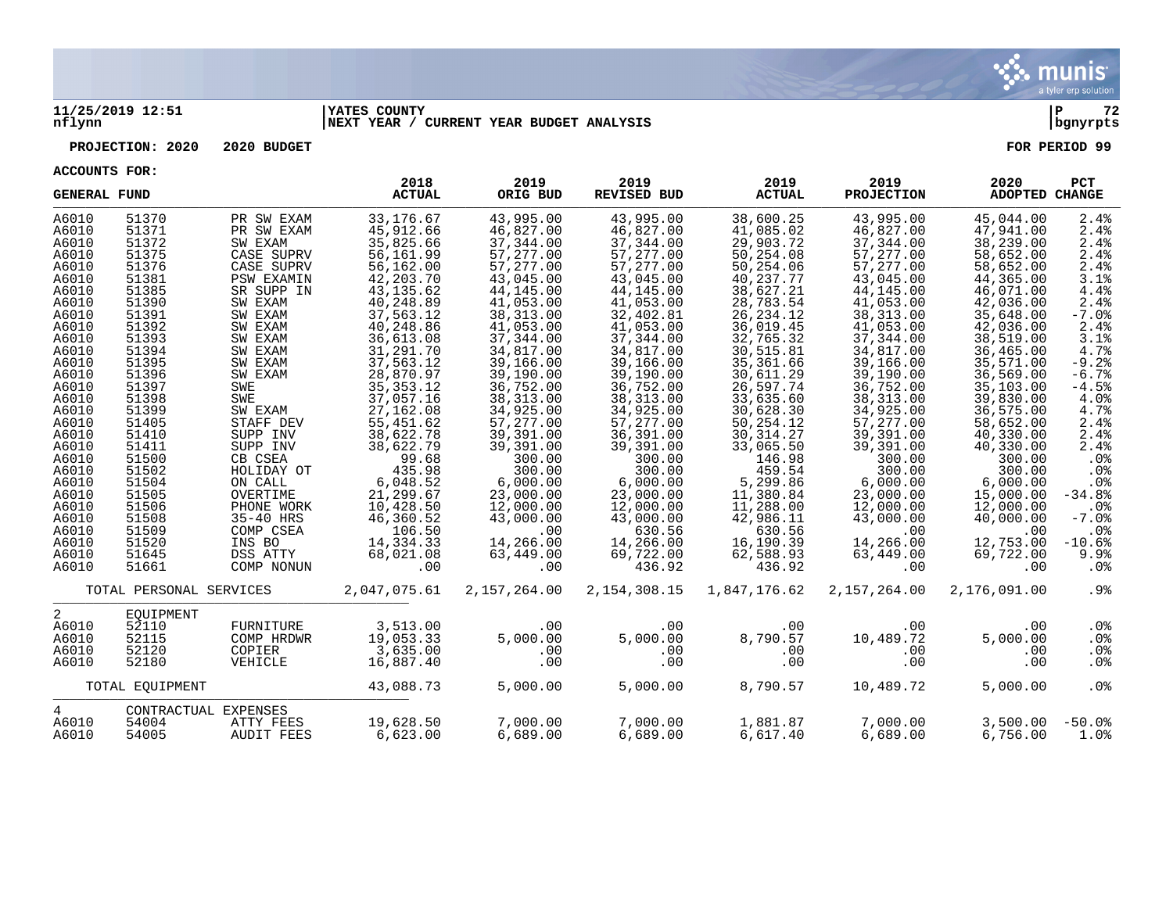

#### **11/25/2019 12:51 |YATES COUNTY |P 72 nflynn |NEXT YEAR / CURRENT YEAR BUDGET ANALYSIS |bgnyrpts**

**PROJECTION: 2020 2020 BUDGET FOR PERIOD 99**

| <b>GENERAL FUND</b> |                         |                      | 2018<br><b>ACTUAL</b> | 2019<br>ORIG BUD | 2019<br>REVISED BUD | 2019<br><b>ACTUAL</b> | 2019<br><b>PROJECTION</b> | 2020<br>ADOPTED CHANGE | PCT      |
|---------------------|-------------------------|----------------------|-----------------------|------------------|---------------------|-----------------------|---------------------------|------------------------|----------|
| A6010               | 51370                   | PR SW EXAM           | 33, 176.67            | 43,995.00        | 43,995.00           | 38,600.25             | 43,995.00                 | 45,044.00              | 2.4%     |
| A6010               | 51371                   | PR SW EXAM           | 45,912.66             | 46,827.00        | 46,827.00           | 41,085.02             | 46,827.00                 | 47,941.00              | 2.4%     |
| A6010               | 51372                   | SW EXAM              | 35,825.66             | 37,344.00        | 37,344.00           | 29,903.72             | 37,344.00                 | 38,239.00              | 2.4%     |
| A6010               | 51375                   | CASE SUPRV           | 56,161.99             | 57,277.00        | 57,277.00           | 50,254.08             | 57, 277.00                | 58,652.00              | 2.4%     |
| A6010               | 51376                   | CASE SUPRV           | 56,162.00             | 57,277.00        | 57,277.00           | 50,254.06             | 57,277.00                 | 58,652.00              | 2.4%     |
| A6010               | 51381                   | <b>PSW EXAMIN</b>    | 42, 203. 70           | 43,045.00        | 43,045.00           | 40,237.77             | 43,045.00                 | 44,365.00              | 3.1%     |
| A6010               | 51385                   | SR SUPP IN           | 43, 135.62            | 44,145.00        | 44,145.00           | 38,627.21             | 44,145.00                 | 46,071.00              | 4.4%     |
| A6010               | 51390                   | SW EXAM              | 40,248.89             | 41,053.00        | 41,053.00           | 28,783.54             | 41,053.00                 | 42,036.00              | 2.4%     |
| A6010               | 51391                   | SW EXAM              | 37,563.12             | 38, 313.00       | 32,402.81           | 26, 234. 12           | 38, 313.00                | 35,648.00              | $-7.0%$  |
| A6010               | 51392                   | SW EXAM              | 40,248.86             | 41,053.00        | 41,053.00           | 36,019.45             | 41,053.00                 | 42,036.00              | 2.4%     |
| A6010               | 51393                   | SW EXAM              | 36,613.08             | 37,344.00        | 37,344.00           | 32,765.32             | 37,344.00                 | 38,519.00              | 3.1%     |
| A6010               | 51394                   | SW EXAM              | 31,291.70             | 34,817.00        | 34,817.00           | 30,515.81             | 34,817.00                 | 36,465.00              | 4.7%     |
| A6010               | 51395                   | SW EXAM              | 37,563.12             | 39,166.00        | 39,166.00           | 35,361.66             | 39,166.00                 | 35,571.00              | $-9.2%$  |
| A6010               | 51396                   | SW EXAM              | 28,870.97             | 39,190.00        | 39,190.00           | 30,611.29             | 39,190.00                 | 36,569.00              | $-6.7%$  |
| A6010               | 51397                   | SWE                  | 35, 353. 12           | 36,752.00        | 36,752.00           | 26,597.74             | 36,752.00                 | 35,103.00              | $-4.5%$  |
| A6010               | 51398                   | SWE                  | 37,057.16             | 38, 313.00       | 38, 313.00          | 33,635.60             | 38, 313.00                | 39,830.00              | 4.0%     |
| A6010               | 51399                   | SW EXAM              | 27, 162.08            | 34,925.00        | 34,925.00           | 30,628.30             | 34,925.00                 | 36,575.00              | 4.7%     |
| A6010               | 51405                   | STAFF DEV            | 55,451.62             | 57,277.00        | 57,277.00           | 50,254.12             | 57,277.00                 | 58,652.00              | 2.4%     |
| A6010               | 51410                   | SUPP INV             | 38,622.78             | 39,391.00        | 36,391.00           | 30, 314.27            | 39,391.00                 | 40,330.00              | 2.4%     |
| A6010               | 51411                   | SUPP INV             | 38,622.79             | 39,391.00        | 39,391.00           | 33,065.50             | 39,391.00                 | 40,330.00              | 2.4%     |
| A6010               | 51500                   | CB CSEA              | 99.68                 | 300.00           | 300.00              | 146.98                | 300.00                    | 300.00                 | .0%      |
| A6010               | 51502                   | HOLIDAY OT           | 435.98                | 300.00           | 300.00              | 459.54                | 300.00                    | 300.00                 | .0%      |
| A6010               | 51504                   | ON CALL              | 6,048.52              | 6,000.00         | 6,000.00            | 5,299.86              | 6,000.00                  | 6,000.00               | .0%      |
| A6010               | 51505                   | OVERTIME             | 21,299.67             | 23,000.00        | 23,000.00           | 11,380.84             | 23,000.00                 | 15,000.00              | $-34.8%$ |
| A6010               | 51506                   | PHONE WORK           | 10,428.50             | 12,000.00        | 12,000.00           | 11,288.00             | 12,000.00                 | 12,000.00              | $.0\%$   |
| A6010               | 51508                   | 35-40 HRS            | 46,360.52             | 43,000.00        | 43,000.00           | 42,986.11             | 43,000.00                 | 40,000.00              | $-7.0%$  |
| A6010               | 51509                   | COMP CSEA            | 106.50                | .00              | 630.56              | 630.56                | .00                       | .00                    | .0%      |
| A6010               | 51520                   | INS BO               | 14,334.33             | 14,266.00        | 14,266.00           | 16,190.39             | 14,266.00                 | 12,753.00              | $-10.6%$ |
| A6010               | 51645                   | DSS ATTY             | 68,021.08             | 63,449.00        | 69,722.00           | 62,588.93             | 63,449.00                 | 69,722.00              | 9.9%     |
| A6010               | 51661                   | COMP NONUN           | .00                   | .00              | 436.92              | 436.92                | .00                       | .00                    | .0%      |
|                     | TOTAL PERSONAL SERVICES |                      | 2,047,075.61          | 2,157,264.00     | 2, 154, 308. 15     | 1,847,176.62          | 2,157,264.00              | 2,176,091.00           | .9%      |
| $\overline{2}$      | EOUIPMENT               |                      |                       |                  |                     |                       |                           |                        |          |
| A6010               | 52110                   | FURNITURE            | 3,513.00              | .00              | .00                 | .00.                  | .00                       | .00                    | .0%      |
| A6010               | 52115                   | COMP HRDWR           | 19,053.33             | 5.000.00         | 5,000.00            | 8,790.57              | 10,489.72                 | 5,000.00               | .0%      |
| A6010               | 52120                   | COPIER               | 3,635.00              | .00              | .00                 | .00                   | .00                       | .00                    | $.0\%$   |
| A6010               | 52180                   | VEHICLE              | 16,887.40             | .00              | .00                 | .00                   | .00                       | .00                    | $.0\%$   |
|                     | TOTAL EQUIPMENT         |                      | 43,088.73             | 5,000.00         | 5,000.00            | 8,790.57              | 10,489.72                 | 5,000.00               | .0%      |
| 4                   |                         | CONTRACTUAL EXPENSES |                       |                  |                     |                       |                           |                        |          |
| A6010               | 54004                   | ATTY FEES            | 19,628.50             | 7,000.00         | 7,000.00            | 1,881.87              | 7,000.00                  | 3,500.00               | $-50.0%$ |
| A6010               | 54005                   | <b>AUDIT FEES</b>    | 6,623.00              | 6,689.00         | 6,689.00            | 6,617.40              | 6.689.00                  | 6,756.00               | 1.0%     |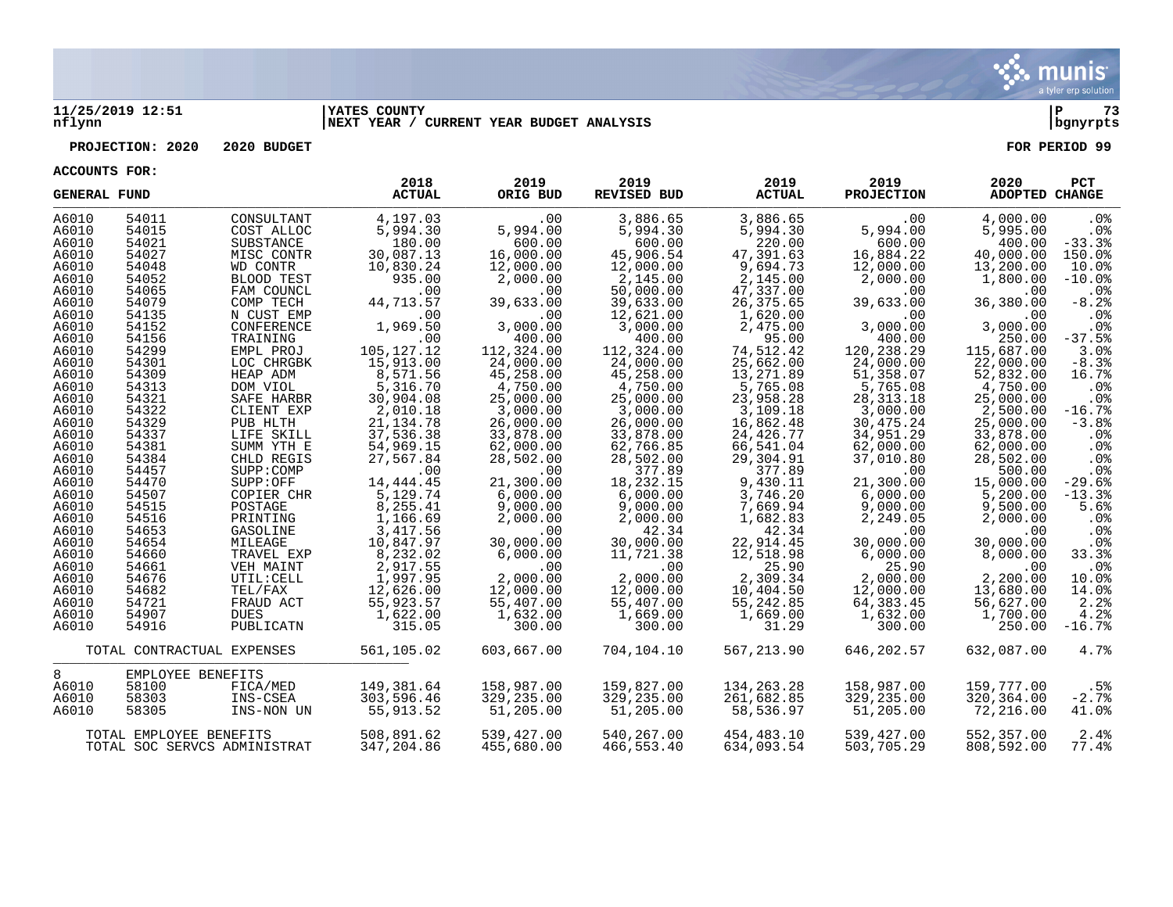

#### **11/25/2019 12:51 |YATES COUNTY |P 73 nflynn |NEXT YEAR / CURRENT YEAR BUDGET ANALYSIS |bgnyrpts**

## **PROJECTION: 2020 2020 BUDGET FOR PERIOD 99**

**ACCOUNTS FOR:**

| <b>GENERAL FUND</b> |                         |                              | 2018<br><b>ACTUAL</b> | 2019<br>ORIG BUD | 2019<br><b>REVISED BUD</b> | 2019<br><b>ACTUAL</b> | 2019<br><b>PROJECTION</b> | 2020<br>ADOPTED CHANGE | PCT      |
|---------------------|-------------------------|------------------------------|-----------------------|------------------|----------------------------|-----------------------|---------------------------|------------------------|----------|
| A6010               | 54011                   | CONSULTANT                   | 4,197.03              | .00              | 3,886.65                   | 3,886.65              | .00                       | 4,000.00               | .0%      |
| A6010               | 54015                   | COST ALLOC                   | 5,994.30              | 5,994.00         | 5,994.30                   | 5,994.30              | 5,994.00                  | 5,995.00               | .0%      |
| A6010               | 54021                   | SUBSTANCE                    | 180.00                | 600.00           | 600.00                     | 220.00                | 600.00                    | 400.00                 | $-33.3%$ |
| A6010               | 54027                   | MISC CONTR                   | 30,087.13             | 16,000.00        | 45,906.54                  | 47,391.63             | 16,884.22                 | 40,000.00              | 150.0%   |
| A6010               | 54048                   | WD CONTR                     | 10,830.24             | 12,000.00        | 12,000.00                  | 9,694.73              | 12,000.00                 | 13,200.00              | 10.0%    |
| A6010               | 54052                   | BLOOD TEST                   | 935.00                | 2,000.00         | 2,145.00                   | 2,145.00              | 2,000.00                  | 1,800.00               | $-10.0%$ |
| A6010               | 54065                   | FAM COUNCL                   | .00                   | .00              | 50,000.00                  | 47,337.00             | .00                       | .00                    | $.0\%$   |
| A6010               | 54079                   | COMP TECH                    | 44,713.57             | 39,633.00        | 39,633.00                  | 26,375.65             | 39,633.00                 | 36,380.00              | $-8.2%$  |
| A6010               | 54135                   | N CUST EMP                   | .00                   | .00              | 12,621.00                  | 1,620.00              | .00                       | .00                    | .0%      |
| A6010               | 54152                   | CONFERENCE                   | 1,969.50              | 3,000.00         | 3,000.00                   | 2,475.00              | 3,000.00                  | 3,000.00               | .0%      |
| A6010               | 54156                   | TRAINING                     | .00                   | 400.00           | 400.00                     | 95.00                 | 400.00                    | 250.00                 | $-37.5%$ |
| A6010               | 54299                   | EMPL PROJ                    | 105, 127. 12          | 112,324.00       | 112,324.00                 | 74,512.42             | 120,238.29                | 115,687.00             | 3.0%     |
| A6010               | 54301                   | LOC CHRGBK                   | 15,913.00             | 24,000.00        | 24,000.00                  | 25,662.00             | 24,000.00                 | 22,000.00              | $-8.3%$  |
| A6010               | 54309                   | HEAP ADM                     | 8,571.56              | 45,258.00        | 45,258.00                  | 13,271.89             | 51,358.07                 | 52,832.00              | 16.7%    |
| A6010               | 54313                   | DOM VIOL                     | 5,316.70              | 4,750.00         | 4,750.00                   | 5,765.08              | 5,765.08                  | 4,750.00               | .0%      |
| A6010               | 54321                   | SAFE HARBR                   | 30,904.08             | 25,000.00        | 25,000.00                  | 23,958.28             | 28, 313. 18               | 25,000.00              | $.0\%$   |
| A6010               | 54322                   | CLIENT EXP                   | 2,010.18              | 3,000.00         | 3,000.00                   | 3,109.18              | 3,000.00                  | 2,500.00               | $-16.7%$ |
| A6010               | 54329                   | PUB HLTH                     | 21, 134. 78           | 26,000.00        | 26,000.00                  | 16,862.48             | 30,475.24                 | 25,000.00              | $-3.8%$  |
| A6010               | 54337                   | LIFE SKILL                   | 37,536.38             | 33,878.00        | 33,878.00                  | 24,426.77             | 34,951.29                 | 33,878.00              | $.0\%$   |
| A6010               | 54381                   | SUMM YTH E                   | 54,969.15             | 62,000.00        | 62,766.85                  | 66,541.04             | 62,000.00                 | 62,000.00              | .0%      |
| A6010               | 54384                   | CHLD REGIS                   | 27,567.84             | 28,502.00        | 28,502.00                  | 29,304.91             | 37,010.80                 | 28,502.00              | $.0\%$   |
| A6010               | 54457                   | SUPP:COMP                    | .00                   | .00              | 377.89                     | 377.89                | .00                       | 500.00                 | $.0\%$   |
| A6010               | 54470                   | SUPP:OFF                     | 14, 444. 45           | 21,300.00        | 18,232.15                  | 9,430.11              | 21,300.00                 | 15,000.00              | $-29.6%$ |
| A6010               | 54507                   | COPIER CHR                   | 5,129.74              | 6,000.00         | 6,000.00                   | 3,746.20              | 6,000.00                  | 5,200.00               | $-13.3%$ |
| A6010               | 54515                   | POSTAGE                      | 8,255.41              | 9,000.00         | 9,000.00                   | 7,669.94              | 9,000.00                  | 9,500.00               | 5.6%     |
| A6010               | 54516                   | PRINTING                     | 1,166.69              | 2,000.00         | 2,000.00                   | 1,682.83              | 2,249.05                  | 2,000.00               | .0%      |
| A6010               | 54653                   | GASOLINE                     | 3,417.56              | .00              | 42.34                      | 42.34                 | .00                       | .00                    | .0%      |
| A6010               | 54654                   | MILEAGE                      | 10,847.97             | 30,000.00        | 30,000.00                  | 22,914.45             | 30,000.00                 | 30,000.00              | $.0\%$   |
| A6010               | 54660                   | TRAVEL EXP                   | 8,232.02              | 6,000.00         | 11,721.38                  | 12,518.98             | 6,000.00                  | 8,000.00               | 33.3%    |
| A6010               | 54661                   | VEH MAINT                    | 2,917.55              | .00              | .00                        | 25.90                 | 25.90                     | .00                    | $.0\%$   |
| A6010               | 54676                   | UTIL: CELL                   | 1,997.95              | 2,000.00         | 2,000.00                   | 2,309.34              | 2,000.00                  | 2,200.00               | 10.0%    |
| A6010               | 54682                   | TEL/FAX                      | 12,626.00             | 12,000.00        | 12,000.00                  | 10,404.50             | 12,000.00                 | 13,680.00              | 14.0%    |
| A6010               | 54721                   | FRAUD ACT                    | 55,923.57             | 55,407.00        | 55,407.00                  | 55,242.85             | 64,383.45                 | 56,627.00              | 2.2%     |
| A6010               | 54907                   | DUES                         | 1,622.00              | 1,632.00         | 1,669.00                   | 1,669.00              | 1,632.00                  | 1,700.00               | 4.2%     |
| A6010               | 54916                   | PUBLICATN                    | 315.05                | 300.00           | 300.00                     | 31.29                 | 300.00                    | 250.00                 | $-16.7%$ |
|                     |                         | TOTAL CONTRACTUAL EXPENSES   | 561,105.02            | 603,667.00       | 704,104.10                 | 567,213.90            | 646,202.57                | 632,087.00             | 4.7%     |
| 8                   | EMPLOYEE BENEFITS       |                              |                       |                  |                            |                       |                           |                        |          |
| A6010               | 58100                   | FICA/MED                     | 149,381.64            | 158,987.00       | 159,827.00                 | 134, 263. 28          | 158,987.00                | 159,777.00             | .5%      |
| A6010               | 58303                   | INS-CSEA                     | 303,596.46            | 329,235.00       | 329,235.00                 | 261,682.85            | 329,235.00                | 320,364.00             | $-2.7%$  |
| A6010               | 58305                   | INS-NON UN                   | 55,913.52             | 51,205.00        | 51,205.00                  | 58,536.97             | 51,205.00                 | 72,216.00              | 41.0%    |
|                     | TOTAL EMPLOYEE BENEFITS |                              | 508,891.62            | 539,427.00       | 540,267.00                 | 454,483.10            | 539,427.00                | 552,357.00             | 2.4%     |
|                     |                         | TOTAL SOC SERVCS ADMINISTRAT | 347,204.86            | 455,680.00       | 466,553.40                 | 634,093.54            | 503,705.29                | 808,592.00             | 77.4%    |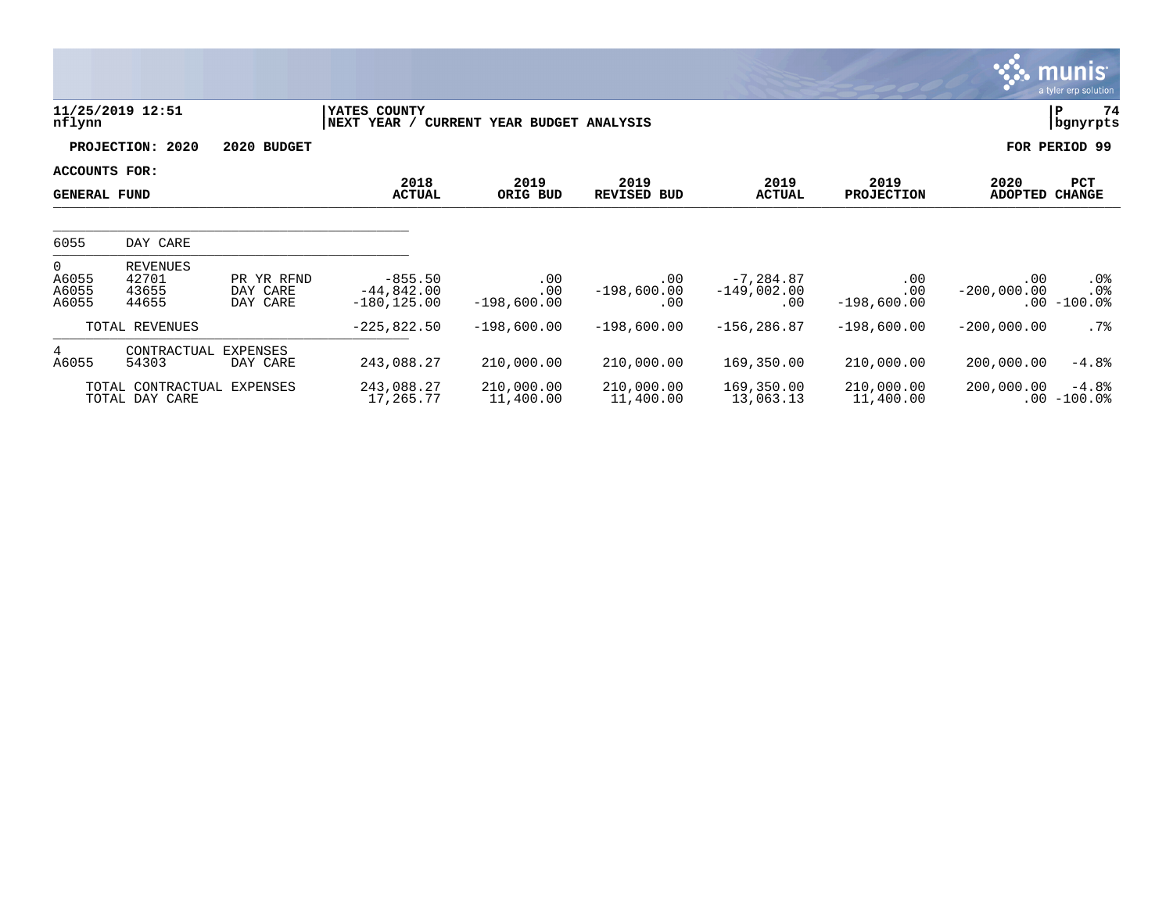|                                           |                                              |                                    |                                             |                              |                             |                                           |                             |                           | <b>munis</b><br>a tyler erp solution |
|-------------------------------------------|----------------------------------------------|------------------------------------|---------------------------------------------|------------------------------|-----------------------------|-------------------------------------------|-----------------------------|---------------------------|--------------------------------------|
| nflynn                                    | 11/25/2019 12:51                             |                                    | YATES COUNTY<br>NEXT YEAR /                 | CURRENT YEAR BUDGET ANALYSIS |                             |                                           |                             |                           | 74<br>Р<br>bgnyrpts                  |
|                                           | PROJECTION: 2020                             | 2020 BUDGET                        |                                             |                              |                             |                                           |                             |                           | FOR PERIOD 99                        |
| ACCOUNTS FOR:<br><b>GENERAL FUND</b>      |                                              |                                    | 2018<br><b>ACTUAL</b>                       | 2019<br>ORIG BUD             | 2019<br><b>REVISED BUD</b>  | 2019<br><b>ACTUAL</b>                     | 2019<br><b>PROJECTION</b>   | 2020<br><b>ADOPTED</b>    | PCT<br><b>CHANGE</b>                 |
| 6055                                      | DAY CARE                                     |                                    |                                             |                              |                             |                                           |                             |                           |                                      |
| $\overline{0}$<br>A6055<br>A6055<br>A6055 | <b>REVENUES</b><br>42701<br>43655<br>44655   | PR YR RFND<br>DAY CARE<br>DAY CARE | $-855.50$<br>$-44,842.00$<br>$-180, 125.00$ | .00<br>.00<br>$-198,600.00$  | .00<br>$-198,600.00$<br>.00 | $-7, 284.87$<br>$-149,002.00$<br>$.00 \,$ | .00<br>.00<br>$-198,600.00$ | $.00 \,$<br>$-200,000.00$ | $.0\%$<br>.0%<br>$.00 - 100.0$       |
|                                           | TOTAL REVENUES                               |                                    | $-225,822.50$                               | $-198,600.00$                | $-198,600.00$               | $-156, 286.87$                            | $-198,600.00$               | $-200,000.00$             | $.7\%$                               |
| 4<br>A6055                                | CONTRACTUAL<br>54303                         | <b>EXPENSES</b><br>DAY CARE        | 243,088.27                                  | 210,000.00                   | 210,000.00                  | 169,350.00                                | 210,000.00                  | 200,000.00                | $-4.8%$                              |
|                                           | TOTAL CONTRACTUAL EXPENSES<br>TOTAL DAY CARE |                                    | 243,088.27<br>17,265.77                     | 210,000.00<br>11,400.00      | 210,000.00<br>11,400.00     | 169,350.00<br>13,063.13                   | 210,000.00<br>11,400.00     | 200,000.00                | $-4.8%$<br>$.00 - 100.0$             |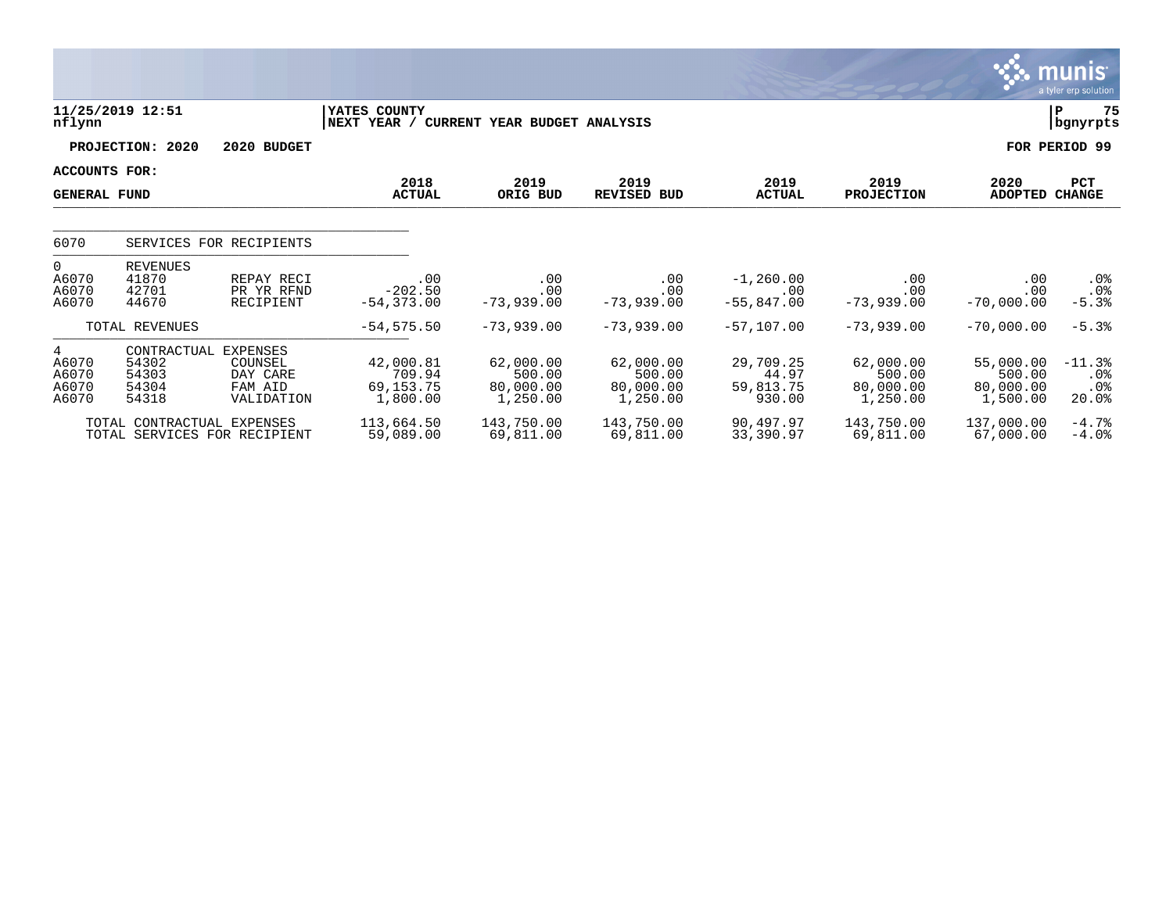|                                                     |                                                            |                                                                 |                                                |                                              |                                              |                                           |                                              |                                              | a tyler erp solution            |
|-----------------------------------------------------|------------------------------------------------------------|-----------------------------------------------------------------|------------------------------------------------|----------------------------------------------|----------------------------------------------|-------------------------------------------|----------------------------------------------|----------------------------------------------|---------------------------------|
| nflynn                                              | 11/25/2019 12:51                                           |                                                                 | YATES COUNTY<br> NEXT YEAR /                   | CURRENT YEAR BUDGET ANALYSIS                 |                                              |                                           |                                              |                                              | 75<br>P<br>  bgnyrpts           |
|                                                     | PROJECTION: 2020                                           | 2020 BUDGET                                                     |                                                |                                              |                                              |                                           |                                              |                                              | FOR PERIOD 99                   |
| ACCOUNTS FOR:                                       |                                                            |                                                                 | 2018                                           | 2019                                         | 2019                                         | 2019                                      | 2019                                         | 2020                                         | <b>PCT</b>                      |
| <b>GENERAL FUND</b>                                 |                                                            |                                                                 | <b>ACTUAL</b>                                  | ORIG BUD                                     | <b>REVISED BUD</b>                           | <b>ACTUAL</b>                             | <b>PROJECTION</b>                            | ADOPTED                                      | <b>CHANGE</b>                   |
| 6070                                                |                                                            | SERVICES FOR RECIPIENTS                                         |                                                |                                              |                                              |                                           |                                              |                                              |                                 |
| $\overline{0}$<br>A6070<br>A6070<br>A6070           | <b>REVENUES</b><br>41870<br>42701<br>44670                 | REPAY RECI<br>PR YR RFND<br>RECIPIENT                           | .00<br>$-202.50$<br>$-54, 373.00$              | .00<br>.00<br>$-73,939.00$                   | .00<br>.00<br>$-73,939.00$                   | $-1, 260.00$<br>.00<br>$-55,847.00$       | .00<br>.00<br>$-73,939.00$                   | .00<br>.00<br>$-70,000.00$                   | .0%<br>$.0\%$<br>$-5.3%$        |
|                                                     | TOTAL REVENUES                                             |                                                                 | $-54,575.50$                                   | $-73,939.00$                                 | $-73,939.00$                                 | $-57,107.00$                              | $-73,939.00$                                 | $-70,000.00$                                 | $-5.3%$                         |
| $4\overline{ }$<br>A6070<br>A6070<br>A6070<br>A6070 | CONTRACTUAL<br>54302<br>54303<br>54304<br>54318            | <b>EXPENSES</b><br>COUNSEL<br>DAY CARE<br>FAM AID<br>VALIDATION | 42,000.81<br>709.94<br>69, 153. 75<br>1,800.00 | 62,000.00<br>500.00<br>80,000.00<br>1,250.00 | 62,000.00<br>500.00<br>80,000.00<br>1,250.00 | 29,709.25<br>44.97<br>59,813.75<br>930.00 | 62,000.00<br>500.00<br>80,000.00<br>1,250.00 | 55,000.00<br>500.00<br>80,000.00<br>1,500.00 | $-11.3%$<br>.0%<br>.0%<br>20.0% |
|                                                     | TOTAL CONTRACTUAL EXPENSES<br>TOTAL SERVICES FOR RECIPIENT |                                                                 | 113,664.50<br>59,089.00                        | 143,750.00<br>69,811.00                      | 143,750.00<br>69,811.00                      | 90,497.97<br>33,390.97                    | 143,750.00<br>69,811.00                      | 137,000.00<br>67,000.00                      | $-4.7%$<br>$-4.0$ $8$           |

 $\sqrt{\frac{1}{2}}$  munis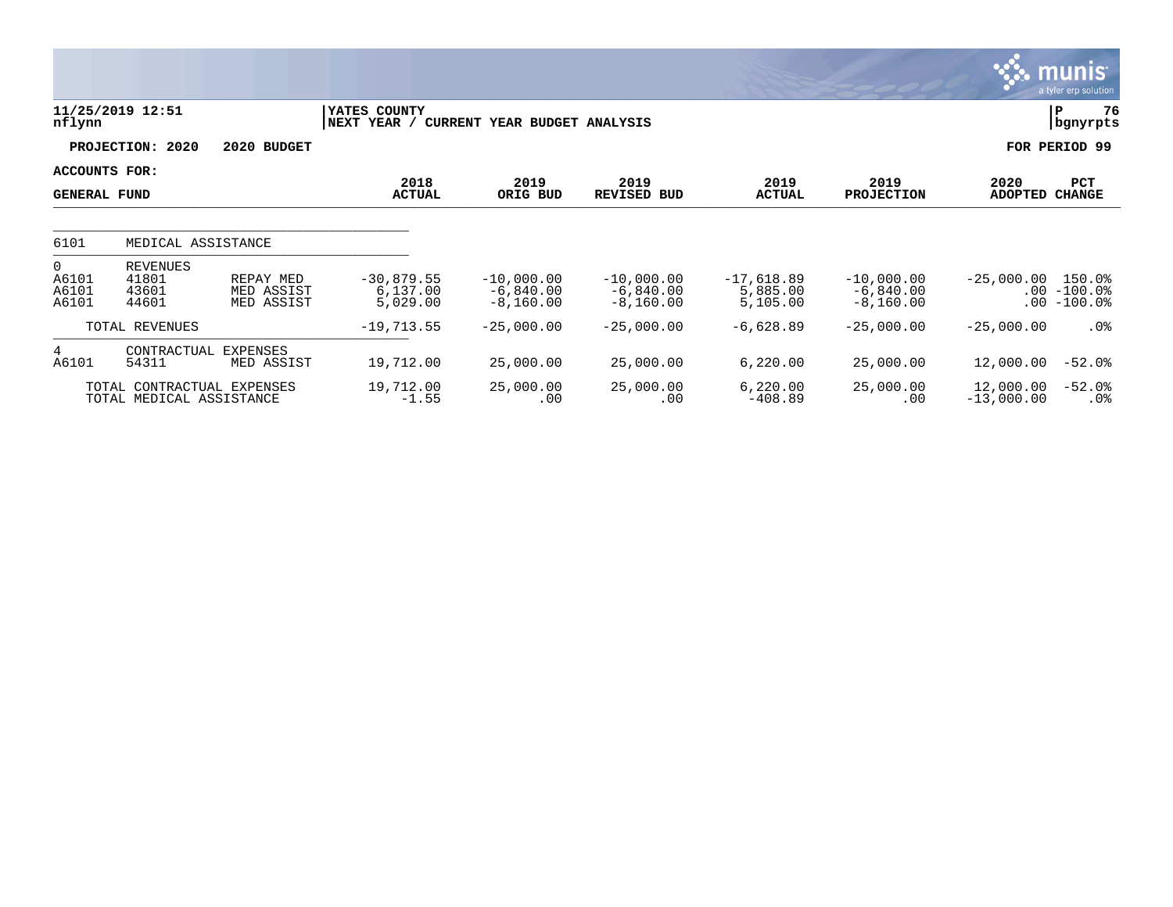|                                         |                                                        |                                       |                                      |                                            |                                            |                                      |                                            |                           | <b>munis</b><br>a tyler erp solution  |
|-----------------------------------------|--------------------------------------------------------|---------------------------------------|--------------------------------------|--------------------------------------------|--------------------------------------------|--------------------------------------|--------------------------------------------|---------------------------|---------------------------------------|
| nflynn                                  | 11/25/2019 12:51                                       |                                       | YATES COUNTY<br>NEXT YEAR /          | CURRENT YEAR BUDGET ANALYSIS               |                                            |                                      |                                            |                           | 76<br>P<br>bgnyrpts                   |
|                                         | 2020<br>PROJECTION:                                    | 2020 BUDGET                           |                                      |                                            |                                            |                                      |                                            |                           | FOR PERIOD 99                         |
| ACCOUNTS FOR:<br><b>GENERAL FUND</b>    |                                                        |                                       | 2018<br><b>ACTUAL</b>                | 2019<br>ORIG BUD                           | 2019<br>REVISED BUD                        | 2019<br><b>ACTUAL</b>                | 2019<br><b>PROJECTION</b>                  | 2020<br>ADOPTED           | PCT<br><b>CHANGE</b>                  |
| 6101                                    | MEDICAL ASSISTANCE                                     |                                       |                                      |                                            |                                            |                                      |                                            |                           |                                       |
| $\mathbf{0}$<br>A6101<br>A6101<br>A6101 | <b>REVENUES</b><br>41801<br>43601<br>44601             | REPAY MED<br>MED ASSIST<br>MED ASSIST | $-30,879.55$<br>6,137.00<br>5,029.00 | $-10,000.00$<br>$-6,840.00$<br>$-8,160.00$ | $-10,000.00$<br>$-6,840.00$<br>$-8,160.00$ | $-17,618.89$<br>5,885.00<br>5,105.00 | $-10,000.00$<br>$-6,840.00$<br>$-8,160.00$ | $-25,000.00$<br>.00       | 150.0%<br>$.00 - 100.0$<br>$-100.0$ % |
|                                         | TOTAL REVENUES                                         |                                       | $-19,713.55$                         | $-25,000.00$                               | $-25,000.00$                               | $-6,628.89$                          | $-25,000.00$                               | $-25,000.00$              | $.0\%$                                |
| 4<br>A6101                              | CONTRACTUAL<br>54311                                   | EXPENSES<br>MED ASSIST                | 19,712.00                            | 25,000.00                                  | 25,000.00                                  | 6,220.00                             | 25,000.00                                  | 12,000.00                 | $-52.0%$                              |
|                                         | TOTAL CONTRACTUAL EXPENSES<br>TOTAL MEDICAL ASSISTANCE |                                       | 19,712.00<br>$-1.55$                 | 25,000.00<br>.00                           | 25,000.00<br>.00                           | 6,220.00<br>$-408.89$                | 25,000.00<br>.00                           | 12,000.00<br>$-13,000.00$ | $-52.0%$<br>$.0\%$                    |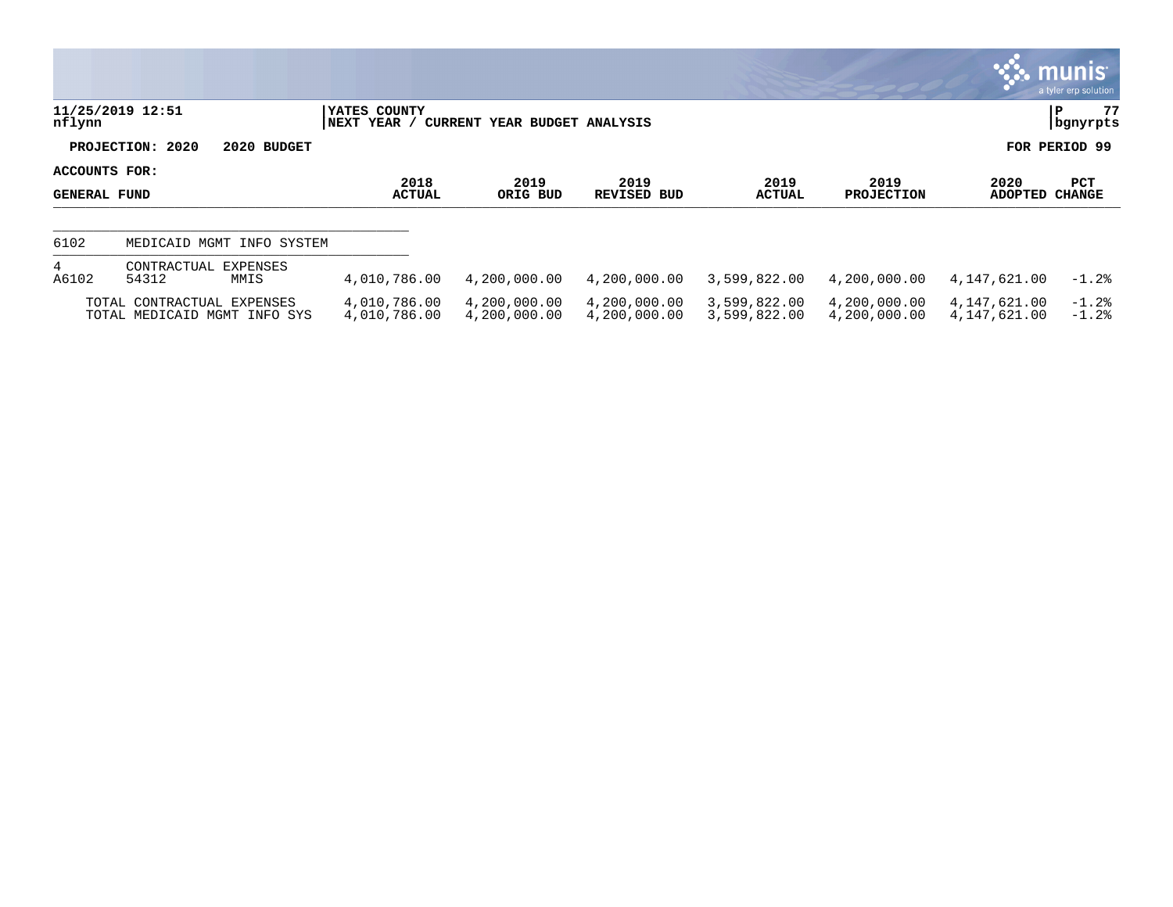|                                      |                                                            |                              |                              |                              |                              |                              |                              | $\mathbb{C}$ . munis $\mathbb{C}$<br>a tyler erp solution |
|--------------------------------------|------------------------------------------------------------|------------------------------|------------------------------|------------------------------|------------------------------|------------------------------|------------------------------|-----------------------------------------------------------|
| nflynn                               | 11/25/2019 12:51                                           | YATES COUNTY<br> NEXT YEAR / | CURRENT YEAR BUDGET ANALYSIS |                              |                              |                              |                              | 77<br>P<br>  bgnyrpts                                     |
|                                      | PROJECTION: 2020                                           | 2020 BUDGET                  |                              |                              |                              |                              |                              | FOR PERIOD 99                                             |
| ACCOUNTS FOR:<br><b>GENERAL FUND</b> |                                                            | 2018<br><b>ACTUAL</b>        | 2019<br>ORIG BUD             | 2019<br>REVISED BUD          | 2019<br>ACTUAL               | 2019<br><b>PROJECTION</b>    | 2020<br><b>ADOPTED</b>       | PCT<br><b>CHANGE</b>                                      |
| 6102                                 | MEDICAID MGMT INFO SYSTEM                                  |                              |                              |                              |                              |                              |                              |                                                           |
| 4<br>A6102                           | EXPENSES<br>CONTRACTUAL<br>54312<br>MMIS                   | 4,010,786.00                 | 4,200,000.00                 | 4,200,000.00                 | 3,599,822.00                 | 4,200,000.00                 | 4,147,621.00                 | $-1.2%$                                                   |
|                                      | TOTAL CONTRACTUAL EXPENSES<br>TOTAL MEDICAID MGMT INFO SYS | 4,010,786.00<br>4,010,786.00 | 4,200,000.00<br>4,200,000.00 | 4,200,000.00<br>4,200,000.00 | 3,599,822.00<br>3,599,822.00 | 4,200,000.00<br>4,200,000.00 | 4,147,621.00<br>4,147,621.00 | $-1.2%$<br>$-1.2%$                                        |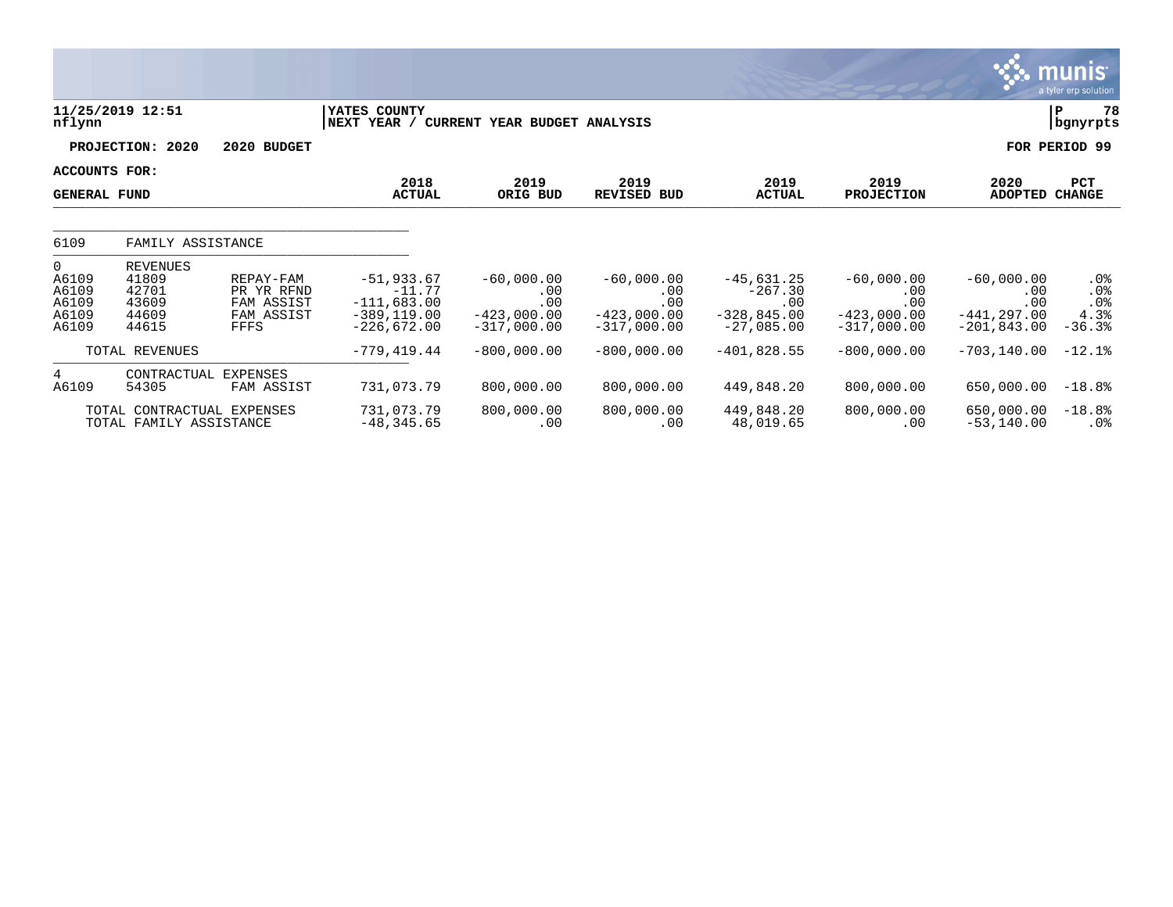|                                                           |                                                              |                                                             |                                                                              |                                                              |                                                              |                                                                   |                                                              |                                                               | <b>munis</b><br>a tyler erp solution  |
|-----------------------------------------------------------|--------------------------------------------------------------|-------------------------------------------------------------|------------------------------------------------------------------------------|--------------------------------------------------------------|--------------------------------------------------------------|-------------------------------------------------------------------|--------------------------------------------------------------|---------------------------------------------------------------|---------------------------------------|
| nflynn                                                    | 11/25/2019 12:51                                             |                                                             | YATES COUNTY<br>NEXT YEAR /                                                  | CURRENT YEAR BUDGET ANALYSIS                                 |                                                              |                                                                   |                                                              |                                                               | 78<br>P<br>bgnyrpts                   |
|                                                           | PROJECTION: 2020                                             | 2020 BUDGET                                                 |                                                                              |                                                              |                                                              |                                                                   |                                                              | FOR                                                           | PERIOD 99                             |
| ACCOUNTS FOR:<br><b>GENERAL FUND</b>                      |                                                              |                                                             | 2018<br><b>ACTUAL</b>                                                        | 2019<br>ORIG BUD                                             | 2019<br><b>REVISED BUD</b>                                   | 2019<br><b>ACTUAL</b>                                             | 2019<br><b>PROJECTION</b>                                    | 2020<br><b>ADOPTED</b>                                        | PCT<br><b>CHANGE</b>                  |
| 6109                                                      | FAMILY ASSISTANCE                                            |                                                             |                                                                              |                                                              |                                                              |                                                                   |                                                              |                                                               |                                       |
| $\mathbf{0}$<br>A6109<br>A6109<br>A6109<br>A6109<br>A6109 | <b>REVENUES</b><br>41809<br>42701<br>43609<br>44609<br>44615 | REPAY-FAM<br>PR YR RFND<br>FAM ASSIST<br>FAM ASSIST<br>FFFS | $-51,933.67$<br>$-11.77$<br>$-111,683.00$<br>$-389, 119.00$<br>$-226,672.00$ | $-60,000.00$<br>.00<br>.00<br>$-423,000.00$<br>$-317,000.00$ | $-60,000.00$<br>.00<br>.00<br>$-423,000.00$<br>$-317,000.00$ | $-45,631.25$<br>$-267.30$<br>.00<br>$-328,845.00$<br>$-27,085.00$ | $-60,000.00$<br>.00<br>.00<br>$-423,000.00$<br>$-317,000.00$ | $-60,000.00$<br>.00<br>.00<br>$-441, 297.00$<br>$-201,843.00$ | .0%<br>.0%<br>.0%<br>4.3%<br>$-36.3%$ |
|                                                           | TOTAL REVENUES                                               |                                                             | $-779, 419.44$                                                               | $-800,000.00$                                                | $-800,000.00$                                                | $-401,828.55$                                                     | $-800,000.00$                                                | $-703, 140.00$                                                | $-12.1%$                              |
| 4<br>A6109                                                | CONTRACTUAL<br>54305<br>TOTAL CONTRACTUAL EXPENSES           | <b>EXPENSES</b><br>FAM ASSIST                               | 731,073.79<br>731,073.79                                                     | 800,000.00<br>800,000.00                                     | 800,000.00<br>800,000.00                                     | 449,848.20<br>449,848.20                                          | 800,000.00<br>800,000.00                                     | 650,000.00<br>650,000.00                                      | $-18.8%$<br>$-18.8%$                  |
|                                                           | TOTAL FAMILY ASSISTANCE                                      |                                                             | $-48, 345.65$                                                                | .00                                                          | .00                                                          | 48,019.65                                                         | .00                                                          | $-53,140.00$                                                  | $.0\%$                                |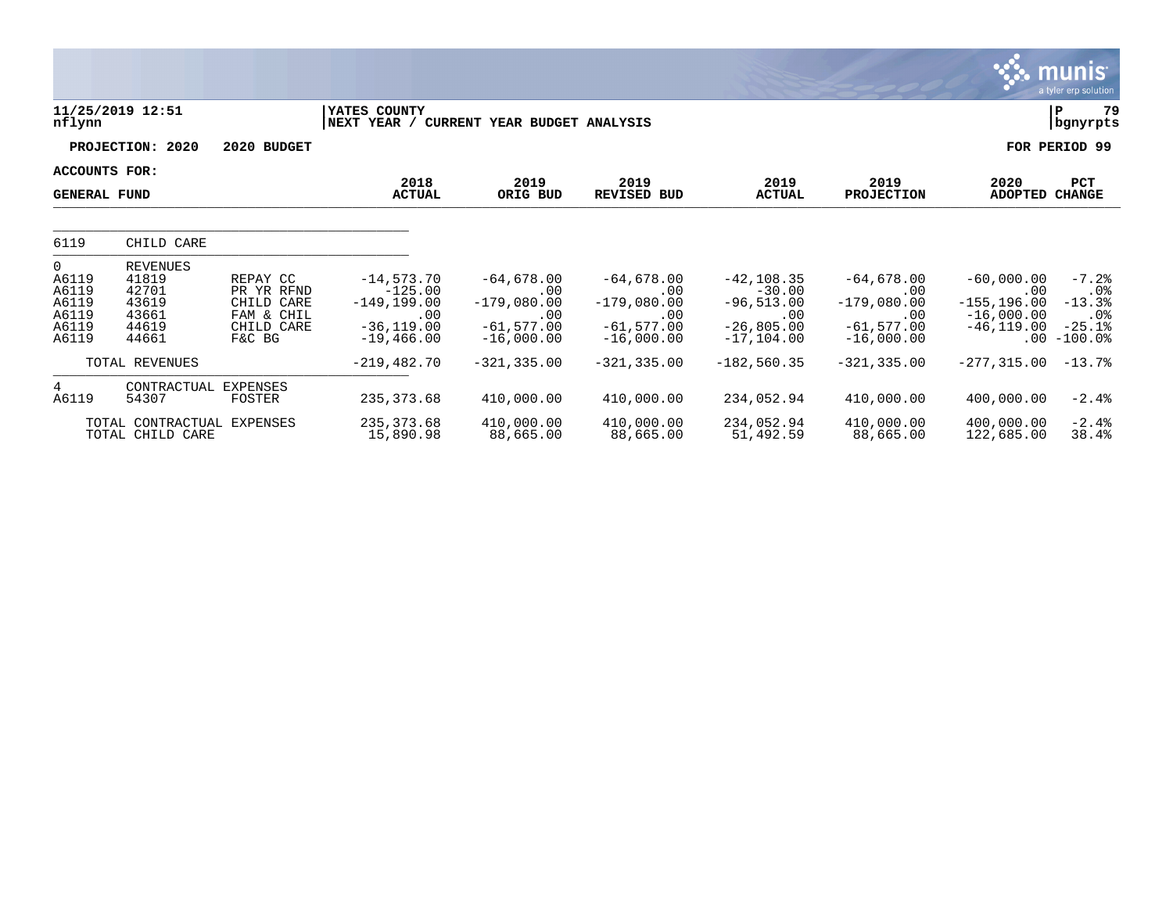|                                                                      |                                                                        |                                                                            |                                                                                     |                                                                             |                                                                             |                                                                                    |                                                                              |                                                                       | munis <sup>"</sup><br>a tyler erp solution                           |
|----------------------------------------------------------------------|------------------------------------------------------------------------|----------------------------------------------------------------------------|-------------------------------------------------------------------------------------|-----------------------------------------------------------------------------|-----------------------------------------------------------------------------|------------------------------------------------------------------------------------|------------------------------------------------------------------------------|-----------------------------------------------------------------------|----------------------------------------------------------------------|
| nflynn                                                               | 11/25/2019 12:51                                                       |                                                                            | YATES COUNTY<br>NEXT YEAR / CURRENT YEAR BUDGET ANALYSIS                            |                                                                             |                                                                             |                                                                                    |                                                                              |                                                                       | 79<br>ΙP<br>bgnyrpts                                                 |
|                                                                      | PROJECTION: 2020                                                       | 2020 BUDGET                                                                |                                                                                     |                                                                             |                                                                             |                                                                                    |                                                                              |                                                                       | FOR PERIOD 99                                                        |
|                                                                      | <b>ACCOUNTS FOR:</b><br><b>GENERAL FUND</b>                            |                                                                            | 2018<br><b>ACTUAL</b>                                                               | 2019<br>ORIG BUD                                                            | 2019<br><b>REVISED BUD</b>                                                  | 2019<br><b>ACTUAL</b>                                                              | 2019<br><b>PROJECTION</b>                                                    | 2020<br><b>ADOPTED</b>                                                | <b>PCT</b><br><b>CHANGE</b>                                          |
| 6119                                                                 | CHILD CARE                                                             |                                                                            |                                                                                     |                                                                             |                                                                             |                                                                                    |                                                                              |                                                                       |                                                                      |
| $\overline{0}$<br>A6119<br>A6119<br>A6119<br>A6119<br>A6119<br>A6119 | <b>REVENUES</b><br>41819<br>42701<br>43619<br>43661<br>44619<br>44661  | REPAY CC<br>PR YR RFND<br>CHILD CARE<br>FAM & CHIL<br>CHILD CARE<br>F&C BG | $-14,573.70$<br>$-125.00$<br>$-149, 199.00$<br>.00<br>$-36, 119.00$<br>$-19,466.00$ | $-64,678.00$<br>.00<br>$-179,080.00$<br>.00<br>$-61,577.00$<br>$-16,000.00$ | $-64,678.00$<br>.00<br>$-179,080.00$<br>.00<br>$-61,577.00$<br>$-16,000.00$ | $-42, 108.35$<br>$-30.00$<br>$-96,513.00$<br>.00<br>$-26,805.00$<br>$-17, 104, 00$ | $-64,678.00$<br>.00<br>$-179,080.00$<br>.00<br>$-61, 577.00$<br>$-16,000.00$ | $-60,000.00$<br>.00<br>$-155, 196.00$<br>$-16,000.00$<br>$-46,119.00$ | $-7.2%$<br>$.0\%$<br>$-13.3%$<br>$.0\%$<br>$-25.1%$<br>$.00 - 100.0$ |
|                                                                      | TOTAL REVENUES                                                         |                                                                            | $-219, 482.70$                                                                      | $-321, 335.00$                                                              | $-321, 335.00$                                                              | $-182,560.35$                                                                      | $-321, 335.00$                                                               | $-277, 315.00$                                                        | $-13.7%$                                                             |
| 4<br>A6119                                                           | CONTRACTUAL<br>54307<br>TOTAL CONTRACTUAL EXPENSES<br>TOTAL CHILD CARE | <b>EXPENSES</b><br><b>FOSTER</b>                                           | 235, 373.68<br>235, 373.68<br>15,890.98                                             | 410,000.00<br>410,000.00<br>88,665.00                                       | 410,000.00<br>410,000.00<br>88,665.00                                       | 234,052.94<br>234,052.94<br>51,492.59                                              | 410,000.00<br>410,000.00<br>88,665.00                                        | 400,000.00<br>400,000.00<br>122,685.00                                | $-2.4%$<br>$-2.4%$<br>38.4%                                          |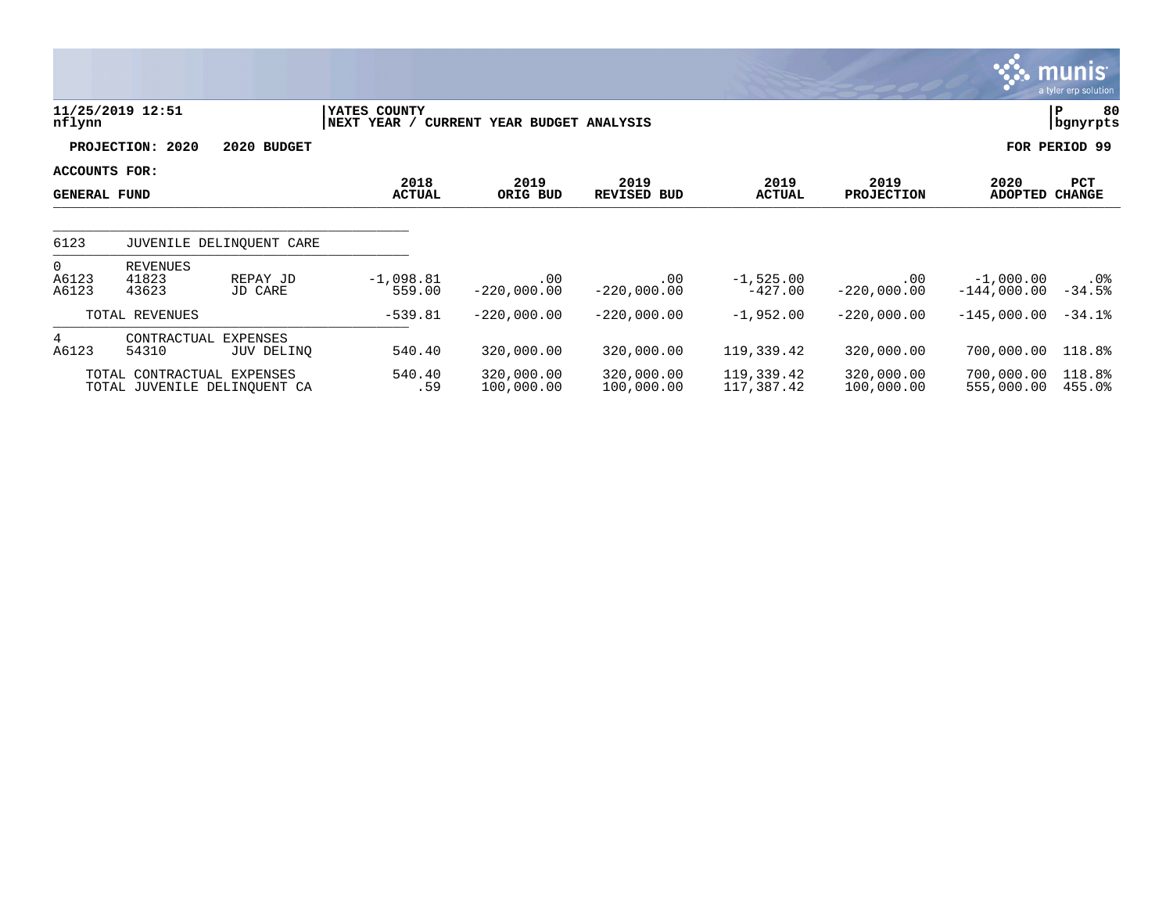|                                      |                                                            |                               |                             |                              |                          |                          |                           | <b>munis</b><br>a tyler erp solution               |
|--------------------------------------|------------------------------------------------------------|-------------------------------|-----------------------------|------------------------------|--------------------------|--------------------------|---------------------------|----------------------------------------------------|
| nflynn                               | 11/25/2019 12:51                                           |                               | YATES COUNTY<br>NEXT YEAR / | CURRENT YEAR BUDGET ANALYSIS |                          |                          |                           | 80<br> P<br>  bgnyrpts                             |
|                                      | PROJECTION: 2020                                           | 2020 BUDGET                   |                             |                              |                          |                          |                           | FOR PERIOD 99                                      |
| ACCOUNTS FOR:<br><b>GENERAL FUND</b> |                                                            |                               | 2018<br><b>ACTUAL</b>       | 2019<br>ORIG BUD             | 2019<br>REVISED BUD      | 2019<br><b>ACTUAL</b>    | 2019<br><b>PROJECTION</b> | PCT<br>2020<br><b>ADOPTED</b><br><b>CHANGE</b>     |
| 6123                                 |                                                            | JUVENILE DELINQUENT CARE      |                             |                              |                          |                          |                           |                                                    |
| $\overline{0}$<br>A6123<br>A6123     | REVENUES<br>41823<br>43623                                 | REPAY JD<br>JD CARE           | $-1,098.81$<br>559.00       | .00<br>$-220,000.00$         | .00<br>$-220,000.00$     | $-1,525.00$<br>$-427.00$ | $.00 \,$<br>$-220,000.00$ | $-1,000.00$<br>$.0\%$<br>$-34.5%$<br>$-144,000.00$ |
|                                      | TOTAL REVENUES                                             |                               | $-539.81$                   | $-220,000.00$                | $-220,000.00$            | $-1,952.00$              | $-220,000.00$             | $-145,000.00$<br>$-34.1%$                          |
| $4^{\circ}$<br>A6123                 | CONTRACTUAL<br>54310                                       | <b>EXPENSES</b><br>JUV DELINO | 540.40                      | 320,000.00                   | 320,000.00               | 119,339.42               | 320,000.00                | 118.8%<br>700,000.00                               |
|                                      | TOTAL CONTRACTUAL EXPENSES<br>TOTAL JUVENILE DELINOUENT CA |                               | 540.40<br>.59               | 320,000.00<br>100,000.00     | 320,000.00<br>100,000.00 | 119,339.42<br>117,387.42 | 320,000.00<br>100,000.00  | 118.8%<br>700,000.00<br>555,000.00<br>455.0%       |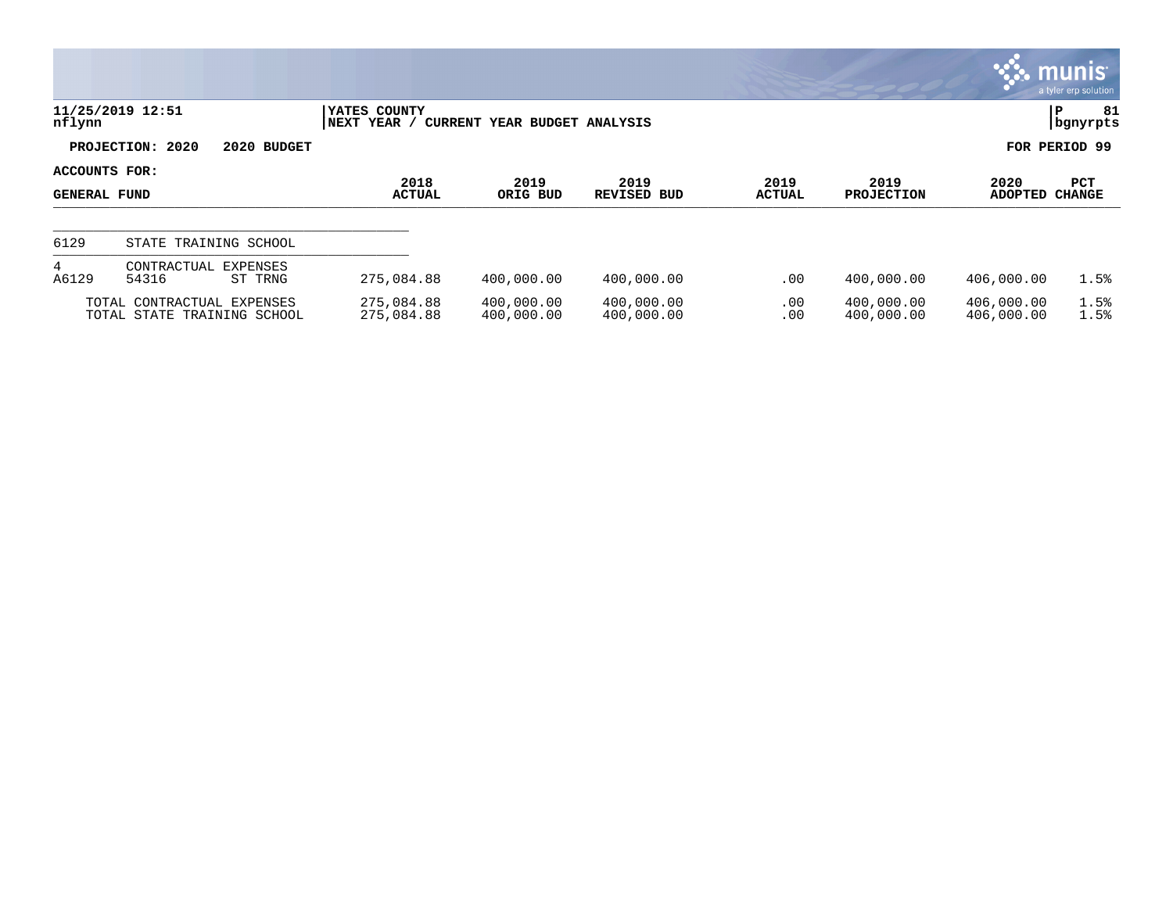|                          |                                                  |                     |                                  |                              |                          |                 |                          |                          | <b>munis</b><br>a tyler erp solution |
|--------------------------|--------------------------------------------------|---------------------|----------------------------------|------------------------------|--------------------------|-----------------|--------------------------|--------------------------|--------------------------------------|
| nflynn                   | 11/25/2019 12:51                                 |                     | YATES COUNTY<br><b>NEXT YEAR</b> | CURRENT YEAR BUDGET ANALYSIS |                          |                 |                          |                          | 81<br>l P<br>  bgnyrpts              |
|                          | PROJECTION: 2020                                 | 2020 BUDGET         |                                  |                              |                          |                 |                          |                          | FOR PERIOD 99                        |
| ACCOUNTS FOR:            |                                                  |                     | 2018                             | 2019                         | 2019                     | 2019            | 2019                     | 2020                     | PCT                                  |
| <b>GENERAL FUND</b>      |                                                  |                     | <b>ACTUAL</b>                    | ORIG BUD                     | <b>REVISED BUD</b>       | <b>ACTUAL</b>   | <b>PROJECTION</b>        | ADOPTED                  | <b>CHANGE</b>                        |
| 6129                     | STATE TRAINING SCHOOL                            |                     |                                  |                              |                          |                 |                          |                          |                                      |
| $4\overline{ }$<br>A6129 | CONTRACTUAL<br>54316                             | EXPENSES<br>ST TRNG | 275,084.88                       | 400,000.00                   | 400,000.00               | .00             | 400,000.00               | 406,000.00               | 1.5%                                 |
|                          | TOTAL CONTRACTUAL<br>TOTAL STATE TRAINING SCHOOL | EXPENSES            | 275,084.88<br>275,084.88         | 400,000.00<br>400,000.00     | 400,000.00<br>400,000.00 | $.00 \,$<br>.00 | 400,000.00<br>400,000.00 | 406,000.00<br>406,000.00 | 1.5%<br>1.5%                         |

 $\mathcal{L}$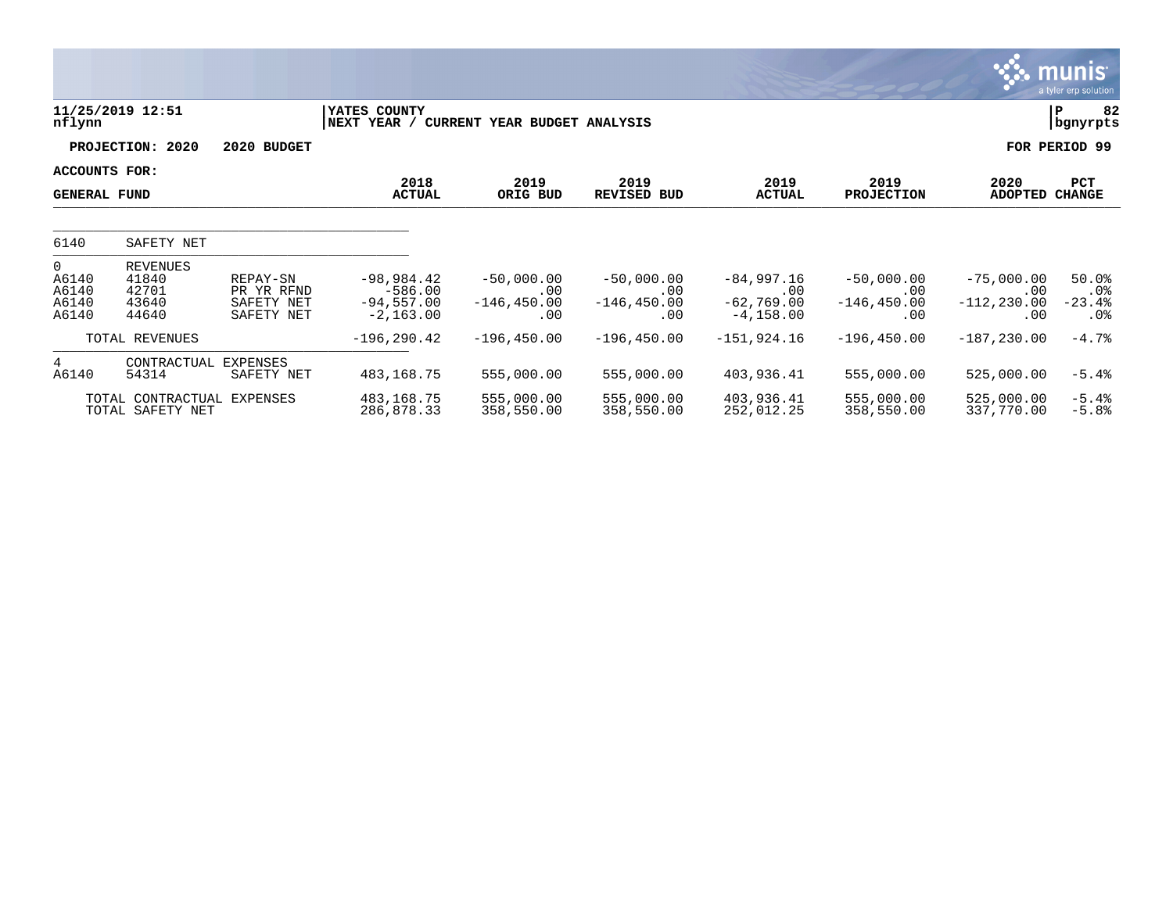|                                                    |                                                     |                                                    |                                                          |                                              |                                              |                                                      |                                              |                                                   | <b>munis</b><br>a tyler erp solution           |
|----------------------------------------------------|-----------------------------------------------------|----------------------------------------------------|----------------------------------------------------------|----------------------------------------------|----------------------------------------------|------------------------------------------------------|----------------------------------------------|---------------------------------------------------|------------------------------------------------|
| nflynn                                             | 11/25/2019 12:51                                    |                                                    | YATES COUNTY<br>NEXT YEAR /                              | CURRENT YEAR BUDGET ANALYSIS                 |                                              |                                                      |                                              |                                                   | 82<br>P<br>  bgnyrpts                          |
|                                                    | PROJECTION: 2020                                    | 2020 BUDGET                                        |                                                          |                                              |                                              |                                                      |                                              |                                                   | FOR PERIOD 99                                  |
| ACCOUNTS FOR:<br><b>GENERAL FUND</b>               |                                                     |                                                    | 2018<br><b>ACTUAL</b>                                    | 2019<br>ORIG BUD                             | 2019<br><b>REVISED BUD</b>                   | 2019<br><b>ACTUAL</b>                                | 2019<br><b>PROJECTION</b>                    | 2020<br><b>ADOPTED</b>                            | PCT<br><b>CHANGE</b>                           |
| 6140                                               | SAFETY NET                                          |                                                    |                                                          |                                              |                                              |                                                      |                                              |                                                   |                                                |
| $\overline{0}$<br>A6140<br>A6140<br>A6140<br>A6140 | <b>REVENUES</b><br>41840<br>42701<br>43640<br>44640 | REPAY-SN<br>PR YR RFND<br>SAFETY NET<br>SAFETY NET | $-98,984.42$<br>$-586.00$<br>$-94,557.00$<br>$-2,163.00$ | $-50,000.00$<br>.00<br>$-146, 450.00$<br>.00 | $-50,000.00$<br>.00<br>$-146, 450.00$<br>.00 | $-84,997.16$<br>.00<br>$-62, 769.00$<br>$-4, 158.00$ | $-50,000.00$<br>.00<br>$-146, 450.00$<br>.00 | $-75,000.00$<br>$.00 \,$<br>$-112, 230.00$<br>.00 | 50.0%<br>$.0\%$<br>$-23.4%$<br>.0 <sub>8</sub> |
|                                                    | TOTAL REVENUES                                      |                                                    | $-196, 290.42$                                           | $-196, 450.00$                               | $-196, 450.00$                               | $-151,924.16$                                        | $-196, 450.00$                               | $-187, 230.00$                                    | $-4.7%$                                        |
| 4<br>A6140                                         | CONTRACTUAL<br>54314                                | <b>EXPENSES</b><br>SAFETY NET                      | 483,168.75                                               | 555,000.00                                   | 555,000.00                                   | 403,936.41                                           | 555,000.00                                   | 525,000.00                                        | $-5.4%$                                        |
|                                                    | TOTAL CONTRACTUAL<br>TOTAL SAFETY NET               | <b>EXPENSES</b>                                    | 483, 168. 75<br>286,878.33                               | 555,000.00<br>358,550.00                     | 555,000.00<br>358,550.00                     | 403,936.41<br>252,012.25                             | 555,000.00<br>358,550.00                     | 525,000.00<br>337,770.00                          | $-5.4%$<br>$-5.8%$                             |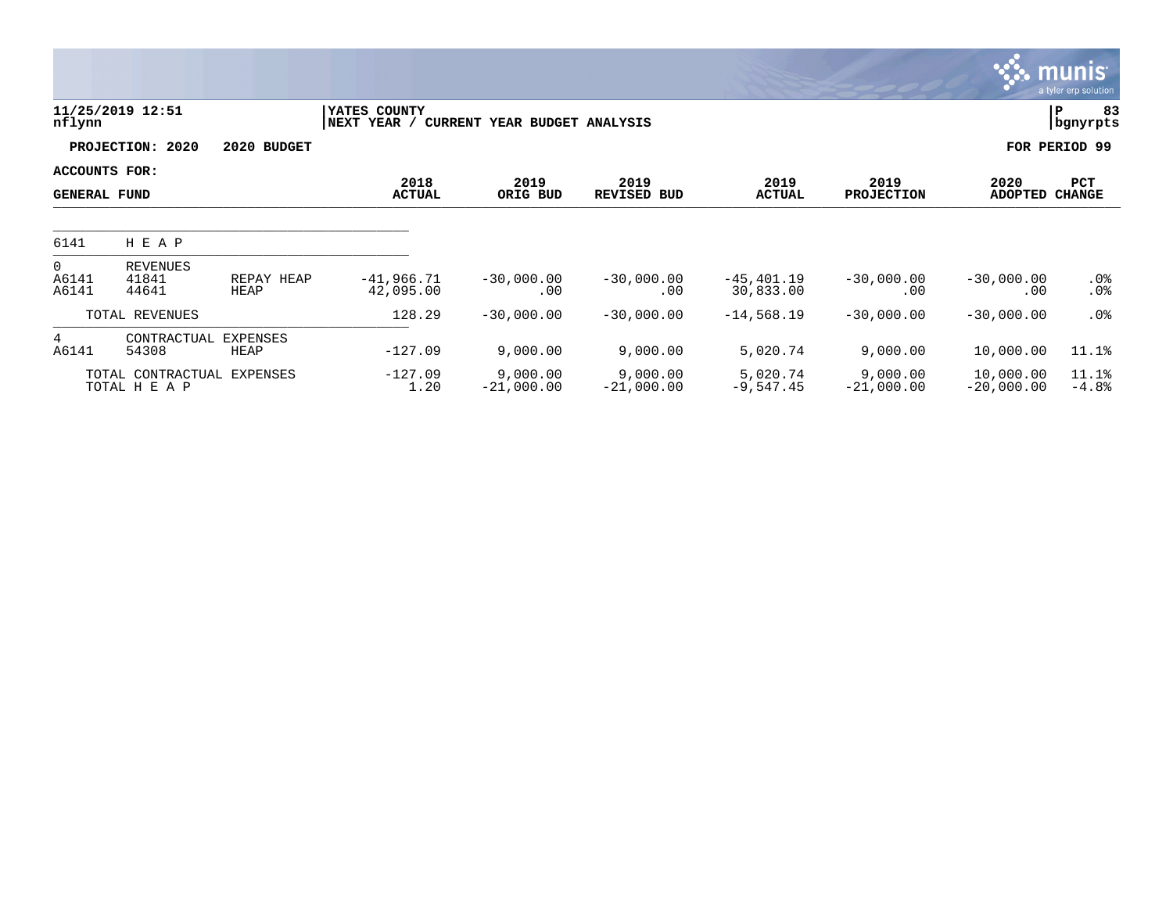|                                      |                                    |                         |                             |                              |                            |                            |                           |                           | <b>munis</b><br>a tyler erp solution |
|--------------------------------------|------------------------------------|-------------------------|-----------------------------|------------------------------|----------------------------|----------------------------|---------------------------|---------------------------|--------------------------------------|
| nflynn                               | 11/25/2019 12:51                   |                         | YATES COUNTY<br>NEXT YEAR / | CURRENT YEAR BUDGET ANALYSIS |                            |                            |                           |                           | lР<br>83<br>  bgnyrpts               |
|                                      | PROJECTION: 2020                   | 2020 BUDGET             |                             |                              |                            |                            |                           |                           | FOR PERIOD 99                        |
| ACCOUNTS FOR:<br><b>GENERAL FUND</b> |                                    |                         | 2018<br><b>ACTUAL</b>       | 2019<br>ORIG BUD             | 2019<br><b>REVISED BUD</b> | 2019<br><b>ACTUAL</b>      | 2019<br><b>PROJECTION</b> | 2020<br><b>ADOPTED</b>    | PCT<br><b>CHANGE</b>                 |
| 6141                                 | H E A P                            |                         |                             |                              |                            |                            |                           |                           |                                      |
| $\mathbf{0}$<br>A6141<br>A6141       | <b>REVENUES</b><br>41841<br>44641  | REPAY HEAP<br>HEAP      | $-41,966.71$<br>42,095.00   | $-30,000.00$<br>.00          | $-30,000.00$<br>.00        | $-45, 401.19$<br>30,833.00 | $-30,000.00$<br>.00       | $-30,000.00$<br>.00       | .0%<br>.0 <sub>8</sub>               |
|                                      | TOTAL REVENUES                     |                         | 128.29                      | $-30,000.00$                 | $-30,000.00$               | $-14,568.19$               | $-30,000.00$              | $-30,000.00$              | .0 <sub>8</sub>                      |
| 4<br>A6141                           | CONTRACTUAL<br>54308               | <b>EXPENSES</b><br>HEAP | $-127.09$                   | 9,000.00                     | 9,000.00                   | 5,020.74                   | 9,000.00                  | 10,000.00                 | 11.1%                                |
|                                      | TOTAL CONTRACTUAL<br>TOTAL H E A P | EXPENSES                | $-127.09$<br>1.20           | 9,000.00<br>$-21,000.00$     | 9,000.00<br>$-21,000.00$   | 5,020.74<br>$-9,547.45$    | 9,000.00<br>$-21,000.00$  | 10,000.00<br>$-20,000.00$ | 11.1%<br>$-4.8%$                     |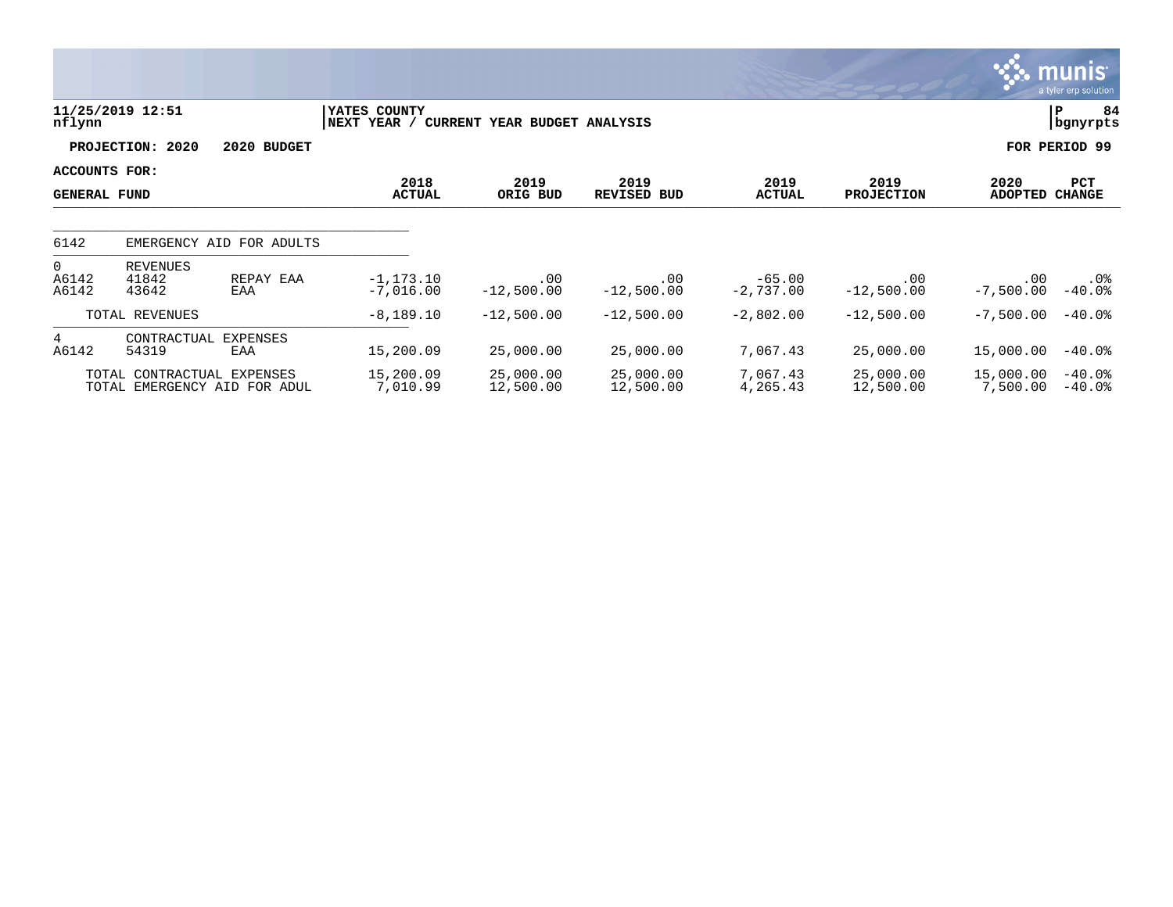|                                      |                                   |                                                            |                              |                              |                            |                         |                           |                        | munis<br>a tyler erp solution |
|--------------------------------------|-----------------------------------|------------------------------------------------------------|------------------------------|------------------------------|----------------------------|-------------------------|---------------------------|------------------------|-------------------------------|
| nflynn                               | 11/25/2019 12:51                  |                                                            | YATES COUNTY<br> NEXT YEAR / | CURRENT YEAR BUDGET ANALYSIS |                            |                         |                           |                        | P<br>84<br>bgnyrpts           |
|                                      | PROJECTION: 2020                  | 2020 BUDGET                                                |                              |                              |                            |                         |                           |                        | FOR PERIOD 99                 |
| ACCOUNTS FOR:<br><b>GENERAL FUND</b> |                                   |                                                            | 2018<br><b>ACTUAL</b>        | 2019<br>ORIG BUD             | 2019<br><b>REVISED BUD</b> | 2019<br><b>ACTUAL</b>   | 2019<br><b>PROJECTION</b> | 2020<br><b>ADOPTED</b> | PCT<br><b>CHANGE</b>          |
| 6142                                 |                                   | EMERGENCY AID FOR ADULTS                                   |                              |                              |                            |                         |                           |                        |                               |
| $\overline{0}$<br>A6142<br>A6142     | <b>REVENUES</b><br>41842<br>43642 | REPAY EAA<br>EAA                                           | $-1, 173.10$<br>$-7,016.00$  | .00<br>$-12,500.00$          | .00<br>$-12,500.00$        | $-65.00$<br>$-2,737.00$ | .00<br>$-12,500.00$       | .00<br>$-7,500.00$     | .0%<br>$-40.0$ °              |
|                                      | TOTAL REVENUES                    |                                                            | $-8,189.10$                  | $-12,500.00$                 | $-12,500.00$               | $-2,802.00$             | $-12,500.00$              | $-7,500.00$            | $-40.0%$                      |
| 4<br>A6142                           | CONTRACTUAL<br>54319              | <b>EXPENSES</b><br>EAA                                     | 15,200.09                    | 25,000.00                    | 25,000.00                  | 7,067.43                | 25,000.00                 | 15,000.00              | $-40.0$ °                     |
|                                      |                                   | TOTAL CONTRACTUAL EXPENSES<br>TOTAL EMERGENCY AID FOR ADUL | 15,200.09<br>7,010.99        | 25,000.00<br>12,500.00       | 25,000.00<br>12,500.00     | 7,067.43<br>4,265.43    | 25,000.00<br>12,500.00    | 15,000.00<br>7,500.00  | $-40.0%$<br>$-40.0$ °         |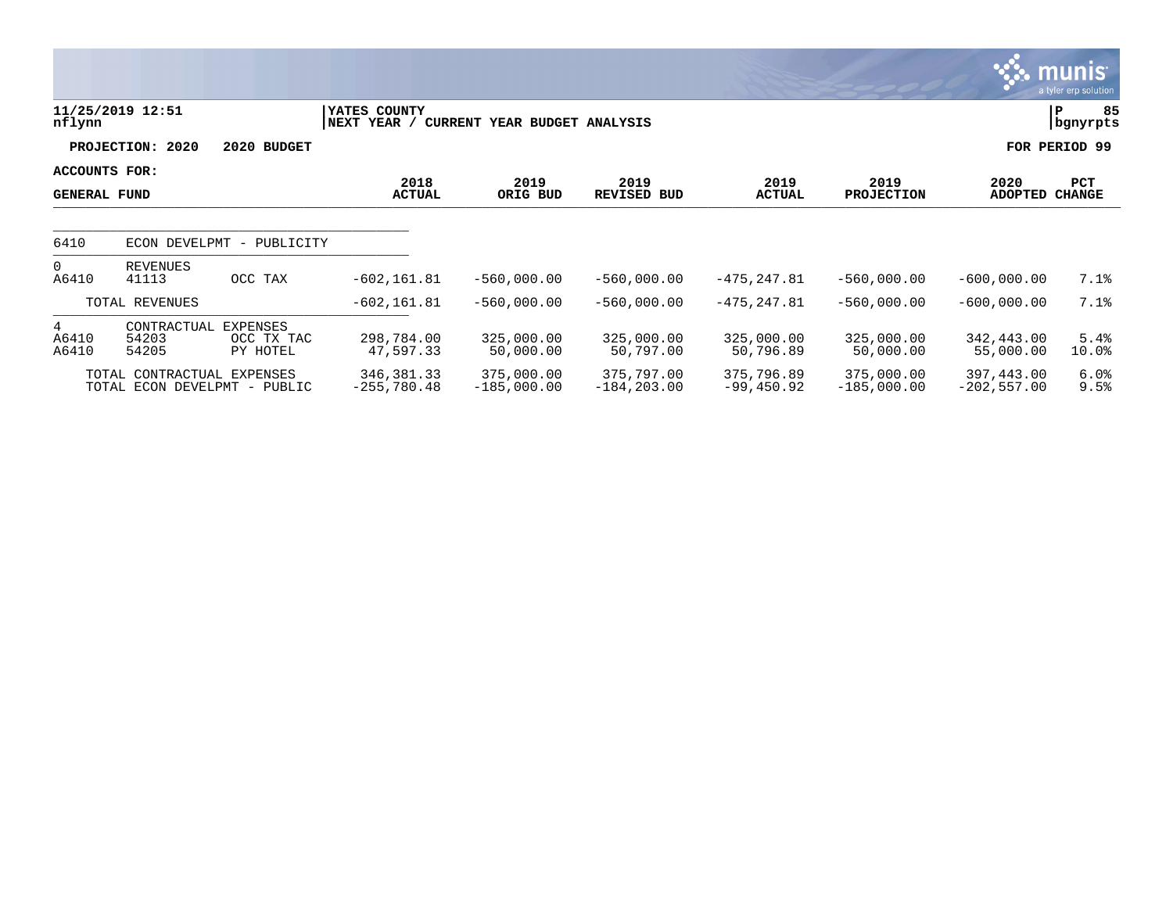|                                      |                                                            |                                           |                                        |                             |                              |                            |                             |                              | <u>munis </u><br>a tyler erp solution |
|--------------------------------------|------------------------------------------------------------|-------------------------------------------|----------------------------------------|-----------------------------|------------------------------|----------------------------|-----------------------------|------------------------------|---------------------------------------|
| nflynn                               | 11/25/2019 12:51                                           |                                           | YATES COUNTY<br>NEXT YEAR /<br>CURRENT | YEAR BUDGET ANALYSIS        |                              |                            |                             |                              | 85<br>P<br>bgnyrpts                   |
|                                      | PROJECTION: 2020                                           | 2020 BUDGET                               |                                        |                             |                              |                            |                             |                              | FOR PERIOD 99                         |
| ACCOUNTS FOR:<br><b>GENERAL FUND</b> |                                                            |                                           | 2018<br><b>ACTUAL</b>                  | 2019<br>ORIG BUD            | 2019<br><b>REVISED BUD</b>   | 2019<br><b>ACTUAL</b>      | 2019<br><b>PROJECTION</b>   | 2020<br>ADOPTED CHANGE       | <b>PCT</b>                            |
| 6410                                 | ECON DEVELPMT                                              | PUBLICITY<br>$\overline{\phantom{m}}$     |                                        |                             |                              |                            |                             |                              |                                       |
| $\overline{0}$<br>A6410              | <b>REVENUES</b><br>41113                                   | OCC TAX                                   | $-602, 161.81$                         | $-560,000.00$               | $-560,000.00$                | $-475, 247.81$             | $-560,000.00$               | $-600,000.00$                | 7.1%                                  |
|                                      | TOTAL REVENUES                                             |                                           | $-602, 161.81$                         | $-560,000.00$               | $-560,000.00$                | $-475, 247.81$             | $-560,000.00$               | $-600,000.00$                | 7.1%                                  |
| 4<br>A6410<br>A6410                  | CONTRACTUAL<br>54203<br>54205                              | <b>EXPENSES</b><br>OCC TX TAC<br>PY HOTEL | 298,784.00<br>47,597.33                | 325,000.00<br>50,000.00     | 325,000.00<br>50,797.00      | 325,000.00<br>50,796.89    | 325,000.00<br>50,000.00     | 342,443.00<br>55,000.00      | 5.4%<br>10.0%                         |
|                                      | TOTAL CONTRACTUAL EXPENSES<br>TOTAL ECON DEVELPMT - PUBLIC |                                           | 346, 381. 33<br>$-255,780.48$          | 375,000.00<br>$-185,000.00$ | 375,797.00<br>$-184, 203.00$ | 375,796.89<br>$-99,450.92$ | 375,000.00<br>$-185,000.00$ | 397,443.00<br>$-202, 557.00$ | 6.0%<br>9.5%                          |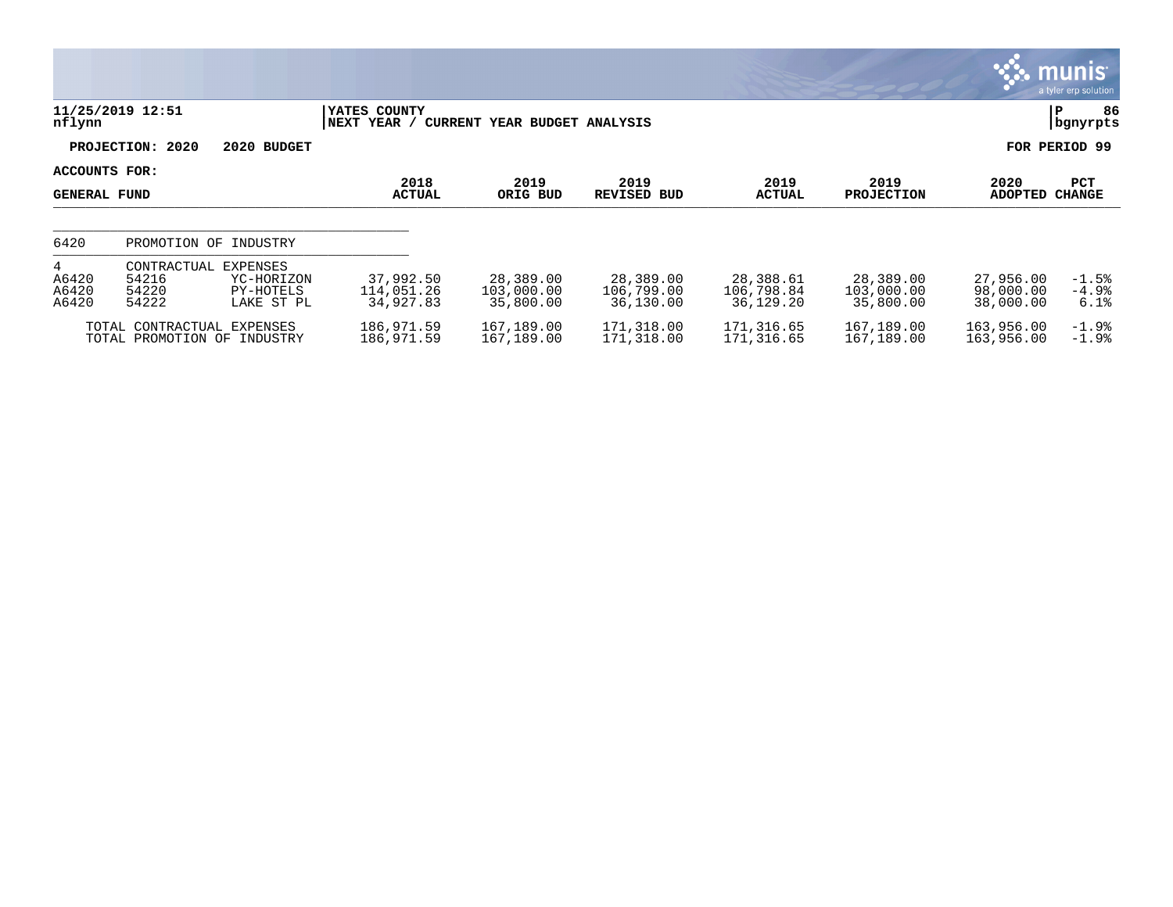|                               |                                                                                             |                                      |                                      |                                      |                                      |                                      |                                     | <b>munis</b><br>a tyler erp solution |
|-------------------------------|---------------------------------------------------------------------------------------------|--------------------------------------|--------------------------------------|--------------------------------------|--------------------------------------|--------------------------------------|-------------------------------------|--------------------------------------|
| nflynn                        | 11/25/2019 12:51                                                                            | YATES COUNTY<br>NEXT YEAR /          | CURRENT YEAR BUDGET ANALYSIS         |                                      |                                      |                                      |                                     | 86<br>l P<br>bgnyrpts                |
|                               | PROJECTION: 2020<br>2020 BUDGET                                                             |                                      |                                      |                                      |                                      |                                      |                                     | FOR PERIOD 99                        |
| ACCOUNTS FOR:<br>GENERAL FUND |                                                                                             | 2018<br><b>ACTUAL</b>                | 2019<br>ORIG BUD                     | 2019<br><b>REVISED BUD</b>           | 2019<br><b>ACTUAL</b>                | 2019<br><b>PROJECTION</b>            | 2020<br>ADOPTED                     | <b>PCT</b><br>CHANGE                 |
| 6420                          | PROMOTION OF INDUSTRY                                                                       |                                      |                                      |                                      |                                      |                                      |                                     |                                      |
| 4<br>A6420<br>A6420<br>A6420  | EXPENSES<br>CONTRACTUAL<br>54216<br>YC-HORIZON<br>54220<br>PY-HOTELS<br>54222<br>LAKE ST PL | 37,992.50<br>114,051.26<br>34,927.83 | 28,389.00<br>103,000.00<br>35,800.00 | 28,389.00<br>106,799.00<br>36,130.00 | 28,388.61<br>106,798.84<br>36,129.20 | 28,389.00<br>103,000.00<br>35,800.00 | 27,956.00<br>98,000.00<br>38,000.00 | $-1.5%$<br>$-4.9\%$<br>6.1%          |
|                               | TOTAL CONTRACTUAL EXPENSES<br>TOTAL PROMOTION OF INDUSTRY                                   | 186,971.59<br>186,971.59             | 167,189.00<br>167,189.00             | 171,318.00<br>171,318.00             | 171,316.65<br>171,316.65             | 167,189.00<br>167,189.00             | 163,956.00<br>163,956.00            | $-1.9%$<br>$-1.9%$                   |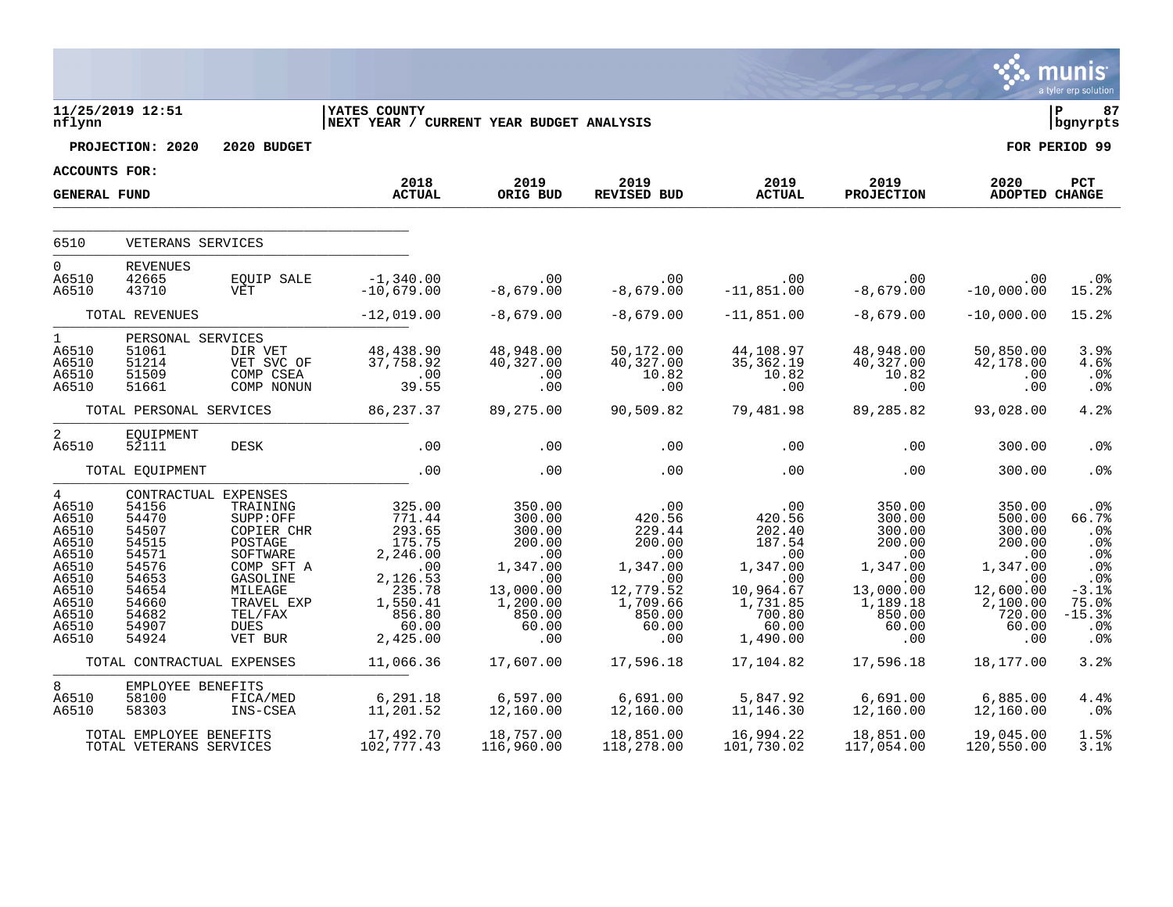|                                                                                                                             |                                                                                                                                                                |                                                                                                                                                   |                                                                                                                                           |                                                                                                                                      |                                                                                                                             |                                                                                                                                  |                                                                                                                                |                                                                                                                                                          | munis<br>a tyler erp solution                                                                               |
|-----------------------------------------------------------------------------------------------------------------------------|----------------------------------------------------------------------------------------------------------------------------------------------------------------|---------------------------------------------------------------------------------------------------------------------------------------------------|-------------------------------------------------------------------------------------------------------------------------------------------|--------------------------------------------------------------------------------------------------------------------------------------|-----------------------------------------------------------------------------------------------------------------------------|----------------------------------------------------------------------------------------------------------------------------------|--------------------------------------------------------------------------------------------------------------------------------|----------------------------------------------------------------------------------------------------------------------------------------------------------|-------------------------------------------------------------------------------------------------------------|
| nflynn                                                                                                                      | 11/25/2019 12:51                                                                                                                                               |                                                                                                                                                   | <b>YATES COUNTY</b><br>NEXT YEAR / CURRENT YEAR BUDGET ANALYSIS                                                                           |                                                                                                                                      |                                                                                                                             |                                                                                                                                  |                                                                                                                                |                                                                                                                                                          | ∣ P<br>87<br>  bgnyrpts                                                                                     |
|                                                                                                                             | PROJECTION: 2020                                                                                                                                               | 2020 BUDGET                                                                                                                                       |                                                                                                                                           |                                                                                                                                      |                                                                                                                             |                                                                                                                                  |                                                                                                                                |                                                                                                                                                          | FOR PERIOD 99                                                                                               |
| ACCOUNTS FOR:                                                                                                               |                                                                                                                                                                |                                                                                                                                                   | 2018                                                                                                                                      | 2019                                                                                                                                 | 2019                                                                                                                        | 2019                                                                                                                             |                                                                                                                                |                                                                                                                                                          |                                                                                                             |
| <b>GENERAL FUND</b>                                                                                                         |                                                                                                                                                                |                                                                                                                                                   | <b>ACTUAL</b>                                                                                                                             | ORIG BUD                                                                                                                             | <b>REVISED BUD</b>                                                                                                          | <b>ACTUAL</b>                                                                                                                    | 2019<br><b>PROJECTION</b>                                                                                                      | 2020<br><b>ADOPTED CHANGE</b>                                                                                                                            | PCT                                                                                                         |
|                                                                                                                             |                                                                                                                                                                |                                                                                                                                                   |                                                                                                                                           |                                                                                                                                      |                                                                                                                             |                                                                                                                                  |                                                                                                                                |                                                                                                                                                          |                                                                                                             |
| 6510                                                                                                                        | VETERANS SERVICES                                                                                                                                              |                                                                                                                                                   |                                                                                                                                           |                                                                                                                                      |                                                                                                                             |                                                                                                                                  |                                                                                                                                |                                                                                                                                                          |                                                                                                             |
| $\overline{0}$<br>A6510<br>A6510                                                                                            | <b>REVENUES</b><br>42665<br>43710                                                                                                                              | <b>EOUIP SALE</b><br><b>VET</b>                                                                                                                   | $-1,340.00$<br>$-10,679.00$                                                                                                               | .00<br>$-8,679.00$                                                                                                                   | .00<br>$-8,679.00$                                                                                                          | .00<br>11,851.00 -<br>$-11,851.00$                                                                                               | .00<br>$-8,679.00$                                                                                                             | .00<br>$-10,000.00$                                                                                                                                      | .0%<br>15.2%                                                                                                |
|                                                                                                                             | TOTAL REVENUES                                                                                                                                                 |                                                                                                                                                   | $-12,019.00$                                                                                                                              | $-8,679.00$                                                                                                                          | $-8,679.00$                                                                                                                 | $-11,851.00$                                                                                                                     | $-8,679.00$                                                                                                                    | $-10,000.00$                                                                                                                                             | 15.2%                                                                                                       |
| 1<br>A6510<br>A6510<br>A6510<br>A6510                                                                                       | PERSONAL SERVICES<br>51061<br>51214<br>51509<br>51661                                                                                                          | DIR VET<br>VET SVC OF<br>COMP CSEA<br>COMP NONUN                                                                                                  | 48,438.90<br>37,758.92<br>$\ddotsc 00$<br>39.55                                                                                           | 48,948.00<br>40,327.00<br>.00<br>.00                                                                                                 | 50,172.00<br>40,327.00<br>10.82<br>.00                                                                                      | 44,108.97<br>35,362.19<br>10.82<br>.00                                                                                           | 48,948.00<br>40,327.00<br>10.82<br>.00                                                                                         | 50,850.00<br>42,178.00<br>.00<br>.00                                                                                                                     | 3.9%<br>4.6%<br>.0%<br>.0%                                                                                  |
|                                                                                                                             | TOTAL PERSONAL SERVICES                                                                                                                                        |                                                                                                                                                   | 86, 237.37                                                                                                                                | 89,275.00                                                                                                                            | 90,509.82                                                                                                                   | 79,481.98                                                                                                                        | 89,285.82                                                                                                                      | 93,028.00                                                                                                                                                | 4.2%                                                                                                        |
| 2<br>A6510                                                                                                                  | EQUIPMENT<br>52111                                                                                                                                             | DESK                                                                                                                                              | .00                                                                                                                                       | .00                                                                                                                                  | .00                                                                                                                         | .00                                                                                                                              | .00                                                                                                                            | 300.00                                                                                                                                                   | .0 <sub>8</sub>                                                                                             |
|                                                                                                                             | TOTAL EQUIPMENT                                                                                                                                                |                                                                                                                                                   | .00                                                                                                                                       | .00                                                                                                                                  | .00                                                                                                                         | .00                                                                                                                              | .00                                                                                                                            | 300.00                                                                                                                                                   | .0 <sub>8</sub>                                                                                             |
| $4\overline{ }$<br>A6510<br>A6510<br>A6510<br>A6510<br>A6510<br>A6510<br>A6510<br>A6510<br>A6510<br>A6510<br>A6510<br>A6510 | CONTRACTUAL EXPENSES<br>54156<br>54470<br>54507<br>54515<br>54571<br>54576<br>54653<br>54654<br>54660<br>54682<br>54907<br>54924<br>TOTAL CONTRACTUAL EXPENSES | TRAINING<br>SUPP:OFF<br>COPIER CHR<br>POSTAGE<br>SOFTWARE<br>COMP SFT A<br>GASOLINE<br>MILEAGE<br>TRAVEL EXP<br>TEL/FAX<br><b>DUES</b><br>VET BUR | 325.00<br>771.44<br>293.65<br>175.75<br>2,246.00<br>.00<br>2,126.53<br>235.78<br>1,550.41<br>$856.80$<br>$60.00$<br>2,425.00<br>11,066.36 | 350.00<br>300.00<br>300.00<br>200.00<br>.00<br>1,347.00<br>$\sim 00$<br>13,000.00<br>1,200.00<br>850.00<br>60.00<br>.00<br>17,607.00 | .00<br>420.56<br>229.44<br>200.00<br>.00<br>1,347.00<br>.00<br>12,779.52<br>1,709.66<br>850.00<br>60.00<br>.00<br>17,596.18 | .00<br>420.56<br>202.40<br>187.54<br>.00<br>1,347.00<br>.00<br>10,964.67<br>1,731.85<br>700.80<br>60.00<br>1,490.00<br>17,104.82 | 350.00<br>300.00<br>300.00<br>200.00<br>.00<br>1,347.00<br>.00<br>13,000.00<br>1,189.18<br>850.00<br>60.00<br>.00<br>17,596.18 | 350.00<br>500.00<br>300.00<br>200.00<br>.00<br>1,347.00<br>$\overline{\phantom{0}}$ . 00<br>12,600.00<br>2,100.00<br>720.00<br>60.00<br>.00<br>18,177.00 | .0%<br>66.7%<br>$.0\%$<br>.0%<br>.0%<br>.0%<br>.0%<br>$-3.1%$<br>75.0%<br>$-15.3%$<br>.0%<br>$.0\%$<br>3.2% |
|                                                                                                                             |                                                                                                                                                                |                                                                                                                                                   |                                                                                                                                           |                                                                                                                                      |                                                                                                                             |                                                                                                                                  |                                                                                                                                |                                                                                                                                                          |                                                                                                             |
| 8<br>A6510<br>A6510                                                                                                         | EMPLOYEE BENEFITS<br>58100<br>58303                                                                                                                            | FICA/MED<br>INS-CSEA                                                                                                                              | 6,291.18<br>11,201.52                                                                                                                     | 6,597.00<br>12,160.00                                                                                                                | 6,691.00<br>12,160.00                                                                                                       | 5,847.92<br>11,146.30                                                                                                            | 6,691.00<br>12,160.00                                                                                                          | 6,885.00<br>12,160.00                                                                                                                                    | 4.4%<br>$.0\%$                                                                                              |
|                                                                                                                             | TOTAL EMPLOYEE BENEFITS<br>TOTAL VETERANS SERVICES                                                                                                             |                                                                                                                                                   | 17,492.70<br>102,777.43                                                                                                                   | 18,757.00<br>116,960.00                                                                                                              | 18,851.00<br>118,278.00                                                                                                     | 16,994.22<br>101,730.02                                                                                                          | 18,851.00<br>117,054.00                                                                                                        | 19,045.00<br>120,550.00                                                                                                                                  | 1.5%<br>3.1%                                                                                                |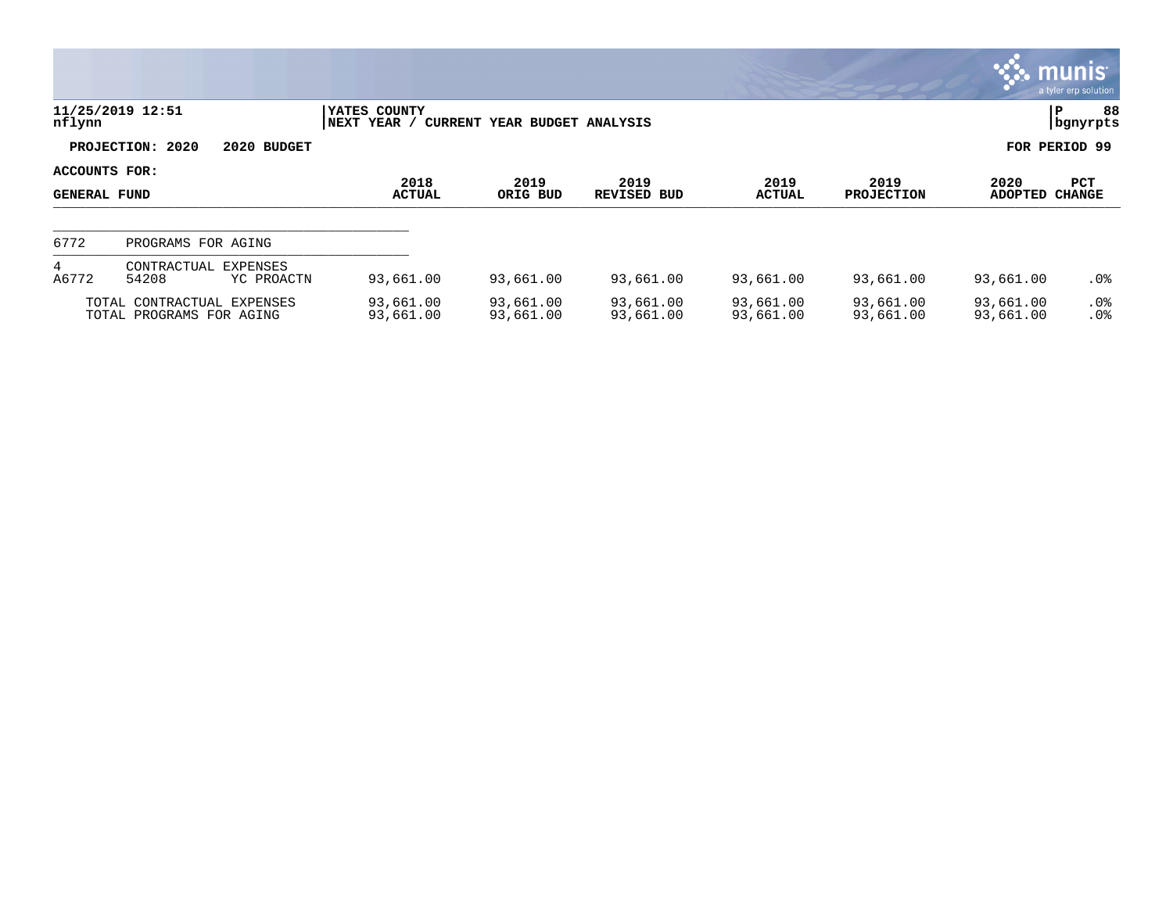|                                      |                                                        |                             |                              |                            |                        |                           |                        | , munis <sup>.</sup><br>a tyler erp solution |
|--------------------------------------|--------------------------------------------------------|-----------------------------|------------------------------|----------------------------|------------------------|---------------------------|------------------------|----------------------------------------------|
| nflynn                               | 11/25/2019 12:51                                       | YATES COUNTY<br>NEXT YEAR / | CURRENT YEAR BUDGET ANALYSIS |                            |                        |                           |                        | 88<br>lР<br>  bgnyrpts                       |
|                                      | PROJECTION: 2020<br>2020 BUDGET                        |                             |                              |                            |                        |                           |                        | FOR PERIOD 99                                |
| ACCOUNTS FOR:<br><b>GENERAL FUND</b> |                                                        | 2018<br><b>ACTUAL</b>       | 2019<br>ORIG BUD             | 2019<br><b>REVISED BUD</b> | 2019<br><b>ACTUAL</b>  | 2019<br><b>PROJECTION</b> | 2020<br><b>ADOPTED</b> | <b>PCT</b><br><b>CHANGE</b>                  |
| 6772                                 | PROGRAMS FOR AGING                                     |                             |                              |                            |                        |                           |                        |                                              |
| 4<br>A6772                           | EXPENSES<br>CONTRACTUAL<br>54208<br>YC PROACTN         | 93,661.00                   | 93,661.00                    | 93,661.00                  | 93,661.00              | 93,661.00                 | 93,661.00              | $.0\%$                                       |
|                                      | TOTAL CONTRACTUAL EXPENSES<br>TOTAL PROGRAMS FOR AGING | 93,661.00<br>93,661.00      | 93,661.00<br>93,661.00       | 93,661.00<br>93,661.00     | 93,661.00<br>93,661.00 | 93,661.00<br>93,661.00    | 93,661.00<br>93,661.00 | $.0\%$<br>.0%                                |

**COL**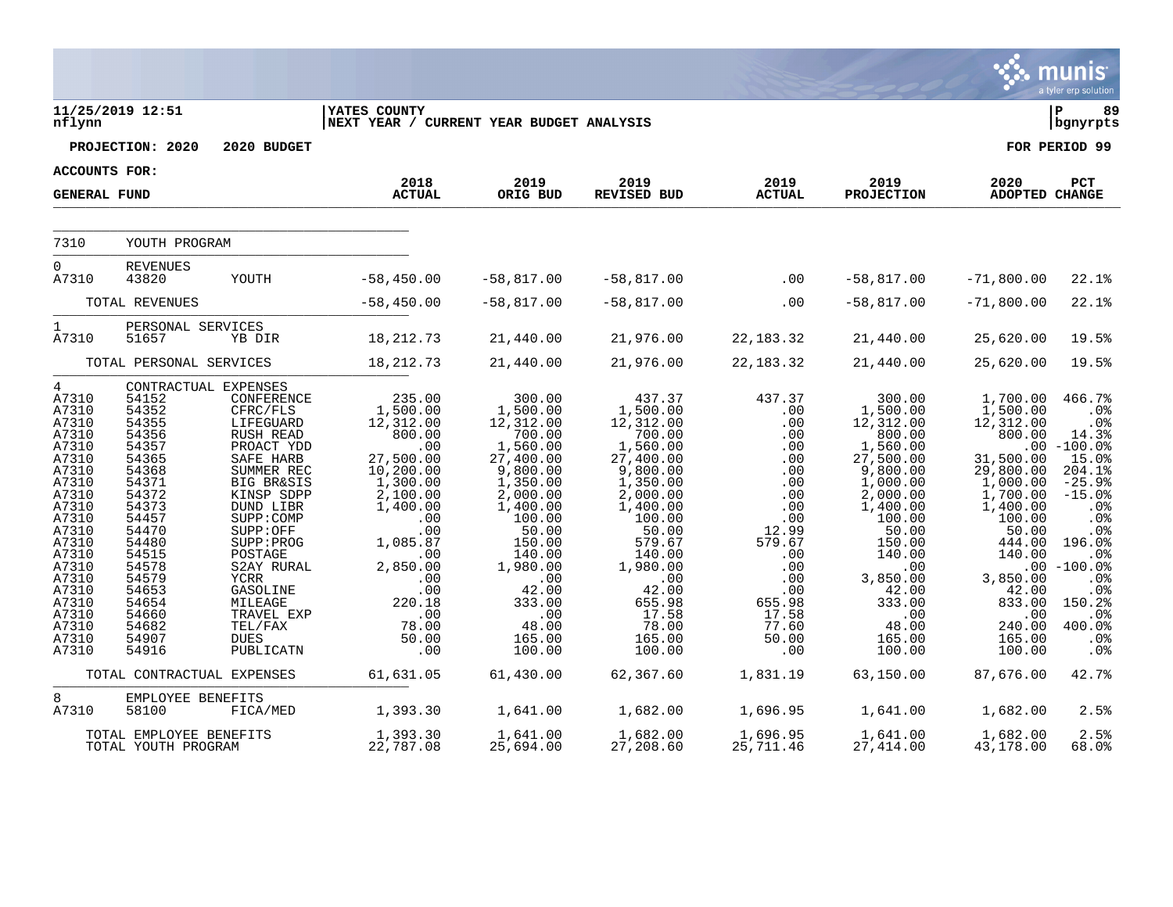|                                                                                                                                                                                                                       |                                                                                                                                                                                                    |                                                                                                                                                                                                                                                                                                                                   |                                                                                                                                                                                                                          |                                                                                                                                                                                                                                     |                                                                                                                                                                                                                                       |                                                                                                                                                                         |                                                                                                                                                                                                                                          |                                                                                                                                                                                                                      | a tyler erp solution                                                                                                                                                                                                                                     |
|-----------------------------------------------------------------------------------------------------------------------------------------------------------------------------------------------------------------------|----------------------------------------------------------------------------------------------------------------------------------------------------------------------------------------------------|-----------------------------------------------------------------------------------------------------------------------------------------------------------------------------------------------------------------------------------------------------------------------------------------------------------------------------------|--------------------------------------------------------------------------------------------------------------------------------------------------------------------------------------------------------------------------|-------------------------------------------------------------------------------------------------------------------------------------------------------------------------------------------------------------------------------------|---------------------------------------------------------------------------------------------------------------------------------------------------------------------------------------------------------------------------------------|-------------------------------------------------------------------------------------------------------------------------------------------------------------------------|------------------------------------------------------------------------------------------------------------------------------------------------------------------------------------------------------------------------------------------|----------------------------------------------------------------------------------------------------------------------------------------------------------------------------------------------------------------------|----------------------------------------------------------------------------------------------------------------------------------------------------------------------------------------------------------------------------------------------------------|
| nflynn                                                                                                                                                                                                                | 11/25/2019 12:51                                                                                                                                                                                   |                                                                                                                                                                                                                                                                                                                                   | <b>YATES COUNTY</b><br>NEXT YEAR / CURRENT YEAR BUDGET ANALYSIS                                                                                                                                                          |                                                                                                                                                                                                                                     |                                                                                                                                                                                                                                       |                                                                                                                                                                         |                                                                                                                                                                                                                                          |                                                                                                                                                                                                                      | l P<br>89<br>bgnyrpts                                                                                                                                                                                                                                    |
|                                                                                                                                                                                                                       | PROJECTION: 2020                                                                                                                                                                                   | 2020 BUDGET                                                                                                                                                                                                                                                                                                                       |                                                                                                                                                                                                                          |                                                                                                                                                                                                                                     |                                                                                                                                                                                                                                       |                                                                                                                                                                         |                                                                                                                                                                                                                                          |                                                                                                                                                                                                                      | FOR PERIOD 99                                                                                                                                                                                                                                            |
| <b>ACCOUNTS FOR:</b>                                                                                                                                                                                                  |                                                                                                                                                                                                    |                                                                                                                                                                                                                                                                                                                                   |                                                                                                                                                                                                                          |                                                                                                                                                                                                                                     |                                                                                                                                                                                                                                       |                                                                                                                                                                         |                                                                                                                                                                                                                                          |                                                                                                                                                                                                                      |                                                                                                                                                                                                                                                          |
| <b>GENERAL FUND</b>                                                                                                                                                                                                   |                                                                                                                                                                                                    |                                                                                                                                                                                                                                                                                                                                   | 2018<br><b>ACTUAL</b>                                                                                                                                                                                                    | 2019<br>ORIG BUD                                                                                                                                                                                                                    | 2019<br>REVISED BUD                                                                                                                                                                                                                   | 2019<br><b>ACTUAL</b>                                                                                                                                                   | 2019<br><b>PROJECTION</b>                                                                                                                                                                                                                | 2020<br><b>ADOPTED CHANGE</b>                                                                                                                                                                                        | PCT                                                                                                                                                                                                                                                      |
| 7310                                                                                                                                                                                                                  | YOUTH PROGRAM                                                                                                                                                                                      |                                                                                                                                                                                                                                                                                                                                   |                                                                                                                                                                                                                          |                                                                                                                                                                                                                                     |                                                                                                                                                                                                                                       |                                                                                                                                                                         |                                                                                                                                                                                                                                          |                                                                                                                                                                                                                      |                                                                                                                                                                                                                                                          |
| $\overline{0}$<br>A7310                                                                                                                                                                                               | REVENUES<br>43820                                                                                                                                                                                  | YOUTH                                                                                                                                                                                                                                                                                                                             | $-58,450.00$                                                                                                                                                                                                             | $-58,817.00$                                                                                                                                                                                                                        | $-58,817.00$                                                                                                                                                                                                                          | $\sim$ 00                                                                                                                                                               | $-58,817.00$                                                                                                                                                                                                                             | $-71,800.00$                                                                                                                                                                                                         | $22.1$ <sup>8</sup>                                                                                                                                                                                                                                      |
|                                                                                                                                                                                                                       | TOTAL REVENUES                                                                                                                                                                                     |                                                                                                                                                                                                                                                                                                                                   | $-58,450.00$                                                                                                                                                                                                             | $-58,817.00$                                                                                                                                                                                                                        | $-58,817.00$                                                                                                                                                                                                                          | .00                                                                                                                                                                     | $-58,817.00$                                                                                                                                                                                                                             | $-71,800.00$                                                                                                                                                                                                         | $22.1$ <sup>8</sup>                                                                                                                                                                                                                                      |
| $\mathbf{1}$<br>A7310                                                                                                                                                                                                 | PERSONAL SERVICES<br>51657                                                                                                                                                                         | YB DIR                                                                                                                                                                                                                                                                                                                            | 18, 212. 73                                                                                                                                                                                                              | 21,440.00                                                                                                                                                                                                                           | 21,976.00                                                                                                                                                                                                                             | 22, 183. 32                                                                                                                                                             | 21,440.00                                                                                                                                                                                                                                | 25,620.00                                                                                                                                                                                                            | 19.5%                                                                                                                                                                                                                                                    |
|                                                                                                                                                                                                                       | TOTAL PERSONAL SERVICES                                                                                                                                                                            |                                                                                                                                                                                                                                                                                                                                   | 18, 212. 73                                                                                                                                                                                                              | 21,440.00                                                                                                                                                                                                                           | 21,976.00                                                                                                                                                                                                                             | 22, 183. 32                                                                                                                                                             | 21,440.00                                                                                                                                                                                                                                | 25,620.00                                                                                                                                                                                                            | 19.5%                                                                                                                                                                                                                                                    |
| $4\overline{ }$<br>A7310<br>A7310<br>A7310<br>A7310<br>A7310<br>A7310<br>A7310<br>A7310<br>A7310<br>A7310<br>A7310<br>A7310<br>A7310<br>A7310<br>A7310<br>A7310<br>A7310<br>A7310<br>A7310<br>A7310<br>A7310<br>A7310 | 54152<br>54352<br>54355<br>54356<br>54357<br>54365<br>54368<br>54371<br>54372<br>54373<br>54457<br>54470<br>54480<br>54515<br>54578<br>54579<br>54653<br>54654<br>54660<br>54682<br>54907<br>54916 | CONTRACTUAL EXPENSES<br>CONFERENCE<br>CFRC/FLS<br>LIFEGUARD<br>RUSH READ<br>PROACT YDD<br>SAFE HARB<br>SUMMER REC<br><b>BIG BR&amp;SIS</b><br>KINSP SDPP<br>DUND LIBR<br>SUPP: COMP<br>SUPP:OFF<br>SUPP: PROG<br>POSTAGE<br>S2AY RURAL<br><b>YCRR</b><br>GASOLINE<br>MILEAGE<br>TRAVEL EXP<br>TEL/FAX<br><b>DUES</b><br>PUBLICATN | 235.00<br>1,500.00<br>12,312.00<br>800.00<br>.00<br>27,500.00<br>10,200.00<br>1,300.00<br>2,100.00<br>1,400.00<br>.00<br>$.00 \,$<br>1,085.87<br>.00<br>2,850.00<br>.00<br>.00<br>220.18<br>.00<br>78.00<br>50.00<br>.00 | 300.00<br>1,500.00<br>12,312.00<br>700.00<br>1,560.00<br>27,400.00<br>9,800.00<br>1,350.00<br>2,000.00<br>1,400.00<br>100.00<br>50.00<br>150.00<br>140.00<br>1,980.00<br>.00<br>42.00<br>333.00<br>.00<br>48.00<br>165.00<br>100.00 | 437.37<br>1,500.00<br>12,312.00<br>700.00<br>1,560.00<br>27,400.00<br>9,800.00<br>1,350.00<br>2,000.00<br>1,400.00<br>100.00<br>50.00<br>579.67<br>140.00<br>1,980.00<br>.00<br>42.00<br>655.98<br>17.58<br>78.00<br>165.00<br>100.00 | 437.37<br>.00<br>.00<br>.00<br>.00<br>.00<br>.00<br>.00<br>.00<br>.00<br>.00<br>12.99<br>579.67<br>.00<br>.00<br>.00<br>.00<br>655.98<br>17.58<br>77.60<br>50.00<br>.00 | 300.00<br>1,500.00<br>12,312.00<br>800.00<br>1,560.00<br>27,500.00<br>9,800.00<br>1,000.00<br>2,000.00<br>1,400.00<br>100.00<br>50.00<br>150.00<br>140.00<br>$.00 \,$<br>3,850.00<br>42.00<br>333.00<br>.00<br>48.00<br>165.00<br>100.00 | 1,700.00<br>1,500.00<br>12,312.00<br>800.00<br>31,500.00<br>29,800.00<br>1,000.00<br>1,700.00<br>1,400.00<br>100.00<br>50.00<br>444.00<br>140.00<br>3,850.00<br>42.00<br>833.00<br>.00<br>240.00<br>165.00<br>100.00 | 466.7%<br>.0 <sup>8</sup><br>.0%<br>14.3%<br>$.00 - 100.0$<br>15.0%<br>204.1%<br>$-25.9%$<br>$-15.0%$<br>.0%<br>.0%<br>.0%<br>196.0%<br>.0 <sub>8</sub><br>$.00 - 100.0%$<br>.0%<br>.0%<br>150.2%<br>.0%<br>400.0%<br>.0 <sub>8</sub><br>.0 <sub>8</sub> |
|                                                                                                                                                                                                                       | TOTAL CONTRACTUAL EXPENSES                                                                                                                                                                         |                                                                                                                                                                                                                                                                                                                                   | 61,631.05                                                                                                                                                                                                                | 61,430.00                                                                                                                                                                                                                           | 62,367.60                                                                                                                                                                                                                             | 1,831.19                                                                                                                                                                | 63,150.00                                                                                                                                                                                                                                | 87,676.00                                                                                                                                                                                                            | 42.7%                                                                                                                                                                                                                                                    |
| 8<br>A7310                                                                                                                                                                                                            | EMPLOYEE BENEFITS<br>58100                                                                                                                                                                         | FICA/MED                                                                                                                                                                                                                                                                                                                          | 1,393.30                                                                                                                                                                                                                 | 1,641.00                                                                                                                                                                                                                            | 1,682.00                                                                                                                                                                                                                              | 1,696.95                                                                                                                                                                | 1,641.00                                                                                                                                                                                                                                 | 1,682.00                                                                                                                                                                                                             | 2.5%                                                                                                                                                                                                                                                     |
|                                                                                                                                                                                                                       | TOTAL EMPLOYEE BENEFITS<br>TOTAL YOUTH PROGRAM                                                                                                                                                     |                                                                                                                                                                                                                                                                                                                                   | 1,393.30<br>22,787.08                                                                                                                                                                                                    | 1,641.00<br>25,694.00                                                                                                                                                                                                               | 1,682.00<br>27,208.60                                                                                                                                                                                                                 | 1,696.95<br>25,711.46                                                                                                                                                   | 1,641.00<br>27,414.00                                                                                                                                                                                                                    | 1,682.00<br>43,178.00                                                                                                                                                                                                | 2.5%<br>68.0%                                                                                                                                                                                                                                            |

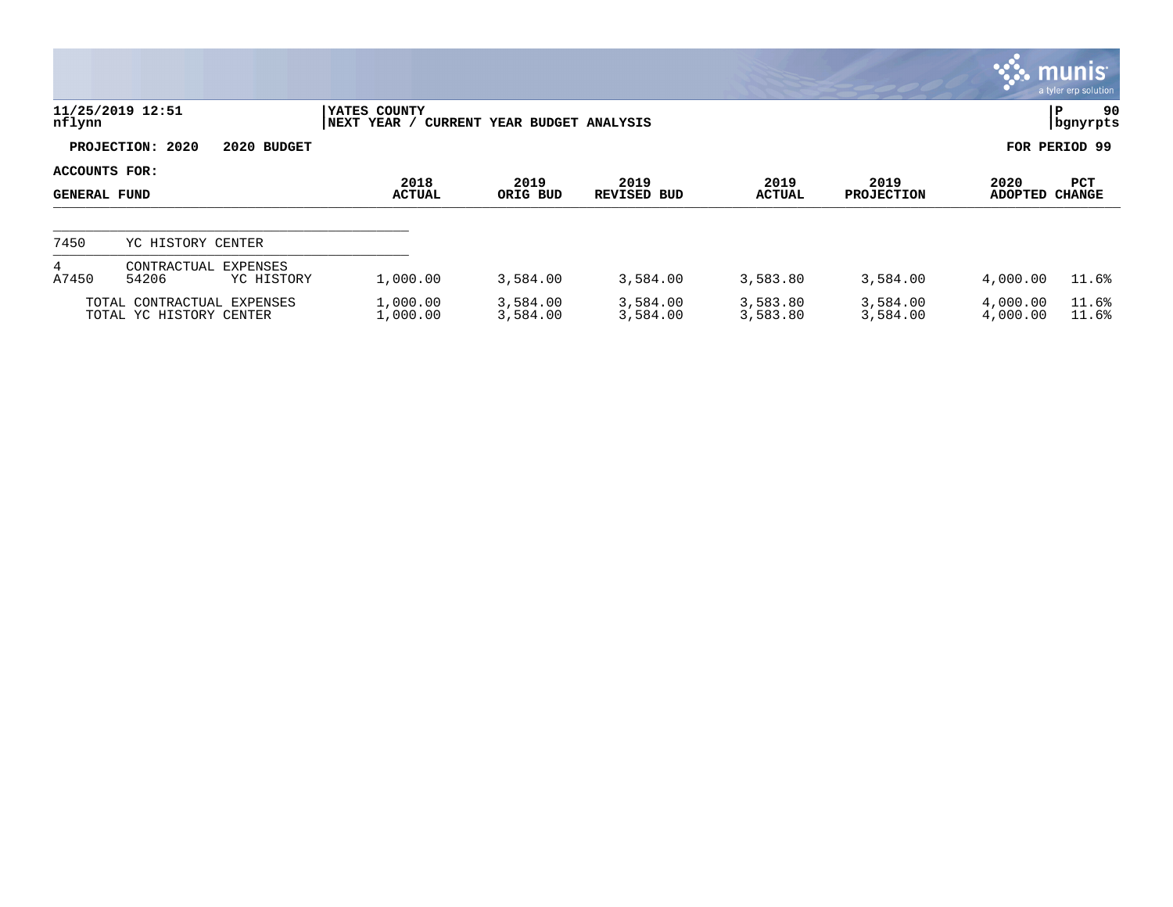|                                      |                                                       |                             |                              |                      |                      |                           |                        | $\mathbf{\ddot{\cdot}}\mathbf{\ddot{\cdot}}\mathbf{m}$ unis $\mathbf{\ddot{\cdot}}$<br>a tyler erp solution |
|--------------------------------------|-------------------------------------------------------|-----------------------------|------------------------------|----------------------|----------------------|---------------------------|------------------------|-------------------------------------------------------------------------------------------------------------|
| nflynn                               | 11/25/2019 12:51                                      | YATES COUNTY<br>NEXT YEAR / | CURRENT YEAR BUDGET ANALYSIS |                      |                      |                           |                        | 90<br>∣P<br>  bgnyrpts                                                                                      |
|                                      | PROJECTION: 2020<br>2020 BUDGET                       |                             |                              |                      |                      |                           |                        | FOR PERIOD 99                                                                                               |
| ACCOUNTS FOR:<br><b>GENERAL FUND</b> |                                                       | 2018<br><b>ACTUAL</b>       | 2019<br>ORIG BUD             | 2019<br>REVISED BUD  | 2019<br>ACTUAL       | 2019<br><b>PROJECTION</b> | 2020<br><b>ADOPTED</b> | <b>PCT</b><br>CHANGE                                                                                        |
| 7450                                 | YC HISTORY CENTER                                     |                             |                              |                      |                      |                           |                        |                                                                                                             |
| 4<br>A7450                           | <b>EXPENSES</b><br>CONTRACTUAL<br>54206<br>YC HISTORY | 1,000.00                    | 3,584.00                     | 3,584.00             | 3,583.80             | 3,584.00                  | 4,000.00               | 11.6%                                                                                                       |
|                                      | TOTAL CONTRACTUAL EXPENSES<br>TOTAL YC HISTORY CENTER | 1,000.00<br>1,000.00        | 3,584.00<br>3,584.00         | 3,584.00<br>3,584.00 | 3,583.80<br>3,583.80 | 3,584.00<br>3,584.00      | 4,000.00<br>4,000.00   | 11.6%<br>11.6%                                                                                              |

 $\mathcal{L}^{\bullet}$  .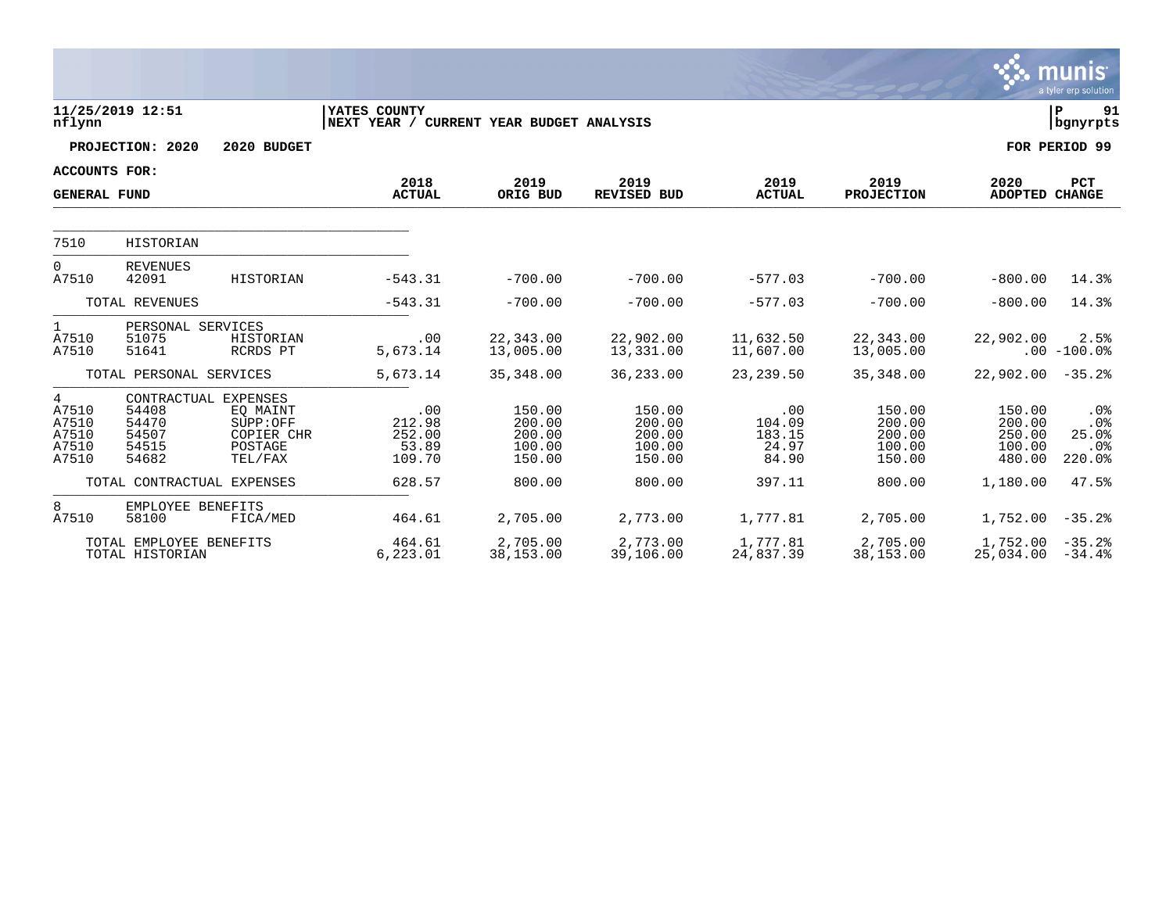|                                                |                                            |                                                                                  |                                                          |                                                |                                                |                                           |                                                |                                                | munis<br>a tyler erp solution                       |
|------------------------------------------------|--------------------------------------------|----------------------------------------------------------------------------------|----------------------------------------------------------|------------------------------------------------|------------------------------------------------|-------------------------------------------|------------------------------------------------|------------------------------------------------|-----------------------------------------------------|
| nflynn                                         | 11/25/2019 12:51                           |                                                                                  | YATES COUNTY<br>NEXT YEAR / CURRENT YEAR BUDGET ANALYSIS |                                                |                                                |                                           |                                                |                                                | lР<br>91<br>  bgnyrpts                              |
|                                                | PROJECTION: 2020                           | 2020 BUDGET                                                                      |                                                          |                                                |                                                |                                           |                                                |                                                | FOR PERIOD 99                                       |
| <b>ACCOUNTS FOR:</b>                           |                                            |                                                                                  |                                                          |                                                |                                                |                                           |                                                |                                                |                                                     |
| <b>GENERAL FUND</b>                            |                                            |                                                                                  | 2018<br><b>ACTUAL</b>                                    | 2019<br>ORIG BUD                               | 2019<br><b>REVISED BUD</b>                     | 2019<br><b>ACTUAL</b>                     | 2019<br><b>PROJECTION</b>                      | 2020<br><b>ADOPTED CHANGE</b>                  | <b>PCT</b>                                          |
| 7510                                           | HISTORIAN                                  |                                                                                  |                                                          |                                                |                                                |                                           |                                                |                                                |                                                     |
| $\mathbf 0$<br>A7510                           | <b>REVENUES</b><br>42091                   | HISTORIAN                                                                        | $-543.31$                                                | $-700.00$                                      | $-700.00$                                      | $-577.03$                                 | $-700.00$                                      | $-800.00$                                      | 14.3%                                               |
|                                                | TOTAL REVENUES                             |                                                                                  | $-543.31$                                                | $-700.00$                                      | $-700.00$                                      | $-577.03$                                 | $-700.00$                                      | $-800.00$                                      | 14.3%                                               |
| $\mathbf{1}$<br>A7510<br>A7510                 | PERSONAL SERVICES<br>51075<br>51641        | HISTORIAN<br>RCRDS PT                                                            | .00<br>5,673.14                                          | 22,343.00<br>13,005.00                         | 22,902.00<br>13,331.00                         | 11,632.50<br>11,607.00                    | 22,343.00<br>13,005.00                         | 22,902.00                                      | 2.5%<br>$.00 - 100.0%$                              |
|                                                | TOTAL PERSONAL SERVICES                    |                                                                                  | 5,673.14                                                 | 35,348.00                                      | 36,233.00                                      | 23, 239.50                                | 35,348.00                                      | 22,902.00                                      | $-35.2%$                                            |
| 4<br>A7510<br>A7510<br>A7510<br>A7510<br>A7510 | 54408<br>54470<br>54507<br>54515<br>54682  | CONTRACTUAL EXPENSES<br>EQ MAINT<br>SUPP:OFF<br>COPIER CHR<br>POSTAGE<br>TEL/FAX | .00<br>212.98<br>252.00<br>53.89<br>109.70               | 150.00<br>200.00<br>200.00<br>100.00<br>150.00 | 150.00<br>200.00<br>200.00<br>100.00<br>150.00 | .00<br>104.09<br>183.15<br>24.97<br>84.90 | 150.00<br>200.00<br>200.00<br>100.00<br>150.00 | 150.00<br>200.00<br>250.00<br>100.00<br>480.00 | $.0\%$<br>.0%<br>25.0%<br>.0 <sub>8</sub><br>220.0% |
|                                                | TOTAL CONTRACTUAL EXPENSES                 |                                                                                  | 628.57                                                   | 800.00                                         | 800.00                                         | 397.11                                    | 800.00                                         | 1,180.00                                       | 47.5%                                               |
| 8<br>A7510                                     | EMPLOYEE BENEFITS<br>58100                 | FICA/MED                                                                         | 464.61                                                   | 2,705.00                                       | 2,773.00                                       | 1,777.81                                  | 2,705.00                                       | 1,752.00                                       | $-35.2%$                                            |
|                                                | TOTAL EMPLOYEE BENEFITS<br>TOTAL HISTORIAN |                                                                                  | 464.61<br>6,223.01                                       | 2,705.00<br>38,153.00                          | 2,773.00<br>39,106.00                          | 1,777.81<br>24,837.39                     | 2,705.00<br>38,153.00                          | 1,752.00<br>25,034.00                          | $-35.2%$<br>$-34.4%$                                |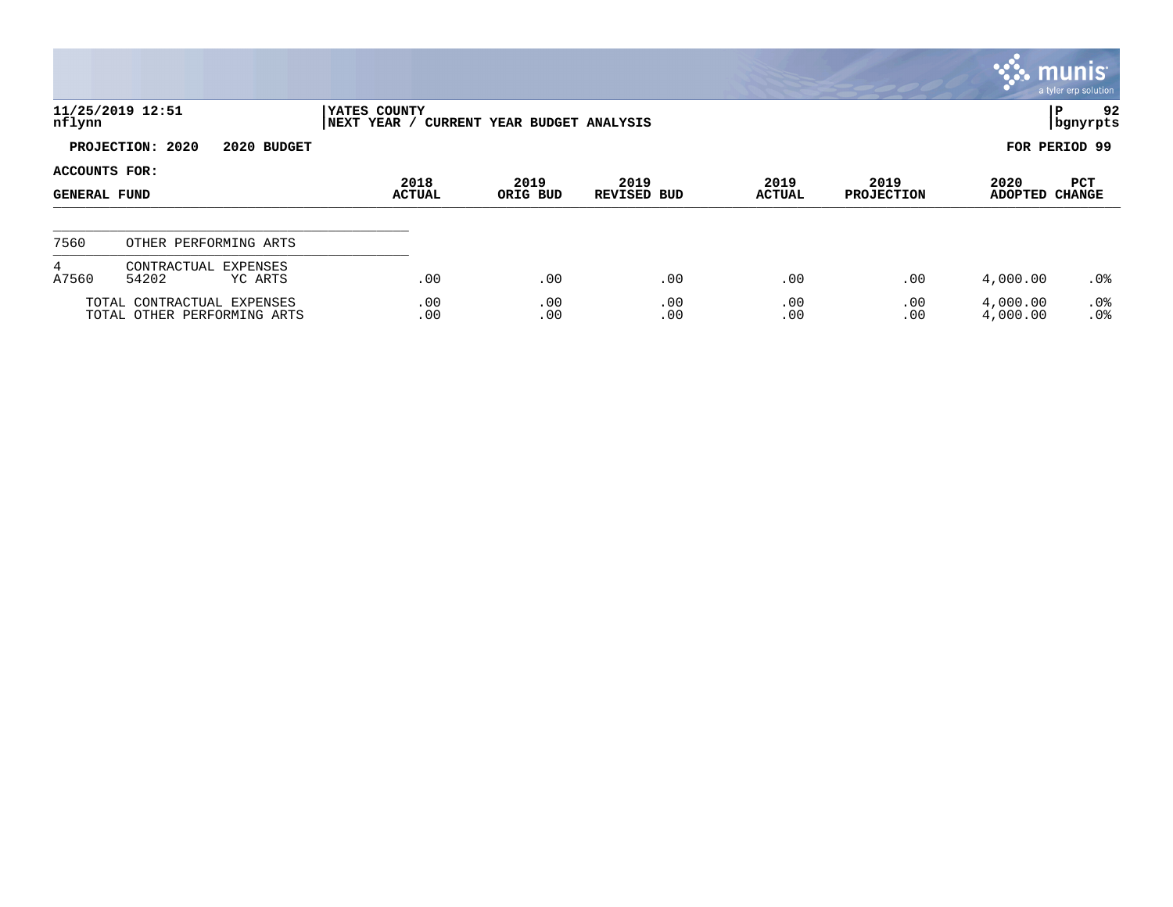|                                      |                                                           |                             |                              |                            |                       |                           |                        | $\sim$ munis $\sim$<br>a tyler erp solution |
|--------------------------------------|-----------------------------------------------------------|-----------------------------|------------------------------|----------------------------|-----------------------|---------------------------|------------------------|---------------------------------------------|
| nflynn                               | 11/25/2019 12:51                                          | YATES COUNTY<br>NEXT YEAR / | CURRENT YEAR BUDGET ANALYSIS |                            |                       |                           |                        | 92<br>P<br>  bgnyrpts                       |
|                                      | PROJECTION: 2020<br>2020 BUDGET                           |                             |                              |                            |                       |                           |                        | FOR PERIOD 99                               |
| ACCOUNTS FOR:<br><b>GENERAL FUND</b> |                                                           | 2018<br><b>ACTUAL</b>       | 2019<br>ORIG BUD             | 2019<br><b>REVISED BUD</b> | 2019<br><b>ACTUAL</b> | 2019<br><b>PROJECTION</b> | 2020<br><b>ADOPTED</b> | PCT<br><b>CHANGE</b>                        |
| 7560                                 | OTHER PERFORMING ARTS                                     |                             |                              |                            |                       |                           |                        |                                             |
| 4<br>A7560                           | CONTRACTUAL EXPENSES<br>54202<br>YC ARTS                  | .00                         | .00                          | .00                        | .00                   | .00                       | 4,000.00               | $.0\%$                                      |
|                                      | TOTAL CONTRACTUAL EXPENSES<br>TOTAL OTHER PERFORMING ARTS | .00<br>.00                  | .00<br>.00                   | .00<br>.00                 | .00<br>.00            | .00<br>.00                | 4,000.00<br>4,000.00   | $.0\%$<br>.0 <sup>°</sup>                   |

**Contract Contract Contract** 

**Contract of the Contract of the Contract of the Contract of the Contract of the Contract of the Contract of the Contract of the Contract of the Contract of the Contract of the Contract of the Contract of the Contract of t**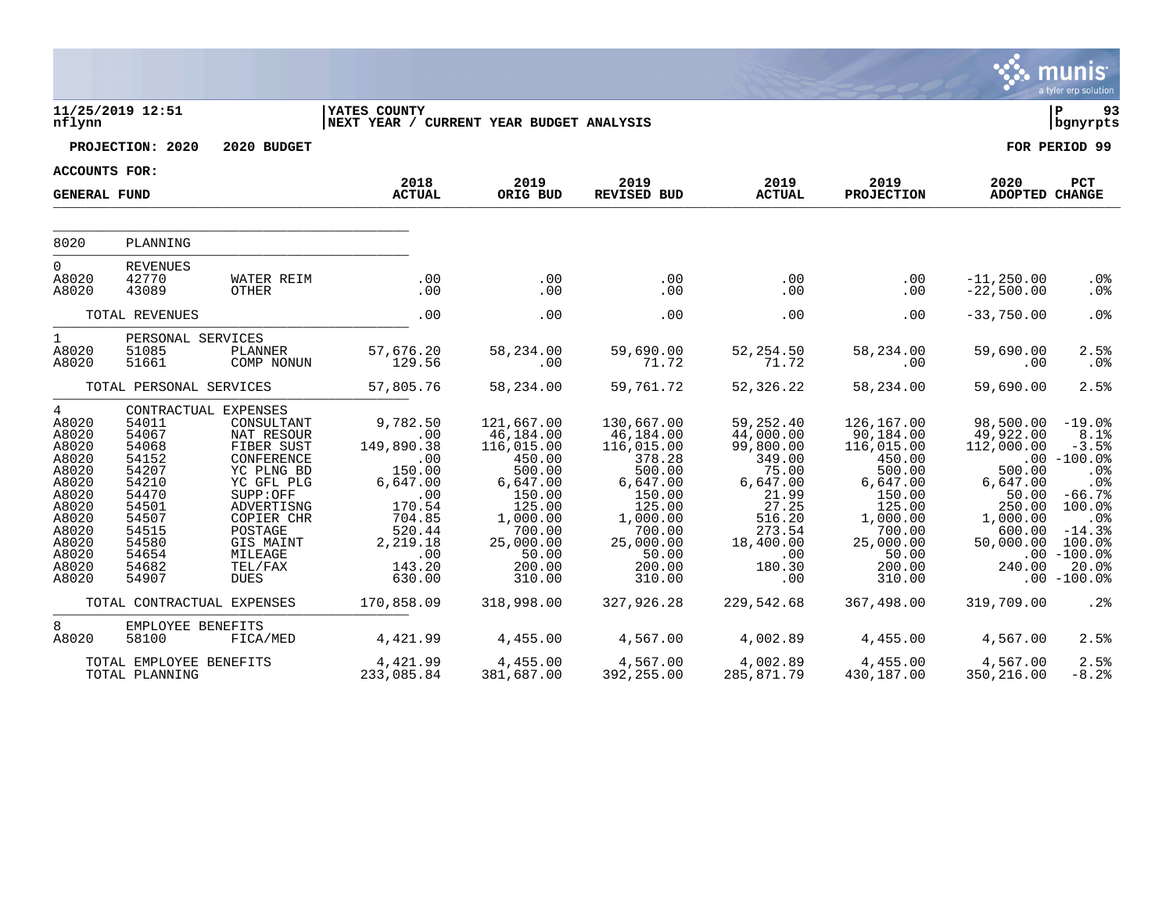|                                                                                                                                               |                                                                                                                                                          |                                                                                                                                                                                                               |                                                                                                                                                      |                                                                                                                                                                         |                                                                                                                                                                         |                                                                                                                                                             |                                                                                                                                                                         |                                                                                                                                          | munis<br>a tyler erp solution                                                                                                                                         |
|-----------------------------------------------------------------------------------------------------------------------------------------------|----------------------------------------------------------------------------------------------------------------------------------------------------------|---------------------------------------------------------------------------------------------------------------------------------------------------------------------------------------------------------------|------------------------------------------------------------------------------------------------------------------------------------------------------|-------------------------------------------------------------------------------------------------------------------------------------------------------------------------|-------------------------------------------------------------------------------------------------------------------------------------------------------------------------|-------------------------------------------------------------------------------------------------------------------------------------------------------------|-------------------------------------------------------------------------------------------------------------------------------------------------------------------------|------------------------------------------------------------------------------------------------------------------------------------------|-----------------------------------------------------------------------------------------------------------------------------------------------------------------------|
| nflynn                                                                                                                                        | 11/25/2019 12:51                                                                                                                                         |                                                                                                                                                                                                               | <b>YATES COUNTY</b><br>NEXT YEAR / CURRENT YEAR BUDGET ANALYSIS                                                                                      |                                                                                                                                                                         |                                                                                                                                                                         |                                                                                                                                                             |                                                                                                                                                                         |                                                                                                                                          | l P<br>93<br>bgnyrpts                                                                                                                                                 |
|                                                                                                                                               | PROJECTION: 2020                                                                                                                                         | 2020 BUDGET                                                                                                                                                                                                   |                                                                                                                                                      |                                                                                                                                                                         |                                                                                                                                                                         |                                                                                                                                                             |                                                                                                                                                                         |                                                                                                                                          | FOR PERIOD 99                                                                                                                                                         |
| ACCOUNTS FOR:                                                                                                                                 |                                                                                                                                                          |                                                                                                                                                                                                               |                                                                                                                                                      |                                                                                                                                                                         |                                                                                                                                                                         |                                                                                                                                                             |                                                                                                                                                                         |                                                                                                                                          |                                                                                                                                                                       |
| <b>GENERAL FUND</b>                                                                                                                           |                                                                                                                                                          |                                                                                                                                                                                                               | 2018<br><b>ACTUAL</b>                                                                                                                                | 2019<br>ORIG BUD                                                                                                                                                        | 2019<br><b>REVISED BUD</b>                                                                                                                                              | 2019<br><b>ACTUAL</b>                                                                                                                                       | 2019<br><b>PROJECTION</b>                                                                                                                                               | 2020<br><b>ADOPTED CHANGE</b>                                                                                                            | <b>PCT</b>                                                                                                                                                            |
| 8020                                                                                                                                          | PLANNING                                                                                                                                                 |                                                                                                                                                                                                               |                                                                                                                                                      |                                                                                                                                                                         |                                                                                                                                                                         |                                                                                                                                                             |                                                                                                                                                                         |                                                                                                                                          |                                                                                                                                                                       |
| $\overline{0}$<br>A8020<br>A8020                                                                                                              | <b>REVENUES</b><br>42770<br>43089                                                                                                                        | WATER REIM<br>OTHER                                                                                                                                                                                           | .00<br>.00                                                                                                                                           | .00<br>.00                                                                                                                                                              | .00<br>.00                                                                                                                                                              | .00<br>.00                                                                                                                                                  | $.00 \,$<br>.00                                                                                                                                                         | $-11, 250.00$<br>$-22,500.00$                                                                                                            | .0%<br>.0%                                                                                                                                                            |
|                                                                                                                                               | TOTAL REVENUES                                                                                                                                           |                                                                                                                                                                                                               | .00                                                                                                                                                  | .00                                                                                                                                                                     | .00                                                                                                                                                                     | .00                                                                                                                                                         | .00                                                                                                                                                                     | $-33,750.00$                                                                                                                             | .0 <sup>8</sup>                                                                                                                                                       |
| $\mathbf{1}$<br>A8020<br>A8020                                                                                                                | PERSONAL SERVICES<br>51085<br>51661                                                                                                                      | PLANNER<br>COMP NONUN                                                                                                                                                                                         | 57,676.20<br>129.56                                                                                                                                  | 58,234.00<br>.00                                                                                                                                                        | 59,690.00<br>71.72                                                                                                                                                      | 52, 254.50<br>71.72                                                                                                                                         | 58,234.00<br>$.00 \,$                                                                                                                                                   | 59,690.00<br>.00                                                                                                                         | 2.5%<br>.0%                                                                                                                                                           |
|                                                                                                                                               | TOTAL PERSONAL SERVICES                                                                                                                                  |                                                                                                                                                                                                               | 57,805.76                                                                                                                                            | 58,234.00                                                                                                                                                               | 59,761.72                                                                                                                                                               | 52,326.22                                                                                                                                                   | 58,234.00                                                                                                                                                               | 59,690.00                                                                                                                                | 2.5%                                                                                                                                                                  |
| $4\overline{ }$<br>A8020<br>A8020<br>A8020<br>A8020<br>A8020<br>A8020<br>A8020<br>A8020<br>A8020<br>A8020<br>A8020<br>A8020<br>A8020<br>A8020 | 54011<br>54067<br>54068<br>54152<br>54207<br>54210<br>54470<br>54501<br>54507<br>54515<br>54580<br>54654<br>54682<br>54907<br>TOTAL CONTRACTUAL EXPENSES | CONTRACTUAL EXPENSES<br>CONSULTANT<br>NAT RESOUR<br>FIBER SUST<br>CONFERENCE<br>YC PLNG BD<br>YC GFL PLG<br>SUPP:OFF<br>ADVERTISNG<br>COPIER CHR<br>POSTAGE<br>GIS MAINT<br>MILEAGE<br>TEL/FAX<br><b>DUES</b> | 9,782.50<br>.00<br>149,890.38<br>.00<br>150.00<br>6,647.00<br>.00<br>170.54<br>704.85<br>520.44<br>2,219.18<br>.00<br>143.20<br>630.00<br>170,858.09 | 121,667.00<br>46,184.00<br>116,015.00<br>450.00<br>500.00<br>6,647.00<br>150.00<br>125.00<br>1,000.00<br>700.00<br>25,000.00<br>50.00<br>200.00<br>310.00<br>318,998.00 | 130,667.00<br>46,184.00<br>116,015.00<br>378.28<br>500.00<br>6,647.00<br>150.00<br>125.00<br>1,000.00<br>700.00<br>25,000.00<br>50.00<br>200.00<br>310.00<br>327,926.28 | 59,252.40<br>44,000.00<br>99,800.00<br>349.00<br>75.00<br>6,647.00<br>21.99<br>27.25<br>516.20<br>273.54<br>18,400.00<br>.00<br>180.30<br>.00<br>229,542.68 | 126,167.00<br>90,184.00<br>116,015.00<br>450.00<br>500.00<br>6,647.00<br>150.00<br>125.00<br>1,000.00<br>700.00<br>25,000.00<br>50.00<br>200.00<br>310.00<br>367,498.00 | 98,500.00<br>49,922.00<br>112,000.00<br>500.00<br>6,647.00<br>50.00<br>250.00<br>1,000.00<br>600.00<br>50,000.00<br>240.00<br>319,709.00 | $-19.0%$<br>8.1%<br>$-3.5%$<br>$.00 - 100.0%$<br>.0%<br>.0%<br>$-66.7%$<br>100.0%<br>.0%<br>$-14.3%$<br>100.0%<br>$.00 - 100.0%$<br>20.0%<br>$.00 - 100.0%$<br>$.2\%$ |
| 8                                                                                                                                             | EMPLOYEE BENEFITS                                                                                                                                        |                                                                                                                                                                                                               |                                                                                                                                                      |                                                                                                                                                                         |                                                                                                                                                                         |                                                                                                                                                             |                                                                                                                                                                         |                                                                                                                                          |                                                                                                                                                                       |
| A8020                                                                                                                                         | 58100<br>TOTAL EMPLOYEE BENEFITS<br>TOTAL PLANNING                                                                                                       | FICA/MED                                                                                                                                                                                                      | 4,421.99<br>4,421.99<br>233,085.84                                                                                                                   | 4,455.00<br>4,455.00<br>381,687.00                                                                                                                                      | 4,567.00<br>4,567.00<br>392,255.00                                                                                                                                      | 4,002.89<br>4,002.89<br>285,871.79                                                                                                                          | 4,455.00<br>4,455.00<br>430,187.00                                                                                                                                      | 4,567.00<br>4,567.00<br>350,216.00                                                                                                       | 2.5%<br>2.5%<br>$-8.2%$                                                                                                                                               |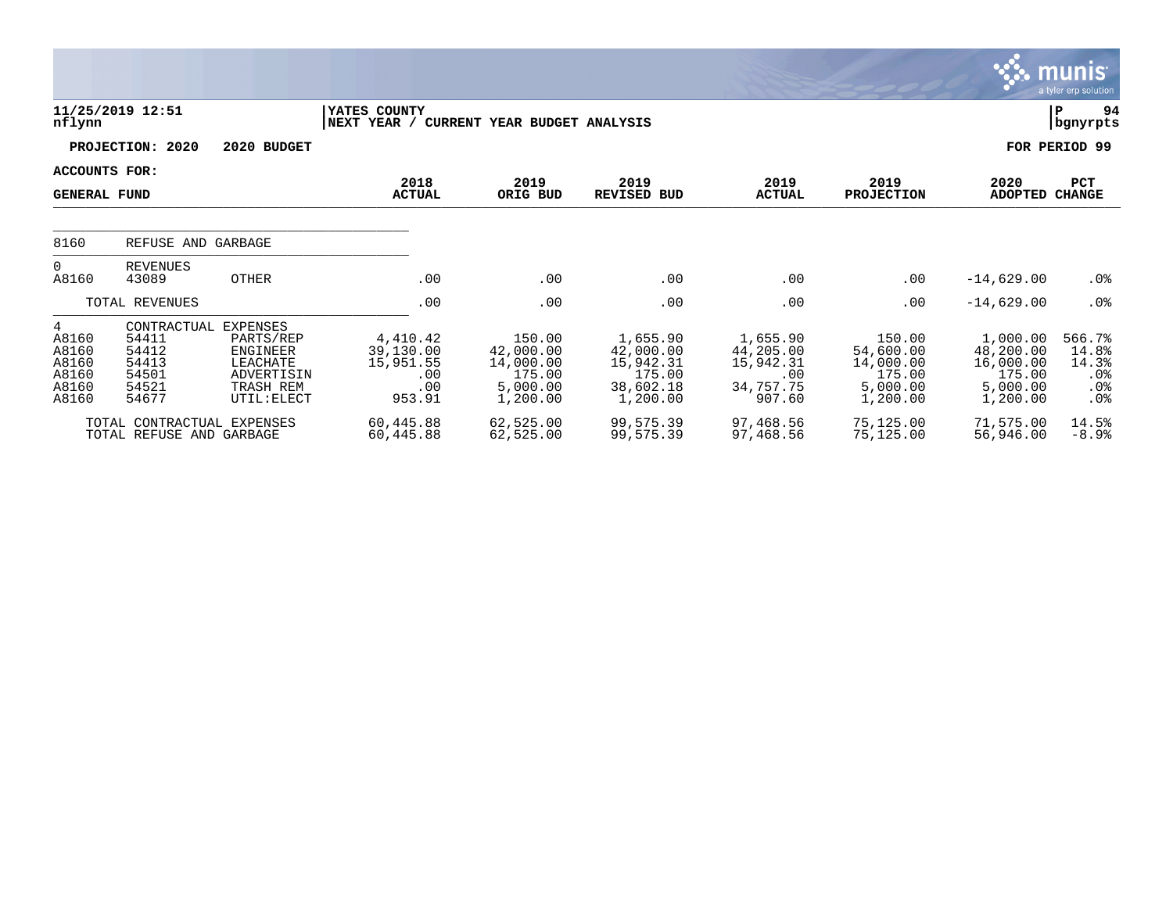|                                                                       |                                                                            |                                                                                    |                                                            |                                                                    |                                                                       |                                                                  |                                                                    |                                                                      | munis<br>a tyler erp solution                    |
|-----------------------------------------------------------------------|----------------------------------------------------------------------------|------------------------------------------------------------------------------------|------------------------------------------------------------|--------------------------------------------------------------------|-----------------------------------------------------------------------|------------------------------------------------------------------|--------------------------------------------------------------------|----------------------------------------------------------------------|--------------------------------------------------|
| nflynn                                                                | 11/25/2019 12:51                                                           |                                                                                    | YATES COUNTY<br>NEXT YEAR /                                | CURRENT YEAR BUDGET ANALYSIS                                       |                                                                       |                                                                  |                                                                    |                                                                      | Þ<br>94<br>  bgnyrpts                            |
|                                                                       | PROJECTION: 2020                                                           | 2020 BUDGET                                                                        |                                                            |                                                                    |                                                                       |                                                                  |                                                                    |                                                                      | FOR PERIOD 99                                    |
|                                                                       | <b>ACCOUNTS FOR:</b><br><b>GENERAL FUND</b>                                |                                                                                    | 2018<br><b>ACTUAL</b>                                      | 2019<br>ORIG BUD                                                   | 2019<br><b>REVISED BUD</b>                                            | 2019<br><b>ACTUAL</b>                                            | 2019<br><b>PROJECTION</b>                                          | 2020<br><b>ADOPTED</b>                                               | <b>PCT</b><br><b>CHANGE</b>                      |
| 8160                                                                  | REFUSE AND GARBAGE                                                         |                                                                                    |                                                            |                                                                    |                                                                       |                                                                  |                                                                    |                                                                      |                                                  |
| 0<br>A8160                                                            | <b>REVENUES</b><br>43089                                                   | <b>OTHER</b>                                                                       | .00                                                        | .00                                                                | .00                                                                   | .00                                                              | .00                                                                | $-14,629.00$                                                         | $.0\%$                                           |
|                                                                       | TOTAL REVENUES                                                             |                                                                                    | .00                                                        | .00                                                                | .00                                                                   | .00                                                              | .00                                                                | $-14,629.00$                                                         | .0%                                              |
| $4\overline{ }$<br>A8160<br>A8160<br>A8160<br>A8160<br>A8160<br>A8160 | CONTRACTUAL EXPENSES<br>54411<br>54412<br>54413<br>54501<br>54521<br>54677 | PARTS/REP<br><b>ENGINEER</b><br>LEACHATE<br>ADVERTISIN<br>TRASH REM<br>UTIL: ELECT | 4,410.42<br>39,130.00<br>15,951.55<br>.00<br>.00<br>953.91 | 150.00<br>42,000.00<br>14,000.00<br>175.00<br>5,000.00<br>1,200.00 | 1,655.90<br>42,000.00<br>15,942.31<br>175.00<br>38,602.18<br>1,200.00 | 1,655.90<br>44,205.00<br>15,942.31<br>.00<br>34,757.75<br>907.60 | 150.00<br>54,600.00<br>14,000.00<br>175.00<br>5,000.00<br>1,200.00 | 1,000.00<br>48,200.00<br>16,000.00<br>175.00<br>5,000.00<br>1,200.00 | 566.7%<br>14.8%<br>14.3%<br>$.0\%$<br>.0%<br>.0% |
|                                                                       | TOTAL CONTRACTUAL EXPENSES<br>TOTAL REFUSE AND GARBAGE                     |                                                                                    | 60,445.88<br>60,445.88                                     | 62,525.00<br>62,525.00                                             | 99,575.39<br>99,575.39                                                | 97,468.56<br>97,468.56                                           | 75,125.00<br>75,125.00                                             | 71,575.00<br>56,946.00                                               | 14.5%<br>$-8.9%$                                 |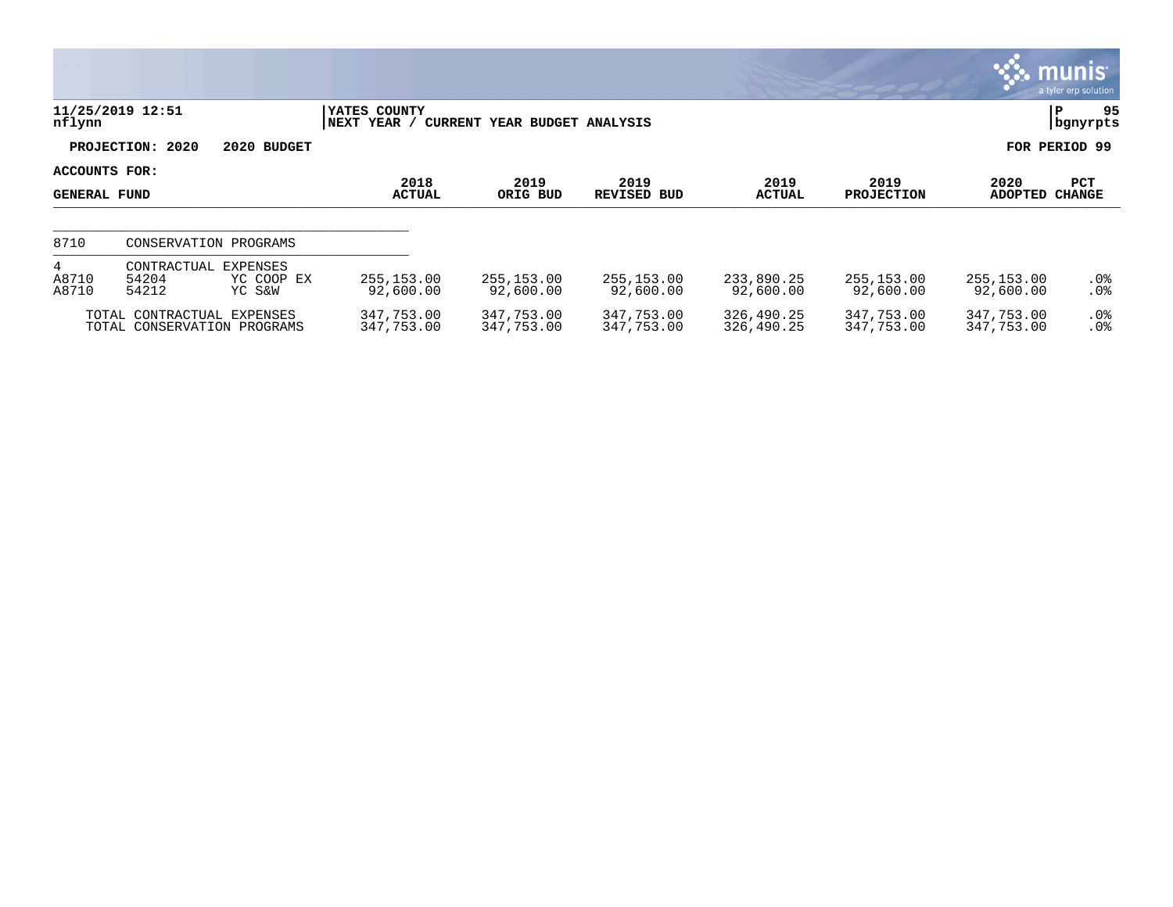|                                      |                                                           |                                  |                             |                              |                          |                          |                           |                          | <b>munis</b><br>a tyler erp solution |
|--------------------------------------|-----------------------------------------------------------|----------------------------------|-----------------------------|------------------------------|--------------------------|--------------------------|---------------------------|--------------------------|--------------------------------------|
| nflynn                               | 11/25/2019 12:51                                          |                                  | YATES COUNTY<br>NEXT YEAR / | CURRENT YEAR BUDGET ANALYSIS |                          |                          |                           |                          | 95<br>ΙP<br>bgnyrpts                 |
|                                      | PROJECTION: 2020                                          | 2020 BUDGET                      |                             |                              |                          |                          |                           |                          | FOR PERIOD 99                        |
| ACCOUNTS FOR:<br><b>GENERAL FUND</b> |                                                           |                                  | 2018<br><b>ACTUAL</b>       | 2019<br>ORIG BUD             | 2019<br>REVISED BUD      | 2019<br><b>ACTUAL</b>    | 2019<br><b>PROJECTION</b> | 2020<br><b>ADOPTED</b>   | <b>PCT</b><br><b>CHANGE</b>          |
| 8710                                 | CONSERVATION PROGRAMS                                     |                                  |                             |                              |                          |                          |                           |                          |                                      |
| 4<br>A8710<br>A8710                  | CONTRACTUAL<br>54204<br>54212                             | EXPENSES<br>YC COOP EX<br>YC S&W | 255, 153.00<br>92,600.00    | 255,153.00<br>92,600.00      | 255,153.00<br>92,600.00  | 233,890.25<br>92,600.00  | 255,153.00<br>92,600.00   | 255,153.00<br>92,600.00  | $.0\%$<br>.0%                        |
|                                      | TOTAL CONTRACTUAL EXPENSES<br>TOTAL CONSERVATION PROGRAMS |                                  | 347,753.00<br>347,753.00    | 347,753.00<br>347,753.00     | 347,753.00<br>347,753.00 | 326,490.25<br>326,490.25 | 347,753.00<br>347,753.00  | 347,753.00<br>347,753.00 | $.0\%$<br>.0 <sub>8</sub>            |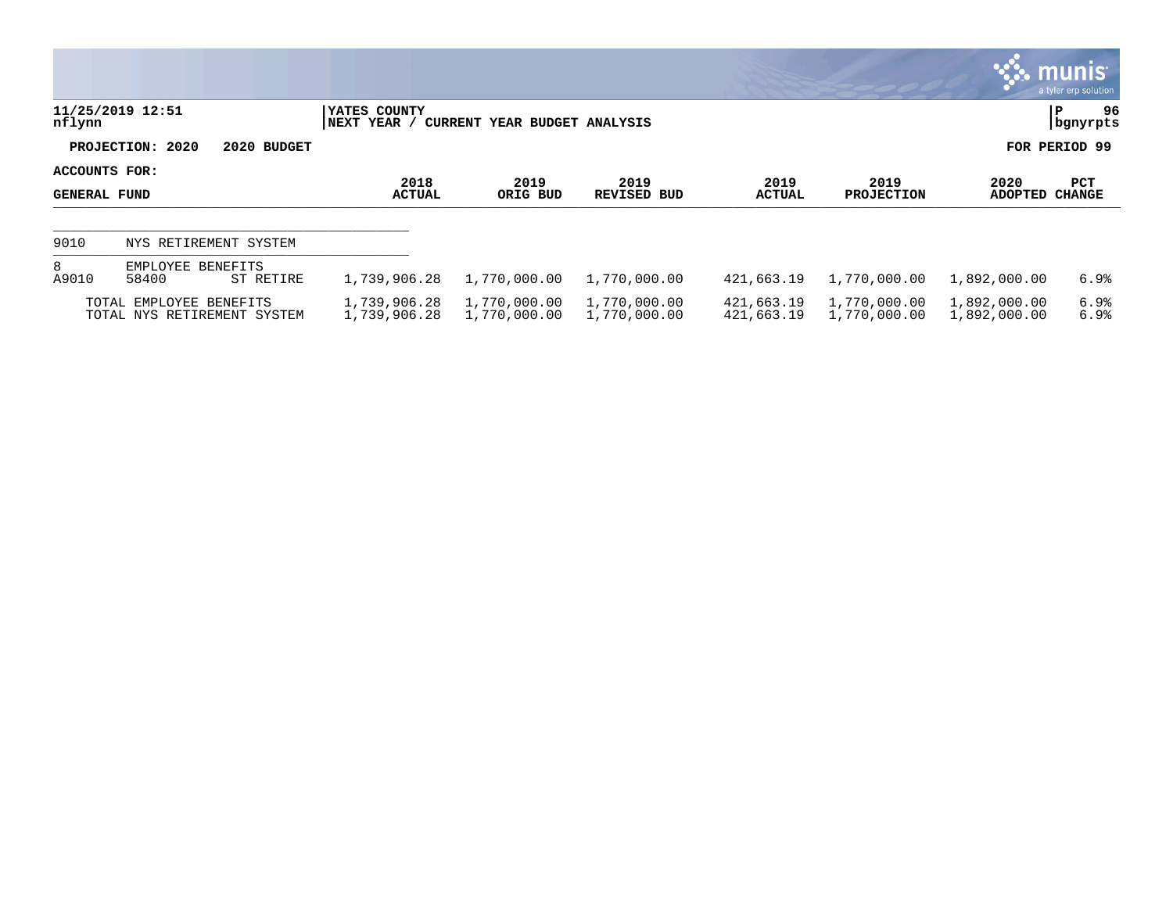|                               |                                                        |                              |                              |                              |                          |                              |                              | <b>WE munis</b><br>a tyler erp solution |
|-------------------------------|--------------------------------------------------------|------------------------------|------------------------------|------------------------------|--------------------------|------------------------------|------------------------------|-----------------------------------------|
| nflynn                        | 11/25/2019 12:51                                       | YATES COUNTY<br> NEXT YEAR / | CURRENT YEAR BUDGET ANALYSIS |                              |                          |                              |                              | 96<br>P<br>  bgnyrpts                   |
|                               | PROJECTION: 2020<br>2020 BUDGET                        |                              |                              |                              |                          |                              |                              | FOR PERIOD 99                           |
| ACCOUNTS FOR:<br>GENERAL FUND |                                                        | 2018<br><b>ACTUAL</b>        | 2019<br>ORIG BUD             | 2019<br><b>REVISED BUD</b>   | 2019<br><b>ACTUAL</b>    | 2019<br><b>PROJECTION</b>    | 2020<br>ADOPTED              | PCT<br><b>CHANGE</b>                    |
| 9010                          | NYS RETIREMENT SYSTEM                                  |                              |                              |                              |                          |                              |                              |                                         |
| 8<br>A9010                    | EMPLOYEE BENEFITS<br>58400<br>ST RETIRE                | 1,739,906.28                 | 1,770,000.00                 | 1,770,000.00                 | 421,663.19               | 1,770,000.00                 | 1,892,000.00                 | 6.9%                                    |
|                               | TOTAL EMPLOYEE BENEFITS<br>TOTAL NYS RETIREMENT SYSTEM | 1,739,906.28<br>1,739,906.28 | 1,770,000.00<br>1,770,000.00 | 1,770,000.00<br>1,770,000.00 | 421,663.19<br>421,663.19 | 1,770,000.00<br>1,770,000.00 | 1,892,000.00<br>1,892,000.00 | 6.9%<br>6.9%                            |

**SOF**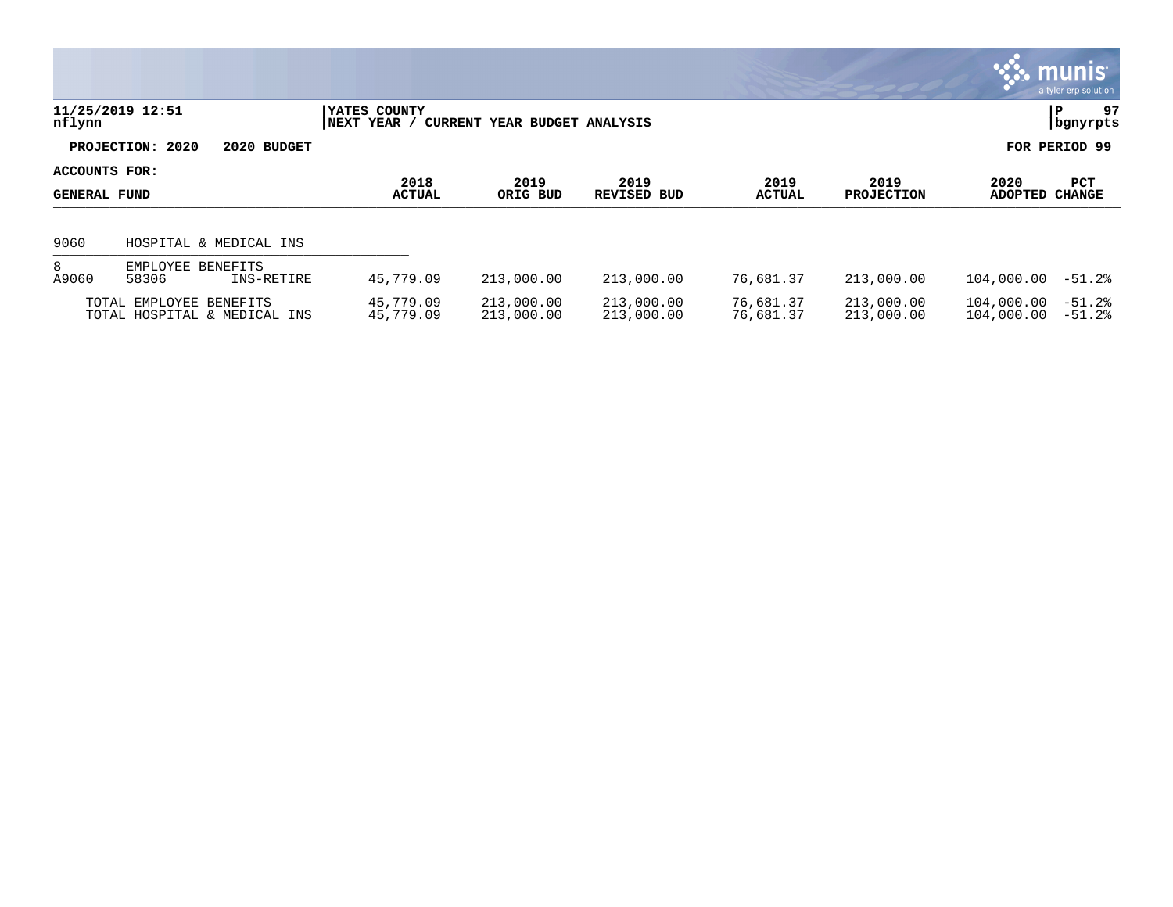|                                      |                                                         |                             |                              |                            |                        |                           |                          | <b>munis</b><br>a tyler erp solution |
|--------------------------------------|---------------------------------------------------------|-----------------------------|------------------------------|----------------------------|------------------------|---------------------------|--------------------------|--------------------------------------|
| nflynn                               | 11/25/2019 12:51                                        | YATES COUNTY<br>NEXT YEAR / | CURRENT YEAR BUDGET ANALYSIS |                            |                        |                           |                          | 97<br>ΙP<br>  bgnyrpts               |
|                                      | PROJECTION: 2020<br>2020 BUDGET                         |                             |                              |                            |                        |                           |                          | FOR PERIOD 99                        |
| ACCOUNTS FOR:<br><b>GENERAL FUND</b> |                                                         | 2018<br><b>ACTUAL</b>       | 2019<br>ORIG BUD             | 2019<br><b>REVISED BUD</b> | 2019<br>ACTUAL         | 2019<br><b>PROJECTION</b> | 2020<br><b>ADOPTED</b>   | <b>PCT</b><br><b>CHANGE</b>          |
| 9060                                 | HOSPITAL & MEDICAL INS                                  |                             |                              |                            |                        |                           |                          |                                      |
| 8<br>A9060                           | EMPLOYEE BENEFITS<br>58306<br>INS-RETIRE                | 45,779.09                   | 213,000.00                   | 213,000.00                 | 76,681.37              | 213,000.00                | 104,000.00               | $-51.2$ $% -5.25$                    |
|                                      | TOTAL EMPLOYEE BENEFITS<br>TOTAL HOSPITAL & MEDICAL INS | 45,779.09<br>45,779.09      | 213,000.00<br>213,000.00     | 213,000.00<br>213,000.00   | 76,681.37<br>76,681.37 | 213,000.00<br>213,000.00  | 104,000.00<br>104,000.00 | $-51.2%$<br>$-51.2%$                 |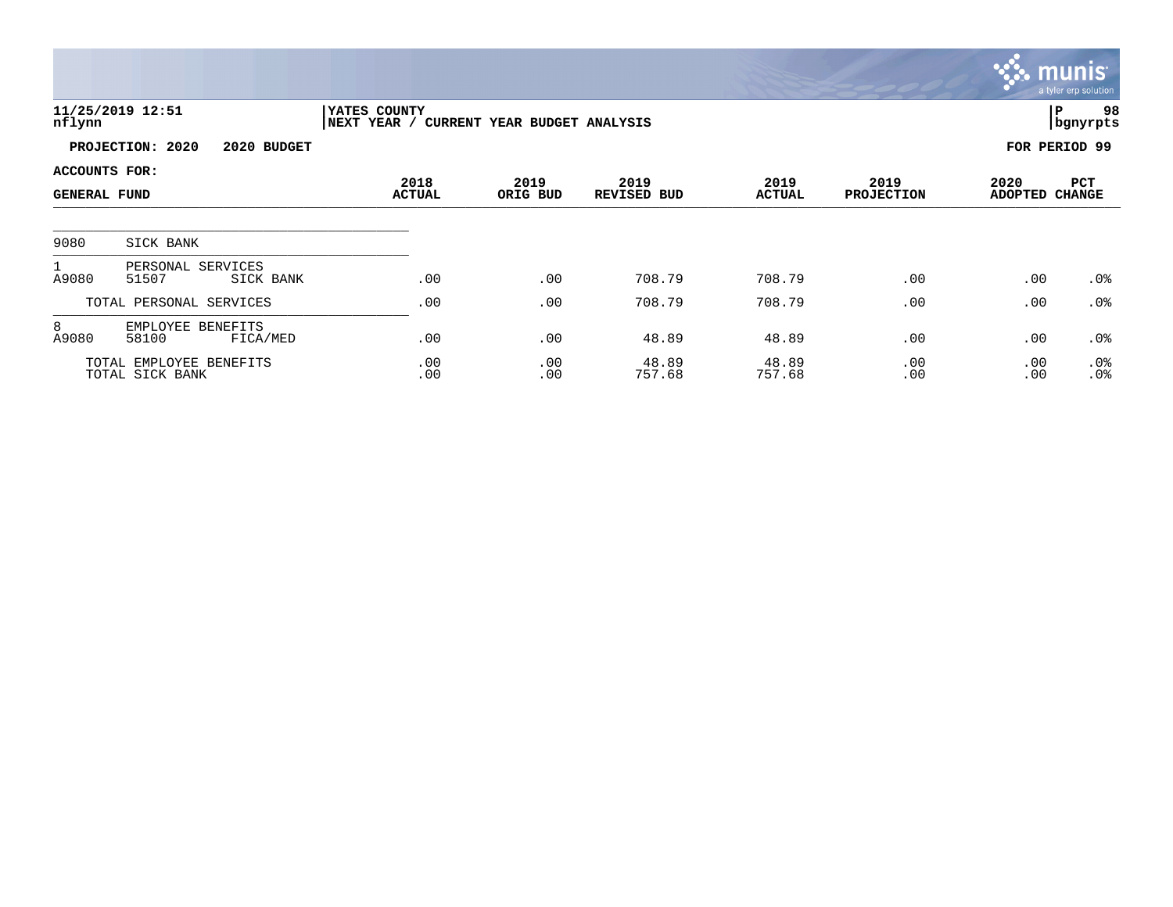|                                      |                                            |                                                          |                  |                     |                       |                           |                        | munis <sup>®</sup><br>a tyler erp solution |
|--------------------------------------|--------------------------------------------|----------------------------------------------------------|------------------|---------------------|-----------------------|---------------------------|------------------------|--------------------------------------------|
| nflynn                               | 11/25/2019 12:51                           | YATES COUNTY<br>NEXT YEAR / CURRENT YEAR BUDGET ANALYSIS |                  |                     |                       |                           |                        | 98<br>ΙP<br>  bgnyrpts                     |
|                                      | PROJECTION: 2020<br>2020 BUDGET            |                                                          |                  |                     |                       |                           |                        | FOR PERIOD 99                              |
| ACCOUNTS FOR:<br><b>GENERAL FUND</b> |                                            | 2018<br><b>ACTUAL</b>                                    | 2019<br>ORIG BUD | 2019<br>REVISED BUD | 2019<br><b>ACTUAL</b> | 2019<br><b>PROJECTION</b> | 2020<br><b>ADOPTED</b> | PCT<br><b>CHANGE</b>                       |
| 9080                                 | SICK BANK                                  |                                                          |                  |                     |                       |                           |                        |                                            |
| $\mathbf{1}$<br>A9080                | PERSONAL SERVICES<br>51507<br>SICK BANK    | .00                                                      | .00              | 708.79              | 708.79                | .00                       | .00                    | $.0\%$                                     |
|                                      | TOTAL PERSONAL SERVICES                    | .00                                                      | .00              | 708.79              | 708.79                | .00                       | .00                    | $.0\%$                                     |
| 8<br>A9080                           | EMPLOYEE BENEFITS<br>58100<br>FICA/MED     | .00                                                      | .00              | 48.89               | 48.89                 | .00                       | .00                    | $.0\%$                                     |
|                                      | TOTAL EMPLOYEE BENEFITS<br>TOTAL SICK BANK | .00<br>.00                                               | .00<br>.00       | 48.89<br>757.68     | 48.89<br>757.68       | .00<br>.00                | .00<br>.00             | $.0\%$<br>.0%                              |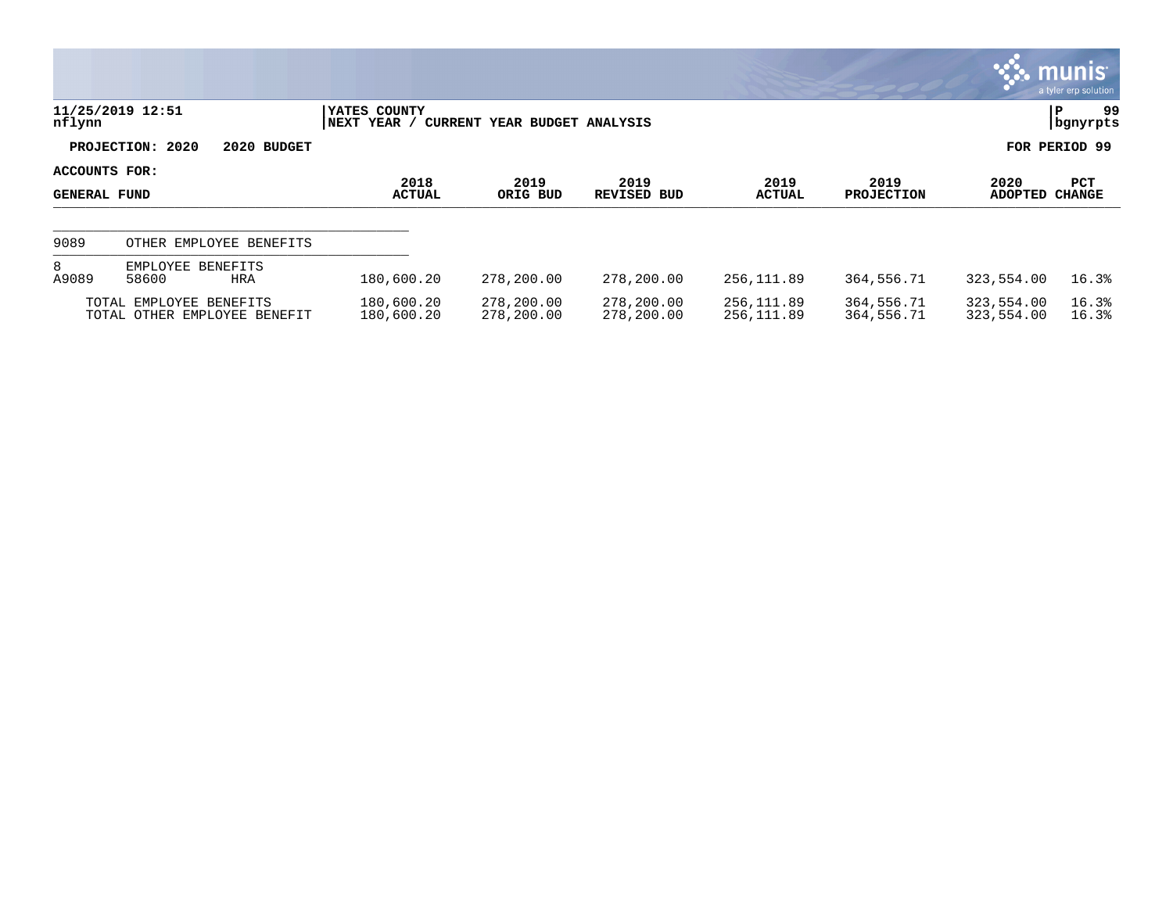|                                      |                                                         |                             |                              |                            |                          |                           |                          | <b>munis</b><br>a tyler erp solution |
|--------------------------------------|---------------------------------------------------------|-----------------------------|------------------------------|----------------------------|--------------------------|---------------------------|--------------------------|--------------------------------------|
| nflynn                               | 11/25/2019 12:51                                        | YATES COUNTY<br>NEXT YEAR / | CURRENT YEAR BUDGET ANALYSIS |                            |                          |                           |                          | 99<br>P<br>  bgnyrpts                |
|                                      | PROJECTION: 2020<br>2020 BUDGET                         |                             |                              |                            |                          |                           |                          | FOR PERIOD 99                        |
| ACCOUNTS FOR:<br><b>GENERAL FUND</b> |                                                         | 2018<br><b>ACTUAL</b>       | 2019<br>ORIG BUD             | 2019<br><b>REVISED BUD</b> | 2019<br><b>ACTUAL</b>    | 2019<br><b>PROJECTION</b> | 2020<br><b>ADOPTED</b>   | <b>PCT</b><br><b>CHANGE</b>          |
| 9089                                 | OTHER EMPLOYEE BENEFITS                                 |                             |                              |                            |                          |                           |                          |                                      |
| 8<br>A9089                           | EMPLOYEE BENEFITS<br>58600<br>HRA                       | 180,600.20                  | 278,200.00                   | 278,200.00                 | 256,111.89               | 364,556.71                | 323,554.00               | 16.3%                                |
|                                      | TOTAL EMPLOYEE BENEFITS<br>TOTAL OTHER EMPLOYEE BENEFIT | 180,600.20<br>180,600.20    | 278,200.00<br>278,200.00     | 278,200.00<br>278,200.00   | 256,111.89<br>256,111.89 | 364,556.71<br>364,556.71  | 323,554.00<br>323,554.00 | 16.3%<br>16.3%                       |

 $\mathcal{L}$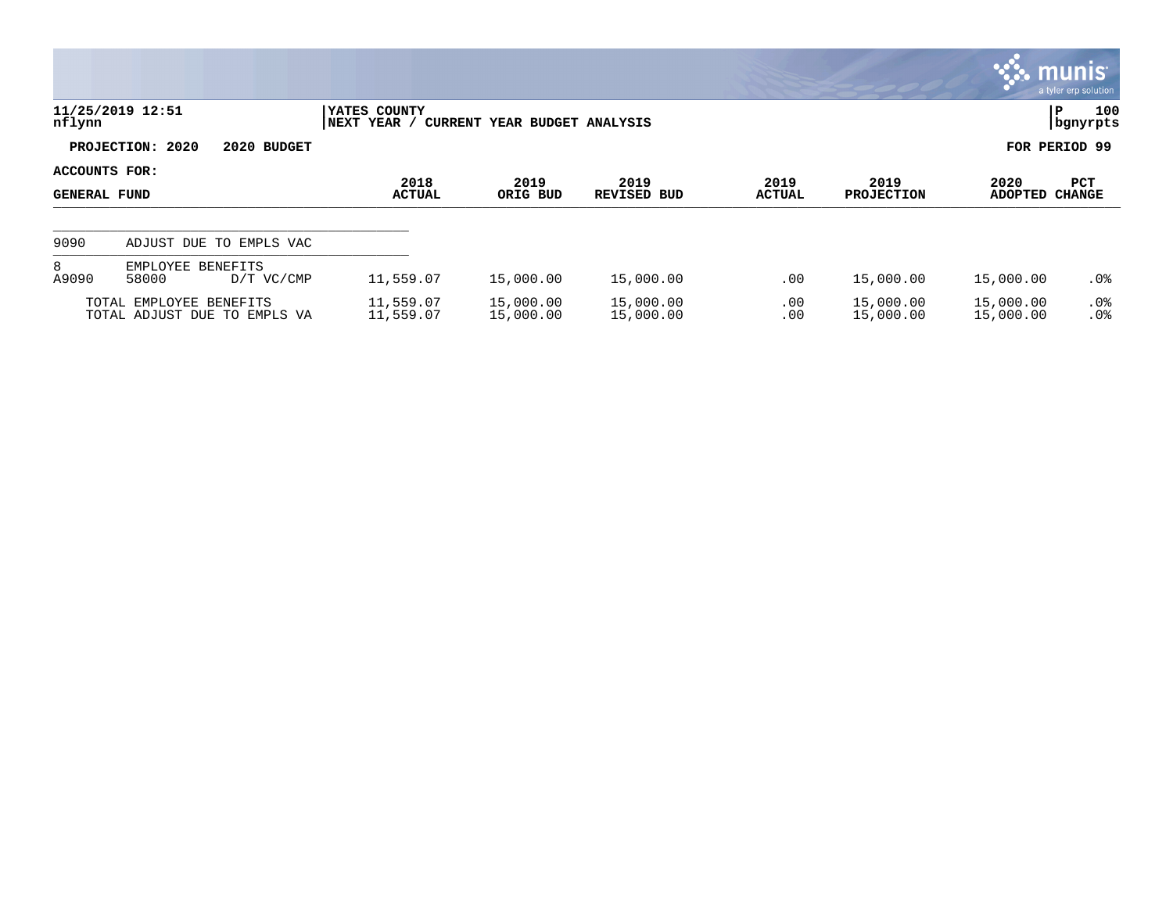|                                      |                                                         |             |                              |                              |                            |                       |                           |                        | <b>NAME IN STREET</b><br>a tyler erp solution |
|--------------------------------------|---------------------------------------------------------|-------------|------------------------------|------------------------------|----------------------------|-----------------------|---------------------------|------------------------|-----------------------------------------------|
| nflynn                               | 11/25/2019 12:51                                        |             | YATES COUNTY<br> NEXT YEAR / | CURRENT YEAR BUDGET ANALYSIS |                            |                       |                           |                        | 100<br>ÍР.<br>  bgnyrpts                      |
|                                      | PROJECTION: 2020                                        | 2020 BUDGET |                              |                              |                            |                       |                           |                        | FOR PERIOD 99                                 |
| ACCOUNTS FOR:<br><b>GENERAL FUND</b> |                                                         |             | 2018<br><b>ACTUAL</b>        | 2019<br>ORIG BUD             | 2019<br><b>REVISED BUD</b> | 2019<br><b>ACTUAL</b> | 2019<br><b>PROJECTION</b> | 2020<br><b>ADOPTED</b> | <b>PCT</b><br><b>CHANGE</b>                   |
| 9090                                 | ADJUST DUE TO EMPLS VAC                                 |             |                              |                              |                            |                       |                           |                        |                                               |
| 8<br>A9090                           | EMPLOYEE BENEFITS<br>58000                              | D/T VC/CMP  | 11,559.07                    | 15,000.00                    | 15,000.00                  | .00                   | 15,000.00                 | 15,000.00              | $.0\%$                                        |
|                                      | TOTAL EMPLOYEE BENEFITS<br>TOTAL ADJUST DUE TO EMPLS VA |             | 11,559.07<br>11,559.07       | 15,000.00<br>15,000.00       | 15,000.00<br>15,000.00     | .00<br>.00            | 15,000.00<br>15,000.00    | 15,000.00<br>15,000.00 | $.0\%$<br>.0%                                 |

**Section**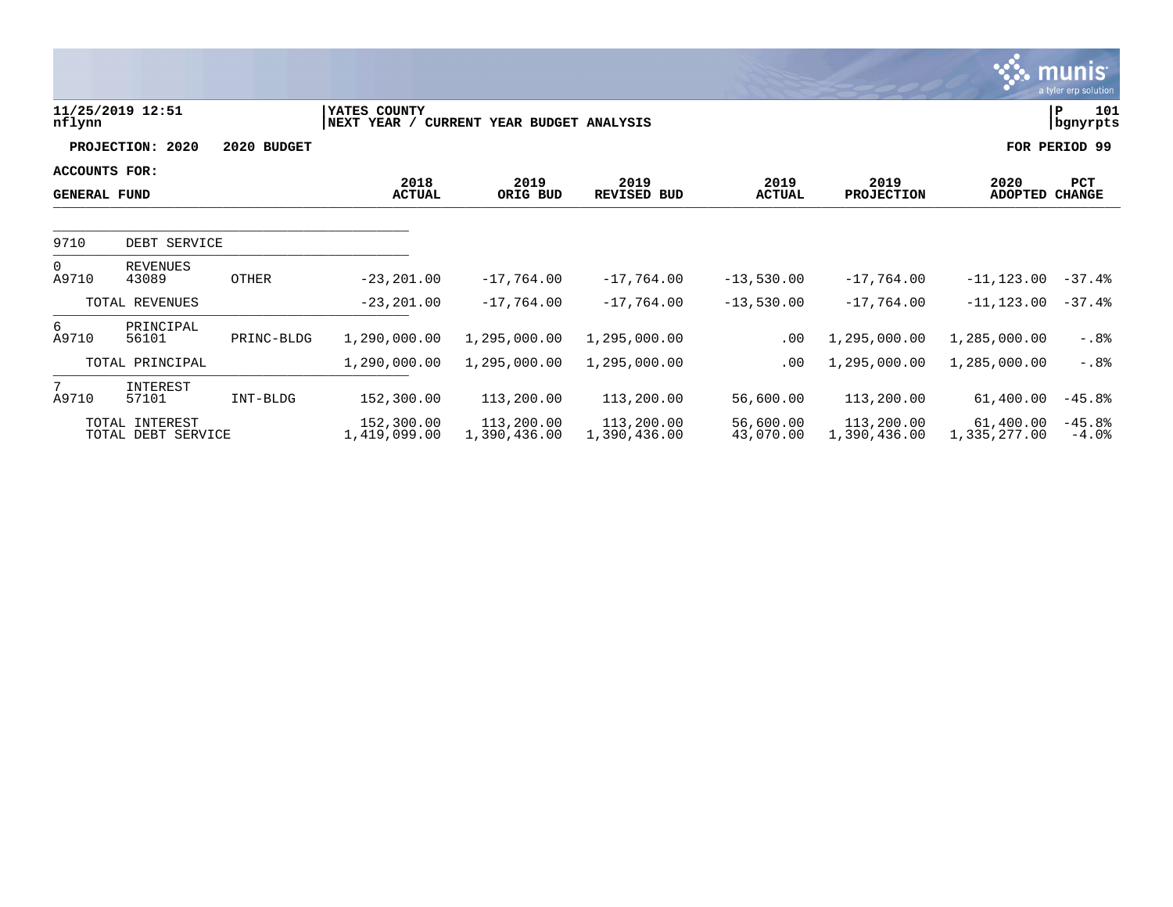|                                      |                                      |                       |                             |                              |                            |                           |                            |                             | munis <sup>.</sup><br>a tyler erp solution, |
|--------------------------------------|--------------------------------------|-----------------------|-----------------------------|------------------------------|----------------------------|---------------------------|----------------------------|-----------------------------|---------------------------------------------|
| nflynn                               | 11/25/2019 12:51                     |                       | YATES COUNTY<br>NEXT YEAR / | CURRENT YEAR BUDGET ANALYSIS |                            |                           |                            |                             | 101<br>P<br>  bgnyrpts                      |
|                                      | PROJECTION: 2020                     | 2020 BUDGET           |                             |                              |                            |                           |                            |                             | FOR PERIOD 99                               |
| ACCOUNTS FOR:<br><b>GENERAL FUND</b> |                                      | 2018<br><b>ACTUAL</b> | 2019<br>ORIG BUD            | 2019<br><b>REVISED BUD</b>   | 2019<br><b>ACTUAL</b>      | 2019<br><b>PROJECTION</b> | 2020<br><b>ADOPTED</b>     | <b>PCT</b><br><b>CHANGE</b> |                                             |
| 9710                                 | DEBT SERVICE                         |                       |                             |                              |                            |                           |                            |                             |                                             |
| $\Omega$<br>A9710                    | <b>REVENUES</b><br>43089             | <b>OTHER</b>          | $-23, 201.00$               | $-17,764.00$                 | $-17,764.00$               | $-13,530.00$              | $-17,764.00$               | $-11, 123.00$               | $-37.4%$                                    |
|                                      | TOTAL REVENUES                       |                       | $-23, 201.00$               | $-17,764.00$                 | $-17,764.00$               | $-13,530.00$              | $-17,764.00$               | $-11, 123.00$               | $-37.4%$                                    |
| 6<br>A9710                           | PRINCIPAL<br>56101                   | PRINC-BLDG            | 1,290,000.00                | 1,295,000.00                 | 1,295,000.00               | .00                       | 1,295,000.00               | 1,285,000.00                | $-0.8o$                                     |
|                                      | TOTAL PRINCIPAL                      |                       | 1,290,000.00                | 1,295,000.00                 | 1,295,000.00               | .00                       | 1,295,000.00               | 1,285,000.00                | $-.88$                                      |
| $7^{\circ}$<br>A9710                 | INTEREST<br>57101                    | INT-BLDG              | 152,300.00                  | 113,200.00                   | 113,200.00                 | 56,600.00                 | 113,200.00                 | 61,400.00                   | $-45.8%$                                    |
|                                      | TOTAL INTEREST<br>TOTAL DEBT SERVICE |                       | 152,300.00<br>1,419,099.00  | 113,200.00<br>1,390,436.00   | 113,200.00<br>1,390,436.00 | 56,600.00<br>43,070.00    | 113,200.00<br>1,390,436.00 | 61,400.00<br>1,335,277.00   | $-45.8%$<br>$-4.0%$                         |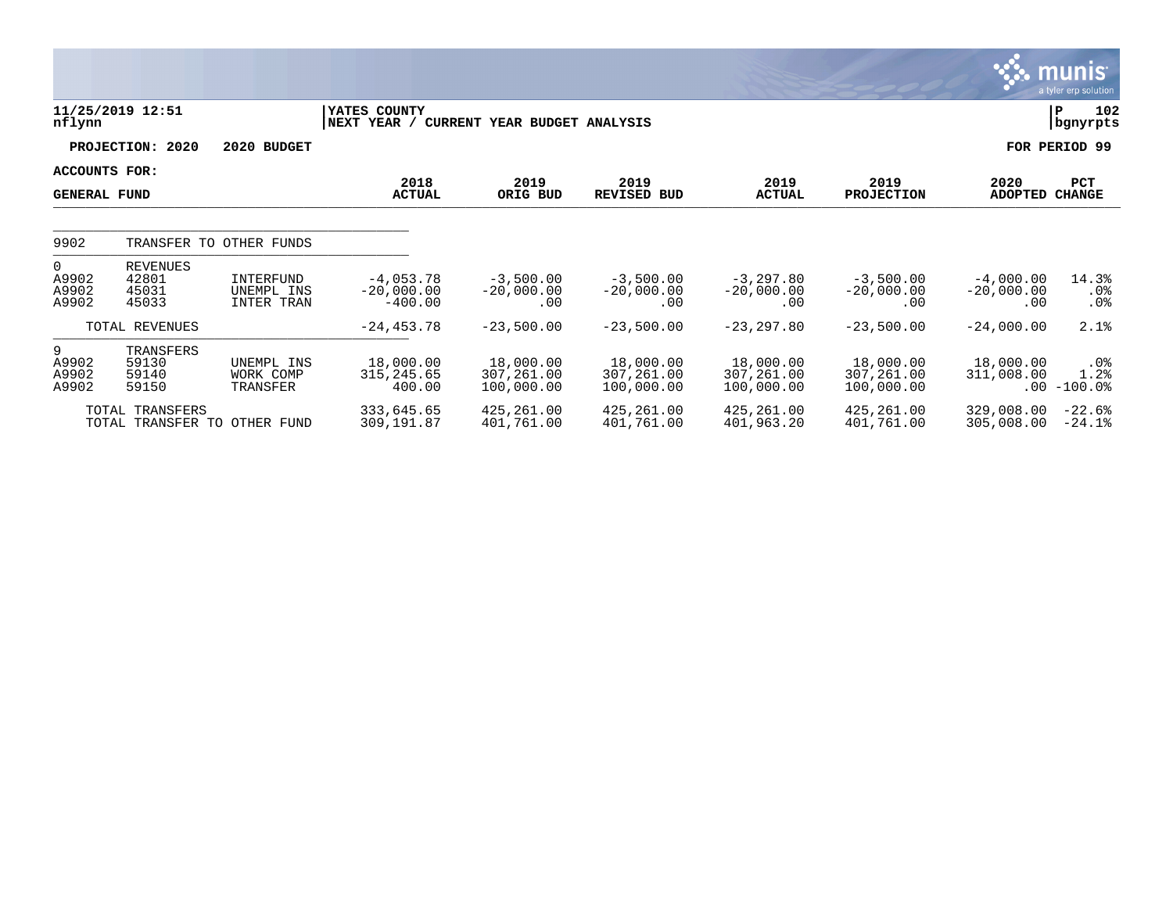|                                      |                                            |                                       |                                                          |                                       |                                       |                                       |                                       |                                    | <u>munis l</u><br>a tyler erp solution |
|--------------------------------------|--------------------------------------------|---------------------------------------|----------------------------------------------------------|---------------------------------------|---------------------------------------|---------------------------------------|---------------------------------------|------------------------------------|----------------------------------------|
| nflynn                               | 11/25/2019 12:51                           |                                       | YATES COUNTY<br>NEXT YEAR / CURRENT YEAR BUDGET ANALYSIS |                                       |                                       |                                       |                                       |                                    | 102<br>ΙP<br>bgnyrpts                  |
|                                      | PROJECTION: 2020                           | 2020 BUDGET                           |                                                          |                                       |                                       |                                       |                                       |                                    | FOR PERIOD 99                          |
| ACCOUNTS FOR:<br><b>GENERAL FUND</b> |                                            |                                       | 2018<br><b>ACTUAL</b>                                    | 2019<br>ORIG BUD                      | 2019<br><b>REVISED BUD</b>            | 2019<br><b>ACTUAL</b>                 | 2019<br><b>PROJECTION</b>             | 2020<br><b>ADOPTED</b>             | PCT<br><b>CHANGE</b>                   |
| 9902                                 | TRANSFER TO                                | OTHER FUNDS                           |                                                          |                                       |                                       |                                       |                                       |                                    |                                        |
| $\Omega$<br>A9902<br>A9902<br>A9902  | <b>REVENUES</b><br>42801<br>45031<br>45033 | INTERFUND<br>UNEMPL INS<br>INTER TRAN | $-4,053.78$<br>$-20,000.00$<br>$-400.00$                 | $-3,500.00$<br>$-20,000.00$<br>.00    | $-3,500.00$<br>$-20,000.00$<br>.00    | $-3,297.80$<br>$-20,000.00$<br>.00    | $-3,500.00$<br>$-20,000.00$<br>.00    | $-4,000.00$<br>$-20,000.00$<br>.00 | 14.3%<br>.0%<br>.0%                    |
|                                      | TOTAL REVENUES                             |                                       | $-24, 453.78$                                            | $-23,500.00$                          | $-23,500.00$                          | $-23, 297.80$                         | $-23,500.00$                          | $-24,000.00$                       | 2.1%                                   |
| 9<br>A9902<br>A9902<br>A9902         | TRANSFERS<br>59130<br>59140<br>59150       | UNEMPL INS<br>WORK COMP<br>TRANSFER   | 18,000.00<br>315, 245.65<br>400.00                       | 18,000.00<br>307,261.00<br>100,000.00 | 18,000.00<br>307,261.00<br>100,000.00 | 18,000.00<br>307,261.00<br>100,000.00 | 18,000.00<br>307,261.00<br>100,000.00 | 18,000.00<br>311,008.00            | .0%<br>1.2%<br>$.00 - 100.0$           |
|                                      | TOTAL TRANSFERS                            | TOTAL TRANSFER TO OTHER FUND          | 333,645.65<br>309,191.87                                 | 425,261.00<br>401,761.00              | 425,261.00<br>401,761.00              | 425,261.00<br>401,963.20              | 425,261.00<br>401,761.00              | 329,008.00<br>305,008.00           | $-22.6%$<br>$-24.1%$                   |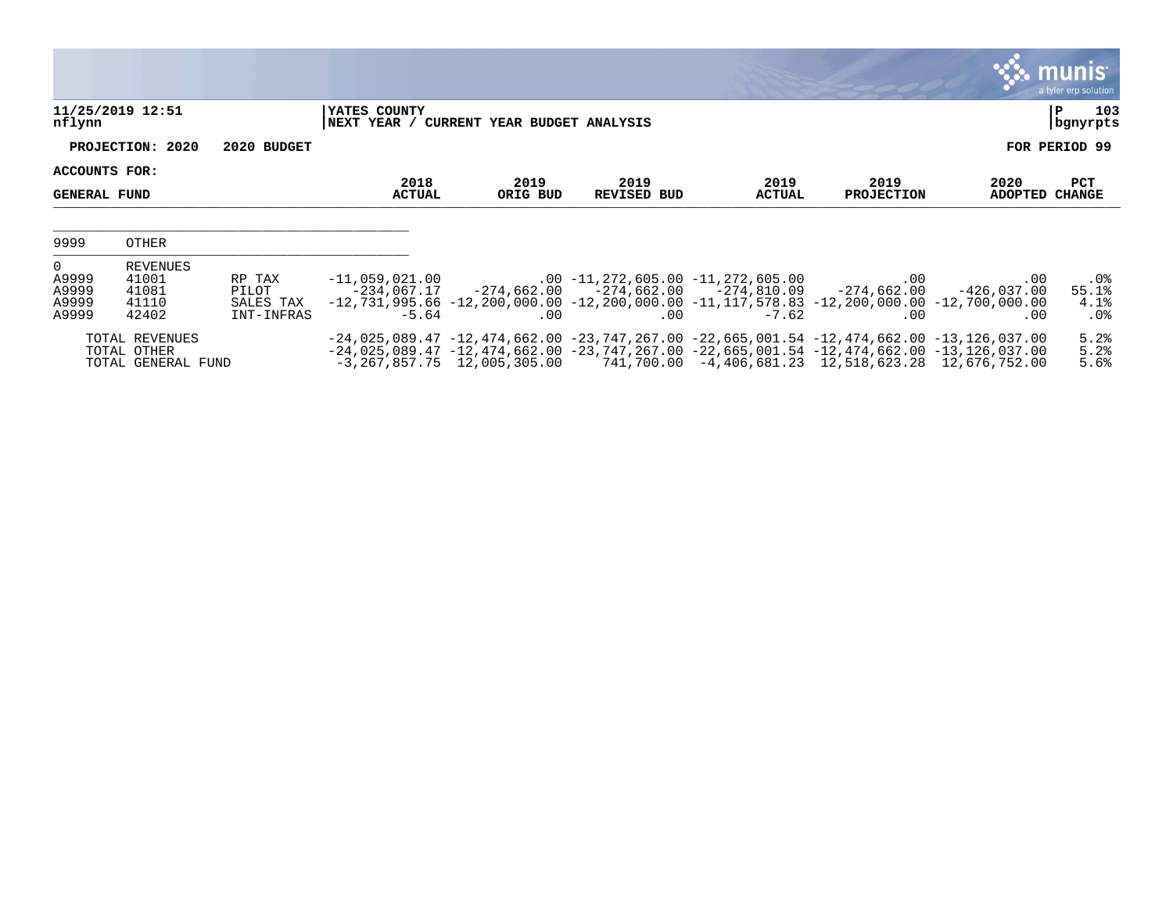|                                                    |                                                     |                                            |                                            |                                          |                                                                                         |                       |                                                                                                                                                                                                                                                                                                                |                             | <b>munis</b><br>a tyler erp solution |
|----------------------------------------------------|-----------------------------------------------------|--------------------------------------------|--------------------------------------------|------------------------------------------|-----------------------------------------------------------------------------------------|-----------------------|----------------------------------------------------------------------------------------------------------------------------------------------------------------------------------------------------------------------------------------------------------------------------------------------------------------|-----------------------------|--------------------------------------|
| nflynn                                             | 11/25/2019 12:51                                    |                                            | YATES COUNTY                               | NEXT YEAR / CURRENT YEAR BUDGET ANALYSIS |                                                                                         |                       |                                                                                                                                                                                                                                                                                                                |                             | 103<br>P<br>bgnyrpts                 |
|                                                    | PROJECTION: 2020                                    | 2020 BUDGET                                |                                            |                                          |                                                                                         |                       |                                                                                                                                                                                                                                                                                                                |                             | FOR PERIOD 99                        |
| ACCOUNTS FOR:<br><b>GENERAL FUND</b>               |                                                     |                                            | 2018<br><b>ACTUAL</b>                      | 2019<br>ORIG BUD                         | 2019<br><b>REVISED BUD</b>                                                              | 2019<br><b>ACTUAL</b> | 2019<br><b>PROJECTION</b>                                                                                                                                                                                                                                                                                      | 2020<br><b>ADOPTED</b>      | PCT<br><b>CHANGE</b>                 |
| 9999                                               | OTHER                                               |                                            |                                            |                                          |                                                                                         |                       |                                                                                                                                                                                                                                                                                                                |                             |                                      |
| $\overline{0}$<br>A9999<br>A9999<br>A9999<br>A9999 | REVENUES<br>41001<br>41081<br>41110<br>42402        | RP TAX<br>PILOT<br>SALES TAX<br>INT-INFRAS | $-11,059,021,00$<br>-234,067.17<br>$-5.64$ | .00                                      | $.00$ -11,272,605.00 -11,272,605.00<br>$-274,662.00$ $-274,662.00$ $-274,810.09$<br>.00 | $-7.62$               | .00<br>$-274.662.00$<br>$-12, 731, 995.66$ $-12, 200, 000.00$ $-12, 200, 000.00$ $-11, 117, 578.83$ $-12, 200, 000.00$ $-12, 700, 000.00$<br>$.00 \,$                                                                                                                                                          | .00<br>$-426,037.00$<br>.00 | .0%<br>55.1%<br>4.1%<br>$.0\%$       |
|                                                    | TOTAL REVENUES<br>TOTAL OTHER<br>TOTAL GENERAL FUND |                                            |                                            |                                          |                                                                                         |                       | $-24,025,089.47$ $-12,474,662.00$ $-23,747,267.00$ $-22,665,001.54$ $-12,474,662.00$ $-13,126,037.00$<br>$-24,025,089.47$ $-12,474,662.00$ $-23,747,267.00$ $-22,665,001.54$ $-12,474,662.00$ $-13,126,037.00$<br>$-3,267,857.75$ $12,005,305.00$ $741,700.00$ $-4,406,681.23$ $12,518,623.28$ $12,676,752.00$ |                             | 5.2%<br>5.2%<br>5.6%                 |

**COL**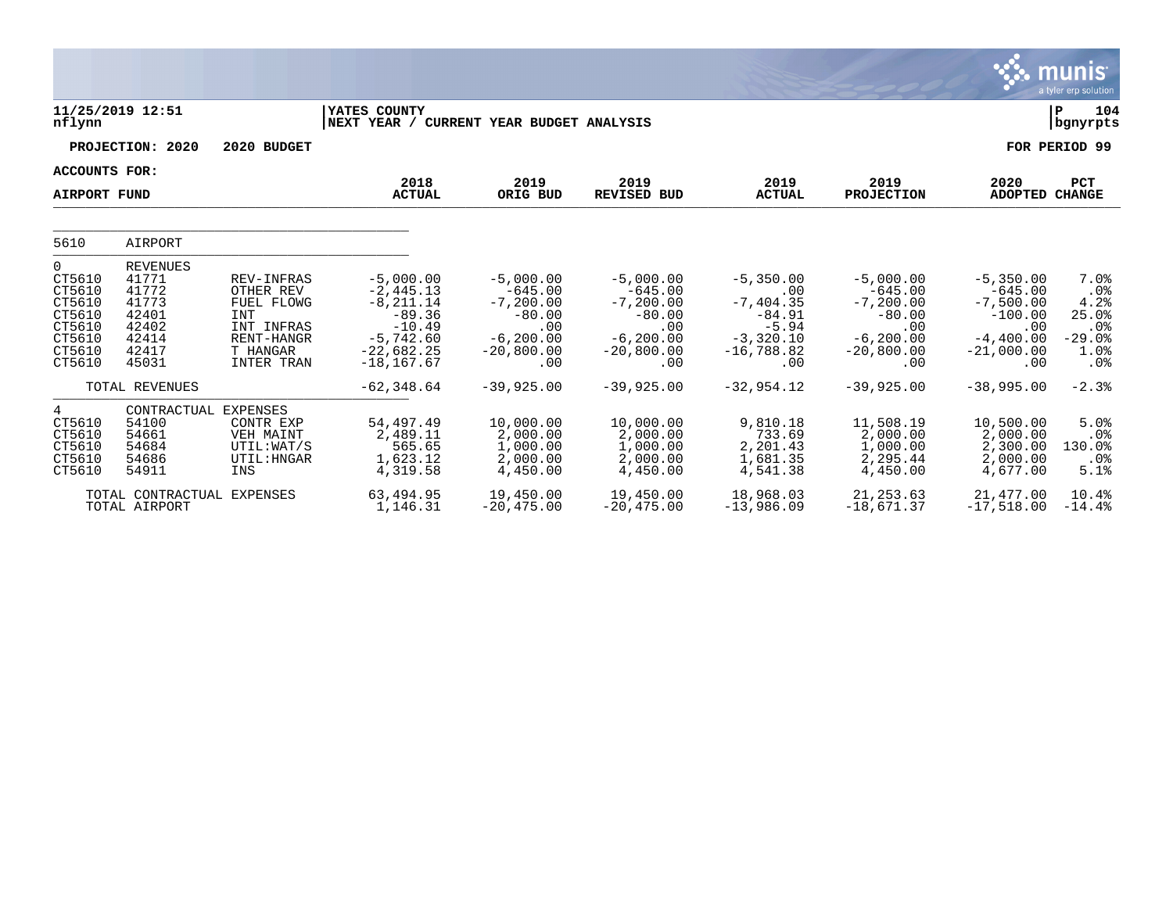|                                                                                          |                                                                                         |                                                                                                           |                                                                                                                    |                                                                                                     |                                                                                                     |                                                                                                |                                                                                                   |                                                                                                   | nıs<br>mui<br>a tyler erp solution                                            |
|------------------------------------------------------------------------------------------|-----------------------------------------------------------------------------------------|-----------------------------------------------------------------------------------------------------------|--------------------------------------------------------------------------------------------------------------------|-----------------------------------------------------------------------------------------------------|-----------------------------------------------------------------------------------------------------|------------------------------------------------------------------------------------------------|---------------------------------------------------------------------------------------------------|---------------------------------------------------------------------------------------------------|-------------------------------------------------------------------------------|
| nflynn                                                                                   | 11/25/2019 12:51                                                                        |                                                                                                           | YATES COUNTY<br> NEXT YEAR /                                                                                       | CURRENT YEAR BUDGET ANALYSIS                                                                        |                                                                                                     |                                                                                                |                                                                                                   |                                                                                                   | 104<br>∣P<br>  bgnyrpts                                                       |
|                                                                                          | PROJECTION: 2020                                                                        | 2020 BUDGET                                                                                               |                                                                                                                    |                                                                                                     |                                                                                                     |                                                                                                |                                                                                                   |                                                                                                   | FOR PERIOD 99                                                                 |
| ACCOUNTS FOR:<br><b>AIRPORT FUND</b>                                                     |                                                                                         |                                                                                                           | 2018<br><b>ACTUAL</b>                                                                                              | 2019<br>ORIG BUD                                                                                    | 2019<br><b>REVISED BUD</b>                                                                          | 2019<br><b>ACTUAL</b>                                                                          | 2019<br><b>PROJECTION</b>                                                                         | 2020<br><b>ADOPTED</b>                                                                            | <b>PCT</b><br><b>CHANGE</b>                                                   |
| 5610                                                                                     | AIRPORT                                                                                 |                                                                                                           |                                                                                                                    |                                                                                                     |                                                                                                     |                                                                                                |                                                                                                   |                                                                                                   |                                                                               |
| $\Omega$<br>CT5610<br>CT5610<br>CT5610<br>CT5610<br>CT5610<br>CT5610<br>CT5610<br>CT5610 | <b>REVENUES</b><br>41771<br>41772<br>41773<br>42401<br>42402<br>42414<br>42417<br>45031 | REV-INFRAS<br>OTHER REV<br>FUEL FLOWG<br><b>INT</b><br>INT INFRAS<br>RENT-HANGR<br>T HANGAR<br>INTER TRAN | $-5,000.00$<br>$-2,445.13$<br>$-8, 211.14$<br>$-89.36$<br>$-10.49$<br>$-5,742.60$<br>$-22,682.25$<br>$-18, 167.67$ | $-5,000.00$<br>$-645.00$<br>$-7, 200.00$<br>$-80.00$<br>.00<br>$-6, 200, 00$<br>$-20,800.00$<br>.00 | $-5,000.00$<br>$-645.00$<br>$-7, 200.00$<br>$-80.00$<br>.00<br>$-6, 200, 00$<br>$-20,800.00$<br>.00 | $-5,350.00$<br>.00<br>$-7,404.35$<br>$-84.91$<br>$-5.94$<br>$-3,320.10$<br>$-16,788.82$<br>.00 | $-5,000.00$<br>$-645.00$<br>$-7,200.00$<br>$-80.00$<br>.00<br>$-6, 200.00$<br>$-20,800.00$<br>.00 | $-5,350.00$<br>$-645.00$<br>$-7,500.00$<br>$-100.00$<br>.00<br>$-4,400.00$<br>$-21,000.00$<br>.00 | 7.0%<br>$.0\%$<br>4.2%<br>25.0%<br>.0%<br>$-29.0%$<br>1.0%<br>.0 <sub>8</sub> |
|                                                                                          | TOTAL REVENUES                                                                          |                                                                                                           | $-62, 348.64$                                                                                                      | $-39,925.00$                                                                                        | $-39,925.00$                                                                                        | $-32,954.12$                                                                                   | $-39,925.00$                                                                                      | $-38,995.00$                                                                                      | $-2.3%$                                                                       |
| 4<br>CT5610<br>CT5610<br>CT5610<br>CT5610<br>CT5610                                      | CONTRACTUAL EXPENSES<br>54100<br>54661<br>54684<br>54686<br>54911                       | CONTR EXP<br>VEH MAINT<br>UTIL:WAT/S<br>UTIL: HNGAR<br>INS                                                | 54,497.49<br>2,489.11<br>565.65<br>1,623.12<br>4,319.58                                                            | 10,000.00<br>2,000.00<br>1,000.00<br>2,000.00<br>4,450.00                                           | 10,000.00<br>2,000.00<br>1,000.00<br>2,000.00<br>4,450.00                                           | 9,810.18<br>733.69<br>2,201.43<br>1,681.35<br>4,541.38                                         | 11,508.19<br>2,000.00<br>1,000.00<br>2,295.44<br>4,450.00                                         | 10,500.00<br>2,000.00<br>2,300.00<br>2,000.00<br>4,677.00                                         | 5.0%<br>.0%<br>130.0%<br>.0%<br>5.1%                                          |
|                                                                                          | TOTAL CONTRACTUAL<br>TOTAL AIRPORT                                                      | <b>EXPENSES</b>                                                                                           | 63,494.95<br>1,146.31                                                                                              | 19,450.00<br>$-20, 475.00$                                                                          | 19,450.00<br>$-20, 475.00$                                                                          | 18,968.03<br>$-13,986.09$                                                                      | 21, 253.63<br>$-18,671.37$                                                                        | 21,477.00<br>$-17,518.00$                                                                         | 10.4%<br>$-14.4%$                                                             |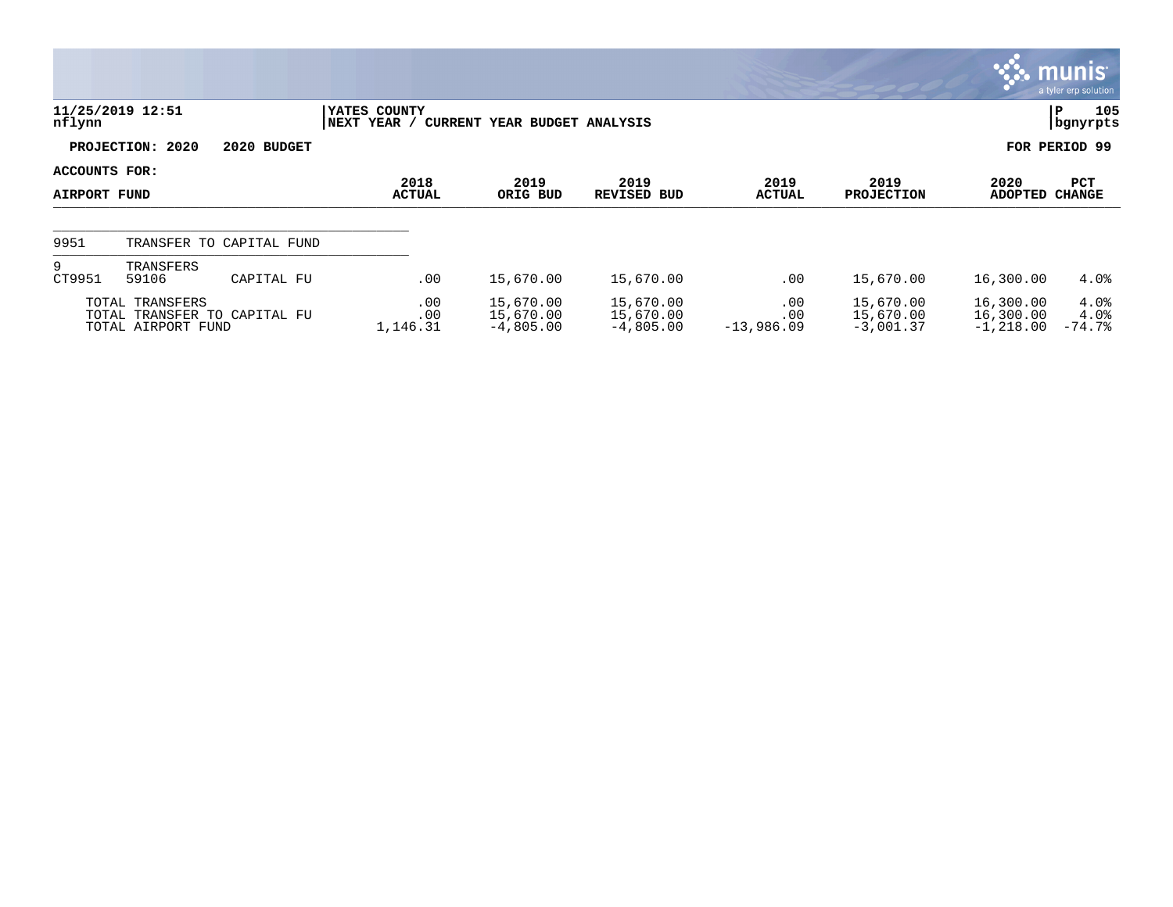|                               |                                       |                              |                              |            |                                       |                                       |                            |                                       |                                       | $\mathbb{C}$ munis $\mathbb{C}$<br>a tyler erp solution |
|-------------------------------|---------------------------------------|------------------------------|------------------------------|------------|---------------------------------------|---------------------------------------|----------------------------|---------------------------------------|---------------------------------------|---------------------------------------------------------|
| nflynn                        | 11/25/2019 12:51                      |                              | YATES COUNTY<br> NEXT YEAR / |            | CURRENT YEAR BUDGET ANALYSIS          |                                       |                            |                                       |                                       | 105<br>P<br>bgnyrpts                                    |
|                               | PROJECTION: 2020                      | 2020 BUDGET                  |                              |            |                                       |                                       |                            |                                       |                                       | FOR PERIOD 99                                           |
| ACCOUNTS FOR:<br>AIRPORT FUND |                                       |                              | 2018<br><b>ACTUAL</b>        |            | 2019<br>ORIG BUD                      | 2019<br><b>REVISED BUD</b>            | 2019<br><b>ACTUAL</b>      | 2019<br><b>PROJECTION</b>             | 2020<br><b>ADOPTED</b>                | PCT<br><b>CHANGE</b>                                    |
| 9951                          |                                       | TRANSFER TO CAPITAL FUND     |                              |            |                                       |                                       |                            |                                       |                                       |                                                         |
| 9<br>CT9951                   | TRANSFERS<br>59106                    | CAPITAL FU                   |                              | .00        | 15,670.00                             | 15,670.00                             | .00                        | 15,670.00                             | 16,300.00                             | $4.0\%$                                                 |
|                               | TOTAL TRANSFERS<br>TOTAL AIRPORT FUND | TOTAL TRANSFER TO CAPITAL FU | 1,146.31                     | .00<br>.00 | 15,670.00<br>15,670.00<br>$-4,805.00$ | 15,670.00<br>15,670.00<br>$-4,805.00$ | .00<br>.00<br>$-13,986.09$ | 15,670.00<br>15,670.00<br>$-3,001.37$ | 16,300.00<br>16,300.00<br>$-1,218.00$ | 4.0%<br>$4.0\%$<br>$-74.7%$                             |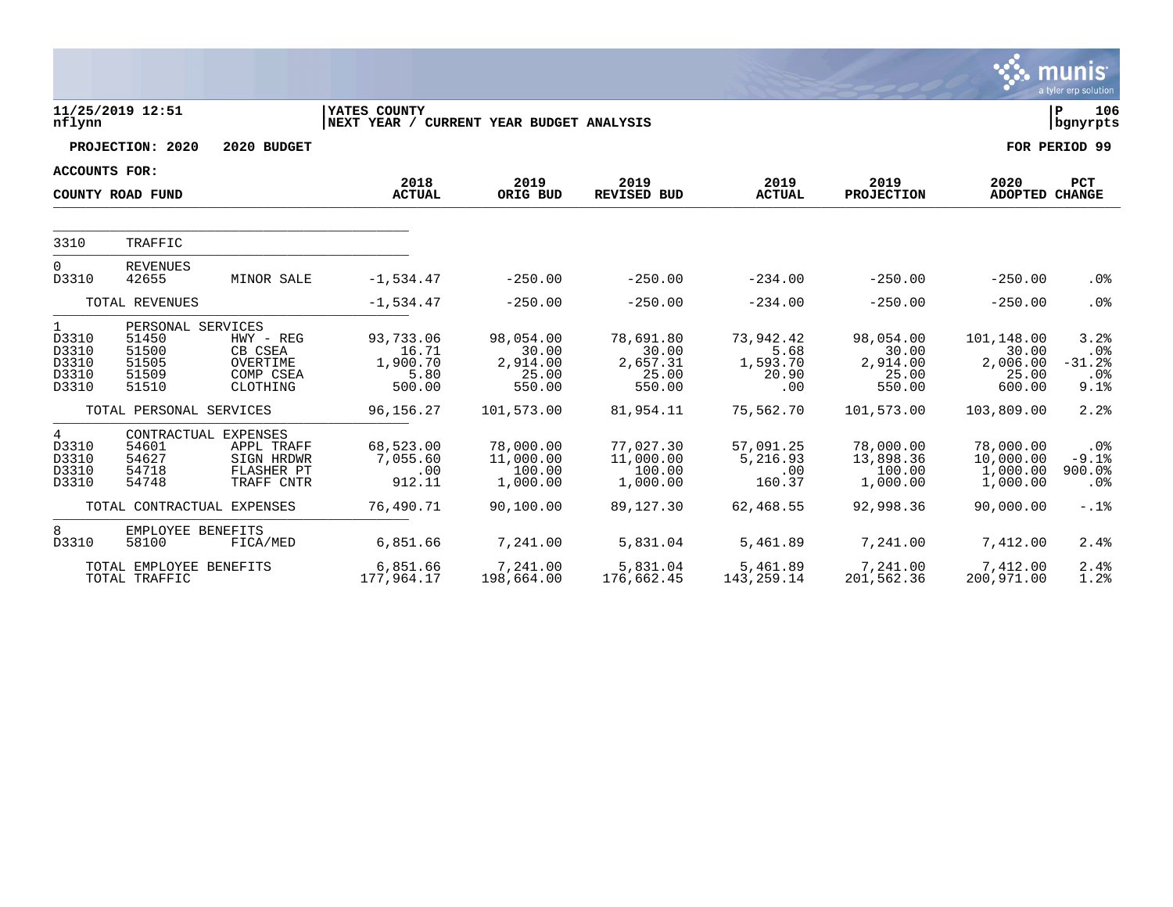|                                                           |                                                                |                                                             |                                                                 |                                                   |                                                   |                                               |                                                   |                                                    | munıs <sup>.</sup><br>a tyler erp solution   |
|-----------------------------------------------------------|----------------------------------------------------------------|-------------------------------------------------------------|-----------------------------------------------------------------|---------------------------------------------------|---------------------------------------------------|-----------------------------------------------|---------------------------------------------------|----------------------------------------------------|----------------------------------------------|
| nflynn                                                    | 11/25/2019 12:51                                               |                                                             | <b>YATES COUNTY</b><br>NEXT YEAR / CURRENT YEAR BUDGET ANALYSIS |                                                   |                                                   |                                               |                                                   |                                                    | ΙP<br>106<br>  bgnyrpts                      |
|                                                           | PROJECTION: 2020                                               | 2020 BUDGET                                                 |                                                                 |                                                   |                                                   |                                               |                                                   |                                                    | FOR PERIOD 99                                |
| <b>ACCOUNTS FOR:</b>                                      |                                                                |                                                             |                                                                 |                                                   |                                                   |                                               |                                                   |                                                    |                                              |
|                                                           | COUNTY ROAD FUND                                               |                                                             | 2018<br><b>ACTUAL</b>                                           | 2019<br>ORIG BUD                                  | 2019<br><b>REVISED BUD</b>                        | 2019<br><b>ACTUAL</b>                         | 2019<br><b>PROJECTION</b>                         | 2020<br>ADOPTED CHANGE                             | <b>PCT</b>                                   |
| 3310                                                      | TRAFFIC                                                        |                                                             |                                                                 |                                                   |                                                   |                                               |                                                   |                                                    |                                              |
| $\Omega$<br>D3310                                         | <b>REVENUES</b><br>42655                                       | MINOR SALE                                                  | $-1,534.47$                                                     | $-250.00$                                         | $-250.00$                                         | $-234.00$                                     | $-250.00$                                         | $-250.00$                                          | .0 <sub>8</sub>                              |
| TOTAL REVENUES                                            |                                                                | $-1,534.47$                                                 | $-250.00$                                                       | $-250.00$                                         | $-234.00$                                         | $-250.00$                                     | $-250.00$                                         | .0%                                                |                                              |
| $\mathbf{1}$<br>D3310<br>D3310<br>D3310<br>D3310<br>D3310 | PERSONAL SERVICES<br>51450<br>51500<br>51505<br>51509<br>51510 | $HWY - REG$<br>CB CSEA<br>OVERTIME<br>COMP CSEA<br>CLOTHING | 93,733.06<br>16.71<br>1,900.70<br>5.80<br>500.00                | 98,054.00<br>30.00<br>2,914.00<br>25.00<br>550.00 | 78,691.80<br>30.00<br>2,657.31<br>25.00<br>550.00 | 73,942.42<br>5.68<br>1,593.70<br>20.90<br>.00 | 98,054.00<br>30.00<br>2,914.00<br>25.00<br>550.00 | 101,148.00<br>30.00<br>2,006.00<br>25.00<br>600.00 | 3.2%<br>$.0\%$<br>$-31.2%$<br>$.0\%$<br>9.1% |
|                                                           | TOTAL PERSONAL SERVICES                                        |                                                             | 96,156.27                                                       | 101,573.00                                        | 81,954.11                                         | 75,562.70                                     | 101,573.00                                        | 103,809.00                                         | 2.2%                                         |
| 4<br>D3310<br>D3310<br>D3310<br>D3310                     | CONTRACTUAL EXPENSES<br>54601<br>54627<br>54718<br>54748       | APPL TRAFF<br>SIGN HRDWR<br>FLASHER PT<br>TRAFF CNTR        | 68,523.00<br>7,055.60<br>.00<br>912.11                          | 78,000.00<br>11,000.00<br>100.00<br>1,000.00      | 77,027.30<br>11,000.00<br>100.00<br>1,000.00      | 57,091.25<br>5,216.93<br>.00<br>160.37        | 78,000.00<br>13,898.36<br>100.00<br>1,000.00      | 78,000.00<br>10,000.00<br>1,000.00<br>1,000.00     | .0%<br>$-9.1$ $8$<br>900.0<br>$.0\%$         |
|                                                           | TOTAL CONTRACTUAL EXPENSES                                     |                                                             | 76,490.71                                                       | 90,100.00                                         | 89,127.30                                         | 62,468.55                                     | 92,998.36                                         | 90,000.00                                          | $-.1$ $%$                                    |
| 8<br>D3310                                                | EMPLOYEE BENEFITS<br>58100                                     | FICA/MED                                                    | 6,851.66                                                        | 7,241.00                                          | 5,831.04                                          | 5,461.89                                      | 7,241.00                                          | 7,412.00                                           | 2.4%                                         |
|                                                           | TOTAL EMPLOYEE BENEFITS<br>TOTAL TRAFFIC                       |                                                             | 6,851.66<br>177,964.17                                          | 7,241.00<br>198,664.00                            | 5,831.04<br>176,662.45                            | 5,461.89<br>143, 259. 14                      | 7,241.00<br>201,562.36                            | 7,412.00<br>200,971.00                             | 2.4%<br>1.2%                                 |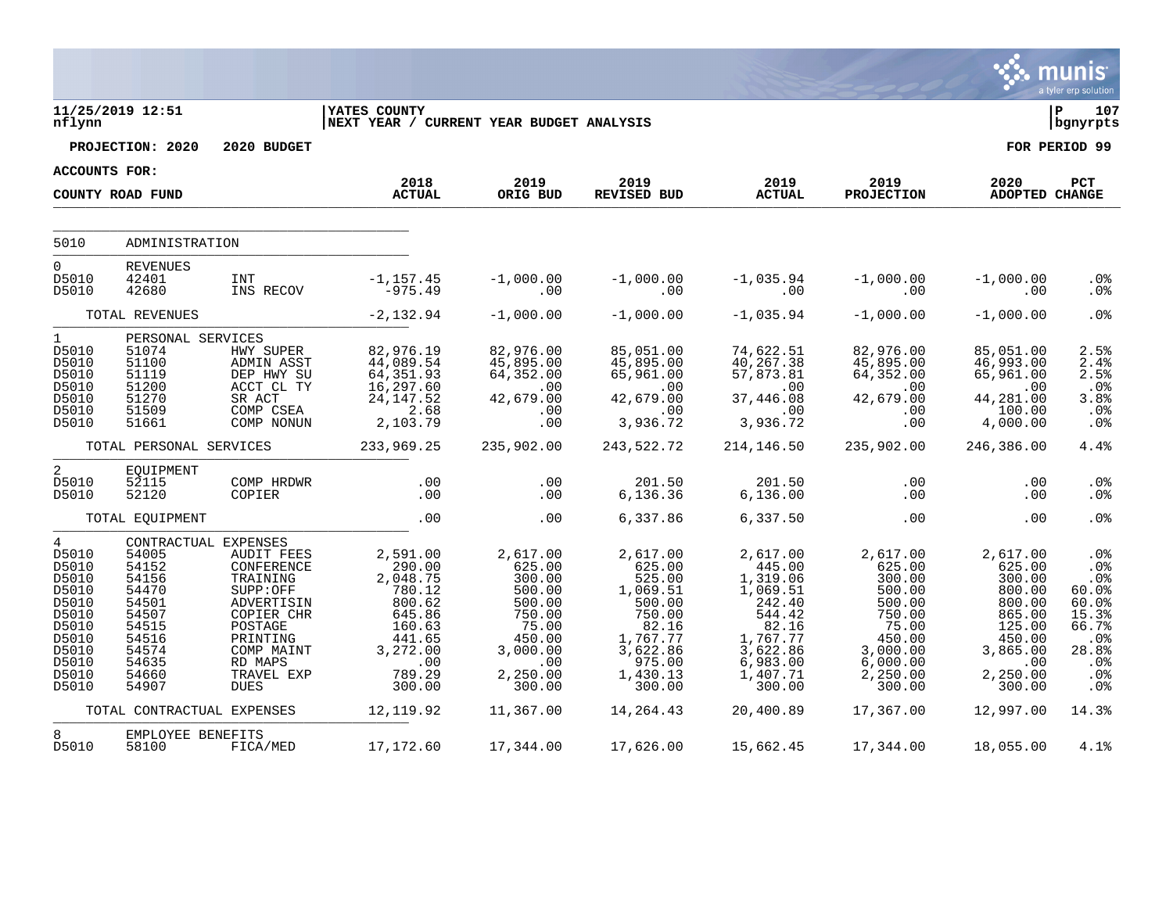|                                                                                                                            |                                                                                                                                  |                                                                                                                                                           |                                                                                                                  |                                                                                                                        |                                                                                                                               |                                                                                                                                   |                                                                                                                               |                                                                                                                         | munis<br>a tyler erp solution                                                                                   |
|----------------------------------------------------------------------------------------------------------------------------|----------------------------------------------------------------------------------------------------------------------------------|-----------------------------------------------------------------------------------------------------------------------------------------------------------|------------------------------------------------------------------------------------------------------------------|------------------------------------------------------------------------------------------------------------------------|-------------------------------------------------------------------------------------------------------------------------------|-----------------------------------------------------------------------------------------------------------------------------------|-------------------------------------------------------------------------------------------------------------------------------|-------------------------------------------------------------------------------------------------------------------------|-----------------------------------------------------------------------------------------------------------------|
| nflynn                                                                                                                     | 11/25/2019 12:51                                                                                                                 |                                                                                                                                                           | <b>IYATES COUNTY</b><br>NEXT YEAR / CURRENT YEAR BUDGET ANALYSIS                                                 |                                                                                                                        |                                                                                                                               |                                                                                                                                   |                                                                                                                               |                                                                                                                         | l P<br>107<br>  bgnyrpts                                                                                        |
|                                                                                                                            | PROJECTION: 2020                                                                                                                 | 2020 BUDGET                                                                                                                                               |                                                                                                                  |                                                                                                                        |                                                                                                                               |                                                                                                                                   |                                                                                                                               |                                                                                                                         | FOR PERIOD 99                                                                                                   |
| ACCOUNTS FOR:                                                                                                              |                                                                                                                                  |                                                                                                                                                           |                                                                                                                  |                                                                                                                        |                                                                                                                               |                                                                                                                                   |                                                                                                                               |                                                                                                                         |                                                                                                                 |
|                                                                                                                            | COUNTY ROAD FUND                                                                                                                 |                                                                                                                                                           | 2018<br><b>ACTUAL</b>                                                                                            | 2019<br>ORIG BUD                                                                                                       | 2019<br>REVISED BUD                                                                                                           | 2019<br><b>ACTUAL</b>                                                                                                             | 2019<br><b>PROJECTION</b>                                                                                                     | 2020<br>ADOPTED CHANGE                                                                                                  | PCT                                                                                                             |
| 5010                                                                                                                       | ADMINISTRATION                                                                                                                   |                                                                                                                                                           |                                                                                                                  |                                                                                                                        |                                                                                                                               |                                                                                                                                   |                                                                                                                               |                                                                                                                         |                                                                                                                 |
| $\overline{0}$<br>D5010<br>D5010                                                                                           | <b>REVENUES</b><br>42401<br>42680                                                                                                | <b>INT</b><br>INS RECOV                                                                                                                                   | -1,157.45<br>975.49                                                                                              | $-1,000.00$<br>.00                                                                                                     | $-1,000.00$<br>$\overline{00}$                                                                                                | $-1,035.94$<br>$\sim 00$                                                                                                          | $-1,000.00$<br>.00                                                                                                            | $-1,000.00$<br>.00                                                                                                      | .0%<br>.0%                                                                                                      |
|                                                                                                                            | TOTAL REVENUES                                                                                                                   |                                                                                                                                                           | $-2,132.94$                                                                                                      | $-1,000.00$                                                                                                            | $-1,000.00$                                                                                                                   | $-1,035.94$                                                                                                                       | $-1,000.00$                                                                                                                   | $-1,000.00$                                                                                                             | .0%                                                                                                             |
| $1 \quad$<br>D5010<br>D5010<br>D5010<br>D5010<br>D5010<br>D5010<br>D5010                                                   | PERSONAL SERVICES<br>51074<br>51100<br>51119<br>51200<br>51270<br>51509<br>51661                                                 | HWY SUPER<br>ADMIN ASST<br>DEP HWY SU<br>ACCT CL TY<br>SR ACT<br>COMP CSEA<br>COMP NONUN                                                                  | 82,976.19<br>44,089.54<br>64, 351.93<br>16, 297.60<br>24, 147.52<br>2,103.79                                     | 82,976.00<br>45,895.00<br>64,352.00<br>$\sim 00$<br>42,679.00<br>.00<br>.00                                            | 85,051.00<br>45,895.00<br>65,961.00<br>$\sim$ 00<br>42,679.00<br>$\sim$ 00<br>3,936.72                                        | 74,622.51<br>40,267.38<br>57,873.81<br>$\sim 00$<br>37,446.08<br>$\sim$ 00<br>3,936.72                                            | 82,976.00<br>45,895.00<br>64,352.00<br>$\sim 00$<br>42,679.00<br>.00<br>.00                                                   | 85,051.00<br>46,993.00<br>65,961.00<br>$\sim 00$<br>44,281.00<br>100.00<br>4,000.00                                     | 2.5%<br>2.4%<br>2.5%<br>$.0\%$<br>3.8%<br>.0%<br>.0%                                                            |
|                                                                                                                            | TOTAL PERSONAL SERVICES                                                                                                          |                                                                                                                                                           | 233,969.25                                                                                                       | 235,902.00                                                                                                             | 243,522.72                                                                                                                    | 214, 146.50                                                                                                                       | 235,902.00                                                                                                                    | 246,386.00                                                                                                              | 4.4%                                                                                                            |
| $\overline{a}$<br>D5010<br>D5010                                                                                           | EQUIPMENT<br>52115<br>52120                                                                                                      | COMP HRDWR<br>COPIER                                                                                                                                      | .00<br>.00                                                                                                       | .00<br>.00                                                                                                             | 201.50<br>6, 136.36                                                                                                           | 201.50<br>6, 136.00                                                                                                               | .00<br>.00                                                                                                                    | .00<br>.00                                                                                                              | $.0\%$<br>.0 <sub>8</sub>                                                                                       |
|                                                                                                                            | TOTAL EQUIPMENT                                                                                                                  |                                                                                                                                                           | .00                                                                                                              | .00                                                                                                                    | 6,337.86                                                                                                                      | 6,337.50                                                                                                                          | .00                                                                                                                           | .00                                                                                                                     | .0 <sub>8</sub>                                                                                                 |
| $\overline{4}$<br>D5010<br>D5010<br>D5010<br>D5010<br>D5010<br>D5010<br>D5010<br>D5010<br>D5010<br>D5010<br>D5010<br>D5010 | CONTRACTUAL EXPENSES<br>54005<br>54152<br>54156<br>54470<br>54501<br>54507<br>54515<br>54516<br>54574<br>54635<br>54660<br>54907 | AUDIT FEES<br>CONFERENCE<br>TRAINING<br>SUPP:OFF<br>ADVERTISIN<br>COPIER CHR<br>POSTAGE<br>PRINTING<br>COMP MAINT<br>RD MAPS<br>TRAVEL EXP<br><b>DUES</b> | 2,591.00<br>290.00<br>2,048.75<br>780.12<br>800.62<br>645.86<br>160.63<br>441.65<br>3,272.00<br>789.29<br>300.00 | 2,617.00<br>625.00<br>300.00<br>500.00<br>500.00<br>750.00<br>75.00<br>450.00<br>3,000.00<br>.00<br>2,250.00<br>300.00 | 2,617.00<br>625.00<br>525.00<br>1,069.51<br>500.00<br>750.00<br>82.16<br>1,767.77<br>3,622.86<br>975.00<br>1,430.13<br>300.00 | 2,617.00<br>445.00<br>1,319.06<br>1,069.51<br>242.40<br>544.42<br>82.16<br>1,767.77<br>3,622.86<br>6,983.00<br>1,407.71<br>300.00 | 2,617.00<br>625.00<br>300.00<br>500.00<br>500.00<br>750.00<br>75.00<br>450.00<br>3,000.00<br>$6,000.00$<br>2,250.00<br>300.00 | 2,617.00<br>625.00<br>300.00<br>800.00<br>800.00<br>865.00<br>125.00<br>450.00<br>3,865.00<br>.00<br>2,250.00<br>300.00 | .0%<br>.0 <sup>8</sup><br>.0%<br>60.0%<br>60.0%<br>15.3%<br>66.7%<br>$.0\%$<br>28.8%<br>$.0\%$<br>.0%<br>$.0\%$ |
|                                                                                                                            | TOTAL CONTRACTUAL EXPENSES                                                                                                       |                                                                                                                                                           | 12, 119.92                                                                                                       | 11,367.00                                                                                                              | 14,264.43                                                                                                                     | 20,400.89                                                                                                                         | 17,367.00                                                                                                                     | 12,997.00                                                                                                               | 14.3%                                                                                                           |
| 8<br>D5010                                                                                                                 | EMPLOYEE BENEFITS<br>58100                                                                                                       | FICA/MED                                                                                                                                                  | 17,172.60                                                                                                        | 17,344.00                                                                                                              | 17,626.00                                                                                                                     | 15,662.45                                                                                                                         | 17,344.00                                                                                                                     | 18,055.00                                                                                                               | 4.1%                                                                                                            |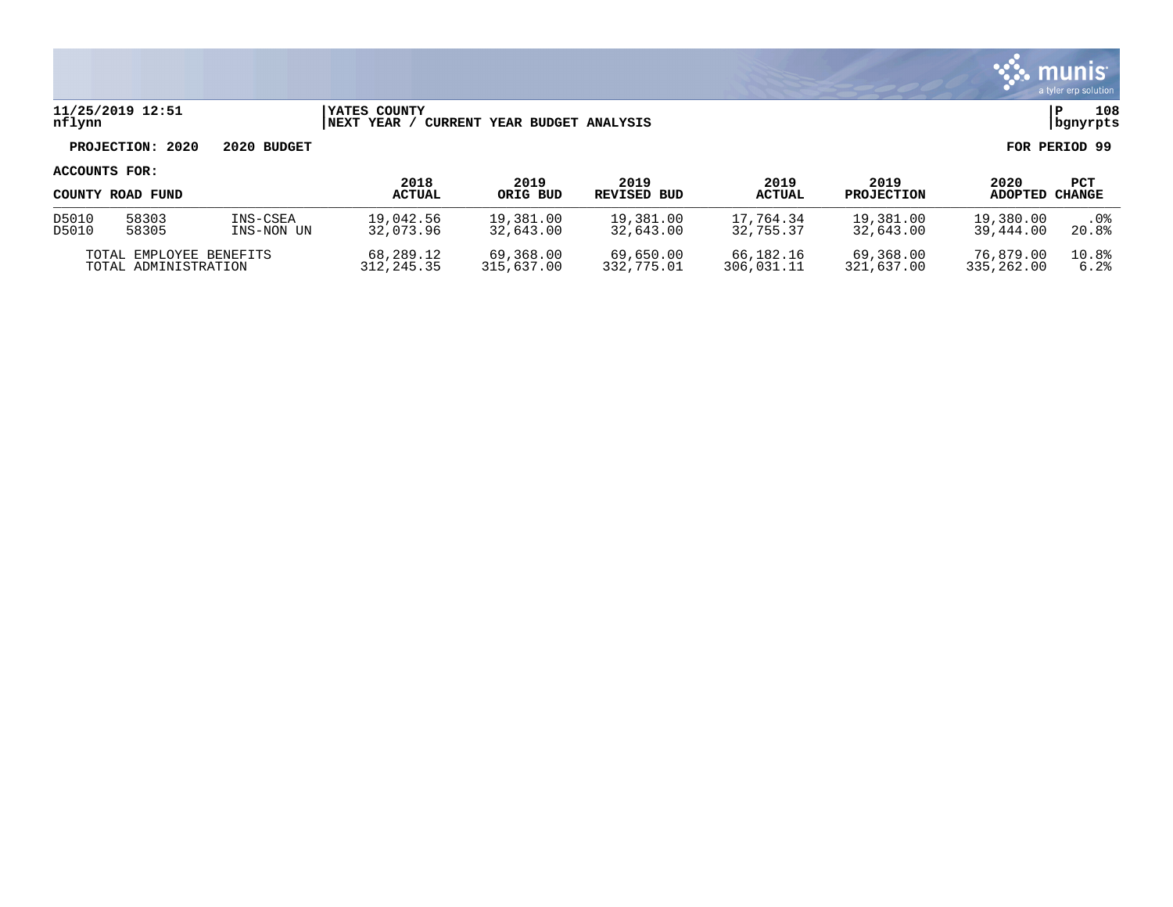

### **11/25/2019 12:51 |YATES COUNTY |P 108 nflynn |NEXT YEAR / CURRENT YEAR BUDGET ANALYSIS |bgnyrpts**

# **PROJECTION: 2020 2020 BUDGET FOR PERIOD 99**

### **ACCOUNTS FOR:**

|                         | COUNTY ROAD FUND |             | 2018<br><b>ACTUAL</b> | 2019<br>ORIG BUD | 2019<br>REVISED BUD | 2019<br><b>ACTUAL</b> | 2019<br><b>PROJECTION</b> | 2020<br><b>ADOPTED</b> | PCT<br><b>CHANGE</b> |
|-------------------------|------------------|-------------|-----------------------|------------------|---------------------|-----------------------|---------------------------|------------------------|----------------------|
| D5010                   | 58303            | INS-CSEA    | 19,042.56             | 19,381.00        | 19,381.00           | 17.764.34             | 19,381.00                 | 19,380.00              | . 0%                 |
| D5010                   | 58305            | INS-NON UN  | 32,073.96             | 32,643.00        | 32,643.00           | 32,755.37             | 32,643.00                 | 39,444.00              | 20.8%                |
| TOTAL EMPLOYEE BENEFITS |                  | 68,289.12   | 69,368.00             | 69,650.00        | 66,182.16           | 69,368.00             | 76,879.00                 | 10.8%                  |                      |
| TOTAL ADMINISTRATION    |                  | 312, 245.35 | 315,637.00            | 332,775.01       | 306,031.11          | 321,637.00            | 335,262.00                | 6.2%                   |                      |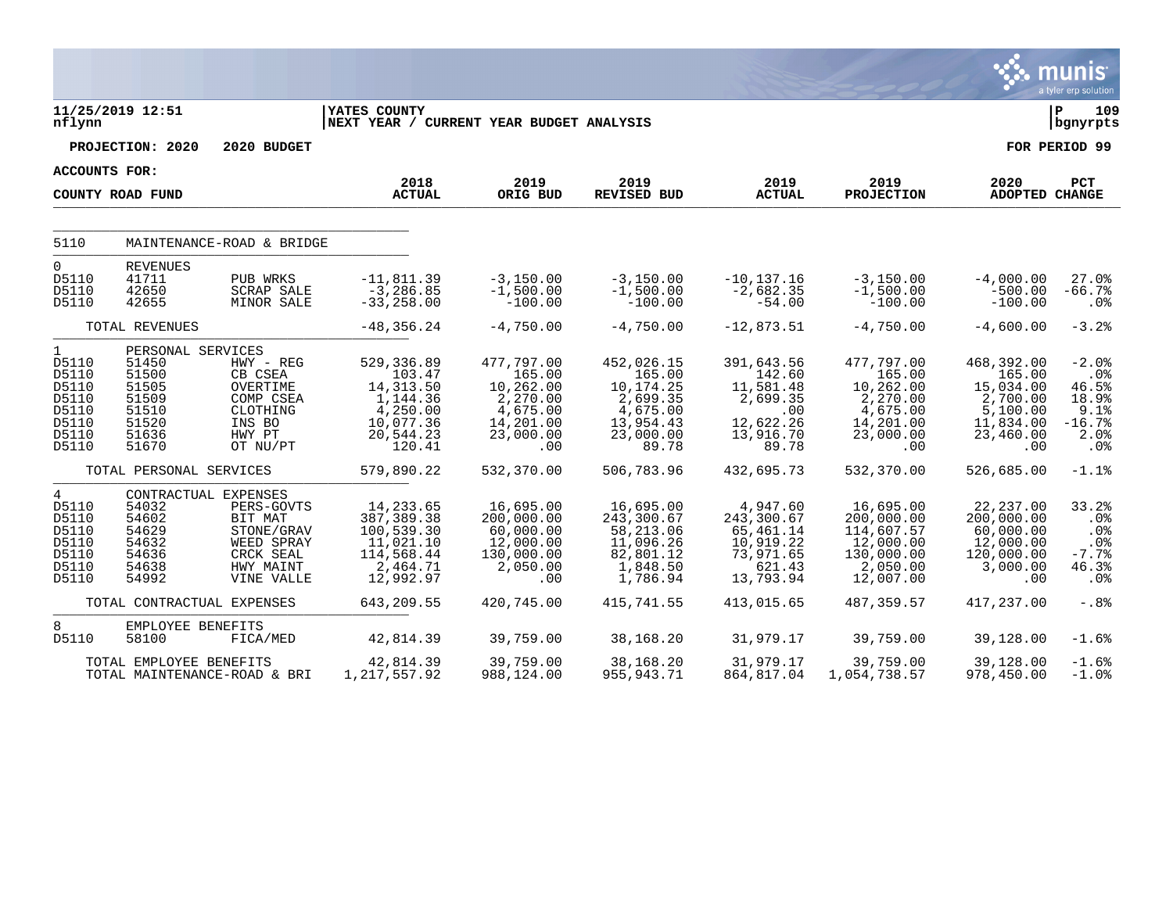|                                                                                      |                                                                                           |                                                                                                                   |                                                                                                |                                                                                            |                                                                                              |                                                                                         |                                                                                             |                                                                                            | munis<br>a tyler erp solution                                         |
|--------------------------------------------------------------------------------------|-------------------------------------------------------------------------------------------|-------------------------------------------------------------------------------------------------------------------|------------------------------------------------------------------------------------------------|--------------------------------------------------------------------------------------------|----------------------------------------------------------------------------------------------|-----------------------------------------------------------------------------------------|---------------------------------------------------------------------------------------------|--------------------------------------------------------------------------------------------|-----------------------------------------------------------------------|
| nflynn                                                                               | 11/25/2019 12:51                                                                          |                                                                                                                   | <b>YATES COUNTY</b><br>NEXT YEAR / CURRENT YEAR BUDGET ANALYSIS                                |                                                                                            |                                                                                              |                                                                                         |                                                                                             |                                                                                            | lР<br>109<br>  bgnyrpts                                               |
|                                                                                      | PROJECTION: 2020                                                                          | 2020 BUDGET                                                                                                       |                                                                                                |                                                                                            |                                                                                              |                                                                                         |                                                                                             |                                                                                            | FOR PERIOD 99                                                         |
|                                                                                      | ACCOUNTS FOR:                                                                             |                                                                                                                   |                                                                                                |                                                                                            |                                                                                              |                                                                                         |                                                                                             |                                                                                            |                                                                       |
|                                                                                      | COUNTY ROAD FUND                                                                          |                                                                                                                   | 2018<br><b>ACTUAL</b>                                                                          | 2019<br>ORIG BUD                                                                           | 2019<br><b>REVISED BUD</b>                                                                   | 2019<br><b>ACTUAL</b>                                                                   | 2019<br><b>PROJECTION</b>                                                                   | 2020<br>ADOPTED CHANGE                                                                     | PCT                                                                   |
| 5110                                                                                 |                                                                                           | MAINTENANCE-ROAD & BRIDGE                                                                                         |                                                                                                |                                                                                            |                                                                                              |                                                                                         |                                                                                             |                                                                                            |                                                                       |
| $\mathbf 0$<br>D5110<br>D5110<br>D5110                                               | <b>REVENUES</b><br>41711<br>42650<br>42655                                                | PUB WRKS<br><b>SCRAP SALE</b><br>MINOR SALE                                                                       | $-11, 811.39$<br>$-3, 286.85$<br>$-33, 258.00$                                                 | $-3,150.00$<br>$-1,500.00$<br>$-100.00$                                                    | $-3,150.00$<br>$-1,500.00$<br>$-100.00$                                                      | $-10, 137.16$<br>$-2,682.35$<br>$-54.00$                                                | $-3,150.00$<br>$-1,500.00$<br>$-100.00$                                                     | $-4,000.00$<br>$-500.00$<br>$-100.00$                                                      | 27.0%<br>$-66.7%$<br>$.0\%$                                           |
|                                                                                      | TOTAL REVENUES                                                                            |                                                                                                                   | $-48, 356.24$                                                                                  | $-4,750.00$                                                                                | $-4,750.00$                                                                                  | $-12,873.51$                                                                            | $-4,750.00$                                                                                 | $-4,600.00$                                                                                | $-3.2%$                                                               |
| $\mathbf{1}$<br>D5110<br>D5110<br>D5110<br>D5110<br>D5110<br>D5110<br>D5110<br>D5110 | PERSONAL SERVICES<br>51450<br>51500<br>51505<br>51509<br>51510<br>51520<br>51636<br>51670 | $HWY - REG$<br>CB CSEA<br>OVERTIME<br>COMP CSEA<br>CLOTHING<br>INS BO<br>HWY PT<br>OT NU/PT                       | 529,336.89<br>103.47<br>14, 313.50<br>1,144.36<br>4,250.00<br>10,077.36<br>20,544.23<br>120.41 | 477,797.00<br>165.00<br>10,262.00<br>2,270.00<br>4,675.00<br>14,201.00<br>23,000.00<br>.00 | 452,026.15<br>165.00<br>10,174.25<br>2,699.35<br>4,675.00<br>13,954.43<br>23,000.00<br>89.78 | 391,643.56<br>142.60<br>11,581.48<br>2,699.35<br>.00<br>12,622.26<br>13,916.70<br>89.78 | 477,797.00<br>165.00<br>10,262.00<br>2,270.00<br>4,675.00<br>14,201.00<br>23,000.00<br>.00. | 468,392.00<br>165.00<br>15,034.00<br>2,700.00<br>5,100.00<br>11,834.00<br>23,460.00<br>.00 | $-2.0%$<br>.0%<br>46.5%<br>18.9%<br>9.1%<br>$-16.7%$<br>2.0%<br>. 0 % |
|                                                                                      | TOTAL PERSONAL SERVICES                                                                   |                                                                                                                   | 579,890.22                                                                                     | 532,370.00                                                                                 | 506,783.96                                                                                   | 432,695.73                                                                              | 532,370.00                                                                                  | 526,685.00                                                                                 | $-1.1%$                                                               |
| $\overline{4}$<br>D5110<br>D5110<br>D5110<br>D5110<br>D5110<br>D5110<br>D5110        | 54032<br>54602<br>54629<br>54632<br>54636<br>54638<br>54992                               | CONTRACTUAL EXPENSES<br>PERS-GOVTS<br>BIT MAT<br>STONE/GRAV<br>WEED SPRAY<br>CRCK SEAL<br>HWY MAINT<br>VINE VALLE | 14, 233.65<br>387, 389. 38<br>100,539.30<br>11,021.10<br>114,568.44<br>2,464.71<br>12,992.97   | 16,695.00<br>200,000.00<br>60,000.00<br>12,000.00<br>130,000.00<br>2,050.00<br>.00         | 16,695.00<br>243,300.67<br>58,213.06<br>11,096.26<br>82,801.12<br>1,848.50<br>1,786.94       | 4,947.60<br>243,300.67<br>65,461.14<br>10,919.22<br>73,971.65<br>621.43<br>13,793.94    | 16,695.00<br>200,000.00<br>114,607.57<br>12,000.00<br>130,000.00<br>2,050.00<br>12,007.00   | 22, 237.00<br>200,000.00<br>60,000.00<br>12,000.00<br>120,000.00<br>3,000.00<br>.00        | 33.2%<br>.0%<br>.0%<br>$.0\%$<br>$-7.7%$<br>46.3%<br>.0%              |
|                                                                                      | TOTAL CONTRACTUAL EXPENSES                                                                |                                                                                                                   | 643,209.55                                                                                     | 420,745.00                                                                                 | 415,741.55                                                                                   | 413,015.65                                                                              | 487,359.57                                                                                  | 417,237.00                                                                                 | $-0.88$                                                               |
| 8<br>D5110                                                                           | EMPLOYEE BENEFITS<br>58100                                                                | FICA/MED                                                                                                          | 42,814.39                                                                                      | 39,759.00                                                                                  | 38,168.20                                                                                    | 31,979.17                                                                               | 39,759.00                                                                                   | 39,128.00                                                                                  | $-1.6%$                                                               |
|                                                                                      | TOTAL EMPLOYEE BENEFITS                                                                   | TOTAL MAINTENANCE-ROAD & BRI                                                                                      | 42,814.39<br>1, 217, 557.92                                                                    | 39,759.00<br>988,124.00                                                                    | 38,168.20<br>955, 943. 71                                                                    | 31,979.17<br>864,817.04                                                                 | 39,759.00<br>1,054,738.57                                                                   | 39,128.00<br>978,450.00                                                                    | $-1.6%$<br>$-1.0$ %                                                   |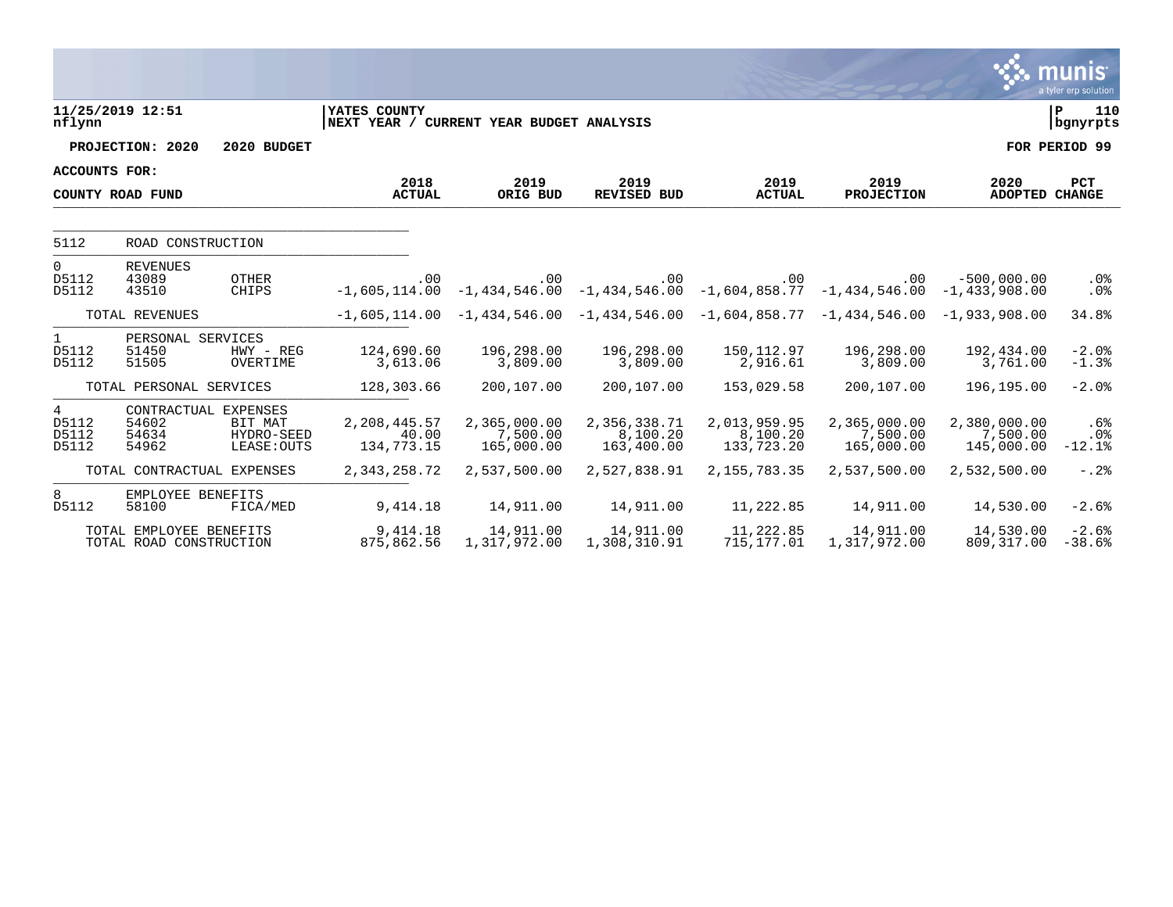|                                            |                                                    |                                      |                                                          |                                        |                                                                                                 |                                        |                                        |                                        | munıs <sup>.</sup><br>a tyler erp solution |
|--------------------------------------------|----------------------------------------------------|--------------------------------------|----------------------------------------------------------|----------------------------------------|-------------------------------------------------------------------------------------------------|----------------------------------------|----------------------------------------|----------------------------------------|--------------------------------------------|
| nflynn                                     | 11/25/2019 12:51                                   |                                      | YATES COUNTY<br>NEXT YEAR / CURRENT YEAR BUDGET ANALYSIS |                                        |                                                                                                 |                                        |                                        |                                        | 110<br>ΙP<br>  bgnyrpts                    |
|                                            | PROJECTION: 2020                                   | 2020 BUDGET                          |                                                          |                                        |                                                                                                 |                                        |                                        |                                        | FOR PERIOD 99                              |
| <b>ACCOUNTS FOR:</b>                       |                                                    |                                      |                                                          |                                        |                                                                                                 |                                        |                                        |                                        |                                            |
|                                            | COUNTY ROAD FUND                                   |                                      | 2018<br><b>ACTUAL</b>                                    | 2019<br>ORIG BUD                       | 2019<br><b>REVISED BUD</b>                                                                      | 2019<br><b>ACTUAL</b>                  | 2019<br><b>PROJECTION</b>              | 2020<br>ADOPTED CHANGE                 | <b>PCT</b>                                 |
| 5112                                       | ROAD CONSTRUCTION                                  |                                      |                                                          |                                        |                                                                                                 |                                        |                                        |                                        |                                            |
| $\Omega$<br>D5112<br>D5112                 | <b>REVENUES</b><br>43089<br>43510                  | <b>OTHER</b><br>CHIPS                | .00                                                      | $.00 \,$                               | .00<br>$-1,605,114.00$ $-1,434,546.00$ $-1,434,546.00$ $-1,604,858.77$                          | .00                                    | .00<br>$-1,434,546.00 -1,433,908.00$   | $-500,000,00$                          | .0%<br>.0%                                 |
|                                            | TOTAL REVENUES                                     |                                      |                                                          |                                        | $-1,605,114.00$ $-1,434,546.00$ $-1,434,546.00$ $-1,604,858.77$ $-1,434,546.00$ $-1,933,908.00$ |                                        |                                        |                                        | 34.8%                                      |
| 1<br>D5112<br>D5112                        | PERSONAL SERVICES<br>51450<br>51505                | $HWY - REG$<br>OVERTIME              | 124,690.60<br>3,613.06                                   | 196,298.00<br>3,809.00                 | 196,298.00<br>3,809.00                                                                          | 150, 112.97<br>2,916.61                | 196,298.00<br>3,809.00                 | 192,434.00<br>3,761.00                 | $-2.0%$<br>$-1.3%$                         |
|                                            | TOTAL PERSONAL SERVICES                            |                                      | 128,303.66                                               | 200,107.00                             | 200,107.00                                                                                      | 153,029.58                             | 200,107.00                             | 196,195.00                             | $-2.0%$                                    |
| $4\overline{ }$<br>D5112<br>D5112<br>D5112 | CONTRACTUAL EXPENSES<br>54602<br>54634<br>54962    | BIT MAT<br>HYDRO-SEED<br>LEASE: OUTS | 2,208,445.57<br>40.00<br>134,773.15                      | 2,365,000.00<br>7,500.00<br>165,000.00 | 2,356,338.71<br>8,100.20<br>163,400.00                                                          | 2,013,959.95<br>8,100.20<br>133,723.20 | 2,365,000.00<br>7,500.00<br>165,000.00 | 2,380,000.00<br>7,500.00<br>145,000.00 | $.6\%$<br>.0%<br>$-12.1%$                  |
|                                            | TOTAL CONTRACTUAL EXPENSES                         |                                      | 2, 343, 258.72                                           | 2,537,500.00                           | 2,527,838.91                                                                                    | 2, 155, 783. 35                        | 2,537,500.00                           | 2,532,500.00                           | $-0.28$                                    |
| 8<br>D5112                                 | EMPLOYEE BENEFITS<br>58100                         | FICA/MED                             | 9,414.18                                                 | 14,911.00                              | 14,911.00                                                                                       | 11,222.85                              | 14,911.00                              | 14,530.00                              | $-2.6%$                                    |
|                                            | TOTAL EMPLOYEE BENEFITS<br>TOTAL ROAD CONSTRUCTION |                                      | 9,414.18<br>875,862.56                                   | 14,911.00<br>1,317,972.00              | 14,911.00<br>1,308,310.91                                                                       | 11,222.85<br>715,177.01                | 14,911.00<br>1,317,972.00              | 14,530.00<br>809, 317.00               | $-2.6%$<br>$-38.6%$                        |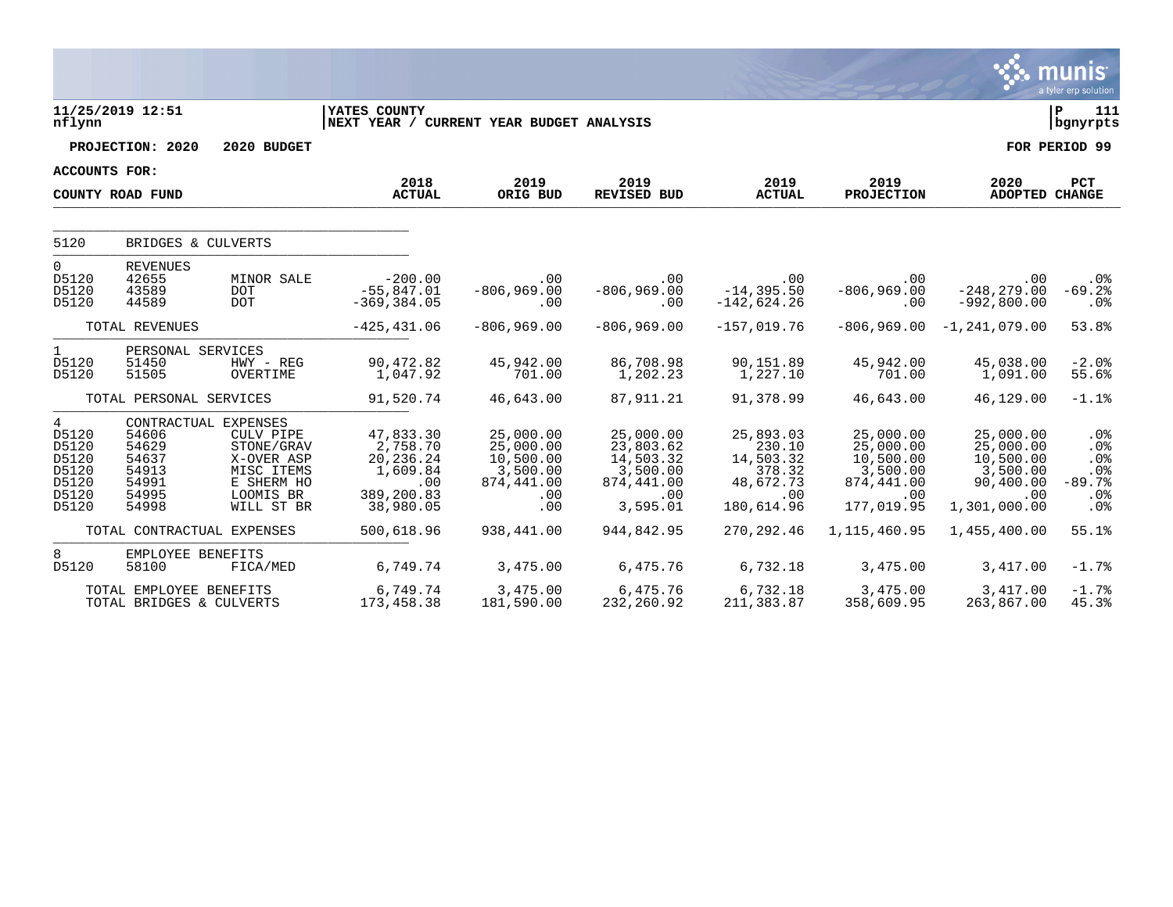|                                                                                |                                                             |                                                                                                                      |                                                                                  |                                                                             |                                                                                  |                                                                              |                                                                                         |                                                                                     | munis<br>a tyler erp solution                         |
|--------------------------------------------------------------------------------|-------------------------------------------------------------|----------------------------------------------------------------------------------------------------------------------|----------------------------------------------------------------------------------|-----------------------------------------------------------------------------|----------------------------------------------------------------------------------|------------------------------------------------------------------------------|-----------------------------------------------------------------------------------------|-------------------------------------------------------------------------------------|-------------------------------------------------------|
| nflynn                                                                         | 11/25/2019 12:51                                            |                                                                                                                      | YATES COUNTY<br>NEXT YEAR / CURRENT YEAR BUDGET ANALYSIS                         |                                                                             |                                                                                  |                                                                              |                                                                                         |                                                                                     | 111<br>l P<br>  bgnyrpts                              |
|                                                                                | PROJECTION: 2020                                            | 2020 BUDGET                                                                                                          |                                                                                  |                                                                             |                                                                                  |                                                                              |                                                                                         |                                                                                     | FOR PERIOD 99                                         |
| <b>ACCOUNTS FOR:</b>                                                           |                                                             |                                                                                                                      |                                                                                  |                                                                             |                                                                                  |                                                                              |                                                                                         |                                                                                     |                                                       |
|                                                                                | COUNTY ROAD FUND                                            |                                                                                                                      | 2018<br><b>ACTUAL</b>                                                            | 2019<br>ORIG BUD                                                            | 2019<br><b>REVISED BUD</b>                                                       | 2019<br><b>ACTUAL</b>                                                        | 2019<br><b>PROJECTION</b>                                                               | 2020<br><b>ADOPTED CHANGE</b>                                                       | <b>PCT</b>                                            |
| 5120                                                                           | BRIDGES & CULVERTS                                          |                                                                                                                      |                                                                                  |                                                                             |                                                                                  |                                                                              |                                                                                         |                                                                                     |                                                       |
| $\mathbf 0$<br>D5120<br>D5120<br>D5120                                         | <b>REVENUES</b><br>42655<br>43589<br>44589                  | MINOR SALE<br><b>DOT</b><br><b>DOT</b>                                                                               | $-200.00$<br>$-55,847.01$<br>$-369, 384.05$                                      | .00<br>$-806,969.00$<br>.00                                                 | .00<br>$-806, 969.00$<br>.00                                                     | .00<br>$-14, 395.50$<br>$-142,624.26$                                        | .00<br>$-806,969.00$<br>.00                                                             | .00<br>$-248, 279.00$<br>$-992, 800.00$                                             | $.0\%$<br>$-69.2%$<br>.0%                             |
|                                                                                | TOTAL REVENUES                                              |                                                                                                                      | $-425, 431.06$                                                                   | $-806,969.00$                                                               | $-806,969.00$                                                                    | $-157,019.76$                                                                |                                                                                         | $-806,969.00 -1,241,079.00$                                                         | 53.8%                                                 |
| $\mathbf{1}$<br>D5120<br>D5120                                                 | PERSONAL SERVICES<br>51450<br>51505                         | $HWY - REG$<br>OVERTIME                                                                                              | 90,472.82<br>1,047.92                                                            | 45,942.00<br>701.00                                                         | 86,708.98<br>1,202.23                                                            | 90,151.89<br>1,227.10                                                        | 45,942.00<br>701.00                                                                     | 45,038.00<br>1,091.00                                                               | $-2.0%$<br>55.6%                                      |
|                                                                                | TOTAL PERSONAL SERVICES                                     |                                                                                                                      | 91,520.74                                                                        | 46,643.00                                                                   | 87,911.21                                                                        | 91,378.99                                                                    | 46,643.00                                                                               | 46,129.00                                                                           | $-1.1%$                                               |
| $4\overline{ }$<br>D5120<br>D5120<br>D5120<br>D5120<br>D5120<br>D5120<br>D5120 | 54606<br>54629<br>54637<br>54913<br>54991<br>54995<br>54998 | CONTRACTUAL EXPENSES<br>CULV PIPE<br>STONE/GRAV<br>X-OVER ASP<br>MISC ITEMS<br>E SHERM HO<br>LOOMIS BR<br>WILL ST BR | 47,833.30<br>2,758.70<br>20,236.24<br>1,609.84<br>.00<br>389,200.83<br>38,980.05 | 25,000.00<br>25,000.00<br>10,500.00<br>3,500.00<br>874,441.00<br>.00<br>.00 | 25,000.00<br>23,803.62<br>14,503.32<br>3,500.00<br>874,441.00<br>.00<br>3,595.01 | 25,893.03<br>230.10<br>14,503.32<br>378.32<br>48,672.73<br>.00<br>180,614.96 | 25,000.00<br>25,000.00<br>10,500.00<br>3,500.00<br>874,441.00<br>$.00 \,$<br>177,019.95 | 25,000.00<br>25,000.00<br>10,500.00<br>3,500.00<br>90,400.00<br>.00<br>1,301,000.00 | .0%<br>.0%<br>.0%<br>$.0\%$<br>$-89.7%$<br>.0%<br>.0% |
|                                                                                | TOTAL CONTRACTUAL EXPENSES                                  |                                                                                                                      | 500,618.96                                                                       | 938,441.00                                                                  | 944,842.95                                                                       | 270, 292.46                                                                  | 1, 115, 460.95                                                                          | 1,455,400.00                                                                        | 55.1%                                                 |
| 8<br>D5120                                                                     | EMPLOYEE BENEFITS<br>58100                                  | FICA/MED                                                                                                             | 6,749.74                                                                         | 3,475.00                                                                    | 6,475.76                                                                         | 6,732.18                                                                     | 3,475.00                                                                                | 3,417.00                                                                            | $-1.7%$                                               |
|                                                                                | TOTAL EMPLOYEE BENEFITS<br>TOTAL BRIDGES & CULVERTS         |                                                                                                                      | 6,749.74<br>173,458.38                                                           | 3,475.00<br>181,590.00                                                      | 6,475.76<br>232,260.92                                                           | 6,732.18<br>211,383.87                                                       | 3,475.00<br>358,609.95                                                                  | 3,417.00<br>263,867.00                                                              | $-1.7%$<br>45.3%                                      |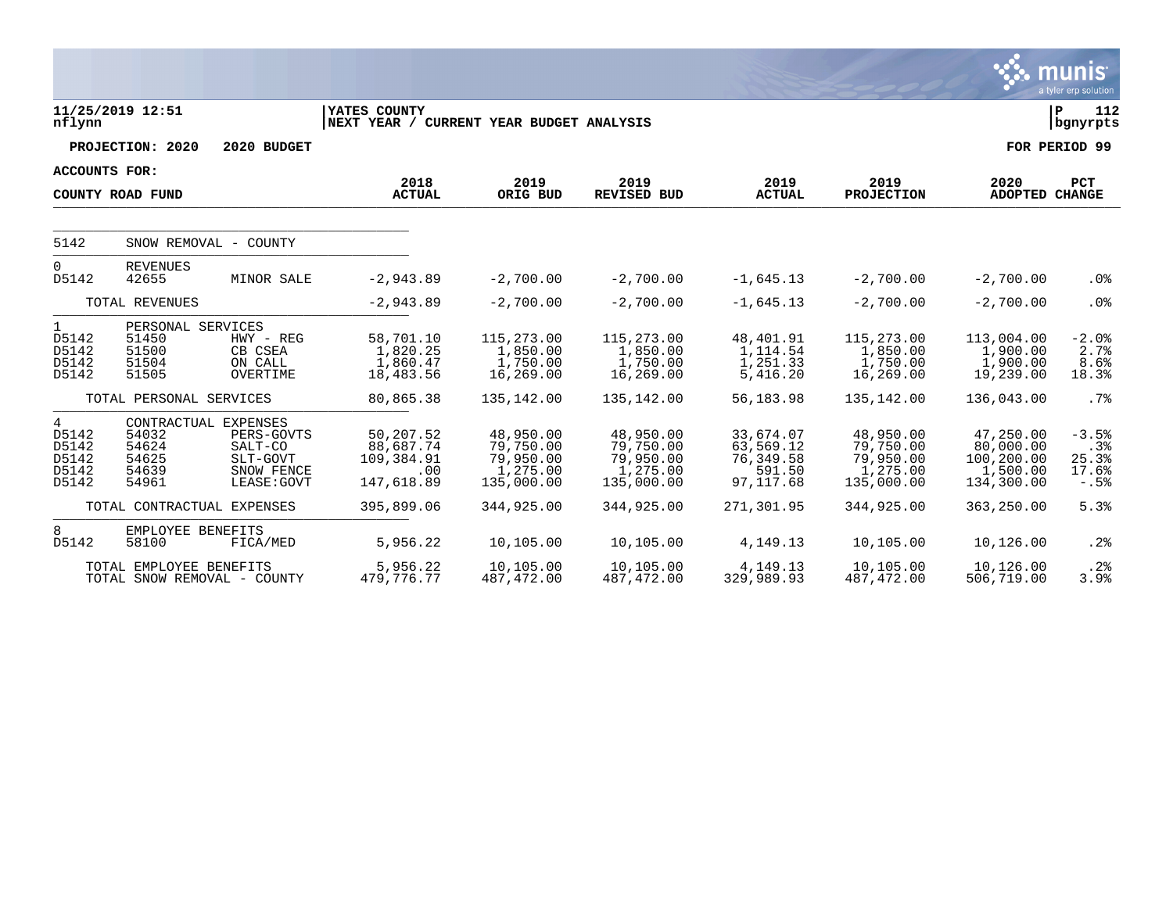|                                                  |                                                       |                                                                                        |                                                           |                                                               |                                                               |                                                            |                                                               |                                                                | <b>munis</b><br>a tyler erp solution       |
|--------------------------------------------------|-------------------------------------------------------|----------------------------------------------------------------------------------------|-----------------------------------------------------------|---------------------------------------------------------------|---------------------------------------------------------------|------------------------------------------------------------|---------------------------------------------------------------|----------------------------------------------------------------|--------------------------------------------|
| nflynn                                           | 11/25/2019 12:51                                      |                                                                                        | YATES COUNTY<br>NEXT YEAR / CURRENT YEAR BUDGET ANALYSIS  |                                                               |                                                               |                                                            |                                                               |                                                                | l P<br>112<br>  bgnyrpts                   |
|                                                  | PROJECTION: 2020                                      | 2020 BUDGET                                                                            |                                                           |                                                               |                                                               |                                                            |                                                               |                                                                | FOR PERIOD 99                              |
| <b>ACCOUNTS FOR:</b>                             |                                                       |                                                                                        |                                                           |                                                               |                                                               |                                                            |                                                               |                                                                |                                            |
|                                                  | COUNTY ROAD FUND                                      |                                                                                        | 2018<br><b>ACTUAL</b>                                     | 2019<br>ORIG BUD                                              | 2019<br><b>REVISED BUD</b>                                    | 2019<br><b>ACTUAL</b>                                      | 2019<br><b>PROJECTION</b>                                     | 2020<br>ADOPTED CHANGE                                         | <b>PCT</b>                                 |
| 5142                                             |                                                       | SNOW REMOVAL - COUNTY                                                                  |                                                           |                                                               |                                                               |                                                            |                                                               |                                                                |                                            |
| 0<br>D5142                                       | <b>REVENUES</b><br>42655                              | MINOR SALE                                                                             | $-2,943.89$                                               | $-2,700.00$                                                   | $-2,700.00$                                                   | $-1,645.13$                                                | $-2,700.00$                                                   | $-2,700.00$                                                    | .0%                                        |
|                                                  | TOTAL REVENUES                                        |                                                                                        | $-2,943.89$                                               | $-2,700.00$                                                   | $-2,700.00$                                                   | $-1,645.13$                                                | $-2,700.00$                                                   | $-2,700.00$                                                    | .0%                                        |
| $\mathbf{1}$<br>D5142<br>D5142<br>D5142<br>D5142 | PERSONAL SERVICES<br>51450<br>51500<br>51504<br>51505 | $HWY - REG$<br>CB CSEA<br>ON CALL<br>OVERTIME                                          | 58,701.10<br>1,820.25<br>1,860.47<br>18,483.56            | 115,273.00<br>1,850.00<br>1,750.00<br>16,269.00               | 115,273.00<br>1,850.00<br>1,750.00<br>16,269.00               | 48,401.91<br>1,114.54<br>1,251.33<br>5,416.20              | 115,273.00<br>1,850.00<br>1,750.00<br>16,269.00               | 113,004.00<br>1,900.00<br>1,900.00<br>19,239.00                | $-2.0$ $8$<br>2.7%<br>8.6%<br>18.3%        |
|                                                  | TOTAL PERSONAL SERVICES                               |                                                                                        | 80,865.38                                                 | 135,142.00                                                    | 135,142.00                                                    | 56,183.98                                                  | 135,142.00                                                    | 136,043.00                                                     | .7%                                        |
| 4<br>D5142<br>D5142<br>D5142<br>D5142<br>D5142   | 54032<br>54624<br>54625<br>54639<br>54961             | CONTRACTUAL EXPENSES<br>PERS-GOVTS<br>SALT-CO<br>SLT-GOVT<br>SNOW FENCE<br>LEASE: GOVT | 50,207.52<br>88,687.74<br>109,384.91<br>.00<br>147,618.89 | 48,950.00<br>79,750.00<br>79,950.00<br>1,275.00<br>135,000.00 | 48,950.00<br>79,750.00<br>79,950.00<br>1,275.00<br>135,000.00 | 33,674.07<br>63,569.12<br>76,349.58<br>591.50<br>97,117.68 | 48,950.00<br>79,750.00<br>79,950.00<br>1,275.00<br>135,000.00 | 47,250.00<br>80,000.00<br>100,200.00<br>1,500.00<br>134,300.00 | $-3.5%$<br>.3%<br>25.3%<br>17.6%<br>$-.5%$ |
|                                                  | TOTAL CONTRACTUAL EXPENSES                            |                                                                                        | 395,899.06                                                | 344,925.00                                                    | 344,925.00                                                    | 271,301.95                                                 | 344,925.00                                                    | 363,250.00                                                     | 5.3%                                       |
| 8<br>D5142                                       | EMPLOYEE BENEFITS<br>58100                            | FICA/MED                                                                               | 5,956.22                                                  | 10,105.00                                                     | 10,105.00                                                     | 4,149.13                                                   | 10,105.00                                                     | 10,126.00                                                      | .2%                                        |
|                                                  | TOTAL EMPLOYEE BENEFITS                               | TOTAL SNOW REMOVAL - COUNTY                                                            | 5,956.22<br>479,776.77                                    | 10,105.00<br>487,472.00                                       | 10,105.00<br>487, 472.00                                      | 4,149.13<br>329,989.93                                     | 10,105.00<br>487,472.00                                       | 10,126.00<br>506,719.00                                        | .2%<br>3.9%                                |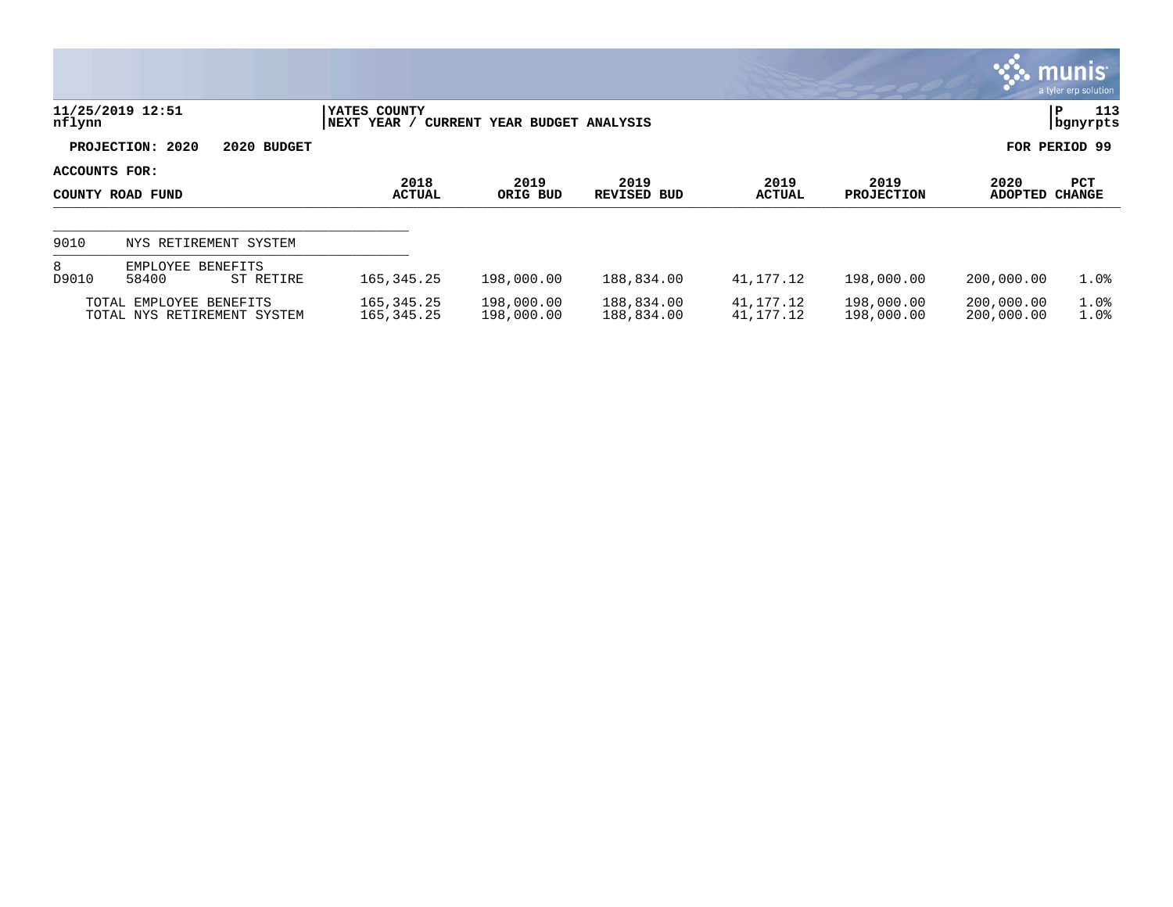|                                   |                                                        |                              |                              |                            |                        |                           |                          | <b>munis</b><br>a tyler erp solution |
|-----------------------------------|--------------------------------------------------------|------------------------------|------------------------------|----------------------------|------------------------|---------------------------|--------------------------|--------------------------------------|
| nflynn                            | 11/25/2019 12:51                                       | YATES COUNTY<br>NEXT YEAR /  | CURRENT YEAR BUDGET ANALYSIS |                            |                        |                           |                          | 113<br>P<br>  bgnyrpts               |
|                                   | PROJECTION: 2020<br>2020 BUDGET                        |                              |                              |                            |                        |                           |                          | FOR PERIOD 99                        |
| ACCOUNTS FOR:<br>COUNTY ROAD FUND |                                                        | 2018<br><b>ACTUAL</b>        | 2019<br>ORIG BUD             | 2019<br><b>REVISED BUD</b> | 2019<br><b>ACTUAL</b>  | 2019<br><b>PROJECTION</b> | 2020<br><b>ADOPTED</b>   | <b>PCT</b><br><b>CHANGE</b>          |
| 9010                              | NYS RETIREMENT SYSTEM                                  |                              |                              |                            |                        |                           |                          |                                      |
| 8<br>D9010                        | EMPLOYEE BENEFITS<br>58400<br>ST RETIRE                | 165, 345. 25                 | 198,000.00                   | 188,834.00                 | 41,177.12              | 198,000.00                | 200,000.00               | 1.0%                                 |
|                                   | TOTAL EMPLOYEE BENEFITS<br>TOTAL NYS RETIREMENT SYSTEM | 165, 345. 25<br>165, 345. 25 | 198,000.00<br>198,000.00     | 188,834.00<br>188,834.00   | 41,177.12<br>41,177.12 | 198,000.00<br>198,000.00  | 200,000.00<br>200,000.00 | 1.0%<br>1.0%                         |

 $\bullet$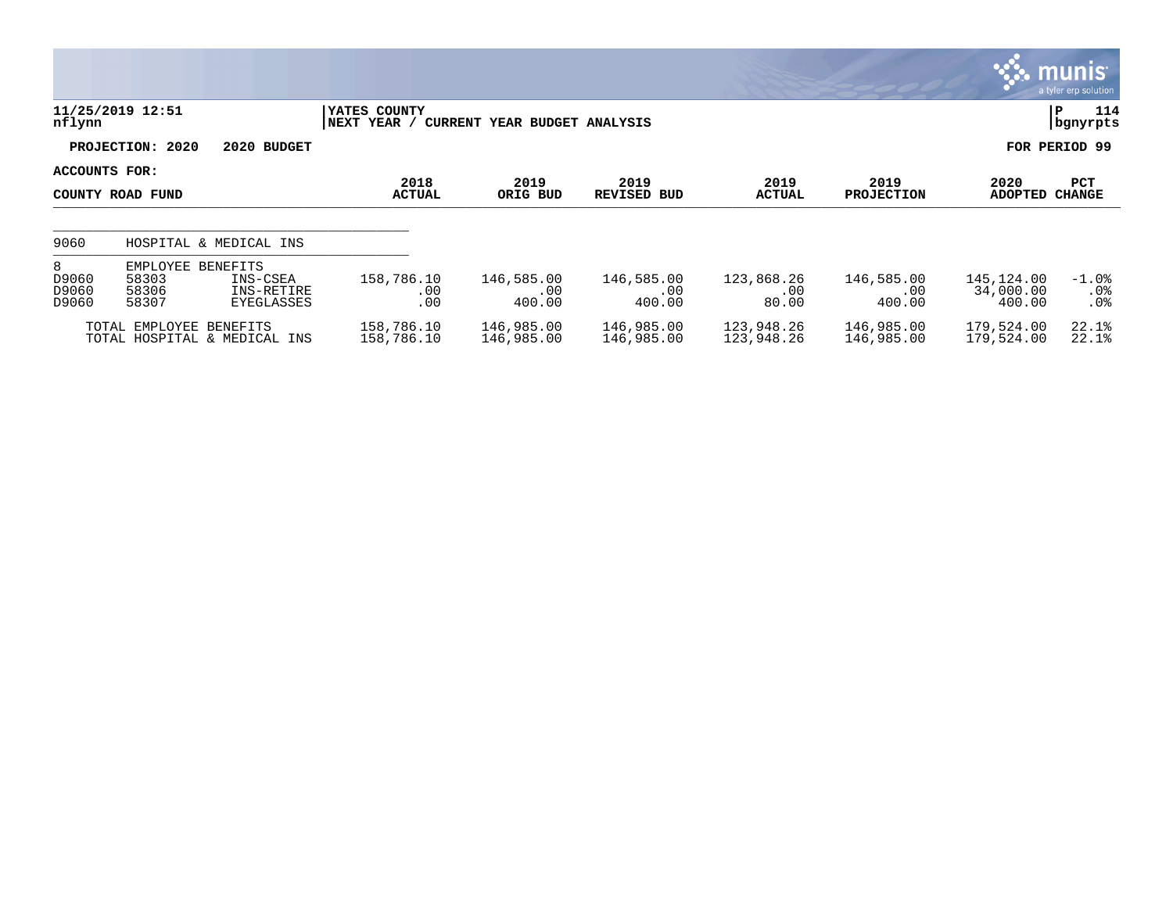|                              |                                     |                                                  |                             |                              |                             |                            |                             |                                   | <b>R. MUNIS</b><br>a tyler erp solution |
|------------------------------|-------------------------------------|--------------------------------------------------|-----------------------------|------------------------------|-----------------------------|----------------------------|-----------------------------|-----------------------------------|-----------------------------------------|
| nflynn                       | 11/25/2019 12:51                    |                                                  | YATES COUNTY<br>NEXT YEAR / | CURRENT YEAR BUDGET ANALYSIS |                             |                            |                             |                                   | 114<br>P<br>bgnyrpts                    |
|                              | PROJECTION: 2020                    | 2020 BUDGET                                      |                             |                              |                             |                            |                             |                                   | FOR PERIOD 99                           |
| ACCOUNTS FOR:                | COUNTY ROAD FUND                    |                                                  | 2018<br><b>ACTUAL</b>       | 2019<br>ORIG BUD             | 2019<br><b>REVISED BUD</b>  | 2019<br><b>ACTUAL</b>      | 2019<br><b>PROJECTION</b>   | 2020<br><b>ADOPTED</b>            | PCT<br><b>CHANGE</b>                    |
| 9060                         |                                     | HOSPITAL & MEDICAL INS                           |                             |                              |                             |                            |                             |                                   |                                         |
| 8<br>D9060<br>D9060<br>D9060 | EMPLOYEE<br>58303<br>58306<br>58307 | BENEFITS<br>INS-CSEA<br>INS-RETIRE<br>EYEGLASSES | 158,786.10<br>.00<br>.00    | 146,585.00<br>.00<br>400.00  | 146,585.00<br>.00<br>400.00 | 123,868.26<br>.00<br>80.00 | 146,585.00<br>.00<br>400.00 | 145,124.00<br>34,000.00<br>400.00 | $-1.0$ %<br>$.0\%$<br>$.0\%$            |
|                              | TOTAL EMPLOYEE BENEFITS             | TOTAL HOSPITAL & MEDICAL INS                     | 158,786.10<br>158,786.10    | 146,985.00<br>146,985.00     | 146,985.00<br>146,985.00    | 123,948.26<br>123,948.26   | 146,985.00<br>146,985.00    | 179,524.00<br>179,524.00          | 22.1%<br>22.1%                          |

and the state of the state of the state of the state of the state of the state of the state of the state of th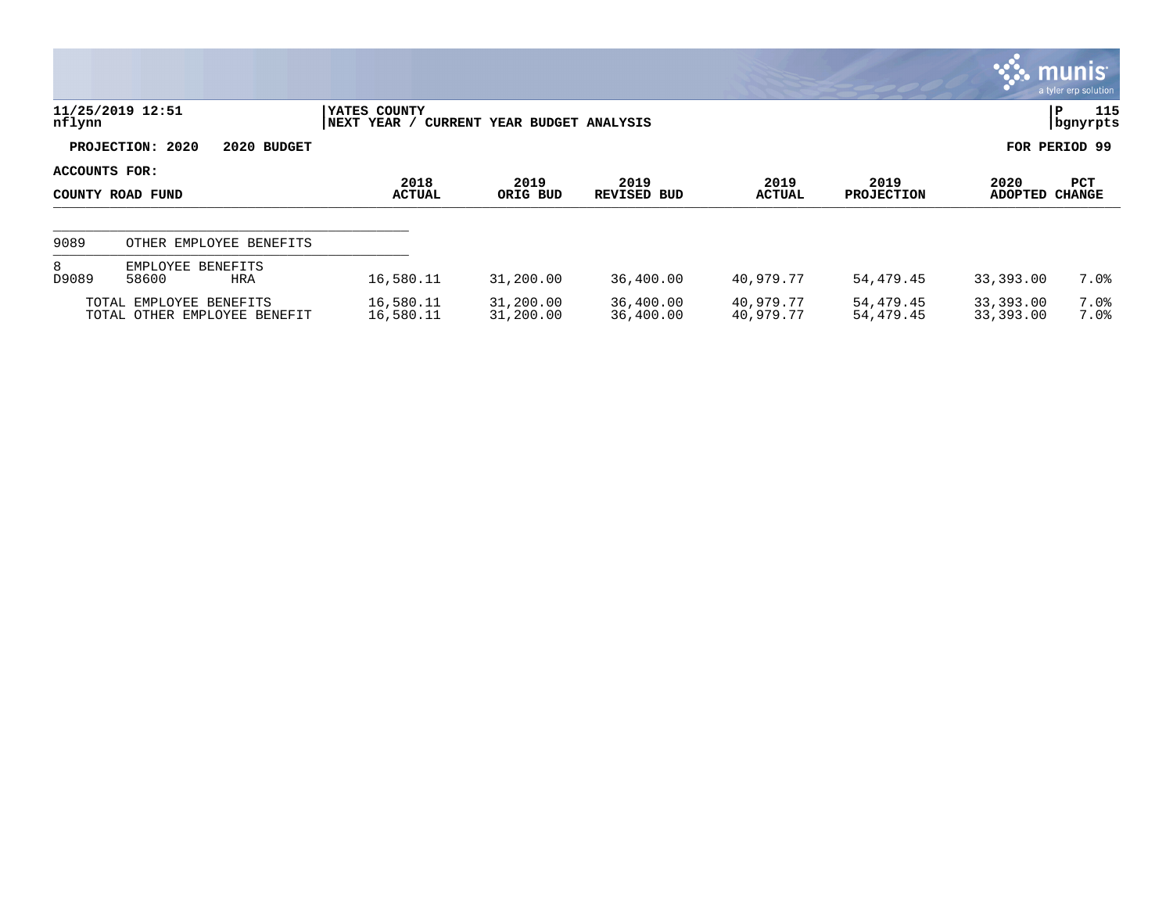|               |                                                         |                             |                                                |                        |                        |                           |                        | <b>munis</b><br>a tyler erp solution |
|---------------|---------------------------------------------------------|-----------------------------|------------------------------------------------|------------------------|------------------------|---------------------------|------------------------|--------------------------------------|
| nflynn        | 11/25/2019 12:51                                        | YATES COUNTY<br>NEXT YEAR / | CURRENT YEAR BUDGET ANALYSIS                   |                        |                        |                           |                        | 115<br>P<br>  bgnyrpts               |
|               | PROJECTION: 2020<br>2020 BUDGET                         |                             |                                                |                        |                        |                           |                        | FOR PERIOD 99                        |
| ACCOUNTS FOR: | COUNTY ROAD FUND                                        | 2018<br><b>ACTUAL</b>       | 2019<br>2019<br>ORIG BUD<br><b>REVISED BUD</b> |                        | 2019<br><b>ACTUAL</b>  | 2019<br><b>PROJECTION</b> | 2020<br><b>ADOPTED</b> | <b>PCT</b><br><b>CHANGE</b>          |
| 9089          | OTHER EMPLOYEE BENEFITS                                 |                             |                                                |                        |                        |                           |                        |                                      |
| 8<br>D9089    | EMPLOYEE BENEFITS<br>58600<br>HRA                       | 16,580.11                   | 31,200.00                                      | 36,400.00              | 40,979.77              | 54,479.45                 | 33,393.00              | 7.0%                                 |
|               | TOTAL EMPLOYEE BENEFITS<br>TOTAL OTHER EMPLOYEE BENEFIT | 16,580.11<br>16,580.11      | 31,200.00<br>31,200.00                         | 36,400.00<br>36,400.00 | 40,979.77<br>40,979.77 | 54,479.45<br>54,479.45    | 33,393.00<br>33,393.00 | $7.0\%$<br>7.0%                      |

 $\mathcal{L}$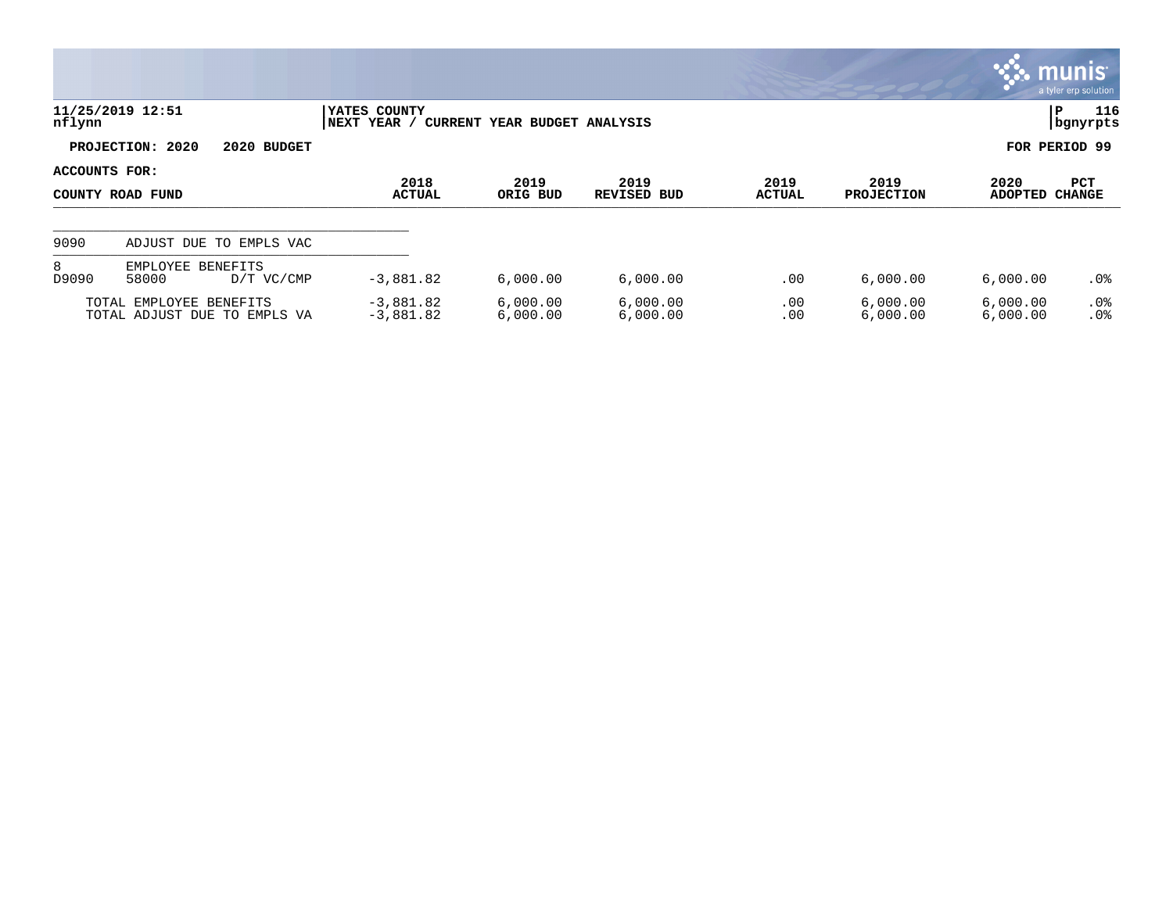|               |                                                         |                              |                              |                            |                       |                           |                        | <b>R: munis</b><br>a tyler erp solution |
|---------------|---------------------------------------------------------|------------------------------|------------------------------|----------------------------|-----------------------|---------------------------|------------------------|-----------------------------------------|
| nflynn        | 11/25/2019 12:51                                        | YATES COUNTY<br> NEXT YEAR / | CURRENT YEAR BUDGET ANALYSIS |                            |                       |                           |                        | 116<br>P<br>  bgnyrpts                  |
|               | PROJECTION: 2020<br>2020 BUDGET                         |                              |                              |                            |                       |                           |                        | FOR PERIOD 99                           |
| ACCOUNTS FOR: | COUNTY ROAD FUND                                        | 2018<br><b>ACTUAL</b>        | 2019<br>ORIG BUD             | 2019<br><b>REVISED BUD</b> | 2019<br><b>ACTUAL</b> | 2019<br><b>PROJECTION</b> | 2020<br><b>ADOPTED</b> | <b>PCT</b><br><b>CHANGE</b>             |
| 9090          | ADJUST DUE TO EMPLS VAC                                 |                              |                              |                            |                       |                           |                        |                                         |
| 8<br>D9090    | EMPLOYEE BENEFITS<br>58000<br>D/T VC/CMP                | $-3,881.82$                  | 6,000.00                     | 6,000.00                   | .00                   | 6,000.00                  | 6,000.00               | .0%                                     |
|               | TOTAL EMPLOYEE BENEFITS<br>TOTAL ADJUST DUE TO EMPLS VA | $-3,881.82$<br>$-3,881.82$   | 6,000.00<br>6,000.00         | 6,000.00<br>6,000.00       | .00<br>.00            | 6,000.00<br>6,000.00      | 6,000.00<br>6,000.00   | $.0\%$<br>.0%                           |

**COL**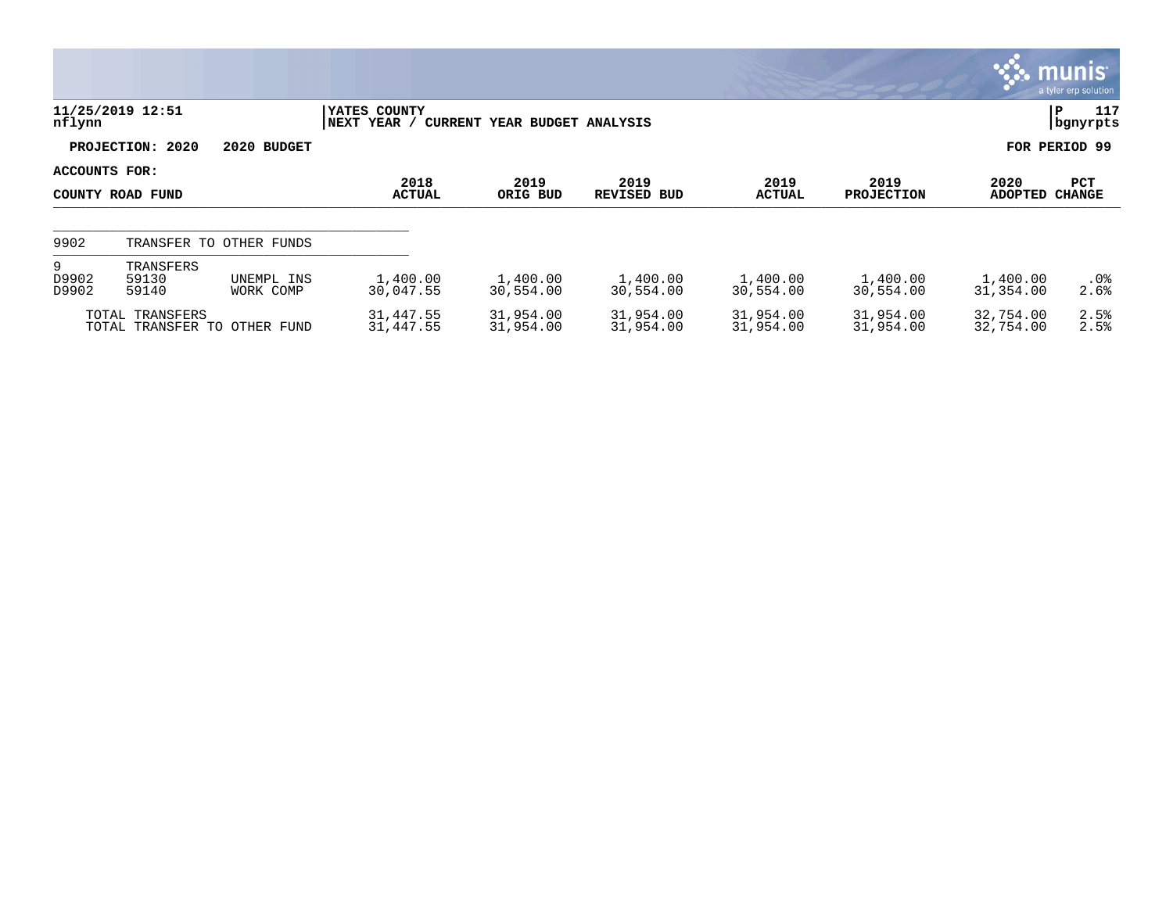|                     |                                                 |            |                             |                              |                            |                        |                           |                        | <b>munis</b><br>a tyler erp solution |
|---------------------|-------------------------------------------------|------------|-----------------------------|------------------------------|----------------------------|------------------------|---------------------------|------------------------|--------------------------------------|
| nflynn              | 11/25/2019 12:51                                |            | YATES COUNTY<br>NEXT YEAR / | CURRENT YEAR BUDGET ANALYSIS |                            |                        |                           |                        | 117<br>IΡ<br>bgnyrpts                |
|                     | PROJECTION: 2020<br>2020 BUDGET                 |            |                             |                              |                            |                        |                           |                        | FOR PERIOD 99                        |
| ACCOUNTS FOR:       | COUNTY ROAD FUND                                |            | 2018<br><b>ACTUAL</b>       | 2019<br>ORIG BUD             | 2019<br><b>REVISED BUD</b> | 2019<br><b>ACTUAL</b>  | 2019<br><b>PROJECTION</b> | 2020<br><b>ADOPTED</b> | <b>PCT</b><br><b>CHANGE</b>          |
| 9902                | TRANSFER TO OTHER FUNDS                         |            |                             |                              |                            |                        |                           |                        |                                      |
| 9<br>D9902<br>D9902 | TRANSFERS<br>59130<br>59140<br>WORK COMP        | UNEMPL INS | 1,400.00<br>30,047.55       | 1,400.00<br>30,554.00        | 1,400.00<br>30,554.00      | 1,400.00<br>30,554.00  | 1,400.00<br>30,554.00     | 1,400.00<br>31,354.00  | $.0\%$<br>2.6%                       |
|                     | TOTAL TRANSFERS<br>TOTAL TRANSFER TO OTHER FUND |            | 31,447.55<br>31,447.55      | 31,954.00<br>31,954.00       | 31,954.00<br>31,954.00     | 31,954.00<br>31,954.00 | 31,954.00<br>31,954.00    | 32,754.00<br>32,754.00 | 2.5%<br>2.5%                         |

**D**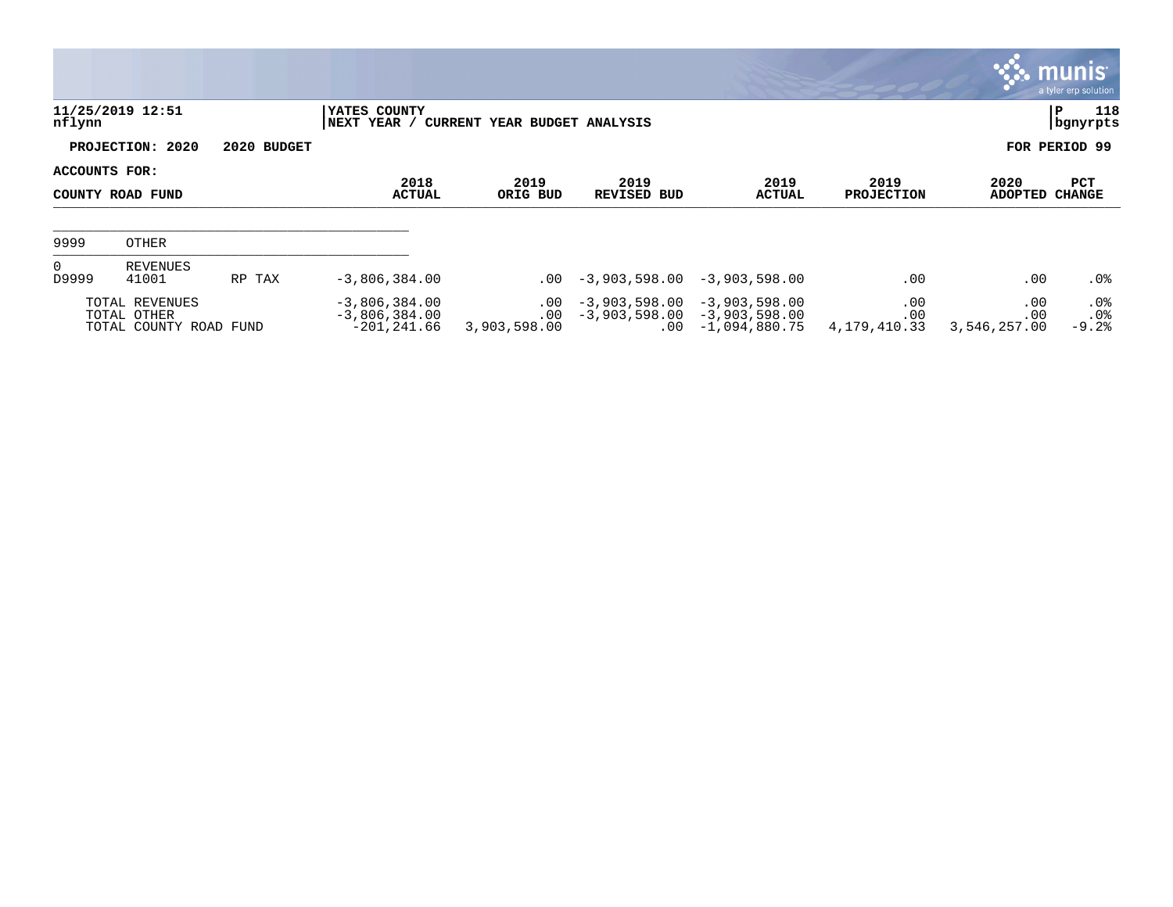|                                   |                                                         |                       |                                                      |                                      |                 |                                                                          |                            |                            | <b>munis</b><br>a tyler erp solution |
|-----------------------------------|---------------------------------------------------------|-----------------------|------------------------------------------------------|--------------------------------------|-----------------|--------------------------------------------------------------------------|----------------------------|----------------------------|--------------------------------------|
| nflynn                            | 11/25/2019 12:51                                        |                       | YATES COUNTY<br>NEXT YEAR /                          | CURRENT YEAR BUDGET ANALYSIS         |                 |                                                                          |                            |                            | 118<br>∣P<br>  bgnyrpts              |
|                                   | PROJECTION: 2020                                        | 2020 BUDGET           |                                                      |                                      |                 |                                                                          |                            |                            | FOR PERIOD 99                        |
| ACCOUNTS FOR:<br>COUNTY ROAD FUND |                                                         | 2018<br><b>ACTUAL</b> | 2019<br>ORIG BUD                                     | 2019<br>REVISED BUD                  | 2019<br>ACTUAL  | 2019<br><b>PROJECTION</b>                                                | 2020<br>ADOPTED            | <b>PCT</b><br>CHANGE       |                                      |
| 9999                              | OTHER                                                   |                       |                                                      |                                      |                 |                                                                          |                            |                            |                                      |
| $\overline{0}$<br>D9999           | REVENUES<br>41001                                       | RP TAX                | $-3,806,384.00$                                      | .00                                  | $-3,903,598.00$ | $-3,903,598.00$                                                          | .00                        | .00                        | $.0\%$                               |
|                                   | TOTAL REVENUES<br>TOTAL OTHER<br>TOTAL COUNTY ROAD FUND |                       | $-3,806,384.00$<br>$-3,806,384.00$<br>$-201, 241.66$ | $.00 \,$<br>$.00 \,$<br>3,903,598.00 | $-3,903,598.00$ | $-3,903,598.00$<br>$-3,903,598.00 -3,903,598.00$<br>$.00 - 1,094,880.75$ | .00<br>.00<br>4,179,410.33 | .00<br>.00<br>3,546,257.00 | .0%<br>.0%<br>$-9.2%$                |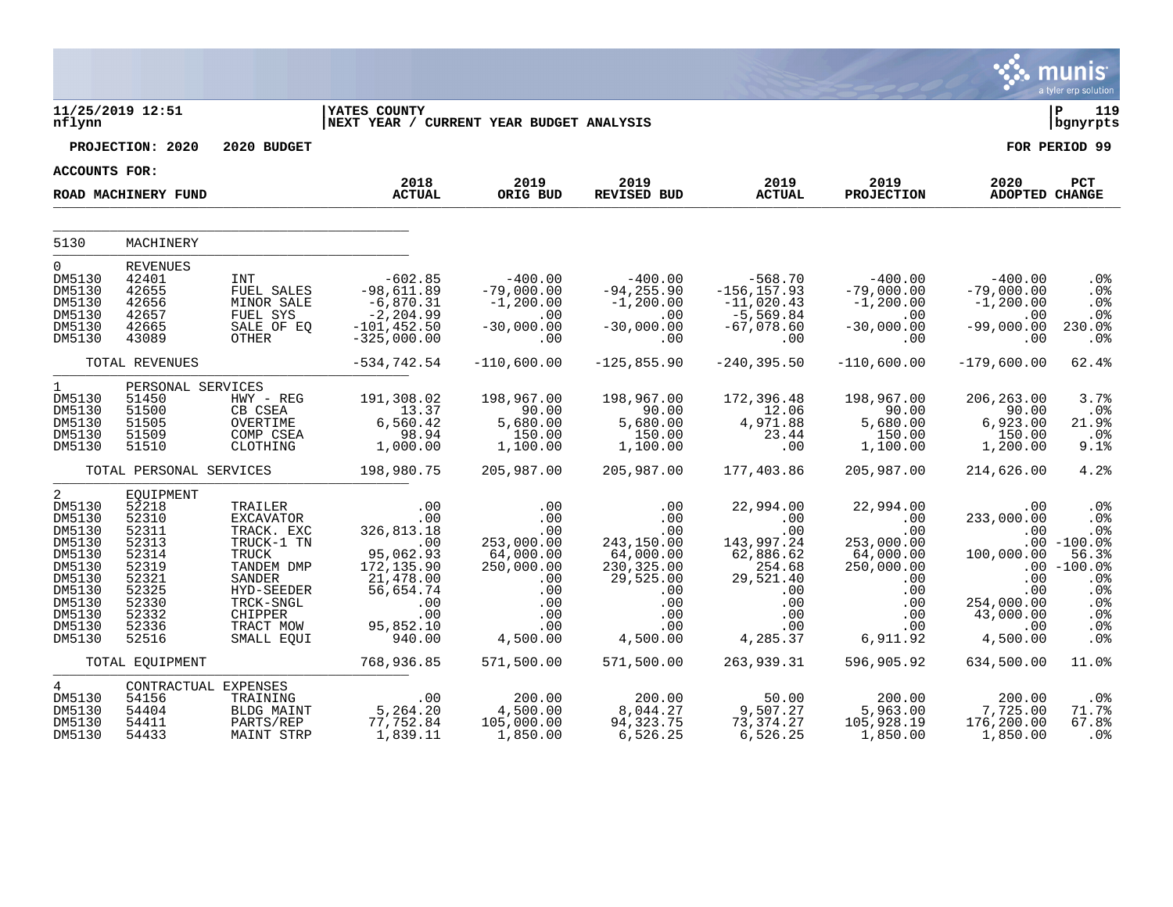|                                                                                   |                                                                                   |                                                                                                        |                                                                                                          |                                                                               |                                                                                  |                                                                                   |                                                                                                                                      |                                                                         | munis<br>a tyler erp solution                                               |
|-----------------------------------------------------------------------------------|-----------------------------------------------------------------------------------|--------------------------------------------------------------------------------------------------------|----------------------------------------------------------------------------------------------------------|-------------------------------------------------------------------------------|----------------------------------------------------------------------------------|-----------------------------------------------------------------------------------|--------------------------------------------------------------------------------------------------------------------------------------|-------------------------------------------------------------------------|-----------------------------------------------------------------------------|
| nflynn                                                                            | 11/25/2019 12:51                                                                  |                                                                                                        | <b>IYATES COUNTY</b><br>NEXT YEAR / CURRENT YEAR BUDGET ANALYSIS                                         |                                                                               |                                                                                  |                                                                                   |                                                                                                                                      |                                                                         | l P<br>119<br>  bgnyrpts                                                    |
|                                                                                   | PROJECTION: 2020                                                                  | 2020 BUDGET                                                                                            |                                                                                                          |                                                                               |                                                                                  |                                                                                   |                                                                                                                                      |                                                                         | FOR PERIOD 99                                                               |
| <b>ACCOUNTS FOR:</b>                                                              |                                                                                   |                                                                                                        |                                                                                                          |                                                                               |                                                                                  |                                                                                   |                                                                                                                                      |                                                                         |                                                                             |
|                                                                                   | ROAD MACHINERY FUND                                                               |                                                                                                        | 2018<br><b>ACTUAL</b>                                                                                    | 2019<br>ORIG BUD                                                              | 2019<br><b>REVISED BUD</b>                                                       | 2019<br><b>ACTUAL</b>                                                             | 2019<br><b>PROJECTION</b>                                                                                                            | 2020<br>ADOPTED CHANGE                                                  | PCT                                                                         |
| 5130                                                                              | MACHINERY                                                                         |                                                                                                        |                                                                                                          |                                                                               |                                                                                  |                                                                                   |                                                                                                                                      |                                                                         |                                                                             |
| $\mathbf 0$<br>DM5130<br>DM5130<br>DM5130<br>DM5130<br>DM5130<br>DM5130           | <b>REVENUES</b><br>42401<br>42655<br>42656<br>42657<br>42665<br>43089             | INT<br>FUEL SALES<br>MINOR SALE<br>FUEL SYS<br>SALE OF EQ<br>OTHER                                     | $-602.85$<br>$-98,611.89$<br>$-6,870.31$<br>$-2, 204.99$<br>$-101, 452.50$<br>$-325,000.00$              | $-400.00$<br>$-79,000.00$<br>$-1, 200.00$<br>$\sim 00$<br>$-30,000.00$<br>.00 | $-400.00$<br>$-94, 255.90$<br>$-1, 200.00$<br>$.00$<br>-30,000.00<br>.00         | $-568.70$<br>$-156, 157.93$<br>$-11,020.43$<br>$-5,569.84$<br>$-67,078.60$<br>.00 | $-400.00$<br>$-79,000.00$<br>$-1, 200.00$<br>$\sim$ 00<br>$-30,000.00$<br>.00                                                        | $-400.00$<br>$-79,000.00$<br>$-1, 200.00$<br>.00<br>$-99,000.00$<br>.00 | .0%<br>.0%<br>.0%<br>.0%<br>230.0%<br>.0%                                   |
|                                                                                   | TOTAL REVENUES                                                                    |                                                                                                        | $-534,742.54$                                                                                            | $-110,600.00$                                                                 | $-125.855.90$                                                                    | $-240.395.50$                                                                     | $-110,600.00$                                                                                                                        | $-179.600.00$                                                           | 62.4%                                                                       |
| $\mathbf{1}$<br>DM5130<br>DM5130<br>DM5130<br>DM5130<br>DM5130                    | PERSONAL SERVICES<br>51450<br>51500<br>51505<br>51509<br>51510                    | HWY - REG<br>CB CSEA<br>OVERTIME<br>COMP CSEA<br>CLOTHING                                              | 191,308.02<br>13.37<br>6,560.42<br>98.94<br>1,000.00                                                     | 198,967.00<br>90.00<br>5,680.00<br>150.00<br>1,100.00                         | 198,967.00<br>90.00<br>5,680.00<br>150.00<br>1,100.00                            | 172,396.48<br>12.06<br>4,971.88<br>23.44<br>.00                                   | 198,967.00<br>90.00<br>5,680.00<br>150.00<br>1,100.00                                                                                | 206,263.00<br>90.00<br>6,923.00<br>150.00<br>1,200.00                   | 3.7%<br>.0%<br>21.9%<br>.0%<br>9.1%                                         |
|                                                                                   | TOTAL PERSONAL SERVICES                                                           |                                                                                                        | 198,980.75                                                                                               | 205,987.00                                                                    | 205,987.00                                                                       | 177,403.86                                                                        | 205,987.00                                                                                                                           | 214,626.00                                                              | 4.2%                                                                        |
| 2<br>DM5130<br>DM5130<br>DM5130<br>DM5130<br>DM5130<br>DM5130<br>DM5130<br>DM5130 | EQUIPMENT<br>52218<br>52310<br>52311<br>52313<br>52314<br>52319<br>52321<br>52325 | TRAILER<br><b>EXCAVATOR</b><br>TRACK. EXC<br>TRUCK-1 TN<br>TRUCK<br>TANDEM DMP<br>SANDER<br>HYD-SEEDER | .00<br>$\frac{0}{00}$ .<br>326,813.18<br>$\sim$ 00<br>95,062.93<br>172, 135.90<br>21,478.00<br>56,654.74 | .00<br>.00<br>.00<br>253,000.00<br>64,000.00<br>250,000.00<br>.00<br>.00      | .00<br>.00<br>.00<br>243,150.00<br>$64,000.00$<br>230,325.00<br>29,525.00<br>.00 | 22,994.00<br>.00<br>.00<br>143,997.24<br>62,886.62<br>254.68<br>29,521.40<br>.00  | 22,994.00<br>$\begin{array}{c} .00 \\ \text{nn} \end{array}$<br>$.00 \,$<br>253,000.00<br>64,000.00<br>250,000.00<br>$.00 \,$<br>.00 | $.00 \,$<br>233,000.00<br>.00<br>100,000.00<br>.00<br>.00               | .0%<br>.0%<br>.0%<br>$.00 - 100.0$<br>56.3%<br>$.00 - 100.0%$<br>.0%<br>.0% |
| DM5130<br>DM5130<br>DM5130<br>DM5130                                              | 52330<br>52332<br>52336<br>52516                                                  | TRCK-SNGL<br>CHIPPER<br>TRACT MOW<br>SMALL EQUI                                                        | .00<br>.00<br>95,852.10<br>940.00                                                                        | .00<br>.00<br>.00<br>4,500.00                                                 | .00<br>.00<br>.00<br>4,500.00                                                    | .00<br>.00<br>.00<br>4,285.37                                                     | .00<br>.00<br>.00<br>6,911.92                                                                                                        | 254,000.00<br>43,000.00<br>.00<br>4,500.00                              | .0%<br>.0%<br>.0%<br>.0%                                                    |
|                                                                                   | TOTAL EQUIPMENT                                                                   |                                                                                                        | 768,936.85                                                                                               | 571,500.00                                                                    | 571,500.00                                                                       | 263,939.31                                                                        | 596,905.92                                                                                                                           | 634,500.00                                                              | 11.0%                                                                       |
| $4\overline{ }$<br>DM5130<br>DM5130<br>DM5130<br>DM5130                           | CONTRACTUAL EXPENSES<br>54156<br>54404<br>54411<br>54433                          | TRAINING<br>BLDG MAINT<br>PARTS/REP<br>MAINT STRP                                                      | .00<br>5,264.20<br>77,752.84<br>1,839.11                                                                 | 200.00<br>4,500.00<br>105,000.00<br>1,850.00                                  | 200.00<br>8,044.27<br>94, 323. 75<br>6,526.25                                    | 50.00<br>9,507.27<br>73,374.27<br>6,526.25                                        | 200.00<br>5,963.00<br>105,928.19<br>1,850.00                                                                                         | 200.00<br>7,725.00<br>176,200.00<br>1,850.00                            | $.0\%$<br>71.7%<br>67.8%<br>.0%                                             |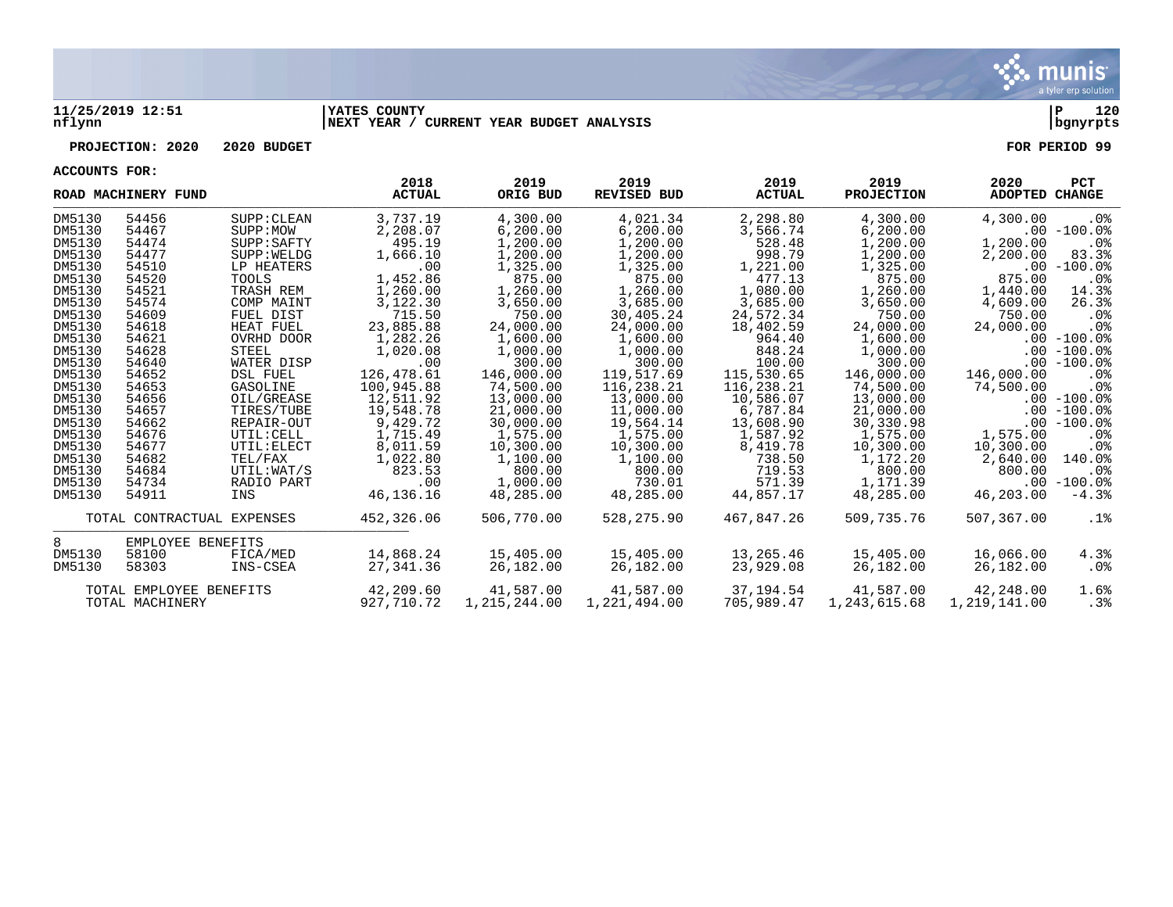

## **11/25/2019 12:51 |YATES COUNTY |P 120 nflynn |NEXT YEAR / CURRENT YEAR BUDGET ANALYSIS |bgnyrpts**

## **PROJECTION: 2020 2020 BUDGET FOR PERIOD 99**

**ACCOUNTS FOR:**

|        | ROAD MACHINERY FUND        |             | 2018<br><b>ACTUAL</b> | 2019<br>ORIG BUD | 2019<br><b>REVISED BUD</b> | 2019<br><b>ACTUAL</b> | 2019<br><b>PROJECTION</b> | 2020<br>ADOPTED CHANGE | <b>PCT</b>    |
|--------|----------------------------|-------------|-----------------------|------------------|----------------------------|-----------------------|---------------------------|------------------------|---------------|
| DM5130 | 54456                      | SUPP: CLEAN | 3,737.19              | 4,300.00         | 4,021.34                   | 2,298.80              | 4,300.00                  | 4,300.00               | $.0\%$        |
| DM5130 | 54467                      | SUPP:MOW    | 2,208.07              | 6,200.00         | 6, 200.00                  | 3,566.74              | 6, 200.00                 |                        | $.00 - 100.0$ |
| DM5130 | 54474                      | SUPP: SAPTY | 495.19                | 1,200.00         | 1,200.00                   | 528.48                | 1,200.00                  | 1,200.00               | $.0\%$        |
| DM5130 | 54477                      | SUPP: WELDG | 1,666.10              | 1,200.00         | 1,200.00                   | 998.79                | 1,200.00                  | 2,200.00               | 83.3%         |
| DM5130 | 54510                      | LP HEATERS  | .00                   | 1,325.00         | 1,325.00                   | 1,221.00              | 1,325.00                  |                        | $.00 - 100.0$ |
| DM5130 | 54520                      | TOOLS       | 1,452.86              | 875.00           | 875.00                     | 477.13                | 875.00                    | 875.00                 | $.0\%$        |
| DM5130 | 54521                      | TRASH REM   | 1,260.00              | 1,260.00         | 1,260.00                   | 1,080.00              | 1,260.00                  | 1,440.00               | 14.3%         |
| DM5130 | 54574                      | COMP MAINT  | 3,122.30              | 3,650.00         | 3,685.00                   | 3,685.00              | 3,650.00                  | 4,609.00               | 26.3%         |
| DM5130 | 54609                      | FUEL DIST   | 715.50                | 750.00           | 30,405.24                  | 24,572.34             | 750.00                    | 750.00                 | .0%           |
| DM5130 | 54618                      | HEAT FUEL   | 23,885.88             | 24,000.00        | 24,000.00                  | 18,402.59             | 24,000.00                 | 24,000.00              | .0%           |
| DM5130 | 54621                      | OVRHD DOOR  | 1,282.26              | 1,600.00         | 1,600.00                   | 964.40                | 1,600.00                  |                        | $.00 - 100.0$ |
| DM5130 | 54628                      | STEEL       | 1,020.08              | 1,000.00         | 1,000.00                   | 848.24                | 1,000.00                  |                        | $.00 - 100.0$ |
| DM5130 | 54640                      | WATER DISP  | .00                   | 300.00           | 300.00                     | 100.00                | 300.00                    |                        | $.00 - 100.0$ |
| DM5130 | 54652                      | DSL FUEL    | 126,478.61            | 146,000.00       | 119,517.69                 | 115,530.65            | 146,000.00                | 146,000.00             | $.0\%$        |
| DM5130 | 54653                      | GASOLINE    | 100,945.88            | 74,500.00        | 116,238.21                 | 116,238.21            | 74,500.00                 | 74,500.00              | $.0\%$        |
| DM5130 | 54656                      | OIL/GREASE  | 12,511.92             | 13,000.00        | 13,000.00                  | 10,586.07             | 13,000.00                 |                        | $.00 - 100.0$ |
| DM5130 | 54657                      | TIRES/TUBE  | 19,548.78             | 21,000.00        | 11,000.00                  | 6,787.84              | 21,000.00                 |                        | $.00 - 100.0$ |
| DM5130 | 54662                      | REPAIR-OUT  | 9,429.72              | 30,000.00        | 19,564.14                  | 13,608.90             | 30,330.98                 |                        | $.00 - 100.0$ |
| DM5130 | 54676                      | UTIL: CELL  | 1,715.49              | 1,575.00         | 1,575.00                   | 1,587.92              | 1,575.00                  | 1,575.00               | .0%           |
| DM5130 | 54677                      | UTIL: ELECT | 8,011.59              | 10,300.00        | 10,300.00                  | 8,419.78              | 10,300.00                 | 10,300.00              | $.0\%$        |
| DM5130 | 54682                      | TEL/FAX     | 1,022.80              | 1,100.00         | 1,100.00                   | 738.50                | 1,172.20                  | 2,640.00               | 140.0%        |
| DM5130 | 54684                      | UTIL:WAT/S  | 823.53                | 800.00           | 800.00                     | 719.53                | 800.00                    | 800.00                 | . 0%          |
| DM5130 | 54734                      | RADIO PART  | .00                   | 1,000.00         | 730.01                     | 571.39                | 1,171.39                  |                        | $.00 - 100.0$ |
| DM5130 | 54911                      | INS         | 46,136.16             | 48,285.00        | 48,285.00                  | 44,857.17             | 48,285.00                 | 46,203.00              | $-4.3%$       |
|        | TOTAL CONTRACTUAL EXPENSES |             | 452,326.06            | 506,770.00       | 528,275.90                 | 467,847.26            | 509,735.76                | 507,367.00             | .1%           |
| 8      | EMPLOYEE BENEFITS          |             |                       |                  |                            |                       |                           |                        |               |
| DM5130 | 58100                      | FICA/MED    | 14,868.24             | 15,405.00        | 15,405.00                  | 13,265.46             | 15,405.00                 | 16,066.00              | 4.3%          |
| DM5130 | 58303                      | INS-CSEA    | 27,341.36             | 26,182.00        | 26,182.00                  | 23,929.08             | 26,182.00                 | 26,182.00              | $.0\%$        |
|        | TOTAL EMPLOYEE BENEFITS    |             | 42,209.60             | 41,587.00        | 41,587.00                  | 37,194.54             | 41,587.00                 | 42,248.00              | 1.6%          |
|        | TOTAL MACHINERY            |             | 927,710.72            | 1,215,244.00     | 1,221,494.00               | 705,989.47            | 1,243,615.68              | 1,219,141.00           | .3%           |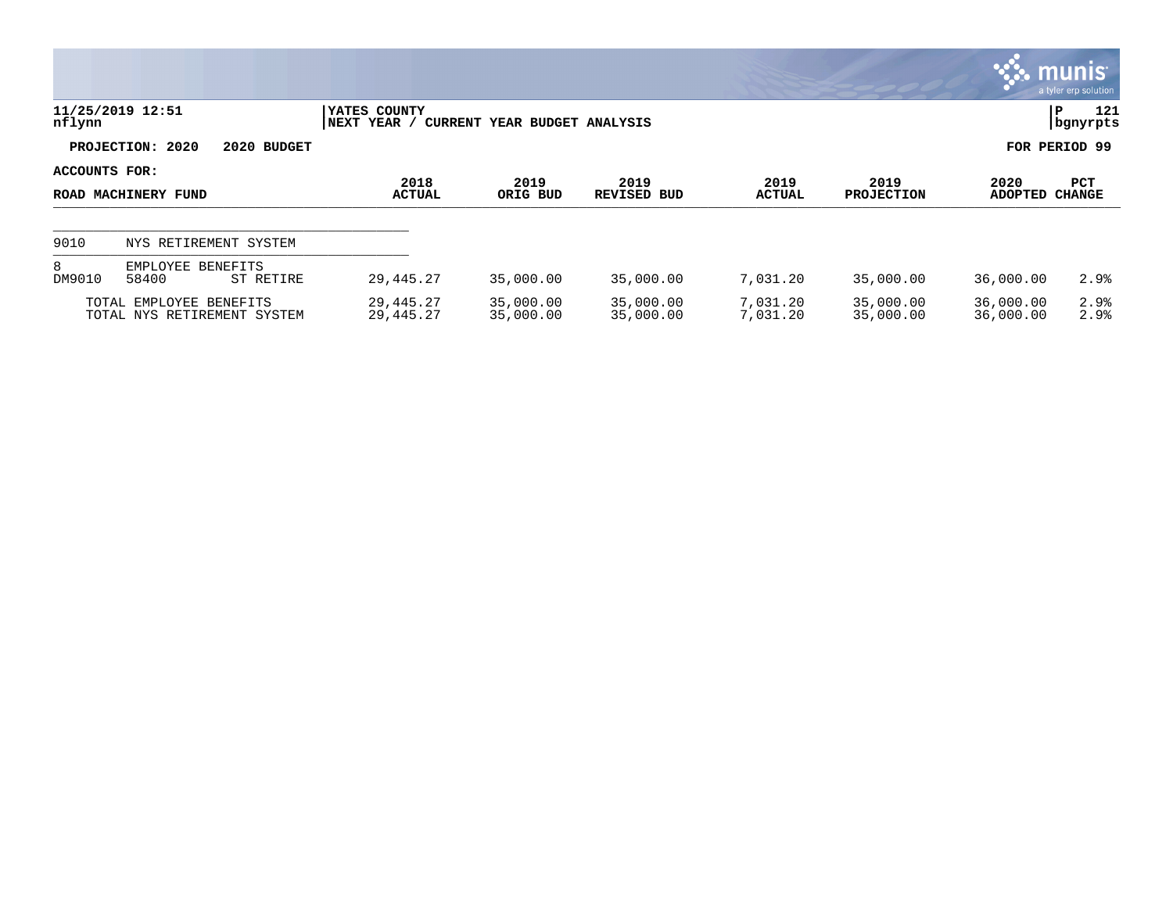|               |                                                        |                             |                              |                        |                      |                        |                        | <b>S. munist</b><br>a tyler erp solution |  |
|---------------|--------------------------------------------------------|-----------------------------|------------------------------|------------------------|----------------------|------------------------|------------------------|------------------------------------------|--|
| nflynn        | 11/25/2019 12:51                                       | YATES COUNTY<br>NEXT YEAR / | CURRENT YEAR BUDGET ANALYSIS |                        |                      |                        |                        |                                          |  |
|               | PROJECTION: 2020<br>2020 BUDGET                        |                             |                              |                        |                      |                        |                        | FOR PERIOD 99                            |  |
| ACCOUNTS FOR: |                                                        | 2018                        | 2019                         | 2019                   | 2019                 | 2019                   | 2020                   | <b>PCT</b>                               |  |
|               | ROAD MACHINERY FUND                                    | <b>ACTUAL</b>               | ORIG BUD                     | REVISED BUD            | <b>ACTUAL</b>        | <b>PROJECTION</b>      | <b>ADOPTED</b>         | <b>CHANGE</b>                            |  |
| 9010          | NYS RETIREMENT SYSTEM                                  |                             |                              |                        |                      |                        |                        |                                          |  |
| 8<br>DM9010   | EMPLOYEE<br>BENEFITS<br>58400<br>ST RETIRE             | 29,445.27                   | 35,000.00                    | 35,000.00              | 7,031.20             | 35,000.00              | 36,000.00              | 2.9%                                     |  |
|               | TOTAL EMPLOYEE BENEFITS<br>TOTAL NYS RETIREMENT SYSTEM | 29,445.27<br>29, 445. 27    | 35,000.00<br>35,000.00       | 35,000.00<br>35,000.00 | 7,031.20<br>7,031.20 | 35,000.00<br>35,000.00 | 36,000.00<br>36,000.00 | 2.9%<br>2.9%                             |  |

 $\mathcal{L}$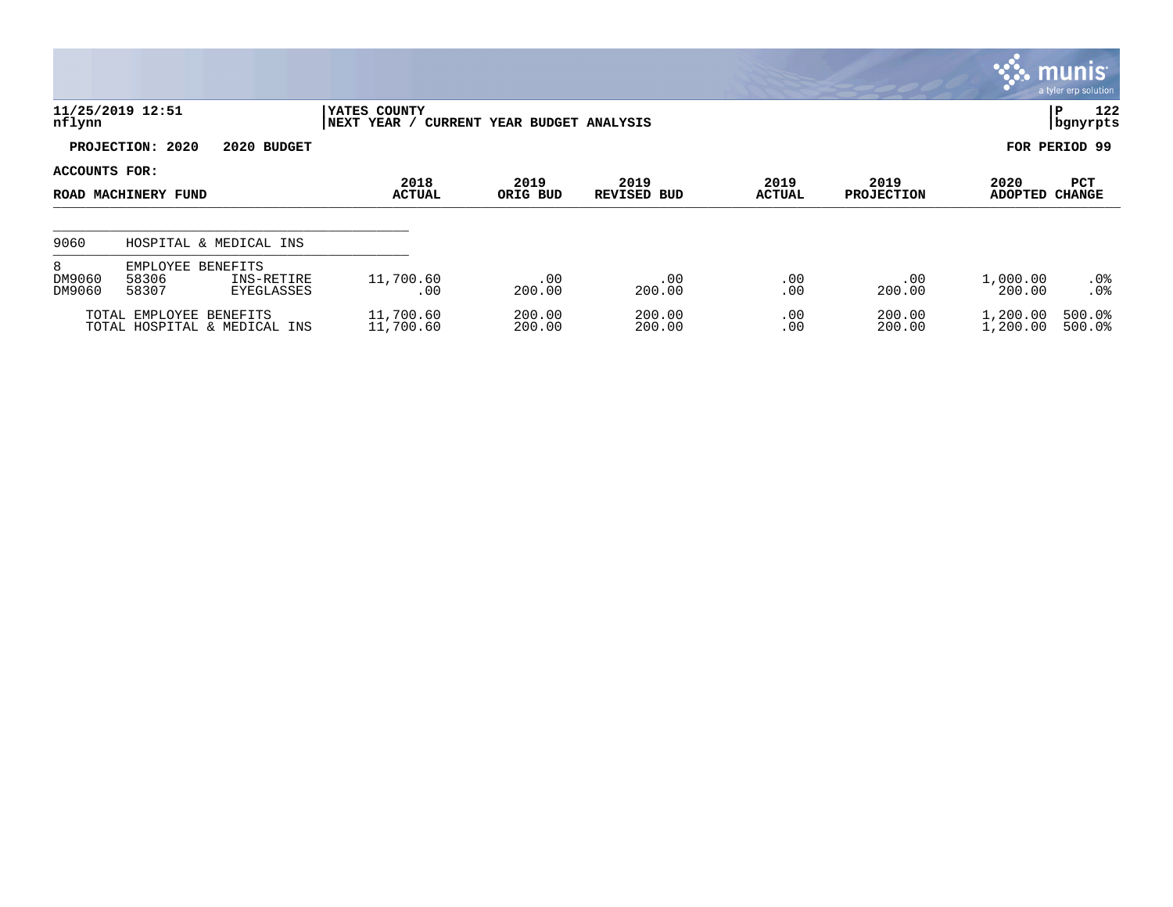|                       |                                                                                 |                        |                  |                            |                       |                           |                      | $\mathbf{\ddot{3}}$ munis<br>a tyler erp solution |
|-----------------------|---------------------------------------------------------------------------------|------------------------|------------------|----------------------------|-----------------------|---------------------------|----------------------|---------------------------------------------------|
| nflynn                | 11/25/2019 12:51<br>YATES COUNTY<br>NEXT YEAR /<br>CURRENT YEAR BUDGET ANALYSIS |                        |                  |                            |                       |                           |                      | 122<br>P<br>bgnyrpts                              |
|                       | PROJECTION: 2020<br>2020 BUDGET                                                 |                        |                  |                            |                       |                           |                      | FOR PERIOD 99                                     |
| ACCOUNTS FOR:         | ROAD MACHINERY FUND                                                             | 2018<br><b>ACTUAL</b>  | 2019<br>ORIG BUD | 2019<br><b>REVISED BUD</b> | 2019<br><b>ACTUAL</b> | 2019<br><b>PROJECTION</b> | 2020<br>ADOPTED      | PCT<br><b>CHANGE</b>                              |
| 9060                  | HOSPITAL & MEDICAL INS                                                          |                        |                  |                            |                       |                           |                      |                                                   |
| 8<br>DM9060<br>DM9060 | <b>BENEFITS</b><br>EMPLOYEE<br>58306<br>INS-RETIRE<br>58307<br>EYEGLASSES       | 11,700.60<br>.00       | .00<br>200.00    | .00<br>200.00              | .00<br>.00            | .00<br>200.00             | 1,000.00<br>200.00   | $.0\%$<br>.0 <sup>8</sup>                         |
|                       | TOTAL EMPLOYEE BENEFITS<br>TOTAL HOSPITAL & MEDICAL INS                         | 11,700.60<br>11,700.60 | 200.00<br>200.00 | 200.00<br>200.00           | .00<br>.00            | 200.00<br>200.00          | 1,200.00<br>1,200.00 | 500.0%<br>500.0%                                  |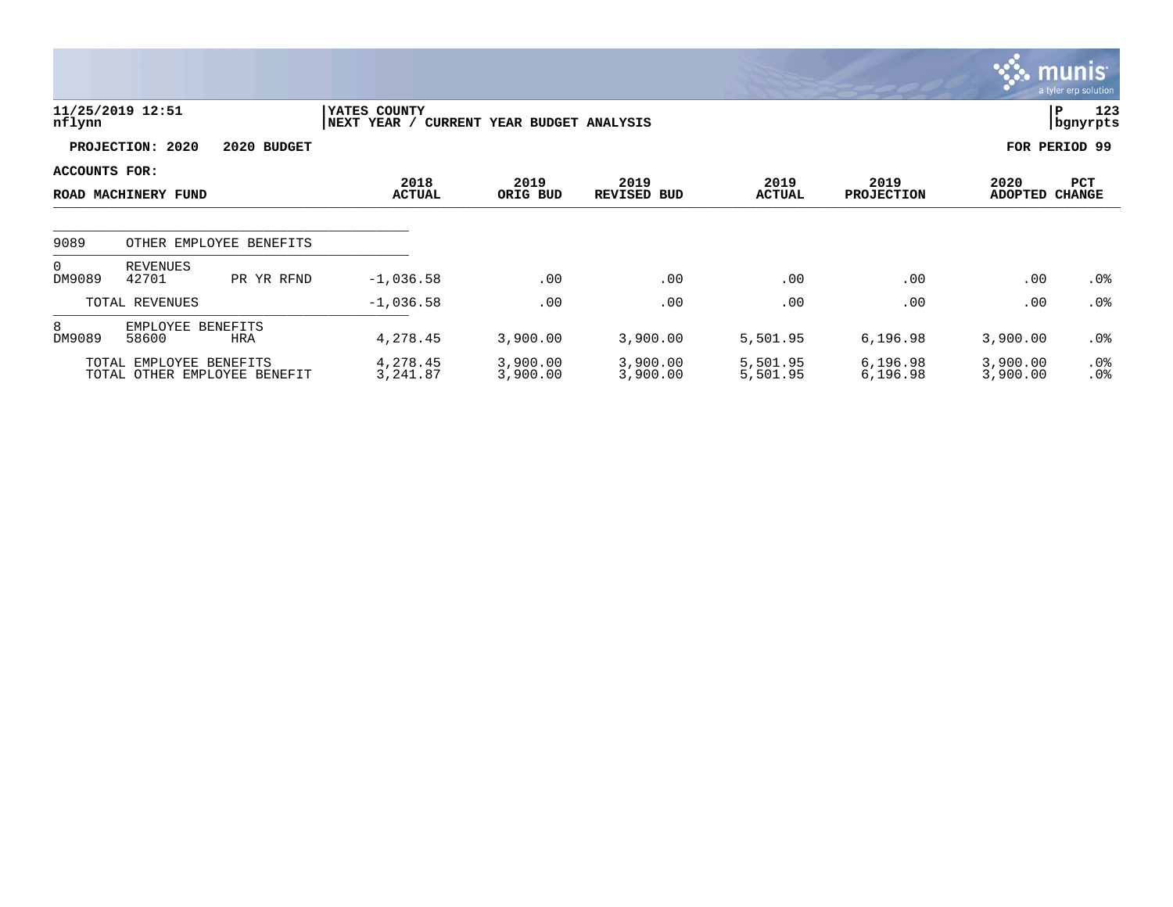|                                 |                            |                              |                             |                              |                            |                       |                           |                        | <b>munis</b><br>a tyler erp solution |
|---------------------------------|----------------------------|------------------------------|-----------------------------|------------------------------|----------------------------|-----------------------|---------------------------|------------------------|--------------------------------------|
| nflynn                          | 11/25/2019 12:51           |                              | YATES COUNTY<br>NEXT YEAR / | CURRENT YEAR BUDGET ANALYSIS |                            |                       |                           |                        | 123<br>P<br>  bgnyrpts               |
| PROJECTION: 2020<br>2020 BUDGET |                            |                              |                             |                              |                            |                       |                           | FOR PERIOD 99          |                                      |
| ACCOUNTS FOR:                   | ROAD MACHINERY FUND        |                              | 2018<br><b>ACTUAL</b>       | 2019<br>ORIG BUD             | 2019<br><b>REVISED BUD</b> | 2019<br><b>ACTUAL</b> | 2019<br><b>PROJECTION</b> | 2020<br><b>ADOPTED</b> | PCT<br><b>CHANGE</b>                 |
| 9089                            |                            | OTHER EMPLOYEE BENEFITS      |                             |                              |                            |                       |                           |                        |                                      |
| $\Omega$<br>DM9089              | REVENUES<br>42701          | PR YR RFND                   | $-1,036.58$                 | .00                          | .00                        | .00                   | .00                       | .00                    | .0%                                  |
|                                 | TOTAL REVENUES             |                              | $-1,036.58$                 | .00                          | .00                        | .00                   | .00                       | .00                    | .0%                                  |
| 8<br>DM9089                     | EMPLOYEE BENEFITS<br>58600 | <b>HRA</b>                   | 4,278.45                    | 3,900.00                     | 3,900.00                   | 5,501.95              | 6,196.98                  | 3,900.00               | .0%                                  |
|                                 | TOTAL EMPLOYEE BENEFITS    | TOTAL OTHER EMPLOYEE BENEFIT | 4,278.45<br>3,241.87        | 3,900.00<br>3,900.00         | 3,900.00<br>3,900.00       | 5,501.95<br>5,501.95  | 6,196.98<br>6,196.98      | 3,900.00<br>3,900.00   | $.0\%$<br>.0%                        |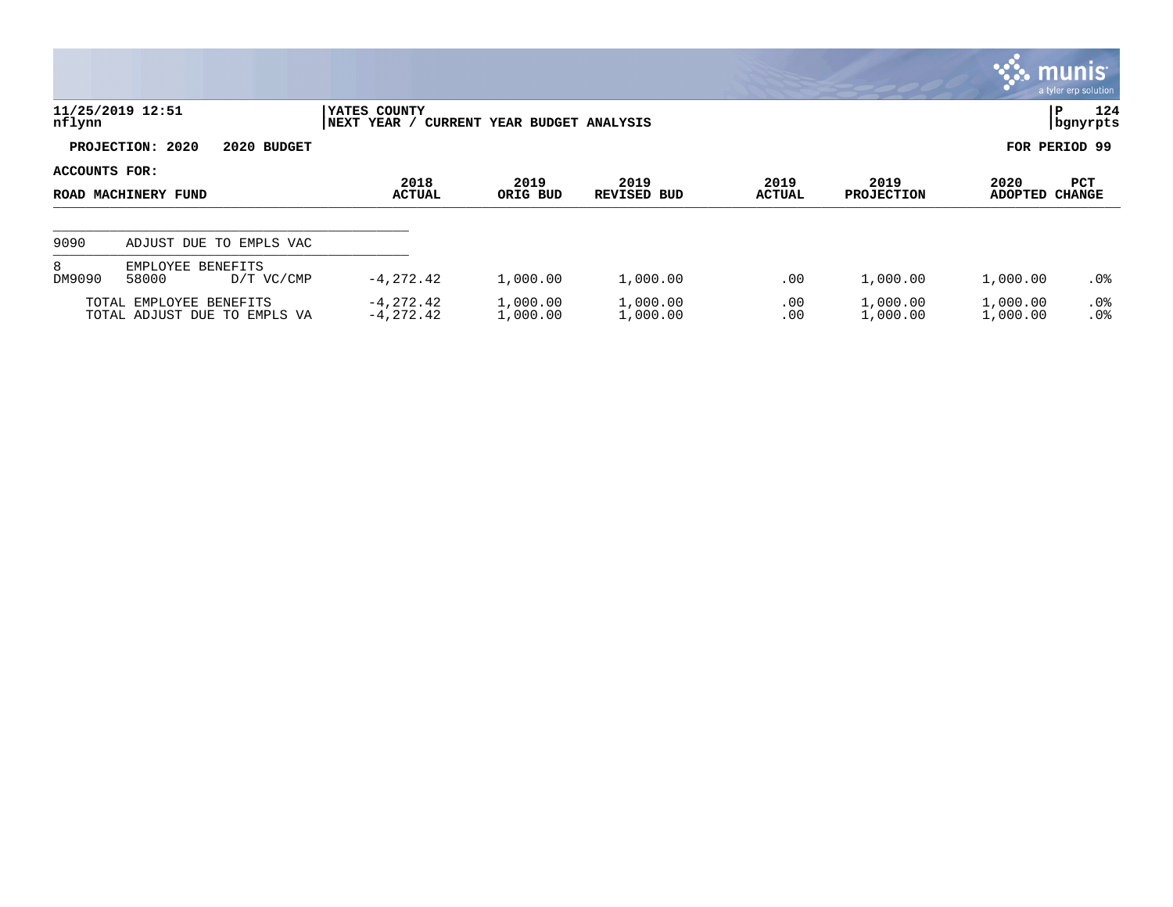|                                                                                            |                                                         |                           |                      |                            |                |                           | <b>R. MUNIS</b>        | a tyler erp solution        |
|--------------------------------------------------------------------------------------------|---------------------------------------------------------|---------------------------|----------------------|----------------------------|----------------|---------------------------|------------------------|-----------------------------|
| 11/25/2019 12:51<br>YATES COUNTY<br>nflynn<br> NEXT YEAR /<br>CURRENT YEAR BUDGET ANALYSIS |                                                         |                           |                      |                            |                |                           | P                      | 124<br>  bgnyrpts           |
|                                                                                            | PROJECTION: 2020<br>2020 BUDGET                         |                           |                      |                            | FOR PERIOD 99  |                           |                        |                             |
| ACCOUNTS FOR:<br>ROAD MACHINERY FUND                                                       |                                                         | 2018<br><b>ACTUAL</b>     | 2019<br>ORIG BUD     | 2019<br><b>REVISED BUD</b> | 2019<br>ACTUAL | 2019<br><b>PROJECTION</b> | 2020<br><b>ADOPTED</b> | <b>PCT</b><br><b>CHANGE</b> |
| 9090                                                                                       | ADJUST DUE TO EMPLS VAC                                 |                           |                      |                            |                |                           |                        |                             |
| 8<br>DM9090                                                                                | EMPLOYEE BENEFITS<br>58000<br>D/T VC/CMP                | $-4, 272.42$              | 1,000.00             | 1,000.00                   | .00            | 1,000.00                  | 1,000.00               | $.0\%$                      |
|                                                                                            | TOTAL EMPLOYEE BENEFITS<br>TOTAL ADJUST DUE TO EMPLS VA | -4,272.42<br>$-4, 272.42$ | 1,000.00<br>1,000.00 | 1,000.00<br>1,000.00       | .00<br>.00     | 1,000.00<br>1,000.00      | 1,000.00<br>1,000.00   | $.0\%$<br>.0%               |

**Section**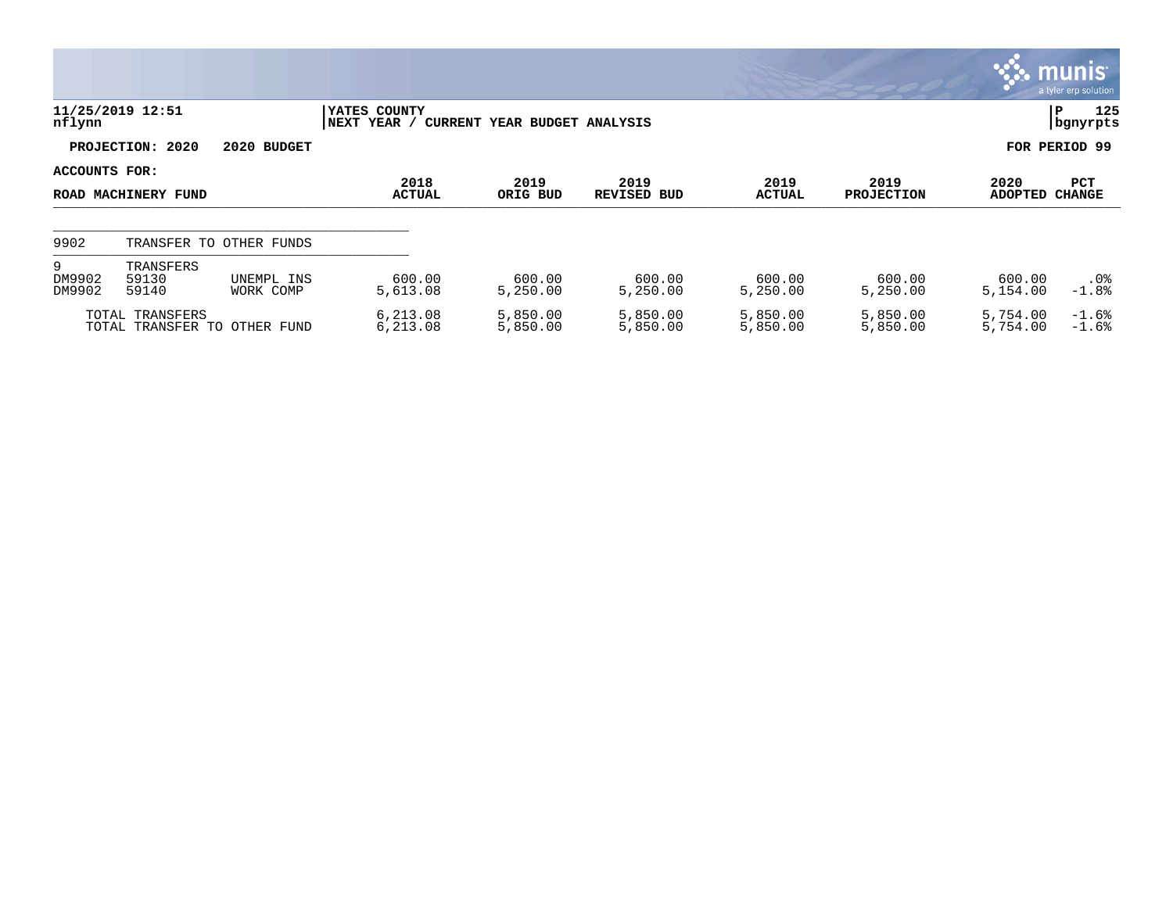|                       |                             |                              |                             |                              |                            |                       |                           |                      | <b>W. munis</b><br>a tyler erp solution |
|-----------------------|-----------------------------|------------------------------|-----------------------------|------------------------------|----------------------------|-----------------------|---------------------------|----------------------|-----------------------------------------|
| nflynn                | 11/25/2019 12:51            |                              | YATES COUNTY<br>NEXT YEAR / | CURRENT YEAR BUDGET ANALYSIS |                            |                       |                           |                      | 125<br>IΡ<br>  bgnyrpts                 |
|                       | PROJECTION: 2020            | 2020 BUDGET                  |                             |                              |                            |                       |                           |                      | FOR PERIOD 99                           |
| ACCOUNTS FOR:         | ROAD MACHINERY FUND         |                              | 2018<br>ACTUAL              | 2019<br>ORIG BUD             | 2019<br><b>REVISED BUD</b> | 2019<br><b>ACTUAL</b> | 2019<br><b>PROJECTION</b> | 2020<br>ADOPTED      | PCT<br><b>CHANGE</b>                    |
| 9902                  |                             | TRANSFER TO OTHER FUNDS      |                             |                              |                            |                       |                           |                      |                                         |
| 9<br>DM9902<br>DM9902 | TRANSFERS<br>59130<br>59140 | UNEMPL INS<br>WORK COMP      | 600.00<br>5,613.08          | 600.00<br>5,250.00           | 600.00<br>5.250.00         | 600.00<br>5,250.00    | 600.00<br>5.250.00        | 600.00<br>5,154.00   | $.0\%$<br>$-1.8%$                       |
|                       | TOTAL TRANSFERS             | TOTAL TRANSFER TO OTHER FUND | 6,213.08<br>6,213.08        | 5,850.00<br>5,850.00         | 5,850.00<br>5,850.00       | 5,850.00<br>5,850.00  | 5,850.00<br>5,850.00      | 5,754.00<br>5,754.00 | $-1.6%$<br>$-1.6%$                      |

**Contract Contract Contract**